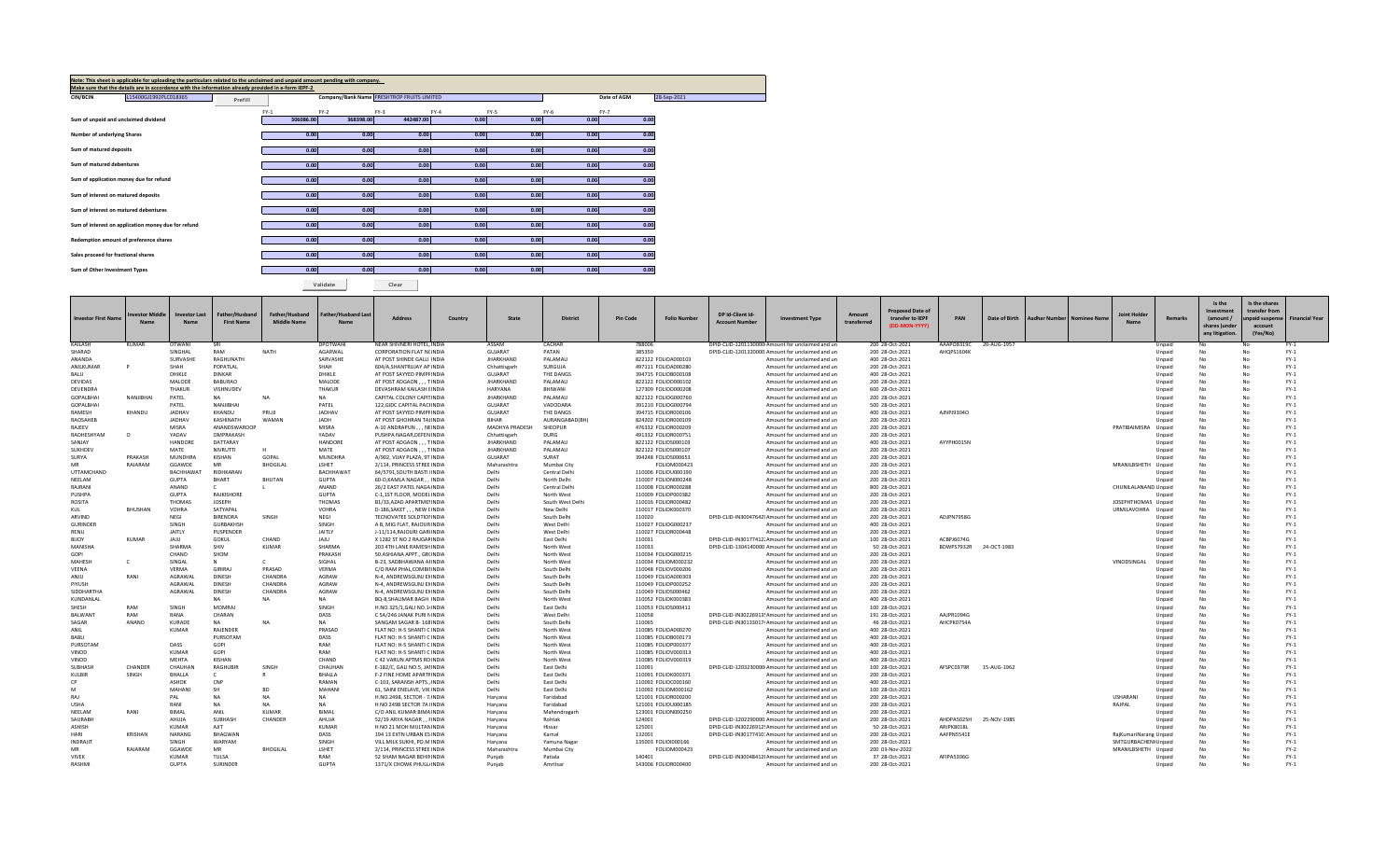| Note: This sheet is applicable for uploading the particulars related to the unclaimed and unpaid amount pending with company.<br>Make sure that the details are in accordance with the information already provided in e-form IEPF-2 |         |           |                                            |           |        |        |             |             |
|--------------------------------------------------------------------------------------------------------------------------------------------------------------------------------------------------------------------------------------|---------|-----------|--------------------------------------------|-----------|--------|--------|-------------|-------------|
| <b>CIN/BCIN</b><br>L15400GJ1992PLC018365                                                                                                                                                                                             | Prefill |           | Company/Bank Name FRESHTROP FRUITS LIMITED |           |        |        | Date of AGM | 28-Sep-2021 |
|                                                                                                                                                                                                                                      | $FY-1$  | $FY-2$    | $FY-3$                                     | $FY-4$    | $FY-5$ | $FY-6$ | FY-7        |             |
| Sum of unpaid and unclaimed dividend                                                                                                                                                                                                 |         | 306086.00 | 368398.00                                  | 442487.00 | 0.00   | 0.00   | 0.00        | 0.00        |
| <b>Number of underlying Shares</b>                                                                                                                                                                                                   |         | 0.00      | 0.00                                       | 0.00      | 0.00   | 0.00   | 0.00        | 0.00        |
| Sum of matured deposits                                                                                                                                                                                                              |         | 0.00      | 0.00                                       | 0.00      | 0.00   | 0.00   | 0.00        | 0.00        |
| Sum of matured debentures                                                                                                                                                                                                            |         | 0.00      | 0.00                                       | 0.00      | 0.00   | 0.00   | 0.00        | 0.00        |
| Sum of application money due for refund                                                                                                                                                                                              |         | 0.00      | 0.00                                       | 0.00      | 0.00   | 0.00   | 0.00        | 0.00        |
| Sum of interest on matured deposits                                                                                                                                                                                                  |         | 0.00      | 0.00                                       | 0.00      | 0.00   | 0.00   | 0.00        | 0.00        |
| Sum of interest on matured debentures                                                                                                                                                                                                |         | 0.00      | 0.00                                       | 0.00      | 0.00   | 0.00   | 0.00        | 0.00        |
| Sum of interest on application money due for refund                                                                                                                                                                                  |         | 0.00      | 0.00                                       | 0.00      | 0.00   | 0.00   | 0.00        | 0.00        |
| Redemption amount of preference shares                                                                                                                                                                                               |         | 0.00      | 0.00                                       | 0.00      | 0.00   | 0.00   | 0.00        | 0.00        |
| Sales proceed for fractional shares                                                                                                                                                                                                  |         | 0.00      | 0.00                                       | 0.00      | 0.00   | 0.00   | 0.00        | 0.00        |
| Sum of Other Investment Types                                                                                                                                                                                                        |         | 0.00      | 0.00                                       | 0.00      | 0.00   | 0.00   | 0.00        | 0.00        |

Validate Clear

| <b>Investor First Name</b>   | nvestor Middle<br><b>Name</b> | <b>Investor Last</b><br><b>Name</b> | Father/Husband<br><b>First Name</b> | Father/Husband<br><b>Middle Name</b> | <b>Father/Husband Last</b><br>Name | <b>Address</b>                                          | Country | State                              | <b>District</b>           | <b>Pin Code</b> | <b>Folio Number</b>                        | DP Id-Client Id<br><b>Account Number</b> | <b>Investment Type</b>                                                           | Amount<br>transferred | <b>Proposed Date of</b><br>transfer to IEPF<br>(DD-MON-YYYY) | PAN        | Date of Birth | Aadhar Number   Nominee Name | Nam                    | Remarks          | Is the<br>Investment<br>(amount/<br>shares )under<br>any litigation. | Is the shares<br>transfer from<br><b>Inpaid suspens</b><br>account<br>(Yes/No) | <b>Financial Year</b> |
|------------------------------|-------------------------------|-------------------------------------|-------------------------------------|--------------------------------------|------------------------------------|---------------------------------------------------------|---------|------------------------------------|---------------------------|-----------------|--------------------------------------------|------------------------------------------|----------------------------------------------------------------------------------|-----------------------|--------------------------------------------------------------|------------|---------------|------------------------------|------------------------|------------------|----------------------------------------------------------------------|--------------------------------------------------------------------------------|-----------------------|
| KAILASH                      | KUMAR                         | OTWANI                              | SRI                                 |                                      | DPOTWANI                           | NEAR SHIVNERI HOTEL, INDIA                              |         | ASSAM                              | CACHAR                    | 788006          |                                            |                                          | DPID-CLID-1201130000 Amount for unclaimed and un                                 |                       | 200 28-Oct-2021                                              | AAAPO8319C | 20-AUG-1957   |                              |                        | Unpaid           |                                                                      |                                                                                | $FY-1$                |
| SHARAD                       |                               | SINGHAL                             | RAM                                 | <b>NATH</b>                          | AGARWAL                            | <b>CORPORATION FLAT NCINDIA</b>                         |         | <b>GUJARAT</b>                     | PATAN                     | 385350          |                                            |                                          | DPID-CLID-1201320000 Amount for unclaimed and un                                 |                       | 200 28-Oct-2021                                              | AHOPS1604K |               |                              |                        | Unpaid           |                                                                      | No                                                                             | $FY-1$                |
| ANANDA                       |                               | SURVASHE                            | RAGHUNATH                           |                                      | SARVASHE                           | AT POST SHINDE GALLI INDIA                              |         | <b>JHARKHAND</b>                   | PALAMAU                   |                 | 822122 FOLIOA000103                        |                                          | Amount for unclaimed and un                                                      |                       | 400 28-Oct-2021                                              |            |               |                              |                        | Unpaid           |                                                                      |                                                                                | $FY-1$                |
| ANILKUMAR                    |                               | SHAH                                | POPATLAL                            |                                      | SHAH                               | 604/A, SHANTRUJAY AP INDIA                              |         | Chhattisgarh                       | SURGUJA                   |                 | 497111 FOLIOA000280                        |                                          | Amount for unclaimed and un                                                      |                       | 200 28-Oct-2021                                              |            |               |                              |                        | Unpaid           | No                                                                   |                                                                                | $FY-1$                |
| <b>BALU</b>                  |                               | DHIKLE                              | <b>DINKAR</b>                       |                                      | DHIKLE                             | AT POST SAYYED PIMPFINDIA                               |         | GUJARAT                            | THE DANGS                 |                 | 394715 FOLIOB000108                        |                                          | Amount for unclaimed and un                                                      |                       | 400 28-Oct-2021                                              |            |               |                              |                        | Unpaid           |                                                                      | No<br>No                                                                       | $FY-1$                |
| DEVIDAS                      |                               | MALODE<br><b>THAKUR</b>             | <b>BABURAO</b>                      |                                      | MALODE<br><b>THAKUR</b>            | AT POST ADGAON , , , TINDIA<br>DEVASHRAM KAILASH EINDIA |         | <b>JHARKHAND</b>                   | PALAMAU<br>BHIWANI        |                 | 822122 FOLIOD000102                        |                                          | Amount for unclaimed and un                                                      |                       | 200 28-Oct-202:                                              |            |               |                              |                        | Unpaid           |                                                                      |                                                                                | $FY-1$                |
| DEVENDRA<br><b>GOPALBHAI</b> | NANJIBHAI                     | PATEL                               | VISHNUDEV<br>NA.                    | <b>NA</b>                            | <b>NA</b>                          | CAPITAL COLONY CAPITINDIA                               |         | <b>HARYANA</b><br><b>JHARKHAND</b> | PALAMAU                   |                 | 127309 FOLIOD000208<br>822122 FOLIOG000760 |                                          | Amount for unclaimed and un<br>Amount for unclaimed and un                       |                       | 600 28-Oct-2021<br>200 28-Oct-2021                           |            |               |                              |                        | Unpaid<br>Unpaid |                                                                      | No<br>No                                                                       | $FY-1$<br>$FY-1$      |
| <b>GOPALBHAI</b>             |                               | PATEL                               | NANJIBHAI                           |                                      | PATEL                              | 122, GIDC CAPITAL PACHNDIA                              |         | <b>GUJARAT</b>                     | VADODARA                  |                 | 391210 FOLIOG000794                        |                                          | Amount for unclaimed and un                                                      |                       | 500 28-Oct-2021                                              |            |               |                              |                        | Unpaid           |                                                                      |                                                                                | $FY-1$                |
| RAMESH                       | KHANDU                        | <b>JADHAV</b>                       | KHANDU                              | PRUJI                                | <b>JADHAV</b>                      | AT POST SAYYED PIMPFINDIA                               |         | GUJARAT                            | THE DANGS                 |                 | 394715 FOLIOR000106                        |                                          | Amount for unclaimed and un                                                      |                       | 400 28-Oct-2021                                              | AJNPJ9304O |               |                              |                        | Unpaid           |                                                                      | No                                                                             | $FY-1$                |
| RAOSAHEB                     |                               | JADHAV                              | KASHINATH                           | WAMAN                                | JADH                               | AT POST GHOHRAN TALINDIA                                |         | <b>BIHAR</b>                       | AURANGABAD(BH)            |                 | 824202 FOLIOR000109                        |                                          | Amount for unclaimed and un                                                      |                       | 200 28-Oct-2021                                              |            |               |                              |                        | Unpaid           |                                                                      | No                                                                             | $FY-1$                |
| <b>RAJEEV</b>                |                               | MISRA                               | ANANDSWAROOP                        |                                      | <b>MISRA</b>                       | A-10 ANDRAPUN,,, NEINDIA                                |         | <b>MADHYA PRADESI</b>              | SHEOPUR                   |                 | 476332 FOLIOR000209                        |                                          | Amount for unclaimed and un                                                      |                       | 200 28-Oct-2021                                              |            |               |                              | PRATIBAIMISRA          | Unpaid           |                                                                      |                                                                                | $FY-1$                |
| RADHESHYAM                   | $\Omega$                      | YADAV                               | OMPRAKASH                           |                                      | YADAV                              | PUSHPA NAGAR, DEFEN INDIA                               |         | Chhattisgarh                       | DURG                      |                 | 491332 FOLIOR000751                        |                                          | Amount for unclaimed and un                                                      |                       | 200 28-Oct-2021                                              |            |               |                              |                        | Unpaid           |                                                                      | No                                                                             | $FY-1$                |
| SANJAY                       |                               | HANDORE                             | DATTARAY                            |                                      | <b>HANDORE</b>                     | AT POST ADGAON, , , TINDIA                              |         | <b>JHARKHAND</b>                   | PALAMAU                   |                 | 822122 FOLIOS000103                        |                                          | Amount for unclaimed and un                                                      |                       | 400 28-Oct-2021                                              | AYYPH0015N |               |                              |                        | Unpaid           |                                                                      | No                                                                             | $FY-1$                |
| <b>SUKHDEV</b>               |                               | MATE                                | <b>NIVRUTTI</b>                     |                                      | MATE                               | AT POST ADGAON , , , TINDIA                             |         | <b>JHARKHAND</b>                   | PALAMAU                   |                 | 822122 FOLIOS000107                        |                                          | Amount for unclaimed and un                                                      |                       | 200 28-Oct-2021                                              |            |               |                              |                        | Unpaid           |                                                                      |                                                                                | $FY-1$                |
| <b>SURYA</b>                 | PRAKASH                       | <b>MUNDHRA</b>                      | KISHAN                              | GOPAL                                | <b>MUNDHRA</b>                     | A/902, VIJAY PLAZA, 9T INDIA                            |         | GUJARAT                            | SURAT                     |                 | 394248 FOLIOS000653                        |                                          | Amount for unclaimed and un                                                      |                       | 200 28-Oct-2021                                              |            |               |                              |                        | Unpaid           |                                                                      | No                                                                             | $FY-1$                |
|                              | RAJARAM                       | GGAWDE                              | <b>MR</b>                           | <b>BHOGILAL</b>                      | LSHET                              | 2/114, PRINCESS STREE INDIA                             |         | Maharashtra                        | Mumbai City               |                 | FOLIOM000423                               |                                          | Amount for unclaimed and un                                                      |                       | 200 28-Oct-202:                                              |            |               |                              | MRANILBSHETH Unpaid    |                  |                                                                      | No                                                                             | $FY-1$                |
| <b>UTTAMCHAND</b>            |                               | <b>BACHHAWAT</b>                    | RIDHKARAN                           |                                      | BACHHAWAT                          | 64/5791.SOUTH BASTI IINDIA                              |         | Delhi                              | Central Delhi             |                 | 110006 FOLIOU000190                        |                                          | Amount for unclaimed and un                                                      |                       | 200 28-Oct-2021                                              |            |               |                              |                        | Unpaid           |                                                                      | No                                                                             | $FY-1$                |
| NEELAM                       |                               | <b>GUPTA</b>                        | <b>BHART</b>                        | <b>BHUTAN</b>                        | <b>GUPTA</b>                       | 60-D, KAMLA NAGAR, , INDIA                              |         | Delhi                              | North Delhi               |                 | 110007 FOLION000248                        |                                          | Amount for unclaimed and un                                                      |                       | 200 28-Oct-2021                                              |            |               |                              |                        | Unpaid           |                                                                      | No                                                                             | $FY-1$                |
| RAJRANI                      |                               | ANAND                               |                                     |                                      | ANAND                              | 26/2 EAST PATEL NAGA INDIA                              |         | Delhi                              | Central Delhi             |                 | 110008 FOLIOR000288                        |                                          | Amount for unclaimed and un                                                      |                       | 800 28-Oct-2021                                              |            |               |                              | CHUNILALANAND Unpaid   |                  |                                                                      | No                                                                             | $FY-1$                |
| PUSHPA                       |                               | <b>GUPTA</b>                        | RAJKISHORE                          |                                      | <b>GUPTA</b>                       | C-1.1ST FLOOR, MODEL INDIA                              |         | Delhi                              | North West                |                 | 110009 FOLIOP000382                        |                                          | Amount for unclaimed and un                                                      |                       | 200 28-Oct-2021                                              |            |               |                              |                        | Unpaid           |                                                                      |                                                                                | $FY-1$                |
| ROSITA                       |                               | <b>THOMAS</b><br><b>VOHRA</b>       | <b>JOSEPH</b><br>SATYAPAL           |                                      | <b>THOMAS</b><br><b>VOHRA</b>      | B1/33,AZAD APARTMENNDIA<br>D-186, SAKET, , , NEW LINDIA |         | Delhi<br>Delhi                     | South West Delhi          |                 | 110016 FOLIOR000482<br>110017 FOLIOK000370 |                                          | Amount for unclaimed and un                                                      |                       | 200 28-Oct-2021<br>200 28-Oct-2021                           |            |               |                              | JOSEPHTHOMAS Unpaid    |                  |                                                                      | No<br>No                                                                       | $FY-1$<br>$FY-1$      |
| KUL<br>ARVIND                | BHUSHAN                       | NEGI                                | <b>BIRENDRA</b>                     | SINGH                                | NEGI                               | TECNOVATEE SOLDTIONINDIA                                |         | Delhi                              | New Delhi<br>South Delhi  | 110020          |                                            |                                          | Amount for unclaimed and un<br>DPID-CLID-IN30047642! Amount for unclaimed and un |                       | 200 28-Oct-2021                                              | ADJPN7958G |               |                              | URMILAVOHRA Unpaid     | Unpaid           |                                                                      |                                                                                | $FY-1$                |
| <b>GURINDER</b>              |                               | SINGH                               | <b>GURBAKHSH</b>                    |                                      | SINGH                              | A B. MIG FLAT, RAJOUR INDIA                             |         | Delhi                              | West Delhi                |                 | 110027 FOLIOG000237                        |                                          | Amount for unclaimed and un                                                      |                       | 400 28-Oct-2021                                              |            |               |                              |                        | Unpaid           |                                                                      | No                                                                             | $FY-1$                |
| RENU                         |                               | JAITLY                              | PUSPENDER                           |                                      | JAITLY                             | J-11/114, RAJOURI GARIINDIA                             |         | Delhi                              | West Delhi                |                 | 110027 FOLIOR000448                        |                                          | Amount for unclaimed and un                                                      |                       | 200 28-Oct-2021                                              |            |               |                              |                        | Unpaid           |                                                                      | No                                                                             | $FY-1$                |
| <b>BIJOY</b>                 | <b>KUMAR</b>                  | JAJU                                | GOKUL                               | CHAND                                | JAJU                               | X 1282 ST NO 2 RAJGAFINDIA                              |         | Delhi                              | East Delhi                | 110031          |                                            |                                          | DPID-CLID-IN30177412. Amount for unclaimed and un                                |                       | 100 28-Oct-2021                                              | ACBPJ6074G |               |                              |                        | Unpaid           |                                                                      | No                                                                             | $FY-1$                |
| MANISHA                      |                               | SHARMA                              | SHIV                                | <b>KUMAR</b>                         | SHARMA                             | 203 4TH LANE RAMESH INDIA                               |         | Delhi                              | North West                | 110033          |                                            |                                          | DPID-CLID-1304140000 Amount for unclaimed and un                                 |                       | 50 28-Oct-2021                                               | BDWPS7932R | 24-OCT-1983   |                              |                        | Unnaic           |                                                                      | No                                                                             | $FY-1$                |
| GOPI                         |                               | CHAND                               | SHOM                                |                                      | PRAKASH                            | 50.ASHIANA APPT., GR(INDIA                              |         | Delhi                              | North West                |                 | 110034 FOLIOG000215                        |                                          | Amount for unclaimed and un                                                      |                       | 200 28-Oct-2021                                              |            |               |                              |                        | Unpaid           |                                                                      | No                                                                             | $FY-1$                |
| MAHESH                       |                               | SINGAL                              | N                                   |                                      | SIGHAL                             | B-23, SADBHAWANA AFINDIA                                |         | Delhi                              | North West                |                 | 110034 FOLIOM000232                        |                                          | Amount for unclaimed and un                                                      |                       | 200 28-Oct-2021                                              |            |               |                              | VINODSINGAL            | Unpaid           |                                                                      | No                                                                             | $FY-1$                |
| VEENA                        |                               | <b>VERMA</b>                        | GIRIRAJ                             | PRASAD                               | <b>VERMA</b>                       | C/O RAM PHAL, COMBILINDIA                               |         | Delhi                              | South Delhi               |                 | 110048 FOLIOV000206                        |                                          | Amount for unclaimed and un                                                      |                       | 200 28-Oct-2021                                              |            |               |                              |                        | Unpaid           |                                                                      |                                                                                | $FY-1$                |
| ANJU                         | RANI                          | AGRAWAL                             | <b>DINESH</b>                       | CHANDRA                              | AGRAW                              | N-4. ANDREWSGUNJ EXINDIA                                |         | Delhi                              | South Delhi               |                 | 110049 FOLIOA000303                        |                                          | Amount for unclaimed and un                                                      |                       | 200 28-Oct-2021                                              |            |               |                              |                        | Unpaid           |                                                                      |                                                                                | $FY-1$                |
| PIYUSH                       |                               | AGRAWAI                             | DINESH                              | CHANDRA                              | AGRAW                              | N-4, ANDREWSGUNJ EXINDIA                                |         | Delhi                              | South Delhi               |                 | 110049 FOLIOP000252                        |                                          | Amount for unclaimed and un                                                      |                       | 200 28-Oct-2021                                              |            |               |                              |                        | Unpaid           |                                                                      | No                                                                             | $FY-1$                |
| SIDDHARTHA                   |                               | AGRAWAL                             | DINESH                              | CHANDRA                              | AGRAW                              | N-4, ANDREWSGUNJ EXINDIA                                |         | Delhi                              | South Delhi               |                 | 110049 FOLIOS000462                        |                                          | Amount for unclaimed and un                                                      |                       | 200 28-Oct-2021                                              |            |               |                              |                        | Unpaid           |                                                                      | No                                                                             | $FY-1$                |
| KUNDANLAL                    |                               |                                     | NA.                                 | NΔ                                   | <b>NA</b>                          | BO-8.SHALIMAR BAGH INDIA                                |         | Delhi                              | North West                |                 | 110052 FOLIOK000383                        |                                          | Amount for unclaimed and un                                                      |                       | 400 28-Oct-2021                                              |            |               |                              |                        | Unpaid           |                                                                      | No                                                                             | $FY-1$                |
| SHESH                        | RAM                           | SINGH                               | MOMRAJ                              |                                      | SINGH                              | H.NO.325/1, GALI NO.1/INDIA                             |         | Delhi                              | East Delhi                |                 | 110053 FOLIOS000411                        |                                          | Amount for unclaimed and un                                                      |                       | 100 28-Oct-2021                                              |            |               |                              |                        | Unpaid           |                                                                      | No                                                                             | $FY-1$                |
| <b>BALWANT</b>               | RAM                           | RANA                                | CHARAN                              |                                      | DASS<br><b>NA</b>                  | C 5A/246 JANAK PURI NINDIA                              |         | Delhi                              | West Delhi                | 110058          |                                            |                                          | DPID-CLID-IN30226913! Amount for unclaimed and un                                |                       | 191 28-Oct-2021                                              | AAJPR1094G |               |                              |                        | Unpaid           |                                                                      |                                                                                | $FY-1$                |
| SAGAR<br>ANIL                | ANAND                         | <b>KURADE</b><br><b>KUMAR</b>       | NA<br><b>RAJENDER</b>               | <b>NA</b>                            | PRASAD                             | SANGAM SAGAR B-168 INDIA<br>FLAT NO: H-5 SHANTI C INDIA |         | Delhi<br>Delhi                     | South Delhi<br>North West | 110065          | 110085 FOLIOA000270                        |                                          | DPID-CLID-IN30133017 Amount for unclaimed and un<br>Amount for unclaimed and un  |                       | 46 28-Oct-2021<br>400 28-Oct-2021                            | AHCPK0754A |               |                              |                        | Unpaid           |                                                                      | ٧d<br>No                                                                       | $FY-1$<br>$FY-1$      |
| BABLI                        |                               |                                     | PURSOTAM                            |                                      | DASS                               | FLAT NO: H-5 SHANTI C INDIA                             |         | Delhi                              | North West                |                 | 110085 FOLIOB000173                        |                                          | Amount for unclaimed and un                                                      |                       | 400 28-Oct-2021                                              |            |               |                              |                        | Unpaid<br>Unpaid |                                                                      |                                                                                | $FY-1$                |
| PURSOTAM                     |                               | DASS                                | GOPI                                |                                      | RAM                                | FLAT NO: H-5 SHANTI C INDIA                             |         | Delhi                              | North West                |                 | 110085 FOLIOP000377                        |                                          | Amount for unclaimed and un                                                      |                       | 400 28-Oct-2021                                              |            |               |                              |                        | Unpaid           |                                                                      | No                                                                             | $FY-1$                |
| VINOD                        |                               | <b>KUMAR</b>                        | GOPI                                |                                      | RAM                                | FLAT NO: H-5 SHANTI C INDIA                             |         | Delhi                              | North West                |                 | 110085 FOLIOV000313                        |                                          | Amount for unclaimed and un                                                      |                       | 400 28-Oct-2021                                              |            |               |                              |                        | Unpaid           |                                                                      | No                                                                             | $FY-1$                |
| VINOD                        |                               | <b>MEHTA</b>                        | KISHAN                              |                                      | CHAND                              | C 42 VARUN APTMS ROINDIA                                |         | Delhi                              | North West                |                 | 110085 FOLIOV000319                        |                                          | Amount for unclaimed and un                                                      |                       | 400 28-Oct-2021                                              |            |               |                              |                        | Unpaid           |                                                                      | No                                                                             | $FY-1$                |
| SUBHASH                      | CHANDER                       | CHAUHAN                             | RAGHUBIR                            | SINGH                                | CHAUHAN                            | E-182/C, GALI NO.5, JAIINDIA                            |         | Delhi                              | East Delhi                | 110091          |                                            |                                          | DPID-CLID-1203230000 Amount for unclaimed and un                                 |                       | 100 28-Oct-2021                                              | AFSPC0379R | 15-AUG-1962   |                              |                        | Unpaid           |                                                                      | No                                                                             | $FY-1$                |
| KULBIR                       | SINGH                         | <b>BHALLA</b>                       |                                     |                                      | <b>BHALLA</b>                      | F-2 FINE HOME APARTMINDIA                               |         | Delhi                              | East Delhi                |                 | 110091 FOLIOK000371                        |                                          | Amount for unclaimed and un                                                      |                       | 200 28-Oct-2021                                              |            |               |                              |                        | Unpair           |                                                                      | No                                                                             | $FY-1$                |
| CP.                          |                               | <b>ASHOK</b>                        | CNP                                 |                                      | RAMAN                              | C-103, SARANSH APTS., INDIA                             |         | Delhi                              | East Delhi                |                 | 110092 FOLIOC000160                        |                                          | Amount for unclaimed and un                                                      |                       | 400 28-Oct-2021                                              |            |               |                              |                        | Unpaid           |                                                                      | No                                                                             | $FY-1$                |
|                              |                               | MAHANI                              | SH                                  | <b>BD</b>                            | MAHANI                             | 61. SAINI ENELAVE, VIK INDIA                            |         | Delhi                              | East Delhi                |                 | 110092 FOLIOM000162                        |                                          | Amount for unclaimed and un                                                      |                       | 100 28-Oct-2021                                              |            |               |                              |                        | Unpaid           |                                                                      | No                                                                             | $FY-1$                |
| RAJ                          |                               | PAL                                 | NA                                  | <b>NA</b>                            | <b>NA</b>                          | H.NO.2498, SECTOR - 7.INDIA                             |         | Haryana                            | Faridabad                 |                 | 121001 FOLIOR000200                        |                                          | Amount for unclaimed and un                                                      |                       | 200 28-Oct-2021                                              |            |               |                              | USHARANI               | Unpaid           |                                                                      | No                                                                             | $FY-1$                |
| <b>LISHA</b>                 |                               | RANI                                | NΔ                                  | <b>NA</b>                            | <b>NA</b>                          | H NO 2498 SECTOR 7A IINDIA                              |         | Haryana                            | Faridabad                 |                 | 121001 FOLIOU000185                        |                                          | Amount for unclaimed and un                                                      |                       | 200 28-Oct-2021                                              |            |               |                              | RAJPAL                 | Unpaid           |                                                                      |                                                                                | $FY-1$                |
| NEELAM                       | RANI                          | <b>BIMAL</b>                        | ANIL                                | <b>KUMAR</b>                         | <b>BIMAL</b>                       | C/O ANIL KUMAR BIMA INDIA                               |         | Haryana                            | Mahendragarh              |                 | 123001 FOLION000250                        |                                          | Amount for unclaimed and un                                                      |                       | 200 28-Oct-2021                                              |            |               |                              |                        | Unpaid           |                                                                      | No                                                                             | $FY-1$                |
| SAURABH                      |                               | AHUJA                               | SUBHASH                             | CHANDER                              | AHUJA                              | 52/19 ARYA NAGAR, , FINDIA                              |         | Haryana                            | Rohtak                    | 124001          |                                            |                                          | DPID-CLID-1202290000 Amount for unclaimed and un                                 |                       | 200 28-Oct-2021                                              | AHDPA5025H | 25-NOV-1985   |                              |                        | Unpaid           |                                                                      | No                                                                             | $FY-1$                |
| <b>ASHISH</b>                |                               | <b>KUMAR</b>                        | AJIT                                |                                      | <b>KUMAR</b>                       | H NO 21 MOH MULTAN INDIA                                |         | Haryana                            | Hissar                    | 125001          |                                            |                                          | DPID-CLID-IN30226912! Amount for unclaimed and un                                |                       | 50 28-Oct-2021                                               | ARJPK8018L |               |                              |                        | Unpair           |                                                                      |                                                                                | $FY-1$                |
| HARI                         | <b>KRISHAN</b>                | NARANG                              | <b>BHAGWAN</b>                      |                                      | DASS                               | 194 13 EXTN URBAN ESINDIA                               |         | Haryana                            | Karnal                    | 132001          |                                            |                                          | DPID-CLID-IN30177410: Amount for unclaimed and un                                |                       | 200 28-Oct-2021                                              | AAFPN5541E |               |                              | RajKumariNarang Unpaid |                  |                                                                      | No                                                                             | $FY-1$                |
| INDRAJIT                     |                               | SINGH                               | WARYAM                              |                                      | SINGH                              | VILL.MILK SUKHI, PO.M INDIA                             |         | Haryana                            | Yamuna Nagar              |                 | 135003 FOLIOI000166                        |                                          | Amount for unclaimed and un                                                      |                       | 200 28-Oct-2021                                              |            |               |                              | SMTGURBACHENI Unpaid   |                  |                                                                      |                                                                                | $FY-1$                |
| MR                           | RAJARAM                       | GGAWDE                              | <b>MR</b>                           | <b>BHOGILAL</b>                      | LSHET                              | 2/114, PRINCESS STREE INDIA                             |         | Maharashtra                        | Mumbai City               |                 | FOLIOM000423                               |                                          | Amount for unclaimed and un                                                      |                       | 200 03-Nov-2022                                              |            |               |                              | MRANILBSHETH Unpaid    |                  |                                                                      |                                                                                | $FY-2$                |
| <b>VIVEK</b>                 |                               | <b>KUMAR</b>                        | TULSA                               |                                      | RAM<br><b>GUPTA</b>                | 52 SHAM NAGAR BEHIMINDIA                                |         | Punjab                             | Patiala                   | 140401          |                                            |                                          | DPID-CLID-IN30048412! Amount for unclaimed and un                                |                       | 37 28-Oct-2021                                               | AFIPA5306G |               |                              |                        | Unpaid           |                                                                      | No                                                                             | $FY-1$<br>$FY-1$      |
| RASHMI                       |                               | <b>GUPTA</b>                        | SURINDER                            |                                      |                                    | 1371/X CHOWK PHULL/INDIA                                |         | Punjab                             | Amritsar                  |                 | 143006 FOLIOR000400                        |                                          | Amount for unclaimed and un                                                      |                       | 200 28-Oct-2021                                              |            |               |                              |                        | Unpaid           |                                                                      |                                                                                |                       |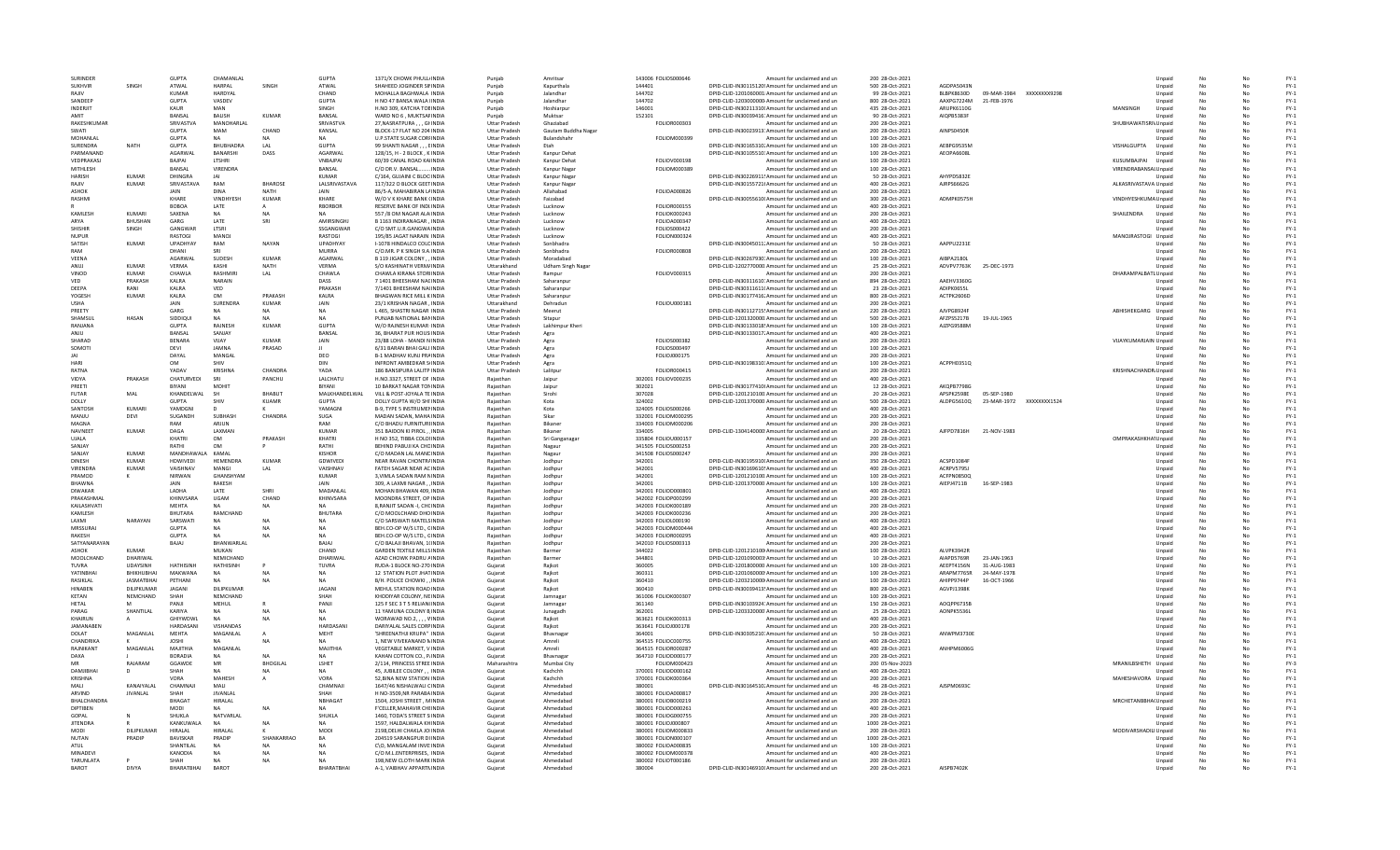| SURINDER           |                   | <b>GUPTA</b>       | CHAMANLAL        |                 | <b>GUPTA</b>     | 1371/X CHOWK PHULL/INDIA          | Puniab               | Amritsa                  | 143006 FOLIOS000646 | Amount for unclaimed and un                                                      | 200 28-Oct-2021  |                   |             |              |                                  | Unpaid           | No |    | $FY-1$                          |
|--------------------|-------------------|--------------------|------------------|-----------------|------------------|-----------------------------------|----------------------|--------------------------|---------------------|----------------------------------------------------------------------------------|------------------|-------------------|-------------|--------------|----------------------------------|------------------|----|----|---------------------------------|
| <b>SUKHVIR</b>     | SINGH             | ATWAL              | <b>HARPAI</b>    | SINGH           | ATWAL            | SHAHEED JOGINDER SIMNDIA          | Punjab               | Kapurthala               | 144401              | DPID-CLID-IN30115120! Amount for unclaimed and un                                | 500 28-Oct-2021  | AGDPA5043M        |             |              |                                  | Unpaid           | No |    | $FY-1$                          |
| RAIIV              |                   | KUMAR              | <b>HARDYAI</b>   |                 | CHAND            | MOHALLA BAGHWALA INDIA            | Punjab               | Jalandhar                | 144702              | DPID-CLID-1201060001 Amount for unclaimed and ur                                 | 99 28-Oct-2021   | BLBPK8630D        | 09-MAR-1984 | XXXXXXXX9298 |                                  | Unpaid           |    |    | $FY-1$                          |
| SANDEEP            |                   | GUPTA              | VASDEV           |                 | GUPTA            | H NO 47 BANSA WALA INDIA          | Punjab               | Jalandha                 | 144702              | DPID-CLID-1203000000 Amount for unclaimed and ur                                 | 800 28-Oct-2021  | AAXPG7224M        | 21-FEB-1976 |              |                                  | Unpaid           |    |    | $FY-1$                          |
| INDERJIT           |                   | KAUR               | MAN              |                 | SINGH            | H.NO 309, KATCHA TOEINDIA         | Punjab               | Hoshiarpur               | 146001              | DPID-CLID-IN30211310 Amount for unclaimed and un                                 | 435 28-Oct-2021  | ARUPK6110G        |             |              | MANSINGH                         | Unpaid           |    |    | $FY-1$                          |
| AMIT               |                   | BANSAL             | <b>BALISH</b>    | KUMAR           | BANSAL           | WARD NO 6 . MUKTSAFINDIA          | Puniab               | Muktsar                  | 152101              | DPID-CLID-IN30039416: Amount for unclaimed and un                                | 90 28-Oct-2021   | AIOPB5383F        |             |              |                                  | Unpaid           | No | No | $FY-1$                          |
| RAKESHKUMAR        |                   | <b>SRIVASTVA</b>   | MANOHARLAL       |                 | SRIVASTVA        | 27.NASRATPURA GHNDIA              | <b>Uttar Pradesh</b> | Ghaziabad                | FOLIOR000303        | Amount for unclaimed and un                                                      | 200 28-Oct-2021  |                   |             |              | SHUBHAWATISRI\ Unpaid            |                  | No |    | $FY-1$                          |
| <b>SWATI</b>       |                   | <b>GUPTA</b>       | MAM              | CHAND           | KANSAL           | BLOCK-17 FLAT NO 204 INDIA        | <b>Uttar Pradesh</b> | Gautam Buddha Nagar      |                     | DPID-CLID-IN30023913: Amount for unclaimed and un                                | 200 28-Oct-2021  | AINPS0450R        |             |              |                                  |                  |    |    | $FY-1$                          |
| MOHANLA            |                   | GUPTA              | <b>NA</b>        |                 | <b>NA</b>        | U.P.STATE SUGAR CORFINDI          | <b>Uttar Pradesh</b> | Bulandshah               | FOLIOM000399        | Amount for unclaimed and un                                                      | 100 28-Oct-2021  |                   |             |              |                                  | Unpaid           |    |    | $FY-1$                          |
| SURENDRA           | NATH              | <b>GUPTA</b>       | <b>BHUBHADRA</b> | I AI            | <b>GUPTA</b>     | 99 SHANTI NAGAR EINDIA            | <b>Uttar Pradesh</b> | Ftah                     |                     | DPID-CLID-IN30165310, Amount for unclaimed and un                                | 100 28-Oct-2021  | AEBPG9535M        |             |              | VISHALGUPTA                      | Unpaid           |    |    | $FY-1$                          |
| PARMANANE          |                   | AGARWAI            | BANARSHI         | DASS            | AGARWAL          | 128/15. H - 2 BLOCK . K INDIA     | <b>Uttar Pradesh</b> | Kanpur Dehat             |                     | DPID-CLID-IN30105510: Amount for unclaimed and un                                | 100 28-Oct-2021  | AEOPA6608L        |             |              |                                  | Unpaid           | No | No | $FY-1$                          |
| VEDPRAKASI         |                   | <b>BAIPAL</b>      | <b>ITSHRI</b>    |                 | <b>VNRAIPAL</b>  | 60/39 CANAL ROAD KAIINDIA         | <b>Uttar Pradesh</b> | Kanpur Dehat             | <b>FOLIOV000198</b> | Amount for unclaimed and un                                                      | 100 28-Oct-2021  |                   |             |              | KUSUMBAIPAL                      | Unpaid           |    | Nr | $FY-1$                          |
| MITHLESH           |                   | BANSAL             | VIRENDRA         |                 | BANSAL           | C/O DR.V. BANSAL  INDIA           | <b>Uttar Pradesh</b> | Kanpur Naga              | FOLIOM000389        | Amount for unclaimed and un                                                      | 100 28-Oct-2021  |                   |             |              | VIRENDRABANSAL Unpaid            |                  |    |    | $FY-1$                          |
| HARISH             | <b>KUMAF</b>      | DHINGRA            |                  |                 | <b>KUMAR</b>     | C/164, GUJAINI C BLOC INDIA       | <b>Uttar Pradesh</b> | Kanpur Naga              |                     | DPID-CLID-IN30226911! Amount for unclaimed and un                                | 50 28-Oct-2021   | AHYPD5832E        |             |              |                                  |                  |    |    | $FY-1$                          |
| RAJIV              | <b>KUMAR</b>      | SRIVASTAVA         | RAM              | <b>BHAROSE</b>  | LALSRIVASTAVA    | 117/322 O BLOCK GEET INDIA        | <b>Uttar Pradesh</b> | Kanpur Nagar             |                     | DPID-CLID-IN30155721(Amount for unclaimed and un                                 | 400 28-Oct-2021  | AJRPS6662G        |             |              | ALKASRIVASTAVA Unpaid            |                  |    |    | $FY-1$                          |
| ASHOK              |                   | JAIN               | DINA             | <b>NATH</b>     | JAIN             | 86/5-A. MAHABIRAN L/ INDIA        | <b>Uttar Pradesh</b> | Allahabad                | FOLIOA000826        | Amount for unclaimed and un                                                      | 200 28-Oct-2021  |                   |             |              |                                  | Unnaid           | No | No | $FY-1$                          |
| <b>RASHMI</b>      |                   | KHARE              | <b>VINDHYES</b>  | KUMAR           | KHARF            | W/O V K KHARF BANK (INDIA         | <b>Uttar Pradesh</b> | Faizabad                 |                     | DPID-CLID-IN30055610I Amount for unclaimed and un                                | 300 28-Oct-2021  | ADMPK0575H        |             |              | VINDHYESHKUMA Unpaid             |                  | No | Nr | $FY-1$                          |
|                    |                   | <b>BOBOA</b>       | LATE             |                 | RBORBOR          | RESERVE BANK OF INDI INDIA        | <b>Uttar Pradesh</b> | Lucknow                  | <b>FOLIOR000155</b> | Amount for unclaimed and un                                                      | 400 28-Oct-2021  |                   |             |              |                                  |                  |    |    | $FY-1$                          |
| KAMLESH            | KUMAR             | SAXENA             | NA               | <b>NA</b>       | <b>NA</b>        | 557 /8 OM NAGAR ALA INDI          | <b>Uttar Pradesh</b> | Lucknow                  | FOLIOK000243        | Amount for unclaimed and un                                                      | 200 28-Oct-2021  |                   |             |              | SHAILENDRA                       | Unpaid           |    |    | $FY-1$                          |
| ARYA               | <b>BHUSHAN</b>    | GARG               | LATE             | SRI             | AMIRSINGHJ       | B 1163 INDIRANAGAR, INDIA         | <b>Uttar Pradesh</b> | Lucknow                  | FOLIOA000347        | Amount for unclaimed and un                                                      | 400 28-Oct-2021  |                   |             |              |                                  | Unpaid           |    |    | $FY-1$                          |
| <b>SHISHIR</b>     | SINGH             | GANGWAR            | LTSRI            |                 | SSGANGWAR        | C/O SMT.U.R.GANGWA INDIA          | <b>Uttar Pradesh</b> | Lucknow                  | FOLIOS000422        | Amount for unclaimed and un                                                      | 200 28-Oct-2021  |                   |             |              |                                  | Unpaid           | No | No | $FY-1$                          |
| NUPUR              |                   | RASTOGI            | MANOI            |                 | RASTOGI          | 195/85 JAGAT NARAIN INDIA         | <b>Uttar Pradesh</b> | Lucknow                  | FOLION000324        | Amount for unclaimed and un                                                      | 400 28-Oct-2021  |                   |             |              | MANOJRASTOGI Unpaid              |                  | No |    | $FY-1$                          |
| <b>SATISH</b>      | <b>KUMAR</b>      | UPADHYAY           | RAM              | <b>NAYAN</b>    | UPADHYAY         | I-1078 HINDALCO COLCINDIA         | <b>Uttar Pradesh</b> | Sonbhadra                |                     | DPID-CLID-IN30045011: Amount for unclaimed and un                                | 50 28-Oct-2021   | AAPPU2231E        |             |              |                                  | Unpaid           |    |    | $FY-1$                          |
| RAM                |                   | DHANI              |                  |                 | <b>MURRA</b>     | C/O.MR. P K SINGH 9.A INDI        | <b>Uttar Pradesh</b> | Sonbhadra                | <b>FOLIOR000808</b> | Amount for unclaimed and un                                                      | 200 28-Oct-2021  |                   |             |              |                                  | Unpaid           |    |    | $FY-1$                          |
| VEENA              |                   | AGARWAI            | SUDESH           | <b>KUMAR</b>    | AGARWAL          | B 119 JIGAR COLONY INDIA          | <b>Uttar Pradesh</b> | Moradabad                |                     | DPID-CLID-IN30267930. Amount for unclaimed and un                                | 100 28-Oct-2021  | AIBPA2180L        |             |              |                                  | Unpaid           | No |    | $FY-1$                          |
| ANUJ               | <b>KUMAR</b>      | VERMA              | KASHI            | <b>NATH</b>     | VERMA            | S/O KASHINATH VERM/INDIA          | Uttarakhand          | <b>Udham Singh Nagar</b> |                     | DPID-CLID-1202770000 Amount for unclaimed and un                                 | 25 28-Oct-2021   | ADVPV7763K        | 25-DEC-1973 |              |                                  | Unpaid           | No | No | $FY-1$                          |
| VINOD              | KUMAR             | CHAWLA             | RASHMIR          | LAL             | CHAWLA           | CHAWLA KIRANA STORIINDIA          | <b>Uttar Pradesh</b> | Rampur                   | FOLIOV000315        | Amount for unclaimed and ur                                                      | 200 28-Oct-2021  |                   |             |              | DHARAMPALBATL Unpaid             |                  | No |    | $\mathsf{FY}\text{-}\mathsf{1}$ |
| VED                | PRAKASH           | KALRA              | NARAIN           |                 | DASS             | 7 1401 BHEESHAM NACINDL           | <b>Uttar Pradesh</b> | Saharanpur               |                     | DPID-CLID-IN30311610: Amount for unclaimed and un                                | 894 28-Oct-2021  | AAEHV3360G        |             |              |                                  | Unpaid           |    |    | $FY-1$                          |
| DEEPA              | RANI              | KALRA              | VED              |                 | PRAKASH          | 7/1401 BHEESHAM NA(INDL           | <b>Uttar Pradesh</b> | Saharanpur               |                     | DPID-CLID-IN30311611( Amount for unclaimed and un                                | 23 28-Oct-2021   | ADIPK0655L        |             |              |                                  | Unpaid           |    |    | $FY-1$                          |
| YOGESH             | <b>KUMAR</b>      | KALRA              | OM               | PRAKASH         | KALRA            | <b>BHAGWAN RICE MILL KINDIA</b>   | <b>Uttar Pradesh</b> | Saharanpur               |                     | DPID-CLID-IN30177416. Amount for unclaimed and un                                | 800 28-Oct-2021  | ACTPK2606D        |             |              |                                  | Unpaid           | No |    | $FY-1$                          |
| <b>USHA</b>        |                   | <b>JAIN</b>        | SURENDRA         | KUMAR           | <b>JAIN</b>      | 23/1 KRISHAN NAGAR INDIA          | Uttarakhand          | Dehradun                 | <b>FOLIOU000181</b> | Amount for unclaimed and un                                                      | 200 28-Oct-2021  |                   |             |              |                                  | Unnaid           | No | No | $FY-1$                          |
| PREETY             |                   | GARG               | <b>NA</b>        | <b>NA</b>       | NA               | L 465, SHASTRI NAGAR INDI         | <b>Uttar Pradesh</b> | Meerut                   |                     | DPID-CLID-IN30112715! Amount for unclaimed and un                                | 220 28-Oct-2021  | AJVPG8924F        |             |              | ABHISHEKGARG                     | Unpaid           | No |    | $FY-1$                          |
| SHAMSUL            | HASAN             | SIDDIQUI           | $N$ A            |                 | N <sub>A</sub>   | PUNJAB NATIONAL BANINDL           | <b>Uttar Pradesh</b> | Sitapur                  |                     | DPID-CLID-1201320000 Amount for unclaimed and un                                 | 500 28-Oct-2021  | AFZPS5217B        | 19-JUL-1965 |              |                                  | Unpaid           |    |    | $FY-1$                          |
| RANJANA            |                   | <b>GUPTA</b>       | RAJNESH          | KUMAR           | <b>GUPTA</b>     | W/O RAJNESH KUMAR INDI            | <b>Uttar Pradesh</b> | Lakhimpur Kheri          |                     | DPID-CLID-IN30133018! Amount for unclaimed and un                                | 100 28-Oct-2021  | AJZPG9588N        |             |              |                                  | Unpaid           |    |    | $FY-1$                          |
| ANJU               |                   | BANSAL             | SANJAY           |                 | BANSAL           | 36. BHARAT PUR HOUS INDIA         | <b>Uttar Pradesh</b> | Agra                     |                     | DPID-CLID-IN30133017. Amount for unclaimed and un                                | 400 28-Oct-2021  |                   |             |              |                                  | Unpaid           | No |    | $FY-1$                          |
| SHARAD             |                   | <b>RENARA</b>      | VIIAY            | KUMAR           | <b>JAIN</b>      | 23/88 LOHA - MANDI N INDIA        | Uttar Pradesh        | Agra                     | <b>EQUOS000382</b>  | Amount for unclaimed and un                                                      | 200 28-Oct-2021  |                   |             |              | VIJAYKUMARJAIN Unpaid            |                  | No | No | $FY-1$                          |
| SOMOTI             |                   | DEVI               | <b>JAMNA</b>     | PRASAD          |                  | 6/31 BARAN BHAI GALI INDIA        | <b>Uttar Pradesh</b> | Agra                     | FOLIOS000497        | Amount for unclaimed and un                                                      | 100 28-Oct-2021  |                   |             |              |                                  | Unpaid           | No |    | $FY-1$                          |
|                    |                   | DAYAL              | MANGAL           |                 | DEO              | <b>B-1 MADHAV KUNJ PRAINDL</b>    | <b>Uttar Pradesh</b> | Agra                     | FOLIOJ000175        | Amount for unclaimed and un                                                      | 200 28-Oct-2021  |                   |             |              |                                  | Unpaid           |    |    | $FY-1$                          |
| HARI               |                   | OM                 | SHIV             |                 | DIN              | <b>INFRONT AMBEDKAR SIINDL</b>    | <b>Uttar Pradesh</b> | Agra                     |                     | DPID-CLID-IN30198310: Amount for unclaimed and un                                | 100 28-Oct-2021  | ACPPH03510        |             |              |                                  | Unpaid           | No |    | $FY-1$                          |
| RATNA              |                   | YADAV              | <b>KRISHNA</b>   | CHANDRA         | YADA             | 186 BANSIPURA LALITP INDIA        | <b>Uttar Pradesh</b> | Lalitpur                 | FOLIOR000415        | Amount for unclaimed and un                                                      | 200 28-Oct-2021  |                   |             |              | KRISHNACHANDR, Unpaid            |                  | No |    | $FY-1$                          |
| VIDYA              | PRAKASH           | CHATURVEDI         | - SRI            | PANCHU          | <b>I ALCHATU</b> | H.NO.3327, STREET OF INDIA        | Raiasthan            | Jaipur                   | 302001 FOLIOV000235 | Amount for unclaimed and un                                                      | 400 28-Oct-2021  |                   |             |              |                                  | Unnaid           | No | Nr | $FY-1$                          |
| PREETI             |                   | BIYANI             | MOHIT            |                 | BIYANI           | 10 BARKAT NAGAR TONINDI           | Rajasthan            | Jaipur                   | 302021              | DPID-CLID-IN30177410I Amount for unclaimed and un                                | 12 28-Oct-2021   | AKOPB7798C        |             |              |                                  | Unpaid           | No |    | $FY-1$                          |
| FUTAR              | MAL               | KHANDELWAL         |                  | BHABUT          | MALKHANDELWAL    | VILL & POST-JOYALA TE INDI        | Rajasthan            | Sirohi                   | 307028              | DPID-CLID-1201210100 Amount for unclaimed and un                                 | 20 28-Oct-2021   | APSPK2598E        | 05-SEP-1980 |              |                                  | Unpaid           |    |    | $FY-1$                          |
| DOLLY              |                   | <b>GUPTA</b>       | SHIV             | KUAMR           | <b>GUPTA</b>     | DOLLY GUPTA W/O SHI INDIA         | Raiasthan            | Kota                     | 324002              | DPID-CLID-1201370000 Amount for unclaimed and un                                 | 500 28-Oct-2021  | ALDPG56100        | 23-MAR-1972 | XXXXXXXX1524 |                                  | Unpaid           | No |    | $FY-1$                          |
| SANTOSH            | KUMARI            | YAMDGNI            | <b>D</b>         |                 | YAMAGNI          | <b>B-9. TYPE 5 INSTRUMENINDIA</b> | Raiasthan            | Kota                     | 324005 FOLIOS000266 | Amount for unclaimed and un                                                      | 400 28-Oct-2021  |                   |             |              |                                  | Unpaid           | No |    | $FY-1$                          |
| MANIU              | DEVI              | SUGANDH            | SURHASH          | CHANDRA         | <b>SUGA</b>      | MADAN SADAN, MAHA INDIA           | Raiasthan            | Sikar                    | 332001 EQUOM000295  | Amount for unclaimed and un                                                      | 200 28-Oct-2021  |                   |             |              |                                  | Unpaid           | No | Nr | $FY-1$                          |
| MAGNA              |                   | RAM                | ARJUN            |                 | RAM              | C/O BHADU FURNITURI INDIA         | Rajasthan            | Bikane                   | 334003 FOLIOM000206 | Amount for unclaimed and un                                                      | 200 28-Oct-2021  |                   |             |              |                                  | Unpaid           | No |    | $FY-1$                          |
| NAVNEET            | <b>KUMAR</b>      | DAGA               | LAXMAN           |                 | <b>KUMAR</b>     | 351 BAIDON KI PIROL INDI          | Raiasthan            | Bikaner                  | 334005              | DPID-CLID-1304140000 Amount for unclaimed and un                                 | 20 28-Oct-2021   | AJFPD7816H        | 21-NOV-1983 |              |                                  | Unpaid           |    |    | $FY-1$                          |
| <b>UJALA</b>       |                   | KHATRI             | OM               | PRAKASH         | KHATRI           | H NO 352, TIBBA COLOHNDIA         | Raiasthan            | Sri Ganganagar           | 335804 FOLIOU000157 | Amount for unclaimed and un                                                      | 200 28-Oct-2021  |                   |             |              | OMPRAKASHKHA <sup>1</sup> Unpaid |                  | No |    | $FY-1$                          |
|                    |                   |                    | OM               |                 | RATHI            | BEHIND PABUJI KA CHC INDIA        | Raiasthan            | Nagaur                   | 341505 FOLIOS000253 | Amount for unclaimed and un                                                      |                  |                   |             |              |                                  | Unpaid           |    | Nr | $FY-1$                          |
|                    |                   |                    |                  |                 |                  |                                   |                      |                          |                     |                                                                                  | 200 28-Oct-2021  |                   |             |              |                                  |                  | No |    |                                 |
| SANJAY             |                   | RATHI              |                  |                 |                  |                                   |                      |                          |                     |                                                                                  |                  |                   |             |              |                                  |                  |    |    |                                 |
| SANIAY             | KUMAR             | <b>MANDHAWAI A</b> | KAMAI            |                 | KISHOR           | C/O MADAN LAL MANEINDIA           | Raiasthan            | Nagaur                   | 341508 FOLIOS000247 | Amount for unclaimed and un                                                      | 200 28-Oct-2021  |                   |             |              |                                  | Unpaid           | No | Nr | $FY-1$                          |
| <b>DINESH</b>      | <b>KUMAR</b>      | <b>HDWIVED</b>     | HEMENDRA         | KUMAR           | GDWIVED          | NEAR RAVAN CHONTRAINDL            | Rajasthar            | Jodhpur                  | 342001              | DPID-CLID-IN30195910I Amount for unclaimed and un                                | 350 28-Oct-2021  | ACSPD1084         |             |              |                                  | Unpaid           | No |    | $FY-1$                          |
| <b>VIRENDRA</b>    | <b>KUMAR</b>      | VAISHNAV           | MANGI            |                 | VAISHNAV         | FATEH SAGAR NEAR AC INDI          | Raiasthan            | Jodhpur                  | 342001              | DPID-CLID-IN30169610! Amount for unclaimed and un                                | 400 28-Oct-2021  | ACRPV5795         |             |              |                                  | Unpaid           |    |    | $FY-1$                          |
| PRAMOD             |                   | NIRWAN             | GHANSHYAM        |                 | KUMAR            | 3. VIMLA SADAN RAM NINDIA         | Raiasthan            | Jodhpur                  | 342001              | DPID-CLID-1201210100 Amount for unclaimed and un                                 | 100 28-Oct-2021  | ACFPN0850Q        |             |              |                                  | Unpaid           | No |    | $FY-1$                          |
| <b>RHAWNA</b>      |                   | <b>JAIN</b>        | RAKESH           |                 | <b>JAIN</b>      | 309. A LAXMI NAGAR  INDIA         | Raiasthan            | lodhnur                  | 342001              | DPID-CLID-1201370000 Amount for unclaimed and un                                 | 100 28-Oct-2021  | AIFP14711B        | 16-SEP-1983 |              |                                  | Unnaid           | No | No | $FY-1$                          |
| <b>DIWAKAR</b>     |                   | <b>I ADHA</b>      | <b>LATE</b>      | SHRI            | MADANI AI        | MOHAN RHAWAN 409. INDIA           | Raiasthan            | Jodhpur                  | 342001 FOLIOD000801 | Amount for unclaimed and un                                                      | 400 28-Oct-2021  |                   |             |              |                                  | Unpaid           | No | Nr | $FY-1$                          |
| PRAKASHMAL         |                   | <b>KHINVSARA</b>   | UGAM             | CHAND           | KHINVSARA        | MOONDRA STREET, OP INDL           | Rajasthar            | Jodhpur                  | 342002 FOLIOP000299 | Amount for unclaimed and un                                                      | 200 28-Oct-2021  |                   |             |              |                                  | Unpaid           | No |    | $FY-1$                          |
| KAILASHVAT         |                   | MEHTA              |                  |                 |                  | 8.RANJIT SADAN - I. CHCINDL       | Raiasthan            | Jodhpur                  | 342003 FOLIOK000189 | Amount for unclaimed and un                                                      | 200 28-Oct-2021  |                   |             |              |                                  | Unpaid           |    |    | $FY-1$                          |
| KAMLESH            |                   | <b>BHUTARA</b>     | RAMCHAND         |                 | BHUTARA          | C/O MOOLCHAND DHO INDIA           | Rajasthan            | Jodhpur                  | 342003 FOLIOK000236 | Amount for unclaimed and un                                                      | 200 28-Oct-2021  |                   |             |              |                                  | Unpaid           | No |    | $FY-1$                          |
| <b>LAXMI</b>       | NARAYAN           | SARSWATI           | NA               | <b>NA</b>       | NA               | C/O SARSWATI MATELSINDIA          | Raiasthan            | lodhnur                  | 342003 EQUOL000190  | Amount for unclaimed and un                                                      | 400 28-Oct-2021  |                   |             |              |                                  | Unpaid           | No | Nr | $FY-1$                          |
| MRSSURAL           |                   | <b>GUPTA</b>       | NΔ               | <b>NA</b>       | <b>NA</b>        | BEH.CO-OP W/S LTD., CINDIA        | Raiasthan            | Jodhpur                  | 342003 FOLIOM000444 | Amount for unclaimed and un                                                      | 400 28-Oct-2021  |                   |             |              |                                  | Unpaid           | No | Nr | $FY-1$                          |
| RAKESH             |                   | GUPTA              | <b>NA</b>        | <b>NA</b>       | <b>NA</b>        | BEH.CO-OP W/S LTD., CINDL         | Rajasthar            | Jodhpur                  | 342003 FOLIOR000295 | Amount for unclaimed and un                                                      | 400 28-Oct-2021  |                   |             |              |                                  | Unpaid           | No |    | $FY-1$                          |
| SATYANARAYAN       |                   | BAJAJ              | BHANWARLAL       |                 | BAJAJ            | C/O BALAJI BHAVAN, 1(INDI         | Raiasthan            | Jodhpur                  | 342010 FOLIOS000313 | Amount for unclaimed and un                                                      | 200 28-Oct-2021  |                   |             |              |                                  | Unpaid           |    |    | $FY-1$                          |
| ASHOK              | <b>KUMAR</b>      |                    | MUKAN            |                 | CHAND            | <b>GARDEN TEXTILE MILLS INDIA</b> | Rajasthan            | Barmer                   | 344022              | DPID-CLID-1201210100 Amount for unclaimed and un                                 | 100 28-Oct-2021  | ALVPK3942R        |             |              |                                  | Unpaid           | No | No | $FY-1$                          |
| MOOLCHAND          | DHARIWAI          |                    | NFMICHAND        |                 | DHARIWAI         | AZAD CHOWK PADRU AINDIA           | Raiasthan            | Barmer                   | 344801              | DPID-CLID-1201090003 Amount for unclaimed and un                                 | 10 28-0ct-2021   | AIAPD5769R        | 23-JAN-1963 |              |                                  | Unpaid           | No | Nr | $FY-1$                          |
| TUVRA              | <b>UDAYSINH</b>   | <b>HATHISINH</b>   | <b>HATHISINH</b> |                 | <b>TUVRA</b>     | RUDA-1 BLOCK NO-270 INDIA         | Gujarat              | Raikot                   | 360005              | DPID-CLID-1201800000 Amount for unclaimed and un                                 | 100 28-Oct-2021  | AFFPT4156N        | 31-AUG-1983 |              |                                  | Unpaid           | No | Nr | $FY-1$                          |
| YATINBHA           | BHIKHUBHAI        | MAKWANA            | <b>NA</b>        | N/              | NA               | 12 STATION PLOT JHATINDI          | Gujarat              | Rajkot                   | 360311              | DPID-CLID-1201060000 Amount for unclaimed and un                                 | 100 28-Oct-2021  | ARAPM7765R        | 24-MAY-1978 |              |                                  | Unpaid           | No |    | $FY-1$                          |
| RASIKLAL           | <b>JASMATBHAI</b> | PETHANI            |                  |                 |                  | B/H. POLICE CHOWKIINDI            | Gujarat              | Raikot                   | 360410              | DPID-CLID-1203210000 Amount for unclaimed and un                                 | 100 28-Oct-2021  | AHIPP9744P        | 16-OCT-1966 |              |                                  | Unpaid           |    |    | $FY-1$                          |
| HINABEN            | DILIPKUMAR        | <b>JAGANI</b>      | DILIPKUMAR       |                 | <b>JAGANI</b>    | MEHUL STATION ROAD INDIA          | Gujarat              | Rajkot                   | 360410              | DPID-CLID-IN30039413! Amount for unclaimed and un                                | 800 28-Oct-2021  | AGVPJ1398K        |             |              |                                  | Unpaid           | No | No | $FY-1$                          |
| KFTAN              | <b>NFMCHAND</b>   | SHAH               | NFMCHAND         |                 | SHAH             | KHODIYAR COLONY, NEINDIA          | Gujarat              | Jamnagar                 | 361006 FOLIOK000307 | Amount for unclaimed and un                                                      | 100 28-Oct-2021  |                   |             |              |                                  | Unpaid           | No | Nr | $FY-1$                          |
| <b>HFTAI</b>       | M                 | PANIL              | MEHUL            |                 | PANIL            | 125 F SEC 3 T 5 RELIAN(INDIA      | Gujarat              | Jamnagar                 | 361140              | DPID-CLID-IN30103924: Amount for unclaimed and un                                | 150 28-Oct-2021  | AOQPP6735B        |             |              |                                  | Unpaid           | No |    | $FY-1$                          |
| PARAG              | SHANTILAL         | <b>KARIYA</b>      | <b>NA</b>        | N <sub>2</sub>  | <b>NA</b>        | 11 YAMUNA COLONY B INDI           | Guiarat              | Junagadh                 | 362001              | DPID-CLID-1203320000 Amount for unclaimed and un                                 | 25 28-Oct-2021   | AONPK5536I        |             |              |                                  | Unpaid           | No |    | $FY-1$                          |
| KHAIRUN            |                   | GHIYWDWL           | $N$ A            |                 |                  | WORAWAD NO.2. VINDIA              | Gujarat              | Rajkot                   | 363621 FOLIOK000313 | Amount for unclaimed and un                                                      | 400 28-Oct-2021  |                   |             |              |                                  | Unpaid           |    |    | $FY-1$                          |
| JAMANABEN          |                   | HARDASAN           | VISHANDAS        |                 | HARDASANI        | DARIYALAL SALES CORPINDIA         | Gujarat              | Rajkot                   | 363641 FOLIOJ000178 | Amount for unclaimed and un                                                      | 200 28-Oct-2021  |                   |             |              |                                  | Unpaid           | No | No | $FY-1$                          |
| DOLAT              | MAGANLA           | <b>MFHTA</b>       | MAGANLAL         |                 | <b>MFHT</b>      | 'SHREENATHJI KRUPA" INDIA         | Gujarat              | Bhaynagar                | 364001              | DPID-CLID-IN30305210. Amount for unclaimed and un                                | 50 28-Oct-2021   | ANWPM3730E        |             |              |                                  | Unpaid           | No |    | $FY-1$                          |
| <b>CHANDRIKA</b>   |                   | <b>IOSHI</b>       | N/A              | <b>NA</b>       | <b>NA</b>        | 1, NEW VIVEKANAND NINDIA          | Gujarat              | Amreli                   | 364515 FOLIOC000755 | Amount for unclaimed and un                                                      | 400 28-Oct-2021  |                   |             |              |                                  | Unpaid           | No |    | $FY-1$                          |
| RAJNIKANT          | MAGANLAL          | MAJITHIA           | MAGANLAI         |                 | MAJITHIA         | VEGETABLE MARKET, V INDI          | Guiarat              | Amreli                   | 364515 FOLIOR000287 | Amount for unclaimed and un                                                      | 400 28-Oct-2021  | <b>ANHPM6006G</b> |             |              |                                  | Unpaid           |    |    | $FY-1$                          |
| DAXA               |                   | <b>BORADIA</b>     |                  |                 |                  | KAHAN COTTON CO., P/INDIA         | Guiarat              | Bhavnagar                | 364710 FOLIOD000177 | Amount for unclaimed and un                                                      | 200 28-Oct-2021  |                   |             |              |                                  | Unpaid           |    |    | $FY-1$                          |
| MR                 | RAJARAM           | GGAWDE             | ${\sf MR}$       | <b>BHOGILAL</b> | LSHET            | 2/114. PRINCESS STREE INDIA       | Maharashtra          | Mumbai City              | FOLIOM000423        | Amount for unclaimed and un                                                      | 200 05-Nov-2023  |                   |             |              | MRANILBSHETH Unpaid              |                  | No | No | $FY-3$                          |
| DAMIIRHA           | D                 | SHAH               | NΔ               | <b>NA</b>       | <b>NA</b>        | 45. JUBILEE COLONY INDIA          | Gujarat              | Kachchh                  | 370001 FOLIOD000162 | Amount for unclaimed and un                                                      | 400 28-Oct-2021  |                   |             |              |                                  | Unpaid           | No |    | $FY-1$                          |
| KRISHNA            |                   | VORA               | MAHESH           |                 | VORA             | 52, BINA NEW STATION INDIA        | Gujarat              | Kachchh                  | 370001 FOLIOK000364 | Amount for unclaimed and un                                                      | 200 28-Oct-2021  |                   |             |              | MAHESHAVORA Unpaid               |                  |    |    | $FY-1$                          |
| MALI               | KANAIYALA         | CHAMNAJ            | MALL             |                 | CHAMNAJI         | 1647/46 NISHALWALI CINDI          | Guiarat              | Ahmedabac                | 380001              | DPID-CLID-IN30164510, Amount for unclaimed and un                                | 46 28-Oct-2021   | AJSPM06930        |             |              |                                  | Unpaid           |    |    | $FY-1$                          |
| ARVIND             | <b>JIVANLAL</b>   | SHAH               | <b>JIVANLAL</b>  |                 | SHAH             | H NO-3509, NR PARABA INDIA        | Gujarat              | Ahmedabad                | 380001 FOLIOA000817 | Amount for unclaimed and un                                                      | 200 28-Oct-2021  |                   |             |              |                                  | Unpaid           |    |    | $FY-1$                          |
| <b>BHALCHANDRA</b> |                   | <b>BHAGAT</b>      | <b>HIRALAL</b>   |                 | NBHAGAT          | 1504. JOSHI STREET, MINDIA        | Guiarat              | Ahmedabad                | 380001 FOLIOB000219 | Amount for unclaimed and un                                                      | 200 28-Oct-2021  |                   |             |              | MRCHETANBBHA(Unpaid              |                  | No | No | $FY-1$                          |
| DIPTIREN           |                   | MODI               | NΔ               | <b>NA</b>       | <b>NA</b>        | <b>F'CELLER MAHAVIR CHEINDIA</b>  | Gujarat              | Ahmedahad                | 380001 FOLIOD000261 | Amount for unclaimed and un                                                      | 400 28-Oct-2021  |                   |             |              |                                  | Unpaid           | No |    | $FY-1$                          |
| GOPAL              |                   | SHUKLA             | NATVARI AI       |                 | SHUKLA           | 1460, TODA'S STREET S INDIA       | Gujarat              | Ahmedahad                | 380001 FOLIOG000755 | Amount for unclaimed and un                                                      | 200 28-Oct-2021  |                   |             |              |                                  | Unpaid           |    |    | $FY-1$                          |
| <b>JITENDRA</b>    |                   | KANKUWALA          |                  |                 |                  | 1597. HALDALWALA KHINDI           | Guiarat              | Ahmedabac                | 880001 FOLIOJ000807 | Amount for unclaimed and un                                                      | 1000 28-Oct-2021 |                   |             |              |                                  | Unpaid           |    |    | $FY-1$                          |
| MODI               | DILIPKUMAR        | HIRALAL            | HIRALAL          |                 | MODI             | 2198, DELHI CHAKLA JOINDIA        | Gujarat              | Ahmedabad                | 380001 FOLIOM000833 | Amount for unclaimed and un                                                      | 200 28-Oct-2021  |                   |             |              | MODIVARSHADILI Unpaid            |                  |    |    | $FY-1$                          |
| <b>NUTAN</b>       | PRADIP            | <b>BAVISKAR</b>    | PRADIP           | SHANKARRAO      | BA               | 204519 SARANGPUR DUNDIA           | Guiarat              | Ahmedabad                | 380001 FOLION000107 | Amount for unclaimed and un                                                      | 1000 28-Oct-2021 |                   |             |              |                                  | Unpaid           | No | Nr | $FY-1$                          |
| ATUL               |                   | SHANTILAI          | <b>NA</b>        | <b>NA</b>       | <b>NA</b>        | C\O. MANGALAM INVE: INDIA         | Gujarat              | Ahmedahad                | 380002 FOLIOA000835 | Amount for unclaimed and un                                                      | 100 28-Oct-2021  |                   |             |              |                                  | Unpaid           | No |    | $FY-1$                          |
| MINADEVI           |                   | KANODIA            | <b>NA</b>        | <b>NA</b>       | <b>NA</b>        | C/O M.L.ENTERPRISES. INDIA        |                      | Ahmedahad                | 380002 FOLIOM000378 |                                                                                  | 400 28-Oct-2021  |                   |             |              |                                  |                  | No |    | $FY-1$                          |
| TARUNLATA          |                   | SHAH               |                  | <b>NA</b>       | <b>NA</b>        | 198.NEW CLOTH MARK INDIA          | Gujarat<br>Guiarat   | Ahmedabad                | 880002 FOLIOT000186 | Amount for unclaimed and un                                                      | 200 28-Oct-2021  |                   |             |              |                                  | Unpaid           | No |    | $FY-1$                          |
| <b>BAROT</b>       | <b>DIVYA</b>      | BHARATBHAI         | BAROT            |                 | BHARATBHAI       | A-1, VAIBHAV APPARTNINDIA         | Gujarat              | Ahmedabad                | 380004              | Amount for unclaimed and un<br>DPID-CLID-IN30146910I Amount for unclaimed and un | 200 28-Oct-2021  | AISPB7402K        |             |              |                                  | Unpaid<br>Unpaid |    |    | $FY-1$                          |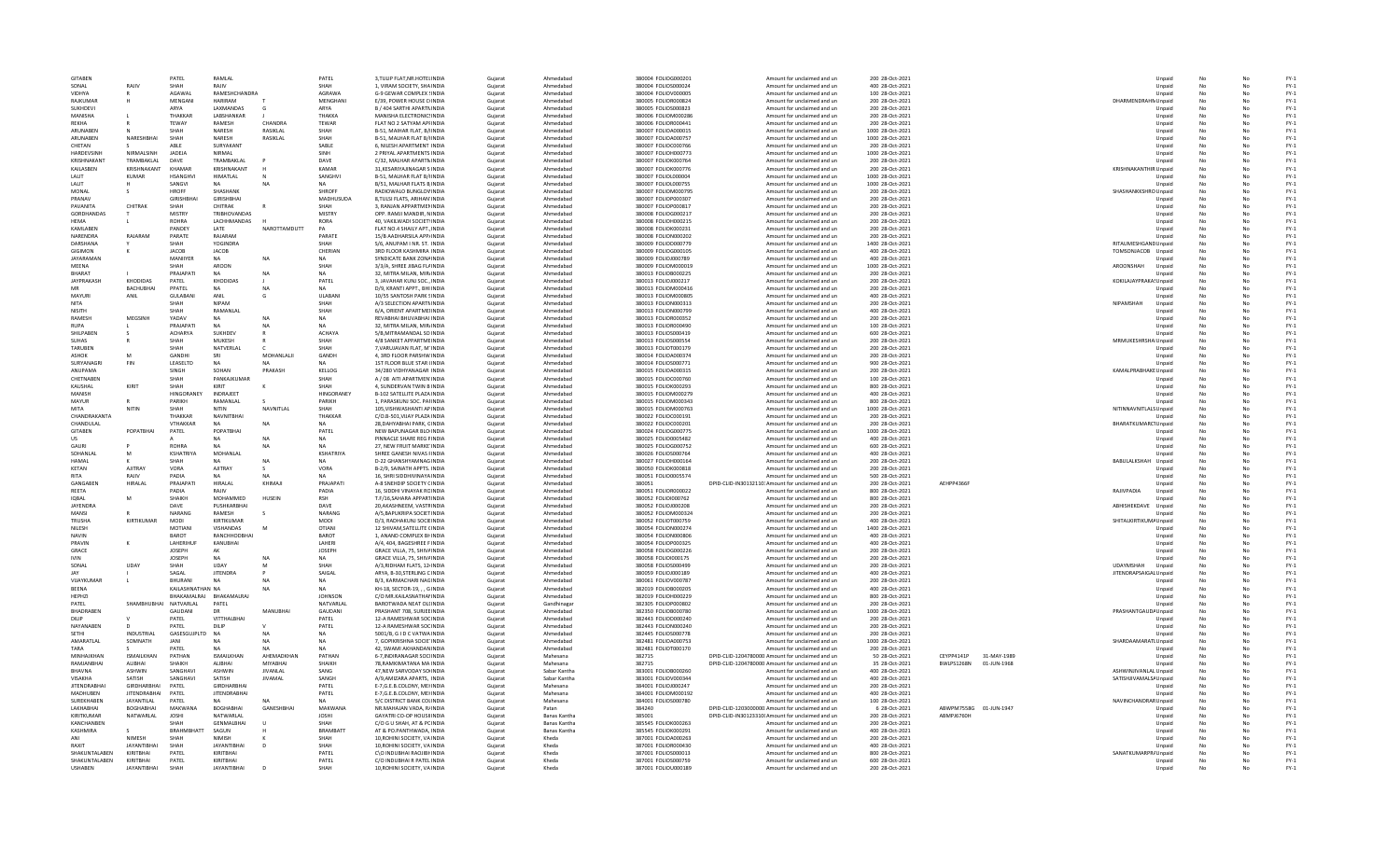| <b>GITABEN</b>                 |                      | PATEL                  | RAMLAL                                |                  | PATEL                | 3.TULIP FLAT.NR.HOTELINDIA                                | Guiarat            | Ahmedabac                           | 380004 FOLIOG000201                        | Amount for unclaimed and un                                                      | 200 28-Oct-2021                     |                           |                              | Unpaid           | No        | No       | $FY-1$           |
|--------------------------------|----------------------|------------------------|---------------------------------------|------------------|----------------------|-----------------------------------------------------------|--------------------|-------------------------------------|--------------------------------------------|----------------------------------------------------------------------------------|-------------------------------------|---------------------------|------------------------------|------------------|-----------|----------|------------------|
| SONAL                          | RAJIV                | SHAH                   | RAIIV                                 |                  | SHAH                 | 1, VIRAM SOCIETY, SHAINDIA                                | Gujarat            | Ahmedahar                           | 380004 FOLIOS000024                        | Amount for unclaimed and un                                                      | 400 28-Oct-2021                     |                           |                              | Unpaid           | No        | No       | $FY-1$           |
| <b>VIDHYA</b>                  |                      | AGAWAI                 | RAMESHCHANDRA                         |                  | AGRAWA               | G-9 GEWAR COMPLEX SINDIA                                  | Gujarat            | Ahmedabac                           | 380004 FOLIOV000005                        | Amount for unclaimed and un                                                      | 100 28-Oct-2021                     |                           |                              | Unpaid           | No        |          | $FY-1$           |
| RAJKUMAR                       |                      | MENGANI                | <b>HARIRAM</b>                        |                  | MENGHAN              | E/39, POWER HOUSE CHNDIA                                  | Gujarat            | Ahmedabac                           | 380005 FOLIOR000824                        | Amount for unclaimed and un                                                      | 200 28-Oct-2021                     |                           | DHARMENDRAHN Unpaid          |                  | No        |          | $FY-1$           |
| SUKHDEVI                       |                      | ARYA                   | LAXMANDAS                             |                  | ARYA                 | B / 404 SARTHI APARTNINDIA                                | Guiarat            | Ahmedabad                           | 380005 FOLIOS000823                        | Amount for unclaimed and un                                                      | 200 28-Oct-2021                     |                           |                              | Unpaid           | No        |          | $FY-1$           |
| MANISHA                        |                      | THAKKAR                | LABSHANKAR                            |                  | THAKKA               | MANISHA ELECTRONICSINDIA                                  | Guiarat            | Ahmedabad                           | 380006 FOLIOM000286                        | Amount for unclaimed and un                                                      | 200 28-Oct-2021                     |                           |                              | Unpaid           | No        | No       | $FY-1$           |
| RFKHA                          |                      | TFWAY                  | RAMESH                                | <b>CHANDRA</b>   | TEWAR                | FLAT NO 2 SATYAM APFINDIA                                 | Gujarat            | Ahmedahad                           | 380006 FOLIOR000441                        | Amount for unclaimed and un                                                      | 200 28-Oct-2021                     |                           |                              | Unpaid           | No        | No       | $FY-1$           |
| ARUNABEN                       |                      |                        | NARESH                                | RASIKLAL         | SHAH                 | B-51, MAIHAR FLAT, B/INDIA                                | Gujarat            | Ahmedabad                           | 380007 FOLIOA000015                        | Amount for unclaimed and un                                                      | 1000 28-Oct-2021                    |                           |                              | Unpaid           | No        |          | $FY-1$           |
| ARUNABEN                       | NARESHBHA            | SHAH                   | NARESH                                | RASIKLAL         | SHAH                 | B-51, MALHAR FLAT B/HNDI/                                 | Gujarat            | Ahmedabac                           | 380007 FOLIOA000757                        | Amount for unclaimed and un                                                      | 1000 28-Oct-2021                    |                           |                              | Unpaid           | No        |          | $FY-1$           |
| CHETAN                         |                      | ARI F                  | SURYAKANT                             |                  | SABLE                | 6. NILESH APARTMENT INDIA                                 | Guiarat            | Ahmedabad                           | 380007 FOLIOC000766                        | Amount for unclaimed and un                                                      | 200 28-Oct-2021                     |                           |                              | Unpaid           | No        |          | $FY-1$           |
| <b>HARDEVSINH</b>              | NIRMALSINH           | <b>JADEJA</b>          | NIRMAL                                |                  | SINH                 | 2 PRIYAL APARTMENTS INDIA                                 | Guiarat            | Ahmedabad                           | 380007 FOLIOH000773                        | Amount for unclaimed and un                                                      | 1000 28-Oct-2021                    |                           |                              | Unpaid           | No        | No       | $FY-1$           |
| KRISHNAKANT                    | TRAMBAKI AI          | DAVE                   | TRAMBAKLAL                            |                  | DAVE                 | C/32, MALHAR APARTMINDIA                                  | Gujarat            | Ahmedahad                           | 380007 FOLIOK000764                        | Amount for unclaimed and un                                                      | 200 28-Oct-2021                     |                           |                              | Unpaid           | No        | No       | $FY-1$           |
| KAILASBEN                      | KRISHNAKANT          | KHAMAR                 | KRISHNAKANT                           |                  | KAMAR                | 31, KESARIYAJINAGAR S INDIJ                               | Gujarat            | Ahmedabac                           | 380007 FOLIOK000776                        | Amount for unclaimed and un                                                      | 200 28-Oct-2021                     |                           | <b>KRISHNAKANTHIR Unpaid</b> |                  |           |          | $FY-1$           |
| LALIT                          | <b>KUMAR</b>         | <b>HSANGHV</b>         | <b>HIMATLAL</b>                       |                  | SANGHVI              | B-51, MALHAR FLAT B/HNDIA                                 | Gujarat            | Ahmedabac                           | 380007 FOLIOL000004                        | Amount for unclaimed and un                                                      | 1000 28-Oct-2021                    |                           |                              | Unpaid           | No        |          | $FY-1$           |
| LALIT                          |                      | SANGVI                 | <b>NA</b>                             | N                | <b>NA</b>            | B/51, MALHAR FLATS B INDIA                                | Guiarat            | Ahmedabad                           | 380007 FOLIOL000755                        | Amount for unclaimed and un                                                      | 1000 28-Oct-2021                    |                           |                              | Unpaid           | No        | No       | $FY-1$           |
| MONAL                          |                      | HROFF                  | <b>SHASHANK</b>                       |                  | SHROFF               | RADIOWALO BUNGLOVINDIA                                    | Gujarat            | Ahmedahad                           | 380007 EOLIOM000795                        | Amount for unclaimed and un                                                      | 200 28-Oct-2021                     |                           | SHASHANKKSHRO Unpaid         |                  | No        | No       | $FY-1$           |
| PRANAV                         |                      | <b>GIRISHRHA</b>       | <b>GIRISHRHAI</b>                     |                  | MADHUSUDA            | 8, TULSI FLATS, ARIHAN INDIA                              | Gujarat            | Ahmedahad                           | 380007 FOLIOP000307                        | Amount for unclaimed and un                                                      | 200 28-Oct-2021                     |                           |                              | Unpaid           | No        | No       | $FY-1$           |
| PAVANITA<br><b>GORDHANDAS</b>  | CHITRAK              | MISTRY                 | CHITRAK<br><b>TRIBHOVANDAS</b>        |                  | SHAH<br>MISTRY       | 3, RANJAN APPARTMENINDIA<br>OPP. RAMJI MANDIR, NINDIA     | Gujarat            | Ahmedabac<br>Ahmedabac              | 380007 FOLIOP000817<br>380008 FOLIOG000217 | Amount for unclaimed and un                                                      | 200 28-Oct-2021<br>200 28-Oct-2021  |                           |                              | Unpaid           | No        | No       | $FY-1$<br>$FY-1$ |
|                                |                      |                        |                                       |                  |                      |                                                           | Gujarat            |                                     |                                            | Amount for unclaimed and un                                                      |                                     |                           |                              | Unpaid           |           |          |                  |
| HEMA<br><b>KAMI AREN</b>       |                      | <b>ROHRA</b><br>PANDEY | LACHHMANDAS<br><b>LATE</b>            | NAROTTAMDUTT     | <b>RORA</b><br>PA    | 40. VAKILWADI SOCIET\INDIA<br>FLAT NO.4 SHAILY APT. INDIA | Gujarat<br>Guiarat | Ahmedabad<br>Ahmedahad              | 380008 FOLIOH000215<br>380008 EQUOK000231  | Amount for unclaimed and un<br>Amount for unclaimed and un                       | 200 28-Oct-2021<br>200 28-Oct-2021  |                           |                              | Unpaid           | No<br>No  | No<br>No | $FY-1$<br>$FY-1$ |
| NARENDRA                       | RAJARAM              | PARATE                 | RAJARAM                               |                  | PARATE               |                                                           |                    | Ahmedabac                           |                                            |                                                                                  |                                     |                           |                              | Unpaid           |           | No       |                  |
| DARSHANA                       |                      |                        | YOGINDRA                              |                  | SHAH                 | 15/B AADHARSILA APP/INDIA<br>S/6, ANUPAM I NR. ST. INDIA  | Gujarat            | Ahmedabac                           | 380008 FOLION000202<br>380009 FOLIOD000779 | Amount for unclaimed and un<br>Amount for unclaimed and un                       | 200 28-Oct-2021<br>1400 28-Oct-2021 |                           | RITAUMESHGAND Unpaid         | Unpaid           | No        |          | $FY-1$<br>$FY-1$ |
| GIGIMON                        |                      | <b>JACOB</b>           | JACOB                                 |                  | CHERIAN              | 3RD FLOOR KASHMIRA INDIA                                  | Gujarat<br>Gujarat | Ahmedabac                           | 380009 FOLIOG000105                        | Amount for unclaimed and un                                                      | 400 28-Oct-2021                     |                           | TOMSONJACOB Unpaid           |                  | No        | No       | $FY-1$           |
| JAYARAMAN                      |                      | MANIIYER               | NA                                    | N                | <b>NA</b>            | SYNDICATE BANK ZONAINDIA                                  | Gujarat            | Ahmedabad                           | 380009 FOLIOJ000789                        | Amount for unclaimed and un                                                      | 400 28-Oct-2021                     |                           |                              | Unpaid           | No        | No       | $FY-1$           |
| MFFNA                          |                      | SHAH                   | AROON                                 |                  | SHAH                 | 3/3/A. SHREE JIBAG FLAINDIA                               | Gujarat            | Ahmedahad                           | 380009 FOLIOM000019                        | Amount for unclaimed and un                                                      | 1000 28-Oct-2021                    |                           | AROONSHAH                    | Unpaid           | No        | No       | $FY-1$           |
| <b>BHARAT</b>                  |                      | PRAJAPAT               | <b>NA</b>                             | NA               | <b>NA</b>            | 32, MITRA MILAN, MIRJINDI/                                | Gujarat            | Ahmedabac                           | 380013 FOLIOB000225                        | Amount for unclaimed and un                                                      | 200 28-Oct-2021                     |                           |                              | Unpaid           | No        | No       | $FY-1$           |
| <b>JAYPRAKASH</b>              | <b>KHODIDAS</b>      | PATEL                  | <b>KHODIDAS</b>                       |                  | PATEL                | 3. JAVAHAR KUNJ SOC., INDIA                               | Gujarat            | Ahmedabac                           | 380013 FOLIOJ000217                        | Amount for unclaimed and un                                                      | 200 28-Oct-2021                     |                           | KOKILAJAYPRAKA! Unpaid       |                  |           |          | $FY-1$           |
| MR                             | <b>BACHUBHAI</b>     | PPATEL                 |                                       | <b>NA</b>        | <b>NA</b>            | D/9, KRANTI APPT., BHI INDIJ                              | Gujarat            | Ahmedabac                           | 380013 FOLIOM000416                        | Amount for unclaimed and un                                                      | 200 28-Oct-2021                     |                           |                              | Unpaid           | No        | No       | $FY-1$           |
| MAYURI                         | ANIL                 | <b>GUI ARANI</b>       | ANII                                  | G                | <b>ULARANI</b>       | 10/55 SANTOSH PARK SINDIA                                 | Guiarat            | Ahmedahad                           | 380013 EQUOM000805                         | Amount for unclaimed and un                                                      | 400 28-Oct-2021                     |                           |                              | Unpaid           | No        | No       | $FY-1$           |
| <b>NITA</b>                    |                      | SHAH                   | <b>NIPAM</b>                          |                  | SHAH                 | A/3 SELECTION APARTMINDIA                                 | Gujarat            | Ahmedahad                           | 380013 FOLION000313                        | Amount for unclaimed and un                                                      | 200 28-Oct-2021                     |                           | NIPAMSHAH                    | Unpaid           | No        | No       | $FY-1$           |
| NISITH                         |                      | SHAH                   | RAMANLAI                              |                  | SHAH                 | 6/A, ORIENT APARTMEIINDI/                                 | Gujarat            | Ahmedabac                           | 380013 FOLION000799                        | Amount for unclaimed and un                                                      | 400 28-Oct-2021                     |                           |                              | Unpaid           | No        |          | $FY-1$           |
| RAMESH                         | MEGSINH              | <b>YADAV</b>           |                                       |                  | <b>NA</b>            | REVABHAI BHUVABHAI INDIA                                  | Gujarat            | Ahmedabac                           | 380013 FOLIOR000352                        | Amount for unclaimed and un                                                      | 200 28-Oct-2021                     |                           |                              | Unpaid           | No        |          | $FY-1$           |
| <b>RUPA</b>                    |                      | PRAJAPATI              | <b>NA</b>                             | <b>NA</b>        | <b>NA</b>            | 32, MITRA MILAN, MIR/INDIA                                | Gujarat            | Ahmedabad                           | 380013 FOLIOR000490                        | Amount for unclaimed and un                                                      | 100 28-Oct-2021                     |                           |                              | Unpaid           | No        | No       | $FY-1$           |
| SHII PAREN                     |                      | <b>ACHARYA</b>         | <b>SUKHDEV</b>                        | $\mathbb{R}$     | <b>ACHAYA</b>        | 5/B MITRAMANDAL SO INDIA                                  | Gujarat            | Ahmedahad                           | 380013 EQUOS000419                         | Amount for unclaimed and un                                                      | 600 28-Oct-2021                     |                           |                              | Unpaid           | No        | No       | $FY-1$           |
| SUHAS                          |                      | SHAH                   | <b>MUKESH</b>                         |                  | SHAH                 | 4/8 SANKET APPARTMEINDIA                                  | Gujarat            | Ahmedahad                           | 380013 FOLIOS000554                        | Amount for unclaimed and un                                                      | 200 28-Oct-2021                     |                           | MRMUKESHRSHA Unpaid          |                  | No        | No       | $FY-1$           |
| TARUBEN                        |                      | SHAH                   | NATVERLA                              |                  | SHAH                 | 7.VARUJAVAN FLAT, M'INDIA                                 | Gujarat            | Ahmedaba                            | 380013 FOLIOT000179                        | Amount for unclaimed and un                                                      | 200 28-Oct-2021                     |                           |                              | Unpaid           | <b>No</b> |          | $FY-1$           |
| <b>ASHOK</b>                   |                      | GANDH                  |                                       | MOHANLALI        | GANDH                | 4, 3RD FLOOR PARSHW INDIA                                 | Gujarat            | Ahmedabac                           | 380014 FOLIOA000374                        | Amount for unclaimed and un                                                      | 200 28-Oct-2021                     |                           |                              | Unpaid           | No        |          | $FY-1$           |
| SURYANAGR                      | FIN                  | LEASELTD               | <b>NA</b>                             | NA               | <b>NA</b>            | 1ST FLOOR BLUE STAR (INDIA                                | Guiarat            | Ahmedabad                           | 380014 FOLIOS000771                        | Amount for unclaimed and un                                                      | 900 28-Oct-2021                     |                           |                              | Unpaid           | No        | No       | $FY-1$           |
| ANUPAMA                        |                      | <b>SINGH</b>           | SOHAN                                 | PRAKASH          | KELLOG               | 34/280 VIDHYANAGAR INDIA                                  | Gujarat            | Ahmedahad                           | 380015 FOLIOA000315                        | Amount for unclaimed and un                                                      | 200 28-Oct-2021                     |                           | KAMALPRABHAKE Unpaid         |                  | No        | No       | $FY-1$           |
| CHETNAREN                      |                      | SHAH                   | PANKAIKUMAR                           |                  | SHAH                 | A / 08 AITI APARTMEN INDIA                                | Gujarat            | Ahmedahad                           | 380015 FOLIOC000760                        | Amount for unclaimed and un                                                      | 100 28-Oct-2021                     |                           |                              | Unpaid           | No        | No       | $FY-1$           |
| KAUSHAL                        | KIRIT                | SHAH                   | KIRIT                                 |                  | SHAH                 | 4. SUNDERVAN TWIN B INDIA                                 | Gujarat            | Ahmedabac                           | 380015 FOLIOK000293                        | Amount for unclaimed and un                                                      | 800 28-Oct-2021                     |                           |                              | Unpaid           | <b>No</b> |          | $FY-1$           |
| MANISH                         |                      | HINGORANEY             | INDRAJEET                             |                  | HINGORANEY           | B-102 SATELLITE PLAZA INDIA                               | Gujarat            | Ahmedabad                           | 380015 FOLIOM000279                        | Amount for unclaimed and un                                                      | 400 28-Oct-2021                     |                           |                              | Unpaid           | No        |          | $FY-1$           |
| MAYUR                          |                      | PARIKH                 | RAMANLAL                              |                  | PARIKH               | 1. PARASKUNJ SOC. PAHNDIA                                 | Guiarat            | Ahmedabad                           | 380015 FOLIOM000343                        | Amount for unclaimed and un                                                      | 800 28-Oct-2021                     |                           |                              | Unpaid           | No        | No       | $FY-1$           |
| MITA                           | NITIN                | SHAH                   | NITIN                                 | NAVNITI AI       | SHAH                 | 105. VISHWASHANTI AP INDIA                                | Gujarat            | Ahmedahad                           | 380015 FOLIOM000763                        | Amount for unclaimed and un                                                      | 1000 28-Oct-2021                    |                           | NITINNAVNITLALS Unpaid       |                  | No        | No       | $FY-1$           |
| CHANDRAKANTA                   |                      | THAKKAR                | NAVNITRHAI                            |                  | THAKKAR              | C/O.B-501.VIJAY PLAZA INDIA                               | Gujarat            | Ahmedahad                           | 380022 FOLIOC000191                        | Amount for unclaimed and un                                                      | 200 28-Oct-2021                     |                           |                              | Unpaid           | No        |          | $FY-1$           |
| CHANDULAL                      |                      | VTHAKKAR               |                                       |                  | <b>NA</b>            | 28. DAHYABHAI PARK, CINDIA                                | Gujarat            | Ahmedabac                           | 380022 FOLIOC000201                        | Amount for unclaimed and un                                                      | 200 28-Oct-2021                     |                           | BHARATKUMARC1Unpaid          |                  | No        | No       | $FY-1$           |
| GITABEN                        | POPATRHA             | PATEL                  | POPATBHA                              |                  | PATEL                | NEW BAPUNAGAR BLO INDIA                                   | Gujarat            | Ahmedabad                           | 380024 FOLIOG000775                        | Amount for unclaimed and un                                                      | 1000 28-Oct-2021                    |                           |                              | Unpaid           | No        |          | $FY-1$           |
| <b>US</b>                      |                      |                        | <b>NA</b>                             | <b>NA</b>        | <b>NA</b>            | PINNACLE SHARE REG FINDIA                                 | Guiarat            | Ahmedabad                           | 380025 FOLIO0005482                        | Amount for unclaimed and un                                                      | 400 28-Oct-2021                     |                           |                              | Unpaid           | No        | No       | $FY-1$           |
| <b>GALIRI</b>                  |                      | <b>ROHRA</b>           | NΔ                                    | NA               | <b>NA</b>            | 27, NEW FRUIT MARKE INDIA                                 | Gujarat            | Ahmedahad                           | 380025 FOLIOG000752                        | Amount for unclaimed and un                                                      | 600 28-Oct-2021                     |                           |                              | Unpaid           | No        | No       | $FY-1$           |
| SOHANLA                        | M                    | KSHATRIYA              | MOHANLAL                              |                  | <b>KSHATRIYA</b>     | SHREE GANESH NIVAS FINDIA                                 | Gujarat            | Ahmedabad                           | 380026 FOLIOS000764                        | Amount for unclaimed and un                                                      | 400 28-Oct-2021                     |                           |                              | Unpaid           | No        |          | $FY-1$           |
| <b>HAMAL</b>                   |                      | SHAH                   |                                       | <b>NA</b>        | <b>NA</b>            | D-22 GHANSHYAMNAG INDIA                                   | Gujarat            | Ahmedabac                           | 380027 FOLIOH000164                        | Amount for unclaimed and un                                                      | 200 28-Oct-2021                     |                           | BABULALKSHAH Unpaid          |                  | No        | No       | $FY-1$           |
| KETAN                          | <b>AJITRAY</b>       | <b>VORA</b>            | AJITRAY                               | - 5              | VORA                 | B-2/9, SAINATH APPTS, INDIA                               | Guiarat            | Ahmedabad                           | 380050 FOLIOK000818                        | Amount for unclaimed and un                                                      | 200 28-Oct-2021                     |                           |                              | Unpaid           | No        |          | $FY-1$           |
| RITA                           | RAJIV                | PADIA                  | <b>NA</b>                             | <b>NA</b>        | <b>NA</b>            | 16. SHRI SIDDHIVINAYA INDIA                               | Guiarat            | Ahmedabad                           | 380051 FOLIO0005574                        | Amount for unclaimed and un                                                      | 500 28-Oct-2021                     |                           |                              | Unpaid           | No        | No       | $FY-1$           |
| GANGAREN                       | HIRALAL              | PRAIAPATI              | HIRALAL                               | KHIMAI           | PRAIAPATI            | A-8 SNEHDIP SOCIETY CINDIA                                | Gujarat            | Ahmedahad                           | 380051                                     | DPID-CLID-IN30132110: Amount for unclaimed and un                                | 200 28-Oct-2021                     | AFHPP4366F                |                              | Unpaid           | No        | No       | $FY-1$           |
| REETA                          |                      | PADIA                  | RAJIV                                 |                  | PADIA                | 16, SIDDHI VINAYAK RCINDI/                                | Gujarat            | Ahmedabad                           | 380051 FOLIOR000022                        | Amount for unclaimed and un                                                      | 800 28-Oct-2021                     |                           | RAJIVPADIA                   | Unpaid           | No        |          | $FY-1$           |
| <b>IOBAL</b>                   |                      | SHAIKH                 | MOHAMMED                              | HUSEIN           | <b>RSH</b>           | T.F/16, SAHARA APPARTINDI                                 | Gujarat            | Ahmedabad                           | 380052 FOLIOI000762                        | Amount for unclaimed and un                                                      | 800 28-Oct-2021                     |                           |                              | Unpaid           | No        | No       | $FY-1$           |
| <b>JAYENDRA</b>                |                      | DAVE                   | PUSHKARBHAI                           |                  | DAVE                 | 20.AKASHNEEM, VASTRINDIA                                  | Guiarat            | Ahmedabad                           | 380052 FOLIOJ000208                        | Amount for unclaimed and un                                                      | 200 28-Oct-2021                     |                           | ABHISHEKDAVE                 | Unpaid           | No        |          | $FY-1$           |
| MANSI                          |                      | NARANG                 | RAMESH                                | - S              | NARANG               | A/5.BAPUKRIPA SOCIET INDIA                                | Guiarat            | Ahmedabad                           | 380052 FOLIOM000324                        | Amount for unclaimed and un                                                      | 200 28-Oct-2021                     |                           |                              | Unpaid           | No        | No       | $FY-1$           |
| TRUSHA                         | KIRTIKUMAR           | MODI                   | KIRTIKUMAR                            |                  | MODI                 | D/3, RADHAKUNJ SOCIEINDIA                                 | Gujarat            | Ahmedahad                           | 380052 FOLIOT000759                        | Amount for unclaimed and un                                                      | 400 28-Oct-2021                     |                           | SHITALKIRTIKUMA Unpaid       |                  | No        | No       | $FN-1$           |
| NILESH                         |                      | MOTIANI                | VISHANDAS                             | M                | OTIANI               | 12 SHIVAM, SATELLITE CINDIA                               | Gujarat            | Ahmedabac                           | 380054 FOLION000274                        | Amount for unclaimed and un                                                      | 1400 28-Oct-2021                    |                           |                              | Unpaid           | No        |          | $FY-1$           |
| NAVIN                          |                      | <b>BAROT</b>           | RANCHHODBHAI                          |                  | <b>BAROT</b>         | 1. ANAND COMPLEX BHINDIA                                  | Guiarat            | Ahmedabad                           | 380054 FOLION000806                        | Amount for unclaimed and un                                                      | 400 28-Oct-2021                     |                           |                              | Unpaid           | No        | No       | $FY-1$           |
| PRAVIN                         |                      | LAHERIHUR              | KANUBHAI                              |                  | LAHERI               | A/4, 404, BAGESHREE FINDIA                                | Guiarat            | Ahmedabad                           | 380054 FOLIOP000325                        | Amount for unclaimed and un                                                      | 400 28-Oct-2021                     |                           |                              | Unpaid           | No        | No       | $FY-1$           |
| GRACE                          |                      | <b>IOSEPH</b>          | AK                                    |                  | <b>IOSEPH</b>        | GRACE VILLA, 75, SHIVAINDIA                               | Gujarat            | Ahmedahad                           | 380058 EQUOG000226                         | Amount for unclaimed and un                                                      | 200 28-Oct-2021                     |                           |                              | Unpaid           | No        | No       | $FY-1$           |
| <b>IVIN</b>                    |                      | <b>JOSEPH</b>          | <b>NA</b>                             | NA               | <b>NA</b>            | GRACE VILLA, 75, SHIVAINDIA                               | Gujarat            | Ahmedabac                           | 380058 FOLIOI000175                        | Amount for unclaimed and un                                                      | 200 28-Oct-2021                     |                           |                              | Unpaid           | No        |          | $FY-1$           |
| SONA                           | UDA <sup>1</sup>     |                        | UDAY                                  |                  | SHAH                 | A/3, RIDHAM FLATS, 12 INDIA                               | Gujarat            | Ahmedabac                           | 380058 FOLIOS000499                        | Amount for unclaimed and un                                                      | 200 28-Oct-2021                     |                           | <b>UDAYMSHAH</b>             | Unpaid           | No        |          | $FY-1$           |
| <b>JAY</b>                     |                      | SAGAL                  | <b>JITENDRA</b>                       | P                | SAIGAL               | ARYA, B-30.STERLING CINDIA                                | Guiarat            | Ahmedabad                           | 380059 FOLIOJ000189                        | Amount for unclaimed and un                                                      | 400 28-Oct-2021                     |                           | JITENDRAPSAIGAL Unpaid       |                  | <b>No</b> | No       | $FY-1$           |
| VUAYKUMAR                      |                      | BHURANI                | <b>NA</b>                             | N/               | <b>NA</b>            | B/3, KARMACHARI NAGINDIA                                  | Guiarat            | Ahmedabad                           | 380061 FOLIOV000787                        | Amount for unclaimed and un                                                      | 200 28-Oct-2021                     |                           |                              | Unpaid           | No        | No       | $FY-1$           |
| <b>RFFNA</b>                   |                      | KAILASHNATHAN NA       |                                       |                  | <b>NA</b>            | KH-18, SECTOR-19,  G INDIA                                | Guiarat            | Ahmedahad                           | 382019 FOLIOB000205                        | Amount for unclaimed and un                                                      | 400 28-Oct-2021                     |                           |                              | Unpaid           | No        | No       | $FY-1$           |
| HEPHZI                         |                      | BHAKAMALRAJ            | BHAKAMALRA                            |                  | <b>JOHNSON</b>       | C/O MR.KAILASNATHAI INDIA                                 | Gujarat            | Ahmedabad                           | 382019 FOLIOH000229                        | Amount for unclaimed and un                                                      | 800 28-Oct-2021                     |                           |                              | Unpaid           | No        |          | $FY-1$           |
| PATEL                          | SHAMBHUBHAI          | NATVARLAL              | PATEL                                 |                  | NATVARLAL            | BAROTWADA NEAT OLLINDIA                                   | Gujarat            | Gandhinagar                         | 382305 FOLIOP000802                        | Amount for unclaimed and un                                                      | 200 28-Oct-2021                     |                           |                              | Unpaid           | No        |          | $FY-1$           |
| BHADRABEN                      |                      | GAUDANI                | <b>DR</b>                             | MANUBHAI         | GAUDANI              | PRASHANT 708, SURJEE INDIA                                | Guiarat            | Ahmedabad                           | 382350 FOLIOB000780                        | Amount for unclaimed and un                                                      | 1000 28-Oct-2021                    |                           | PRASHANTGAUD/ Unpaid         |                  | No        | No       | $FY-1$           |
| DILIP                          |                      | PATEL                  | VITTHALBHA                            |                  | PATEL                | 12-A RAMESHWAR SOCINDIA                                   | Gujarat            | Ahmedabad                           | 382443 FOLIOD000240                        | Amount for unclaimed and un                                                      | 200 28-Oct-2021                     |                           |                              | Unpaid           | No        | No       | $FY-1$           |
| NAYANAREN                      |                      | PATFI                  | DILIP                                 |                  | PATFI                | 12-A RAMESHWAR SOCINDIA                                   | Gujarat            | Ahmedahad                           | 382443 FOLION000240                        | Amount for unclaimed and un                                                      | 200 28-Oct-2021                     |                           |                              | Unpaid           | No        | No       | $FY-1$           |
| SETHI<br>AMARATLAL             | INDUSTRIA<br>SOMNATH | GASESGUJPLTD           | NA                                    | NA               | NA<br><b>NA</b>      | 5001/B, G I D C VATWA INDIA                               | Gujarat            | Ahmedabac<br>Ahmedabad              | 382445 FOLIOS000778<br>382481 FOLIOA000753 | Amount for unclaimed and un                                                      | 200 28-Oct-2021<br>1000 28-Oct-2021 |                           |                              | Unpaid           | No        |          | $FY-1$<br>$FY-1$ |
| TARA                           |                      | JANI                   | <b>NA</b>                             |                  | <b>NA</b>            | 7, GOPIKRISHNA SOCIE'INDIA                                | Gujarat            |                                     | 382481 FOLIOT000170                        | Amount for unclaimed and un                                                      |                                     |                           | SHARDAAMARATLUnpaid          |                  | No        |          | $FY-1$           |
| MINHAIKHAN                     | <b>ISMAILKHAN</b>    | PATEL<br>PATHAN        | <b>ISMAILKHAN</b>                     | NA<br>AHFMADKHAN | PATHAN               | 42. SWAMI AKHANDAN INDIA<br>6-7 INDIRANAGAR SOCUNDIA      | Guiarat<br>Guiarat | Ahmedabad<br>Mahesana               | 382715                                     | Amount for unclaimed and un<br>DPID-CLID-1204780000 Amount for unclaimed and un  | 200 28-Oct-2021<br>50 28-Oct-2021   | CFYPP4141P<br>31-MAY-1989 |                              | Unpaid<br>Unpaid | No<br>No  | No<br>No | $FY-1$           |
| RAMIANRHAI                     | <b>ALIBHAL</b>       | SHAIKH                 | <b>ALIBHAL</b>                        | MIYARHAI         | SHAIKH               | 78.RAMKIMATANA MA INDIA                                   | Gujarat            | Mahesana                            | 382715                                     | DPID-CLID-1204780000 Amount for unclaimed and un                                 | 35 28-Oct-2021                      | BWLPS1268N 01-JUN-1968    |                              | Unpaid           | No        | No       | $FY-1$           |
| BHAVNA                         | <b>ASHWIN</b>        | SANGHAV                | ASHWIN                                | <b>JIVANLAL</b>  | SANG                 | 47, NEW SARVODAY SO INDIA                                 | Gujarat            | Sabar Kantha                        | 383001 FOLIOB000260                        | Amount for unclaimed and un                                                      | 400 28-Oct-2021                     |                           | ASHWINJIVANLAL Unpaid        |                  | No        |          | $FY-1$           |
| VISAKHA                        |                      | SANGHAVI               | SATISH                                | <b>JIVAMAL</b>   | SANGH                | A/9.AMIZARA APARTS. INDIA                                 | Gujarat            | Sabar Kantha                        | 383001 FOLIOV000344                        | Amount for unclaimed and un                                                      | 400 28-Oct-2021                     |                           | SATISHJIVAMALS/ Unpaid       |                  | No        |          | $FY-1$           |
| <b>JITENDRABHAI</b>            |                      |                        |                                       |                  |                      |                                                           |                    | Mahesana                            | 384001 FOLIOJ000247                        | Amount for unclaimed and un                                                      | 200 28-Oct-2021                     |                           |                              | Unpaid           | No        | No       | $FY-1$           |
|                                | SATISH               |                        |                                       |                  |                      |                                                           |                    |                                     |                                            |                                                                                  |                                     |                           |                              |                  |           |          |                  |
|                                | <b>GIRDHARBHAI</b>   | PATEL                  | GIRDHARBHAI                           |                  | PATEL                | E-7.G.E.B.COLONY, MEHNDIA                                 | Guiarat            |                                     |                                            |                                                                                  |                                     |                           |                              |                  |           |          |                  |
| MADHUREN                       | <b>IITENDRABHAI</b>  | PATFI                  | <b>IITENDRARHAI</b><br>MA <sub></sub> |                  | PATFI                | E-7.G.E.B.COLONY, MEHNDIA                                 | Gujarat            | Mahesana                            | 384001 FOLIOM000192                        | Amount for unclaimed and un                                                      | 400 28-Oct-2021                     |                           |                              | Unpaid           | No        | No       | $FY-1$           |
| SURFKHAREN                     | <b>JAYANTILAL</b>    | PATFI                  |                                       | <b>NA</b>        | <b>NA</b>            | 5/C DISTRICT BANK COLINDIA                                | Gujarat            | Mahesana                            | 384001 FOLIOS000780                        | Amount for unclaimed and un                                                      | 100 28-Oct-2021                     |                           | NAVINCHANDRAR Unpaid         |                  | No        |          | $FY-1$           |
| LAKHABHAI                      | <b>BOGHABHA</b>      | MAKWANA                | <b>BOGHABHAI</b>                      | GANESHBHA        | MAKWANA              | NR.MAHAJAN VADA, R/INDI/                                  | Guiarat            | Patan                               | 384240                                     | DPID-CLID-1203000000 Amount for unclaimed and un                                 | 6 28-Oct-2021                       | ABWPM7558G 01-JUN-1947    |                              | Unpaid           | <b>No</b> |          | $FY-1$           |
| KIRITKUMAR<br>KANCHANREN       | NATWARLAL            | <b>JOSHI</b><br>SHAH   | NATWARLAL<br><b>GENMALBHAL</b>        |                  | <b>JOSHI</b><br>SHAH | GAYATRI CO-OP HOUSIIINDIA<br>C/O G U SHAH, AT & PC INDIA  | Gujarat            | Banas Kantha<br><b>Banas Kantha</b> | 385001<br>385545 FOLIOK000263              | DPID-CLID-IN30123310I Amount for unclaimed and un<br>Amount for unclaimed and un | 200 28-Oct-2021<br>200 28-Oct-2021  | ABMPJ6760H                |                              | Unpaid           | No<br>No  | No       | $FY-1$<br>$FY-1$ |
| KASHMIRA                       |                      | <b>BRAHMBHATT</b>      | SAGUN                                 |                  | <b>BRAMBATT</b>      |                                                           | Gujarat            |                                     |                                            |                                                                                  |                                     |                           |                              | Unpaid           |           |          |                  |
| ANI                            | <b>NIMESH</b>        | SHAH                   | <b>NIMISH</b>                         |                  | <b>SHAH</b>          | AT & PO.PANTHWADA, INDIA<br>10, ROHINI SOCIETY, VA INDIA  | Gujarat            | Banas Kantha<br>Kheda               | 385545 FOLIOK000291<br>387001 FOLIOA000263 | Amount for unclaimed and un                                                      | 400 28-Oct-2021                     |                           |                              | Unpaid           | No<br>No  |          | $FY-1$<br>$FY-1$ |
| RAXIT                          | <b>JAYANTIBHA</b>    | SHAH                   | <b>JAYANTIBHA</b>                     |                  | SHAH                 | 10. ROHINI SOCIETY, VA INDIA                              | Gujarat            | Kheda                               | 387001 FOLIOR000430                        | Amount for unclaimed and un<br>Amount for unclaimed and un                       | 200 28-Oct-2021<br>400 28-Oct-2021  |                           |                              | Unpaid<br>Unpaid | <b>No</b> |          | $FY-1$           |
|                                | KIRITBHAI            | PATEL                  | KIRITBHAI                             |                  | PATEL                | C\O INDUBHAI RAOJIBI INDIA                                | Gujarat<br>Gujarat |                                     | 387001 FOLIOS000013                        | Amount for unclaimed and un                                                      | 800 28-Oct-2021                     |                           |                              |                  | No        |          |                  |
| SHAKUNTALABEN<br>SHAKUNTALAREN | KIRITRHAI            | PATFI                  | KIRITRHAI                             |                  | PATFI                | C/O INDURHALR PATEL INDIA                                 | Guiarat            | Kheda<br>Kheda                      | 387001 EQUOS000759                         | Amount for unclaimed and un                                                      | 600 28-Oct-2021                     |                           | SANATKUMARPR/ Unpaid         | Unpaid           | No        | No       | $FY-1$<br>$FY-1$ |
| <b>USHAREN</b>                 | <b>JAYANTIRHAI</b>   | SHAH                   | <b>JAYANTIBHAI</b>                    | n.               | SHAH                 | 10, ROHINI SOCIETY, VA INDIA                              | Guiarat            | Kheda                               | 387001 FOLIOU000189                        | Amount for unclaimed and un                                                      | 200 28-Oct-2021                     |                           |                              | Unpaid           | No        |          | $FY-1$           |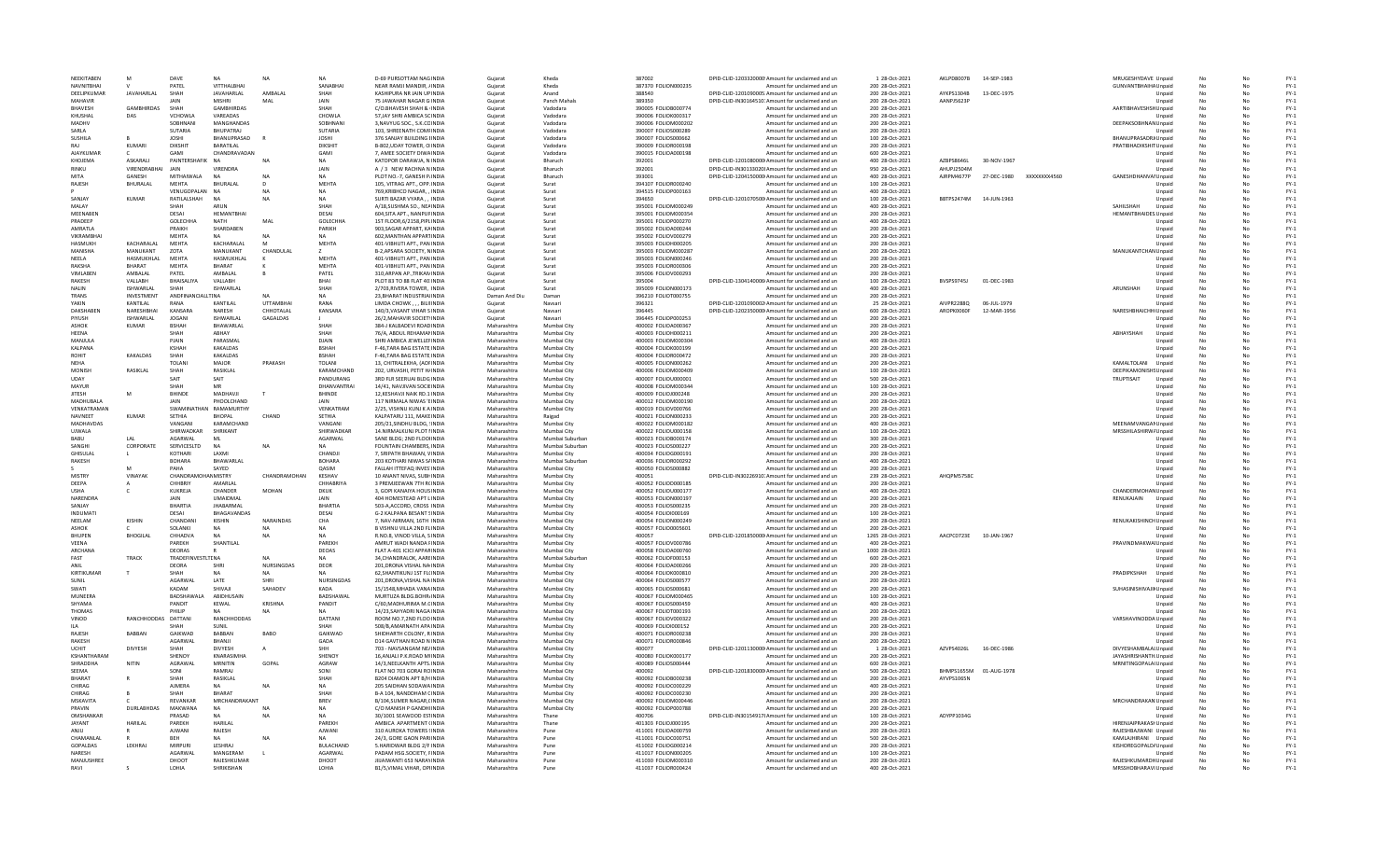| NEEKITABEN              |                     | DAVE                   | <b>NA</b>                    | <b>NA</b>               |                         | <b>D-69 PURSOTTAM NAG INDIA</b>                                 | Gujarat                    | Kheda                      | 387002                                     | DPID-CLID-1203320000 Amount for unclaimed and un                                | 1 28-Oct-2021                       | AKLPD8007B             | 14-SEP-1983  |              | MRUGESHYDAVE Unpaid                                   |                  |           |          | $FY-1$           |
|-------------------------|---------------------|------------------------|------------------------------|-------------------------|-------------------------|-----------------------------------------------------------------|----------------------------|----------------------------|--------------------------------------------|---------------------------------------------------------------------------------|-------------------------------------|------------------------|--------------|--------------|-------------------------------------------------------|------------------|-----------|----------|------------------|
| <b>NAVNITBHAI</b>       |                     | PATEL                  | VITTHALBHAI                  |                         | SANABHA                 | NEAR RAMJI MANDIR, /INDIA                                       | Gujarat                    | Kheda                      | 387370 FOLION000235                        | Amount for unclaimed and un                                                     | 200 28-Oct-2021                     |                        |              |              | GUNVANTBHAIHA Unpaid                                  |                  | No        | No       | $FY-1$           |
| DEFIJPKUMAR             | <b>IAVAHARI AI</b>  | SHAH                   | <b>JAVAHARLAL</b>            | AMRAI AI                | SHAH                    | KASHIPURA NR JAIN UPINDIA                                       | Guiarat                    | Anand                      | 388540                                     | DPID-CLID-1201090005. Amount for unclaimed and un                               | 200 28-Oct-2021                     | AYKPS1304B             | 13-DEC-1975  |              |                                                       | Unpaid           | No        | No       | $FY-1$           |
| MAHAVIR                 |                     | <b>JAIN</b>            | <b>MISHRI</b>                | MAI                     | <b>JAIN</b>             | 75 JAWAHAR NAGAR G INDIA                                        | Gujarat                    | Panch Mahals               | 389350                                     | DPID-CLID-IN30164510: Amount for unclaimed and un                               | 200 28-Oct-2021                     | AANPJ5623P             |              |              |                                                       | Unpaid           | No        | No       | $FY-1$           |
| <b>BHAVESH</b>          | <b>GAMBHIRDAS</b>   | SHAH                   | <b>GAMBHIRDAS</b>            |                         | SHAH                    | C/O.BHAVESH SHAH & INDIA                                        | Gujarat                    | Vadodara                   | 390005 FOLIOB000774                        | Amount for unclaimed and un                                                     | 200 28-Oct-2021                     |                        |              |              | AARTIBHAVESHSHUnpaid                                  |                  | No        |          | $FY-1$           |
| KHUSHAL                 | DAS                 | VCHOWLA                | VAREADAS                     |                         | CHOWLA                  | 57, JAY SHRI AMBICA SCINDIA                                     | Gujarat                    | Vadodara                   | 390006 FOLIOK000317                        | Amount for unclaimed and un                                                     | 200 28-Oct-2021                     |                        |              |              |                                                       | Unpaid           | No        | No       | $FY-1$           |
| MADHV                   |                     | SOBHNANI               | MANGHANDAS                   |                         | SOBHNAN                 | 3 NAVYUG SOC., S.K.COINDIA                                      | Gujarat                    | Vadodara                   | 390006 EQUOM000202                         | Amount for unclaimed and un                                                     | 200 28-Oct-2021                     |                        |              |              | DEEPAKSOBHNAN Unpaid                                  |                  | No        | No       | $FY-1$           |
| SARIA                   |                     | SUTARIA                | <b>BHUPATRAL</b>             |                         | SUTARIA                 | 103. SHREENATH COMFINDIA                                        | Gujarat                    | Vadodara                   | 390007 FOLIOS000289                        | Amount for unclaimed and un                                                     | 200 28-Oct-202:                     |                        |              |              |                                                       | Unpaid           | No        | No       | $FY-1$           |
| SUSHILA                 |                     | <b>JOSHI</b>           | BHANUPRASAD                  |                         | <b>JOSHI</b>            | 376 SANJAY BUILDING HNDIA                                       | Gujarat                    | Vadodara                   | 390007 FOLIOS000662                        | Amount for unclaimed and un                                                     | 100 28-Oct-2021                     |                        |              |              | BHANUPRASADRJ Unpaid                                  |                  | No        | No       | $FY-1$           |
|                         | KUMARI              | DIKSHIT                | <b>BARATILAL</b>             |                         | DIKSHIT                 | B-802, UDAY TOWER, O INDIA                                      | Gujarat                    | Vadodara                   | 390009 FOLIOR000198                        | Amount for unclaimed and un                                                     | 200 28-Oct-2021                     |                        |              |              | PRATIBHADIKSHIT Unpaid                                |                  | No        |          | $FY-1$           |
| AJAYKUMAR               |                     | GAMI                   | CHANDRAVADAN                 |                         | GAMI                    | 7, AMEE SOCIETY DIWAINDIA                                       | Gujarat                    | Vadodara                   | 390015 FOLIOA000198                        | Amount for unclaimed and un                                                     | 600 28-Oct-2021                     |                        |              |              |                                                       | Unpaid           | No        | No       | $FY-1$           |
| KHOIFMA                 | <b>ASKARALL</b>     | PAINTERSHAFIK NA       |                              | N <sub>A</sub>          | <b>NA</b>               | KATOPOR DARAWJA, N INDIA                                        | Gujarat                    | Bharuch                    | 392001                                     | DPID-CLID-1201080000 Amount for unclaimed and un                                | 400 28-Oct-2021                     | AZRPS8646L             | 30-NOV-1967  |              |                                                       | Unpaid           | No        | No       | $FY-1$           |
| RINKIL                  | VIRENDRABHAI        | <b>IAIN</b>            | VIRENDRA                     |                         | JAIN                    | A / 3 NEW RACHNA N INDIA                                        | Gujarat                    | Bharuch                    | 392001                                     | DPID-CLID-IN30133020! Amount for unclaimed and un                               | 950 28-Oct-2021                     | AHLIPI2504M            |              |              |                                                       | Unpaid           | No        |          | $FY-1$           |
| MITA                    | GANESH              | MITHAIWALA             | N A                          | N <sub>A</sub>          | <b>NA</b>               | PLOT NO.-7, GANESH P/INDIA                                      | Gujarat                    | Bharuch                    | 393001                                     | DPID-CLID-1204150000 Amount for unclaimed and un                                | 400 28-Oct-202:                     | AJRPM4677P             | 27-DEC-1980  | XXXXXXXX4560 | GANESHDHANVAI Unpaid                                  |                  | No        |          | $FY-1$           |
| RAJESH                  | <b>BHURALAL</b>     | <b>MEHTA</b>           | <b>BHURALAL</b>              |                         | MEHTA                   | 105, VITRAG APT., OPP. INDIA                                    | Gujarat                    | Surat                      | 394107 FOLIOR000240                        | Amount for unclaimed and un                                                     | 100 28-Oct-2021                     |                        |              |              |                                                       | Unpaid           | No        |          | $FY-1$           |
|                         |                     | VENUGOPALAN NA         |                              | N <sub>A</sub>          | <b>NA</b>               | 769.KRIBHCO NAGAR. . INDIA                                      | Guiarat                    | Surat                      | 394515 FOLIOP000163                        | Amount for unclaimed and un                                                     | 400 28-Oct-2021                     |                        |              |              |                                                       | Unpaid           | No        | No       | $FY-1$           |
| SANIAY                  | <b>KUMAR</b>        | RATILALSHAH            | <b>NA</b>                    | N <sub>A</sub>          | <b>NA</b>               | SURTI BAZAR VYARA INDIA                                         | Gujarat                    | Surat                      | 394650                                     | DPID-CLID-1201070500 Amount for unclaimed and un                                | 100 28-Oct-202:                     | BBTPS2474M 14-JUN-1963 |              |              |                                                       | Unpaid           | No        | No       | $FY-1$           |
| MAI AV                  |                     | SHAH                   | <b>ARLIN</b>                 |                         | SHAH                    | A/18, SUSHMA SO., NEAINDIA                                      | Gujarat                    | Surat                      | 395001 FOLIOM000249                        | Amount for unclaimed and un                                                     | 400 28-Oct-2021                     |                        |              |              | SAHII SHAH                                            | Unpaid           | No        |          | $FY-1$           |
| MEENABEN                |                     | DESAI                  | HEMANTBHA                    |                         | DESAI                   | 604, SITA APT., NANPUFINDI                                      | Gujarat                    | Surat                      | 395001 FOLIOM000354                        | Amount for unclaimed and un                                                     | 200 28-Oct-202:                     |                        |              |              | <b>HEMANTBHAIDES Unpaid</b>                           |                  | No        |          | $FY-1$           |
| PRADEEP                 |                     | GOLECHHA               | <b>NATH</b>                  | MAL                     | GOLECHHA                | 1ST FLOOR, 6/2158, PIPL INDIA                                   | Gujarat                    | Surat                      | 395001 FOLIOP000270                        | Amount for unclaimed and un                                                     | 400 28-Oct-2021                     |                        |              |              |                                                       | Unpaid           | No        |          | $FY-1$           |
| AMRATLA                 |                     | PRAIKH                 | SHARDABEN                    |                         | PARIKH                  | 903.SAGAR APPART, KAINDIA                                       | Guiarat                    | Surat                      | 395002 FOLIOA000244                        | Amount for unclaimed and un                                                     | 200 28-Oct-2021                     |                        |              |              |                                                       | Unpaid           | No        | No       | $FY-1$           |
| <b>VIKRAMRHA</b>        |                     | MEHTA                  | <b>MA</b>                    |                         | <b>NA</b>               | 602. MANTHAN APPARTINDIA                                        | Gujarat                    | Surat                      | 395002 FOLIOV000279                        | Amount for unclaimed and un                                                     | 200 28-Oct-202:                     |                        |              |              |                                                       | Unpaid           | No        | No       | $FY-1$           |
| <b>HASMUKH</b>          | KACHARALAL          | MEHTA                  | KACHARALAL                   | M                       | MEHTA                   | 401-VIBHUTI APT., PAN INDIA                                     | Gujarat                    | Surat                      | 395003 FOLIOH000205                        | Amount for unclaimed and un                                                     | 200 28-Oct-202:                     |                        |              |              |                                                       | Unpaid           | No        |          | $FY-1$           |
| MANISHA                 | MANUKANT            | ZOTA                   | MANUKANT                     | CHANDULAL               |                         | B-2, APSARA SOCIETY, NINDIA                                     | Gujarat                    | Surat                      | 395003 FOLIOM00028                         | Amount for unclaimed and un                                                     | 200 28-Oct-202:                     |                        |              |              | MANUKANTCHAN Unpaid                                   |                  | No        |          | $FY-1$           |
| NEELA                   | HASMUKHLAL          | MEHTA                  | HASMUKHLAL                   |                         | MEHTA                   | 401-VIBHUTI APT., PAN INDIA                                     | Guiarat                    | Surat                      | 395003 FOLION000246                        | Amount for unclaimed and un                                                     | 200 28-Oct-2021                     |                        |              |              |                                                       | Unpaid           | No        |          | $FY-1$           |
| RAKSHA                  | BHARAT              | MEHTA                  | BHARAT                       |                         | MEHTA                   | 401-VIBHUTI APT., PAN INDIA                                     | Guiarat                    | Surat                      | 395003 FOLIOR000306                        | Amount for unclaimed and un                                                     | 200 28-Oct-2021                     |                        |              |              |                                                       | Unpaid           | No        | No       | $FY-1$           |
| <b>VIMI AREN</b>        | AMBALAL             | PATEL                  | AMBALAL                      |                         | PATEL                   | 310.ARPAN AP., TRIKAN INDIA                                     | Gujarat                    | Surat                      |                                            | Amount for unclaimed and un                                                     | 200 28-Oct-2021                     |                        |              |              |                                                       | Unpaid           | No        | No       | $FN-1$           |
| RAKESH                  | VALLABH             | BHAISALIYA             | VALLABH                      |                         | BHAI                    | PLOT 83 TO 88 FLAT 40: INDIA                                    | Gujarat                    | Surat                      | 395006 FOLIOV000293<br>395004              | DPID-CLID-1304140006 Amount for unclaimed and un                                | 100 28-Oct-2021                     | BVSPS9745J             | 01-DEC-1983  |              |                                                       | Unpaid           | No        |          | $FY-1$           |
| NALIN                   | <b>ISHWARLAL</b>    |                        | <b>ISHWARLAL</b>             |                         | SHAH                    | 2/703.RIVERA TOWER. INDIA                                       | Guiarat                    | Surat                      | 395009 FOLION000173                        | Amount for unclaimed and un                                                     | 400 28-Oct-2021                     |                        |              |              | ARUNSHAH                                              | Unpaid           | <b>No</b> |          | $FY-1$           |
| TRANS                   | INVESTMENT          | ANDFINANCIALLTINA      |                              |                         | <b>NA</b>               | 23.BHARAT INDUSTRIAIINDIA                                       | Daman And Diu              | Daman                      | 396210 FOLIOT000755                        | Amount for unclaimed and un                                                     | 200 28-Oct-2021                     |                        |              |              |                                                       | Unpaid           | No        | No       | $FY-1$           |
| YAKIN                   | KANTII AI           | RANA                   | KANTILAI                     | <b>UTTAMBHAI</b>        | RANA                    |                                                                 |                            | Navsari                    | 396321                                     | DPID-CLID-1201090002 Amount for unclaimed and un                                | 25 28-0ct-2021                      | AIVPR22880             | 06-1111-1979 |              |                                                       | Unnaid           | No        | No       | $FY-1$           |
| <b>DAKSHABEN</b>        | NARESHBHA           | KANSARA                | NARESH                       | CHHOTALAL               |                         | LIMDA CHOWK, , , BILIIINDIA                                     | Gujarat                    |                            | 396445                                     |                                                                                 |                                     | AROPK0060F             |              |              |                                                       |                  |           | No       |                  |
| PIYUSH                  | <b>ISHWARLAL</b>    | <b>JOGANI</b>          | ISHWARLAL                    | GAGALDAS                | KANSARA                 | 140/3, VASANT VIHAR S INDIA<br>26/2, MAHAVIR SOCIETY INDIA      | Gujarat                    | Navsari                    | 396445 FOLIOP000253                        | DPID-CLID-1202350000 Amount for unclaimed and un<br>Amount for unclaimed and un | 600 28-Oct-2021<br>200 28-Oct-202:  |                        | 12-MAR-1956  |              | NARESHBHAICHHI Unpaid                                 |                  | No        |          | $FY-1$<br>$FY-1$ |
|                         |                     |                        |                              |                         |                         |                                                                 | Gujarat                    | Navsar                     |                                            |                                                                                 |                                     |                        |              |              |                                                       | Unpaid           |           |          |                  |
| <b>ASHOK</b>            | <b>KUMAR</b>        | <b>BSHAH</b>           | BHAWARLAL                    |                         | SHAH                    | 384-J KALBADEVI ROADINDIA                                       | Maharashtra                | Mumbai City                | 400002 FOLIOA000367                        | Amount for unclaimed and un                                                     | 200 28-Oct-2021                     |                        |              |              |                                                       | Unpaid           | <b>No</b> | No       | $FY-1$           |
| HEENA                   |                     | SHAH                   | ABHAY                        |                         | SHAH                    | 76/A. ABDUL REHAMANINDIA                                        | Maharashtra                | Mumbai City                | 400003 FOLIOH000211                        | Amount for unclaimed and un                                                     | 200 28-Oct-2021                     |                        |              |              | ABHAYSHAH                                             | Unpaid           | No        | No       | $FY-1$           |
| <b>MANIULA</b>          |                     | PIAIN                  | PARASMAI                     |                         | DIAIN                   | SHRI AMBICA IFWELLEFINDIA                                       | Maharashtra                | Mumhai City                | 400003 FOLIOM000304                        | Amount for unclaimed and un                                                     | 400 28-Oct-2021                     |                        |              |              |                                                       | Unpaid           | No        | No       | $FY-1$           |
| KALPANA                 |                     | <b>KSHAF</b>           | KAKALDAS                     |                         | <b>BSHAH</b>            | F-46, TARA BAG ESTATE INDIA                                     | Maharashtra                | Mumbai City                | 400004 FOLIOK000199                        | Amount for unclaimed and un                                                     | 200 28-Oct-202:                     |                        |              |              |                                                       | Unpaid           | No        | No       | $FY-1$           |
| <b>ROHIT</b>            | KAKALDAS            | SHAF                   | KAKALDAS                     |                         | <b>BSHAH</b>            | F-46.TARA BAG ESTATE INDIA                                      | Maharashtra                | Mumbai City                | 400004 FOLIOR000472                        | Amount for unclaimed and un                                                     | 200 28-Oct-2023                     |                        |              |              |                                                       | Unpaid           |           |          | $FY-1$           |
| NEHA                    |                     | <b>TOLANI</b>          | MAJOR                        | PRAKASH                 | <b>TOLAN</b>            | 13, CHITRALEKHA, (AOFINDIA                                      | Maharashtra                | Mumbai City                | 400005 FOLION000262                        | Amount for unclaimed and un                                                     | 200 28-Oct-2021                     |                        |              |              | KAMALTOLANI                                           | Unpaid           | No        | No       | $FY-1$           |
| <b>MONISH</b>           | <b>RASIKI AI</b>    | SHAH                   | RASIKLAL                     |                         | KARAMCHAND              | 202. URVASHI, PETIT HJINDIA                                     | Maharashtra                | Mumhai City                | 400006 EQUOM000409                         | Amount for unclaimed and un                                                     | 100 28-0ct-2021                     |                        |              |              | <b>DEEPIKAMONISHS Unnaid</b>                          |                  | No        | No       | $FY-1$           |
| LIDAY                   |                     | SAIT                   | SAIT                         |                         | PANDURANG               | 3RD FLR SEERUAI BLDG INDIA                                      | Maharashtra                | Mumbai City                | 400007 FOLIOU000001                        | Amount for unclaimed and un                                                     | 500 28-Oct-2021                     |                        |              |              | TRUPTISAIT                                            | Unpaid           | No        | No       | $FY-1$           |
| MAYUR                   |                     | SHAH                   | MR                           |                         | DHANVANTRAI             | 14/41, NAVJIVAN SOCIEINDI/                                      | Maharashtra                | Mumbai City                | 400008 FOLIOM00034                         | Amount for unclaimed and un                                                     | 100 28-Oct-202:                     |                        |              |              |                                                       | Unpaid           | No        |          | $FY-1$           |
| <b>JITESH</b>           |                     | <b>BHINDE</b>          | MADHAVJI                     |                         | BHINDE                  | 12.KESHAVJI NAIK RD.1 INDIA                                     | Maharashtra                | Mumbai City                | 400009 FOLIOJ000248                        | Amount for unclaimed and un                                                     | 200 28-Oct-2021                     |                        |              |              |                                                       | Unpaid           | No        |          | $FY-1$           |
| MADHUBALA               |                     | JAIN                   | PHOOLCHAND                   |                         | <b>JAIN</b>             | 117 NIRMALA NIWAS 'EINDIA                                       | Maharashtra                | Mumbai City                | 400012 FOLIOM000190                        | Amount for unclaimed and un                                                     | 200 28-Oct-2021                     |                        |              |              |                                                       | Unpaid           | No        | No       | $FY-1$           |
| VENKATRAMAN             |                     |                        | SWAMINATHAN RAMAMURTHY       |                         | VENKATRAM               | 2/25. VISHNU KUNTK A INDIA                                      | Maharashtra                | Mumbai City                | 400019 FOLIOV000766                        | Amount for unclaimed and un                                                     | 200 28-Oct-2021                     |                        |              |              |                                                       | Unpaid           | No        | No       | $FY-1$           |
| NAVNEET                 | KUMAR               | SETHIA                 | <b>RHOPAL</b>                | CHAND                   | SETHIA                  | KALPATARU 111, MAKE INDIA                                       | Maharashtra                | Raigad                     | 400021 FOLION000233                        | Amount for unclaimed and un                                                     | 200 28-Oct-2021                     |                        |              |              |                                                       | Unpaid           | No        | No       | $FY-1$           |
| <b>MADHAVDAS</b>        |                     | VANGANI                | KARAMCHAND                   |                         | VANGANI                 | 205/21.SINDHU BLDG. : INDIA                                     | Maharashtra                | Mumbai City                | 400022 FOLIOM000182                        | Amount for unclaimed and un                                                     | 400 28-Oct-2023                     |                        |              |              | MEENAMVANGAMUnpaid                                    |                  | <b>No</b> |          | $FY-1$           |
| UJWALA                  |                     | SHIRWADKAR             | SHRIKANT                     |                         | SHIRWADKAR              | 14.NIRMALKUNJ PLOT I INDIA                                      | Maharashtra                | Mumbai City                | 400022 FOLIOU000158                        | Amount for unclaimed and un                                                     | 100 28-Oct-2021                     |                        |              |              | MRSSHILASHIRW/Unpaid                                  |                  | No        |          | $FY-1$           |
|                         |                     |                        |                              |                         |                         |                                                                 |                            |                            |                                            |                                                                                 |                                     |                        |              |              |                                                       |                  |           |          |                  |
| <b>BABU</b>             | LAL                 | AGARWAL                | MI                           |                         | AGARWAL                 | SANE BLDG; 2ND FLOOHNDIA                                        | Maharashtra                | Mumbai Suburban            | 400023 FOLIOB000174                        | Amount for unclaimed and un                                                     | 300 28-Oct-2021                     |                        |              |              |                                                       | Unpaid           | No        | No       | $FY-1$           |
| SANGHI                  | CORPORAT            | SERVICESLTD            | <b>NA</b>                    | N <sub>A</sub>          | <b>NA</b>               | <b>FOUNTAIN CHAMBERS, INDIA</b>                                 | Maharashtra                | Mumbai Suburbar            | 400023 FOLIOS000227                        | Amount for unclaimed and un                                                     | 200 28-Oct-2021                     |                        |              |              |                                                       | Unpaid           | No        | No       | $FY-1$           |
| GHISULAI                |                     | KOTHARL                | <b>LAXMI</b>                 |                         | CHANDJI                 | 7, SRIPATH BHAWAN, VINDIA                                       | Maharashtra                | Mumbai City                | 400034 FOLIOG000191                        | Amount for unclaimed and un                                                     | 200 28-Oct-2021                     |                        |              |              |                                                       | Unpaid           | No        | No       | $FY-1$           |
| RAKESH                  |                     | <b>BOHARA</b>          | BHAWARLAL                    |                         | <b>BOHARA</b>           | 203 KOTHARI NIWAS S/INDIA                                       | Maharashtra                | Mumbai Suburban            | 400036 FOLIOR000292                        | Amount for unclaimed and un                                                     | 400 28-Oct-2023                     |                        |              |              |                                                       | Unpaid           | No        | No       | $FY-1$           |
|                         |                     | PAHA                   | SAYED                        |                         | QASIM                   | FALLAH ITTEFAQ INVES INDIA                                      | Maharashtra                | Mumbai City                |                                            | Amount for unclaimed and un                                                     | 200 28-Oct-2021                     |                        |              |              |                                                       | Unpaid           | No        |          | $FY-1$           |
| MISTRY                  | VINAYAK             | CHANDRAMOHANMISTRY     |                              | CHANDRAMOHAN            | KESHAV                  | 10 ANANT NIVAS, SUBHINDIA                                       | Maharashtra                | Mumbai City                | 400050 FOLIOS000882<br>400051              | DPID-CLID-IN30226910. Amount for unclaimed and un                               | 239 28-Oct-2021                     | AHOPM5758C             |              |              |                                                       | Unpaid           | No        | No       | $FY-1$           |
| DEEPA                   |                     | CHHRRIY                | AMARI AI                     |                         | CHHABRIYA               | 3 PREMJEEWAN 7TH R(INDIA                                        | Maharashtra                | Mumbai City                | 400052 FOLIOD000185                        | Amount for unclaimed and un                                                     | 200 28-Oct-2021                     |                        |              |              |                                                       |                  | No        | No       | $FY-1$           |
| <b>LISHA</b>            |                     | KUKREJA                | CHANDER                      | MOHAN                   | <b>DKUK</b>             | 3. GOPI KANAIYA HOUSINDIA                                       | Maharashtra                | Mumbai City                |                                            | Amount for unclaimed and un                                                     |                                     |                        |              |              |                                                       | Unpaid           | No        |          | $FY-1$           |
| NARENDRA                |                     | JAIN                   | <b>UMAIDMAL</b>              |                         | JAIN                    | 404 HOMESTEAD APT LINDIA                                        | Maharashtra                | Mumbai City                | 400052 FOLIOU000177<br>400053 FOLION000197 | Amount for unclaimed and un                                                     | 400 28-Oct-2021<br>200 28-Oct-2023  |                        |              |              | CHANDERMOHAN Unpaid<br>RENUKAJAIN                     | Unpaid           | No        | No       | $FY-1$           |
| SANIAY                  |                     | <b>BHARTIA</b>         | <b>JHABARMAL</b>             |                         |                         | 503-A, ACCORD, CROSS INDIA                                      | Maharashtra                | Mumbai City                | 400053 FOLIOS000235                        | Amount for unclaimed and un                                                     | 200 28-Oct-2021                     |                        |              |              |                                                       | Unpaid           | No        |          | $FY-1$           |
| INDUMAT                 |                     | DESAI                  | BHAGAVANDAS                  |                         | <b>BHARTIA</b><br>DESAI | G-2 KALPANA BESANT SINDIA                                       | Maharashtra                | Mumbai City                | 400054 FOLIO1000169                        | Amount for unclaimed and un                                                     | 100 28-Oct-2021                     |                        |              |              |                                                       | Unpaid           | No        | No       | $FY-1$           |
| NEELAM                  |                     | CHANDANI               | <b>KISHIN</b>                | NARAINDAS               |                         |                                                                 |                            |                            |                                            |                                                                                 |                                     |                        |              |              |                                                       |                  |           |          |                  |
| ASHOK                   | KISHIN              | SOLANKI                |                              | N <sub>L</sub>          | CHA<br><b>NA</b>        | 7, NAV-NIRMAN, 16TH INDIA<br>B VISHNU VILLA 2ND FL INDIA        | Maharashtra<br>Maharashtra | Mumbai City<br>Mumbai City | 400054 FOLION000249<br>400057 FOLIO0005601 | Amount for unclaimed and un<br>Amount for unclaimed and un                      | 200 28-Oct-202:<br>200 28-Oct-202:  |                        |              |              | RENUKAKISHINCHUnpaid                                  | Unpaid           | No        | No       | $FY-1$<br>$FY-1$ |
| <b>BHUPEN</b>           | <b>BHOGILAL</b>     |                        | <b>NA</b>                    |                         | <b>NA</b>               | R.NO.8. VINOD VILLA, SINDIA                                     | Maharashtra                | Mumbai City                | 400057                                     |                                                                                 |                                     | AACPC0723E 10-JAN-1967 |              |              |                                                       |                  | No        | No       | $FY-1$           |
| <b>VFFNA</b>            |                     | CHHADVA<br>PAREKH      | SHANTILAL                    |                         | PAREKH                  | AMRUT WADI NANDA FINDIA                                         | Maharashtra                | Mumbai City                | 400057 FOLIOV000786                        | DPID-CLID-1201850000 Amount for unclaimed and un<br>Amount for unclaimed and un | 1265 28-Oct-2021<br>400 28-Oct-2021 |                        |              |              | PRAVINDMAKWAI Unpaid                                  | Unpaid           | No        |          | $FY-1$           |
| ARCHANA                 |                     | DEORAS                 |                              |                         | DEOAS                   | FLAT A-401 ICICI APPARINDIA                                     | Maharashtra                | Mumbai City                | 400058 FOLIOA000760                        | Amount for unclaimed and un                                                     | 1000 28-Oct-2021                    |                        |              |              |                                                       | Unpaid           | No        | No       | $FY-1$           |
| FAST                    |                     |                        |                              | NΔ                      | <b>NA</b>               |                                                                 | Maharashtra                |                            |                                            |                                                                                 |                                     |                        |              |              |                                                       |                  | No        | No       |                  |
| ANII                    | TRACK               | TRADEFINVESTLTENA      |                              |                         |                         | 34, CHANDRALOK, AARE INDIA                                      |                            | Mumbai Suburba             | 400062 FOLIOF000153                        | Amount for unclaimed and un                                                     | 600 28-Oct-2021                     |                        |              |              |                                                       | Unpaid           |           |          | $FN-1$           |
|                         | $\mathsf{r}$        | DEORA<br>SHAH          |                              | NURSINGDA:<br><b>NA</b> | DEOR<br><b>NA</b>       | 201, DRONA VISHAL NA INDIA                                      | Maharashtra                | Mumbai City                | 400064 FOLIOA000266                        | Amount for unclaimed and un                                                     | 200 28-Oct-202:                     |                        |              |              |                                                       | Unpaid           | No        | No       | $FY-1$<br>$FY-1$ |
| KIRTIKUMAR<br>SUNIL     |                     | AGARWAL                | LATE                         | <b>SHRI</b>             | <b>NURSINGDAS</b>       | 62, SHANTIKUNJ 1ST FL(INDIA<br>201.DRONA.VISHAL NA INDIA        | Maharashtra<br>Maharashtra | Mumbai City<br>Mumbai City | 400064 FOLIOK000810<br>400064 FOLIOS000577 | Amount for unclaimed and un<br>Amount for unclaimed and un                      | 200 28-Oct-202:<br>200 28-Oct-2021  |                        |              |              | PRADIPKSHAH                                           | Unpaid<br>Unpaid | No        |          | $FY-1$           |
| SWATI                   |                     | KADAM                  | SHIVAII                      | <b>SAHADEV</b>          | KADA                    | 15/1548 MHADA VANA INDIA                                        | Maharashtra                | Mumhai City                | 400065 EQUOS000681                         |                                                                                 | 200 28-0ct-2021                     |                        |              |              |                                                       |                  | No        | No       | $FY-1$           |
| <b>MUNEERA</b>          |                     |                        |                              |                         |                         |                                                                 |                            |                            |                                            | Amount for unclaimed and un                                                     |                                     |                        |              |              | SUHASINISHIVAJI Unpaid                                |                  |           | No       |                  |
|                         |                     | BADSHAWALA             | ABIDHUSAIN                   |                         | BADSHAWAL               | MURTUZA BLDG.BOHR/INDIA                                         | Maharashtra                | Mumbai City                | 400067 FOLIOM000465                        | Amount for unclaimed and un                                                     | 100 28-Oct-2021                     |                        |              |              |                                                       | Unpaid           | No        |          | $FY-1$           |
| SHYAMA                  |                     | PANDIT<br>PHII IP      | KEWAL<br>NΑ                  | KRISHNA                 | PANDIT<br><b>NA</b>     | C/60, MADHURIMA M.CINDI/                                        | Maharashtra                | Mumbai City                | 400067 FOLIOS000459                        | Amount for unclaimed and un                                                     | 400 28-Oct-202:                     |                        |              |              |                                                       | Unpaid           | No        |          | $FY-1$           |
| <b>THOMAS</b><br>VINOD  | RANCHHODDAS DATTANI |                        | RANCHHODDAS                  |                         | <b>DATTANI</b>          | 14/23.SAHYADRI NAGA INDIA<br>ROOM NO.7.2ND FLOO INDIA           | Maharashtra<br>Maharashtra | Mumbai City<br>Mumbai City | 400067 FOLIOT000193<br>400067 FOLIOV000322 | Amount for unclaimed and un<br>Amount for unclaimed and un                      | 200 28-Oct-2021<br>200 28-Oct-2021  |                        |              |              | VARSHAVINODDA Unpaid                                  | Unpaid           | No<br>No  | No<br>No | $FY-1$<br>$FY-1$ |
| <b>IIA</b>              |                     | SHAH                   | SUNIL                        |                         | SHAH                    | 508/B AMARNATH APAINDIA                                         | Maharashtra                | Mumhai City                | 400069 FOLIOI000152                        |                                                                                 | 200 28-Oct-2021                     |                        |              |              |                                                       |                  | No        | No       | $FY-1$           |
|                         |                     |                        |                              |                         |                         |                                                                 |                            |                            |                                            | Amount for unclaimed and un                                                     |                                     |                        |              |              |                                                       | Unpaid           |           |          |                  |
| RAJESH<br><b>RAKESH</b> | BABBAN              | GAIKWAD<br>AGARWAI     | BABBAN<br>BHANJI             | <b>BABO</b>             | GAIKWAD<br>GADA         | SHIDHARTH COLONY, R INDIA<br><b>D14 GAVTHAN ROAD N INDIA</b>    | Maharashtra<br>Maharashtra | Mumbai City<br>Mumbai City | 400071 FOLIOR000238<br>400071 FOLIOR000846 | Amount for unclaimed and un                                                     | 200 28-Oct-202:<br>200 28-Oct-2023  |                        |              |              |                                                       | Unpaid<br>Unpaid | No<br>No  |          | $FY-1$<br>$FY-1$ |
| LICHIT                  |                     | SHAH                   |                              |                         | <b>SHH</b>              |                                                                 |                            |                            |                                            | Amount for unclaimed and un                                                     |                                     |                        |              |              |                                                       |                  |           |          |                  |
| KSHANTHARAM             | <b>DIVYESH</b>      | SHENOY                 | <b>DIVYESH</b><br>KNARASIMHA |                         | <b>SHENOY</b>           | 703 - NAVSANGAM NE/INDIA<br>16 ANIALLE K ROAD MUNDIA            | Maharashtra<br>Maharashtra | Mumbai City<br>Mumhai City | 400077<br>400080 EOLIOK000177              | DPID-CLID-1201130000 Amount for unclaimed and un                                | 1 28-Oct-2023<br>200 28-0ct-2021    | AZVPS4026L             | 16-DEC-1986  |              | DIVYESHAMBALAI Unpaid<br><b>IAYASHRISHANTH Unnaid</b> |                  | No<br>No  | No<br>No | $FY-1$<br>$FY-1$ |
| SHRADDHA                | NITIN               | AGRAWAI                | MRNITIN                      | GOPAL                   | AGRAW                   |                                                                 |                            |                            |                                            | Amount for unclaimed and un                                                     |                                     |                        |              |              |                                                       |                  | No        | No       |                  |
|                         |                     |                        |                              |                         |                         | 14/3.NEELKANTH APTS.INDIA                                       | Maharashtra                | Mumbai City                | 400089 FOLIOS000444                        | Amount for unclaimed and un                                                     | 600 28-Oct-2021                     |                        |              |              | MRNITINGOPALA(Unpaid                                  |                  |           |          | $FY-1$           |
| SEEMA                   |                     | SONI                   | RAMRAJ                       |                         | SONI                    | FLAT NO 703 GORAI ROINDI/                                       | Maharashtra                | Mumbai City                | 400092                                     | DPID-CLID-1201830000 Amount for unclaimed and un                                | 500 28-Oct-2021                     | BHMPS1655M             | 01-AUG-1978  |              |                                                       | Unpaid           | No        |          | $FY-1$           |
| <b>BHARA</b>            |                     | SHAH                   | RASIKLAL                     |                         | SHAH                    | B204 DIAMON APT B/H INDIA                                       | Maharashtra                | Mumbai City                | 400092 FOLIOB000238                        | Amount for unclaimed and un                                                     | 200 28-Oct-2021                     | AYVPS1065N             |              |              |                                                       | Unpaid           | No        |          | $FY-1$           |
| CHIRAG                  |                     | <b>AJMERA</b>          | <b>NA</b>                    | <b>NA</b>               | <b>NA</b>               | 205 SAIDHAN SODAWA INDIA                                        | Maharashtra                | Mumbai City                | 400092 FOLIOC000229                        | Amount for unclaimed and un                                                     | 400 28-Oct-2023                     |                        |              |              |                                                       | Unpaid           | No        | No       | $FY-1$           |
| CHIRAG                  |                     | SHAH                   | <b>RHARAT</b>                |                         | SHAH                    | B-A 104, NANDDHAM CINDIA                                        | Maharashtra                | Mumhai City                | 400092 FOLIOC000230                        | Amount for unclaimed and un                                                     | 200 28-Oct-2021                     |                        |              |              |                                                       | Unpaid           | No        | No       | $FY-1$           |
| MSKAVITA                |                     | RFVANKAR               | MRCHANDRAKANT                |                         | <b>BREV</b>             | B/104.SUMER NAGAR.CINDIA                                        | Maharashtra                | Mumbai City                | 400092 FOLIOM000446                        | Amount for unclaimed and un                                                     | 200 28-Oct-202:                     |                        |              |              | MRCHANDRAKAN Unpaid                                   |                  | No        |          | $FY-1$           |
| PRAVIN                  | <b>DURLABHDAS</b>   | MAKWANA                | <b>NA</b>                    | N/                      | <b>NA</b>               | C/O MANISH P GANDHI INDIA                                       | Maharashtra                | Mumbai City                | 400092 FOLIOP000788                        | Amount for unclaimed and un                                                     | 200 28-Oct-2021                     |                        |              |              |                                                       | Unpaid           | <b>No</b> |          | $FY-1$           |
| OMSHANKAF               |                     | PRASAD                 |                              |                         |                         | 30/1001 SEAWOOD ES1INDIA                                        | Maharashtra                | Thane                      | 400706                                     | DPID-CLID-IN30154917! Amount for unclaimed and un                               | 100 28-Oct-2021                     | ADYPP1034G             |              |              |                                                       | Unpaid           | No        |          | $FY-1$           |
| <b>JAYANT</b>           | <b>HARILAI</b>      | PARFKH                 | HARII AI                     |                         | PARFKH                  | AMBICA APARTMENT (INDIA                                         | Maharashtra                | Thane                      | 401303 FOLIOJ000195                        | Amount for unclaimed and un                                                     | 200 28-0ct-2021                     |                        |              |              | HIRENJAIPRAKASI Unpaid                                |                  | No        | No       | $FY-1$           |
| ANIU                    |                     | AIWANI                 | <b>RAJESH</b>                |                         | AIWANI                  | 310 AUROKA TOWERS SINDIA                                        | Maharashtra                | Pune                       | 411001 FOLIOA000759                        | Amount for unclaimed and un                                                     | 200 28-Oct-202:                     |                        |              |              | RAJESHBAJWANI Unpaid                                  |                  | No        | No       | $FY-1$           |
| CHAMANI AI              |                     |                        |                              | NΔ                      | NΔ                      | 24/3, GORE GAON PARIINDIA                                       | Maharashtra                | Pune                       | 411001 FOLIOC000751                        | Amount for unclaimed and un                                                     | 500 28-Oct-2021                     |                        |              |              | KAMLAJHIRANI Unpaid                                   |                  | No        |          | $FY-1$           |
| <b>GOPALDAS</b>         | LEKHRAJ             | <b>MIRPUR</b>          | LESHRAJ                      |                         | <b>BULACHAND</b>        | 5.HARIDWAR BLDG 2/F INDIA                                       | Maharashtra                | Pune                       | 411002 FOLIOG000214                        | Amount for unclaimed and un                                                     | 200 28-Oct-2023                     |                        |              |              | KISHOREGOPALD/ Unpaid                                 |                  | <b>No</b> |          | $FY-1$           |
| NARESH                  |                     | AGARWAI                | MANGERAM                     |                         | AGARWAL                 | PADAM HSG.SOCIETY, FINDIA                                       | Maharashtra                | Pune                       | 411017 FOLION000205                        | Amount for unclaimed and un                                                     | 100 28-Oct-2021                     |                        |              |              |                                                       | Unpaid           | No        |          | $FY-1$           |
| MANIUSHREE<br>RAVI      | $\mathbf{s}$        | DHOOT<br><b>I OHIA</b> | RAIFSHKUMAR<br>SHRIKISHAN    |                         | DHOOT<br>LOHIA          | <b>IIIIAIWANTI 653 NARAYINDIA</b><br>B1/5, VIMAL VIHAR, OPHNDIA | Maharashtra<br>Maharashtra | Pune<br>Pune               | 411030 EQUOM000310<br>411037 FOLIOR000424  | Amount for unclaimed and un<br>Amount for unclaimed and un                      | 200 28-Oct-2021<br>400 28-Oct-2021  |                        |              |              | RAJESHKUMARDHUnpaid<br>MRSSHOBHARAVI Unpaid           |                  | No<br>No  | No       | $FY-1$<br>$FY-1$ |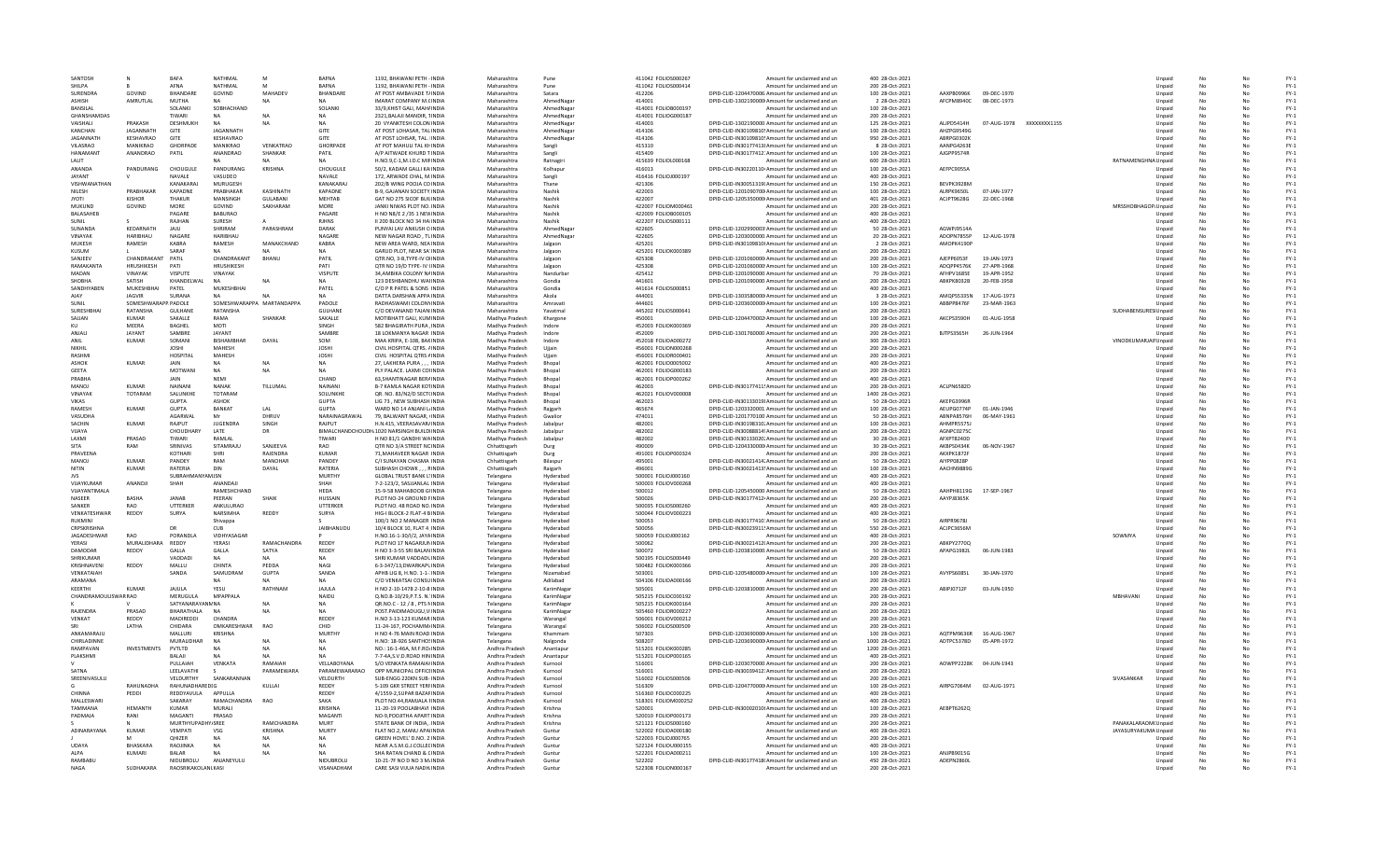| SANTOSH                     |                           | <b>BAFA</b>              | NATHMAI                            | M                      | <b>RAFNA</b>            | 1192. RHAWANI PFTH - INDIA                                             | Maharashtra                      | Pune                   | 411042 EQUOS000267                         | Amount for unclaimed and un                                                                            | 400 28-Oct-2021                    |                          |                            |                          |                             | Unnaid           | No       |          | $FY-1$           |
|-----------------------------|---------------------------|--------------------------|------------------------------------|------------------------|-------------------------|------------------------------------------------------------------------|----------------------------------|------------------------|--------------------------------------------|--------------------------------------------------------------------------------------------------------|------------------------------------|--------------------------|----------------------------|--------------------------|-----------------------------|------------------|----------|----------|------------------|
| SHII PA                     |                           | AFNA                     | NATHMAL                            | M                      | <b>BAFNA</b>            | 1192. BHAWANI PETH - INDIA                                             | Maharashtra                      | Pune                   | 411042 FOLIOS000414                        | Amount for unclaimed and ur                                                                            | 200 28-Oct-2021                    |                          |                            |                          |                             | Unpaid           |          |          | $FY-1$           |
| SURENDRA<br>ASHISH          | GOVIND<br>AMRUTLAL        | BHANDARE<br><b>MUTHA</b> | GOVIND                             | MAHADEV<br><b>NA</b>   | BHANDARE                | AT POST AMBAVADE T/ INDIA<br><b>IMARAT COMPANY M.CINDIA</b>            | Maharashtra<br>Maharashtra       | Satara<br>AhmedNaga    | 412206<br>414001                           | DPID-CLID-1204470006 Amount for unclaimed and un                                                       | 100 28-Oct-2021<br>2 28-Oct-2021   | AAXPB0996K<br>AFCPM8940C | 09-DEC-1970<br>08-DEC-1973 |                          |                             | Unpaid           | No       | No       | $FY-1$<br>$FY-1$ |
| BANSILAL                    |                           | SOLANKI                  | SOBHACHAND                         |                        | SOLANKI                 | 33/9.KHIST GALI, MAH/INDIA                                             | Maharashtra                      | AhmedNagar             | 414001 FOLIOB000197                        | DPID-CLID-1302190000 Amount for unclaimed and un<br>Amount for unclaimed and un                        | 100 28-Oct-2021                    |                          |                            |                          |                             | Unpaid<br>Unpaid | No       | No       | $FY-1$           |
| <b>GHANSHAMDAS</b>          |                           | TIWARI                   | <b>NA</b>                          | <b>NA</b>              | <b>NA</b>               | 2321 BALAILMANDIR, TINDIA                                              | Maharashtra                      | AhmedNagar             | 414001 EQUOG000187                         | Amount for unclaimed and un                                                                            | 200 28-Oct-2021                    |                          |                            |                          |                             | Unnaid           | No       | No       | $FY-1$           |
| VAISHALI                    | PRAKASH                   | DESHMUKH                 | <b>NA</b>                          | <b>NA</b>              | <b>NA</b>               | 20 VYANKTESH COLON INDIA                                               | Maharashtra                      | AhmedNaga              | 414003                                     | DPID-CLID-1302190000 Amount for unclaimed and un                                                       | 125 28-Oct-2021                    | ALJPD5414H               |                            | 07-AUG-1978 XXXXXXXX1155 |                             | Unpaid           | No       | Nr       | $FY-1$           |
| KANCHAN                     | <b>JAGANNATH</b>          | GITE                     | <b>JAGANNATH</b>                   |                        | GITE                    | AT POST LOHASAR, TAL INDI                                              | Maharashtra                      | AhmedNagar             | 414106                                     | DPID-CLID-IN30109810! Amount for unclaimed and un                                                      | 100 28-Oct-2021                    | AHZPG9549G               |                            |                          |                             | Unpaid           |          |          | $FY-1$           |
| <b>JAGANNATI</b>            | KESHAVRAO                 | GITE                     | KESHAVRAO                          |                        | GITE                    | AT POST LOHSAR, TAL. INDIA                                             | Maharashtra                      | AhmedNagar             | 414106                                     | DPID-CLID-IN30109810! Amount for unclaimed and un                                                      | 950 28-Oct-2021                    | ABRPG0302K               |                            |                          |                             | Unpaid           | No       |          | $FY-1$           |
| VILASRAO                    | MANIKRAO                  | <b>GHORPADE</b>          | MANIKRAO                           | VENKATRAO              | <b>GHORPADE</b>         | AT POT MAHULI TAL KHINDIA                                              | Maharashtra                      | Sangli                 | 415310                                     | DPID-CLID-IN30177413! Amount for unclaimed and un                                                      | 8 28-Oct-2021                      | AANPG4263E               |                            |                          |                             | Unpaid           | No       | No       | $FY-1$           |
| <b>HANAMANT</b>             | ANANDRAO                  | PATIL                    | ANANDRAO                           | <b>SHANKAR</b>         | PATIL                   | A/P AITWADE KHURD TINDIA                                               | Maharashtra                      | Sangli                 | 415409                                     | DPID-CLID-IN30177412: Amount for unclaimed and un                                                      | 100 28-Oct-2021                    | AIGPP9574R               |                            |                          |                             | Unnaid           | No       | No       | $FY-1$           |
| LALIT                       |                           |                          |                                    |                        | <b>NA</b>               | H.NO.9,C-1,M.I.D.C MIFINDIA                                            | Maharashtra                      | Ratnagir               | 415639 FOLIOL000168                        | Amount for unclaimed and un                                                                            | 600 28-Oct-2021                    |                          |                            |                          | RATNAMENGHNA Unpaid         |                  | No       |          | $FY-1$           |
| <b>ANANDA</b><br>JAYANT     | PANDURANG                 | CHOUGULE<br>NAVALE       | PANDURANG<br>VASUDEO               | KRISHNA                | CHOUGULE<br>NAVALE      | 50/2, KADAM GALLI KA INDI<br>172. ARWADE CHAL, M.INDI                  | Maharashtra<br>Maharashtra       | Kolhapur               | 416013<br>416416 FOLIOJ000197              | DPID-CLID-IN30220110 Amount for unclaimed and un                                                       | 100 28-Oct-2021<br>400 28-Oct-2021 | AEFPC9055A               |                            |                          |                             | Unpaid           | No       |          | $FY-1$<br>$FY-1$ |
| VISHWANATHAN                |                           | KANAKARA                 | MURUGESH                           |                        | KANAKARAJ               | 202/B WING POOJA CO INDIA                                              | Maharashtra                      | Sangli<br>Thane        | 421306                                     | Amount for unclaimed and un<br>DPID-CLID-IN30051319(Amount for unclaimed and un                        | 150 28-Oct-2021                    | BEVPK3928M               |                            |                          |                             | Unpaid<br>Unpaid | No       | No       | $FY-1$           |
| <b>NILESH</b>               | PRARHAKAR                 | KAPADNE                  | PRARHAKAR                          | KASHINATH              | KAPADNE                 | <b>B-9. GAIANAN SOCIETY INDIA</b>                                      | Maharashtra                      | Nashik                 | 422003                                     | DPID-CLID-1201090700 Amount for unclaimed and un                                                       | 100 28-Oct-2021                    | ALRPK9650L               | 07-IAN-1977                |                          |                             | Unnaid           | No       | No       | $FY-1$           |
| <b>TOYL</b>                 | <b>KISHOR</b>             | THAKUR                   | MANSINGH                           | <b>GULABANI</b>        | MEHTAB                  | GAT NO 275 SICOF BUILINDIA                                             | Maharashtra                      | Nashik                 | 422007                                     | DPID-CLID-1205350000 Amount for unclaimed and un                                                       | 401 28-Oct-2021                    | ACJPT9628G               | 22-DEC-1968                |                          |                             | Unpaid           | No       |          | $FY-1$           |
| MUKUND                      | GOVIND                    | MORE                     | GOVIND                             | SAKHARAM               | MORE                    | JANKI NIWAS PLOT NO. INDI                                              | Maharashtra                      | Nashik                 | 422007 FOLIOM00046:                        | Amount for unclaimed and un                                                                            | 200 28-Oct-2021                    |                          |                            |                          | MRSSHOBHAGOP, Unpaid        |                  |          |          | $FY-1$           |
| BALASAHEE                   |                           | PAGARE                   | <b>BABURAO</b>                     |                        | PAGARE                  | H NO N8/E 2 /35 1 NEW INDIA                                            | Maharashtra                      | Nashik                 | 422009 FOLIOB000105                        | Amount for unclaimed and un                                                                            | 400 28-Oct-2021                    |                          |                            |                          |                             | Unpaid           | No       |          | $FY-1$           |
| SUNIL                       |                           | RAJHAN                   | SURESH                             |                        | <b>RJHNS</b>            | II 200 BLOCK NO 34 HAI INDIA                                           | Maharashtra                      | Nashik                 | 422207 FOLIOS000111                        | Amount for unclaimed and un                                                                            | 400 28-Oct-2021                    |                          |                            |                          |                             | Unpaid           | No       | No       | $FY-1$           |
| SUNANDA                     | KFDARNATH                 | <b>JAIU</b>              | SHRIRAM                            | PARASHRAM              | DARAK                   | PUNYALLAV ANKUSH CUNDIA                                                | Maharashtra                      | AhmedNagar             | 422605                                     | DPID-CLID-1202990003 Amount for unclaimed and un                                                       | 50 28-Oct-2021                     | <b>AGWPI9514A</b>        |                            |                          |                             | Unnaid           | No       | No       | $FY-1$           |
| VINAYAK                     | <b>HARIBHAU</b>           | NAGARE                   | <b>HARIBHAU</b>                    |                        | NAGARE                  | NEW NAGAR ROAD, TLINDIA                                                | Maharashtra                      | AhmedNaga              | 422605                                     | DPID-CLID-1203000000. Amount for unclaimed and un                                                      | 20 28-Oct-2021                     | ADOPN7855P               | 12-AUG-1978                |                          |                             | Unpaid           | No       | No       | $FY-1$           |
| MUKESH<br>KUSUM             | RAMESH                    | KABRA<br>SARAF           | RAMESH                             | MANAKCHAND             | KABRA<br><b>NA</b>      | NEW AREA WARD, NEA INDU<br>GARUD PLOT, NEAR SA'INDIA                   | Maharashtra                      | Jalgaon                | 425201<br>425201 FOLIOK000389              | DPID-CLID-IN30109810I Amount for unclaimed and un                                                      | 2 28-Oct-2021<br>200 28-Oct-2021   | AMOPK4190P               |                            |                          |                             | Unpaid           | No       |          | $FY-1$<br>$FY-1$ |
| SANJEEV                     | CHANDRAKANT               | PATIL                    | CHANDRAKANT                        | BHANU                  | PATIL                   | OTR.NO. 3-B.TYPE-IV OIINDIA                                            | Maharashtra<br>Maharashtra       | Jalgaon                | 425308                                     | Amount for unclaimed and un<br>DPID-CLID-1201060000 Amount for unclaimed and un                        | 200 28-Oct-2021                    | AJEPP6053F               | 19-JAN-1973                |                          |                             | Unpaid<br>Unpaid | No       | Nr       | $FY-1$           |
| RAMAKANTA                   | <b>HRUSHIKESH</b>         | PATI                     | HRUSHIKESH                         |                        | PATI                    | OTR NO 19/D TYPE- IV (INDIA                                            | Maharashtra                      | Jalgaon<br>Jalgaon     | 425308                                     | DPID-CLID-1201060000 Amount for unclaimed and un                                                       | 100 28-Oct-2021                    | ADOPP4576K               | 27-APR-1968                |                          |                             | Unpaid           | No       | No       | $FY-1$           |
| MADAN                       | <b>VINAYAK</b>            | <b>VISPUTE</b>           | VINAYAK                            |                        | VISPUTE                 | 34, AMBIKA COLONY NAINDIA                                              | Maharashtra                      | Nandurba               | 425412                                     | DPID-CLID-1201090000 Amount for unclaimed and un                                                       | 70 28-Oct-2021                     | AFHPV1685E               | 19-APR-1952                |                          |                             | Unpaid           | No       | No       | $FY-1$           |
| SHOBH/                      | SATISH                    | KHANDELWAL               |                                    |                        |                         | 123 DESHBANDHU WAIINDI                                                 | Maharashtra                      | Gondia                 | 441601                                     | DPID-CLID-1201090000 Amount for unclaimed and un                                                       | 200 28-Oct-2021                    | ABKPK8032B               | 20-FEB-1958                |                          |                             | Unpaid           |          |          | $FY-1$           |
| SANDHYABEN                  | MUKESHBHAI                | PATEL                    | MUKESHBHAI                         |                        | PATEL                   | C/O P R PATEL & SONS INDIA                                             | Maharashtra                      | Gondia                 | 441614 FOLIOS000851                        | Amount for unclaimed and un                                                                            | 400 28-Oct-2021                    |                          |                            |                          |                             | Unpaid           | No       | No       | $FY-1$           |
| AJAY                        | <b>JAGVIR</b>             | SURANA                   | NA                                 | <b>NA</b>              | NA                      | DATTA DARSHAN APPA INDIA                                               | Maharashtra                      | Akola                  | 444001                                     | DPID-CLID-1303580000 Amount for unclaimed and un                                                       | 3 28-Oct-2021                      | AMOPS5335N               | 17-AUG-1973                |                          |                             | Unpaid           | No       | No       | $FY-1$           |
| SUNIL                       | SOMESHWARAPP PADOLE       |                          | SOMESHWARAPPA MARTANDAPPA          |                        | <b>PADOLE</b>           | RADHASWAMI COLONYINDIA                                                 | Maharashtra                      | Amravati               | 444601                                     | DPID-CLID-1203600000 Amount for unclaimed and un                                                       | 100 28-Oct-2021                    | ARRPPR476F               | 23-MAR-1963                |                          |                             | Unnaid           | No       | No       | $FY-1$           |
| SURESHBHA                   | <b>RATANSHA</b>           | <b>GULHANE</b>           | RATANSHA                           |                        | <b>GULHANE</b>          | C/O DEVANAND TAJAN INDI                                                | Maharashtra                      | Yavatmal               | 445202 FOLIOS000641                        | Amount for unclaimed and un                                                                            | 200 28-Oct-2021                    |                          |                            |                          | <b>SUDHABENSURES Unpaid</b> |                  | No       | Nr       | $FY-1$           |
| SAJJAN                      | KUMAR                     | SAKALLE                  | RAMA                               | SHANKAR                | SAKALLE                 | MOTIBHATT GALI, KUMINDI                                                | Madhya Pradesh                   | Khargone               | 450001                                     | DPID-CLID-1204470002 Amount for unclaimed and un                                                       | 100 28-Oct-2021                    | AKCPS3590H               | 01-AUG-1958                |                          |                             | Unpaid           |          |          | $FY-1$           |
| KU                          | MEERA                     | <b>BAGHEL</b>            | MOTI                               |                        | SINGH                   | 582 BHAGIRATH PURA .INDIA                                              | Madhya Pradesh                   | Indore                 | 452003 FOLIOK000369                        | Amount for unclaimed and un                                                                            | 200 28-Oct-2021                    |                          |                            |                          |                             | Unpaid           | No       |          | $FY-1$           |
| ANJAL<br>ANII               | <b>JAYANT</b><br>KUMAR    | SAMBRE<br>SOMANI         | <b>JAYANT</b><br><b>RISHAMBHAR</b> | DAYAL                  | SAMBRE<br>SOM           | 18 LOKMANYA NAGAR INDIA<br>MAA KRIPA, E-108, BAKINDIA                  | Madhya Pradesh<br>Madhya Pradesh | Indore<br>Indore       | 452009<br>452018 FOLIOA000272              | DPID-CLID-1301760000 Amount for unclaimed and un<br>Amount for unclaimed and un                        | 200 28-Oct-2021<br>300 28-Oct-2021 | BJTPS3565H               | 26-JUN-1964                |                          | VINODKUMARJAII Unpaid       | Unpaid           | No<br>No | No<br>No | $FY-1$<br>$FY-1$ |
| NIKHI                       |                           | <b>JOSHI</b>             | MAHESH                             |                        | JOSHI                   | CIVIL HOSPITAL QTRS. / INDI                                            | Madhya Pradesh                   | Ujjain                 | 456001 FOLION000268                        | Amount for unclaimed and un                                                                            | 200 28-Oct-2021                    |                          |                            |                          |                             | Unpaid           | No       | Nr       | $FY-1$           |
| RASHM                       |                           | HOSPITAL                 | MAHESH                             |                        | <b>JOSHI</b>            | CIVIL HOSPITAL QTRS AINDI                                              | Madhya Pradesh                   | Ujjair                 | 456001 FOLIOR000401                        | Amount for unclaimed and un                                                                            | 200 28-Oct-2021                    |                          |                            |                          |                             | Unpaid           |          |          | $FY-1$           |
| <b>ASHOK</b>                | <b>KUMAR</b>              | JAIN                     |                                    | <b>NA</b>              | <b>NA</b>               | 27. LAKHERA PURA INDI                                                  | Madhya Pradesh                   | Bhopal                 | 462001 FOLIO0005002                        | Amount for unclaimed and un                                                                            | 400 28-Oct-2021                    |                          |                            |                          |                             | Unpaid           | No       |          | $FY-1$           |
| <b>GEETA</b>                |                           | <b>MOTWAN</b>            | NA                                 | <b>NA</b>              | <b>NA</b>               | PLY PALACE, LAXMI COI INDIA                                            | Madhya Pradesh                   | Bhopal                 | 462001 FOLIOG000183                        | Amount for unclaimed and un                                                                            | 200 28-Oct-2021                    |                          |                            |                          |                             | Unpaid           | No       | No       | $FY-1$           |
| PRABHA                      |                           | <b>JAIN</b>              | NFMI                               |                        | CHAND                   | <b>63 SHANTINAGAR BERAINDIA</b>                                        | Madhya Pradesh                   | Bhonal                 | 462001 FOLIOP000262                        | Amount for unclaimed and un                                                                            | 400 28-Oct-2021                    |                          |                            |                          |                             | Unnaid           | No       | No       | $FY-1$           |
| <b>MANOJ</b>                | <b>KUMAR</b>              | <b>NAINAN</b>            | NANAK                              | TILLUMAI               | NAINANI                 | <b>B-7 KAMLA NAGAR KOTINDL</b>                                         | Madhya Pradesh                   | Bhopal                 | 462003                                     | DPID-CLID-IN30177411! Amount for unclaimed and un                                                      | 200 28-Oct-2021                    | ACLPN6582D               |                            |                          |                             | Unpaid           | No       | No       | $FY-1$           |
| VINAYAR                     | TOTARAM                   | SALUNKHI                 | TOTARAM                            |                        | SOLUNKHE                | OR. NO. 83/N2/D SECT(IND)                                              | Madhya Pradesh                   | Bhopa                  | 462021 FOLIOV000008                        | Amount for unclaimed and un                                                                            | 1400 28-Oct-2021                   |                          |                            |                          |                             | Unpaid           |          |          | $FY-1$           |
| <b>VIKAS</b>                |                           | <b>GUPTA</b>             | <b>ASHOK</b>                       |                        | <b>GUPTA</b>            | LIG 73 . NEW SUBHASH INDI                                              | Madhya Pradesh                   | Bhopal                 | 462023                                     | DPID-CLID-IN30133019! Amount for unclaimed and un                                                      | 50 28-Oct-2021                     | <b>AKEPG39961</b>        |                            |                          |                             | Unpaid           | No       |          | $FY-1$           |
| <b>RAMESH</b>               | <b>KUMAR</b>              | <b>GUPTA</b>             | BANKAT                             | LAL                    | <b>GUPTA</b>            | WARD NO 14 ANJANI LINDIA                                               | Madhya Pradesh                   | Raigarh                | 465674                                     | DPID-CLID-1203320001 Amount for unclaimed and un                                                       | 100 28-Oct-2021                    | AEUPG0774P               | 01-JAN-1946                |                          |                             | Unpaid           | No       | No       | $FY-1$<br>$FY-1$ |
| VASUDHA                     |                           | AGARWAI                  | M                                  | DHRUV                  | NARAINAGRAWAI<br>RAJPUT | 79. BAI WANT NAGAR, UNDIA                                              | Madhya Pradesh                   | Gwalion                | 474011                                     | DPID-CLID-1201770100 Amount for unclaimed and un                                                       | 50 28-Oct-2021                     | ARNPA8576H               | 06-MAY-1961                |                          |                             | Unnaid           | No       | No<br>No |                  |
| SACHIN<br>VIJAYA            | KUMAR                     | RAJPUT<br>CHOUDHARY      | <b>JUGENDRA</b><br>LATE            | SINGH<br>DR            |                         | H.N.415, VEERASAVAR/INDIA<br>BIMALCHANDCHOUDH, 1020 NARSINGH BUILDHNDL | Madhya Pradesh<br>Madhya Pradesh | Jabalpu<br>Jabalpur    | 482001<br>482002                           | DPID-CLID-IN30198310. Amount for unclaimed and un<br>DPID-CLID-IN30088814! Amount for unclaimed and un | 100 28-Oct-2021<br>200 28-Oct-2021 | AHMPR5575.<br>AGNPC02750 |                            |                          |                             | Unpaid<br>Unpaid | No       |          | $FY-1$<br>$FY-1$ |
| LAXM                        | PRASAD                    | TIWARI                   | RAMLAL                             |                        | TIWARI                  | H NO 81/1 GANDHI WAINDI                                                | Madhya Pradesh                   | Jabalpur               | 482002                                     | DPID-CLID-IN30133020. Amount for unclaimed and un                                                      | 30 28-Oct-2021                     | AFXPT8240D               |                            |                          |                             | Unpaid           | No       | No       | $FY-1$           |
| <b>SITA</b>                 | RAM                       | SRINIVAS                 | SITAMRAJU                          | SANJEEVA               | RAO                     | OTR NO 3/A STREET NC INDIA                                             | Chhattisgarh                     | Durg                   | 490009                                     | DPID-CLID-1204330000 Amount for unclaimed and un                                                       | 30 28-Oct-2021                     | AKBPS0434K               | 06-NOV-1967                |                          |                             | Unpaid           | No       | No       | $FY-1$           |
| PRAVFFNA                    |                           | KOTHARI                  | SHRI                               | RAIFNDRA               | KUMAR                   | <b>71 MAHAVEER NAGAR INDIA</b>                                         | Chhattisgarh                     | Durg                   | 491001 EQUOP000324                         | Amount for unclaimed and un                                                                            | 200 28-Oct-2021                    | AKXPK1872F               |                            |                          |                             | Unpaid           | No       | No       | $FY-1$           |
| MANOJ                       | <b>KUMAR</b>              | PANDEY                   | RAM                                | MANOHAR                | PANDEY                  | C/I SUNAYAN CHASMA INDIA                                               | Chhattisgarh                     | Bilaspur               | 495001                                     | DPID-CLID-IN30021414. Amount for unclaimed and un                                                      | 50 28-Oct-2021                     | AIYPP0828F               |                            |                          |                             | Unpaid           | No       | No       | $FY-1$           |
| NITIN                       | <b>KUMAF</b>              | RATERIA                  | DIN                                | DAYAL                  | RATERIA                 | SUBHASH CHOWK, , , RINDL                                               | Chhattisgarh                     | Raigarh                | 496001                                     | DPID-CLID-IN30021413! Amount for unclaimed and un                                                      | 100 28-Oct-2021                    | AACHN9889G               |                            |                          |                             | Unpaid           |          |          | $FY-1$           |
| <b>JVS</b>                  |                           | SUBRAHM                  | MJSN                               |                        | <b>MURTHY</b>           | <b>GLOBAL TRUST BANK L'INDIA</b>                                       | Telangana                        | Hyderabao              | 500001 FOLIOJ000160                        | Amount for unclaimed and un                                                                            | 400 28-Oct-2021                    |                          |                            |                          |                             | Unpaid           | No       | No       | $FY-1$           |
| VUAYKUMAR                   | ANANDJI                   | SHAH                     | ANANDAJI                           |                        | SHAH                    | 7-2-123/2, SASJJANLAL INDIA                                            | Telangana                        | Hyderabad              | 500003 FOLIOV000268                        | Amount for unclaimed and un                                                                            | 400 28-Oct-2021                    |                          |                            |                          |                             | Unpaid           | No       | No       | $FY-1$           |
| VIIAYANTIMAI A              |                           |                          | RAMESHCHAND                        |                        | HFDA                    | 15-9-58 MAHAROOR GUNDIA                                                | Telangana                        | Hyderabad              | 500012                                     | DPID-CLID-1205450000 Amount for unclaimed and un                                                       | 50 28-Oct-2021                     | AAHPH8119G               | 17-SFP-1967                |                          |                             | Unpaid           | No       | No       | $FY-1$           |
| <b>NASEER</b><br>SANKER     | <b>BASHA</b><br>RAO       | <b>JANAB</b><br>UTTERKER | PEERAN<br>ANKULURAO                | SHAIK                  | HUSSAIN<br>UTTERKER     | PLOT NO-24 GROUND FINDIA<br>PLOT NO. 48 ROAD NO. INDI                  | Telangana                        | Hyderabad<br>Hyderabao | 500026<br>500035 FOLIOS000260              | DPID-CLID-IN30177412. Amount for unclaimed and un<br>Amount for unclaimed and un                       | 200 28-Oct-2021<br>400 28-Oct-2021 | AAYPJ8365K               |                            |                          |                             | Unpaid           | No       | No       | $FY-1$<br>$FY-1$ |
| VENKATESHWAR                | REDDY                     | SURYA                    | NARSIMHA                           | REDDY                  | SURYA                   | HIG-I BLOCK-2 FLAT-4 BINDIA                                            | Telangana<br>Telangana           | Hyderabad              | 500044 FOLIOV000223                        | Amount for unclaimed and un                                                                            | 400 28-Oct-2021                    |                          |                            |                          |                             | Unpaid<br>Unpaid | No       | No       | $FY-1$           |
| RUKMINI                     |                           |                          | Shivappa                           |                        |                         | 100/1 NO 2 MANAGER INDIA                                               | Telangana                        | Hyderabad              | 500053                                     | DPID-CLID-IN30177410: Amount for unclaimed and un                                                      | 50 28-Oct-2021                     | AIRPR9678J               |                            |                          |                             | Unpaid           | No       | No       | $FY-1$           |
| CRPSKRISHNA                 |                           | <b>DR</b>                | CUB                                |                        | <b>JAIBHANUDU</b>       | 10/4 BLOCK 10, FLAT 4, INDIA                                           | Telangana                        | Hyderabad              | 500056                                     | DPID-CLID-IN30023911! Amount for unclaimed and un                                                      | 550 28-Oct-2021                    | ACJPC3656M               |                            |                          |                             | Unpaid           | No       | Nr       | $FY-1$           |
| JAGADESHWAR                 | RAO                       | PORANDL                  | VIDHYASAGAR                        |                        |                         | H.NO.16-1-30/I/2, JAYAINDIA                                            | Telangana                        | Hyderabad              | 500059 FOLIOJ000162                        | Amount for unclaimed and un                                                                            | 400 28-Oct-2021                    |                          |                            |                          | SOWMYA                      | Unpaid           | No       | Nr       | $FY-1$           |
| YERASI                      | MURALIDHARA               | REDDY                    | YERASI                             | RAMACHANDRA            | REDDY                   | PLOT NO 17 NAGARJUNINDI                                                | Telangana                        | Hyderabao              | 500062                                     | DPID-CLID-IN30021412I Amount for unclaimed and un                                                      | 200 28-Oct-2021                    | ABKPY2770Q               |                            |                          |                             | Unpaid           |          |          | $FY-1$           |
| DAMODAR                     | REDDY                     | GALLA                    | GALLA                              | SATYA                  | REDDY                   | H NO 3-3-55 SRI BALAN INDIA                                            | Telangana                        | Hyderabad              | 500072                                     | DPID-CLID-1203810000 Amount for unclaimed and un                                                       | 50 28-Oct-2021                     | APAPG1982L               | 06-JUN-1983                |                          |                             | Unpaid           | No       |          | $FY-1$           |
| SHRIKUMAR                   |                           | VADDADI                  | NA                                 | NA                     | <b>NA</b>               | SHRI KUMAR VADDADLINDIA                                                | Telangana                        | Hyderabad              | 500195 FOLIOS000449                        | Amount for unclaimed and un                                                                            | 200 28-Oct-2021                    |                          |                            |                          |                             | Unpaid           | No       | No       | $FY-1$           |
| KRISHNAVENI                 | REDDY                     | MAILU                    | CHINTA                             | PEDDA                  | <b>NAGI</b>             | 6-3-347/13 DWARKAPL INDIA                                              | Telangana                        | Hyderabad              | 500482 FOLIOK000366                        | Amount for unclaimed and un                                                                            | 200 28-Oct-2021                    |                          |                            |                          |                             | Unpaid           | No       | No       | $FY-1$           |
| VENKATAIAH                  |                           | SANDA                    | SAMUDRAM                           | GUPTA                  | SANDA                   | APHB LIG 8, H.NO. 1-1-: INDIA                                          | Telangana                        | Nizamabad              | 503001                                     | DPID-CLID-1205480000 Amount for unclaimed and un                                                       | 100 28-Oct-2021                    | AVYPS6085L               | 30-JAN-1970                |                          |                             | Unpaid           | No       | Nr       | $FY-1$           |
| ARAMANA<br>KEERTH           | <b>KUMAR</b>              | JAJULA                   | YESU                               | RATHNAM                | JAJULA                  | C/O VENKATSAI CONSUINDI<br>H NO 2-10-1478 2-10-8 INDIA                 | Telangana<br>Telangana           | Adilabad<br>KarimNagar | 504106 FOLIOA000166<br>505001              | Amount for unclaimed and un<br>DPID-CLID-1203810000 Amount for unclaimed and un                        | 200 28-Oct-2021<br>200 28-Oct-2021 | ABIPJ0712F               | 03-JUN-1950                |                          |                             | Unpaid<br>Unpaid | No       |          | $FY-1$<br>$FY-1$ |
| CHANDRAMOULISWAR RAO        |                           | MERUGULA                 | MPAPPALA                           |                        | <b>NAIDU</b>            | Q.NO.B-10/29.P.T.S. N. INDIA                                           | Telangana                        | KarimNagar             | 505215 FOLIOC000192                        | Amount for unclaimed and un                                                                            | 200 28-Oct-2021                    |                          |                            |                          | MBHAVANI                    | Unpaid           | No       | No       | $FY-1$           |
|                             |                           | SATYANARAYANN NA         |                                    | <b>NA</b>              | <b>NA</b>               | OR.NO.C - 12 / 8 . PTS NINDIA                                          | Telangana                        | KarimNagar             | 505215 FOLIOK000164                        | Amount for unclaimed and un                                                                            | 200 28-Oct-2021                    |                          |                            |                          |                             | Unpaid           | No       | No       | $FY-1$           |
| <b>RAJENDRA</b>             | PRASAD                    | <b>BHARATHALA</b>        | <b>NA</b>                          | <b>NA</b>              | <b>NA</b>               | POST.PAIDIMADUGU,VIINDL                                                | Telangana                        | KarimNaga              | 505460 FOLIOR000227                        | Amount for unclaimed and un                                                                            | 200 28-Oct-2021                    |                          |                            |                          |                             | Unpaid           | No       | Nr       | $FY-1$           |
| VENKAT                      | REDDY                     | MADIREDDI                | <b>CHANDRA</b>                     |                        | REDDY                   | H.NO 3-13-123 KUMAR INDI                                               | Telangana                        | Warangal               | 506001 FOLIOV000212                        | Amount for unclaimed and un                                                                            | 200 28-Oct-2021                    |                          |                            |                          |                             | Unpaid           |          |          | $FY-1$           |
|                             | LATHA                     | CHIDARA                  | OMKARESHWAR                        | RAO                    | CHID                    | 11-24-167, POCHAMM/INDIA                                               | Telangana                        | Warangal               | 506002 FOLIOS000509                        | Amount for unclaimed and un                                                                            | 200 28-Oct-2021                    |                          |                            |                          |                             | Unpaid           | No       |          | $FY-1$           |
| ANKAMARAJU                  |                           | MALLURI                  | KRISHNA                            |                        | MURTHY                  | H NO 4-76 MAIN ROAD INDIA                                              | Telangana                        | Khammam                | 507303                                     | DPID-CLID-1203690000 Amount for unclaimed and un                                                       | 100 28-Oct-2021                    | AOTPM9636R 16-AUG-1967   |                            |                          |                             | Unpaid           | No       | No       | $FY-1$           |
| CHIRI ADINNE                |                           | <b>MURAUDHAR</b>         | <b>NA</b>                          | <b>NA</b>              | <b>NA</b>               | H.NO: 18-926 SANTHOSINDIA                                              | Telangana                        | Nalgonda               | 508207                                     | DPID-CLID-1203690000 Amount for unclaimed and un                                                       | 1000 28-Oct-2021                   | ADTPC5378D               | 05-APR-1972                |                          |                             | Unnaid           | No       | No       | $FY-1$           |
| RAMPAVAN                    | INVESTMENTS               | PVTLTD                   | <b>NA</b>                          | <b>NA</b>              | <b>NA</b>               | NO.: 16-1-46A, M.F.RO/INDIA                                            | Andhra Pradesł                   | Anantapu               | 515201 FOLIOK000285                        | Amount for unclaimed and un                                                                            | 1200 28-Oct-2021                   |                          |                            |                          |                             | Unpaid           | No       | No       | $FY-1$           |
| PLAKSHMI                    |                           | BALAJI                   | VENKATA                            | RAMAIAH                | VELLABOYANA             | 7-7-4A,S.V.D.ROAD HIN INDI<br>S/O VENKATA RAMAIAHNDL                   | Andhra Pradesh                   | Anantapur              | 515201 FOLIOP000165                        | Amount for unclaimed and un                                                                            | 400 28-Oct-2021                    | AOWPP2228K 04-JUN-1943   |                            |                          |                             | Unpaid           |          |          | $FY-1$<br>$FY-1$ |
| SATNA                       |                           | PULLAIAH<br>LEELAVATHI   |                                    | PARAMEWARA             | PARAMEWARARAO           | OPP MUNICIPAL OFFICEINDIA                                              | Andhra Pradesh<br>Andhra Pradesh | Kurnool<br>Kurnool     | 516001<br>516001                           | DPID-CLID-1203070000 Amount for unclaimed and un<br>DPID-CLID-IN30039412: Amount for unclaimed and un  | 200 28-Oct-2021<br>200 28-Oct-2021 |                          |                            |                          |                             | Unpaid<br>Unpaid | No       | No       | $FY-1$           |
| SREENIVASULU                |                           | <b>VELDURTHY</b>         | SANKARANNAN                        |                        | <b>VELDURTH</b>         | SUB-ENGG 220KN SUB- INDIA                                              | Andhra Pradesh                   | Kurnool                | 516002 EQUOS000506                         | Amount for unclaimed and un                                                                            | 200 28-Oct-2021                    |                          |                            |                          | SIVASANKAR                  | Unnaid           | No<br>No | No       | $FY-1$           |
|                             | <b>RAHUNADHA</b>          | RAHUNADHAREDIG           |                                    | KULLAI                 | REDDY                   | 5-109 GKR STREET YERFINDIA                                             | Andhra Pradesh                   | Kurnool                | 516309                                     | DPID-CLID-1204770000 Amount for unclaimed and un                                                       | 100 28-Oct-2021                    | AIRPG7064M 02-AUG-1971   |                            |                          |                             | Unpaid           | No       |          | $FY-1$           |
| CHINNA                      | PEDDI                     | REDDYAVULA               | APPULLA                            |                        | REDDY                   | 4/1559-2, SUPAR BAZAFINDL                                              | Andhra Pradesh                   | Kurnool                | 516360 FOLIOC000225                        | Amount for unclaimed and un                                                                            | 400 28-Oct-2021                    |                          |                            |                          |                             | Unpaid           |          |          | $FY-1$           |
| MALLESWAR                   |                           | SAKARAY                  | RAMACHANDRA                        | RAO                    | SAKA                    | PLOT NO.44.RAMJALA FINDIA                                              | Andhra Pradesh                   | Kurnool                | 518301 FOLIOM000252                        | Amount for unclaimed and un                                                                            | 400 28-Oct-2021                    |                          |                            |                          |                             | Unpaid           | No       |          | $FY-1$           |
| TAMMANA                     | HEMANTH                   | <b>KUMAR</b>             | MURALI                             |                        | <b>KRISHNA</b>          | 11-20-19 POOLABHAVI INDIA                                              | Andhra Pradesh                   | Krishna                | 520001                                     | DPID-CLID-IN30002010I Amount for unclaimed and un                                                      | 100 28-Oct-2021                    | AEBPT6262Q               |                            |                          |                             | Unpaid           | No       | Nr       | $FY-1$           |
| PADMAIA                     | RANI                      | MAGANTI                  | PRASAD                             |                        | MAGANTI                 | NO-9 POOJITHA APART INDIA                                              | Andhra Pradesh                   | Krishna                | 520010 EQUOP000173                         | Amount for unclaimed and un                                                                            | 200 28-Oct-2021                    |                          |                            |                          |                             | Unnaid           | No       | No       | $FY-1$           |
|                             |                           | MURTHYUPA                | HY/SREE                            | RAMCHANDRA             | <b>MURT</b>             | STATE BANK OF INDIA, INDIA                                             | Andhra Pradesh                   | Krishna                | 521121 FOLIOS000160                        | Amount for unclaimed and un                                                                            | 200 28-Oct-2021                    |                          |                            |                          | PANAKALARAOM(Unpaid         |                  | No       |          | $FY-1$           |
| ADINARAYANA                 | KUMAF                     | VEMPATI                  | VSG                                | KRISHNA                | MURTY                   | FLAT NO.2, MANU APAIINDI                                               | Andhra Pradesh                   | Guntur                 | 522002 FOLIOA000180                        | Amount for unclaimed and un                                                                            | 400 28-Oct-2021                    |                          |                            |                          | JAYASURYAKUMA Unpaid        |                  |          |          | $FY-1$           |
|                             |                           | OHIZER                   | <b>NA</b>                          | <b>NA</b>              | <b>NA</b>               | GREEN HOVEL' D.NO. 2 INDIA                                             | Andhra Pradesh                   | Guntur                 | 522003 FOLIOJ000765                        | Amount for unclaimed and un                                                                            | 200 28-Oct-2021                    |                          |                            |                          |                             | Unpaid           | No       |          | $FY-1$           |
| <b>UDAYA</b><br><b>AIPA</b> | <b>BHASKARA</b><br>KUMARI | RAOJINKA<br><b>BALAR</b> | <b>NA</b><br>NΔ                    | <b>NA</b><br><b>NA</b> | <b>NA</b><br>NΔ         | NEAR A.S.M.G.J.COLLECINDIA<br>SHA RATAN CHAND & CINDIA                 | Andhra Pradesh<br>Andhra Pradesh | Guntur<br>Guntur       | 522124 FOLIOU000155<br>522201 FOLIOA000211 | Amount for unclaimed and un<br>Amount for unclaimed and un                                             | 400 28-Oct-2021<br>100 28-Oct-2021 | ANIPR9015G               |                            |                          |                             | Unpaid<br>Unpaid | No<br>No | Nr<br>No | $FY-1$<br>$FY-1$ |
| RAMBABL                     |                           | NIDUBROLU                | ANJANEYULU                         |                        | NIDUBROLU               | 10-21-7F NO D NO 3 M/ INDIA                                            | Andhra Pradesh                   | Guntur                 | 522202                                     | DPID-CLID-IN30177418 Amount for unclaimed and un                                                       | 450 28-Oct-2021                    | ADEPN2860I               |                            |                          |                             | Unpaid           | No       |          | $FY-1$           |
| NAGA                        | SUDHAKARA                 | RAOSRIKAKOLANLKASI       |                                    |                        | VISANADHAM              | CARE SASI VIJUA NADH. INDIA                                            | Andhra Pradesh                   | Guntu                  | 522308 FOLION000167                        | Amount for unclaimed and un                                                                            | 200 28-Oct-2021                    |                          |                            |                          |                             | Unpaid           |          |          | $FY-1$           |
|                             |                           |                          |                                    |                        |                         |                                                                        |                                  |                        |                                            |                                                                                                        |                                    |                          |                            |                          |                             |                  |          |          |                  |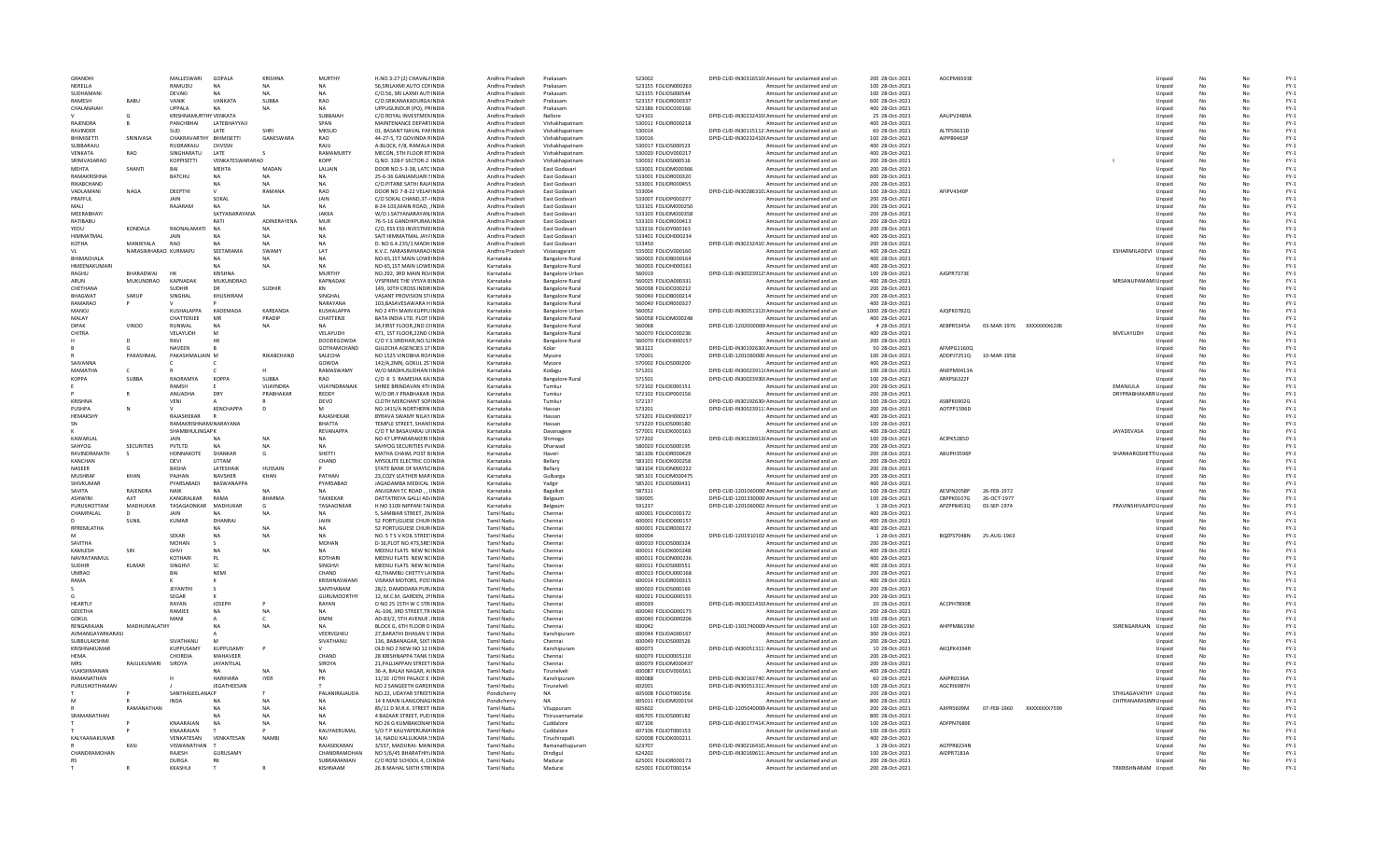| GRANDH                        |                      | MALLESWARI                      | GOPALA                             | <b>KRISHNA</b>      | MURTHY               | H.NO.3-27 (2) CHAVAL/ INDIA                             | Andhra Pradesh                         | Prakasan                                         | 523002                                     | DPID-CLID-IN30316510I Amount for unclaimed and un                                                      | 200 28-Oct-2021                    | AOCPM6593E |                          |              |                             | Unpaid           |          |                | $FY-1$                                    |
|-------------------------------|----------------------|---------------------------------|------------------------------------|---------------------|----------------------|---------------------------------------------------------|----------------------------------------|--------------------------------------------------|--------------------------------------------|--------------------------------------------------------------------------------------------------------|------------------------------------|------------|--------------------------|--------------|-----------------------------|------------------|----------|----------------|-------------------------------------------|
| NERFILA                       |                      | RAMUDU                          | <b>NA</b>                          | <b>NA</b>           | <b>NA</b>            | 56.SRILAXMI AUTO COFINDIA                               | Andhra Pradesh                         | Prakasam                                         | 523155 FOLION000263                        | Amount for unclaimed and un                                                                            | 100 28-Oct-2021                    |            |                          |              |                             | Unpaid           | No       | No             | $FY-1$                                    |
| SUDHAMANI                     |                      | <b>DEVAKI</b>                   |                                    | NA                  | <b>NA</b>            | C/O.56, SRI LAXMI AUT INDIA                             | Andhra Pradesh                         | Prakasam                                         | 523155 FOLIOS000544                        | Amount for unclaimed and un                                                                            | 100 28-Oct-2021                    |            |                          |              |                             | Unpaid           | No       | No             | $FY-1$                                    |
| <b>RAMFSH</b>                 | <b>BABU</b>          | VANIK                           | VANKATA                            | SUBBA               | RAO                  | C/O. SRIKANAKADURGA INDIA                               | Andhra Pradesh                         | Prakasam                                         | 523157 FOLIOR000337                        | Amount for unclaimed and un                                                                            | 600 28-Oct-2021                    |            |                          |              |                             | Unnaic           | No       | No             | FY-1                                      |
| CHALANAIAH                    |                      | UPPALA<br>KRISHNAMURTHY VENKATA | <b>NA</b>                          | NA                  | NA<br>SUBBAIAH       | UPPUGUNDUR (PO), PRINDIA<br>C/O ROYAL INVESTMENINDIA    | Andhra Pradesh<br>Andhra Pradesh       | Prakasam<br>Nellore                              | 523186 FOLIOC000166<br>524101              | Amount for unclaimed and ur<br>DPID-CLID-IN30232410I Amount for unclaimed and un                       | 400 28-Oct-2021<br>25 28-Oct-2021  | AAUPV2489A |                          |              |                             | Unpaid<br>Unpaid | No       |                | $FY-1$<br>$FY-1$                          |
| RAJENDRA                      |                      | PANCHBHAI                       | LATEBHAYYAJI                       |                     | SPAN                 | MAINTENANCE DEPARTINDIA                                 | Andhra Pradesh                         | Vishakhapatnam                                   | 530011 FOLIOR000218                        | Amount for unclaimed and un                                                                            | 400 28-Oct-2021                    |            |                          |              |                             | Unpaid           | No       | No             | $FY-1$                                    |
| <b>RAVINDER</b>               |                      | <b>SUD</b>                      | LATE                               | SHRI                | MKSUD                | 01. BASANT NAVAL PAFINDIA                               | Andhra Pradesh                         | Vishakhapatnam                                   | 530014                                     | DPID-CLID-IN30115112: Amount for unclaimed and un                                                      | 60 28-Oct-2021                     | ALTPS3631D |                          |              |                             | Unpaid           | No       | No             | $FY-1$                                    |
| <b>RHIMISFTTI</b>             | SRINIVASA            | CHAKRAVARTHY BHIMISFTTI         |                                    | GANFSWARA           | <b>RAO</b>           | 44-27-5, T2 GOVINDA RINDIA                              | Andhra Pradesh                         | Vishakhanatnam                                   | 530016                                     | DPID-CLID-IN30232410I Amount for unclaimed and un                                                      | 100 28-Oct-2021                    | AIPPR9463P |                          |              |                             | Unnaic           | No       | No             | FY-1                                      |
| SUBBARAJU                     |                      | RUDRARAJU                       | CHVSSN                             |                     | RAJU                 | A-BLOCK, F/8, RAMALA INDIA                              | Andhra Pradesh                         | Vishakhapatnan                                   | 530017 FOLIOS000523                        | Amount for unclaimed and ur                                                                            | 400 28-Oct-2021                    |            |                          |              |                             | Unpaid           | No       |                | $FY-1$                                    |
| VENKATA                       | RAO                  | SINGHARATU                      |                                    |                     | RAMAMURTY            | MECON, 5TH FLOOR RT INDIA                               | Andhra Pradesh                         | Vishakhapatnan                                   | 530020 FOLIOV000217                        | Amount for unclaimed and un                                                                            | 400 28-Oct-2021                    |            |                          |              |                             | Unpaid           |          |                | $FY-1$                                    |
| SRINIVASARAO                  |                      | <b>KOPPISETTI</b>               | VENKATESWARARAO                    |                     | <b>KOPP</b>          | Q.NO. 328-F SECTOR-2, INDIA                             | Andhra Pradesh                         | Vishakhapatnam                                   | 530032 FOLIOS000516                        | Amount for unclaimed and un                                                                            | 200 28-Oct-2021                    |            |                          |              |                             | Unpaid           | No       | No             | $FN-1$                                    |
| <b>MEHTA</b>                  | SHANTI               | RAI                             | MEHTA                              | MADAN               | LALIAIN              | DOOR NO.5-3-38, LATC INDIA                              | Andhra Pradesh                         | East Godavari                                    | 533001 FOLIOM000366                        | Amount for unclaimed and un                                                                            | 200 28-Oct-2021                    |            |                          |              |                             | Unpaid           | No       | No             | $FY-1$                                    |
| RAMAKRISHNA<br>RIKARCHAND     |                      | <b>BATCHU</b>                   | NΔ                                 | <b>NA</b>           | NA                   | 25-6-36 GANIAMUARI SINDIA                               | Andhra Pradesh                         | <b>Fast Godavari</b>                             | 533001 EOUOR000320                         | Amount for unclaimed and un                                                                            | 600 28-0ct-2021                    |            |                          |              |                             | Unnaid           | No       | No             | FY-1                                      |
| VADLAMANI                     | NAGA                 | DEEPTHI                         | <b>NA</b>                          | <b>NA</b><br>RAMANA | NA<br>RAO            | C/O.PITANE SATHI RAJAINDIA<br>DOOR NO 7-8-22 VELANINDIA | Andhra Pradesh<br>Andhra Pradesh       | East Godavar<br>East Godavar                     | 533001 FOLIOR000455<br>533004              | Amount for unclaimed and ur<br>DPID-CLID-IN30286310. Amount for unclaimed and un                       | 200 28-Oct-2021<br>100 28-Oct-2021 | AFIPV4340P |                          |              |                             | Unpaid<br>Unpaid | No       |                | $FY-1$<br>$FY-1$                          |
| PRAFFUL                       |                      | <b>JAIN</b>                     | SOKAL                              |                     | JAIN                 | C/O SOKAL CHAND.37-4 INDIA                              | Andhra Pradesh                         | East Godavari                                    | 533007 FOLIOP000277                        | Amount for unclaimed and un                                                                            | 200 28-Oct-2021                    |            |                          |              |                             | Unpaid           | No       | No             | $FN-1$                                    |
| MAIL                          |                      | RAJARAM                         | <b>NA</b>                          | NA                  | <b>NA</b>            | 8-24-103, MAIN ROAD, . INDIA                            | Andhra Pradesh                         | East Godavari                                    | 533101 FOLIOM000250                        | Amount for unclaimed and un                                                                            | 200 28-Oct-2021                    |            |                          |              |                             | Unpaid           | No       | No             | $FY-1$                                    |
| MEERABHAY                     |                      |                                 | SATYANARAYANA                      |                     | <b>JAKKA</b>         | W/O J.SATYANARAYAN.INDIA                                | Andhra Pradesh                         | East Godavari                                    | 533103 FOLIOM000358                        | Amount for unclaimed and un                                                                            | 200 28-Oct-2021                    |            |                          |              |                             | Unpaid           | No       | No             | $FY-1$                                    |
| RATIBABU                      |                      |                                 | RATI                               | <b>ADINFRAYENA</b>  | ${\sf MUR}$          | 76-5-16 GANDHIPURAN INDIA                               | Andhra Pradesh                         | East Godavar                                     | 533103 FOLIOR000413                        | Amount for unclaimed and ur                                                                            | 200 28-Oct-2021                    |            |                          |              |                             | Unpaid           | No       |                | $\mathsf{FY}\text{-}\mathsf{1}$           |
| YEDU                          | KONDALA              | RAONALAMATI                     | <b>NA</b>                          | N <sub>A</sub>      | <b>NA</b>            | C/O, ESS ESS INVESTME INDIA                             | Andhra Pradesh                         | East Godavar                                     | 533216 FOLIOY000163                        | Amount for unclaimed and un                                                                            | 200 28-Oct-202                     |            |                          |              |                             | Unpaid           |          |                | $FY-1$                                    |
| HIMMATMAL                     |                      | <b>JAIN</b>                     | NA                                 | <b>NA</b>           | <b>NA</b>            | SAIT HIMMATMAL JAYAINDIA                                | Andhra Pradesh                         | East Godavari                                    | 533401 FOLIOH000234                        | Amount for unclaimed and un                                                                            | 400 28-Oct-2021                    |            |                          |              |                             | Unpaid           | No       | No             | $FN-1$                                    |
| KOTHA                         | MANIKYAI A           | RAO                             |                                    | <b>NA</b>           | <b>NA</b>            | D. NO 6.4.235/1 MADH INDIA                              | Andhra Pradesh                         | East Godavari                                    | 533450                                     | DPID-CLID-IN30232410: Amount for unclaimed and un                                                      | 200 28-Oct-2021                    |            |                          |              |                             | Unpaid           |          | No             | $FY-1$                                    |
| VI                            | NARASIMHARAO KURMAPU |                                 | SEETARAMA                          | SWAMY               | LAT                  | K.V.C. NARASIMHARAO INDIA                               | Andhra Pradesh                         | Vizianagaram                                     | 535002 FOLIOV000160                        | Amount for unclaimed and un                                                                            | 400 28-Oct-2021                    |            |                          |              | KSHARMILADEVI Unpaid        |                  | No       | No             | $FY-1$                                    |
| <b>RHIMACHALA</b>             |                      |                                 |                                    | <b>NA</b>           | NA                   | NO-65,1ST MAIN LOWEINDIA                                | Karnataka                              | <b>Bangalore Rural</b>                           | 560003 FOLIOB000164                        | Amount for unclaimed and ur                                                                            | 400 28-Oct-2021                    |            |                          |              |                             | Unpaid           | No       |                | $\mathsf{FY}\text{-}\mathsf{1}$           |
| HMEENAKUMARI<br><b>RAGHU</b>  | BHARADWAJ            |                                 |                                    | N <sub>A</sub>      | <b>MURTHY</b>        | NO-65,1ST MAIN LOWEINDIA<br>NO.292, 3RD MAIN RO/INDIA   | Karnataka                              | <b>Bangalore Rural</b>                           | 560003 FOLIOH000161<br>560019              | Amount for unclaimed and un<br>DPID-CLID-IN30023912! Amount for unclaimed and un                       | 400 28-Oct-2021<br>100 28-Oct-2021 | AJGPR7373E |                          |              |                             | Unpaid           |          |                | $FY-1$<br>$FN-1$                          |
| ARUN                          | MUKUNDRAO            | <b>KAPNADAK</b>                 | <b>KRISHNA</b><br><b>MUKUNDRAO</b> |                     | <b>KAPNADAK</b>      | <b>VYSPRIME THE VYSYA BINDIA</b>                        | Karnataka<br>Karnataka                 | <b>Bangalore Urbar</b><br><b>Bangalore Rural</b> | 560025 FOLIOA000331                        | Amount for unclaimed and un                                                                            | 400 28-Oct-2021                    |            |                          |              | MRSANUPAMAMI Unpaid         | Unpaid           | No       | No             | $FY-1$                                    |
| CHETHANA                      |                      | <b>SUDHIR</b>                   | DR                                 | <b>SUDHIR</b>       | KN                   | 149, 10TH CROSS INDIRINDIA                              | Karnataka                              | <b>Bangalore Rural</b>                           | 560038 FOLIOC000212                        | Amount for unclaimed and un                                                                            | 200 28-Oct-2021                    |            |                          |              |                             | Unpaid           | No       | No             | $FY-1$                                    |
| RHAGWAT                       | SARUE                | SINGHAL                         | KHUSHIRAM                          |                     | <b>SINGHAI</b>       | VASANT PROVISION ST(INDIA                               | Karnataka                              | <b>Bangalore Rural</b>                           | 560040 FOLIOB000214                        | Amount for unclaimed and ur                                                                            | 200 28-Oct-2021                    |            |                          |              |                             | Unpaid           | No       |                | $FY-1$                                    |
| RAMARAO                       |                      |                                 |                                    |                     | NARAYANA             | 103, BASAVESAWARA HINDIA                                | Karnataka                              | <b>Bangalore Rural</b>                           | 560040 FOLIOR000327                        | Amount for unclaimed and un                                                                            | 400 28-Oct-2021                    |            |                          |              |                             | Unpaid           |          |                | $FY-1$                                    |
| MANOJ                         |                      | <b>KUSHALAPPA</b>               | <b>KADEMADA</b>                    | KAREANDA            | <b>KUSHALAPPA</b>    | NO 2 4TH MAIN KUPPU INDIA                               | Karnataka                              | <b>Bangalore Urbar</b>                           | 560052                                     | DPID-CLID-IN30051312I Amount for unclaimed and un                                                      | 1000 28-Oct-2021                   | AJOPK07820 |                          |              |                             | Unpaid           | No       | No             | $FY-1$                                    |
| MALAY                         |                      | CHATTERJEE                      | MR                                 | PRADIP              | CHATTERJE            | BATA INDIA LTD, PLOT IINDIA                             | Karnataka                              | <b>Bangalore Rural</b>                           | 560058 FOLIOM000248                        | Amount for unclaimed and un                                                                            | 400 28-Oct-2021                    |            |                          |              |                             | Unpaid           |          |                | $FY-1$                                    |
| <b>DIPAK</b>                  | VINOD                | RUNWAL                          | <b>NA</b>                          | <b>NA</b>           | NA                   | 34.FIRST FLOOR.2ND CHNDIA                               | Karnataka                              | <b>Bangalore Rural</b>                           | 560068                                     | DPID-CLID-1202000000 Amount for unclaimed and un                                                       | 4 28-Oct-2021                      | AEBPR5345A | 03-MAR-1976 XXXXXXXX6206 |              |                             | Unpaid           | No       | No             | $FY-1$                                    |
| CHITRA                        |                      | VELAYUDH                        | M                                  |                     | VELAYUDH             | 471, 1ST FLOOR, 22ND (INDIA                             | Karnataka                              | <b>Bangalore Rural</b>                           | 560070 FOLIOC000236                        | Amount for unclaimed and ur                                                                            | 400 28-Oct-2021                    |            |                          |              | MVELAYUDH                   | Unpaid           | No       | No             | $FY-1$                                    |
|                               | D.                   | RAV                             |                                    |                     | DOODEGOWDA           | C/O Y.S.SRIDHAR, NO.52 INDIA                            | Karnataka                              | <b>Bangalore Rural</b>                           | 560070 FOLIOH000157                        | Amount for unclaimed and un                                                                            | 200 28-Oct-2021                    |            |                          |              |                             | Unpaid           |          |                | $FY-1$                                    |
|                               |                      | <b>NAVEEN</b>                   |                                    |                     | GOTHAMCHAND          | <b>GULECHA AGENCIES 17 INDIA</b>                        | Karnataka                              | Kolar                                            | 563122                                     | DPID-CLID-IN30192630I Amount for unclaimed and un                                                      | 50 28-Oct-2021                     | AFMPG1160Q |                          |              |                             | Unpaid           | No       | No             | $FY-1$                                    |
|                               | PAKASHMA             | PAKASHMALJAIN M                 |                                    | RIKABCHAND          | SALECHA              | NO 1525 VINOBHA ROAINDIA                                | Karnataka                              | Mysore                                           | 570001                                     | DPID-CLID-1201060000 Amount for unclaimed and un                                                       | 100 28-Oct-2021                    | ADDPJ7251Q | 10-MAR-1958              |              |                             | Unpaid           |          |                | $FY-1$                                    |
| SAIVANNA<br>MAMATHA           |                      |                                 |                                    |                     | GOWDA<br>RAMASWAMY   | 142/A.2MN, GOKUL 2S' INDIA<br>W/O MADHUSUDHAN IINDIA    | Karnataka<br>Karnataka                 | Mysore                                           | 570002 FOLIOS000200                        | Amount for unclaimed and un                                                                            | 400 28-Oct-2021                    | ANEPM0413A |                          |              |                             | Unpaid           | No       | No<br>No       | $FY-1$                                    |
| <b>KOPPA</b>                  | SUBBA                | RAORAMYA                        | <b>KOPPA</b>                       | SUBBA               | RAO                  | C/O K S RAMESHA KAINDIA                                 | Karnataka                              | Kodagu<br><b>Bangalore Rural</b>                 | 571201<br>571501                           | DPID-CLID-IN30023911I Amount for unclaimed and un<br>DPID-CLID-IN30023930I Amount for unclaimed and ur | 100 28-Oct-2021<br>100 28-Oct-2021 | ARXPS6322F |                          |              |                             | Unpaid<br>Unpaid | No       |                | $FY-1$<br>$\mathsf{FY}\text{-}\mathsf{1}$ |
|                               |                      | RAMSH                           |                                    | VUAYNDRA            | VIJAYNDRANAIK        | SHREE BRINDAVAN 4TH INDIA                               | Karnataka                              | Tumkur                                           | 572102 FOLIOE000151                        | Amount for unclaimed and un                                                                            | 200 28-Oct-2021                    |            |                          |              | EMANJULA                    | Unpaid           | No       |                | $FY-1$                                    |
|                               |                      | ANUADHA                         | DRY                                | PRABHAKAR           | REDDY                | W/O DR.Y PRABHAKAR INDIA                                | Karnataka                              | Tumkur                                           | 572102 FOLIOP000156                        | Amount for unclaimed and un                                                                            | 200 28-Oct-202                     |            |                          |              | <b>DRYPRABHAKARR Unpaid</b> |                  |          |                | $FY-1$                                    |
| <b>KRISHNA</b>                |                      | <b>VENI</b>                     |                                    |                     | <b>DEVO</b>          | <b>CLOTH MERCHANT SOPINDIA</b>                          | Karnataka                              | Tumkur                                           | 572137                                     | DPID-CLID-IN30192630 Amount for unclaimed and un                                                       | 100 28-Oct-2021                    | ASBPK6902G |                          |              |                             | Unpaid           | No       | No             | $FY-1$                                    |
| PUSHPA                        |                      |                                 | KENCHAPPA                          | D                   | м                    | NO.1415/A NORTHERN INDIA                                | Karnataka                              | Hassan                                           | 573201                                     | DPID-CLID-IN30023911: Amount for unclaimed and un                                                      | 200 28-Oct-2021                    | AOTPP1596D |                          |              |                             | Unpaid           | No       | No             | $FY-1$                                    |
| <b>HEMAKSHY</b>               |                      | RAIASHFKAR                      |                                    |                     | RAJASHEKAR           | BYRAVA SWAMY NILAY INDIA                                | Karnataka                              | Hassan                                           | 573201 FOLIOH000217                        | Amount for unclaimed and ur                                                                            | 400 28-Oct-2021                    |            |                          |              |                             | Unpaid           |          |                | $\mathsf{FY}\text{-}\mathsf{1}$           |
| SN                            |                      | RAMAKRISHNAM/NARAYANA           |                                    |                     | <b>BHATTA</b>        | TEMPLE STREET, SHAN1INDIA                               | Karnataka                              | Hassan                                           | 573220 FOLIOS000180                        | Amount for unclaimed and un                                                                            | 100 28-Oct-202                     |            |                          |              |                             | Unpaid           | No       |                | $FY-1$                                    |
|                               |                      | SHAMBHULINGAPK                  |                                    |                     | REVANAPPA            | C/O T M BASAVARAJ UFINDIA                               | Karnataka                              | Davanagere                                       | 577001 FOLIOK000163                        | Amount for unclaimed and un                                                                            | 400 28-Oct-202                     |            |                          |              | JAYADEVASA                  | Unpaid           |          |                | $FY-1$                                    |
| KAWARLAL                      |                      | <b>JAIN</b>                     | <b>NA</b>                          | <b>NA</b>           | NA                   | NO 47 UPPARARAKERI HNDIA                                | Karnataka                              | Shimoga                                          | 577202                                     | DPID-CLID-IN30226913! Amount for unclaimed and un                                                      | 100 28-Oct-2021                    | ACIPK5285D |                          |              |                             | Unpaid           | No       | No             | $FY-1$                                    |
| SAHYOG                        | SECURITIES           | PVTLTD                          | <b>NA</b>                          | <b>NA</b>           | <b>NA</b>            | SAHYOG SECURITIES PVINDIA                               | Karnataka                              | Dharwad                                          | 580020 FOLIOS000195                        | Amount for unclaimed and un                                                                            | 200 28-Oct-2021                    |            |                          |              |                             | Unpaid           | No       | No             | $FY-1$                                    |
| RAVINDRANATH                  |                      | HONNAKOTE                       | SHANKAR                            | G                   | <b>SHETTI</b>        | MATHA CHAWL POST BINDIA                                 | Karnataka                              | Haveri                                           | 581106 FOLIOR000429                        | Amount for unclaimed and ur                                                                            | 200 28-Oct-2021                    | ABUPH3596P |                          |              | SHANKARGSHETTIUnpaid        |                  | No       | N <sub>c</sub> | $\mathsf{FY}\text{-}\mathsf{1}$           |
| KANCHAN                       |                      | DEVI                            | <b>UTTAM</b>                       |                     | CHAND                | MYSOLITE ELECTRIC CO INDIA                              | Karnataka                              | Bellary                                          | 583101 FOLIOK000258                        | Amount for unclaimed and un                                                                            | 200 28-Oct-202                     |            |                          |              |                             | Unpaid           | No       |                | $FY-1$                                    |
| <b>NASEER</b><br>MUSHRAI      | KHAN                 | BASHA<br>PAJHAN                 | LATESHAIK<br><b>NAVSHER</b>        | HUSSAIN<br>KHAN     | PATHAN               | STATE BANK OF MAYSCINDIA<br>23.COZY LEATHER MAR INDIA   | Karnataka<br>Karnataka                 | Bellary<br>Gulbarga                              | 583104 FOLION000222<br>585101 FOLIOM000475 | Amount for unclaimed and un<br>Amount for unclaimed and un                                             | 200 28-Oct-202<br>200 28-Oct-2021  |            |                          |              |                             | Unpaid<br>Unpaid | No       | No             | $FY-1$<br>$FY-1$                          |
| SHIVKUMAR                     |                      | PYARSABADI                      | <b>BASWANAPPA</b>                  |                     | PYARSABAD            | JAGADAMBA MEDICAL INDIA                                 | Karnataka                              | Yadgir                                           | 585201 FOLIOS000431                        | Amount for unclaimed and un                                                                            | 400 28-Oct-2021                    |            |                          |              |                             | Unpaid           | No       | No             | $FY-1$                                    |
| <b>SAVITA</b>                 | RAIFNDRA             | <b>NAIK</b>                     |                                    | NΔ                  | NΔ                   | ANUGRAH TC ROAD, , IINDIA                               | Karnataka                              | Bagalkot                                         | 587311                                     | DPID-CLID-1201060000 Amount for unclaimed and un                                                       | 100 28-Oct-2021                    | AFSPN2058P | 26-FFR-1972              |              |                             | Unpaid           | No       | No             | $FY-1$                                    |
| <b>ASHWIN</b>                 | AJIT                 | KANGRALKAR                      | RAMA                               | <b>BHARMA</b>       | <b>TAKKEKAR</b>      | DATTATREYA GALLI AD/INDIA                               | Karnataka                              | Belgaum                                          | 590005                                     | DPID-CLID-1201330000 Amount for unclaimed and un                                                       | 100 28-Oct-2021                    | CBPPK0107G | 26-OCT-1977              |              |                             | Unpaid           | No       |                | $FY-1$                                    |
| PURUSHOTTAM                   | MADHUKAR             | TASAGAONKAR                     | MADHUKAR                           |                     | TASAAONKAR           | H NO 3109 NIPPANI TAHNDIA                               | Karnataka                              | Belgaun                                          | 591237                                     | DPID-CLID-1201060002 Amount for unclaimed and un                                                       | 1 28-Oct-2021                      | APZPP8453Q | 03-SEP-1974              |              | PRAVINSHIVAJIPO Unpaid      |                  |          |                | $FY-1$                                    |
| CHAMPALAL                     |                      | <b>JAIN</b>                     |                                    | NA                  | NA                   | 5. SAMBIAR STREET, 2NINDIA                              | <b>Tamil Nadu</b>                      | Chennai                                          | 600001 FOLIOC000172                        | Amount for unclaimed and un                                                                            | 400 28-Oct-2021                    |            |                          |              |                             | Unpaid           | No       | No             | $FY-1$                                    |
|                               | SUNIL                | KUMAR                           | DHANRAI                            |                     | <b>JAIIN</b>         | 52 PORTUGUESE CHUR INDIA                                | Tamil Nadu                             | Chennai                                          | 600001 EQUOD000157                         | Amount for unclaimed and un                                                                            | 400 28-Oct-2021                    |            |                          |              |                             | Unpaid           | No       | No             | $FY-1$                                    |
| RPREMLATHA                    |                      |                                 |                                    | NΔ                  | NΔ                   | 52 PORTUGUESE CHUR INDIA                                | Tamil Nadu                             | Chennai                                          | 600001 FOLIOR000172                        | Amount for unclaimed and un                                                                            | 400 28-Oct-2021                    |            |                          |              |                             | Unpaid           | No       | No             | $FY-1$                                    |
|                               |                      | <b>SEKAF</b>                    | $N$ A                              | <b>NA</b>           | <b>NA</b>            | NO. 5 T S V KOIL STREETINDIA                            | <b>Tamil Nadu</b>                      | Chennai                                          | 600004                                     | DPID-CLID-1201910102 Amount for unclaimed and un                                                       | 1 28-Oct-202                       | BOZPS7048N | 25-AUG-1963              |              |                             | Unpaid           | No       |                | $FY-1$                                    |
| SAVITHA                       |                      | <b>MOHAN</b>                    |                                    |                     | MOHAN                | D-16, PLOT NO.473, SRE! INDIA                           | <b>Tamil Nadu</b>                      | Chennai                                          | 600010 FOLIOS000324                        | Amount for unclaimed and un                                                                            | 200 28-Oct-2021                    |            |                          |              |                             | Unpaid           |          |                | $FY-1$                                    |
| <b>KAMLESH</b><br>NAVRATANMUI | SIN                  | <b>GHVI</b><br>KOTHARI          | <b>NA</b>                          |                     | <b>NA</b><br>KOTHARI | MEENU FLATS NEW NCINDIA<br>MEENU FLATS NEW NCINDIA      | <b>Tamil Nadu</b><br>Tamil Nadu        | Chennai<br>Chennai                               | 600011 FOLIOK000248<br>600011 FOLION000236 | Amount for unclaimed and un<br>Amount for unclaimed and un                                             | 400 28-Oct-2021<br>400 28-Oct-2021 |            |                          |              |                             | Unpaid<br>Unpaid | No       | No<br>No       | $FY-1$<br>$FY-1$                          |
| <b>SUDHIR</b>                 | KUMAR                | SINGHVI                         | PL<br><b>SC</b>                    |                     | SINGHVI              | MEENU FLATS NEW NCINDIA                                 | Tamil Nadu                             | Chennai                                          | 600011 FOLIOS000551                        |                                                                                                        | 400 28-Oct-2021                    |            |                          |              |                             | Unpaid           | No<br>No | No             | $FY-1$                                    |
| <b>UMRAO</b>                  |                      | BAI                             | <b>NEM</b>                         |                     | CHAND                | 42.THAMBU CHETTY LAINDIA                                | <b>Tamil Nadu</b>                      | Chennai                                          | 600013 FOLIOU000168                        | Amount for unclaimed and un<br>Amount for unclaimed and un                                             | 200 28-Oct-202                     |            |                          |              |                             | Unpaid           | No       |                | $FY-1$                                    |
| RAMA                          |                      |                                 |                                    |                     | KRISHNASWAMI         | VISRAM MOTORS, POS'INDIA                                | <b>Tamil Nadu</b>                      | Chennai                                          | 600014 FOLIOR000315                        | Amount for unclaimed and un                                                                            | 400 28-Oct-2021                    |            |                          |              |                             | Unpaid           |          |                | $FY-1$                                    |
|                               |                      | <b>JEYANTHI</b>                 | $\mathbf{S}$                       |                     | SANTHANAM            | 28/2, DAMDDARA PUR/INDIA                                | <b>Tamil Nadu</b>                      | Chennai                                          | 600020 FOLIOS000169                        | Amount for unclaimed and un                                                                            | 200 28-Oct-2021                    |            |                          |              |                             | Unpaid           | No       | No             | $FN-1$                                    |
|                               |                      | SEGAR                           |                                    |                     | <b>GURUMOORTHY</b>   | 12. M.C.M. GARDEN, 2NNDIA                               | Tamil Nadu                             | Chennai                                          | 600021 FOLIOG000155                        | Amount for unclaimed and un                                                                            | 200 28-Oct-2021                    |            |                          |              |                             | Unpaid           | No       | No             | $FY-1$                                    |
| <b>HEARTIV</b>                |                      | RAYAN                           | <b>JOSEPH</b>                      |                     | RAYAN                | O NO 25 15TH W C STR INDIA                              | Tamil Nadu                             | Chennai                                          | 600039                                     | DPID-CLID-IN30021410! Amount for unclaimed and un                                                      | 20 28-Oct-2021                     | ACCPH7890R |                          |              |                             | Unpaid           | No       | No             | $FY-1$                                    |
| GEEETHA                       |                      | RAMJEE                          | <b>NA</b>                          | NΑ                  | <b>NA</b>            | AL-106, 3RD STREET, TR INDIA                            | <b>Tamil Nadu</b>                      | Chennai                                          | 600040 FOLIOG000175                        | Amount for unclaimed and un                                                                            | 200 28-Oct-2021                    |            |                          |              |                             | Unpaid           |          |                | $FY-1$                                    |
| GOKUL                         |                      | MAN                             |                                    |                     | <b>DMN</b>           | AD-83/2, 5TH AVENUE (INDIA                              | <b>Tamil Nadu</b>                      | Chennai                                          | 600040 FOLIOG000206                        | Amount for unclaimed and un                                                                            | 100 28-Oct-202                     |            |                          |              |                             | Unpaid           |          |                | $FY-1$                                    |
| RENGARAJAN                    | MADHUMALATHY         |                                 | NA                                 | <b>NA</b>           | <b>NA</b>            | BLOCK G, 6TH FLOOR D INDIA                              | <b>Tamil Nadu</b>                      | Chennai                                          | 600042                                     | DPID-CLID-1301740000 Amount for unclaimed and un                                                       | 100 28-Oct-2021                    | AHPPM8619M |                          |              | SSRENGARAJAN                | Unpaid           | No       | No             | $FN-1$                                    |
| AVMANGAYARKARASI              |                      |                                 |                                    |                     | VFFRVGHKU            | 27 BARATHI DHASAN S'INDIA                               | Tamil Nadu                             | Kanchinuram                                      | 600044 EQUO4000167                         | Amount for unclaimed and un                                                                            | 300 28-Oct-2021                    |            |                          |              |                             | Unnaid           | No       | No             | FY-1                                      |
| SUBBULAKSHMI<br>KRISHNAKUMAI  |                      | SIVATHANU<br><b>KUPPUSAM</b>    | M<br>KUPPUSAMY                     |                     | SIVATHANU            | 136, BABANAGAR, SIXT INDIA<br>OLD NO 2 NEW NO 12 EINDIA | Tamil Nadu<br><b>Tamil Nadu</b>        | Chennai<br>Kanchipuram                           | 600049 FOLIOS000526<br>600073              | Amount for unclaimed and un<br>DPID-CLID-IN30051311: Amount for unclaimed and un                       | 200 28-Oct-2021<br>10 28-Oct-202   | AKQPK4394F |                          |              |                             | Unpaid<br>Unpaid | No<br>No | No             | $FY-1$<br>$FY-1$                          |
| <b>HEMA</b>                   |                      | CHORDIA                         | MAHAVEER                           |                     | CHAND                | 28 KRISHNAPPA TANK SINDIA                               | <b>Tamil Nadu</b>                      | Chennai                                          | 600079 FOLIO0005110                        | Amount for unclaimed and un                                                                            | 200 28-Oct-2021                    |            |                          |              |                             | Unpaid           |          |                | $FY-1$                                    |
| <b>MRS</b>                    | RAJULKUMARI          | SIROYA                          | JAYANTILAL                         |                     | SIROYA               | 21, PALLIAPPAN STREET INDIA                             | <b>Tamil Nadu</b>                      | Chennai                                          | 600079 FOLIOM000437                        | Amount for unclaimed and un                                                                            | 200 28-Oct-2021                    |            |                          |              |                             | Unpaid           | No       | No             | $FY-1$                                    |
| <b>VI AKSHMANAN</b>           |                      |                                 | NΔ                                 | NΔ                  | NA                   | 36-A. BALAJI NAGAR, AUNDIA                              | Tamil Nadu                             | Tirunelveli                                      | 600087 EQUOV000161                         | Amount for unclaimed and un                                                                            | 400 28-Oct-2021                    |            |                          |              |                             | Unnaic           | No       | No             | $FY-1$                                    |
| RAMANATHAN                    |                      |                                 | <b>HARIHARA</b>                    | <b>IYER</b>         | PR                   | 11/10 JOTHI PALACE E INDIA                              | Tamil Nadu                             | Kanchipuram                                      | 600088                                     | DPID-CLID-IN30163740: Amount for unclaimed and un                                                      | 60 28-Oct-2021                     | AAIPR0196A |                          |              |                             | Unpaid           | No       | No             | $FY-1$                                    |
| PURUSHOTHAMA                  |                      |                                 | <b>JEGATHEESA!</b>                 |                     |                      | NO 2 SANGEETH GARDHNDIA                                 | <b>Tamil Nadu</b>                      | Tirunelveli                                      | 602001                                     | DPID-CLID-IN30051311. Amount for unclaimed and un                                                      | 100 28-Oct-202                     | AGCPJ6987H |                          |              |                             | Unpaid           |          |                | $FY-1$                                    |
|                               |                      | SANTHASEELANA(F                 |                                    |                     | PALANIRAJAUDA        | NO.22. UDAYAR STREETINDIA                               | Pondicherry                            | <b>NA</b>                                        | 605008 FOLIOT000156                        | Amount for unclaimed and un                                                                            | 200 28-Oct-202                     |            |                          |              | STHILAGAVATHY Unpaid        |                  |          |                | $FY-1$                                    |
|                               |                      | <b>INDA</b>                     | <b>NA</b>                          | <b>NA</b>           | <b>NA</b>            | 14 II MAIN ILANGONAGINDIA                               | Pondicherry                            | <b>NA</b>                                        | 605011 FOLIOM000154                        | Amount for unclaimed and un                                                                            | 800 28-Oct-2021                    |            |                          |              | CHITRANARASIMM Unpaid       |                  | No       | No             | $FY-1$                                    |
|                               | RAMANATHAN           |                                 | NΔ                                 | <b>NA</b>           | <b>NA</b>            | 85/11 D M R K STREET INDIA                              | Tamil Nadu                             | Viluppuram                                       | 605602                                     | DPID-CLID-1205040000 Amount for unclaimed and un                                                       | 200 28-Oct-2021                    | AIIPR5609M | 07-FFB-1960              | XXXXXXXX7599 |                             | Unnaid           | No       | No             | $FY-1$                                    |
| SRAMANATHAN                   |                      |                                 | NΔ                                 | <b>NA</b>           | NΔ                   | 4 BAZAAR STREET. PUD INDIA                              | Tamil Nadu                             | Thiruvannamalai                                  | 606705 FOLIOS000182                        | Amount for unclaimed and un                                                                            | 800 28-Oct-2021                    |            |                          |              |                             | Unpaid           | No       | No             | $FY-1$                                    |
|                               |                      | KNAARAJAN<br>KNAARAJAN          | <b>NA</b>                          | <b>NA</b>           | KALIYAERUMAL         | NO 26 G KUMBAKONAI INDIJ<br>S/O T P KALIYAPERUMA INDIA  | <b>Tamil Nadu</b><br><b>Tamil Nadu</b> | Cuddalore<br>Cuddalore                           | 607106<br>607106 FOLIOT000153              | DPID-CLID-IN30177414. Amount for unclaimed and un                                                      | 100 28-Oct-2021<br>100 28-Oct-202  | ADFPN7689E |                          |              |                             | Unpaid           |          |                | $FY-1$<br>$FY-1$                          |
| KALYAANAKUMAR                 |                      | VENKATESAN                      | VENKATESAN                         | <b>NAMB</b>         |                      | 14. NADU KALLUKARA SINDIA                               | <b>Tamil Nadu</b>                      | Tiruchirapall                                    | 620008 FOLIOK000211                        | Amount for unclaimed and un<br>Amount for unclaimed and un                                             | 400 28-Oct-2021                    |            |                          |              |                             | Unpaid<br>Unpaid | No       |                | $FY-1$                                    |
|                               | KASI                 | VISWANATHAN                     |                                    |                     | RAJASEKARAN          | 3/557, MADURAI- MANINDIA                                | <b>Tamil Nadu</b>                      | Ramanathapuram                                   | 623707                                     | DPID-CLID-IN30216410, Amount for unclaimed and un                                                      | 1 28-Oct-2021                      | AGTPR8234N |                          |              |                             | Unpaid           | No       | No             | $FY-1$                                    |
| CHANDRAMOHAN                  |                      | RAIFSH                          | GURUSAMY                           |                     | CHANDRAMOHAN         | NO 5/6/45 BHARATHIY/INDIA                               | Tamil Nadu                             | Dindigul                                         | 624202                                     | DPID-CLID-IN30169611: Amount for unclaimed and un                                                      | 100 28-Oct-2021                    | AIDPR7181A |                          |              |                             | Unpaid           | No       | No             | $FY-1$                                    |
| <b>RS</b>                     |                      | <b>DURGA</b>                    | RK                                 |                     | SUBRAMANIAN          | C/O ROSE SCHOOL 4, CHNDIA                               | <b>Tamil Nadu</b>                      | Madura                                           | 625001 FOLIOR000173                        | Amount for unclaimed and un                                                                            | 200 28-Oct-2021                    |            |                          |              |                             | Unpaid           |          |                | $FY-1$                                    |
|                               |                      | KKASHUI                         |                                    |                     | KISHNAAM             | 26 B MAHAL SIXTH STRIINDIA                              | <b>Tamil Nadu</b>                      | Madurai                                          | 625001 FOLIOT000154                        | Amount for unclaimed and un                                                                            | 200 28-Oct-2021                    |            |                          |              | TRKRISHNARAM Unpaid         |                  |          |                | $FY-1$                                    |
|                               |                      |                                 |                                    |                     |                      |                                                         |                                        |                                                  |                                            |                                                                                                        |                                    |            |                          |              |                             |                  |          |                |                                           |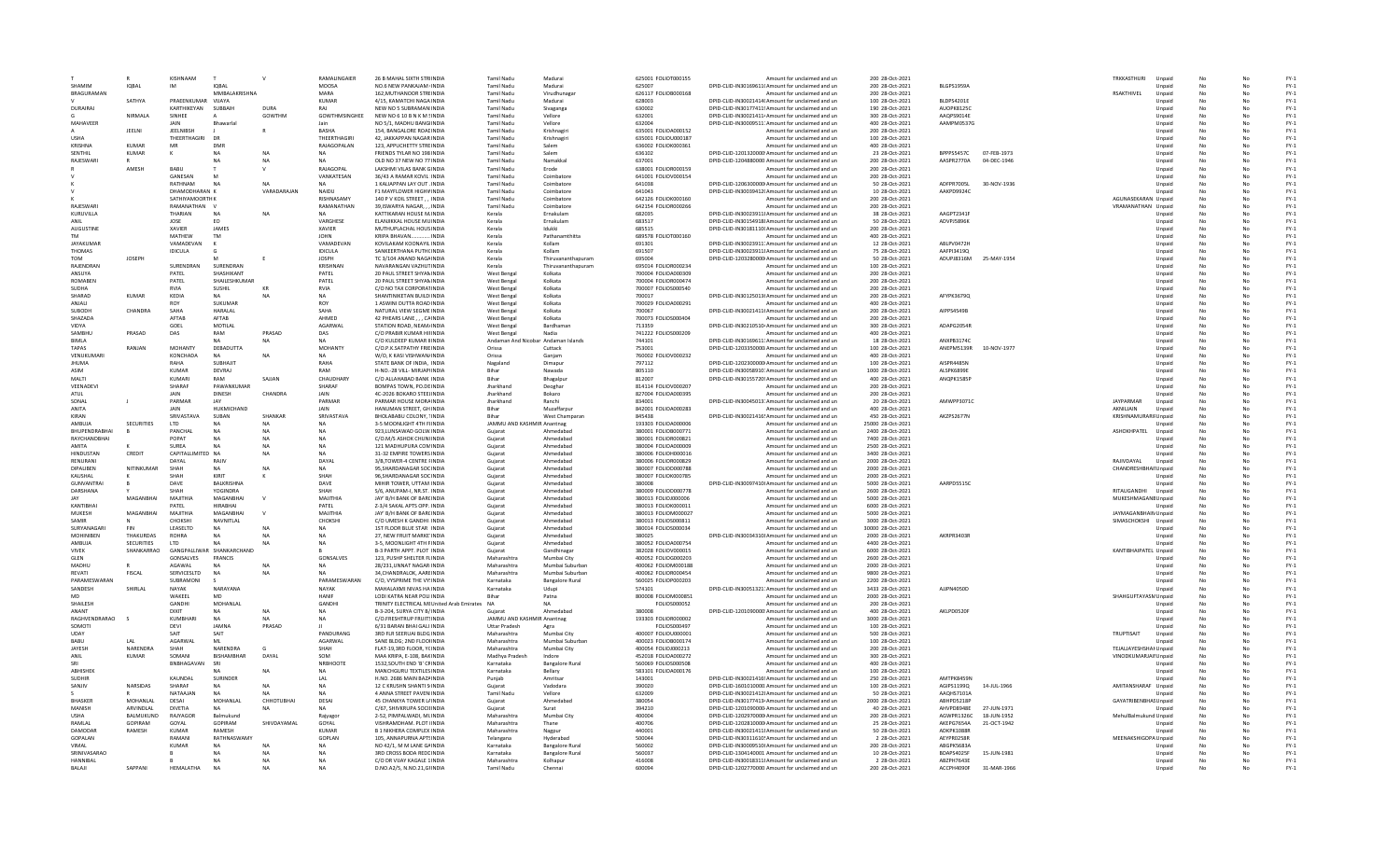|                           |                   | KISHNAAM              |                           | $\mathsf{v}$           | <b>RAMALINGAIFR</b>          | 26 B MAHAL SIXTH STRIINDIA                                              | Tamil Nadu                            | Madurai                | 625001 FOLIOT000155                       | Amount for unclaimed and un                                                                           | 200 28-Oct-2021                      |                          |             | <b>TRKKASTHURI</b>     | Unnaic           |          |          | $FY-1$                          |
|---------------------------|-------------------|-----------------------|---------------------------|------------------------|------------------------------|-------------------------------------------------------------------------|---------------------------------------|------------------------|-------------------------------------------|-------------------------------------------------------------------------------------------------------|--------------------------------------|--------------------------|-------------|------------------------|------------------|----------|----------|---------------------------------|
| SHAMIN                    | IQBAL             | IM                    | <b>IOBAI</b>              |                        | MOOSA                        | NO.6 NEW PANKAJAM INDIA                                                 | <b>Tamil Nadu</b>                     | Madurai                | 625007                                    | DPID-CLID-IN30169611( Amount for unclaimed and un                                                     | 200 28-Oct-2021                      | <b>BLGPS1959A</b>        |             |                        | Unpaid           |          |          | $FY-1$                          |
| <b>BRAGURAMAN</b>         |                   |                       | MMBALAKRISHNA             |                        | MARA                         | 162. MUTHANOOR STREINDIA                                                | <b>Tamil Nadu</b>                     | Virudhunaga            | 626117 FOLIOB000168                       | Amount for unclaimed and un                                                                           | 200 28-Oct-2021                      |                          |             | <b>RSAKTHIVEL</b>      | Unpaid           |          |          | $FY-1$                          |
|                           | SATHYA            | PRAEENKUMAR           | VIJAYA                    |                        | <b>KUMAR</b>                 | 4/15, KAMATCHI NAGA INDIA                                               | <b>Tamil Nadu</b>                     | Madurai                | 628003                                    | DPID-CLID-IN30021414( Amount for unclaimed and un                                                     | 100 28-Oct-2021                      | BLDPS4201E               |             |                        | Unpaid           | No       | No       | $FY-1$                          |
| DURAIRAL                  |                   | KARTHIKFYAN           | SUBBAIL                   | DURA                   | RAI                          | NEW NO 5 SUBRAMAN INDIA                                                 | Tamil Nadu                            | Sivaganga              | 630002                                    | DPID-CLID-IN30177411 <sup>t</sup> Amount for unclaimed and un                                         | 190 28-Oct-2021                      | AUOPK8125C               |             |                        | Unnaid           | No       | No       | FY-1                            |
|                           | NIRMAI A          | SINHEE                |                           | GOWTHM                 | <b>GOWTHMSINGHFF</b>         | NEW NO 6 10 B N K M SINDIA                                              | Tamil Nadu                            | Vellore                | 632001                                    | DPID-CLID-IN30021411. Amount for unclaimed and un                                                     | 300 28-Oct-2021                      | AAOPS9014F               |             |                        | Unpaid           | No       | Nr       | $FY-1$                          |
| MAHAVEER                  |                   | JAIN                  | Bhawar                    |                        |                              | NO 5/1, MADHU BANGINDIA                                                 | <b>Tamil Nadu</b>                     | Vellore                | 632004                                    | DPID-CLID-IN30009511: Amount for unclaimed and un                                                     | 400 28-Oct-2021                      | AAMPM0537G               |             |                        | Unpaid           |          |          | $FY-1$                          |
| <b>USHA</b>               | JEELN             | JEELNIBSH             |                           |                        | <b>BASHA</b><br>THEERTHAGIRI | 154, BANGALORE ROACINDIA                                                | <b>Tamil Nadu</b>                     | Krishnagir             | 635001 FOLIOA000152                       | Amount for unclaimed and un                                                                           | 200 28-Oct-2021                      |                          |             |                        | Unpaid           |          |          | $FY-1$<br>$FY-1$                |
| KRISHNA                   | KUMAR             | THEERTHAGIRI<br>MR    | DR<br>DMF                 |                        | <b>RAIAGOPALAN</b>           | 42. JAKKAPPAN NAGAR INDIA<br>123. APPUCHETTY STREINDIA                  | <b>Tamil Nadu</b><br>Tamil Nadu       | Krishnagiri<br>Salem   | 635001 FOLIOU000187<br>636002 EOUOK000361 | Amount for unclaimed and un<br>Amount for unclaimed and un                                            | 100 28-Oct-2021<br>400 28-Oct-2021   |                          |             |                        | Unpaid<br>Unpaid | No       | Nr       | $FY-1$                          |
| SENTHIL                   | KUMAR             |                       | <b>NA</b>                 | NΔ                     | <b>NA</b>                    | FRIENDS TYLAR NO 198 INDIA                                              | Tamil Nadu                            | Salem                  | 636102                                    | DPID-CLID-1201320000 Amount for unclaimed and un                                                      | 23 28-Oct-2021                       | RPPPS5457C               | 07-FEB-1973 |                        |                  | No<br>No | Nr       | $FY-1$                          |
| RAJESWAR                  |                   |                       |                           |                        | NΔ                           | OLD NO 37 NEW NO 77 INDIA                                               | <b>Tamil Nadu</b>                     | Namakkal               | 637001                                    | DPID-CLID-1204880000 Amount for unclaimed and un                                                      | 200 28-Oct-2021                      | AASPR2770A               | 04-DEC-1946 |                        | Unpaid<br>Unpaid |          |          | $FY-1$                          |
|                           | AMESH             | <b>BABU</b>           |                           |                        | RAJAGOPAL                    | <b>LAKSHMI VILAS BANK GINDIA</b>                                        | <b>Tamil Nadu</b>                     | Erode                  | 638001 FOLIOR000159                       | Amount for unclaimed and un                                                                           | 200 28-Oct-2021                      |                          |             |                        | Unpaid           |          |          | $FY-1$                          |
|                           |                   | GANESAN               |                           |                        | VANKATESAN                   | 36/43 A RAMAR KOVIL: INDIA                                              | <b>Tamil Nadu</b>                     | Coimbatore             | 641001 FOLIOV000154                       | Amount for unclaimed and un                                                                           | 200 28-Oct-2021                      |                          |             |                        | Unpaid           | No       |          | $FY-1$                          |
|                           |                   | RATHNAM               |                           | NΔ                     | NΔ                           | 1 KALIAPPAN LAY OUT . INDIA                                             | Tamil Nadu                            | Coimbatore             | 641038                                    | DPID-CLID-1206300000 Amount for unclaimed and un                                                      | 50 28-Oct-2021                       | ADFPR7005L               | 30-NOV-1936 |                        | Unnaid           | No       | Nr       | $FY-1$                          |
|                           |                   | DHAMODHARAN K         |                           | VARADARAJAN            | <b>NAIDU</b>                 | F1 MAYFLOWER HIGHVINDIA                                                 | <b>Tamil Nadu</b>                     | Coimbatore             | 641043                                    | DPID-CLID-IN30039412( Amount for unclaimed and un                                                     | 10 28-Oct-2021                       | AAKPD9924C               |             |                        | Unpaid           |          | Nr       | $FY-1$                          |
|                           |                   | <b>SATHIYAMOORTHK</b> |                           |                        | <b>RISHNASAM</b>             | 140 P V KOIL STREET. . INDIA                                            | <b>Tamil Nadu</b>                     | Coimbatore             | 642126 FOLIOK000160                       | Amount for unclaimed and un                                                                           | 200 28-Oct-2021                      |                          |             | AGUNASEKARAN Unpaid    |                  |          |          | $FY-1$                          |
| RAJESWAR                  |                   | RAMANATHAN V          |                           |                        | RAMANATHAN                   | 39.ISWARYA NAGAR INDIA                                                  | <b>Tamil Nadu</b>                     | Coimbatore             | 642154 FOLIOR000266                       | Amount for unclaimed and un                                                                           | 200 28-Oct-2021                      |                          |             | VRAMANATHAN Unpaid     |                  |          |          | $FY-1$                          |
| KURUVILLA                 |                   | THARIAN               | <b>NA</b>                 |                        | NA                           | KATTIKARAN HOUSE M.INDIA                                                | Kerala                                | Ernakulam              | 682035                                    | DPID-CLID-IN30023911! Amount for unclaimed and un                                                     | 38 28-Oct-2021                       | AAGPT2341F               |             |                        | Unpaid           | No       |          | $FY-1$                          |
| ANII                      |                   | <b>IOSE</b>           | F <sub>0</sub>            |                        | VARGHESE                     | ELANJIKKAL HOUSE MUINDIA                                                | Kerala                                | Frnakulam              | 683517                                    | DPID-CLID-IN30154918! Amount for unclaimed and un                                                     | 50 28-Oct-2021                       | <b>ADVPI5896K</b>        |             |                        | Unpaid           | No       | Nr       | $FY-1$                          |
| <b>AUGUSTINE</b>          |                   | <b>XAVIER</b>         | JAMES                     |                        | XAVIER                       | MUTHUPLACHAL HOUS INDIA                                                 | Kerala                                | Idukki                 | 685515                                    | DPID-CLID-IN30181110I Amount for unclaimed and un                                                     | 200 28-Oct-2021                      |                          |             |                        | Unpaid           | No       | Nr       | $FY-1$                          |
| <b>TM</b>                 |                   | MATHEW                | <b>TM</b>                 |                        | <b>JOHN</b>                  | KRIPA BHAVAN INDIA                                                      | Kerala                                | Pathanamthitta         | 689578 FOLIOT000160                       | Amount for unclaimed and un                                                                           | 400 28-Oct-2021                      |                          |             |                        | Unpaid           | No       |          | $FY-1$                          |
| <b>JAYAKUMAR</b>          |                   | VAMADEVAN             |                           |                        | VAMADEVAN                    | KOVILAKAM KOONAYIL INDIA                                                | Kerala                                | Kollam                 | 691301                                    | DPID-CLID-IN30023911. Amount for unclaimed and un                                                     | 12 28-Oct-2021                       | ABLPV0472H               |             |                        | Unpaid           |          |          | $FY-1$                          |
| THOMAS                    |                   | <b>IDICULA</b>        |                           |                        | <b>IDICULA</b>               | SANKEERTHANA PUTHCINDIA                                                 | Kerala                                | Kollam                 | 691507                                    | DPID-CLID-IN30023911! Amount for unclaimed and un                                                     | 75 28-Oct-2021                       | AAFPI3419Q               |             |                        | Unpaid           | No       | No       | $FY-1$                          |
| <b>TOM</b>                | <b>IOSEPH</b>     |                       |                           |                        | <b>IOSPH</b>                 | TC 3/104 ANAND NAGAINDIA                                                | Kerala                                | Thiruvananthapuran     | 695004                                    | DPID-CLID-1203280000 Amount for unclaimed and un                                                      | 50 28-Oct-2021                       | ADUPJ8316M               | 25-MAY-1954 |                        | Unpaid           | No       | Nr       | $FY-1$                          |
| RAIFNDRAN                 |                   | SURENDRAN             | SURENDRAN                 |                        | KRISHNAN                     | NAVARANGAN VAZHUTINDIA                                                  | Kerala                                | Thiruvananthapuran     | 695014 FOLIOR000234                       | Amount for unclaimed and un                                                                           | 100 28-Oct-2021                      |                          |             |                        | Unpaid           | No       | Nr       | $FY-1$                          |
| ANSUYA                    |                   | PATEL                 | <b>SHASHIKAN</b>          |                        | PATEL                        | 20 PAUL STREET SHYAN INDIA                                              | West Benga                            | Kolkata                | 700004 FOLIOA000309                       | Amount for unclaimed and un                                                                           | 200 28-Oct-2021                      |                          |             |                        | Unpaid           | No       |          | $FY-1$                          |
| <b>ROMABEN</b>            |                   | PATEL                 | SHAILESHKUMAR             |                        | PATEL                        | 20 PAUL STREET SHYAN INDIA                                              | West Bengal                           | Kolkata                | 700004 FOLIOR000474                       | Amount for unclaimed and un                                                                           | 200 28-Oct-2021                      |                          |             |                        | Unpaid           |          |          | $FY-1$                          |
| <b>SUDHA</b>              |                   | <b>RVIA</b>           | SUSHIL                    | KR                     | RVIA                         | C/O NO TAX CORPORATINDIA                                                | West Bengal                           | Kolkata                | 700007 FOLIOS000540                       | Amount for unclaimed and un                                                                           | 200 28-Oct-2021                      |                          |             |                        | Unpaid           | No       | No       | $FY-1$                          |
| SHARAD<br><b>ANIALL</b>   | <b>KUMAR</b>      | KEDIA                 | NA<br>SUKUMAR             |                        | NA<br>ROY                    | SHANTINIKETAN BUILDIINDIA<br>1 ASWINI DUTTA ROAD INDIA                  | West Bengal                           | Kolkata                | 700017                                    | DPID-CLID-IN30125013I Amount for unclaimed and un                                                     | 200 28-Oct-2021<br>400 28-Oct-2021   | AFYPK3679Q               |             |                        | Unpaid           | No       |          | $FY-1$<br>$FY-1$                |
| SUBODH                    |                   | ROY<br>SAHA           | HARALAL                   |                        | SAHA                         |                                                                         | West Bengal                           | Kolkata<br>Kolkata     | 700029 FOLIOA000291<br>700067             | Amount for unclaimed and un                                                                           | 200 28-Oct-2021                      | AIPPS4549B               |             |                        | Unpaid           | No       |          | $FY-1$                          |
|                           | <b>CHANDRA</b>    | AFTAR                 | <b>AFTAR</b>              |                        | <b>AHMFD</b>                 | NATURAL VIEW SEGME INDIA                                                | West Bengal                           |                        | 700073 FOLIOS000404                       | DPID-CLID-IN30021411I Amount for unclaimed and un                                                     |                                      |                          |             |                        | Unpaid           | No       |          |                                 |
| SHAZADA<br>VIDYA          |                   | GOEL                  | MOTILAL                   |                        | AGARWAL                      | 42 PHEARS LANE, , , CAINDIA<br>STATION ROAD, NEAM/INDIA                 | West Bengal<br>West Bengal            | Kolkata<br>Bardhaman   | 713359                                    | Amount for unclaimed and un<br>DPID-CLID-IN30210510 Amount for unclaimed and un                       | 200 28-Oct-2021<br>300 28-Oct-2021   | ADAPG2054R               |             |                        | Unpaid<br>Unpaid | No       | No       | $FY-1$<br>$FY-1$                |
| SAMBHU                    | PRASAD            | DAS                   | RAM                       | PRASAD                 | DAS                          | C/O PRABIR KUMAR HIFINDIA                                               | West Bengal                           | Nadia                  | 741222 FOLIOS000209                       | Amount for unclaimed and un                                                                           | 400 28-Oct-2021                      |                          |             |                        | Unpaid           | No       |          | $FY-1$                          |
| <b>BIMIA</b>              |                   |                       |                           |                        | <b>NA</b>                    | C/O KULDEEP KUMAR IIINDIA                                               | Andaman And Nicobar Andaman Islands   |                        | 744101                                    | DPID-CLID-IN30169611: Amount for unclaimed and un                                                     | 18 28-Oct-2021                       | ANXPB3174C               |             |                        | Unpaid           |          |          | $FY-1$                          |
| <b>TAPAS</b>              | RANJAN            | <b>MOHANTY</b>        | DEBADUTTA                 |                        | <b>MOHANTY</b>               | C/O.P.K.SATPATHY FRIEINDIA                                              | Orissa                                | Cuttack                | 753001                                    | DPID-CLID-1203350000 Amount for unclaimed and un                                                      | 100 28-Oct-2021                      | ANEPM5139R               | 10-NOV-1977 |                        | Unpaid           | No       |          | $FY-1$                          |
| VENUKUMAR                 |                   | KONCHADA              | <b>NA</b>                 |                        |                              | W/O. K KASI VISHWAN/INDIA                                               | Orissa                                | Ganiam                 | 760002 FOLIOV000232                       | Amount for unclaimed and un                                                                           | 400 28-Oct-2021                      |                          |             |                        | Unpaid           |          |          | $FY-1$                          |
| <b>JHUMA</b>              |                   | RAHA                  | SUBHAJIT                  |                        | RAHA                         | STATE BANK OF INDIA. INDIA                                              | Nagaland                              | Dimapur                | 797112                                    | DPID-CLID-1202300000 Amount for unclaimed and un                                                      | 100 28-Oct-2021                      | AISPR4485N               |             |                        | Unpaid           | No       | No       | $FY-1$                          |
| ASIM                      |                   | KUMAR                 | DEVRAJ                    |                        | RAM                          | H-NO .- 28 VILL- MIRJAPI INDIA                                          | Rihar                                 | Nawada                 | 805110                                    | DPID-CLID-IN30058910: Amount for unclaimed and un                                                     | 1000 28-Oct-2021                     | AI SPK6899F              |             |                        | Unpaid           | No       |          | $FY-1$                          |
| MALTI                     |                   | KUMARI                | RAM                       | SAJJAN                 | CHAUDHARY                    | C/O ALLAHABAD BANK INDIA                                                | Bihar                                 | Bhagalpu               | 812007                                    | DPID-CLID-IN30155720! Amount for unclaimed and un                                                     | 400 28-Oct-2021                      | ANQPK1585P               |             |                        | Unpaid           |          |          | $FY-1$                          |
| VEENADEVI                 |                   | SHARAF                | PAWANKUMAF                |                        | SHARAF                       | BOMPAS TOWN, PO.DEINDIA                                                 | Jharkhand                             | Deoghar                | 814114 FOLIOV000207                       | Amount for unclaimed and un                                                                           | 200 28-Oct-2021                      |                          |             |                        | Unpaid           | No       |          | $FY-1$                          |
| ATUL                      |                   | JAIN                  | <b>DINESH</b>             | CHANDRA                | <b>JAIN</b>                  | 4C-2026 BOKARO STEELINDIA                                               | Jharkhand                             | Bokaro                 | 827004 FOLIOA000395                       | Amount for unclaimed and un                                                                           | 200 28-Oct-2021                      |                          |             |                        | Unpaid           |          |          | $FY-1$                          |
| SONAL                     |                   | PARMAR                | JAY                       |                        | PARMAR                       | PARMAR HOUSE MORAINDIA                                                  | Jharkhand                             | Ranchi                 | 834001                                    | DPID-CLID-IN30045013: Amount for unclaimed and un                                                     | 20 28-Oct-2021                       | AMWPP3071C               |             | <b>JAYPARMAR</b>       | Unpaid           | No       | No       | $FY-1$                          |
| ANITA                     |                   | <b>JAIN</b>           | <b>HUKMICHAND</b>         |                        | <b>IAIN</b>                  | HANUMAN STREET, GH INDIA                                                | <b>Bihar</b>                          | Muzaffarpur            | 842001 FOLIOA000283                       | Amount for unclaimed and un                                                                           | 400 28-Oct-2021                      |                          |             | AKNILJAIN              | Unpaid           |          |          | $FY-1$                          |
| KIRAN                     |                   | SRIVASTAVA            | SUBAN                     | SHANKAR                | SRIVASTAVA                   | BHOLABABU COLONY, 1INDIA                                                | Bihar                                 | West Champarar         | 845438                                    | DPID-CLID-IN30021416! Amount for unclaimed and un                                                     | 450 28-Oct-2021                      | AKZPS2677N               |             | KRISHNAMURARII Unpaid  |                  |          |          | $FY-1$                          |
| AMBUIA                    | SECURITIES        | <b>ITD</b>            |                           |                        | NA                           | 3-5 MOONHGHT 4TH FHNDIA                                                 | JAMMU AND KASHMIR Anantnag            |                        | 193303 EQUOA000006                        | Amount for unclaimed and un                                                                           | 25000 28-Oct-2021                    |                          |             |                        | Unnaid           |          | No       | $FN-1$                          |
| BHUPENDRABHA              |                   | PANCHAL               | <b>NA</b>                 |                        |                              | 923.LUNSAWAD GOLW. INDIA                                                | Guiarat                               | Ahmedabad              | 380001 FOLIOB000771                       | Amount for unclaimed and un                                                                           | 2400 28-Oct-2021                     |                          |             | ASHOKHPATEL            | Unpaid           |          | No       | $FY-1$                          |
| RAYCHANDBHA               |                   | POPAT                 | <b>NA</b>                 | NΔ                     | <b>NA</b>                    | C/O.M/S ASHOK CHUNIINDIA                                                | Guiarat                               | Ahmedabad              | 380001 FOLIOR000821                       | Amount for unclaimed and un                                                                           | 7400 28-Oct-2021                     |                          |             |                        | Unpaid           | No       | No       | $FY-1$                          |
| <b>AMITA</b>              |                   | SURFA                 | NΔ                        | NΔ                     | <b>NA</b>                    | 121 MADHUPURA COMINDIA                                                  | Gujarat                               | Ahmedabad              | 380004 FOLIOA000009                       | Amount for unclaimed and un                                                                           | 2500 28-Oct-2021                     |                          |             |                        | Unpaid           |          |          | $\mathsf{FY}\text{-}\mathsf{1}$ |
| HINDUSTAN                 | CREDIT            | CAPITALLIMITED NA     |                           |                        |                              | 31-32 EMPIRE TOWERS INDIA                                               | Gujarat                               | Ahmedabad              | 380006 FOLIOH00001                        | Amount for unclaimed and un                                                                           | 3400 28-Oct-2021                     |                          |             |                        | Unpaid           |          |          | $FY-1$<br>$FN-1$                |
| RENURANI                  | NITINKUMAI        | DAYAL                 | RAIN                      |                        | DAYAI                        | 3/B.TOWER-4 CENTRE FINDIA                                               | Guiarat                               | Ahmedabad              | 380006 FOLIOR000829                       | Amount for unclaimed and un                                                                           | 2000 28-Oct-2021                     |                          |             | RAJIVDAYAL             | Unpaid           | No       | No       |                                 |
| DIPALIBEN<br>KAUSHAL      |                   | SHAH<br><b>SHAH</b>   | <b>NA</b><br>KIRIT        |                        | <b>NA</b><br><b>SHAH</b>     | 95.SHARDANAGAR SOCINDIA<br>96 SHARDANAGAR SOCINDIA                      | Guiarat<br>Guiarat                    | Ahmedabad<br>Ahmedahad | 380007 FOLIOD000788<br>380007 EOUOK000785 | Amount for unclaimed and un<br>Amount for unclaimed and un                                            | 2000 28-Oct-2021<br>2000 28-Oct-2021 |                          |             | CHANDRESHBHAII Unpaid  |                  | No       | No<br>No | $FY-1$<br>$FY-1$                |
| GUNVANTRA                 |                   | DAVE                  | <b>BALKRISHNA</b>         |                        |                              |                                                                         |                                       | Ahmedabad              | 380008                                    |                                                                                                       |                                      |                          |             |                        | Unnaid<br>Unpaid |          |          |                                 |
| DARSHANA                  |                   |                       | YOGINDRA                  |                        | DAVE                         | MIHIR TOWER, UTTAM INDIA<br>S/6, ANUPAM-I, NR.ST. INDIA                 | Gujarat<br>Gujarat                    | Ahmedabad              | 380009 FOLIOD000778                       | DPID-CLID-IN30097410I Amount for unclaimed and un<br>Amount for unclaimed and un                      | 5000 28-Oct-2021<br>2600 28-Oct-2021 | AARPD5515C               |             | RITAUGANDHI            | Unpaid           |          |          | $FY-1$<br>$FY-1$                |
| <b>JAY</b>                | MAGANBHA          | MAILTHIA              | MAGANRHAI                 |                        | MAIITHIA                     | JAY' B/H BANK OF BARCINDIA                                              | Guiarat                               | Ahmedabad              | 380013 FOLIOJ000006                       | Amount for unclaimed and un                                                                           | 5000 28-Oct-2021                     |                          |             | MUKESHMAGANE Unpaid    |                  |          | No       | $FY-1$                          |
| KANTIBHA                  |                   | PATEL                 | <b>HIRABHAI</b>           |                        | PATEL                        | Z-3/4 SAKAL APTS OPP. INDIA                                             | Guiarat                               | Ahmedabad              | 380013 FOLIOK000011                       | Amount for unclaimed and un                                                                           | 6000 28-Oct-2021                     |                          |             |                        | Unpaid           |          | No       | $FY-1$                          |
| MUKESH                    | MAGANRHAI         | MAIITHIA              | MAGANRHAI                 |                        | MAILTHIA                     | <b>JAY' B/H BANK OF BARCINDIA</b>                                       | Guiarat                               | Ahmedahad              | 380013 EQUOM00002                         | Amount for unclaimed and un                                                                           | 5000 28-Oct-2021                     |                          |             | JAYMAGANBHAIN Unpaid   |                  | No       | No       | $FY-1$                          |
| SAMIR                     |                   | CHOKSHI               | NAVNITLAL                 |                        | CHOKSHI                      | C/O UMESH K GANDHI INDIA                                                | Gujarat                               | Ahmedabad              | 380013 FOLIOS00081:                       | Amount for unclaimed and un                                                                           | 3000 28-Oct-2021                     |                          |             | SIMASCHOKSHI           | Unpaid           |          |          | $FY-1$                          |
| SURYANAGAR                | FIN               | LEASELTD              |                           |                        |                              | 1ST FLOOR BLUE STAR INDIA                                               | Gujarat                               | Ahmedabad              | 380014 FOLIOS00003                        | Amount for unclaimed and un                                                                           | 30000 28-Oct-2021                    |                          |             |                        | Unpaid           |          |          | $FY-1$                          |
| MOHINIBEN                 | THAKURDAS         | <b>ROHRA</b>          | NA                        |                        | <b>NA</b>                    | 27. NEW FRUIT MARKE INDIA                                               | Guiarat                               | Ahmedabad              | 380025                                    | DPID-CLID-IN30034310! Amount for unclaimed and un                                                     | 2000 28-Oct-2021                     | AKRPR3403R               |             |                        | Unpaid           | No       | No       | $FY-1$                          |
| AMBUJA                    | <b>SECURITIES</b> | LTD                   | NΔ                        |                        | NΔ                           | 3-5, MOONLIGHT 4TH FINDIA                                               | Guiarat                               | Ahmedabad              | 380052 FOLIOA000754                       | Amount for unclaimed and un                                                                           | 4400 28-Oct-2021                     |                          |             |                        | Unpaid           |          | No       | $FY-1$                          |
| <b>VIVEK</b>              | SHANKARRAO        |                       | GANGPALLIWAR SHANKARCHAND |                        |                              | <b>B-3 PARTH APPT. PLOT INDIA</b>                                       | Guiarat                               | Gandhinagar            | 382028 EQUOV000015                        | Amount for unclaimed and un                                                                           | 6000 28-Oct-2021                     |                          |             | KANTIBHAIPATEL Unpaid  |                  | No       | No       | $FY-1$                          |
| GLEN                      |                   | GONSALVES             | <b>FRANCIS</b>            |                        | GONSALVES                    | 123, PUSHP SHELTER FLINDIA                                              | Maharashtra                           | Mumbai City            | 400052 FOLIOG000203                       | Amount for unclaimed and un                                                                           | 2600 28-Oct-2021                     |                          |             |                        | Unpaid           |          |          | $FY-1$                          |
| MADHU                     |                   | AGAWAL                |                           |                        |                              | 28/231.UNNAT NAGAR INDIA                                                | Maharashtra                           | Mumbai Suburbar        | 400062 FOLIOM000188                       | Amount for unclaimed and un                                                                           | 2000 28-Oct-2021                     |                          |             |                        | Unpaid           |          |          | $FY-1$                          |
| REVATI                    | FISCAL            | SERVICESLTD           | <b>NA</b>                 |                        |                              | 34.CHANDRALOK, AAREINDIA                                                | Maharashtra                           | Mumbai Suburbar        | 400062 FOLIOR000454                       | Amount for unclaimed and un                                                                           | 9800 28-Oct-2021                     |                          |             |                        | Unpaid           | No       | No       | $FY-1$                          |
| PARAMESWARAN              |                   | SURRAMONI             |                           |                        | PARAMESWARAN                 | C/O. VYSPRIME THE VY'INDIA                                              | Karnataka                             | <b>Bangalore Rural</b> | 560025 FOLIOP000203                       | Amount for unclaimed and un                                                                           | 2200 28-Oct-2021                     |                          |             |                        | Unnaid           |          | No       | FY-1                            |
| SANDESH                   | SHIRLAI           | NAYAK                 | NARAYANA                  |                        | NAYAK                        | MAHALAXMI NIVAS HA INDIA                                                | Karnataka                             | Udupi                  | 574101                                    | DPID-CLID-IN30051321: Amount for unclaimed and un                                                     | 3433 28-Oct-2021                     | AUPN4050D                |             |                        | Unpaid           | No       | Nr       | $FY-1$                          |
| <b>MD</b><br>SHAILESH     |                   | WAKEEL<br>GANDHI      | MD<br>MOHANLAI            |                        | HANIF<br><b>GANDHI</b>       | LODI KATRA NEAR POLI INDIA<br>TRINITY ELECTRICAL MEUnited Arab Emirates | <b>NA</b>                             | Patna                  | 800008 FOLIOM000851                       | Amount for unclaimed and un                                                                           | 2000 28-Oct-2021<br>200 28-Oct-2021  |                          |             | SHAHGUFTAYASM Unpaid   |                  |          |          | $FY-1$<br>$FY-1$                |
|                           |                   |                       |                           |                        |                              |                                                                         |                                       |                        | FOLIOS000052                              | Amount for unclaimed and un                                                                           |                                      |                          |             |                        | Unpaid           |          |          | $FY-1$                          |
| ANANT<br>RAGHVENDRARAO    |                   | DIXIT<br>KUMBHARI     | <b>NA</b>                 | <b>NA</b><br><b>NA</b> | <b>NA</b><br>NA              | B-3-204, SURYA CITY B/INDIA<br>C/O ERESHTRUP ERUITSINDIA                | Guiarat<br>JAMMU AND KASHMIR Anantnag | Ahmedabad              | 380008<br>193303 EQUOR000002              | DPID-CLID-1201090000 Amount for unclaimed and un<br>Amount for unclaimed and un                       | 400 28-Oct-2021<br>3000 28-Oct-2021  | AKLPD0520F               |             |                        | Unpaid<br>Unnaic | No       | No<br>No | $FY-1$                          |
| SOMOTI                    |                   | DFVI                  | <b>IAMNA</b>              | PRASAD                 |                              | 6/31 BARAN BHAI GALI INDIA                                              | <b>Uttar Pradesh</b>                  | Agra                   | FOLIOS000497                              | Amount for unclaimed and un                                                                           | 100 28-Oct-2021                      |                          |             |                        | Unpaid           |          |          | $FY-1$                          |
| UDAY                      |                   | SAIT                  | SAIT                      |                        | PANDURANG                    | 3RD FLR SEERUAI BLDG INDIA                                              | Maharashtra                           | Mumbai City            | 400007 FOLIOU00000:                       | Amount for unclaimed and un                                                                           | 500 28-Oct-2021                      |                          |             | TRUPTISAIT             | Unpaid           |          |          | $FY-1$                          |
| BABU                      | LAL               | AGARWAL               | ML                        |                        | AGARWAL                      | SANE BLDG; 2ND FLOOHNDIA                                                | Maharashtra                           | Mumbai Suburbar        | 400023 FOLIOB000174                       | Amount for unclaimed and un                                                                           | 100 28-Oct-2021                      |                          |             |                        | Unpaid           |          |          | $FY-1$                          |
| JAYESH                    | NARENDRA          | SHAH                  | NARENDRA                  | G                      | SHAH                         | FLAT-19.3RD FLOOR, YCINDIA                                              | Maharashtra                           | Mumbai City            | 400054 FOLIOJ000213                       | Amount for unclaimed and un                                                                           | 200 28-Oct-2021                      |                          |             | TEJALJAYESHSHAI Unpaid |                  | No       | No       | $FY-1$                          |
| ANII                      | KUMAR             | SOMANI                | <b>RISHAMRHAR</b>         | DAYAL                  | SOM                          | MAA KRIPA, E-108, BAKINDIA                                              | Madhya Pradesh                        | Indore                 | 452018 FOLIOA000272                       | Amount for unclaimed and un                                                                           | 300 28-Oct-2021                      |                          |             | VINODKUMARJAII Unpaid  |                  |          | No       | $FY-1$                          |
| SRI                       |                   | BNBHAGAVAN            | SRI                       |                        | NRBHOOTE                     | 1532, SOUTH END 'B' CFINDIA                                             | Karnataka                             | <b>Bangalore Rural</b> | 560069 FOLIOS000508                       | Amount for unclaimed and un                                                                           | 400 28-Oct-2021                      |                          |             |                        | Unpaid           |          |          | $FY-1$                          |
| ABHISHEK                  |                   |                       |                           |                        | <b>NA</b>                    | MANCHGURU TEXTILES INDIA                                                | Karnataka                             | Bellary                | 583101 FOLIOA000176                       | Amount for unclaimed and un                                                                           | 100 28-Oct-2021                      |                          |             |                        | Unpaid           |          |          | $FY-1$                          |
| <b>SUDHIR</b>             |                   | KAUNDAL               | SURINDER                  |                        | LAL                          | H.NO. 2686 MAIN BAZAINDIA                                               | Punjab                                | Amritsar               | 143001                                    | DPID-CLID-IN30021416! Amount for unclaimed and un                                                     | 250 28-Oct-2021                      | AMTPK8459N               |             |                        | Unpaid           |          |          | $FY-1$                          |
| SANIIV                    | <b>NARSIDAS</b>   | SHARAF                | NΔ                        | NΔ                     | <b>NA</b>                    | 12 C KRUSHN SHANTI SJNDIA                                               | Guiarat                               | Vadodara               | 390020                                    | DPID-CLID-1601010000 Amount for unclaimed and un                                                      | 100 28-Oct-2021                      | AGIPS11990               | 14-JUL-1966 | AMITANSHARAF Unnaid    |                  | No       | No       | $FY-1$                          |
|                           |                   | NATAAIAN              | <b>NA</b>                 | NΔ                     | <b>NA</b>                    | 4 ANNA STREET PAVEN INDIA                                               | Tamil Nadu                            | Vellore                | 632009                                    | DPID-CLID-IN30021412! Amount for unclaimed and un                                                     | 50 28-Oct-2021                       | AAQHS7101A               |             |                        | Unpaid           |          |          | $FY-1$                          |
| RHASKER                   | MOHANI AI         | DESAI                 | MOHANLAL                  | CHHOTUBHAI             | DESAI                        | 45 CHANKYA TOWER L/ INDIA                                               | Gujarat                               | Ahmedabad              | 380054                                    | DPID-CLID-IN30177413/ Amount for unclaimed and un                                                     | 2000 28-Oct-2021                     | ABHPD5218P               |             | GAYATRIBENBHAS Unpaid  |                  |          |          | $FY-1$                          |
| MANISH                    |                   |                       |                           |                        |                              | C/67, SHIVKRUPA SOCIEINDIA                                              | Guiarat                               | Surat                  | 394210                                    | DPID-CLID-1201090000 Amount for unclaimed and un                                                      | 40 28-Oct-2021                       | AHVPD8948E               | 27-JUN-1971 |                        | Unpaid           |          |          | $FY-1$                          |
|                           | ARVINDLAL         | <b>DIVETIA</b>        |                           |                        | Rajyagor                     |                                                                         | Maharashtra                           | Mumbai City            | 400004                                    | DPID-CLID-1202970000 Amount for unclaimed and un                                                      | 200 28-Oct-2021                      | AGWPR1326C               | 18-JUN-1952 |                        |                  |          |          | $FY-1$                          |
| <b>USHA</b>               | BALMUKUND         | RAJYAGOR              | Balmukund                 |                        |                              | 2-52, PIMPALWADI, MUNDIA                                                |                                       |                        |                                           |                                                                                                       |                                      |                          |             | MehulBalmukund Unpaid  |                  |          |          |                                 |
| RAMI AI                   | <b>GOPIRAM</b>    | GOYAL                 | <b>GOPIRAM</b>            | SHIVDAYAMAI            | GOYAL                        | VISHRAMDHAM, PLOT UNDIA                                                 | Maharashtra                           | Thane                  | 400706                                    | DPID-CLID-1202810000 Amount for unclaimed and un                                                      | 25 28-Oct-2021                       | AKFPG7654A               | 21-OCT-1942 |                        | Unnaid           | No       | No       | $FY-1$                          |
| DAMODAR                   | RAMESH            | KUMAR                 | RAMESH                    |                        | KUMAR                        | <b>B 1 NIKHERA COMPLEX INDIA</b>                                        | Maharashtra                           | Nagpur                 | 440001                                    | DPID-CLID-IN30021411! Amount for unclaimed and un                                                     | 50 28-Oct-2021                       | ADKPK1088R               |             |                        | Unpaid           |          |          | $FY-1$                          |
| GOPALAN                   |                   | RAMANI                | RATHNASWAMY               |                        | GOPLAN                       | 105, ANNAPURNA APTSINDIA                                                | Telangana                             | Hyderabad              | 500044                                    | DPID-CLID-IN30311610! Amount for unclaimed and un                                                     | 2 28-Oct-2021                        | AFYPR0258R               |             | MEENAKSHIGOPA Unpaid   |                  |          |          | $FY-1$                          |
| VIMAL                     |                   | <b>KUMAR</b>          |                           |                        |                              | NO 42/1, M M LANE GAINDIA                                               | Karnataka                             | <b>Bangalore Rural</b> | 560002                                    | DPID-CLID-IN30009510I Amount for unclaimed and un                                                     | 200 28-Oct-2021                      | ABGPK5683A               |             |                        | Unpaid           |          |          | $FY-1$                          |
| SRINIVASARAO              |                   |                       |                           | NΔ                     |                              | 3RD CROSS BODA REDEINDIA                                                | Karnataka                             | <b>Bangalore Rural</b> | 560037                                    | DPID-CLID-1304140001 Amount for unclaimed and un                                                      | 10 28-Oct-2021                       | BDAPS4025F               | 15-JUN-1981 |                        | Unpaid           |          | No       | $FY-1$                          |
| <b>HANNIRAI</b><br>BALAJI | SAPPANI           | <b>HFMAI ATHA</b>     | <b>NA</b><br><b>NA</b>    |                        | <b>NA</b>                    | C/O DR VIIAY KAGALE 1 INDIA<br>D.NO.A2/5, N.NO.21, GHNDIA               | Maharashtra<br><b>Tamil Nadu</b>      | Kolhapur<br>Chennai    | 416008<br>600094                          | DPID-CLID-IN30018311J Amount for unclaimed and un<br>DPID-CLID-1202770000 Amount for unclaimed and un | 2 28-0ct-2021<br>200 28-Oct-2021     | AR7PH7643F<br>ACCPH4090F | 31-MAR-1966 |                        | Unpaid<br>Unpaid | No       |          | $FY-1$<br>$FY-1$                |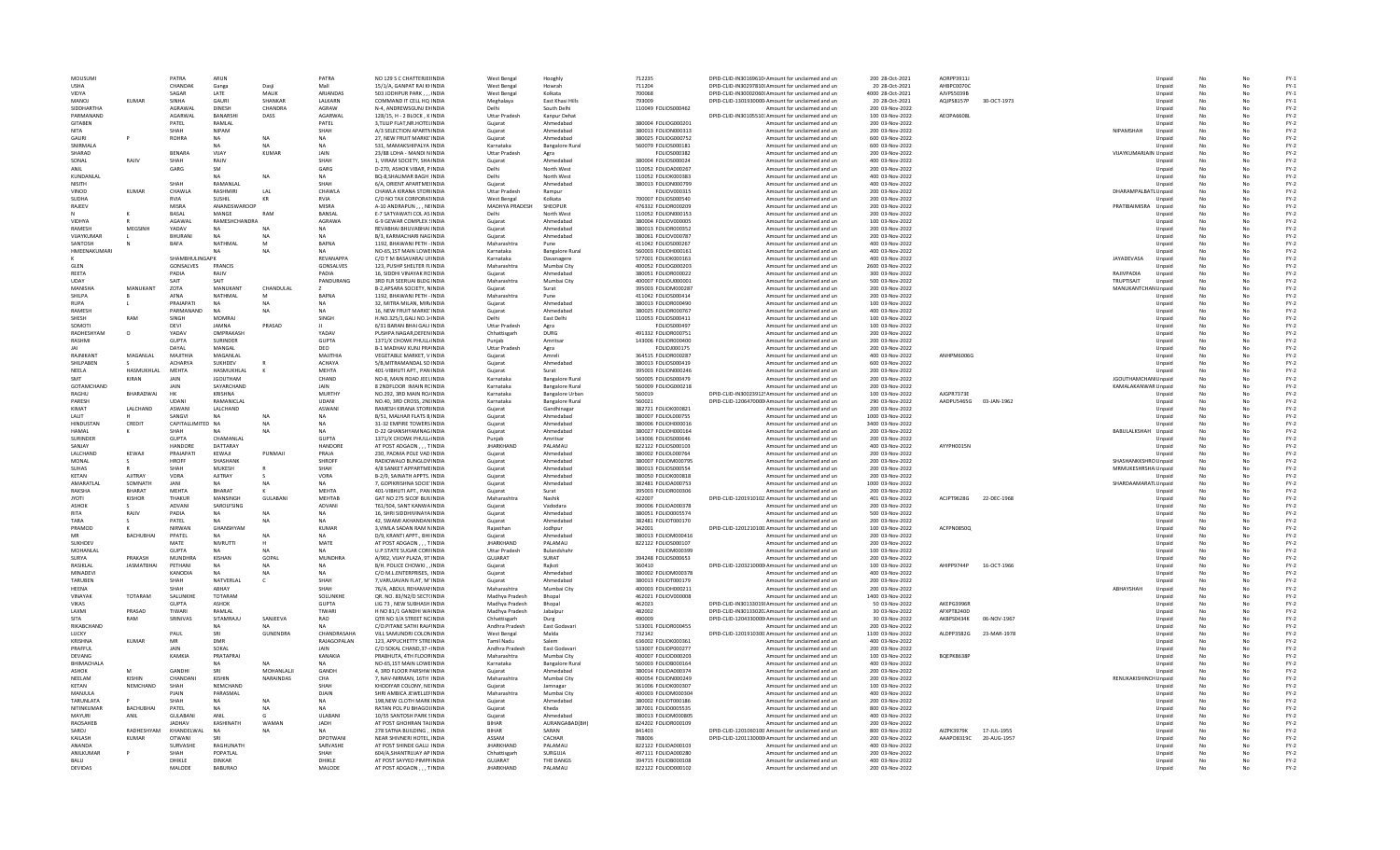| MOUSUMI                     |                   | PATRA                 | ARUN                            |                         | PATRA                      | NO 129 S C CHATTERJEHNDIA                                | <b>West Bengal</b>            | Hooghly                             | 712235                                     | DPID-CLID-IN30169610 Amount for unclaimed and un                                 | 200 28-Oct-2021                      | AORPP3911J |             |                       | Unpaid           | No              | No       | $FY-1$           |
|-----------------------------|-------------------|-----------------------|---------------------------------|-------------------------|----------------------------|----------------------------------------------------------|-------------------------------|-------------------------------------|--------------------------------------------|----------------------------------------------------------------------------------|--------------------------------------|------------|-------------|-----------------------|------------------|-----------------|----------|------------------|
| <b>USHA</b>                 |                   | CHANDAK               | Ganga                           | Dasii                   | Mall                       | 15/1/A. GANPAT RAI KHNDIA                                | <b>West Bengal</b>            | Howrah                              | 711204                                     | DPID-CLID-IN30297810I Amount for unclaimed and un                                | 20 28-Oct-2021                       | AHBPC0070C |             |                       | Unpaid           | No              | No       | $FY-1$           |
| VIDYA                       |                   | SAGAR                 | LATE                            | MALIK                   | ARJANDAS                   | 503 JODHPUR PARK,,,INDIA                                 | <b>West Bengal</b>            | Kolkata                             | 700068                                     | DPID-CLID-IN30002060I Amount for unclaimed and un                                | 4000 28-Oct-2021                     | AJVPS5039B |             |                       | Unpaid           | No              |          | $FY-1$           |
| MANOJ<br>SIDDHARTHA         | <b>KUMAR</b>      | SINHA<br>AGRAWAI      | GAURI                           | SHANKAR<br>CHANDRA      | LALKARN<br>AGRAW           | COMMAND IT CELL HO INDIA                                 | Meghalaya                     | East Khasi Hills<br>South Delhi     | 793009                                     | DPID-CLID-1301930000 Amount for unclaimed and un                                 | 20 28-Oct-2021                       | AQJPS8157P | 30-OCT-1973 |                       | Unpaid           | No              | No       | $FY-1$           |
| PARMANAND                   |                   | AGARWAL               | <b>DINESH</b><br><b>BANARSH</b> | DASS                    | AGARWAI                    | N-4. ANDREWSGUNJ EXINDIA<br>128/15, H - 2 BLOCK, K INDIA | Delhi<br><b>Uttar Pradesh</b> | Kanpur Dehat                        | 110049 FOLIOS000462                        | Amount for unclaimed and un<br>DPID-CLID-IN30105510: Amount for unclaimed and un | 200 03-Nov-2022<br>100 03-Nov-2022   | AEOPA6608  |             |                       | Unpaid<br>Unpaid | No<br>No        | No       | $FY-2$<br>$FY-2$ |
| <b>GITABEN</b>              |                   | PATEL                 | RAMLAL                          |                         | PATEL                      | 3.TULIP FLAT.NR.HOTELINDIA                               | Gujarat                       | Ahmedabad                           | 380004 FOLIOG000201                        | Amount for unclaimed and un                                                      | 200 03-Nov-2022                      |            |             |                       | Unpaid           | No              | No       | $FY-2$           |
| <b>NITA</b>                 |                   | <b>SHAH</b>           | <b>NIPAM</b>                    |                         | SHAH                       | A/3 SELECTION APARTMINDIA                                | Gujarat                       | Ahmedabad                           | 380013 FOLION000313                        | Amount for unclaimed and un                                                      | 200 03-Nov-2022                      |            |             | NIPAMSHAH             | Unpaid           | No              |          | $FY-2$           |
| GAURI                       |                   | <b>ROHRA</b>          | <b>NA</b>                       | <b>NA</b>               | <b>NA</b>                  | 27. NEW FRUIT MARKE INDIA                                | Guiarat                       | Ahmedabad                           | 380025 FOLIOG000752                        | Amount for unclaimed and un                                                      | 600 03-Nov-2022                      |            |             |                       | Unpaid           | No              | No       | $FY-2$           |
| SNIRMALA                    |                   |                       | <b>NA</b>                       | <b>NA</b>               | <b>NA</b>                  | 531. MAMAKSHIPALYA INDIA                                 | Karnataka                     | <b>Bangalore Rural</b>              | 560079 FOLIOS000181                        | Amount for unclaimed and un                                                      | 600 03-Nov-2022                      |            |             |                       | Unpaid           | No              | No       | $FY-2$           |
| SHARAD                      |                   | <b>BENARA</b>         | VIJAY                           | KUMAR                   | JAIN                       | 23/88 LOHA - MANDI N INDIA                               | <b>Uttar Pradesh</b>          | Agra                                | FOLIOS000382                               | Amount for unclaimed and un                                                      | 200 03-Nov-2022                      |            |             | VIJAYKUMARJAIN Unpaid |                  | No              |          | $FY-2$           |
| SONAL                       | RAJIV             | SHAH                  | RAJIV                           |                         | <b>SHAI</b>                | 1. VIRAM SOCIETY, SHAINDIA                               | Guiarat                       | Ahmedabad                           | 380004 FOLIOS000024                        | Amount for unclaimed and un                                                      | 400 03-Nov-2022                      |            |             |                       | Unpaid           | <b>No</b>       | No       | $FY-2$           |
| ANIL                        |                   | GARG                  | SM                              | <b>NA</b>               | GARG                       | D-270, ASHOK VIBAR, P INDIA                              | Delhi                         | North West                          | 110052 FOLIOA000267                        | Amount for unclaimed and un                                                      | 200 03-Nov-2022                      |            |             |                       | Unpaid           | No              |          | $FY-2$<br>$FY-2$ |
| KUNDANLAL<br>NISITH         |                   | SHAH                  | <b>NA</b><br>RAMANLAL           |                         | NA<br>SHAH                 | BO-8.SHALIMAR BAGH INDIA<br>6/A, ORIENT APARTMEIINDIA    | Delhi<br>Gujarat              | North West<br>Ahmedahad             | 110052 FOLIOK000383<br>380013 FOLION000799 | Amount for unclaimed and un                                                      | 400 03-Nov-2022<br>400 03-Nov-2022   |            |             |                       | Unpaid           | No              | No<br>No | $FY-2$           |
| VINOD                       | KUMAR             | CHAWLA                | RASHMIRI                        | LAL                     | CHAWLA                     | CHAWLA KIRANA STORI INDIA                                | <b>Uttar Pradesh</b>          | Rampur                              | FOLIOV000315                               | Amount for unclaimed and un<br>Amount for unclaimed and un                       | 200 03-Nov-2022                      |            |             | DHARAMPALBATL Unpaid  | Unpaid           | No<br>No        |          | $FY-2$           |
| SUDHA                       |                   | <b>RVIA</b>           | SUSHIL                          | KR                      | RVIA                       | C/O NO TAX CORPORATINDIA                                 | West Bengal                   | Kolkata                             | 700007 FOLIOS000540                        | Amount for unclaimed and un                                                      | 200 03-Nov-2022                      |            |             |                       | Unpaid           | No              |          | $FY-2$           |
| RAJEEV                      |                   | MISRA                 | ANANDSWAROOP                    |                         | MISRA                      | A-10 ANDRAPUN, , , NEINDIA                               | MADHYA PRADESH                | SHEOPUR                             | 476332 FOLIOR000209                        | Amount for unclaimed and un                                                      | 200 03-Nov-2022                      |            |             | PRATIBAIMISRA Unpaid  |                  | No              |          | $FY-2$           |
|                             |                   | BASAL                 | MANGE                           | RAM                     | BANSAL                     | E-7 SATYAWATI COL AS INDIA                               | Delhi                         | North West                          | 110052 FOLION000153                        | Amount for unclaimed and un                                                      | 200 03-Nov-2022                      |            |             |                       | Unpaid           | No              | No       | $FY-2$           |
| VIDHYA                      |                   | AGAWAI                | RAMESHCHANDRA                   |                         | AGRAWA                     | G-9 GEWAR COMPLEX (INDIA                                 | Gujarat                       | Ahmedahad                           | 380004 FOLIOV000005                        | Amount for unclaimed and un                                                      | 100 03-Nov-2022                      |            |             |                       | Unpaid           | No              | No       | $FY-2$           |
| <b>RAMESH</b>               | MEGSINH           | YADAV                 |                                 | <b>NA</b>               | NA                         | REVABHAI BHUVABHAI INDIA                                 | Gujarat                       | Ahmedabad                           | 380013 FOLIOR000352                        | Amount for unclaimed and un                                                      | 200 03-Nov-2022                      |            |             |                       | Unpaid           | No              |          | $FY-2$           |
| VUAYKUMAR                   |                   | <b>BHURANI</b>        | <b>NA</b>                       | <b>NA</b>               | <b>NA</b>                  | B/3, KARMACHARI NAGINDIA                                 | Guiarat                       | Ahmedabad                           | 380061 FOLIOV000787                        | Amount for unclaimed and un                                                      | 200 03-Nov-2022                      |            |             |                       | Unpaid           | <b>No</b>       | No       | $FY-2$           |
| SANTOSH                     |                   | BAFA                  | <b>NATHMA</b>                   | M                       | <b>BAFNA</b>               | 1192, BHAWANI PETH - INDIA                               | Maharashtra                   | Pune                                | 411042 FOLIOS000267                        | Amount for unclaimed and un                                                      | 400 03-Nov-2022                      |            |             |                       | Unpaid           | No              |          | $FY-2$           |
| <b>HMEENAKUMARI</b>         |                   | SHAMBHULINGAPK        | NA                              | <b>NA</b>               | <b>NA</b><br>RFVANAPPA     | NO-65.1ST MAIN LOWEINDIA<br>C/O T M BASAVARAJ UFINDIA    | Karnataka<br>Karnataka        | <b>Bangalore Rural</b>              | 560003 FOLIOH000161<br>577001 FOLIOK000163 | Amount for unclaimed and un                                                      | 400 03-Nov-2022                      |            |             |                       | Unpaid           | No              | No       | $FY-2$           |
| <b>GLEN</b>                 |                   | GONSALVES             | <b>FRANCIS</b>                  |                         | GONSALVES                  | 123, PUSHP SHELTER FLINDIA                               | Maharashtra                   | Davanagere<br>Mumbai City           | 400052 FOLIOG000203                        | Amount for unclaimed and un<br>Amount for unclaimed and un                       | 400 03-Nov-2022<br>2600 03-Nov-2022  |            |             | JAYADEVASA            | Unpaid<br>Unpaid | No<br>No        | No       | $FY-2$<br>$FY-2$ |
| REETA                       |                   | PADIA                 | RAJIV                           |                         | PADIA                      | 16. SIDDHI VINAYAK RCINDIA                               | Guiarat                       | Ahmedabad                           | 380051 FOLIOR000022                        | Amount for unclaimed and un                                                      | 300 03-Nov-2022                      |            |             | RAJIVPADIA            | Unpaid           | No              | No       | $FY-2$           |
| <b>UDAY</b>                 |                   | SAIT                  | SAIT                            |                         | PANDURANG                  | 3RD FLR SEERUAI BLDG INDIA                               | Maharashtra                   | Mumbai City                         | 400007 FOLIOU000001                        | Amount for unclaimed and un                                                      | 500 03-Nov-2022                      |            |             | TRUPTISAIT            | Unpaid           | No              |          | $FY-2$           |
| MANISHA                     | <b>MANUKANT</b>   | ZOTA                  | MANUKANT                        | CHANDULAL               |                            | B-2.APSARA SOCIETY, NINDIA                               | Guiarat                       | Surat                               | 395003 FOLIOM000287                        | Amount for unclaimed and un                                                      | 200 03-Nov-2022                      |            |             | MANUKANTCHAN Unpaid   |                  | No              | No       | $FY-2$           |
| <b>SHILPA</b>               |                   | AFNA                  | NATHMAI                         | M                       | <b>BAFNA</b>               | 1192. BHAWANI PETH - INDIA                               | Maharashtra                   | Pune                                | 411042 FOLIOS000414                        | Amount for unclaimed and un                                                      | 200 03-Nov-2022                      |            |             |                       | Unpaid           | No              | No       | $FY-2$           |
| RUPA                        |                   | PRAIAPATI             | NA                              | <b>NA</b>               | NΔ                         | 32. MITRA MILAN, MIR/INDIA                               | Gujarat                       | Ahmedahad                           | 380013 FOLIOR000490                        | Amount for unclaimed and un                                                      | 100 03-Nov-2022                      |            |             |                       | Unpaid           | No              |          | $FY-2$           |
| RAMESH                      |                   | PARMANAND             |                                 | <b>NA</b>               |                            | 16. NEW FRUIT MARKE INDIA                                | Gujarat                       | Ahmedabad                           | 380025 FOLIOR000767                        | Amount for unclaimed and un                                                      | 400 03-Nov-2022                      |            |             |                       | Unpaid           | <b>No</b>       | No       | $FY-2$           |
| SHESH                       | RAN               | SINGH                 | MOMRAJ                          |                         | SINGH                      | H.NO.325/1, GALI NO.1/INDIA                              | Delhi                         | East Delhi                          | 110053 FOLIOS000411                        | Amount for unclaimed and un                                                      | 100 03-Nov-2022                      |            |             |                       | Unpaid           | No              |          | $FY-2$           |
| SOMOT                       |                   | <b>DEVI</b><br>YADAV  | <b>JAMNA</b><br>OMPRAKASH       | PRASAD                  | YADAV                      | 6/31 BARAN BHAI GALI INDIA                               | <b>Uttar Pradesh</b>          | Agra                                | FOLIOS000497                               | Amount for unclaimed and un                                                      | 100 03-Nov-2022                      |            |             |                       | Unpaid           | No              | No       | $FY-2$           |
| RADHESHYAM<br>RASHMI        | $\Omega$          | GUPTA                 | <b>SURINDER</b>                 |                         | <b>GUPTA</b>               | PUSHPA NAGAR, DEFEN INDIA<br>1371/X CHOWK PHULL/INDIA    | Chhattisgarh<br>Punjab        | <b>DURG</b><br>Amritsar             | 491332 FOLIOR000751<br>143006 FOLIOR000400 | Amount for unclaimed and un<br>Amount for unclaimed and un                       | 200 03-Nov-2022<br>200 03-Nov-2022   |            |             |                       | Unpaid<br>Unpaid | No<br>No        | No       | $FY-2$<br>$FY-2$ |
|                             |                   | DAYAL                 | MANGAL                          |                         | DEO                        | <b>B-1 MADHAV KUNJ PRAINDIA</b>                          | <b>Uttar Pradesh</b>          | Agra                                | FOLIOJ000175                               | Amount for unclaimed and un                                                      | 200 03-Nov-2022                      |            |             |                       | Unpaid           | <b>No</b>       | No       | $FY-2$           |
| <b>RAJNIKAN</b>             | MAGANLAL          | MAJITHIA              | MAGANLAL                        |                         | MAJITHIA                   | VEGETABLE MARKET, V INDIA                                | Gujarat                       | Amreli                              | 364515 FOLIOR000287                        | Amount for unclaimed and un                                                      | 400 03-Nov-2022                      | ANHPM6006G |             |                       | Unpaid           | No              |          | $FY-2$           |
| SHILPABEN                   |                   | <b>ACHARYA</b>        | SUKHDEV                         |                         | <b>ACHAYA</b>              | 5/B.MITRAMANDAL SO INDIA                                 | Guiarat                       | Ahmedabad                           | 380013 FOLIOS000419                        | Amount for unclaimed and un                                                      | 600 03-Nov-2022                      |            |             |                       | Unpaid           | No              | No       | $FY-2$           |
| NEELA                       | HASMUKHLAL        | MEHTA                 | HASMUKHLAL                      | K                       | <b>MFHTA</b>               | 401-VIBHUTI APT., PAN INDIA                              | Gujarat                       | Surat                               | 395003 FOLION000246                        | Amount for unclaimed and un                                                      | 200 03-Nov-2022                      |            |             |                       | Unpaid           | No              | No       | $FY-2$           |
| SMT                         | <b>KIRAN</b>      | <b>JAIN</b>           | <b>JGOUTHAM</b>                 |                         | CHAND                      | NO-8, MAIN ROAD JEEL INDIA                               | Karnataka                     | <b>Bangalore Rural</b>              | 560005 FOLIOS000479                        | Amount for unclaimed and un                                                      | 200 03-Nov-2022                      |            |             | JGOUTHAMCHAN Unpaid   |                  | No              |          | $FY-2$           |
| <b>GOTAMCHAND</b>           |                   | JAIN                  | SAYARCHAND                      |                         | <b>JAIN</b>                | 8 2NDFLOOR IMAIN RCINDIA                                 | Karnataka                     | <b>Bangalore Rural</b>              | 560009 FOLIOG000218                        | Amount for unclaimed and un                                                      | 200 03-Nov-2022                      |            |             | KAMALAKANWAR Unpaid   |                  | <b>No</b>       | No       | $FY-2$           |
| RAGHU                       | BHARADWAJ         | HK                    | KRISHNA                         |                         | MURTHY                     | NO.292, 3RD MAIN RO/INDIA                                | Karnataka                     | <b>Bangalore Urbar</b>              | 560019                                     | DPID-CLID-IN30023912! Amount for unclaimed and un                                | 100 03-Nov-2022                      | AJGPR7373E |             |                       | Unpaid           | No              |          | $FY-2$           |
| PARESH                      |                   | <b>UDANI</b>          | RAMANICLAL                      |                         | <b>UDANI</b>               | NO.40, 3RD CROSS, 2NUNDIA                                | Karnataka                     | <b>Bangalore Rural</b>              | 560021                                     | DPID-CLID-1206470000 Amount for unclaimed and un                                 | 290 03-Nov-2022                      | AADPU5465G | 03-JAN-1962 |                       | Unpaid           | No              | No       | $FY-2$           |
| KIMAT                       | LALCHAND          | ASWANI                | LALCHAND<br>N A                 |                         | ASWANI<br>NΔ               | RAMESH KIRANA STORI INDIA                                | Gujarat                       | Gandhinagar                         | 382721 FOLIOK000821                        | Amount for unclaimed and un                                                      | 200 03-Nov-2022                      |            |             |                       | Unpaid           | No              | No       | $FY-2$           |
| <b>I ALIT</b><br>HINDUSTAN  | CREDIT            | SANGVI<br>CAPITALLIMI | D NA                            | <b>NA</b><br><b>NA</b>  | <b>NA</b>                  | B/51, MALHAR FLATS B INDIA<br>31-32 EMPIRE TOWERS INDIA  | Gujarat                       | Ahmedabad<br>Ahmedabad              | 380007 FOLIOL000755<br>380006 FOLIOH000016 | Amount for unclaimed and un                                                      | 1000 03-Nov-2022<br>3400 03-Nov-2022 |            |             |                       | Unpaid           | No<br><b>No</b> | No       | $FY-2$<br>$FY-2$ |
| HAMAL                       |                   | <b>SHAH</b>           |                                 |                         |                            | D-22 GHANSHYAMNAG INDIA                                  | Gujarat<br>Gujarat            | Ahmedabad                           | 380027 FOLIOH000164                        | Amount for unclaimed and un<br>Amount for unclaimed and un                       | 200 03-Nov-2022                      |            |             | BABULALKSHAH Unpaid   | Unpaid           | No              |          | $FY-2$           |
| SURINDER                    |                   | <b>GUPTA</b>          | CHAMANLAL                       |                         | <b>GUPTA</b>               | 1371/X CHOWK PHULL/INDIA                                 | Puniab                        | Amritsar                            | 143006 FOLIOS000646                        | Amount for unclaimed and un                                                      | 200 03-Nov-2022                      |            |             |                       | Unpaid           | No              | No       | $FY-2$           |
| SANIAY                      |                   | <b>HANDORF</b>        | DATTARAY                        |                         | HANDORE                    | AT POST ADGAON , , , TINDIA                              | <b>JHARKHAND</b>              | PALAMAU                             | 822122 FOLIOS000103                        | Amount for unclaimed and un                                                      | 400 03-Nov-2022                      | AYYPH0015N |             |                       | Unpaid           | No              | No       | $FY-2$           |
| LALCHAND                    | KEWAJI            | PRAJAPATI             | KEWAJI                          | PUNMAJI                 | PRAJA                      | 230, PADMA POLE VAD INDIA                                | Gujarat                       | Ahmedabad                           | 380002 FOLIOL000764                        | Amount for unclaimed and un                                                      | 200 03-Nov-2022                      |            |             |                       | Unpaid           | No              |          | $FY-2$           |
| MONAL                       |                   | <b>HROFF</b>          | SHASHANK                        |                         | <b>SHROFF</b>              | RADIOWALO BUNGLOV INDIA                                  | Gujarat                       | Ahmedabad                           | 380007 FOLIOM000795                        | Amount for unclaimed and un                                                      | 200 03-Nov-2022                      |            |             | SHASHANKKSHRO Unpaid  |                  | No              | No       | $FY-2$           |
| <b>SUHAS</b>                |                   | SHAH                  | MUKESH                          |                         | SHAH                       | 4/8 SANKET APPARTMEINDIA                                 | Gujarat                       | Ahmedabad                           | 380013 FOLIOS000554                        | Amount for unclaimed and un                                                      | 200 03-Nov-2022                      |            |             | MRMUKESHRSHA Unpaid   |                  | No              |          | $FY-2$           |
| KETAN                       | <b>AJITRAY</b>    | VORA                  | AJITRAY                         | -S                      | <b>VORA</b>                | B-2/9, SAINATH APPTS, INDIA                              | Guiarat                       | Ahmedabad                           | 380050 FOLIOK000818                        | Amount for unclaimed and un                                                      | 200 03-Nov-2022                      |            |             |                       | Unpaid           | No              | No       | $FY-2$           |
| AMARATLAL                   | SOMNATH           | JANI                  | <b>NA</b>                       | <b>NA</b>               | NA                         | 7, GOPIKRISHNA SOCIE INDIA                               | Gujarat                       | Ahmedahad                           | 382481 FOLIOA000753                        | Amount for unclaimed and un                                                      | 1000 03-Nov-2022                     |            |             | SHARDAAMARATI Unpaid  |                  | No              | No       | $FY-2$           |
| <b>RAKSHA</b>               | <b>BHARAT</b>     | MFHTA                 | <b>BHARAT</b>                   |                         | <b>MFHTA</b>               | 401-VIBHUTI APT., PAN INDIA                              | Gujarat                       | Surat                               | 395003 FOLIOR000306                        | Amount for unclaimed and un                                                      | 200 03-Nov-2022                      |            |             |                       | Unpaid           | No              |          | $FY-2$           |
| <b>JYOTI</b>                | KISHOR            | THAKUR                | MANSINGH<br>SAROLFSING          | <b>GULABANI</b>         | <b>MEHTAB</b><br>ADVANI    | GAT NO 275 SICOF BUILINDIA                               | Maharashtra                   | Nashik                              | 422007<br>390006 FOLIOA000378              | DPID-CLID-1201910102 Amount for unclaimed and un                                 | 401 03-Nov-2022<br>200 03-Nov-2022   | ACJPT9628G | 22-DEC-1968 |                       | Unpaid           | <b>No</b>       | No       | $FY-2$<br>$FY-2$ |
| <b>ASHOK</b><br><b>RITA</b> | RAJIV             | ADVANI<br>PADIA       | <b>NA</b>                       | <b>NA</b>               | NA                         | T61/504, SANT KANWA INDIA<br>16. SHRI SIDDHIVINAYA INDIA | Gujarat<br>Guiarat            | Vadodara<br>Ahmedabad               | 380051 FOLIO0005574                        | Amount for unclaimed and un<br>Amount for unclaimed and un                       | 500 03-Nov-2022                      |            |             |                       | Unpaid<br>Unpaid | No<br>No        | No       | $FY-2$           |
| TARA                        |                   | PATFI                 | <b>NA</b>                       | NA                      | NA                         | 42. SWAMI AKHANDAN INDIA                                 | Gujarat                       | Ahmedahad                           | 382481 FOLIOT000170                        | Amount for unclaimed and un                                                      | 200 03-Nov-2022                      |            |             |                       | Unpaid           | No              | No       | $FY-2$           |
| PRAMOD                      |                   | <b>NIRWAN</b>         | GHANSHYAM                       |                         | <b>KUMAR</b>               | 3. VIMLA SADAN RAM NINDIA                                | Rajasthan                     | Jodhpur                             | 342001                                     | DPID-CLID-1201210100 Amount for unclaimed and un                                 | 100 03-Nov-2022                      | ACFPN0850C |             |                       | Unpaid           | No              |          | $FY-2$           |
|                             | <b>BACHUBHA</b>   | PPATEL                |                                 | <b>NA</b>               | <b>NA</b>                  | D/9, KRANTI APPT., BHI INDIA                             | Guiarat                       | Ahmedabad                           | 380013 FOLIOM000416                        | Amount for unclaimed and un                                                      | 200 03-Nov-2022                      |            |             |                       | Unpaid           | <b>No</b>       | No       | $FY-2$           |
| <b>SUKHDEV</b>              |                   | MATE                  | NIVRUTTI                        |                         | MATE                       | AT POST ADGAON , , , TINDIA                              | <b>JHARKHAND</b>              | PALAMAU                             | 822122 FOLIOS000107                        | Amount for unclaimed and un                                                      | 200 03-Nov-2022                      |            |             |                       | Unpaid           | No              |          | $FY-2$           |
| MOHANLAL                    |                   | <b>GUPTA</b>          | <b>NA</b>                       | <b>NA</b>               | <b>NA</b>                  | <b>U.P.STATE SUGAR CORFINDIA</b>                         | <b>Uttar Pradesh</b>          | Bulandshahr                         | FOLIOM000399                               | Amount for unclaimed and un                                                      | 100 03-Nov-2022                      |            |             |                       | Unpaid           | No              | No       | $FY-2$           |
| SURYA                       | PRAKASH           | MUNDHRA               | KISHAN                          | GOPAI                   | <b>MUNDHRA</b>             | A/902, VIJAY PLAZA, 9T INDIA                             | GUJARAT                       | SURAT                               | 394248 FOLIOS000653                        | Amount for unclaimed and un                                                      | 200 03-Nov-2022                      |            |             |                       | Unpaid           | No              | No       | $FY-2$           |
| RASIKLAL                    | <b>JASMATBHAI</b> | PETHANI               | <b>NA</b>                       | <b>NA</b>               | NA                         | B/H. POLICE CHOWKI, , INDIA                              | Gujarat                       | Raikot                              | 360410                                     | DPID-CLID-1203210000 Amount for unclaimed and un                                 | 100 03-Nov-2022                      | AHIPP9744P | 16-OCT-1966 |                       | Unpaid           | No              |          | $FY-2$           |
| MINADEV                     |                   | KANODIA               | <b>NA</b>                       | <b>NA</b>               | <b>NA</b>                  | C/O M.L.ENTERPRISES. INDIA                               | Gujarat                       | Ahmedabad                           | 380002 FOLIOM000378                        | Amount for unclaimed and un                                                      | 400 03-Nov-2022                      |            |             |                       | Unpaid           | <b>No</b>       | No       | $FY-2$           |
| TARUBEN<br>HEENA            |                   | SHAH<br>SHAH          | NATVERLAL<br>ARHAY              | c                       | SHAH<br>SHAH               | 7, VARUJAVAN FLAT, M'INDIA<br>76/A. ABDUL REHAMANINDIA   | Gujarat<br>Maharashtra        | Ahmedabad<br>Mumbai City            | 380013 FOLIOT000179<br>400003 FOLIOH000211 | Amount for unclaimed and un<br>Amount for unclaimed and un                       | 200 03-Nov-2022<br>200 03-Nov-2022   |            |             | ABHAYSHAH             | Unpaid<br>Unpaid | No<br>No        | No       | $FY-2$<br>$FY-2$ |
| VINAYAK                     | <b>TOTARAM</b>    | SALUNKHE              | TOTARAM                         |                         | SOLUNKHE                   | QR. NO. 83/N2/D SECT(INDIA                               | Madhya Pradesh                | Bhopal                              | 462021 FOLIOV000008                        | Amount for unclaimed and un                                                      | 1400 03-Nov-2022                     |            |             |                       | Unpaid           | No              | No       | $FY-2$           |
| <b>VIKAS</b>                |                   | <b>GUPTA</b>          | <b>ASHOK</b>                    |                         | <b>GUPTA</b>               | LIG 73, NEW SUBHASH INDIA                                | Madhya Pradesh                | Bhopal                              | 462023                                     | DPID-CLID-IN30133019! Amount for unclaimed and un                                | 50 03-Nov-2022                       | AKEPG3996R |             |                       | Unpaid           | No              |          | $FY-2$           |
| LAXMI                       | PRASAD            | TIWARI                | RAMLAL                          |                         | TIWARI                     | H NO 81/1 GANDHI WAINDIA                                 | Madhya Pradesh                | Jabalpur                            | 482002                                     | DPID-CLID-IN30133020, Amount for unclaimed and un                                | 30 03-Nov-2022                       | AFXPT8240D |             |                       | Unpaid           | <b>No</b>       | No       | $FY-2$           |
| <b>SITA</b>                 | RAM               | SRINIVAS              | SITAMRAJU                       | SANJEEVA                | RAO                        | QTR NO 3/A STREET NC INDIA                               | Chhattisgarh                  | Durg                                | 490009                                     | DPID-CLID-1204330000 Amount for unclaimed and un                                 | 30 03-Nov-2022                       | AKBPS0434K | 06-NOV-1967 |                       | Unpaid           | No              |          | $FY-2$           |
| RIKABCHAND                  |                   |                       | <b>NA</b>                       |                         | NA                         | C/O.PITANE SATHI RAJAINDIA                               | Andhra Pradesh                | East Godavari                       | 533001 FOLIOR000455                        | Amount for unclaimed and un                                                      | 200 03-Nov-2022                      |            |             |                       | Unpaid           | No              | No       | $FY-2$           |
| LUCKY                       |                   | PAUL                  | SRI                             | GUNENDRA                | CHANDRASAHA                | VILL SAMUNDRI COLONINDIA                                 | <b>West Bengal</b>            | Malda                               | 732142                                     | DPID-CLID-1201910300 Amount for unclaimed and un                                 | 1100 03-Nov-2022                     | ALDPP3582G | 23-MAR-1978 |                       | Unpaid           | No              | No       | $FY-2$           |
| KRISHNA                     | <b>KUMAR</b>      | MR                    | DMR                             |                         | RAJAGOPALAN                | 123, APPUCHETTY STREINDIA                                | <b>Tamil Nadu</b>             | Salem                               | 636002 FOLIOK000361                        | Amount for unclaimed and un                                                      | 400 03-Nov-2022                      |            |             |                       | Unpaid           | No              |          | $FY-2$           |
| PRAFFUI                     |                   | JAIN                  | SOKAL                           |                         | JAIN                       | C/O SOKAL CHAND.37-4 INDIA                               | Andhra Pradesh                | East Godavari                       | 533007 FOLIOP000277                        | Amount for unclaimed and un                                                      | 200 03-Nov-2022                      |            |             |                       | Unpaid           | <b>No</b>       | No       | $FY-2$           |
| DEVANG                      |                   | KAMKIA                | PRATAPRAI                       |                         | KANAKIA                    | PRABHUTA, 4TH FLOORINDIA                                 | Maharashtra                   | Mumbai City                         | 400007 FOLIOD000203                        | Amount for unclaimed and un                                                      | 100 03-Nov-2022                      | BOEPK8638F |             |                       | Unpaid           | No              |          | $FY-2$<br>$FY-2$ |
| BHIMACHALA<br>ASHOK         |                   | <b>GANDHI</b>         | <b>NA</b><br>SRI                | <b>NA</b><br>MOHANLALII | NA<br>GANDH                | NO-65.1ST MAIN LOWEINDIA<br>4, 3RD FLOOR PARSHW INDIA    | Karnataka<br>Guiarat          | <b>Bangalore Rural</b><br>Ahmedahad | 560003 FOLIOB000164<br>380014 FOLIOA000374 | Amount for unclaimed and un                                                      | 400 03-Nov-2022<br>200 03-Nov-2022   |            |             |                       | Unpaid           | No<br>No        | No<br>No | $FY-2$           |
| NEELAM                      | KISHIN            | CHANDANI              | KISHIN                          | NARAINDAS               | CHA                        | 7, NAV-NIRMAN, 16TH INDIA                                | Maharashtra                   | Mumbai City                         | 400054 FOLION000249                        | Amount for unclaimed and un<br>Amount for unclaimed and un                       | 200 03-Nov-2022                      |            |             | RENUKAKISHINCHUnpaid  | Unpaid           | No              |          | $FY-2$           |
| KETAN                       | NEMCHAND          | SHAH                  | NEMCHAND                        |                         | SHAH                       | KHODIYAR COLONY, NEINDIA                                 | Guiarat                       | Jamnagar                            | 361006 FOLIOK000307                        | Amount for unclaimed and un                                                      | 100 03-Nov-2022                      |            |             |                       | Unpaid           | <b>No</b>       | No       | $FY-2$           |
| MANJULA                     |                   | PJAIN                 | PARASMAL                        |                         | DJAIN                      | SHRI AMBICA JEWELLEFINDIA                                | Maharashtra                   | Mumbai City                         | 400003 FOLIOM000304                        | Amount for unclaimed and un                                                      | 400 03-Nov-2022                      |            |             |                       | Unpaid           | No              |          | $FY-2$           |
| <b>TARUNLATA</b>            |                   | SHAH                  | <b>NA</b>                       | <b>NA</b>               | <b>NA</b>                  | 198.NEW CLOTH MARK INDIA                                 | Guiarat                       | Ahmedabad                           | 380002 FOLIOT000186                        | Amount for unclaimed and un                                                      | 200 03-Nov-2022                      |            |             |                       | Unpaid           | No              | No       | $FY-2$           |
| NITINKUMAR                  | BACHUBHA          | PATFI                 | <b>NA</b>                       | <b>NA</b>               | NA                         | RATAN POL PIJ BHAGOLINDIA                                | Gujarat                       | Kheda                               | 387001 FOLIO0005535                        | Amount for unclaimed and un                                                      | 800 03-Nov-2022                      |            |             |                       | Unpaid           | No              | No       | $FY-2$           |
| MAYURI                      | ANII              | <b>GUI ARANI</b>      | ANIL                            | $\mathbf{G}$            | ULABANI                    | 10/55 SANTOSH PARK SINDIA                                | Gujarat                       | Ahmedabad                           | 380013 FOLIOM000805                        | Amount for unclaimed and un                                                      | 400 03-Nov-2022                      |            |             |                       | Unpaid           | No              |          | $FY-2$           |
| RAOSAHEE                    |                   | <b>JADHAV</b>         | <b>KASHINATI</b>                | WAMAN                   | <b>JADH</b>                | AT POST GHOHRAN TALINDIA                                 | <b>BIHAR</b>                  | AURANGABAD(BH)                      | 824202 FOLIOR000109                        | Amount for unclaimed and un                                                      | 200 03-Nov-2022                      |            |             |                       | Unpaid           | <b>No</b>       |          | $FY-2$           |
| SAROJ                       | RADHESHYAM        | KHANDELWAL            | NA                              |                         | NA                         | 278 SATNA BUILDING, INDIA                                | <b>BIHAR</b><br>ASSAM         | SARAN                               | 841403                                     | DPID-CLID-1201060100 Amount for unclaimed and un                                 | 800 03-Nov-2022                      | AIZPK3979K | 17-JUL-1955 |                       | Unpaid           | No              |          | $FY-2$<br>$FY-2$ |
| KAILASH<br>ANANDA           | <b>KUMAR</b>      | OTWANI<br>SURVASHE    | RAGHUNATH                       |                         | <b>DPOTWAN</b><br>SARVASHE | NEAR SHIVNERI HOTEL, INDIA<br>AT POST SHINDE GALLI INDIA | <b>IHARKHAND</b>              | CACHAR<br><b>PALAMAU</b>            | 788006<br>822122 FOLIOA000103              | DPID-CLID-1201130000 Amount for unclaimed and un<br>Amount for unclaimed and un  | 200 03-Nov-2022<br>400 03-Nov-2022   | AAAPO8319C | 20-AUG-1957 |                       | Unpaid<br>Unpaid | No<br>No        | No<br>No | $FY-2$           |
| ANILKUMAR                   |                   | SHAH                  | POPATI AI                       |                         | SHAH                       | 604/A.SHANTRUJAY AP INDIA                                | Chhattisgarh                  | SURGUIA                             | 497111 FOLIOA000280                        | Amount for unclaimed and un                                                      | 200 03-Nov-2022                      |            |             |                       | Unpaid           | No              |          | $FY-2$           |
| BALU                        |                   | DHIKLE                | <b>DINKAR</b>                   |                         | DHIKLE                     | AT POST SAYYED PIMPFINDIA                                | GUJARAT                       | THE DANGS                           | 394715 FOLIOB000108                        | Amount for unclaimed and un                                                      | 400 03-Nov-2022                      |            |             |                       | Unpaid           | <b>No</b>       |          | $FY-2$           |
| <b>DEVIDAS</b>              |                   | MALODE                | <b>BABURAO</b>                  |                         | MALODE                     | AT POST ADGAON , , , TINDIA                              | <b>JHARKHAND</b>              | PALAMAU                             | 822122 FOLIOD000102                        | Amount for unclaimed and un                                                      | 200 03-Nov-2022                      |            |             |                       | Unpaid           | No              |          | $FY-2$           |
|                             |                   |                       |                                 |                         |                            |                                                          |                               |                                     |                                            |                                                                                  |                                      |            |             |                       |                  |                 |          |                  |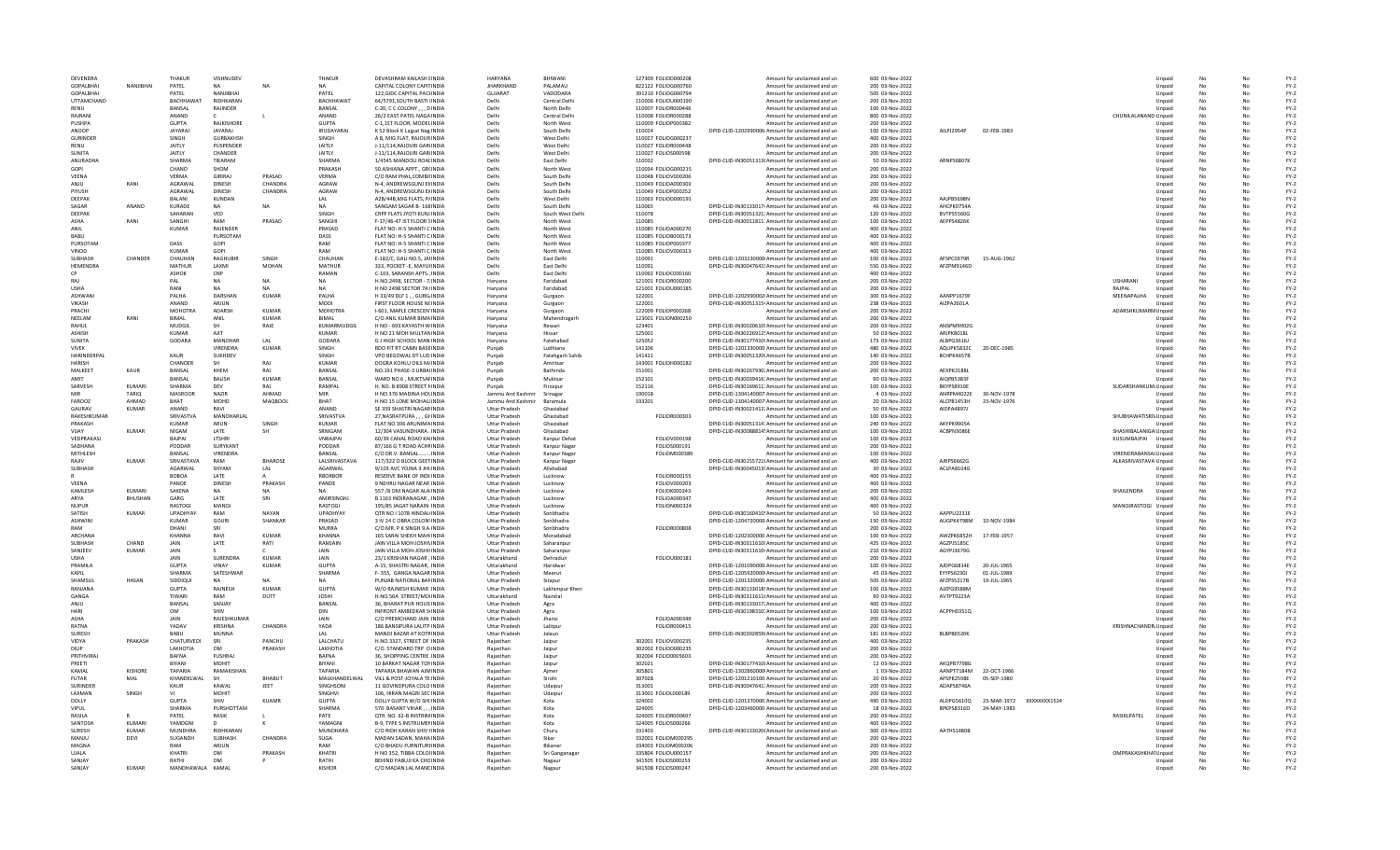| DEVENDRA                |                | THAKUR                         | VISHNUDEV                      |                       | THAKUR                         | DEVASHRAM KAILASH EINDIA                                   | HARVANA                                      | RHIWANI                  | 127309 FOLIOD000208                        | Amount for unclaimed and un                                                                            | 600 03-Nov-2022                    |                          |                             |                       | Unpaid           | No       |    | $FY-2$           |
|-------------------------|----------------|--------------------------------|--------------------------------|-----------------------|--------------------------------|------------------------------------------------------------|----------------------------------------------|--------------------------|--------------------------------------------|--------------------------------------------------------------------------------------------------------|------------------------------------|--------------------------|-----------------------------|-----------------------|------------------|----------|----|------------------|
| <b>GOPALBHA</b>         | NANJIBHAI      | PATEL                          |                                |                       |                                | CAPITAL COLONY CAPITINDI                                   | <b>JHARKHAND</b>                             | PALAMAL                  | 822122 FOLIOG000760                        | Amount for unclaimed and un                                                                            | 200 03-Nov-2022                    |                          |                             |                       | Unpaid           |          |    | $FY-2$           |
| GOPALBHAI               |                | PATEL                          | NANJIBHA                       |                       | PATEL                          | 122, GIDC CAPITAL PACHNDIA                                 | GUJARAT                                      | VADODARA                 | 391210 FOLIOG000794                        | Amount for unclaimed and un                                                                            | 500 03-Nov-2022                    |                          |                             |                       | Unpaid           |          |    | $FY-2$           |
| UTTAMCHAND              |                | <b>BACHHAWAT</b>               | RIDHKARAN                      |                       | BACHHAWAT                      | 64/5791.SOUTH BASTI IINDIA                                 | Delhi                                        | Central Delhi            | 110006 FOLIOU000190                        | Amount for unclaimed and un                                                                            | 200 03-Nov-2022                    |                          |                             |                       | Unpaid           | No       | No | $FY-2$           |
| RENU                    |                | <b>RANSAL</b>                  | RAJINDER                       |                       | <b>BANSAL</b>                  | C-20, C C COLONY DINDIA                                    | Delhi                                        | North Delhi              | 110007 FOLIOR000446                        | Amount for unclaimed and un                                                                            | 100 03-Nov-2022                    |                          |                             |                       | Unpaid           | No       | Nr | $FY-2$           |
| RAIRANI                 |                | ANAND                          |                                |                       | ANAND                          | 26/2 EAST PATEL NAGA INDIA                                 | Delhi                                        | Central Delhi            | 110008 FOLIOR000288                        | Amount for unclaimed and un                                                                            | 800 03-Nov-2022                    |                          |                             | CHUNILALANAND Unpaid  |                  |          |    | $FY-2$           |
| PUSHPA                  |                | <b>GUPTA</b>                   | RAJKISHORE                     |                       | <b>GUPTA</b>                   | C-1.1ST FLOOR, MODEL INDU                                  | Delhi                                        | North West               | 110009 FOLIOP000382                        | Amount for unclaimed and un                                                                            | 200 03-Nov-2022                    |                          |                             |                       | Unpaid           | No       |    | $FY-2$           |
| ANOOP                   |                | <b>JAYARA</b>                  | JAYARAJ                        |                       | IRUDAYARAJ                     | K 52 Block K Lajpat Nag INDIA                              | Delhi                                        | South Delhi              | 110024                                     | DPID-CLID-1202990006 Amount for unclaimed and un                                                       | 100 03-Nov-2022                    | AILPJ2954P               | 02-FEB-1983                 |                       | Unpaid           |          |    | $FY-2$           |
| <b>GURINDER</b><br>RENU |                | SINGH                          | <b>GURBAKHSH</b>               |                       | SINGH                          | A B. MIG FLAT. RAJOUR INDIA                                | Delhi                                        | West Delhi               | 110027 FOLIOG000237                        | Amount for unclaimed and un                                                                            | 400 03-Nov-2022                    |                          |                             |                       | Unpaid           | No       | No | $FY-2$           |
| SUNITA                  |                | <b>JAITLY</b><br><b>JAITLY</b> | PUSPENDER<br>CHANDER           |                       | <b>JAITLY</b><br><b>JAITLY</b> | J-11/114, RAJOURI GARIINDIA<br>J-11/114, RAJOURI GARIINDIA | Delhi<br>Delhi                               | West Delhi<br>West Delhi | 110027 FOLIOR000448<br>110027 FOLIOS000598 | Amount for unclaimed and un<br>Amount for unclaimed and un                                             | 200 03-Nov-2022<br>200 03-Nov-2022 |                          |                             |                       | Unpaid<br>Unpaid | No       |    | $FY-2$<br>$FY-2$ |
| ANURADHA                |                | SHARMA                         | TIKARAM                        |                       | <b>SHARMA</b>                  | 1/4545 MANDOLI ROALINDL                                    | Delhi                                        | East Delhi               | 110032                                     | DPID-CLID-IN30051313I Amount for unclaimed and un                                                      | 50 03-Nov-2022                     | <b>ARNPS6807K</b>        |                             |                       | Unpaid           | No       |    | $FY-2$           |
| GOPI                    |                | CHAND                          | SHOM                           |                       | PRAKASH                        | 50.ASHIANA APPT., GR(INDIA                                 | Delhi                                        | North West               | 110034 FOLIOG000215                        | Amount for unclaimed and un                                                                            | 200 03-Nov-2022                    |                          |                             |                       | Unpaid           |          |    | $FY-2$           |
| VEENA                   |                | <b>VERMA</b>                   | GIRIRAJ                        | PRASAD                | <b>VERMA</b>                   | C/O RAM PHAL COMBINDIA                                     | Delhi                                        | South Delhi              | 110048 FOLIOV000206                        | Amount for unclaimed and un                                                                            | 200 03-Nov-2022                    |                          |                             |                       | Unpaid           | No       | No | $FY-2$           |
| ANJU                    | RANI           | AGRAWAI                        | <b>DINESH</b>                  | CHANDRA               | AGRAW                          | N-4, ANDREWSGUNJ EXINDIA                                   | Delhi                                        | South Delhi              | 110049 FOLIOA000303                        | Amount for unclaimed and un                                                                            | 200 03-Nov-2022                    |                          |                             |                       | Unpaid           | No       |    | $FY-2$           |
| PIYUSH                  |                | AGRAWAI                        | <b>DINESH</b>                  | CHANDRA               | AGRAW                          | N-4, ANDREWSGUNJ EXINDIA                                   | Delhi                                        | South Delhi              | 110049 FOLIOP000252                        | Amount for unclaimed and un                                                                            | 200 03-Nov-2022                    |                          |                             |                       | Unpaid           |          |    | $FY-2$           |
| DEEPAK                  |                | <b>BALANI</b>                  | <b>KUNDAN</b>                  |                       | LAL                            | A2B/44B.MIG FLATS, P/INDL                                  | Delhi                                        | West Delhi               | 110063 FOLIOD000191                        | Amount for unclaimed and un                                                                            | 200 03-Nov-2022                    | <b>AAJPB56981</b>        |                             |                       | Unpaid           | No       |    | $FY-2$           |
| SAGAR                   | ANAND          | KURADE                         | <b>NA</b>                      | <b>NA</b>             | <b>NA</b>                      | SANGAM SAGAR B-168INDIA                                    | Delhi                                        | South Delhi              | 110065                                     | DPID-CLID-IN30133017 <sup>,</sup> Amount for unclaimed and un                                          | 46 03-Nov-2022                     | AHCPK0754A               |                             |                       | Unpaid           |          |    | $FY-2$           |
| <b>DEEPAK</b>           |                | SAHARAN                        | VED                            |                       | SINGH                          | CRPF FLATS JYOTI KUNJ INDIA                                | Delhi                                        | South West Delh          | 110078                                     | DPID-CLID-IN30051321. Amount for unclaimed and un                                                      | 120 03-Nov-2022                    | BVTPS5560G               |                             |                       | Unpaid           | No       | No | $FY-2$           |
| ASHA                    | RANI           | SANGHI                         | RAM                            | PRASAD                | SANGHI                         | F-17/46-47 IST FLOOR SINDIA                                | Delhi                                        | North West               | 110085                                     | DPID-CLID-IN30011811: Amount for unclaimed and un                                                      | 100 03-Nov-2022                    | AEPPS4826K               |                             |                       | Unpaid           | No       |    | $FY-2$           |
| ANIL                    |                | <b>KUMAR</b>                   | RAJENDER                       |                       | PRASAD                         | FLAT NO: H-5 SHANTI C INDIA                                | Delhi                                        | North West               | 110085 FOLIOA000270                        | Amount for unclaimed and un                                                                            | 400 03-Nov-2022                    |                          |                             |                       | Unpaid           | No       |    | $FY-2$           |
| <b>BABLI</b>            |                |                                | PURSOTAM                       |                       | DASS                           | FLAT NO: H-5 SHANTI C INDIA                                | Delhi                                        | North West               | 110085 FOLIOB000173                        | Amount for unclaimed and un                                                                            | 400 03-Nov-2022                    |                          |                             |                       | Unpaid           | No       |    | $FY-2$           |
| PURSOTAM                |                | DASS                           | GOPI                           |                       | RAM                            | FLAT NO: H-5 SHANTI C INDIA                                | Delhi                                        | North West               | 110085 FOLIOP000377                        | Amount for unclaimed and un                                                                            | 400 03-Nov-2022                    |                          |                             |                       | Unpaid           |          |    | $FY-2$           |
| VINOD                   |                | KUMAR                          | GOPI                           |                       | RAM                            | FLAT NO: H-5 SHANTI C INDIA                                | Delhi                                        | North West               | 110085 FOLIOV000313                        | Amount for unclaimed and un                                                                            | 400 03-Nov-2022                    |                          |                             |                       | Unpaid           | No       | No | $FY-2$           |
| SURHASH<br>HEMENDRA     | CHANDER        | CHAUHAN<br><b>MATHUR</b>       | RAGHURIR<br>LAXMI              | <b>SINGH</b><br>MOHAN | CHAUHAN<br>MATHUR              | E-182/C, GALI NO.5, JAIINDIA<br>333, POCKET - E. MAYUHNDIA | Delhi<br>Delhi                               | East Delhi<br>East Delhi | 110091<br>110091                           | DPID-CLID-1203230000 Amount for unclaimed and un                                                       | 100 03-Nov-2022<br>550 03-Nov-2022 | AFSPC0379R<br>AFZPM9146D | 15-AUG-1962                 |                       | Unpaid           | No       |    | $FY-2$<br>$FY-2$ |
|                         |                | <b>ASHOK</b>                   | CNP                            |                       | RAMAN                          | C-103, SARANSH APTS., INDI                                 | Delhi                                        | East Delhi               | 110092 FOLIOC000160                        | DPID-CLID-IN30047641! Amount for unclaimed and un<br>Amount for unclaimed and un                       | 400 03-Nov-2022                    |                          |                             |                       | Unpaid           | No       |    | $FY-2$           |
| RAJ                     |                | PAL                            | <b>NA</b>                      |                       | <b>NA</b>                      | H.NO.2498, SECTOR - 7.INDIA                                | Haryana                                      | Faridabad                | 121001 FOLIOR000200                        | Amount for unclaimed and un                                                                            | 200 03-Nov-2022                    |                          |                             | USHARANI              | Unpaid<br>Unpaid |          |    | $FY-2$           |
| <b>USHA</b>             |                | RANI                           | <b>NA</b>                      | <b>NA</b>             | <b>NA</b>                      | H NO 2498 SECTOR 7A IINDIA                                 | Harvana                                      | Faridabad                | 121001 FOLIOU000185                        | Amount for unclaimed and un                                                                            | 200 03-Nov-2022                    |                          |                             | RAJPAL                | Unpaid           | No       | No | $FY-2$           |
| ASHWANI                 |                | PALHA                          | DARSHAN                        | KUMAR                 | PALHA                          | H 33/49 DLF 1 GURG INDIA                                   | Haryana                                      | Gurgaon                  | 122001                                     | DPID-CLID-1202990002 Amount for unclaimed and un                                                       | 300 03-Nov-2022                    | AANPP1679R               |                             | MEENAPALHA            | Unpaid           | No       |    | $FY-2$           |
| <b>VIKASH</b>           |                | ANAND                          | ARIUN                          |                       | MODI                           | FIRST FLOOR HOUSE NONDIA                                   | Haryana                                      | Gurgaon                  | 122001                                     | DPID-CLID-IN30051315 <sup>,</sup> Amount for unclaimed and un                                          | 238 03-Nov-2022                    | AIZPA2601A               |                             |                       | Unpaid           |          |    | $FY-2$           |
| PRACHI                  |                | <b>MOHOTR</b>                  | <b>ADARSH</b>                  | KUMAR                 | MOHOTRA                        | I-601. MAPLE CRESCEN INDI                                  | Haryana                                      | Gurgaon                  | 122009 FOLIOP000268                        | Amount for unclaimed and un                                                                            | 200 03-Nov-2022                    |                          |                             | ADARSHKUMARM Unpaid   |                  | No       |    | $FY-2$           |
| NEELAM                  | RANI           | BIMAL                          | ANIL                           | KUMAR                 | BIMAL                          | C/O ANIL KUMAR BIMA INDIA                                  | Haryana                                      | Mahendragarh             | 123001 FOLION000250                        | Amount for unclaimed and un                                                                            | 200 03-Nov-2022                    |                          |                             |                       | Unpaid           |          |    | $FY-2$           |
| RAHUL                   |                | MUDGIL                         | SH                             | RAJE                  | KUMARMUDGIL                    | H NO - 693 KAYASTH WINDIA                                  | Harvana                                      | Rewari                   | 123401                                     | DPID-CLID-IN30020610! Amount for unclaimed and un                                                      | 200 03-Nov-2022                    | ANSPM9902G               |                             |                       | Unpaid           | No       | No | $FY-2$           |
| <b>ASHISH</b>           |                | KUMAR                          | AIIT                           |                       | KUMAR                          | H NO 21 MOH MULTAN INDIA                                   | Haryana                                      | Hissar                   | 125001                                     | DPID-CLID-IN30226912! Amount for unclaimed and un                                                      | 50 03-Nov-2022                     | ARIPK8018L               |                             |                       | Unpaid           | No       |    | $FY-2$           |
| SUNITA                  |                | GODARA                         | MANOHAR                        | A                     | GODARA                         | <b>GJ HIGH SCHOOL MAN INDIA</b>                            | Haryana                                      | Fatehabad                | 125052                                     | DPID-CLID-IN30177410! Amount for unclaimed and un                                                      | 173 03-Nov-2022                    | ALBPG3616J               |                             |                       | Unpaid           | No       |    | $FY-2$           |
| <b>VIVEK</b>            |                |                                | <b>VIRENDRA</b>                | <b>KUMAR</b>          | SINGH                          | RDO FIT RT CABIN BASEINDL                                  | Punjab                                       | Ludhiana                 | 141106                                     | DPID-CLID-1201330000 Amount for unclaimed and un                                                       | 480 03-Nov-2022                    | AQUPK5832C               | 20-DEC-1985                 |                       | Unpaid           | No       |    | $FY-2$           |
| HARINDERPAI             |                | KAUR                           | SUKHDEV                        |                       | SINGH                          | VPO BEGOWAL DT LUD INDIA                                   | Punjab                                       | Fatehgarh Sahib          | 141421                                     | DPID-CLID-IN30051320I Amount for unclaimed and un                                                      | 140 03-Nov-2022                    | BCHPK4657B               |                             |                       | Unpaid           |          |    | $FY-2$           |
| <b>HARISH</b>           |                | CHANDER                        | <b>SH</b>                      | RAJ                   | <b>KUMAR</b>                   | DOGRA KOHLU OILS M/INDIA                                   | Puniab                                       | Amritsar                 | 143001 FOLIOH000182                        | Amount for unclaimed and un                                                                            | 200 03-Nov-2022                    |                          |                             |                       | Unpaid           | No       | No | $FY-2$           |
| MALKEET<br><b>AMIT</b>  | KAUR           | BANSAL                         | KHEM                           | RAI<br>KUMAR          | BANSAL                         | NO.191 PHASE-3 URBAIINDIA                                  | Punjab                                       | <b>Bathinda</b>          | 151001                                     | DPID-CLID-IN30267930. Amount for unclaimed and un                                                      | 200 03-Nov-2022                    | AEXPK2188L               |                             |                       | Unpaid           | No       |    | $FY-2$           |
| SARVESH                 | KUMARI         | BANSAL<br>SHARMA               | <b>BALISH</b><br>DEV           |                       | BANSAL<br>RAMPAL               | WARD NO 6, MUKTSAFINDIA<br>H. NO. B 8908 STREET NINDL      | Punjab                                       | Muktsar                  | 152101<br>152116                           | DPID-CLID-IN30039416: Amount for unclaimed and un<br>DPID-CLID-IN30169611: Amount for unclaimed and un | 90 03-Nov-2022<br>100 03-Nov-2022  | AIOPB5383F<br>BKYPS8910E |                             |                       | Unpaid           |          |    | $FY-2$<br>$FY-2$ |
|                         | TARIO          | <b>MASROOR</b>                 | NAZIR                          | RAJ<br>AHMAD          | MIR                            | H NO 376 MADINA HOLINDIA                                   | Puniab<br>Jammu And Kashmir                  | Firozpur                 | 190018                                     | DPID-CLID-1304140007 Amount for unclaimed and un                                                       | 4 03-Nov-2022                      | ANRPM4022E               | 30-NOV-1978                 | SUDARSHANKUM. Unpaid  |                  | No       |    | $FY-2$           |
| FAROOZ                  | AHMAD          | <b>RHAT</b>                    | MOHD                           | MAOBOOL               | <b>BHAT</b>                    | H NO 15 LONE MOHALLINDIA                                   | Jammu And Kashmir                            | Srinagar<br>Baramula     | 193201                                     | DPID-CLID-1304140007. Amount for unclaimed and un                                                      | 20 03-Nov-2022                     | ALCPB1453H               | 23-NOV-1976                 |                       | Unpaid<br>Unpaid | No       | No | $FY-2$           |
| GAURAV                  | <b>KUMAR</b>   | ANAND                          | RAVI                           |                       | ANAND                          | SE 359 SHASTRI NAGAR INDIA                                 | <b>Uttar Pradesh</b>                         | Ghaziabad                |                                            | DPID-CLID-IN30021412. Amount for unclaimed and un                                                      | 50 03-Nov-2022                     | AIDPA4897J               |                             |                       | Unpaid           |          |    | $FY-2$           |
| RAKESHKUMAR             |                | SRIVASTVA                      | MANOHARLAL                     |                       | SRIVASTVA                      | 27, NASRATPURA,,, GHNDIA                                   | <b>Uttar Pradesh</b>                         | Ghaziabad                | FOLIOR000303                               | Amount for unclaimed and un                                                                            | 100 03-Nov-2022                    |                          |                             | SHUBHAWATISRI\ Unpaid |                  |          |    | $FY-2$           |
| PRAKASH                 |                | <b>KUMAR</b>                   | ARUN                           | SINGH                 | KUMAR                          | FLAT NO 306 ARUNIMA INDI                                   | <b>Uttar Pradesh</b>                         | Ghaziabad                |                                            | DPID-CLID-IN30051314: Amount for unclaimed and un                                                      | 240 03-Nov-2022                    | AKYPK9905/               |                             |                       | Unpaid           |          |    | $FY-2$           |
| VIJAY                   | <b>KUMAR</b>   | NIGAM                          | LATE                           |                       | SRNIGAM                        | 12/304 VASUNDHARA . INDIA                                  | <b>Uttar Pradesh</b>                         | Ghaziabad                |                                            | DPID-CLID-IN30088814! Amount for unclaimed and un                                                      | 100 03-Nov-2022                    | ACBPN3086E               |                             | SHASHIBALANIGA Unpaid |                  |          |    | $FY-2$           |
| VEDPRAKASJ              |                | BAJPAI                         | LTSHRI                         |                       | VNBAJPAI                       | 60/39 CANAL ROAD KAIINDIA                                  | <b>Uttar Pradesh</b>                         | Kanpur Dehat             | FOLIOV000198                               | Amount for unclaimed and un                                                                            | 100 03-Nov-2022                    |                          |                             | KUSUMBAJPAI Unpaid    |                  | No       | No | $FY-2$           |
| SADHANA                 |                | PODDAR                         | SURYKANT                       |                       | PODDAR                         | 87/166 G T ROAD ACHRINDIA                                  | <b>Uttar Pradesh</b>                         | Kanpur Nagar             | FOLIOS000191                               | Amount for unclaimed and un                                                                            | 200 03-Nov-2022                    |                          |                             |                       | Unpaid           |          |    | $FY-2$           |
| MITHLESH                |                | BANSAL                         | VIRENDRA                       |                       | BANSAL                         | C/O DR.V. BANSAL  INDIA                                    | <b>Uttar Pradesh</b>                         | Kanpur Naga              | FOLIOM000389                               | Amount for unclaimed and un                                                                            | 100 03-Nov-2022                    |                          |                             | VIRENDRABANSAL Unpaid |                  |          |    | $FY-2$           |
| RAJIV                   | <b>KUMAR</b>   | SRIVASTAV/                     | RAM                            | <b>BHAROSE</b>        | LALSRIVASTAVA                  | 117/322 O BLOCK GEET INDIA                                 | <b>Uttar Pradesh</b>                         | Kanpur Nagar             |                                            | DPID-CLID-IN30155721(Amount for unclaimed and un                                                       | 400 03-Nov-2022                    | AJRPS6662G               |                             | ALKASRIVASTAVA Unpaid |                  | No       |    | $FY-2$           |
| SUBHASH                 |                | AGARWAL                        | SHYAM                          | LAL                   | AGARWAL                        | 9/103 AVC YOJNA 3 JHLINDIA                                 | <b>Uttar Pradesh</b>                         | Allahabad                |                                            | DPID-CLID-IN30045013! Amount for unclaimed and un                                                      | 30 03-Nov-2022                     | ACLPA8104G               |                             |                       | Unpaid           |          |    | $FY-2$           |
|                         |                | <b>BOBOA</b>                   | <b>LATE</b>                    |                       | <b>RBORBOR</b>                 | <b>RESERVE BANK OF INDUNDIA</b>                            | <b>Uttar Pradesh</b>                         | Lucknow                  | <b>FOLIOR000155</b>                        | Amount for unclaimed and un                                                                            | 400 03-Nov-2022                    |                          |                             |                       | Unpaid           | No       | No | $FY-2$           |
| VEENA                   |                | PANDE                          | <b>DINESH</b>                  | PRAKASH               | PANDE                          | 9 NEHRU NAGAR NEAR INDIA                                   | <b>Uttar Pradesh</b>                         | Lucknow                  | FOLIOV000203                               | Amount for unclaimed and un                                                                            | 400 03-Nov-2022                    |                          |                             |                       | Unpaid           | No       |    | $FY-2$           |
| KAMLESH                 | KUMARI         | SAXENA                         | <b>NA</b>                      | NΔ                    | NΔ                             | 557 /8 OM NAGAR ALA INDIA                                  | <b>Uttar Pradesh</b>                         | Lucknow                  | <b>FOLIOK000243</b>                        | Amount for unclaimed and un                                                                            | 200 03-Nov-2022                    |                          |                             | SHAILENDRA            | Unpaid           |          |    | $FY-2$           |
| ARYA                    | BHUSHAN        | GARG                           | LATE                           | SRI                   | AMIRSINGHJ                     | B 1163 INDIRANAGAR, INDIA                                  | <b>Uttar Pradesh</b>                         | Lucknow                  | FOLIOA000347                               | Amount for unclaimed and un                                                                            | 400 03-Nov-2022                    |                          |                             |                       | Unpaid           | No       |    | $FY-2$           |
| <b>NUPUR</b><br>SATISH  | <b>KUMAR</b>   | <b>RASTOGI</b>                 | <b>MANOJ</b><br>RAM            | <b>NAYAN</b>          | RASTOGI                        | 195/85 JAGAT NARAIN INDIA                                  | <b>Uttar Pradesh</b>                         | Lucknow                  | FOLION000324                               | Amount for unclaimed and un<br>DPID-CLID-IN30160410! Amount for unclaimed and un                       | 400 03-Nov-2022                    | AAPPU2231E               |                             | MANOJRASTOGI Unpaid   |                  |          | No | $FY-2$<br>$FY-2$ |
| <b>ASHWINI</b>          |                | UPADHYAY<br>KUMAR              | GOURI                          | <b>SHANKAR</b>        | UPADHYAY<br>PRASAD             | OTR NO I 1078 HINDALINDIA<br>3 IV 24 C OBRA COLON\INDIA    | <b>Uttar Pradesh</b><br><b>Uttar Pradesh</b> | Sonbhadra<br>Sonbhadra   |                                            | DPID-CLID-1204720000 Amount for unclaimed and un                                                       | 50 03-Nov-2022<br>150 03-Nov-2022  | AUGPK4798M               | 10-NOV-1984                 |                       | Unpaid<br>Unpaid | No<br>No |    | $FY-2$           |
| RAM                     |                | DHANI                          | SRI                            |                       | MURRA                          | C/O.MR. P K SINGH 9.A INDIA                                | <b>Uttar Pradesh</b>                         | Sonbhadra                | <b>FOLIOR000808</b>                        | Amount for unclaimed and un                                                                            | 200 03-Nov-2022                    |                          |                             |                       | Unpaid           | No       |    | $FY-2$           |
| <b>ARCHANA</b>          |                | <b>KHANNA</b>                  | RAVI                           | KUMAR                 | KHANNA                         | 165 SARAI SHEKH MAH INDI                                   | <b>Uttar Pradesh</b>                         | Moradabac                |                                            | DPID-CLID-1202300000. Amount for unclaimed and un                                                      | 100 03-Nov-2022                    | AWZPK6852H               | 17-FEB-1957                 |                       | Unpaid           | No       |    | $FY-2$           |
| SUBHASH                 | CHAND          | JAIN                           | LATE                           | RATI                  | RAMJAIN                        | JAIN VILLA MOH JOSHIVINDIA                                 | <b>Uttar Pradesh</b>                         | Saharanpur               |                                            | DPID-CLID-IN30311610I Amount for unclaimed and un                                                      | 425 03-Nov-2022                    | AGZPJ5185C               |                             |                       | Unpaid           |          |    | $FY-2$           |
| SANJEEV                 | <b>KUMAR</b>   | JAIN                           |                                |                       | JAIN                           | JAIN VILLA MOH-JOSHNINDIA                                  | <b>Uttar Pradesh</b>                         | Saharanpur               |                                            | DPID-CLID-IN30311610 Amount for unclaimed and un                                                       | 210 03-Nov-2022                    | AGYPJ3679G               |                             |                       | Unpaid           | No       | No | $FY-2$           |
| <b>LISHA</b>            |                | <b>JAIN</b>                    | SURENDRA                       | KUMAR                 | <b>JAIN</b>                    | 23/1 KRISHAN NAGAR, INDIA                                  | Uttarakhand                                  | Dehradun                 | FOLIOU000181                               | Amount for unclaimed and un                                                                            | 200 03-Nov-2022                    |                          |                             |                       | Unpaid           | No       |    | $FY-2$           |
| <b>PRAMILA</b>          |                | GUPTA                          | VINAV                          | <b>KUMAR</b>          | GUPTA                          | A-15, SHASTRI NAGAR, INDIA                                 | Uttarakhand                                  | Haridwar                 |                                            | DPID-CLID-1201090000 Amount for unclaimed and un                                                       | 100 03-Nov-2022                    | AJDPG6814E               | 20-JUL-1965                 |                       | Unpaid           | No       |    | $FY-2$           |
| <b>KAPIL</b>            |                | <b>SHARMA</b>                  | SATESHWAR                      |                       | <b>SHARMA</b>                  | F-355, GANGA NAGAR INDI                                    | <b>Uttar Pradesh</b>                         | Meerut                   |                                            | DPID-CLID-1205920000 Amount for unclaimed and un                                                       | 45 03-Nov-2022                     | EYYPS6230J               | 01-JUL-1989                 |                       | Unpaid           | No       |    | $FY-2$           |
| SHAMSUL                 | <b>HASAN</b>   | SIDDIQUI                       |                                |                       |                                | PUNJAB NATIONAL BANINDIA                                   | <b>Uttar Pradesh</b>                         | Sitapur                  |                                            | DPID-CLID-1201320000. Amount for unclaimed and un                                                      | 500 03-Nov-2022                    | AFZPS5217B               | 19-JUL-1965                 |                       | Unpaid           |          |    | $FY-2$           |
| RANJANA                 |                | <b>GUPTA</b>                   | RAJNESH                        | KUMAR                 | <b>GUPTA</b>                   | W/O RAINESH KUMAR INDIA                                    | <b>Uttar Pradesh</b>                         | Lakhimpur Kheri          |                                            | DPID-CLID-IN30133018! Amount for unclaimed and un                                                      | 100 03-Nov-2022                    | AJZPG9588M               |                             |                       | Unpaid           | No       | No | $FY-2$           |
| GANGA                   |                | TIWARI                         | RAM                            | DUTT                  | <b>JOSHI</b>                   | H.NO.56A STREET/MOIINDIA                                   | Uttarakhand                                  | Nainital                 |                                            | DPID-CLID-IN30311611I Amount for unclaimed and un                                                      | 90 03-Nov-2022                     | AVTPT9223A               |                             |                       | Unpaid           | No       |    | $FY-2$           |
| ANJU                    |                | BANSAL                         | SANJAY                         |                       | BANSAL                         | 36. BHARAT PUR HOUS INDIA                                  | <b>Uttar Pradesh</b>                         | Agra                     |                                            | DPID-CLID-IN30133017. Amount for unclaimed and un                                                      | 400 03-Nov-2022                    |                          |                             |                       | Unpaid           |          |    | $FY-2$           |
| HARI                    |                | OM                             |                                |                       | DIN                            | <b>INFRONT AMBEDKAR SIINDL</b>                             | <b>Uttar Pradesh</b>                         | Agra                     |                                            | DPID-CLID-IN30198310: Amount for unclaimed and un                                                      | 100 03-Nov-2022                    | ACPPH03510               |                             |                       | Unpaid           | No       |    | $FY-2$           |
| ASHA                    |                | JAIN<br>YADAV                  | RAJESHKUMAR                    |                       | JAIN                           | C/O PREMCHAND JAIN INDIA                                   | <b>Uttar Pradesh</b>                         | Jhansi                   | FOLIOA000349                               | Amount for unclaimed and un                                                                            | 200 03-Nov-2022                    |                          |                             | KRISHNACHANDR, Unpaid | Unpaid           |          |    | $FY-2$<br>$FY-2$ |
| RATNA<br>SURESH         |                | BABU                           | <b>KRISHNA</b><br><b>MUNNA</b> | CHANDRA               | YADA<br>LAL                    | 186 BANSIPURA LALITP INDIA<br>MANDI BAZAR AT KOTRINDIA     | <b>Uttar Pradesh</b><br><b>Uttar Pradesh</b> | Lalitpur<br>Jalaun       | FOLIOR000415                               | Amount for unclaimed and un<br>DPID-CLID-IN30302859I Amount for unclaimed and un                       | 200 03-Nov-2022<br>181 03-Nov-2022 | BLBPB6520K               |                             |                       | Unpaid           | No<br>No | No | $FY-2$           |
| VIDYA                   | PRAKASH        | CHATURVEDI                     | SRI                            | PANCHU                | LALCHATU                       | H.NO.3327, STREET OF INDIA                                 | Rajasthan                                    | Jaipur                   | 302001 FOLIOV000235                        | Amount for unclaimed and un                                                                            | 400 03-Nov-2022                    |                          |                             |                       | Unpaid           |          |    | $FY-2$           |
| DILIP                   |                | LAKHOTIA                       | OM                             | PRAKASH               | LAKHOTIA                       | C/O. STANDARD TRP O INDI                                   | Raiasthan                                    | Jaipur                   | 302002 FOLIOD000235                        | Amount for unclaimed and un                                                                            | 200 03-Nov-2022                    |                          |                             |                       | Unpaid           | No       |    | $FY-2$           |
| PRITHVIRAJ              |                | BAFNA                          | <b>FUSHRAJ</b>                 |                       | BAFNA                          | 36, SHOPPING CENTRE INDIA                                  | Rajasthan                                    | Jaipur                   | 302004 FOLIO0005603                        | Amount for unclaimed and un                                                                            | 200 03-Nov-2022                    |                          |                             |                       | Unpaid           |          |    | $FY-2$           |
| PREETI                  |                | BIYANI                         | <b>MOHIT</b>                   |                       | BIYANI                         | 10 BARKAT NAGAR TON INDIA                                  | Raiasthan                                    | Jaipur                   | 302021                                     | DPID-CLID-IN30177410 Amount for unclaimed and un                                                       | 12 03-Nov-2022                     | AKOPB7798G               |                             |                       | Unpaid           | No       | No | $FY-2$           |
| KAMAI                   | <b>KISHORE</b> | <b>TAPARIA</b>                 | RAMAKISHAN                     |                       | <b>TAPARIA</b>                 | TAPARIA BHAWAN AJMINDIA                                    | Raiasthan                                    | Ajmer                    | 305801                                     | DPID-CLID-1302860000 Amount for unclaimed and un                                                       | 1 03-Nov-2022                      | AANPT7184M               | 22-OCT-1966                 |                       | Unpaid           | No       |    | $FY-2$           |
| FUTAR                   | MAL            | KHANDELWAL                     | -SF                            | BHABUT                | MALKHANDELWAL                  | VILL & POST-JOYALA TE INDIA                                | Raiasthan                                    | Sirohi                   | 307028                                     | DPID-CLID-1201210100 Amount for unclaimed and un                                                       | 20 03-Nov-2022                     | APSPK2598E               | 05-SEP-1980                 |                       | Unpaid           |          |    | $FY-2$           |
| SURINDER                |                | KAUR                           | KAWAL                          | JEET                  | SINGHSONI                      | 11 GOVINDPURA COLO INDI                                    | Raiasthan                                    | Udaipur                  | 313001                                     | DPID-CLID-IN30047641: Amount for unclaimed and un                                                      | 200 03-Nov-2022                    | ADAPS8746A               |                             |                       | Unpaid           | No       |    | $FY-2$           |
| LAXMAN                  | SINGH          |                                | MOHIT                          |                       | SINGHVI                        | 106, HIRAN MAGRI SEC INDIA                                 | Rajasthan                                    | Udaipur                  | 313001 FOLIOL000189                        | Amount for unclaimed and un                                                                            | 200 03-Nov-2022                    |                          |                             |                       | Unpaid           |          |    | $FY-2$           |
| DOLLY                   |                | <b>GUPTA</b>                   | SHIV                           | <b>KUAMR</b>          | <b>GUPTA</b>                   | DOLLY GUPTA W/O SHI INDIA                                  | Raiasthan                                    | Kota                     | 324002                                     | DPID-CLID-1201370000 Amount for unclaimed and un                                                       | 490 03-Nov-2022                    | ALDPG5610Q               | 23-MAR-1972<br>XXXXXXXX1524 |                       | Unpaid           | No       | No | $FY-2$           |
|                         |                |                                |                                |                       | SHARMA                         | 570 BASANT VIHAR INDIA                                     | Raiasthan                                    | Kota                     | 324005                                     | DPID-CLID-1203460000 Amount for unclaimed and un                                                       | 18 03-Nov-2022                     | BPKPS8316D               | 24-MAY-1983                 |                       | Unpaid           | No       |    | $FY-2$           |
| VIPUL                   |                | SHARMA                         | PURSHOTTAM                     |                       |                                |                                                            |                                              |                          | 324005 FOLIOR000407                        | Amount for unclaimed and un                                                                            | 200 03-Nov-2022                    |                          |                             |                       |                  |          |    | $FY-2$           |
| RASILA                  |                | PATEL                          | RASIK                          |                       | PATF                           | OTR. NO. 62-B INSTRIMINDIA                                 | Raiasthan                                    | Kota                     |                                            |                                                                                                        |                                    |                          |                             | RASIKLPATEL           | Unpaid           | No       |    |                  |
| SANTOSH                 | KUMARI         | YAMDGNI                        |                                |                       | YAMAGNI                        | <b>B-9. TYPE 5 INSTRUMENINDL</b>                           | Raiasthan                                    | Kota                     | 324005 FOLIOS000266                        | Amount for unclaimed and un                                                                            | 400 03-Nov-2022                    |                          |                             |                       | Unpaid           | No       |    | $FY-2$           |
| SURESH                  | <b>KUMAR</b>   | MUNDHRA                        | RIDHKARAN                      |                       | MUNDHARA                       | C/O RIDH KARAN SHIV IINDIA                                 | Rajasthan                                    | Churu                    | 331403                                     | DPID-CLID-IN30133020I Amount for unclaimed and un                                                      | 300 03-Nov-2022                    | AATHS1480E               |                             |                       | Unpaid           |          |    | $FY-2$           |
| MANJU<br>MAGNA          | <b>DEVI</b>    | SUGANDH<br>RAM                 | SUBHASH                        | CHANDRA               | SUGA<br>RAM                    | MADAN SADAN, MAHA INDIA                                    | Raiasthan                                    | Sikar                    | 332001 FOLIOM000295                        | Amount for unclaimed and un                                                                            | 200 03-Nov-2022                    |                          |                             |                       | Unpaid           | No       | Nr | $FY-2$           |
| <b>UIALA</b>            |                | KHATRI                         | ARJUN<br><b>OM</b>             | PRAKASH               | KHATRI                         | C/O BHADU FURNITURI INDIA<br>H NO 352, TIBBA COLOHNDIA     | Raiasthan<br>Raiasthan                       | Bikaner                  | 334003 FOLIOM000206<br>335804 FOLIOU000157 | Amount for unclaimed and un                                                                            | 200 03-Nov-2022<br>200 03-Nov-2022 |                          |                             |                       | Unpaid           | No<br>No |    | $FY-2$<br>$FY-2$ |
| SANJAY                  |                | RATHI                          | <b>OM</b>                      |                       | RATHI                          | BEHIND PABUJI KA CHC INDIA                                 | Raiasthan                                    | Sri Ganganagar           | 341505 FOLIOS000253                        | Amount for unclaimed and un                                                                            | 200 03-Nov-2022                    |                          |                             | OMPRAKASHKHATUnpaid   | Unpaid           | No       |    |                  |
| SANJAY                  | KUMAR          | MANDHAWALA KAMAL               |                                |                       | KISHOR                         | C/O MADAN LAL MANE INDIA                                   | Rajasthan                                    | Nagaur<br>Nagaur         | 341508 FOLIOS000247                        | Amount for unclaimed and un<br>Amount for unclaimed and un                                             | 200 03-Nov-2022                    |                          |                             |                       | Unpaid           |          |    | $FY-2$<br>$FY-2$ |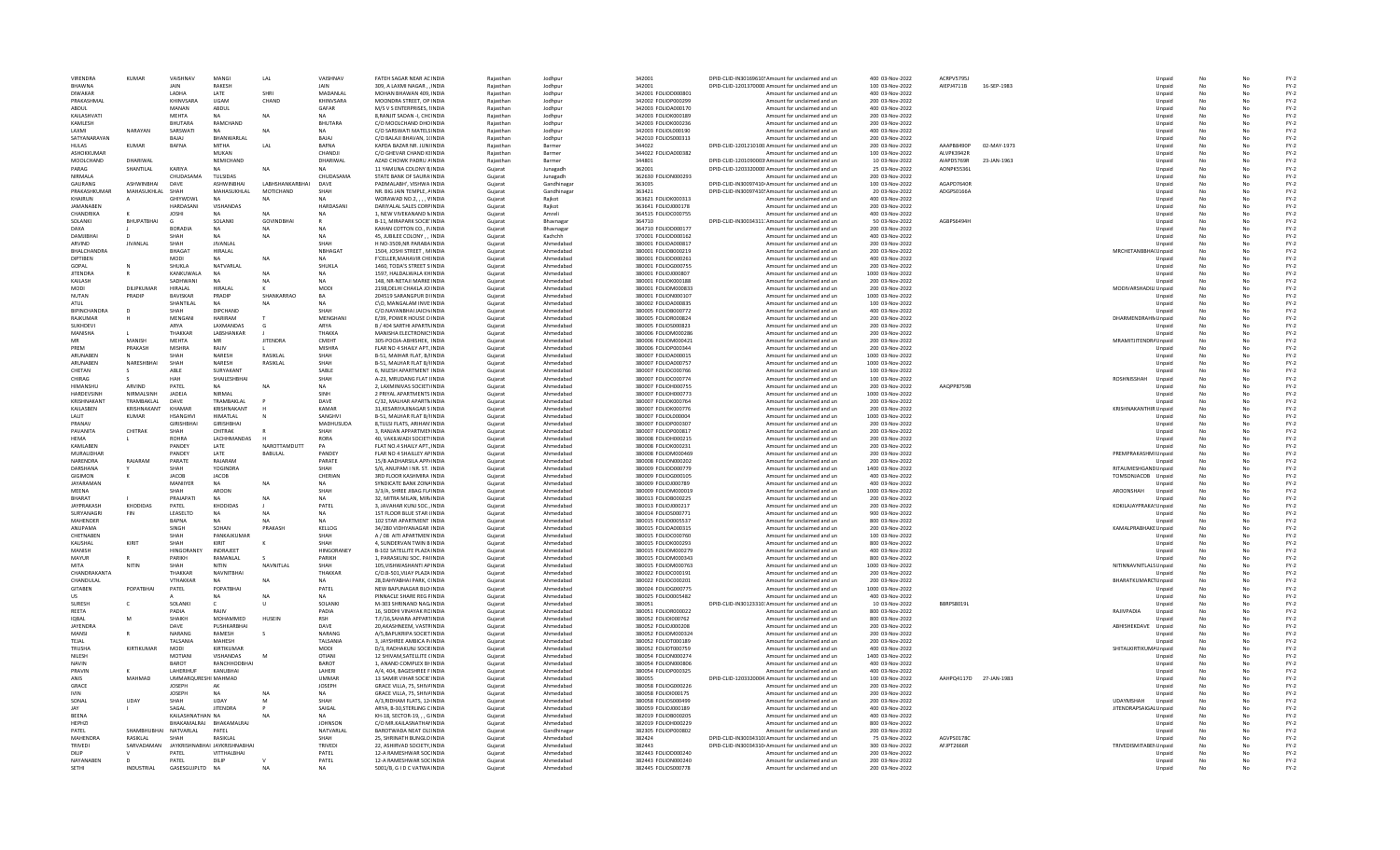| <b>VIRENDRA</b>             | KUMAR                 | VAISHNAV                       | MANGI                               | LAL                    | VAISHNAV             | <b>FATEH SAGAR NEAR AC INDIA</b>                           | Raiasthar              | Jodhpur                | 342001                                     | DPID-CLID-IN30169610! Amount for unclaimed and ur          | 400.03-Nov-2022                     | ACRPV57951             |             |                        | Unpaid           | No       |          | $FY-2$           |
|-----------------------------|-----------------------|--------------------------------|-------------------------------------|------------------------|----------------------|------------------------------------------------------------|------------------------|------------------------|--------------------------------------------|------------------------------------------------------------|-------------------------------------|------------------------|-------------|------------------------|------------------|----------|----------|------------------|
| <b>RHAWNA</b>               |                       | JAIN                           | <b>RAKESH</b>                       |                        |                      | 309, A LAXMI NAGAR, INDIA                                  | Rajasthar              | Jodhpu                 | 342001                                     | DPID-CLID-1201370000 Amount for unclaimed and un           | 100 03-Nov-2022                     | AIEPJ4711B             | 16-SEP-1983 |                        | Unpaid           | No       |          | $FY-2$           |
| <b>DIWAKAR</b>              |                       | LADHA                          | LATE                                |                        | MADANLAL             | MOHAN BHAWAN 409, INDIA                                    | Raiasthar              | Jodhpur                | 342001 FOLIOD000801                        | Amount for unclaimed and un                                | 400 03-Nov-2022                     |                        |             |                        | Unpaid           |          |          | $FY-2$           |
| PRAKASHMAL                  |                       | KHINVSARA                      | UGAM                                | CHAND                  | KHINVSARA            | MOONDRA STREET, OP INDIA                                   | Rajasthan              | Jodhpur                | 342002 FOLIOP000299                        | Amount for unclaimed and un                                | 200 03-Nov-2022                     |                        |             |                        | Unpaid           | No       | No       | $FY-2$           |
| ABDUL                       |                       | MANAN                          | ABDUL                               |                        | GAFAR                | M/S V S ENTERPRISES, I INDIA                               | Raiasthan              | Jodhpur                | 342003 FOLIOA000170                        | Amount for unclaimed and un                                | 400 03-Nov-2022                     |                        |             |                        | Unpaid           | No       | No       | $FY-2$           |
| KAILASHVATI                 |                       | <b>MFHTA</b><br><b>BHUTARA</b> | NΔ                                  | <b>NA</b>              | <b>NA</b>            | 8 RANIIT SADAN - I. CHC INDIA                              | Raiasthan              | Jodhpur                | 342003 FOLIOK000189                        | Amount for unclaimed and un                                | 200 03-Nov-2022                     |                        |             |                        | Unpaid           | No       | No       | $FY-2$           |
| KAMLESH<br>LAXMI            | NARAYAN               | SARSWATI                       | RAMCHAND                            |                        | BHUTARA              | C/O MOOLCHAND DHO INDIA<br>C/O SARSWATI MATELSINDIA        | Rajasthar<br>Raiasthar | Jodhpu<br>Jodhpur      | 342003 FOLIOK000236<br>342003 FOLIOL000190 | Amount for unclaimed and ur<br>Amount for unclaimed and un | 200 03-Nov-2022<br>400 03-Nov-2022  |                        |             |                        | Unpaid<br>Unpaid | No       |          | $FY-2$<br>$FY-2$ |
| SATYANARAYAN                |                       | BAJAJ                          | BHANWARLAL                          |                        | BAJAJ                | C/O BALAJI BHAVAN, 1(INDIA                                 | Rajasthan              | Jodhpur                | 342010 FOLIOS000313                        | Amount for unclaimed and un                                | 200 03-Nov-2022                     |                        |             |                        | Unpaid           | No       | No       | $FY-2$           |
| <b>HULAS</b>                | <b>KUMAR</b>          | <b>BAFNA</b>                   | MITHA                               | LAL                    | <b>BAFNA</b>         | KAPDA BAZAR NR. JUNI INDIA                                 | Raiasthan              | Barmer                 | 344022                                     | DPID-CLID-1201210100 Amount for unclaimed and un           | 200 03-Nov-2022                     | AAAPB8490P             | 02-MAY-1973 |                        | Unpaid           | No       | No       | $FY-2$           |
| ASHOKKUMAR                  |                       |                                | MUKAN                               |                        | CHANDIL              | C/O GHEVAR CHAND KEINDIA                                   | Raiasthan              | Barmer                 | 344022 FOLIOA000382                        | Amount for unclaimed and un                                | 100 03-Nov-2022                     | AI VPK3942R            |             |                        | Unpaid           | No       | No       | $FY-2$           |
| MOOLCHAND                   | DHARIWAL              |                                | NEMICHAND                           |                        | DHARIWAI             | AZAD CHOWK PADRU AINDIA                                    | Rajasthar              | Barmer                 | 344801                                     | DPID-CLID-1201090003 Amount for unclaimed and ur           | 10 03-Nov-2022                      | AIAPD5769R             | 23-JAN-1963 |                        | Unpaid           | No       |          | $FY-2$           |
| PARAG                       | SHANTILAL             | <b>KARIYA</b>                  |                                     | <b>NA</b>              |                      | 11 YAMUNA COLONY B INDIA                                   | Gujarat                | Junagadh               | 362001                                     | DPID-CLID-1203320000 Amount for unclaimed and un           | 25 03-Nov-2022                      | AONPK5536L             |             |                        | Unpaid           |          |          | $FY-2$           |
| NIRMALA                     |                       | CHUDASAMA                      | <b>TULSIDAS</b>                     |                        | CHUDASAMA            | STATE BANK OF SAURA INDIA                                  | Gujarat                | Junagadh               | 362630 FOLION000293                        | Amount for unclaimed and un                                | 200 03-Nov-2022                     |                        |             |                        | Unpaid           | No       | No       | $FY-2$           |
| GAURANG                     | ASHWINRHAI            | <b>DAVE</b>                    | ASHWINRHAI                          | <b>LABHSHANKARRHAL</b> | <b>DAVE</b>          | PADMALARH', VISHWA INDIA                                   | Gujarat                | Gandhinagar            | 363035                                     | DPID-CLID-IN30097410: Amount for unclaimed and un          | 100.03-Nov-2022                     | AGAPD7640R             |             |                        | Unpaid           | No       | No       | $FY-2$           |
| PRAKASHKUMAR                | MAHASUKHLAL           | SHAH                           | <b>MAHASUKHI AI</b>                 | MOTICHAND              | SHAH                 | NR. BIG JAIN TEMPLE, AINDIA                                | Gujarat                | Gandhinagar            | 363421                                     | DPID-CLID-IN30097410! Amount for unclaimed and un          | 20 03-Nov-2022                      | ADGPS0166A             |             |                        | Unpaid           | No       | No       | $FY-2$           |
| KHAIRUN                     |                       | GHIYWDWI                       | $N$ A                               |                        | <b>NA</b>            | WORAWAD NO.2, , , , VINDIA                                 | Gujarat                | Rajkot                 | 363621 FOLIOK000313                        | Amount for unclaimed and un                                | 400 03-Nov-2022                     |                        |             |                        | Unpaid           | No       | No       | $FY-2$           |
| JAMANABEI                   |                       | HARDASAN                       | VISHANDAS                           |                        | HARDASANI            | DARIYALAL SALES CORPINDIA                                  | Gujarat                | Raikot                 | 363641 FOLIOJ000178                        | Amount for unclaimed and un                                | 200 03-Nov-2022                     |                        |             |                        | Unpaid           |          |          | $FY-2$           |
| CHANDRIKA                   |                       | <b>JOSHI</b>                   |                                     |                        | <b>NA</b>            | 1, NEW VIVEKANAND NINDIA                                   | Gujarat                | Amreli                 | 364515 FOLIOC000755                        | Amount for unclaimed and un                                | 400 03-Nov-2022                     |                        |             |                        | Unpaid           | No       | No       | $FY-2$           |
| <b>SOLANKI</b>              | RHUPATRHAI            | $\epsilon$<br><b>BORADIA</b>   | SOLANKI                             | <b>GOVINDRHAI</b>      | <b>NA</b>            | <b>B-11. MIRAPARK SOCIE INDIA</b>                          | Gujarat                | Bhavnagar              | 364710                                     | DPID-CLID-IN30034311: Amount for unclaimed and un          | 50.03-Nov-2022                      | AGRPS6494H             |             |                        | Unpaid           | No<br>No | No       | $FY-2$<br>$FY-2$ |
| <b>DAXA</b>                 |                       | SHAH                           | <b>NA</b><br><b>NA</b>              | <b>NA</b>              | <b>NA</b>            | KAHAN COTTON CO., P/INDIA                                  | Gujarat                | Bhavnagar              | 364710 FOLIOD000177                        | Amount for unclaimed and un                                | 200 03-Nov-2022                     |                        |             |                        | Unpaid           |          | No<br>No |                  |
| DAMJIBHAI<br>ARVIND         | <b>JIVANLAL</b>       | SHAH                           | <b>JIVANLAL</b>                     | NA                     | SHAH                 | 45, JUBILEE COLONY,, INDIA<br>H NO-3509.NR PARABA INDIA    | Gujarat<br>Gujarat     | Kachchh<br>Ahmedabac   | 370001 FOLIOD000162<br>380001 FOLIOA000817 | Amount for unclaimed and un<br>Amount for unclaimed and un | 400 03-Nov-2022<br>200 03-Nov-2022  |                        |             |                        | Unpaid<br>Unpaid | No       |          | $FY-2$<br>$FY-2$ |
| BHALCHANDRA                 |                       | <b>BHAGAT</b>                  | HIRALAL                             |                        | <b>NBHAGAT</b>       | 1504, JOSHI STREET, MINDIA                                 | Gujarat                | Ahmedabad              | 380001 FOLIOB000219                        | Amount for unclaimed and un                                | 200 03-Nov-2022                     |                        |             | MRCHETANBBHA(Unpaid    |                  | No       | No       | $FY-2$           |
| DIPTIREN                    |                       | <b>MODI</b>                    | NΔ                                  | <b>NA</b>              | <b>NA</b>            | <b>F'CELLER MAHAVIR CHEINDIA</b>                           | Guiarat                | Ahmedahad              | 380001 EQUOD000261                         | Amount for unclaimed and un                                | 400.03-Nov-2022                     |                        |             |                        | Unpaid           | No       | Nr       | $FY-2$           |
| GOPAL                       |                       | SHUKLA                         | NATVARLAI                           |                        | SHUKLA               | 1460. TODA'S STREET S INDIA                                | Gujarat                | Ahmedahad              | 380001 FOLIOG000755                        | Amount for unclaimed and un                                | 200 03-Nov-2022                     |                        |             |                        | Unpaid           | No       | Nr       | $FY-2$           |
| <b>JITENDRA</b>             |                       | KANKUWALA                      | NA                                  | <b>NA</b>              | <b>NA</b>            | 1597, HALDALWALA KHINDIA                                   | Gujarat                | Ahmedabac              | 380001 FOLIOJ000807                        | Amount for unclaimed and un                                | 1000 03-Nov-2022                    |                        |             |                        | Unpaid           | No       |          | $FY-2$           |
| KAILASH                     |                       | SADHWANI                       |                                     |                        |                      | 148. NR-NETAJI MARKE INDIA                                 | Gujarat                | Ahmedabac              | 380001 FOLIOK000188                        | Amount for unclaimed and un                                | 200 03-Nov-2022                     |                        |             |                        | Unpaid           |          |          | $FY-2$           |
| MODI                        | DILIPKUMAR            | HIRALAL                        | HIRALAL                             | к                      | MODI                 | 2198, DELHI CHAKLA JOINDIA                                 | Gujarat                | Ahmedabac              | 380001 FOLIOM000833                        | Amount for unclaimed and un                                | 200 03-Nov-2022                     |                        |             | MODIVARSHADILI Unpaid  |                  | No       | No       | $FY-2$           |
| NUTAN                       | PRADIP                | <b>BAVISKAR</b>                | PRADIP                              | SHANKARRAO             | RA                   | 204519 SARANGPUR DUNDIA                                    | Guiarat                | Ahmedahad              | 380001 EQUON000107                         | Amount for unclaimed and un                                | 1000 03-Nov-2022                    |                        |             |                        | Unnaid           | No       | No       | $FY-2$           |
| ATUL                        |                       | SHANTILAL                      | <b>NA</b>                           | <b>NA</b>              | <b>NA</b>            | C\O. MANGALAM INVE: INDIA                                  | Gujarat                | Ahmedahad              | 380002 FOLIOA000835                        | Amount for unclaimed and un                                | 100 03-Nov-2022                     |                        |             |                        | Unpaid           | No       | Nr       | $FY-2$           |
| <b>BIPINCHANDRA</b>         |                       | SHAF                           | DIPCHAND                            |                        | SHAH                 | C/O.NAYANBHAI JAICH/INDIA                                  | Gujarat                | Ahmedabac              | 380005 FOLIOB000772                        | Amount for unclaimed and un                                | 400 03-Nov-2022                     |                        |             |                        | Unpaid           | No       |          | $FY-2$           |
| RAJKUMAR                    |                       | MENGANI                        | <b>HARIRAM</b>                      |                        | MENGHAN              | E/39, POWER HOUSE CHNDIA                                   | Gujarat                | Ahmedabac              | 380005 FOLIOR000824                        | Amount for unclaimed and un                                | 200 03-Nov-2022                     |                        |             | DHARMENDRAHN Unpaid    |                  |          |          | $FY-2$           |
| SUKHDEVI                    |                       | ARYA                           | LAXMANDAS                           | G                      | ARYA                 | B / 404 SARTHI APARTNINDIA                                 | Gujarat                | Ahmedabad              | 380005 FOLIOS000823                        | Amount for unclaimed and un                                | 200 03-Nov-2022                     |                        |             |                        | Unpaid           | No       | No       | $FY-2$           |
| MANISHA                     |                       | THAKKAR                        | <b>I ARSHANKAR</b>                  |                        | <b>ТНАККА</b>        | MANISHA ELECTRONICSINDIA                                   | Guiarat                | Ahmedahad              | 380006 EQUOM000286                         | Amount for unclaimed and un                                | 200.03-Nov-2022                     |                        |             |                        | Unnaid           | No       | No       | $FY-2$           |
| MR                          | MANISH                | <b>MFHTA</b>                   | MR                                  | <b>IITENDRA</b>        | CMFHT                | 305-POOJA-ABHISHEK, INDIA                                  | Gujarat                | Ahmedahad              | 380006 FOLIOM000421                        | Amount for unclaimed and un                                | 200 03-Nov-2022                     |                        |             | MRAMITJITENDRAUnpaid   |                  | No       | No       | $FY-2$           |
| PREM<br>ARUNABEN            | PRAKASH               | <b>MISHRA</b><br>SHAH          | RAJIV<br>NARESH                     | RASIKLAL               | MISHRA<br>SHAH       | FLAR NO 4 SHAILY APT., INDIA<br>B-51, MAIHAR FLAT, B/INDIA | Gujarat                | Ahmedaba<br>Ahmedabac  | 380006 FOLIOP000344<br>380007 FOLIOA000015 | Amount for unclaimed and un<br>Amount for unclaimed and un | 200 03-Nov-2022<br>1000 03-Nov-2022 |                        |             |                        | Unpaid           | No       |          | $FY-2$<br>$FY-2$ |
| ARUNABEN                    | NARESHBHAI            | SHAH                           | NARESH                              | RASIKLAL               | SHAH                 | B-51, MALHAR FLAT B/HNDIA                                  | Gujarat<br>Gujarat     | Ahmedabad              | 380007 FOLIOA000757                        | Amount for unclaimed and un                                | 1000 03-Nov-2022                    |                        |             |                        | Unpaid<br>Unpaid | No       | No       | $FY-2$           |
| CHETAN                      |                       | ABI F                          | SURYAKANT                           |                        | SABLE                | 6. NILESH APARTMENT INDIA                                  | Guiarat                | Ahmedahad              | 380007 EQUOC000766                         | Amount for unclaimed and un                                | 100.03-Nov-2022                     |                        |             |                        | Unnaid           | No       | No       | $FY-2$           |
| CHIRAG                      |                       | HAH                            | SHAILESHBHAI                        |                        | SHAH                 | A-23. MRUDANG FLAT HNDIA                                   | Gujarat                | Ahmedahad              | 380007 FOLIOC000774                        | Amount for unclaimed and un                                | 100 03-Nov-2022                     |                        |             | ROSHNISSHAH            | Unpaid           | No       | Nr       | $FY-2$           |
| HIMANSHL                    | ARVIND                | PATEL                          | NA                                  | <b>NA</b>              | NA                   | 2, LAXMINIVAS SOCIETYINDIA                                 | Gujarat                | Ahmedaba               | 380007 FOLIOH000755                        | Amount for unclaimed and un                                | 200 03-Nov-2022                     | AAQPP8759B             |             |                        | Unpaid           |          |          | $FY-2$           |
| HARDEVSINH                  | NIRMALSINH            | <b>JADEJA</b>                  | NIRMAL                              |                        | SINH                 | 2 PRIYAL APARTMENTS INDIA                                  | Gujarat                | Ahmedabad              | 380007 FOLIOH000773                        | Amount for unclaimed and un                                | 1000 03-Nov-2022                    |                        |             |                        | Unpaid           |          |          | $FY-2$           |
| KRISHNAKANT                 | TRAMBAKLAL            | DAVE                           | TRAMBAKLAL                          |                        | DAVE                 | C/32, MALHAR APARTMINDIA                                   | Gujarat                | Ahmedabad              | 380007 FOLIOK000764                        | Amount for unclaimed and un                                | 200 03-Nov-2022                     |                        |             |                        | Unpaid           | No       | No       | $FY-2$           |
| <b>KAILASREN</b>            | KRISHNAKANT           | KHAMAR                         | KRISHNAKANT                         |                        | KAMAR                | <b>31 KESARIYAJINAGAR S INDIA</b>                          | Gujarat                | Ahmedahad              | 380007 EOUOK000776                         | Amount for unclaimed and un                                | 200.03-Nov-2022                     |                        |             | KRISHNAKANTHIR Unpaid  |                  | No       | Nr       | $FY-2$           |
| <b>I AI IT</b>              | <b>KUMAR</b>          | <b>HSANGHVI</b>                | HIMATI AI                           |                        | SANGHVI              | <b>B-51, MALHAR FLAT B/HNDIA</b>                           | Gujarat                | Ahmedahad              | 380007 FOLIOL000004                        | Amount for unclaimed and un                                | 1000 03-Nov-2022                    |                        |             |                        | Unpaid           | No       | Nr       | $FY-2$           |
| PRANAV                      |                       | <b>GIRISHBHA</b>               | <b>GIRISHBHA</b>                    |                        | MADHUSUDA            | 8.TULSI FLATS, ARIHAN INDIA                                | Guiarat                | Ahmedabac              | 380007 FOLIOP000307                        | Amount for unclaimed and un                                | 200 03-Nov-2022                     |                        |             |                        | Unpaid           |          |          | $FY-2$           |
| PAVANITA                    | CHITRAK               | SHAH                           | CHITRAK                             |                        | SHAH                 | 3. RANJAN APPARTMENINDIA                                   | Gujarat                | Ahmedabad              | 380007 FOLIOP000817                        | Amount for unclaimed and un                                | 200 03-Nov-2022                     |                        |             |                        | Unpaid           |          |          | $FY-2$           |
| <b>HFMA</b>                 |                       | <b>ROHRA</b>                   | <b>I ACHHMANDAS</b>                 |                        | RORA                 | 40, VAKILWADI SOCIETYINDIA                                 | Gujarat                | Ahmedahad              | 380008 FOLIOH000215                        | Amount for unclaimed and un                                | 200 03-Nov-2022                     |                        |             |                        | Unpaid           | No       | No       | $FY-2$           |
| <b>KAMI ARFN</b>            |                       | PANDEY                         | <b>LATE</b>                         | NAROTTAMDUTT           | PA                   | FLAT NO.4 SHAILY APT. INDIA                                | Gujarat                | Ahmedahad              | 380008 FOLIOK000231                        | Amount for unclaimed and un                                | 200.03-Nov-2022                     |                        |             |                        | Unpaid           | No       | Nr       | $FY-2$           |
| MURALIDHAR                  |                       | PANDEY                         | <b>LATE</b>                         | BABULAL                | PANDEY               | FLAR NO 4 SHAILLEY AP INDIA                                | Gujarat                | Ahmedabad              | 380008 FOLIOM000469                        | Amount for unclaimed and un                                | 200 03-Nov-2022                     |                        |             | PREMPRAKASHMI Unpaid   |                  |          |          | $FY-2$           |
| NARENDRA                    | RAJARAN               | PARATE                         | RAJARAM                             |                        | PARATE               | 15/B AADHARSILA APP/INDIA                                  | Guiarat                | Ahmedaba               | 380008 FOLION000202                        | Amount for unclaimed and un                                | 200 03-Nov-2022                     |                        |             |                        | Unpaid           |          |          | $FY-2$           |
| DARSHANA                    |                       | SHAH                           | YOGINDRA                            |                        | SHAH                 | S/6, ANUPAM I NR. ST. INDIA                                | Gujarat                | Ahmedabad              | 380009 FOLIOD000779                        | Amount for unclaimed and un                                | 1400 03-Nov-2022                    |                        |             | RITAUMESHGAND Unpaid   |                  |          |          | $FY-2$           |
| GIGIMON<br><b>IAYARAMAN</b> |                       | JACOB<br>MANIIYER              | JACOB<br><b>NA</b>                  |                        | CHERIAN<br><b>NA</b> | 3RD FLOOR KASHMIRA INDIA<br>SYNDICATE BANK ZONAINDIA       | Gujarat                | Ahmedahad<br>Ahmedahad | 380009 FOLIOG000105<br>380009 FOLIOJ000789 | Amount for unclaimed and un                                | 400 03-Nov-2022<br>400 03-Nov-2022  |                        |             | TOMSONJACOB Unpaid     | Unnaid           | No<br>No | No<br>Nr | $FY-2$<br>$FY-2$ |
| <b>MFFNA</b>                |                       | SHAH                           | AROON                               | <b>NA</b>              | SHAH                 | 3/3/A, SHREE JIBAG FLAINDIA                                | Gujarat                | Ahmedabad              | 380009 FOLIOM000019                        | Amount for unclaimed and un                                | 1000 03-Nov-2022                    |                        |             | AROONSHAH              |                  |          |          | $FY-2$           |
| <b>BHARAT</b>               |                       | PRAJAPAT                       | <b>NA</b>                           | <b>NA</b>              | <b>NA</b>            | 32. MITRA MILAN, MIRJINDIA                                 | Gujarat<br>Gujarat     | Ahmedaba               | 380013 FOLIOB000225                        | Amount for unclaimed and un<br>Amount for unclaimed and un | 200 03-Nov-2022                     |                        |             |                        | Unpaid<br>Unpaid |          |          | $FY-2$           |
| <b>JAYPRAKASH</b>           | KHODIDAS              | PATEL                          | KHODIDAS                            |                        | PATEL                | 3, JAVAHAR KUNJ SOC., INDIA                                | Gujarat                | Ahmedabad              | 380013 FOLIOJ000217                        | Amount for unclaimed and un                                | 200 03-Nov-2022                     |                        |             | KOKILAJAYPRAKA! Unpaid |                  |          |          | $FY-2$           |
| SURYANAGRI                  | <b>FIN</b>            | LEASELTD                       | <b>NA</b>                           | <b>NA</b>              | <b>NA</b>            | 1ST FLOOR BLUE STAR (INDIA                                 | Guiarat                | Ahmedabad              | 380014 FOLIOS000771                        | Amount for unclaimed and un                                | 900 03-Nov-2022                     |                        |             |                        | Unpaid           | No       | No       | $FY-2$           |
| MAHFNDER                    |                       | <b>RAPNA</b>                   | <b>NA</b>                           | <b>NA</b>              | NA                   | 102 STAR APARTMENT INDIA                                   | Gujarat                | Ahmedahad              | 380015 FOLIO0005537                        | Amount for unclaimed and un                                | 800 03-Nov-2022                     |                        |             |                        | Unpaid           | No       | No       | $FY-2$           |
| <b>ANIIPAMA</b>             |                       | SINGH                          | SOHAN                               | PRAKASH                | KELLOG               | 34/280 VIDHYANAGAR INDIA                                   | Gujarat                | Ahmedabad              | 380015 FOLIOA000315                        | Amount for unclaimed and un                                | 200 03-Nov-2022                     |                        |             | KAMALPRABHAKE Unpaid   |                  | No       | Nr       | $FY-2$           |
| CHETNABEN                   |                       | SHAH                           | PANKAJKUMA                          |                        | SHAH                 | A / 08 AITI APARTMEN INDIA                                 | Gujarat                | Ahmedaba               | 380015 FOLIOC000760                        | Amount for unclaimed and un                                | 100 03-Nov-2022                     |                        |             |                        | Unpaid           | No       |          | $FY-2$           |
| KAUSHAL                     | KIRIT                 | SHAH                           | KIRIT                               |                        | SHAH                 | 4. SUNDERVAN TWIN B INDIA                                  | Gujarat                | Ahmedabad              | 380015 FOLIOK000293                        | Amount for unclaimed and un                                | 800 03-Nov-2022                     |                        |             |                        | Unpaid           |          |          | $FY-2$           |
| MANISH                      |                       | HINGORANEY                     | <b>INDRAJEET</b>                    |                        | HINGORANEY           | B-102 SATELLITE PLAZA INDIA                                | Guiarat                | Ahmedabad              | 380015 FOLIOM000279                        | Amount for unclaimed and un                                | 400 03-Nov-2022                     |                        |             |                        | Unpaid           | No       | No       | $FY-2$           |
| MAYUR                       |                       | PARIKH                         | RAMANLAL                            |                        | PARIKH               | 1. PARASKUNJ SOC. PAHNDIA                                  | Gujarat                | Ahmedahad              | 380015 FOLIOM000343                        | Amount for unclaimed and un                                | 800 03-Nov-2022                     |                        |             |                        | Unpaid           | No       | No       | $FY-2$           |
| MITA                        | NITIN                 | <b>SHAH</b>                    | <b>NITIN</b>                        | NAVNITI AI             | <b>HAH2</b>          | 105.VISHWASHANTI AP INDIA                                  | Gujarat                | Ahmedabad              | 380015 FOLIOM000763                        | Amount for unclaimed and un                                | 1000 03-Nov-2022                    |                        |             | NITINNAVNITLALS Unpaid |                  | No       | Nr       | $FY-2$           |
| CHANDRAKANTA                |                       | THAKKAF                        | NAVNITBHAI                          |                        | THAKKAR              | C/O.B-501.VIJAY PLAZA INDIA                                | Gujarat                | Ahmedabac              | 380022 FOLIOC000191                        | Amount for unclaimed and un                                | 200 03-Nov-2022                     |                        |             |                        | Unpaid           |          |          | $FY-2$           |
| CHANDULAI<br><b>GITABEN</b> | POPATBHAI             | VTHAKKAR<br>PATEL              | NA<br>POPATBHAI                     |                        | <b>NA</b><br>PATEL   | 28, DAHYABHAI PARK, CINDIA<br>NEW BAPUNAGAR BLO INDIA      | Gujarat<br>Guiarat     | Ahmedabad<br>Ahmedabad | 380022 FOLIOC000201<br>380024 FOLIOG000775 | Amount for unclaimed and un<br>Amount for unclaimed and un | 200 03-Nov-2022<br>1000 03-Nov-2022 |                        |             | BHARATKUMARC1Unpaid    | Unpaid           | No       | No       | $FY-2$<br>$FY-2$ |
| <b>US</b>                   |                       |                                | <b>NA</b>                           | <b>NA</b>              | NA                   | PINNACLE SHARE REG FINDIA                                  | Gujarat                | Ahmedahad              | 380025 FOLIO0005482                        | Amount for unclaimed and un                                | 400 03-Nov-2022                     |                        |             |                        | Unpaid           | No       | Nr       | $FY-2$           |
| <b>SURFSH</b>               |                       | SOLANKI                        |                                     | $\mathbf{u}$           | <b>SOLANKI</b>       | M-303 SHRINAND NAG. INDIA                                  | Gujarat                | Ahmedahad              | 380051                                     | DPID-CLID-IN30123310: Amount for unclaimed and un          | 10 03-Nov-2022                      | BBRPS8019L             |             |                        | Unpaid           |          |          | $FY-2$           |
| REETA                       |                       | PADIA                          |                                     |                        | PADIA                | 16. SIDDHI VINAYAK RCINDIA                                 | Gujarat                | Ahmedabac              | 380051 FOLIOR000022                        | Amount for unclaimed and un                                | 800 03-Nov-2022                     |                        |             | RAJIVPADIA             | Unpaid           | No       |          | $FY-2$           |
| <b>IOBAL</b>                |                       | SHAIKH                         | MOHAMMED                            | HUSEIN                 | RSH                  | T.F/16, SAHARA APPARTINDIA                                 | Gujarat                | Ahmedabad              | 380052 FOLIO1000762                        | Amount for unclaimed and un                                | 800 03-Nov-2022                     |                        |             |                        | Unpaid           |          |          | $FY-2$           |
| <b>JAYENDRA</b>             |                       | DAVE                           | PUSHKARBHAI                         |                        | DAVE                 | 20.AKASHNEEM, VASTRINDIA                                   | Guiarat                | Ahmedabad              | 380052 FOLIOJ000208                        | Amount for unclaimed and un                                | 200 03-Nov-2022                     |                        |             | ABHISHEKDAVE Unpaid    |                  | No       | No       | $FY-2$           |
| MANSI                       |                       | NARANG                         | RAMESH                              | s                      | NARANG               | A/5.BAPUKRIPA SOCIET INDIA                                 | Gujarat                | Ahmedahad              | 380052 FOLIOM000324                        | Amount for unclaimed and un                                | 200 03-Nov-2022                     |                        |             |                        | Unpaid           | No       | Nr       | $FY-2$           |
| TFIAI                       |                       | TALSANIA                       | MAHESH                              |                        | TALSANIA             | 3, JAYSHREE AMBICA P/INDIA                                 | Gujarat                | Ahmedahad              | 380052 FOLIOT000189                        | Amount for unclaimed and un                                | 200 03-Nov-2022                     |                        |             |                        | Unpaid           |          |          | $FY-2$           |
| TRUSHA                      | KIRTIKUMAR            | <b>MODI</b>                    | KIRTIKUMAR                          |                        | MODI                 | D/3, RADHAKUNJ SOCIEINDIA                                  | Gujarat                | Ahmedabac              | 380052 FOLIOT000759                        | Amount for unclaimed and un                                | 400 03-Nov-2022                     |                        |             | SHITALKIRTIKUMA Unpaid |                  | No       |          | $FY-2$           |
| NILESH                      |                       | <b>MOTIANI</b>                 | VISHANDAS                           | M                      | <b>OTIANI</b>        | 12 SHIVAM, SATELLITE CINDIA                                | Gujarat                | Ahmedabad              | 380054 FOLION000274                        | Amount for unclaimed and un                                | 1400 03-Nov-2022                    |                        |             |                        | Unpaid           |          |          | $FY-2$           |
| NAVIN                       |                       | <b>BAROT</b>                   | RANCHHODBHAI                        |                        | <b>BAROT</b>         | 1. ANAND COMPLEX BH INDIA                                  | Guiarat                | Ahmedabad              | 380054 FOLION000806                        | Amount for unclaimed and un                                | 400 03-Nov-2022                     |                        |             |                        | Unpaid           | No       | No       | $FY-2$           |
| PRAVIN                      |                       | <b>I AHFRIHUF</b>              | KANUBHAI                            |                        | LAHERI               | A/4, 404, BAGESHREE F INDIA                                | Gujarat                | Ahmedahad              | 380054 FOLIOP000325                        | Amount for unclaimed and un                                | 400 03-Nov-2022                     |                        |             |                        | Unpaid           | No       | Nr       | $FY-2$           |
| ANIS                        | MAHMAD                | UMMARQURESHI MAHMAD            |                                     |                        | <b>UMMAR</b>         | 13 SAMIR VIHAR SOCIE INDIA                                 | Gujarat                | Ahmedabad              | 380055                                     | DPID-CLID-1203320004 Amount for unclaimed and un           | 100 03-Nov-2022                     | AAHPQ4117D 27-JAN-1983 |             |                        | Unpaid           |          |          | $FY-2$           |
| GRACE                       |                       | <b>JOSEPH</b>                  | AK                                  |                        | <b>JOSEPH</b>        | GRACE VILLA, 75, SHIVAINDIA                                | Gujarat                | Ahmedabac              | 380058 FOLIOG000226                        | Amount for unclaimed and un                                | 200 03-Nov-2022                     |                        |             |                        | Unpaid           |          |          | $FY-2$           |
| <b>IVIN</b><br>SONAL        | <b>UDAY</b>           | <b>JOSEPH</b>                  | NA<br>LIDAY                         | M                      | <b>NA</b><br>SHAH    | GRACE VILLA, 75, SHIVAINDIA                                | Gujarat                | Ahmedabad              | 380058 FOLIO1000175<br>380058 FOLIOS000499 | Amount for unclaimed and un                                | 200 03-Nov-2022                     |                        |             | <b>UDAYMSHAH</b>       | Unpaid           |          | No       | $FY-2$<br>$FY-2$ |
| <b>JAY</b>                  |                       | SHAH<br>SAGAL                  | <b>JITENDRA</b>                     | P                      | SAIGAL               | A/3.RIDHAM FLATS, 12 INDIA<br>ARYA, B-30, STERLING CINDIA  | Guiarat<br>Gujarat     | Ahmedabad<br>Ahmedahad | 380059 FOLIOJ000189                        | Amount for unclaimed and un<br>Amount for unclaimed and un | 200 03-Nov-2022<br>400 03-Nov-2022  |                        |             | JITENDRAPSAIGAL Unpaid | Unpaid           | No<br>No |          | $FY-2$           |
| <b>BEENA</b>                |                       | KAILASHNATHAN NA               |                                     |                        | NΔ                   | KH-18, SECTOR-19, , , G INDIA                              | Gujarat                | Ahmedahad              | 382019 FOLIOB000205                        | Amount for unclaimed and ur                                | 400 03-Nov-2022                     |                        |             |                        | Unpaid           |          |          | $FY-2$           |
| <b>HEPHZ</b>                |                       |                                | BHAKAMALRAJ BHAKAMALRAJ             |                        | <b>JOHNSON</b>       | C/O MR.KAILASNATHA! INDIA                                  | Gujarat                | Ahmedabad              | 382019 FOLIOH000229                        | Amount for unclaimed and un                                | 800 03-Nov-2022                     |                        |             |                        | Unpaid           | No       |          | $FY-2$           |
| PATEL                       | SHAMBHUBHAI NATVARLAL |                                | PATEL                               |                        | NATVARLAL            | BAROTWADA NEAT OLI INDIA                                   | Gujarat                | Gandhinagar            | 382305 FOLIOP000802                        | Amount for unclaimed and un                                | 200 03-Nov-2022                     |                        |             |                        | Unpaid           |          |          | $FY-2$           |
| MAHENDRA                    | <b>RASIKI AI</b>      | SHAH                           | RASIKLAL                            |                        | SHAH                 | 25. SHRINATH BUNGLO INDIA                                  | Guiarat                | Ahmedabad              | 382424                                     | DPID-CLID-IN30034310(Amount for unclaimed and un           | 75 03-Nov-2022                      | AGVPS0178C             |             |                        | Unpaid           | No       | No       | $FY-2$           |
| TRIVEDI                     | SARVADAMAN            |                                | <b>JAYKRISHNARHAI JAYKRISHNARHA</b> |                        | TRIVEDI              | 22. ASHIRVAD SOCIETY. INDIA                                | Gujarat                | Ahmedahad              | 382443                                     | DPID-CLID-IN30034310 Amount for unclaimed and un           | 300 03-Nov-2022                     | AFJPT2666R             |             | TRIVEDISMITABEN Unpaid |                  | No       |          | $FY-2$           |
| <b>DILIP</b>                |                       | PATFI                          | <b>VITTHAI RHAI</b>                 |                        | PATEL                | 12-A RAMESHWAR SOCINDIA                                    | Gujarat                | Ahmedahad              | 382443 FOLIOD000240                        | Amount for unclaimed and ur                                | 200 03-Nov-2022                     |                        |             |                        | Unpaid           | No       |          | $FY-2$           |
| NAYANABEN                   |                       | PATEL                          | DILIP                               |                        | PATEL                | 12-A RAMESHWAR SOCINDIA                                    | Gujarat                | Ahmedabac              | 382443 FOLION000240                        | Amount for unclaimed and un                                | 200 03-Nov-2022                     |                        |             |                        | Unpaid           | No       |          | $FY-2$           |
| SETHI                       | <b>INDUSTRIAL</b>     | GASESGUJPLTD NA                |                                     |                        | <b>NA</b>            | 5001/B, G I D C VATWA INDIA                                | Gujarat                | Ahmedabad              | 382445 FOLIOS000778                        | Amount for unclaimed and un                                | 200 03-Nov-2022                     |                        |             |                        | Unpaid           |          |          | $FY-2$           |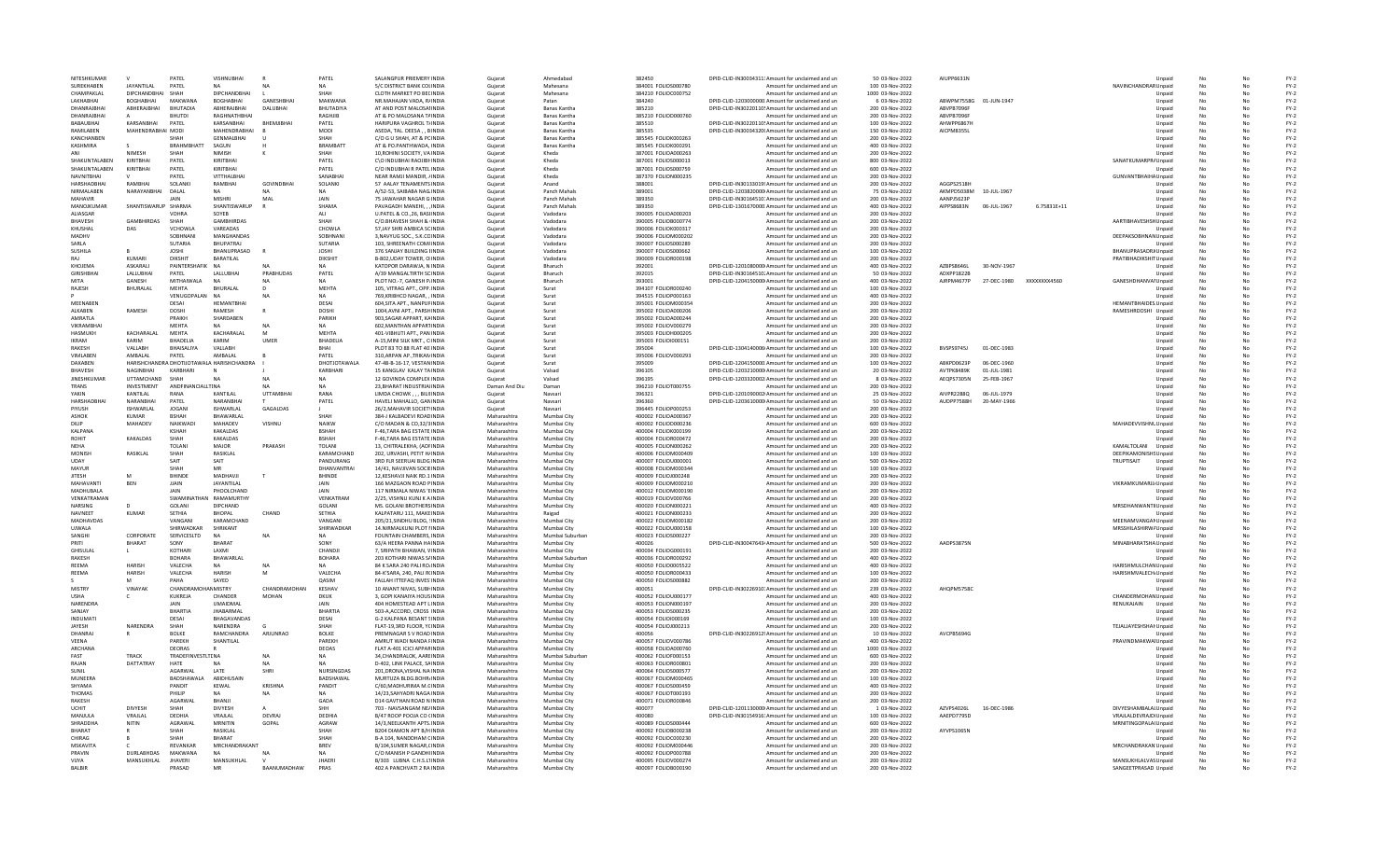| NITESHKUMAR                |                           | PATFI                            | VISHNURHAI                                | R                | PATEL                                 | SALANGPUR PRIEMERY INDIA                                 | Guiarat                    | Ahmedahad                           | 382450                                     | DPID-CLID-IN30034311: Amount for unclaimed and un                                                     | 50.03-Nov-2022                     | AIUPP6631N               |             |                          | Unnaid                            | No        | No       | $FY-2$           |
|----------------------------|---------------------------|----------------------------------|-------------------------------------------|------------------|---------------------------------------|----------------------------------------------------------|----------------------------|-------------------------------------|--------------------------------------------|-------------------------------------------------------------------------------------------------------|------------------------------------|--------------------------|-------------|--------------------------|-----------------------------------|-----------|----------|------------------|
| SURFKHARFN                 | <b>JAYANTILAL</b>         | PATEL                            |                                           |                  | <b>NA</b>                             | 5/C DISTRICT BANK COLINDIA                               | Gujarat                    | Mahesana                            | 384001 FOLIOS000780                        | Amount for unclaimed and un                                                                           | 100 03-Nov-2022                    |                          |             |                          | NAVINCHANDRAR Unpaid              | No        | No       | $FY-2$           |
| CHAMPAKLAI                 | DIPCHANDBHAI              | SHAH                             | DIPCHANDBHAI                              |                  |                                       | CLOTH MARKET PO BECINDI                                  | Gujarat                    | Mahesana                            | 384210 FOLIOC000752                        | Amount for unclaimed and un                                                                           | 1000 03-Nov-2022                   |                          |             |                          | Unpaid                            |           |          | $FY-2$           |
| LAKHABHA                   | BOGHABHAI                 | MAKWANA                          | <b>BOGHABHAI</b>                          | GANESHBHAI       | MAKWANA                               | NR.MAHAJAN VADA, R/INDIA                                 | Gujarat                    | Patan                               | 384240                                     | DPID-CLID-1203000000 Amount for unclaimed and un                                                      | 6 03-Nov-2022                      | ABWPM7558G 01-JUN-1947   |             |                          | Unpaid                            | <b>No</b> | No       | $FY-2$           |
| DHANRAJBHAI<br>DHANRAIRHAI | ABHERAJBHAI               | <b>BHUTADIA</b><br><b>BHUTDI</b> | ABHERAJBHAI<br>RAGHNATHRHAI               | DALUBHAI         | BHUTADIYA<br><b>RAGHIIB</b>           | AT AND POST MALOSAHNDIA<br>AT & PO MALOSANA TAINDIA      | Guiarat<br>Guiarat         | Banas Kantha<br><b>Banas Kantha</b> | 385210<br>385210 FOLIOD000760              | DPID-CLID-IN30220110! Amount for unclaimed and un<br>Amount for unclaimed and un                      | 200 03-Nov-2022<br>200.03-Nov-2022 | ABVPB7096F<br>ARVPR7096E |             |                          | Unpaid                            | No<br>No  | No<br>No | $FY-2$<br>$FY-2$ |
| <b>BABAURHAL</b>           | KARSANBHAI                | PATEL                            | KARSANBHAI                                | BHEMJIBHA        | PATEL                                 | HARIPURA VAGHROL T/INDIA                                 | Gujarat                    | Banas Kantha                        | 385510                                     | DPID-CLID-IN30220110! Amount for unclaimed and un                                                     | 100 03-Nov-2022                    | AHWPP6867                |             |                          | Unpaid<br>Unpaid                  | No        | No       | $FY-2$           |
| RAMILABEN                  | MAHENDRABHAI MODI         |                                  | MAHENDRABHAI                              |                  | MODI                                  | ASEDA, TAL. DEESA,, BINDI                                | Gujarat                    | Banas Kantha                        | 385535                                     | DPID-CLID-IN30034320I Amount for unclaimed and un                                                     | 150 03-Nov-2022                    | AICPM8355L               |             |                          | Unpaid                            |           |          | $FY-2$           |
| KANCHANBEI                 |                           | SHAF                             | <b>GENMALBHA</b>                          | - U              | SHAH                                  | C/O G U SHAH, AT & PCINDIA                               | Gujarat                    | Banas Kantha                        | 385545 FOLIOK000263                        | Amount for unclaimed and un                                                                           | 200 03-Nov-2022                    |                          |             |                          | Unpaid                            | <b>No</b> | No       | $FY-2$           |
| KASHMIRA                   |                           | <b>BRAHMBHATT</b>                | SAGUN                                     |                  | <b>BRAMBATT</b>                       | AT & PO.PANTHWADA, INDIA                                 | Guiarat                    | Banas Kantha                        | 385545 FOLIOK000291                        | Amount for unclaimed and un                                                                           | 400 03-Nov-2022                    |                          |             |                          | Unpaid                            | No        | No       | $FY-2$           |
| ANI                        | <b>NIMESH</b>             | SHAH                             | <b>NIMISH</b>                             | K                | SHAH                                  | 10. ROHINI SOCIETY, VA INDIA                             | Guiarat                    | Kheda                               | 387001 EOU04000263                         | Amount for unclaimed and un                                                                           | 200.03-Nov-2022                    |                          |             |                          | Unnaid                            | No        | No       | $FY-2$           |
| SHAKUNTALABEN              | KIRITBHAI                 | PATEL                            | KIRITBHAI                                 |                  | PATEL                                 | C\O INDUBHAI RAOJIBI INDIA                               | Gujarat                    | Kheda                               | 387001 FOLIOS000013                        | Amount for unclaimed and un                                                                           | 800 03-Nov-2022                    |                          |             |                          | SANATKUMARPR/ Unpaid              | No        | No       | $FY-2$           |
| SHAKUNTALABEN              | KIRITBHAI                 | PATEL                            | KIRITBHAI                                 |                  | PATEL                                 | C/O INDUBHAI R PATEL INDIA                               | Gujarat                    | Kheda                               | 387001 FOLIOS000759                        | Amount for unclaimed and un                                                                           | 600 03-Nov-2022                    |                          |             |                          | Unpaid                            |           |          | $FY-2$           |
| <b>NAVNITBHA</b>           |                           | PATEL                            | <b>VITTHALBHA</b>                         |                  | SANABHA                               | NEAR RAMJI MANDIR, /INDIA                                | Gujarat                    | Kheda                               | 387370 FOLION000235                        | Amount for unclaimed and un                                                                           | 200 03-Nov-2022                    |                          |             |                          | GUNVANTBHAIHA Unpaid              | <b>No</b> | No       | $FY-2$           |
| HARSHADBHAI                | RAMBHAI                   | SOLANKI                          | RAMBHAI                                   | <b>GOVINDBHA</b> | SOLANKI                               | 57 AALAY TENAMENTS INDIA                                 | Guiarat                    | Anand                               | 388001                                     | DPID-CLID-IN30133019! Amount for unclaimed and un                                                     | 200 03-Nov-2022                    | AGGPS2518H               |             |                          | Unpaid                            | <b>No</b> | No       | $FY-2$           |
| NIRMALAREN                 | NARAYANRHAI               | DAIAI                            | <b>NA</b>                                 | NA               | NA                                    | A/52-53, SAIBABA NAG INDIA                               | Guiarat                    | Panch Mahals                        | 389001                                     | DPID-CLID-1203820000 Amount for unclaimed and un                                                      | 75 03-Nov-2022                     | AKMPD5038M 10-IUI-1967   |             |                          | Unpaid                            | No        | No       | $FY-2$           |
| MAHAVIR                    |                           | JAIN                             | <b>MISHRI</b>                             | MAL              | JAIN                                  | 75 JAWAHAR NAGAR G INDIA                                 | Gujarat                    | Panch Mahals                        | 389350                                     | DPID-CLID-IN30164510: Amount for unclaimed and un                                                     | 200 03-Nov-2022                    | AANPJ5623F               |             |                          | Unpaid                            | No        | No       | $FY-2$           |
| MANOJKUMAR                 | SHANTISWARUP SHARMA       |                                  | SHANTISWARUP                              |                  | SHAMA                                 | PAVAGADH MANEHI, , , INDIA                               | Gujarat                    | Panch Mahals                        | 389350                                     | DPID-CLID-1301670000 Amount for unclaimed and un                                                      | 400 03-Nov-2022                    | AIPPS8683N               | 06-JUL-1967 | 6.75831E+11              | Unpaid                            |           |          | $FY-2$           |
| ALIASGAR                   |                           | <b>VOHRA</b>                     | SOYEB                                     |                  | ALI                                   | U.PATEL & CO., 26, BASHNDIA                              | Gujarat                    | Vadodara                            | 390005 FOLIOA000203                        | Amount for unclaimed and un                                                                           | 200 03-Nov-2022                    |                          |             |                          | Unpaid                            | No        | No       | $FY-2$           |
| <b>BHAVESH</b>             | <b>GAMBHIRDAS</b>         | SHAH                             | GAMBHIRDAS                                |                  | SHAH                                  | C/O.BHAVESH SHAH & INDIA                                 | Guiarat                    | Vadodara                            | 390005 FOLIOB000774                        | Amount for unclaimed and un                                                                           | 200 03-Nov-2022                    |                          |             |                          | AARTIBHAVESHSH Unpaid             | <b>No</b> | No       | $FY-2$           |
| KHUSHAL                    | DAS                       | VCHOWLA                          | VARFADAS                                  |                  | CHOWLA                                | 57 JAY SHRI AMBICA SCINDIA                               | Guiarat                    | Vadodara                            | 390006 EQUOK000317                         | Amount for unclaimed and un                                                                           | 200.03-Nov-2022                    |                          |             |                          | Unnaid                            | No        | No       | $FY-2$           |
| MADHV                      |                           | SOBHNAN                          | MANGHANDA!                                |                  | SOBHNAN                               | 3, NAVYUG SOC., S.K.CCINDIA                              | Gujarat                    | Vadodara                            | 390006 FOLIOM000202                        | Amount for unclaimed and un                                                                           | 200 03-Nov-2022                    |                          |             |                          | DEEPAKSOBHNAN Unpaid              | No        | No       | $FY-2$           |
| SARLA                      |                           | SUTARIA                          | <b>BHUPATRAJ</b>                          |                  | SUTARIA                               | 103, SHREENATH COMFINDI                                  | Gujarat                    | Vadodara                            | 390007 FOLIOS000289                        | Amount for unclaimed and un                                                                           | 200 03-Nov-2022                    |                          |             |                          | Unpaid                            |           |          | $FY-2$           |
| SUSHILA                    |                           | <b>JOSHI</b>                     | BHANUPRASAD                               |                  | <b>JOSHI</b>                          | 376 SANJAY BUILDING HNDIA                                | Gujarat                    | Vadodara                            | 390007 FOLIOS000662                        | Amount for unclaimed and un                                                                           | 100 03-Nov-2022                    |                          |             |                          | BHANUPRASADRJ Unpaid              | No        | No       | $FY-2$           |
| RAI<br>KHOIFMA             | KUMARI<br><b>ASKARALL</b> | <b>DIKSHIT</b><br>PAINTFRSHAFIK  | BARATILAL<br><b>NA</b>                    | N <sub>A</sub>   | <b>DIKSHIT</b><br>NA                  | B-802.UDAY TOWER, O INDIA<br>KATOPOR DARAWIA. N INDIA    | Guiarat<br>Guiarat         | Vadodara<br>Bharuch                 | 390009 FOLIOR000198<br>392001              | Amount for unclaimed and un<br>DPID-CLID-1201080000 Amount for unclaimed and un                       | 200 03-Nov-2022<br>400 03-Nov-2022 | AZRPS8646L               | 30-NOV-1967 |                          | PRATIBHADIKSHIT Unpaid            | No<br>No  | No<br>No | $FY-2$<br>$FY-2$ |
| GIRISHBHA                  |                           |                                  |                                           | PRABHUDAS        |                                       |                                                          |                            |                                     |                                            |                                                                                                       |                                    | ADXPP1822E               |             |                          | Unpaid                            |           |          |                  |
|                            | LALLUBHAI<br>GANESH       | PATEL<br>MITHAIWALA              | LALLUBHAI                                 |                  | PATEL<br><b>NA</b>                    | A/39 MANGALTIRTH SCINDIA<br>PLOT NO.-7, GANESH P/INDIA   | Gujarat<br>Gujarat         | Bharuch<br>Bharuch                  | 392015<br>393001                           | DPID-CLID-IN30164510. Amount for unclaimed and un<br>DPID-CLID-1204150000 Amount for unclaimed and un | 50 03-Nov-2022<br>400 03-Nov-2022  | AJRPM4677P               |             | 27-DEC-1980 XXXXXXXX4560 | Unpaid<br>GANESHDHANVAI Unpaid    | No        | No       | $FY-2$<br>$FY-2$ |
| RAJESH                     | BHURALAL                  | MEHTA                            | BHURALAL                                  | D                | <b>MEHTA</b>                          | 105. VITRAG APT., OPP. INDIA                             | Gujarat                    | Surat                               | 394107 FOLIOR000240                        | Amount for unclaimed and un                                                                           | 100 03-Nov-2022                    |                          |             |                          | Unpaid                            | No        | No       | $FY-2$           |
|                            |                           | VENUGOPALAN                      | <b>NA</b>                                 | N A              | NA                                    | 769.KRIBHCO NAGAR. . INDIA                               | Guiarat                    | Surat                               | 394515 FOLIOP000163                        | Amount for unclaimed and un                                                                           | 400 03-Nov-2022                    |                          |             |                          | Unpaid                            | No        | No       | $FY-2$           |
| <b>MFFNARFN</b>            |                           | DESAL                            | <b>HFMANTRHA</b>                          |                  | DESAI                                 | 604 SITA APT. NANPUEINDIA                                | Guiarat                    | Surat                               | 395001 EOU0M000354                         | Amount for unclaimed and un                                                                           | 200.03-Nov-2022                    |                          |             |                          | <b>HEMANTBHAIDES Unpaid</b>       | No        | No       | $FY-2$           |
| ALKABEN                    | RAMESH                    | DOSHI                            | RAMESH                                    |                  | DOSHI                                 | 1004.AVNI APT., PARSHINDIA                               | Gujarat                    | Surat                               | 395002 FOLIOA000206                        | Amount for unclaimed and un                                                                           | 200 03-Nov-2022                    |                          |             |                          | RAMESHRDOSHI Unpaid               | No        | No       | $FY-2$           |
| AMRATLA                    |                           | PRAIKH                           | SHARDABEN                                 |                  | PARIKH                                | 903, SAGAR APPART, KAINDIA                               | Gujarat                    | Surat                               | 395002 FOLIOA000244                        | Amount for unclaimed and un                                                                           | 200 03-Nov-2022                    |                          |             |                          | Unpaid                            |           |          | $FY-2$           |
| <b>VIKRAMBHA</b>           |                           | MEHTA                            |                                           | <b>NA</b>        | <b>NA</b>                             | 602.MANTHAN APPARTINDIA                                  | Gujarat                    | Surat                               | 395002 FOLIOV000279                        | Amount for unclaimed and un                                                                           | 200 03-Nov-2022                    |                          |             |                          | Unpaid                            | <b>No</b> | No       | $FY-2$           |
| HASMUKH                    | KACHARALAI                | MEHTA                            | KACHARALAL                                | M                | <b>MEHTA</b>                          | 401-VIBHUTI APT., PAN INDIA                              | Guiarat                    | Surat                               | 395003 FOLIOH000205                        | Amount for unclaimed and un                                                                           | 200 03-Nov-2022                    |                          |             |                          | Unpaid                            | No        | No       | $FY-2$           |
| <b>IKRAM</b>               | KARIM                     | <b>BHADFLIA</b>                  | KARIM                                     | <b>UMFR</b>      | <b>RHADELIA</b>                       | A-15. MINI SILK MKT., C INDIA                            | Guiarat                    | Surat                               | 395003 FOLIO1000151                        | Amount for unclaimed and un                                                                           | 200.03-Nov-2022                    |                          |             |                          | Unpaid                            | No        | No       | $FY-2$           |
| RAKESH                     | VALLABH                   | BHAISALIYA                       | VALLABH                                   |                  | <b>RHAI</b>                           | PLOT 83 TO 88 FLAT 40: INDIA                             | Gujarat                    | Surat                               | 395004                                     | DPID-CLID-1304140006 Amount for unclaimed and un                                                      | 100 03-Nov-2022                    | BVSPS9745J               | 01-DEC-1983 |                          | Unpaid                            | No        | No       | $FY-2$           |
| VIMLABEN                   | AMBALAL                   | PATEL                            | AMBALAL                                   |                  | PATEL                                 | 310, ARPAN AP., TRIKAN INDI                              | Gujarat                    | Surat                               | 395006 FOLIOV000293                        | Amount for unclaimed and un                                                                           | 200 03-Nov-2022                    |                          |             |                          | Unpaid                            | No        |          | $FY-2$           |
| DAXABEN                    |                           |                                  | HARISHCHANDRA DHOTIJOTAWALA HARISHCHANDRA |                  | DHOTJOTAWALA                          | 47-48-B-16-17, VESTAN INDIA                              | Gujarat                    | Surat                               | 395009                                     | DPID-CLID-1204150000 Amount for unclaimed and un                                                      | 100 03-Nov-2022                    | ABKPD0623P               | 06-DEC-1960 |                          | Unpaid                            | <b>No</b> | No       | $FY-2$           |
| <b>BHAVESH</b>             | NAGINBHAI                 | KARBHARI                         |                                           |                  | KARBHARI                              | 15 KANGLAV KALAY TAINDIA                                 | Guiarat                    | Valsad                              | 396105                                     | DPID-CLID-1203210000 Amount for unclaimed and un                                                      | 20 03-Nov-2022                     | AVTPK8489K               | 01-JUL-1981 |                          | Unpaid                            | No        | No       | $FY-2$           |
| <b>IINESHKUMAR</b>         | <b>UTTAMCHAND</b>         | SHAH                             | NΔ                                        | NA               | <b>NA</b>                             | 12 GOVINDA COMPLEX INDIA                                 | Guiarat                    | Valsad                              | 396195                                     | DPID-CLID-1203320002 Amount for unclaimed and un                                                      | 8 03-Nov-2022                      | AEOPS7305N               | 25-FFB-1967 |                          | Unpaid                            | No        | No       | $FY-2$           |
| TRANS                      | INVESTMENT                | ANDFINANCIALLTINA                |                                           | N <sub>A</sub>   | <b>NA</b>                             | 23, BHARAT INDUSTRIAINDIA                                | Daman And Di               | Daman                               | 396210 FOLIOT000755                        | Amount for unclaimed and un                                                                           | 200 03-Nov-2022                    |                          |             |                          | Unpaid                            | No        | No       | $FY-2$           |
| YAKIN                      | KANTILAL                  | RAN/                             | KANTILAL                                  | <b>UTTAMBHA</b>  | RANA                                  | LIMDA CHOWK, , , BILIIINDIA                              | Gujarat                    | Navsar                              | 396321                                     | DPID-CLID-1201090002 Amount for unclaimed and un                                                      | 25 03-Nov-2022                     | AIVPR2288Q               | 06-JUL-1979 |                          | Unpaid                            |           |          | $FY-2$           |
| HARSHADBHAI                | NARANBHA                  | PATEL                            | NARANBHA                                  |                  | PATEL                                 | HAVELI MAHALLO, GANINDIA                                 | Gujarat                    | Navsari                             | 396360                                     | DPID-CLID-1203610000 Amount for unclaimed and un                                                      | 50 03-Nov-2022                     | AUDPP7588H               | 20-MAY-1966 |                          | Unpaid                            | <b>No</b> | No       | $FY-2$           |
| PIYUSH<br>ASHOK            | ISHWARLAL<br>KUMAR        | <b>JOGANI</b>                    | ISHWARLAL<br><b>BHAWARI AI</b>            | GAGALDAS         | SHAH                                  | 26/2. MAHAVIR SOCIET INDIA<br>384-1 KAI BADEVI ROADINDIA | Guiarat<br>Maharashtra     | Navsari<br>Mumhai City              | 396445 FOLIOP000253<br>400002 FOLIOA000367 | Amount for unclaimed and un                                                                           | 200 03-Nov-2022<br>200.03-Nov-2022 |                          |             |                          | Unpaid                            | No<br>No  | No<br>No | $FY-2$<br>$FY-2$ |
|                            |                           | <b>BSHAH</b>                     | MAHADEV                                   |                  | <b>NAIKW</b>                          |                                                          |                            |                                     |                                            | Amount for unclaimed and un                                                                           |                                    |                          |             |                          | Unnaid                            |           |          |                  |
| DILIP<br>KALPANA           | MAHADEV                   | NAIKWAD                          | <b>KAKALDAS</b>                           | VISHNU           | <b>BSHAH</b>                          | C/O MADAN & CO,32/3 INDIA<br>F-46, TARA BAG ESTATE INDI  | Maharashtra<br>Maharashtra | Mumbai City<br>Mumbai City          | 400002 FOLIOD000236<br>400004 FOLIOK000199 | Amount for unclaimed and un<br>Amount for unclaimed and un                                            | 600 03-Nov-2022<br>200 03-Nov-2022 |                          |             |                          | MAHADEVVISHNL Unpaid              | No        | No       | $FY-2$<br>$FY-2$ |
| <b>ROHIT</b>               | KAKALDAS                  | SHAH                             | KAKALDAS                                  |                  | <b>BSHAH</b>                          | F-46.TARA BAG ESTATE INDIA                               | Maharashtra                | Mumbai City                         | 400004 FOLIOR000472                        | Amount for unclaimed and un                                                                           | 200 03-Nov-2022                    |                          |             |                          | Unpaid<br>Unpaid                  | No        | No       | $FY-2$           |
| NEHA                       |                           | <b>TOLANI</b>                    | <b>MAJOR</b>                              | PRAKASH          | TOLANI                                | 13. CHITRALEKHA, (AOFINDIA                               | Maharashtra                | Mumbai City                         | 400005 FOLION000262                        | Amount for unclaimed and un                                                                           | 200 03-Nov-2022                    |                          |             |                          | KAMALTOLANI Unpaid                | No        | No       | $FY-2$           |
| <b>MONISE</b>              | RASIKLAL                  | SHAH                             | RASIKLAL                                  |                  | KARAMCHAND                            | 202. URVASHI, PETIT H/INDIA                              | Maharashtra                | Mumbai City                         | 400006 EQUOM000409                         | Amount for unclaimed and un                                                                           | 100.03-Nov-2022                    |                          |             |                          | DEEPIKAMONISHS Unpaid             | No        | No       | $FY-2$           |
| UDAY                       |                           | SAIT                             | SAIT                                      |                  | PANDURANG                             | 3RD FLR SEERUAI BLDG INDIA                               | Maharashtra                | Mumbai City                         | 400007 FOLIOU000001                        | Amount for unclaimed and un                                                                           | 500 03-Nov-2022                    |                          |             |                          | TRUPTISAIT<br>Unpaid              | No        | No       | $FY-2$           |
| MAYUR                      |                           | <b>SHAI</b>                      |                                           |                  | DHANVANTRAI                           | 14/41. NAVJIVAN SOCIEINDIA                               | Maharashtra                | Mumbai City                         | 400008 FOLIOM000344                        | Amount for unclaimed and un                                                                           | 100 03-Nov-2022                    |                          |             |                          | Unpaid                            |           |          | $FY-2$           |
| <b>JITESH</b>              |                           | <b>BHINDE</b>                    | MADHAVJI                                  | $\mathsf{T}$     | <b>BHINDE</b>                         | 12.KESHAVJI NAIK RD.1 INDIA                              | Maharashtra                | Mumbai City                         | 400009 FOLIOJ000248                        | Amount for unclaimed and un                                                                           | 200 03-Nov-2022                    |                          |             |                          | Unpaid                            | <b>No</b> | No       | $FY-2$           |
| MAHAVANTI                  | <b>BEN</b>                | <b>JJAIN</b>                     | JAYANTILAL                                |                  | JAIN                                  | 166 MAZGAON ROAD PINDIA                                  | Maharashtra                | Mumbai City                         | 400009 FOLIOM000210                        | Amount for unclaimed and un                                                                           | 200 03-Nov-2022                    |                          |             |                          | VIKRAMKUMARJJ <sub>/</sub> Unpaid | <b>No</b> | No       | $FY-2$           |
| <b>MADHURALA</b>           |                           | <b>JAIN</b>                      | PHOOL CHAND                               |                  | <b>JAIN</b>                           | 117 NIRMALA NIWAS 'FINDIA                                | Maharashtra                | Mumbai City                         | 400012 EOLIOM000190                        | Amount for unclaimed and un                                                                           | 200.03-Nov-2022                    |                          |             |                          | Unpaid                            | No        | No       | $FY-2$           |
| VENKATRAMAN                |                           | SWAMINATI                        | <b>RAMAMURTHY</b>                         |                  | VENKATRAM                             | 2/25, VISHNU KUNJ K A INDIA                              | Maharashtra                | Mumbai City                         | 400019 FOLIOV000766                        | Amount for unclaimed and un                                                                           | 200 03-Nov-2022                    |                          |             |                          | Unpaid                            | No        | No       | $FY-2$           |
| NARSING                    |                           | GOLANI                           | DIPCHAND                                  |                  | GOLANI                                | MS. GOLANI BROTHERS INDIA                                | Maharashtra                | Mumbai City                         | 400020 FOLION000221                        | Amount for unclaimed and un                                                                           | 400 03-Nov-2022                    |                          |             |                          | MRSDHANWANTII Unpaid              |           |          | $FY-2$           |
| NAVNEET                    | <b>KUMAR</b>              | SETHIA                           | <b>BHOPAL</b>                             | CHAND            | SETHIA                                | KALPATARU 111, MAKE INDIA                                | Maharashtra                | Raigad                              | 400021 FOLION000233                        | Amount for unclaimed and un                                                                           | 200 03-Nov-2022                    |                          |             |                          | Unpaid                            | No        | No       | $FY-2$           |
| MADHAVDAS                  |                           | VANGANI                          | KARAMCHAND                                |                  | VANGANI                               | 205/21.SINDHU BLDG. 'INDIA                               | Maharashtra                | Mumbai City                         | 400022 FOLIOM000182                        | Amount for unclaimed and un                                                                           | 200 03-Nov-2022                    |                          |             |                          | MEENAMVANGAMUnpaid                | No        | No       | $FY-2$           |
| <b>UIWALA</b>              |                           | SHIRWADKAR                       | SHRIKANT                                  |                  | SHIRWADKAR                            | 14 NIRMALKUNI PLOT HNDIA                                 | Maharashtra                | Mumhai City                         | 400022 EQUOU000158                         | Amount for unclaimed and un                                                                           | 100.03-Nov-2022                    |                          |             |                          | MRSSHILASHIRW/ Unpaid             | No        | No       | $FY-2$           |
| SANGHI                     | CORPORAT                  | SERVICESLTD                      | <b>NA</b>                                 | N <sub>A</sub>   | <b>NA</b>                             | FOUNTAIN CHAMBERS, INDIA                                 | Maharashtra                | Mumbai Suburba                      | 400023 FOLIOS000227                        | Amount for unclaimed and un                                                                           | 200 03-Nov-2022                    |                          |             |                          | Unpaid                            | No        | No       | $FY-2$           |
|                            | BHARAT                    |                                  | BHARAT                                    |                  | SONY                                  | 63/A HEERA PANNA HAINDIA                                 | Maharashtra                | Mumbai City                         | 400026                                     | DPID-CLID-IN30047643- Amount for unclaimed and un                                                     | 500 03-Nov-2022                    | AADPS3875M               |             |                          | MINABHARATSHA Unpaid              |           |          | $FY-2$           |
| GHISULAI                   |                           | KOTHARI                          | LAXMI                                     |                  | CHANDJI                               | 7. SRIPATH BHAWAN, VINDIA                                | Maharashtra                | Mumbai City                         | 400034 FOLIOG000191<br>400036 FOLIOR000292 | Amount for unclaimed and un                                                                           | 200 03-Nov-2022<br>400 03-Nov-2022 |                          |             |                          | Unpaid                            | No        | No       | $FY-2$<br>$FY-2$ |
| RAKESH<br>RFFMA            | <b>HARISH</b>             | <b>BOHARA</b><br><b>VALECHA</b>  | BHAWARLAL<br><b>NA</b>                    | N <sub>A</sub>   | <b>BOHARA</b><br>NA                   | 203 KOTHARI NIWAS SAINDIA<br>84 K SARA 240 PALLRO INDIA  | Maharashtra<br>Maharashtra | Mumbai Suburbar<br>Mumbai City      | 400050 EQUO0005522                         | Amount for unclaimed and un<br>Amount for unclaimed and un                                            | 400.03-Nov-2022                    |                          |             |                          | Unpaid<br>HARISHMULCHAN Unpaid    | No<br>No  | No<br>No | $FY-2$           |
| REEMA                      | <b>HARISH</b>             | VALECHA                          | HARISH                                    | M                | VALECHA                               | 84-K'SARA, 240, PALI R(INDIA                             | Maharashtra                | Mumbai City                         | 400050 FOLIOR000433                        | Amount for unclaimed and un                                                                           | 100 03-Nov-2022                    |                          |             |                          | HARISHMVALECH <sub>i</sub> Unpaid | No        | No       | $FY-2$           |
|                            |                           | PAHA                             | SAYED                                     |                  | QASIM                                 | FALLAH ITTEFAQ INVES INDIA                               | Maharashtra                | Mumbai City                         | 400050 FOLIOS000882                        | Amount for unclaimed and un                                                                           | 200 03-Nov-2022                    |                          |             |                          | Unpaid                            |           |          | $FY-2$           |
| <b>MISTRY</b>              | <b>VINAYAK</b>            | CHANDRA                          | <b>NMISTRY</b>                            | CHANDRAMOHAN     | KESHAV                                | 10 ANANT NIVAS, SUBHINDIA                                | Maharashtra                | Mumbai City                         | 400051                                     | DPID-CLID-IN30226910. Amount for unclaimed and un                                                     | 239 03-Nov-2022                    | AHOPM5758C               |             |                          | Unpaid                            | No        | No       | $FY-2$           |
| <b>USHA</b>                |                           | KUKREJA                          | CHANDER                                   | MOHAN            | <b>DKUK</b>                           | 3. GOPI KANAIYA HOUS INDIA                               | Maharashtra                | Mumbai City                         | 400052 FOLIOU000177                        | Amount for unclaimed and un                                                                           | 400 03-Nov-2022                    |                          |             |                          | CHANDERMOHAN Unpaid               | No        | No       | $FY-2$           |
| NARFNDRA                   |                           | <b>JAIN</b>                      | <b>UMAIDMAI</b>                           |                  | <b>JAIN</b>                           | 404 HOMESTEAD APT LINDIA                                 | Maharashtra                | Mumbai City                         | 400053 EQUON000197                         | Amount for unclaimed and un                                                                           | 200.03-Nov-2022                    |                          |             |                          | RENUKAIAIN<br>Unpaid              | No        | No       | $FY-2$           |
| SANJAY                     |                           | <b>BHARTIA</b>                   | <b>JHABARMAL</b>                          |                  | <b>BHARTIA</b>                        | 503-A, ACCORD, CROSS INDIA                               | Maharashtra                | Mumbai City                         | 400053 FOLIOS000235                        | Amount for unclaimed and un                                                                           | 200 03-Nov-2022                    |                          |             |                          | Unpaid                            | No        | No       | $FY-2$           |
| INDUMAT                    |                           | DESAI                            | BHAGAVANDAS                               |                  | DESAI                                 | G-2 KALPANA BESANT SINDIA                                | Maharashtra                | Mumbai City                         | 400054 FOLIOI000169                        | Amount for unclaimed and un                                                                           | 100 03-Nov-2022                    |                          |             |                          | Unpaid                            |           |          | $FY-2$           |
| <b>JAYESH</b>              | NARENDRA                  | SHAH                             | NARENDRA                                  |                  | SHAH                                  | FLAT-19,3RD FLOOR, YCINDIA                               | Maharashtra                | Mumbai City                         | 400054 FOLIOJ000213                        | Amount for unclaimed and un                                                                           | 200 03-Nov-2022                    |                          |             |                          | TEJALJAYESHSHAI Unpaid            | <b>No</b> | No       | $FY-2$           |
| DHANRAJ                    |                           | <b>BOLKE</b>                     | RAMCHANDRA                                | ARJUNRAO         | <b>BOLKE</b>                          | PREMNAGAR S V ROAD INDIA                                 | Maharashtra                | Mumbai City                         | 400056                                     | DPID-CLID-IN30226912! Amount for unclaimed and un                                                     | 10 03-Nov-2022                     | AVCPB5694G               |             |                          | Unpaid                            | No        | No       | $FY-2$           |
| VFFNA                      |                           | PARFKH                           | SHANTILAI                                 |                  | PARFKH                                | AMRUT WADI NANDA FINDIA                                  | Maharashtra                | Mumbai City                         | 400057 FOLIOV000786                        | Amount for unclaimed and un                                                                           | 400.03-Nov-2022                    |                          |             |                          | PRAVINDMAKWAI Unpaid              | No        | No       | $FY-2$           |
| <b>ARCHANA</b>             |                           | DEORAS                           |                                           |                  | DEOAS                                 | FLAT A-401 ICICI APPARINDIA                              | Maharashtra                | Mumbai City                         | 400058 FOLIOA000760                        | Amount for unclaimed and un                                                                           | 1000 03-Nov-2022                   |                          |             |                          | Unpaid                            | No        | No       | $FY-2$           |
| FAST                       | TRACK                     | TRADEFINVESTLTENA                |                                           | N <sub>A</sub>   |                                       | 34, CHANDRALOK, AARE INDIA                               | Maharashtra                | Mumbai Suburba                      | 400062 FOLIOF000153                        | Amount for unclaimed and un                                                                           | 600 03-Nov-2022                    |                          |             |                          | Unpaid                            | No        |          | $FY-2$           |
| RAJAN                      | DATTATRAY                 | HATE                             | NA                                        | <b>NA</b>        | <b>NA</b>                             | D-402. LINK PALACE, SAINDIA                              | Maharashtra                | Mumbai City                         | 400063 FOLIOR000801                        | Amount for unclaimed and un                                                                           | 200 03-Nov-2022                    |                          |             |                          | Unpaid                            | <b>No</b> | No       | $FY-2$           |
| SUNIL<br><b>MUNEERA</b>    |                           | AGARWAL<br><b>BADSHAWALA</b>     | LATE<br>ARIDHUSAIN                        | SHRI             | <b>NURSINGDAS</b><br><b>RADSHAWAI</b> | 201.DRONA.VISHAL NA INDIA<br>MURTUZA BLDG BOHR/INDIA     | Maharashtra<br>Maharashtra | Mumbai City<br>Mumbai City          | 400064 FOLIOS000577<br>400067 FOLIOM000465 | Amount for unclaimed and un<br>Amount for unclaimed and un                                            | 200 03-Nov-2022<br>100.03-Nov-2022 |                          |             |                          | Unpaid<br>Unpaid                  | No<br>No  | No<br>No | $FY-2$<br>$FY-2$ |
| SHYAMA                     |                           | PANDIT                           | KEWAL                                     | <b>KRISHN</b>    | PANDIT                                | C/60, MADHURIMA M.CINDIA                                 | Maharashtra                | Mumbai City                         | 400067 FOLIOS000459                        | Amount for unclaimed and un                                                                           | 400 03-Nov-2022                    |                          |             |                          | Unpaid                            | No        | No       | $FY-2$           |
| THOMAS                     |                           | PHILIF                           |                                           | NΑ               |                                       | 14/23, SAHYADRI NAGA INDIA                               | Maharashtra                | Mumbai City                         | 400067 FOLIOT000193                        | Amount for unclaimed and un                                                                           | 200 03-Nov-2022                    |                          |             |                          | Unpaid                            |           |          | $FY-2$           |
| RAKESH                     |                           | AGARWAL                          | BHANJI                                    |                  | GADA                                  | D14 GAVTHAN ROAD N INDIA                                 | Maharashtra                | Mumbai City                         | 400071 FOLIOR000846                        | Amount for unclaimed and un                                                                           | 200 03-Nov-2022                    |                          |             |                          | Unpaid                            | No        | No       | $FY-2$           |
| UCHIT                      | <b>DIVYESH</b>            | SHAH                             | <b>DIVYESH</b>                            | A                | SHH                                   | 703 - NAVSANGAM NE/INDIA                                 | Maharashtra                | Mumbai City                         | 400077                                     | DPID-CLID-1201130000 Amount for unclaimed and un                                                      | 1 03-Nov-2022                      | AZVPS4026L               | 16-DEC-1986 |                          | DIVYESHAMBALAI Unpaid             | No        | No       | $FY-2$           |
| <b>MANIULA</b>             | VRAILAL                   | DEDHIA                           | VRAILAL                                   | <b>DEVRAI</b>    | DEDHIA                                | B/47 ROOP POOIA CO CINDIA                                | Maharashtra                | Mumbai City                         | 400080                                     | DPID-CLID-IN30154916: Amount for unclaimed and un                                                     | 100.03-Nov-2022                    | AAFPD7795D               |             |                          | VRAJLALDEVRAJD  Unpaid            | No        | No       | $FY-2$           |
| SHRADDHA                   | NITIN                     | AGRAWAL                          | <b>MRNITIN</b>                            | GOPAL            | AGRAW                                 | 14/3, NEELKANTH APTS. INDIA                              | Maharashtra                | Mumbai City                         | 400089 FOLIOS000444                        | Amount for unclaimed and un                                                                           | 600 03-Nov-2022                    |                          |             |                          | MRNITINGOPALA(Unpaid              | No        | No       | $FY-2$           |
| BHARAT                     |                           |                                  | RASIKLAL                                  |                  | SHAH                                  | B204 DIAMON APT B/H INDIA                                | Maharashtra                | Mumbai City                         | 400092 FOLIOB000238                        | Amount for unclaimed and un                                                                           | 200 03-Nov-2022                    | AYVPS1065M               |             |                          | Unpaid                            |           |          | $FY-2$           |
| CHIRAG                     |                           | SHAF                             | <b>BHARAT</b>                             |                  | SHAH                                  | B-A 104, NANDDHAM CINDIA                                 | Maharashtra                | Mumbai City                         | 400092 FOLIOC000230                        | Amount for unclaimed and un                                                                           | 200 03-Nov-2022                    |                          |             |                          | Unpaid                            | No        | No       | $FY-2$           |
| MSKAVITA                   |                           | <b>REVANKAR</b>                  | MRCHANDRAKANT                             |                  | <b>BREV</b>                           | B/104.SUMER NAGAR.CINDIA                                 | Maharashtra                | Mumbai City                         | 400092 FOLIOM000446                        | Amount for unclaimed and un                                                                           | 200 03-Nov-2022                    |                          |             |                          | <b>MRCHANDRAKAN Unpaid</b>        | No        | No       | $FY-2$           |
| PRAVIN                     | <b>DURLABHDAS</b>         | MAKWANA                          | <b>NA</b>                                 | <b>NA</b>        | NA                                    | C/O MANISH P GANDHUNDIA                                  | Maharashtra                | Mumbai City                         | 400092 EOLIOP000788                        | Amount for unclaimed and un                                                                           | 200.03-Nov-2022                    |                          |             |                          | Unpaid                            | No        | No       | $FY-2$           |
|                            |                           | <b>JHAVERI</b>                   | MANSUKHLAL                                | $\mathbf v$      | <b>JHAERI</b>                         | B/303 LUBNA C.H.S.L1INDIA                                | Maharashtra                | Mumbai City                         | 400095 FOLIOV000274                        | Amount for unclaimed and un                                                                           | 200 03-Nov-2022                    |                          |             |                          | MANSUKHLALVAS Unpaid              | No        | No       | $FY-2$           |
| VIJYA<br>BALBIR            | MANSUKHLAL                | PRASAD                           | MR                                        | BAANUMADHAW      | PRAS                                  | 402 A PANCHVATI 2 RA INDIA                               | Maharashtra                | Mumbai City                         | 400097 FOLIOB000190                        | Amount for unclaimed and un                                                                           | 200 03-Nov-2022                    |                          |             |                          | SANGEETPRASAD Unpaid              |           |          | $FY-2$           |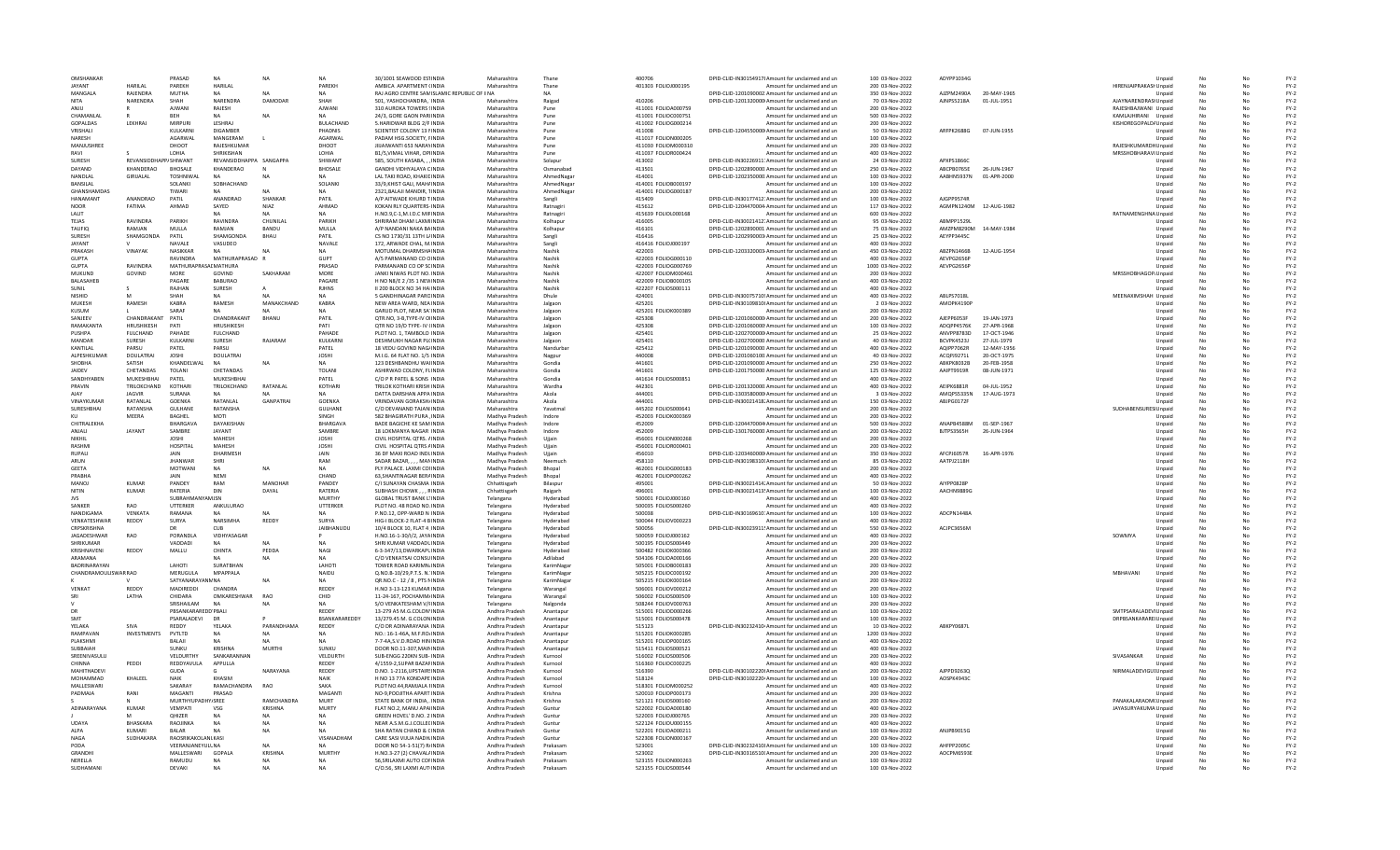| OMSHANKAR                |                                  | PRASAD                       | <b>NA</b>                     | <b>NA</b>            | <b>NA</b>                 | 30/1001 SEAWOOD ESTINDIA                                                | Maharashtra                      | Thane                  | 400706                                     | DPID-CLID-IN30154917! Amount for unclaimed and un                                                     | 100 03-Nov-2022                     | ADYPP1034G               |                             |                        | Unnaid           |                 |          | $FY-2$           |
|--------------------------|----------------------------------|------------------------------|-------------------------------|----------------------|---------------------------|-------------------------------------------------------------------------|----------------------------------|------------------------|--------------------------------------------|-------------------------------------------------------------------------------------------------------|-------------------------------------|--------------------------|-----------------------------|------------------------|------------------|-----------------|----------|------------------|
| <b>JAYANT</b>            | HARII AI                         | PARFKH                       | HARILAL                       |                      | PAREKH                    | AMRICA APARTMENT (INDIA                                                 | Maharashtra                      | Thane                  | 401303 FOLIOJ000195                        | Amount for unclaimed and un                                                                           | 200 03-Nov-2022                     |                          |                             | HIRENJAIPRAKASI Unpaid |                  |                 | No       | $FY-2$           |
| MANGALA<br>NITA          | RAIFNDRA<br>NARENDRA             | <b>MUTHA</b><br>SHAH         | NΔ<br>NARENDRA                | DAMODAR              | NA<br>SHAH                | RAJ AGRO CENTRE SAMISLAMIC REPUBLIC OF IINA<br>501, YASHOCHANDRA, INDIA | Maharashtra                      | NΔ<br>Raigad           | 410206                                     | DPID-CLID-1201090002 Amount for unclaimed and un<br>DPID-CLID-1201320000 Amount for unclaimed and un  | 350 03-Nov-2022<br>70 03-Nov-2022   | A17PM2490A<br>AJNPS5218A | 20-MAY-1965<br>01-JUL-1951  | AJAYNARENDRASI Unpaid  | Unpaid           |                 | No       | $FY-2$<br>$FY-2$ |
| ANIU                     |                                  | <b>AJWANI</b>                | RAJESH                        |                      | AJWANI                    | 310 AUROKA TOWERS (INDIA                                                | Maharashtra                      | Pune                   | 411001 FOLIOA000759                        | Amount for unclaimed and un                                                                           | 200 03-Nov-2022                     |                          |                             | RAJESHBAJWANI Unpaid   |                  |                 | No       | $FY-2$           |
| CHAMANLAL                |                                  | <b>BFF</b>                   | <b>NA</b>                     | <b>NA</b>            | <b>NA</b>                 | 24/3, GORE GAON PARIINDIA                                               | Maharashtra                      | Pune                   | 411001 FOLIOC000751                        | Amount for unclaimed and un                                                                           | 500 03-Nov-2022                     |                          |                             | KAMLAJHIRANI Unpaid    |                  | No              | No       | $FY-2$           |
| GOPALDAS                 | LEKHRAJ                          | MIRPURI                      | LESHRAJ                       |                      | <b>BULACHAND</b>          | 5.HARIDWAR BLDG 2/F INDIA                                               | Maharashtra                      | Pune                   | 411002 FOLIOG000214                        | Amount for unclaimed and un                                                                           | 200 03-Nov-2022                     |                          |                             | KISHOREGOPALD/Unpaid   |                  |                 | No       | $FY-2$           |
| VRISHALI                 |                                  | KULKARNI                     | <b>DIGAMBER</b>               |                      | PHADNIS                   | SCIENTIST COLONY 13 NINDIA                                              | Maharashtra                      | Pune                   | 411008                                     | DPID-CLID-1204550000 Amount for unclaimed and un                                                      | 50 03-Nov-2022                      | ARFPK2688G 07-JUN-1955   |                             |                        | Unpaid           |                 |          | $FY-2$           |
| NARESH<br>MANJUSHREE     |                                  | AGARWAL<br>DHOOT             | MANGERAM<br>RAJESHKUMAR       |                      | AGARWAL<br>DHOOT          | PADAM HSG.SOCIETY, FINDIA<br>JIUAIWANTI 653 NARAYINDIA                  | Maharashtra<br>Maharashtra       | Pune<br>Pune           | 411017 FOLION000205<br>411030 FOLIOM000310 | Amount for unclaimed and un<br>Amount for unclaimed and un                                            | 100 03-Nov-2022<br>200 03-Nov-2022  |                          |                             | RAJESHKUMARDHUnpaid    | Unpaid           |                 |          | $FY-2$<br>$FY-2$ |
| RAVI                     |                                  | LOHIA                        | SHRIKISHAN                    |                      | LOHIA                     | B1/5.VIMAL VIHAR, OPHNDIA                                               | Maharashtra                      | Pune                   | 411037 FOLIOR000424                        | Amount for unclaimed and un                                                                           | 400 03-Nov-2022                     |                          |                             | MRSSHOBHARAVI Unpaid   |                  | No<br>No        | No<br>No | $FY-2$           |
| <b>SURFSH</b>            | <b>REVANSIDDHAPP/ SHIWANT</b>    |                              | REVANSIDDHAPPA SANGAPPA       |                      | SHIWANT                   | 585, SOUTH KASABA, , , INDIA                                            | Maharashtra                      | Solapur                | 413002                                     | DPID-CLID-IN30226911: Amount for unclaimed and un                                                     | 24 03-Nov-2022                      | APXPS18660               |                             |                        | Unnaid           | No              | No       | FY-2             |
| DAYAND                   | KHANDERAO                        | <b>BHOSALE</b>               | KHANDERAO                     |                      | <b>BHOSALE</b>            | GANDHI VIDHYALAYA CINDIA                                                | Maharashtra                      | Osmanabad              | 413501                                     | DPID-CLID-1202890000 Amount for unclaimed and un                                                      | 250 03-Nov-2022                     | ABCPB0765E               | 26-IUN-1967                 |                        | Unpaid           |                 |          | $FY-2$           |
| NANDLAL                  | GIRIJALAL                        | <b>TOSHNIWA</b>              | NΔ                            |                      | <b>NA</b>                 | LAL TAKI ROAD, KHAKIE INDIJ                                             | Maharashtra                      | AhmedNaga              | 414001                                     | DPID-CLID-1202350000. Amount for unclaimed and un                                                     | 100 03-Nov-2022                     | AABHN5937N               | 01-APR-2000                 |                        | Unpaid           | No              |          | $FY-2$           |
| BANSILAL                 |                                  | SOLANKI                      | SOBHACHAND                    |                      | SOLANKI                   | 33/9.KHIST GALI, MAH/ INDIA                                             | Maharashtra                      | AhmedNagar             | 414001 FOLIOB000197                        | Amount for unclaimed and un                                                                           | 100 03-Nov-2022                     |                          |                             |                        | Unpaid           | No              | No       | $FY-2$           |
| GHANSHAMDAS              |                                  | TIWARI                       | <b>NA</b>                     | NA                   | <b>NA</b>                 | 2321.BALAJI MANDIR, TINDIA                                              | Maharashtra                      | AhmedNagar             | 414001 FOLIOG000187                        | Amount for unclaimed and un                                                                           | 200 03-Nov-2022                     |                          |                             |                        | Unpaid           | No              | No       | $FY-2$           |
| HANAMANT                 | ANANDRAO                         | PATIL                        | ANANDRAO                      | SHANKAR              | PATIL                     | A/P AITWADE KHURD TINDIA                                                | Maharashtra                      | Sangli                 | 415409                                     | DPID-CLID-IN30177412: Amount for unclaimed and un                                                     | 100 03-Nov-2022                     | AIGPP9574R               |                             |                        | Unpaid           | No              | No       | $FY-2$           |
| <b>NOOR</b><br>LALIT     | FATIMA                           | AHMAD                        | SAYED                         | NIA7<br><b>NA</b>    | AHMAD<br>NA               | KOKAN RLY QUARTERS-INDIA<br>H.NO.9,C-1,M.I.D.C MIFINDIA                 | Maharashtra<br>Maharashtra       | Ratnagiri<br>Ratnagiri | 415612<br>415639 FOLIOL000168              | DPID-CLID-1204470004 Amount for unclaimed and un<br>Amount for unclaimed and un                       | 117 03-Nov-2022<br>600 03-Nov-2022  | AGMPN1240M               | 12-AUG-1982                 | RATNAMENGHNA Unpaid    | Unpaid           | No              |          | $FY-2$<br>$FY-2$ |
| TEJAS                    | RAVINDRA                         | PARIKH                       | RAVINDRA                      | CHUNILA              | PARIKH                    | SHRIRAM DHAM LAXMIINDIA                                                 | Maharashtra                      | Kolhapur               | 416005                                     | DPID-CLID-IN30021412. Amount for unclaimed and un                                                     | 95 03-Nov-2022                      | ABMPP1529L               |                             |                        | Unpaid           | No              | No       | $FY-2$           |
| <b>TAUFIO</b>            | RAMJAN                           | MULLA                        | RAMJAN                        | BANDU                | MULLA                     | A/P NANDANI NAKA BAINDIA                                                | Maharashtra                      | Kolhapur               | 416101                                     | DPID-CLID-1202890001 Amount for unclaimed and un                                                      | 75 03-Nov-2022                      | AMZPM8290M 14-MAY-1984   |                             |                        | Unpaid           | No              | No       | $FY-2$           |
| <b>SURFSH</b>            | SHAMGONDA                        | PATIL                        | <b>SHAMGONDA</b>              | <b>BHAU</b>          | PATIL                     | CS NO 1730/31 13TH L/INDIA                                              | Maharashtra                      | Sangli                 | 416416                                     | DPID-CLID-1202990003 Amount for unclaimed and un                                                      | 25 03-Nov-2022                      | AFYPP3445C               |                             |                        | Unpaid           | No              | No       | $FY-2$           |
| JAYANT                   |                                  | NAVALE                       | VASUDEO                       |                      | NAVALE                    | 172, ARWADE CHAL, M.INDI/                                               | Maharashtra                      | Sangli                 | 416416 FOLIOJ000197                        | Amount for unclaimed and un                                                                           | 400 03-Nov-2022                     |                          |                             |                        | Unpaid           |                 |          | $FY-2$           |
| PRAKASH                  | <b>VINAYAK</b>                   | NASIKKAR                     | <b>NA</b>                     | N <sub>A</sub>       | <b>NA</b>                 | MOTUMAL DHARMSHAINDIA                                                   | Maharashtra                      | Nashik                 | 422003                                     | DPID-CLID-1203320003 Amount for unclaimed and un                                                      | 450 03-Nov-2022                     | ABZPN1466B               | 12-AUG-1954                 |                        | Unpaid           | No              |          | $FY-2$           |
| <b>GUPTA</b>             |                                  | RAVINDRA                     | MATHURAPRASAD R               |                      | <b>GUPT</b>               | A/5 PARMANAND CO CINDIA                                                 | Maharashtra                      | Nashik                 | 422003 FOLIOG000110                        | Amount for unclaimed and un                                                                           | 400 03-Nov-2022                     | AEVPG2656F               |                             |                        | Unpaid           | No              | No       | $FY-2$           |
| <b>GUPTA</b><br>MUKUND   | RAVINDRA<br>GOVIND               | MATHURAPRASALMATHURA<br>MORF | GOVIND                        | SAKHARAM             | PRASAD<br>MORE            | PARMANAND CO OP SCINDIA<br>JANKI NIWAS PLOT NO. INDIA                   | Maharashtra<br>Maharashtra       | Nashik<br>Nashik       | 422003 FOLIOG000769<br>422007 FOLIOM000461 | Amount for unclaimed and un<br>Amount for unclaimed and un                                            | 1000 03-Nov-2022<br>200 03-Nov-2022 | AEVPG2656P               |                             | MRSSHOBHAGOP. Unpaid   | Unpaid           | No<br>No        | No<br>No | $FY-2$<br>$FY-2$ |
| BALASAHEB                |                                  | PAGARE                       | <b>BABURAO</b>                |                      | PAGARE                    | H NO N8/E 2 /35 1 NEW INDIA                                             | Maharashtra                      | Nashik                 | 422009 FOLIOB000105                        | Amount for unclaimed and un                                                                           | 400 03-Nov-2022                     |                          |                             |                        | Unpaid           |                 |          | $FY-2$           |
| SUNIL                    |                                  | RAJHAN                       | SURESH                        |                      | <b>RJHNS</b>              | II 200 BLOCK NO 34 HAI INDIA                                            | Maharashtra                      | Nashik                 | 422207 FOLIOS000111                        | Amount for unclaimed and un                                                                           | 400 03-Nov-2022                     |                          |                             |                        | Unpaid           | No              |          | $FY-2$           |
| <b>NISHID</b>            |                                  | SHAH                         |                               | <b>NA</b>            | <b>NA</b>                 | 5 GANDHINAGAR PAROINDIA                                                 | Maharashtra                      | Dhule                  | 424001                                     | DPID-CLID-IN30075710! Amount for unclaimed and un                                                     | 400 03-Nov-2022                     | ABLPS7018L               |                             | MEENAXIMSHAH Unpaid    |                  | No              | No       | $FY-2$           |
| MUKESH                   | <b>RAMFSH</b>                    | KARRA                        | RAMFSH                        | MANAKCHAND           | KARRA                     | NEW AREA WARD, NEA INDIA                                                | Maharashtra                      | lalgaor                | 425201                                     | DPID-CLID-IN30109810LAmount for unclaimed and un                                                      | 2.03-Nov-2022                       | AMOPK4190P               |                             |                        | Unnaid           | No              | No       | $FY-2$           |
| KUSUM                    |                                  | SARAF                        | NΔ                            | <b>NA</b>            | <b>NA</b>                 | GARUD PLOT, NEAR SA' INDIA                                              | Maharashtra                      | Jalgaor                | 425201 FOLIOK000389                        | Amount for unclaimed and un                                                                           | 200 03-Nov-2022                     |                          |                             |                        | Unpaid           | No              | No       | $FY-2$           |
| SANJEEV                  | CHANDRAKANT                      | PATIL                        | CHANDRAKANT                   | BHANU                | PATIL                     | QTR.NO, 3-B, TYPE-IV OHNDI/                                             | Maharashtra                      | Jalgaor                | 425308                                     | DPID-CLID-1201060000 Amount for unclaimed and un                                                      | 200 03-Nov-2022                     | AJEPP6053F               | 19-JAN-1973                 |                        | Unpaid           |                 |          | $FY-2$           |
| RAMAKANTA                | HRUSHIKESH                       | PATI                         | HRUSHIKESH                    |                      | PATI                      | OTR NO 19/D TYPE- IV (INDIA                                             | Maharashtra                      | Jalgaor                | 425308                                     | DPID-CLID-1201060000 Amount for unclaimed and un                                                      | 100 03-Nov-2022                     | ADOPP4576K               | 27-APR-1968                 |                        | Unpaid           | No              |          | $FY-2$           |
| PUSHPA<br>MANDAR         | <b>FULCHAND</b><br><b>SURFSH</b> | PAHADE<br><b>KULKARNI</b>    | <b>FULCHAND</b><br>SURFSH     | RAIARAM              | PAHADE<br><b>KULKARNI</b> | PLOT NO. 1. TAMBOLO INDIA<br>DESHMUKH NAGAR PICINDIA                    | Maharashtra<br>Maharashtra       | Jalgaon<br>Jalgaon     | 425401<br>425401                           | DPID-CLID-1202700000 Amount for unclaimed and un<br>DPID-CLID-1202700000 Amount for unclaimed and un  | 25 03-Nov-2022<br>40.03-Nov-2022    | ANVPP8783D<br>RCVPK45231 | 17-OCT-1946<br>27-1111-1979 |                        | Unpaid<br>Unnaid | No<br>No        | No<br>No | $FY-2$<br>$FY-2$ |
| <b>KANTILAI</b>          | PARSU                            | PATEL                        | PARSU                         |                      | PATEL                     | 18 VEDU GOVIND NAG/INDIA                                                | Maharashtra                      | Nandurba               | 425412                                     | DPID-CLID-1201090000 Amount for unclaimed and un                                                      | 400 03-Nov-2022                     | AQIPP7062R               | 12-MAY-1956                 |                        | Unpaid           | No              | No       | $FY-2$           |
| ALPESHKUMAR              | <b>DOULATRAI</b>                 | <b>JOSHI</b>                 | DOULATRAI                     |                      | <b>JOSHI</b>              | M.I.G. 64 FLAT NO. 1/5 INDIJ                                            | Maharashtra                      | Nagpur                 | 440008                                     | DPID-CLID-1201060100. Amount for unclaimed and un                                                     | 40 03-Nov-2022                      | ACQPJ9271L               | 20-OCT-1975                 |                        | Unpaid           |                 |          | $FY-2$           |
| SHOBHA                   | SATISH                           | KHANDELWAI                   | N                             | <b>NA</b>            | <b>NA</b>                 | 123 DESHBANDHU WAHNDI                                                   | Maharashtra                      | Gondia                 | 441601                                     | DPID-CLID-1201090000 Amount for unclaimed and un                                                      | 250 03-Nov-2022                     | <b>ABKPK8032B</b>        | 20-FEB-1958                 |                        | Unpaid           | No              |          | $FY-2$           |
| <b>JAIDEV</b>            | CHETANDAS                        | TOLANI                       | CHETANDAS                     |                      | <b>TOLANI</b>             | ASHIRWAD COLONY, FLINDIA                                                | Maharashtra                      | Gondia                 | 441601                                     | DPID-CLID-1201750000 Amount for unclaimed and un                                                      | 125 03-Nov-2022                     | AAIPT9919R               | 08-JUN-1971                 |                        | Unpaid           | No              | No       | $FY-2$           |
| SANDHYAREN               | MUKESHRHAI                       | PATFI                        | MUKESHRHA                     |                      | PATFI                     | C/O P R PATEL & SONS INDIA                                              | Maharashtra                      | Gondia                 | 441614 EQUOS000851                         | Amount for unclaimed and un                                                                           | 400.03-Nov-2022                     |                          |                             |                        | Unpaid           | No              | No       | $FY-2$           |
| PRAVIN                   | TRILOKCHAND                      | KOTHARI                      | TRILOKCHAND                   | RATANLAL             | KOTHARI                   | TRILOK KOTHARI KRISH INDIA                                              | Maharashtra                      | Wardha                 | 442301                                     | DPID-CLID-1201320000 Amount for unclaimed and un                                                      | 400 03-Nov-2022                     | AEIPK6881R               | 04-JUL-1952                 |                        | Unpaid           | No              | No       | $FY-2$           |
| VINAYKUMAR               | JAGVIR<br>RATANLAL               | SURANA<br><b>GOENKA</b>      | RATANLAL                      | GANPATRAI            | <b>GOENKA</b>             | DATTA DARSHAN APPA INDIA<br><b>VRINDAVAN GORAKSH/INDIA</b>              | Maharashtra                      | Akola<br>Akola         | 444001<br>444001                           | DPID-CLID-1303580000 Amount for unclaimed and un<br>DPID-CLID-IN30021418. Amount for unclaimed and un | 3 03-Nov-2022<br>150 03-Nov-2022    | AMQPS5335N<br>ABJPG0172F | 17-AUG-1973                 |                        | Unpaid           |                 |          | $FY-2$<br>$FY-2$ |
| SURESHBHAI               | RATANSHA                         | <b>GULHANE</b>               | RATANSHA                      |                      | <b>GULHANE</b>            | C/O DEVANAND TAJAN INDIA                                                | Maharashtra<br>Maharashtra       | Yavatmal               | 445202 FOLIOS000641                        | Amount for unclaimed and un                                                                           | 200 03-Nov-2022                     |                          |                             | SUDHABENSURES Unpaid   | Unpaid           | No<br><b>Nc</b> | No       | $FY-2$           |
| KU                       | <b>MFFRA</b>                     | <b>BAGHEL</b>                | <b>MOTI</b>                   |                      | SINGH                     | 582 BHAGIRATH PURA INDIA                                                | Madhya Pradesh                   | Indore                 | 452003 FOLIOK000369                        | Amount for unclaimed and un                                                                           | 200.03-Nov-2022                     |                          |                             |                        | Unpaid           | No              | No       | $FY-2$           |
| CHITRALEKHA              |                                  | <b>BHARGAV/</b>              | DAYAKISHAN                    |                      | <b>BHARGAVA</b>           | BADE BAGICHE KE SAM INDIA                                               | Madhya Pradesh                   | Indore                 | 452009                                     | DPID-CLID-1204470004 Amount for unclaimed and un                                                      | 500 03-Nov-2022                     | ANAPR4588M               | 01-SEP-1967                 |                        | Unpaid           | No              | No       | $FY-2$           |
| ANJALI                   | <b>JAYANT</b>                    | SAMBRE                       | JAYANT                        |                      | SAMBRE                    | 18 LOKMANYA NAGAR INDIA                                                 | Madhya Pradesh                   | Indore                 | 452009                                     | DPID-CLID-1301760000 Amount for unclaimed and un                                                      | 200 03-Nov-2022                     | <b>BJTPS3565H</b>        | 26-JUN-1964                 |                        | Unpaid           |                 |          | $FY-2$           |
| NIKHIL                   |                                  | <b>JOSHI</b>                 | <b>MAHESH</b>                 |                      | <b>JOSHI</b>              | CIVIL HOSPITAL OTRS, AINDIA                                             | Madhya Pradesh                   | Uijain                 | 456001 FOLION000268                        | Amount for unclaimed and un                                                                           | 200 03-Nov-2022                     |                          |                             |                        | Unpaid           | No              | No       | $FY-2$           |
| RASHMI                   |                                  | HOSPITAL                     | MAHESH                        |                      | <b>JOSHI</b>              | CIVIL HOSPITAL OTRS AINDIA                                              | Madhya Pradesh                   | Ujjain                 | 456001 FOLIOR000401                        | Amount for unclaimed and un                                                                           | 200 03-Nov-2022                     |                          |                             |                        | Unpaid           | No              | No       | $FY-2$           |
| <b>RUPALI</b>            |                                  | <b>JAIN</b>                  | DHARMESH                      |                      | <b>JAIN</b>               | 36 DF MAXI ROAD INDUNDIA                                                | Madhya Pradesh                   | Uijain                 | 456010                                     | DPID-CLID-1203460000 Amount for unclaimed and un                                                      | 350 03-Nov-2022                     | AFCPI6057R               | 16-APR-1976                 |                        | Unpaid           | No              | No       | $FY-2$           |
| ARUN                     |                                  | <b>JHANWAR</b>               | <b>SHR</b>                    |                      | RAM                       | SADAR BAZAR, , , , MANINDIA                                             | Madhya Pradesh                   | Neemuch                | 458110                                     | DPID-CLID-IN30198310I Amount for unclaimed and un                                                     | 85 03-Nov-2022                      | AATPJ2118H               |                             |                        | Unpaid           | No              | No       | $FY-2$           |
| GEETA<br>PRABHA          |                                  | MOTWANI<br>JAIN              | <b>NEMI</b>                   |                      | <b>NA</b><br>CHAND        | PLY PALACE, LAXMI COHNDIA<br>63.SHANTINAGAR BERAINDIA                   | Madhya Pradesh<br>Madhya Pradesh | Bhopal<br>Bhopal       | 462001 FOLIOG000183<br>462001 FOLIOP000262 | Amount for unclaimed and un<br>Amount for unclaimed and un                                            | 200 03-Nov-2022<br>400 03-Nov-2022  |                          |                             |                        | Unpaid<br>Unpaid | No              | No       | $FY-2$<br>$FY-2$ |
| MANOL                    | KUMAR                            | PANDEY                       | RAM                           | MANOHAR              | PANDEY                    | C/I SUNAYAN CHASMA INDIA                                                | Chhattisgarh                     | Bilasnur               | 495001                                     | DPID-CLID-IN30021414; Amount for unclaimed and un                                                     | 50.03-Nov-2022                      | AIYPP0828P               |                             |                        | Unnaid           | No              | No       | $FY-2$           |
| NITIN                    | KUMAR                            | RATERIA                      | DIN                           | DAYAI                | RATFRIA                   | SUBHASH CHOWK RINDIA                                                    | Chhattisgarh                     | Raigarh                | 496001                                     | DPID-CLID-IN30021413! Amount for unclaimed and un                                                     | 100 03-Nov-2022                     | AACHN9889G               |                             |                        | Unpaid           | No              | No       | $FY-2$           |
| <b>JVS</b>               |                                  | SUBRAHM                      | MJSN                          |                      | MURTHY                    | <b>GLOBAL TRUST BANK L'INDIA</b>                                        | Telangana                        | Hyderaba               | 500001 FOLIOJ000160                        | Amount for unclaimed and un                                                                           | 400 03-Nov-2022                     |                          |                             |                        | Unpaid           | No              | No       | $FY-2$           |
| SANKER                   | RAO                              | UTTERKER                     | ANKULURAO                     |                      | UTTERKER                  | PLOT NO. 48 ROAD NO. INDIA                                              | Telangana                        | Hyderabad              | 500035 FOLIOS000260                        | Amount for unclaimed and un                                                                           | 400 03-Nov-2022                     |                          |                             |                        | Unpaid           |                 |          | $FY-2$           |
| NANDIGAMA                | VENKATA                          | RAMANA                       | NA                            | <b>NA</b>            | <b>NA</b>                 | P.NO.12, OPP-WARD N INDIA                                               | Telangana                        | Hyderabac              | 500038                                     | DPID-CLID-IN30169610: Amount for unclaimed and un                                                     | 100 03-Nov-2022                     | ADCPN1448A               |                             |                        | Unpaid           | No              | No       | $FY-2$           |
| VENKATESHWAR             | REDDY                            | SURYA                        | NARSIMHA                      | REDDY                | SURYA                     | HIG-LBLOCK-2 FLAT-4 BINDIA                                              | Telangana                        | Hyderabad              | 500044 FOLIOV000223                        | Amount for unclaimed and un                                                                           | 400.03-Nov-2022                     |                          |                             |                        | Unnaid           | No              | No       | $FY-2$           |
| CRPSKRISHNA              |                                  | DR                           | CUB                           |                      | <b>IAIRHANUDU</b>         | 10/4 BLOCK 10, FLAT 4 INDIA                                             | Telangana                        | Hyderabarl             | 500056                                     | DPID-CLID-IN30023911! Amount for unclaimed and un                                                     | 550 03-Nov-2022                     | ACIPC3656M               |                             |                        | Unpaid           | No              | No       | $FY-2$           |
| JAGADESHWAR<br>SHRIKUMAR | RAO                              | PORANDL<br>VADDADI           | VIDHYASAGAR                   |                      |                           | H.NO.16-1-30/I/2, JAYAINDI/<br>SHRI KUMAR VADDADLINDIA                  | Telangana<br>Telangana           | Hyderabac<br>Hyderabac | 500059 FOLIOJ000162<br>500195 FOLIOS000449 | Amount for unclaimed and un<br>Amount for unclaimed and un                                            | 400 03-Nov-2022<br>200 03-Nov-2022  |                          |                             | SOWMYA                 | Unpaid           | No              | No       | $FY-2$<br>$FY-2$ |
| KRISHNAVENI              | REDDY                            | MALLU                        | CHINTA                        | PEDDA                | <b>NAGI</b>               | 6-3-347/13.DWARKAPLINDIA                                                | Telangana                        | Hyderabad              | 500482 FOLIOK000366                        | Amount for unclaimed and un                                                                           | 200 03-Nov-2022                     |                          |                             |                        | Unpaid<br>Unpaid | No              | No       | $FY-2$           |
| ARAMANA                  |                                  |                              | NΔ                            | <b>NA</b>            | NA                        | C/O VENKATSALCONSUINDIA                                                 | Telangana                        | Adilahad               | 504106 EQUO4000166                         | Amount for unclaimed and un                                                                           | 200.03-Nov-2022                     |                          |                             |                        | Unnaid           | No              | No       | $FY-2$           |
| <b>BADRINARAYAM</b>      |                                  | <b>I AHOTI</b>               | SURATRHAN                     |                      | <b>I AHOTI</b>            | TOWER ROAD KARIMN INDIA                                                 | Telangana                        | KarimNagar             | 505001 FOLIOB000183                        | Amount for unclaimed and un                                                                           | 200 03-Nov-2022                     |                          |                             |                        | Unpaid           | No              | No       | $FY-2$           |
| CHANDRAMOULISWAR RAO     |                                  | MERUGULA                     | MPAPPALA                      |                      | NAIDU                     | Q.NO.B-10/29, P.T.S. N. INDIA                                           | Telangana                        | KarimNagar             | 505215 FOLIOC000192                        | Amount for unclaimed and un                                                                           | 200 03-Nov-2022                     |                          |                             | MBHAVANI               | Unpaid           | No              |          | $FY-2$           |
|                          |                                  | <b>SATYANARAYANN NA</b>      |                               |                      | <b>NA</b>                 | QR.NO.C - 12 / 8, PTS NINDIA                                            | Telangana                        | KarimNagar             | 505215 FOLIOK000164                        | Amount for unclaimed and un                                                                           | 200 03-Nov-2022                     |                          |                             |                        | Unpaid           |                 |          | $FY-2$           |
| VENKAT<br>SRI            | REDDY<br><b>I ATHA</b>           | MADIREDDI<br>CHIDARA         | <b>CHANDRA</b><br>OMKARESHWAR | RAO                  | REDDY<br>CHID             | H.NO 3-13-123 KUMAR INDIA<br>11-24-167. POCHAMM/INDIA                   | Telangana                        | Warangal<br>Warangal   | 506001 FOLIOV000212<br>506002 EQUOS000509  | Amount for unclaimed and un<br>Amount for unclaimed and un                                            | 200 03-Nov-2022<br>100.03-Nov-2022  |                          |                             |                        | Unpaid<br>Unpaid | No<br>No        | No<br>No | $FY-2$<br>$FY-2$ |
|                          |                                  | SRISHAILAM                   | NA                            |                      | NA                        | S/O VENKATESHAM V/FINDIA                                                | Telangana<br>Telangana           | Nalgonda               | 508244 FOLIOV000763                        | Amount for unclaimed and un                                                                           | 200 03-Nov-2022                     |                          |                             |                        | Unpaid           |                 | No       | $FY-2$           |
| DR                       |                                  | PBSANKARAREDD PBALI          |                               |                      | REDDY                     | 13-279 A5 M.G.COLON'INDIA                                               | Andhra Pradesh                   | Anantapu               | 515001 FOLIOD000266                        | Amount for unclaimed and un                                                                           | 100 03-Nov-2022                     |                          |                             | SMTPSARALADEVI Unpaid  |                  |                 | No       | $FY-2$           |
|                          |                                  | PSARALADEVI                  | <b>DR</b>                     |                      | BSANKARAREDDY             | 13/279.45 M. G.COLONINDIA                                               | Andhra Pradesh                   | Anantapur              | 515001 FOLIOS000478                        | Amount for unclaimed and un                                                                           | 100 03-Nov-2022                     |                          |                             | DRPBSANKARAREI Unpaid  |                  |                 |          | $FY-2$           |
| YELAKA                   | SIVA                             | <b>REDDY</b>                 | YELAKA                        | PARANDHAMA           | REDDY                     | C/O DR ADINARAYANA INDIA                                                | Andhra Pradesh                   | Anantapur              | 515123                                     | DPID-CLID-IN30232410 Amount for unclaimed and un                                                      | 10 03-Nov-2022                      | ARKPY0687L               |                             |                        | Unpaid           | No              | No       | $FY-2$           |
| RAMPAVAN                 | <b>INVESTMENTS</b>               | PVTLTD                       | <b>NA</b>                     | <b>NA</b>            | <b>NA</b>                 | NO.: 16-1-46A, M.F.RO/INDIA                                             | Andhra Pradesh                   | Anantapur              | 515201 EQUOK000285                         | Amount for unclaimed and un                                                                           | 1200 03-Nov-2022                    |                          |                             |                        | Unpaid           | No              | No       | $FY-2$           |
| PLAKSHMI                 |                                  | BALAJI                       | <b>NA</b>                     | <b>NA</b>            | <b>NA</b>                 | 7-7-4A, S.V.D. ROAD HIN INDIA                                           | Andhra Pradesh                   | Anantapur              | 515201 FOLIOP000165                        | Amount for unclaimed and un                                                                           | 400 03-Nov-2022                     |                          |                             |                        | Unpaid           |                 | No       | $FY-2$           |
| SUBBAIAH                 |                                  | SUNKU                        | <b>KRISHNA</b>                | MURTHI               | <b>SUNKU</b>              | DOOR NO.11-307.MAININDIA                                                | Andhra Pradesh                   | Anantapu               | 515411 FOLIOS000521                        | Amount for unclaimed and un                                                                           | 400 03-Nov-2022                     |                          |                             |                        | Unpaid           |                 |          | $FY-2$           |
| SREENIVASULU<br>CHINNA   | PEDDI                            | VELDURTHY<br>REDDYAVULA      | SANKARANNAN<br>APPULLA        |                      | VELDURTH<br>REDDY         | SUB-ENGG 220KN SUB- INDIA<br>4/1559-2.SUPAR BAZAFINDIA                  | Andhra Pradesh<br>Andhra Pradesh | Kurnool<br>Kurnool     | 516002 FOLIOS000506<br>516360 FOLIOC000225 | Amount for unclaimed and un<br>Amount for unclaimed and un                                            | 200 03-Nov-2022<br>400 03-Nov-2022  |                          |                             | SIVASANKAR             | Unpaid<br>Unpaid | No              | No       | $FY-2$<br>$FY-2$ |
| MAHITHADEVI              |                                  | <b>GUDA</b>                  |                               | NARAYANA             | REDDY                     | D.NO. 1-2116, UPSTAIRS INDIA                                            | Andhra Pradesh                   | Kurnool                | 516390                                     | DPID-CLID-IN30102220I Amount for unclaimed and un                                                     | 200 03-Nov-2022                     | AIPPD92630               |                             | NIRMALADEVIGUI Unpaid  |                  | No              | No       | $FY-2$           |
| MOHAMMAD                 | KHALEEL                          | <b>NAIK</b>                  | KHASIM                        |                      | <b>NAIK</b>               | H NO 13 77A KONDAPE INDIA                                               | Andhra Pradesh                   | Kurnool                | 518124                                     | DPID-CLID-IN30102220 Amount for unclaimed and un                                                      | 100 03-Nov-2022                     | AOSPK4943C               |                             |                        | Unpaid           |                 | No       | $FY-2$           |
| MALLESWAR                |                                  | SAKARAY                      | RAMACHANDRA                   | RAO                  | SAKA                      | PLOT NO.44.RAMJALA FINDIA                                               | Andhra Pradesh                   | Kurnool                | 518301 FOLIOM000252                        | Amount for unclaimed and un                                                                           | 400 03-Nov-2022                     |                          |                             |                        | Unpaid           |                 |          | $FY-2$           |
| PADMAJA                  | RANI                             | MAGANTI                      | PRASAD                        |                      | MAGANTI                   | NO-9, POOJITHA APART INDIA                                              | Andhra Pradesh                   | Krishna                | 520010 FOLIOP000173                        | Amount for unclaimed and un                                                                           | 200 03-Nov-2022                     |                          |                             |                        | Unpaid           |                 |          | $FY-2$           |
|                          |                                  | MURTHYUPADHY/SREE            |                               | RAMCHANDRA           | <b>MURT</b>               | STATE BANK OF INDIA. INDIA                                              | Andhra Pradesh                   | Krishna                | 521121 FOLIOS000160                        | Amount for unclaimed and un                                                                           | 200 03-Nov-2022                     |                          |                             | PANAKALARAOM(Unpaid    |                  | No              | No       | $FY-2$           |
| ADINARAYANA              | KUMAR                            | VFMPATI                      | VSG                           | KRISHNA              | MURTY                     | FLAT NO.2. MANU APAIINDIA                                               | Andhra Pradesh                   | Guntur                 | 522002 FOLIOA000180                        | Amount for unclaimed and un                                                                           | 400 03-Nov-2022                     |                          |                             | JAYASURYAKUMA Unpaid   |                  | No              | No       | $FY-2$           |
| UDAYA                    | <b>BHASKARA</b>                  | OHIZER<br>RAOJINKA           | N <sub>4</sub><br><b>NA</b>   | NA<br>N <sub>A</sub> | <b>NA</b><br><b>NA</b>    | GREEN HOVEL' D.NO. 2 INDIA<br>NEAR A.S.M.G.J.COLLECINDIA                | Andhra Pradesh<br>Andhra Pradesh | Guntur<br>Guntur       | 522003 FOLIOJ000765<br>522124 FOLIOU000155 | Amount for unclaimed and un<br>Amount for unclaimed and un                                            | 200 03-Nov-2022<br>400 03-Nov-2022  |                          |                             |                        | Unpaid           | No<br>No        | No       | $FY-2$<br>$FY-2$ |
| ALPA                     | KUMARI                           | BALAR                        |                               | <b>NA</b>            | <b>NA</b>                 | SHA RATAN CHAND & CINDIA                                                | Andhra Pradesh                   | Guntur                 | 522201 FOLIOA000211                        | Amount for unclaimed and un                                                                           | 100 03-Nov-2022                     | ANJPB9015G               |                             |                        | Unpaid<br>Unpaid |                 |          | $FY-2$           |
| <b>NAGA</b>              | SUDHAKARA                        | RAOSRIKAKOLANLKASI           |                               |                      | VISANADHAM                | CARE SASI VIJUA NADH. INDIA                                             | Andhra Pradesh                   | Guntur                 | 522308 FOLION000167                        | Amount for unclaimed and un                                                                           | 200 03-Nov-2022                     |                          |                             |                        | Unpaid           | No              | No       | $FY-2$           |
| PODA                     |                                  | VEERANJANEYULLNA             |                               | <b>NA</b>            | NA                        | DOOR NO 54-1-51(7) R/INDIA                                              | Andhra Pradesh                   | Prakasam               | 523001                                     | DPID-CLID-IN30232410! Amount for unclaimed and un                                                     | 100 03-Nov-2022                     | AHFPP2005C               |                             |                        | Unpaid           | No              | No       | $FY-2$           |
| <b>GRANDHI</b>           |                                  | <b>MALLESWARL</b>            | GOPALA                        | KRISHNA              | MURTHY                    | H.NO.3-27 (2) CHAVAL/ INDIA                                             | Andhra Pradesh                   | Prakasam               | 523002                                     | DPID-CLID-IN30316510(Amount for unclaimed and un                                                      | 200 03-Nov-2022                     | AOCPM6593E               |                             |                        | Unpaid           | No              |          | $FY-2$           |
| NERELLA                  |                                  | RAMUDU                       | <b>NA</b>                     | <b>NA</b>            | <b>NA</b>                 | 56.SRILAXMI AUTO COFINDIA                                               | Andhra Pradesh                   | Prakasam               | 523155 FOLION000263                        | Amount for unclaimed and un                                                                           | 100 03-Nov-2022                     |                          |                             |                        | Unpaid           | No              |          | $FY-2$           |
| SUDHAMANI                |                                  | DEVAKI                       |                               | <b>NA</b>            | <b>NA</b>                 | C/O.56, SRI LAXMI AUT INDIA                                             | Andhra Pradesh                   | Prakasam               | 523155 FOLIOS000544                        | Amount for unclaimed and un                                                                           | 100 03-Nov-2022                     |                          |                             |                        | Unpaid           |                 |          | $FY-2$           |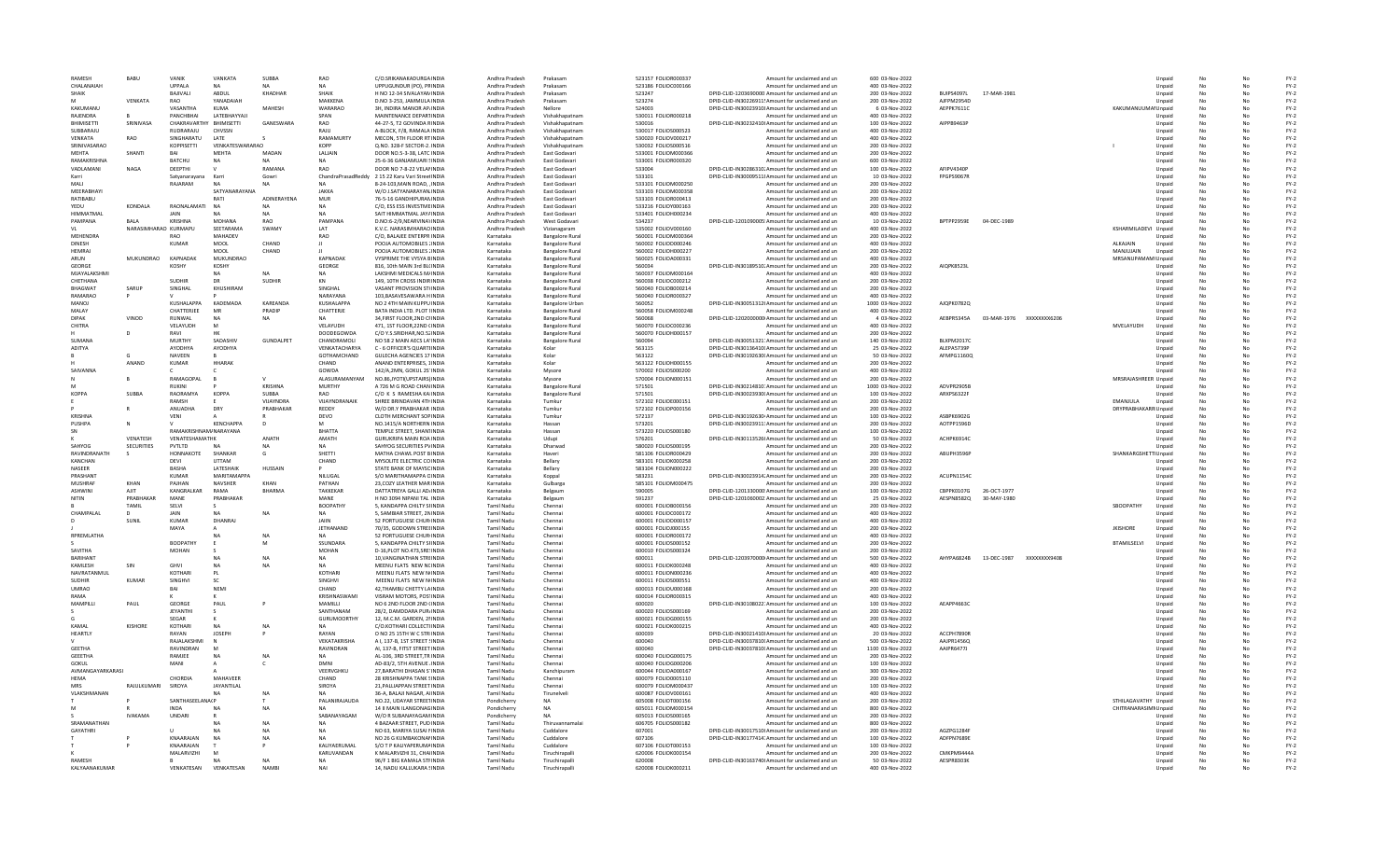| RAMESH             | RABU                 | VANIK                    | VANKATA            | SUBBA              | RAO                  | C/O.SRIKANAKADURGA INDIA                                  | Andhra Pradesh         | Prakasam                         | 523157 FOLIOR000337                        | Amount for unclaimed and un                                                      | 600 03-Nov-2022                    |                   |                                     |              |                                              | Unpaid           | No       |          | $FY-2$           |
|--------------------|----------------------|--------------------------|--------------------|--------------------|----------------------|-----------------------------------------------------------|------------------------|----------------------------------|--------------------------------------------|----------------------------------------------------------------------------------|------------------------------------|-------------------|-------------------------------------|--------------|----------------------------------------------|------------------|----------|----------|------------------|
| CHALANAIAH         |                      | <b>UPPALA</b>            |                    |                    |                      | UPPUGUNDUR (PO), PRINDIA                                  | Andhra Pradesh         | Prakasam                         | 523186 FOLIOC000166                        | Amount for unclaimed and un                                                      | 400 03-Nov-2022                    |                   |                                     |              |                                              | Unpaid           |          |          | $FY-2$           |
| SHAIK              |                      | BAJIVALI                 | ABDUL              | KHADHAF            | <b>SHAIK</b>         | H NO 12-34 SIVALAYAN INDIA                                | Andhra Pradesh         | Prakasam                         | 523247                                     | DPID-CLID-1203690000 Amount for unclaimed and un                                 | 200 03-Nov-2022                    | BUIPS4097L        | 17-MAR-1981                         |              |                                              | Unpaid           |          |          | $FY-2$           |
|                    | VENKATA              | RAO                      | YANADAIAH          |                    | MAKKENA              | D.NO 3-253, JAMMULA INDIA                                 | Andhra Pradesh         | Prakasam                         | 523274                                     | DPID-CLID-IN30226911! Amount for unclaimed and un                                | 200 03-Nov-2022                    | AJFPM2954D        |                                     |              |                                              | Unpaid           | No       | No       | $FY-2$           |
| KAKUMANU           |                      | VASANTHA                 | KUMA               | MAHESH             | WARARAO              | 3H. INDIRA MANOR AP/INDIA                                 | Andhra Pradesh         | Nellore                          | 524003                                     | DPID-CLID-IN30023910! Amount for unclaimed and ur                                | 6 03-Nov-2022                      | AEPPK7611C        |                                     |              | KAKUMANUUMAI Unpaid                          |                  | No       |          | $FY-2$           |
| RAIFNDRA           |                      | PANCHBHAI                | LATEBHAYYAJI       |                    | SPAN                 | MAINTENANCE DEPARTINDIA                                   | Andhra Pradesh         | Vishakhapatnam                   | 530011 FOLIOR000218                        | Amount for unclaimed and un                                                      | 400 03-Nov-2022                    |                   |                                     |              |                                              | Unpaid           |          |          | $FY-2$           |
| <b>BHIMISETT</b>   | SRINIVASA            | CHAKRAVARTHY BHIMISETTI  |                    | GANESWARA          | RAO                  | 44-27-5, T2 GOVINDA RINDIA                                | Andhra Pradesh         | Vishakhapatnam                   | 530016                                     | DPID-CLID-IN30232410I Amount for unclaimed and un                                | 100 03-Nov-2022                    | AIPPB9463P        |                                     |              |                                              | Unpaid           | No       |          | $FY-2$           |
| SUBBARAJU          |                      | RUDRARAJU                | CHVSSN             |                    | RAIU                 | A-BLOCK, F/8, RAMALA INDIA                                | Andhra Pradesh         | Vishakhapatnam                   | 530017 FOLIOS000523                        | Amount for unclaimed and un                                                      | 400 03-Nov-2022                    |                   |                                     |              |                                              | Unpaid           |          |          | $FY-2$           |
| VENKATA            | RAO                  | SINGHARATU               | LATE               |                    | RAMAMURTY            | MECON, 5TH FLOOR RT INDIA                                 | Andhra Pradesh         | Vishakhapatnam                   | 530020 FOLIOV000217                        | Amount for unclaimed and un                                                      | 400 03-Nov-2022                    |                   |                                     |              |                                              | Unpaid           | No       | No       | $FY-2$           |
| SRINIVASARAO       |                      | <b>KOPPISETTI</b>        | VENKATESWARARAO    |                    | <b>KOPP</b>          | Q.NO. 328-F SECTOR-2. INDIA                               | Andhra Pradesh         | Vishakhapatnam                   | 530032 FOLIOS000516                        | Amount for unclaimed and un                                                      | 200 03-Nov-2022                    |                   |                                     |              |                                              | Unpaid           | No       |          | $FY-2$           |
| MFHTA              | SHANTI               | <b>RA</b>                | <b>MFHTA</b>       | MADAN              | LALIAIN              | DOOR NO.5-3-38, LATC INDIA                                | Andhra Pradesh         | East Godavari                    | 533001 FOLIOM000366                        | Amount for unclaimed and un                                                      | 200 03-Nov-2022                    |                   |                                     |              |                                              | Unpaid           |          |          | $FY-2$           |
| <b>RAMAKRISHNA</b> |                      | <b>BATCHU</b>            | <b>NA</b>          |                    | <b>NA</b>            | 25-6-36 GANJAMUARI SINDIA                                 | Andhra Pradesh         | East Godavari                    | 533001 FOLIOR000320                        | Amount for unclaimed and un                                                      | 600 03-Nov-2022                    |                   |                                     |              |                                              | Unpaid           | No       |          | $FY-2$           |
| VADLAMANI          | NAGA                 | DEEPTHI                  |                    | RAMANA             | <b>RAO</b>           | DOOR NO 7-8-22 VELANNDIA                                  | Andhra Pradesh         | East Godavari                    | 533004                                     | DPID-CLID-IN30286310. Amount for unclaimed and un                                | 100 03-Nov-2022                    | AFIPV4340I        |                                     |              |                                              | Unpaid           | No       |          | $FY-2$           |
| Karri              |                      | Satvanaravana            | Karri              | Gowri              |                      | ChandraPrasadReddy 2 15 22 Karu Vari Street INDIA         | Andhra Pradesh         | East Godavari                    | 533101                                     | DPID-CLID-IN30009511! Amount for unclaimed and un                                | 10 03-Nov-2022                     | FPGPS9067R        |                                     |              |                                              | Unpaid           | No       | No       | $FY-2$           |
| MAIL               |                      | RAIARAM                  | NΔ                 | NA                 | <b>NA</b>            | 8-24-103, MAIN ROAD, INDIA                                | Andhra Pradesh         | East Godavari                    | 533101 FOLIOM000250                        | Amount for unclaimed and ur                                                      | 200 03-Nov-2022                    |                   |                                     |              |                                              | Unpaid           | No       |          | $FY-2$           |
| MEERABHAYI         |                      |                          | SATYANARAYANA      |                    | <b>JAKKA</b>         | W/O J.SATYANARAYAN. INDIA                                 | Andhra Pradesh         | East Godavar                     | 533103 FOLIOM000358                        | Amount for unclaimed and un                                                      | 200 03-Nov-2022                    |                   |                                     |              |                                              | Unpaid           |          |          | $FY-2$           |
| RATIBABU           |                      |                          |                    | ADINERAYENA        | MUR                  | 76-5-16 GANDHIPURANINDIA                                  | Andhra Pradesh         | East Godavari                    | 533103 FOLIOR000413                        | Amount for unclaimed and un                                                      | 200 03-Nov-2022                    |                   |                                     |              |                                              | Unpaid           | No       | No       | $FY-2$           |
| YEDU               | KONDALA              | RAONALAMATI              | <b>NA</b>          |                    | <b>NA</b>            | C/O. ESS ESS INVESTME INDIA                               | Andhra Pradesh         | East Godavari                    | 533216 FOLIOY000163                        | Amount for unclaimed and un                                                      | 200 03-Nov-2022                    |                   |                                     |              |                                              | Unpaid           |          |          | $FY-2$           |
| HIMMATMAL          |                      | <b>JAIN</b>              |                    | <b>NA</b>          | <b>NA</b>            | SAIT HIMMATMAL JAY/ INDIA                                 | Andhra Pradesh         | East Godavari                    | 533401 FOLIOH000234                        | Amount for unclaimed and un                                                      | 400 03-Nov-2022                    |                   |                                     |              |                                              | Unpaid           | No       | No       | $FY-2$           |
| PAMPANA            | RAI A                | KRISHNA                  | MOHANA             | <b>RAO</b>         | PAMPANA              | D.NO:6-2/9, NEARVINA \INDIA                               | Andhra Pradesh         | West Godavar                     | 534237                                     | DPID-CLID-1201090005 Amount for unclaimed and un                                 | 10 03-Nov-2022                     | BPTPP2959E        | 04-DEC-1989                         |              |                                              | Unpaid           | No       |          | $FY-2$           |
|                    | NARASIMHARAO KURMAPU |                          | SEETARAMA          | SWAMY              | LAT                  | K.V.C. NARASIMHARAO INDIA                                 | Andhra Pradesh         | Vizianagaram                     | 535002 FOLIOV000160                        | Amount for unclaimed and un                                                      | 400 03-Nov-2022                    |                   |                                     |              | KSHARMILADEVI Unpaid                         |                  |          |          | $FY-2$           |
| MEHENDRA           |                      | <b>RAO</b>               | MAHADEV            |                    | RAO                  | C/O, BALAJEE ENTERPR INDIA                                | Karnataka              | <b>Bangalore Rural</b>           | 560001 FOLIOM000364                        | Amount for unclaimed and un                                                      | 200 03-Nov-2022                    |                   |                                     |              |                                              | Unpaid           | No       | No       | $FY-2$           |
| <b>DINESH</b>      |                      | <b>KUMAR</b>             | MOOL               | CHAND              | $\mathbf{H}$         | POOJA AUTOMOBILES : INDIA                                 | Karnataka              | <b>Bangalore Rural</b>           | 560002 FOLIOD000246                        | Amount for unclaimed and un                                                      | 400 03-Nov-2022                    |                   |                                     |              | ALKAJAIN                                     | Unpaid           |          |          | $FY-2$           |
| HEMRAI             |                      |                          | MOOL               | CHAND              |                      | POOJA AUTOMOBILES : INDIA                                 | Karnataka              | <b>Bangalore Rural</b>           | 560002 FOLIOH000227                        | Amount for unclaimed and un                                                      | 200 03-Nov-2022                    |                   |                                     |              | MANJUJAIN                                    | Unpaid           | No       | No       | $FY-2$           |
| ARUN               | <b>MUKUNDRAO</b>     | KAPNADA                  | MUKUNDRAO          |                    | KAPNADAR             | VYSPRIME THE VYSYA BINDIA                                 | Karnataka              | <b>Bangalore Rura</b>            | 560025 FOLIOA000331                        | Amount for unclaimed and ur                                                      | 400 03-Nov-2022                    |                   |                                     |              | MRSANUPAMAMI Unpaid                          |                  | No       |          | $FY-2$           |
| GEORGE             |                      |                          | <b>KOSHY</b>       |                    | <b>GEORGE</b>        | 816, 10th MAIN 3rd BL(INDI/                               | Karnataka              | <b>Bangalore Rura</b>            | 560034                                     | DPID-CLID-IN30189510. Amount for unclaimed and un                                | 200 03-Nov-2022                    | <b>AIQPK8523I</b> |                                     |              |                                              | Unpaid           |          |          | $FY-2$           |
| MJAYALAKSHM        |                      |                          | <b>NA</b>          | <b>NA</b>          | <b>NA</b>            | LAKSHMI MEDICALS M/INDI/                                  | Karnataka              | <b>Bangalore Rural</b>           | 560037 FOLIOM000164                        | Amount for unclaimed and un                                                      | 400 03-Nov-2022                    |                   |                                     |              |                                              | Unpaid           | No       | No       | $FY-2$           |
| CHETHANA           |                      | <b>SUDHIR</b>            | <b>DR</b>          | <b>SUDHIR</b>      | KN                   | 149, 10TH CROSS INDIRINDIA                                | Karnataka              | <b>Bangalore Rural</b>           | 560038 FOLIOC000212                        | Amount for unclaimed and un                                                      | 200 03-Nov-2022                    |                   |                                     |              |                                              | Unpaid           | No       |          | $FY-2$           |
| <b>BHAGWAT</b>     | SARUP                | SINGHAL                  | KHUSHIRAM          |                    | SINGHAL              | VASANT PROVISION ST(INDIA                                 | Karnataka              | <b>Bangalore Rural</b>           | 560040 FOLIOB000214                        | Amount for unclaimed and un                                                      | 200 03-Nov-2022                    |                   |                                     |              |                                              | Unpaid           | No       | No       | $FY-2$           |
| RAMARAO            |                      |                          |                    |                    | NARAYANA             | 103, BASAVESAWARA HINDIA                                  | Karnataka              | <b>Bangalore Rural</b>           | 560040 FOLIOR000327                        | Amount for unclaimed and ur                                                      | 400 03-Nov-2022                    |                   |                                     |              |                                              | Unpaid           | No       |          | $FY-2$           |
| MANOJ              |                      | KUSHALAPPA               | KADEMADA           | KAREANDA           | KUSHALAPPA           | NO 2 4TH MAIN KUPPU INDIA                                 | Karnataka              | <b>Bangalore Urban</b>           | 560052                                     | DPID-CLID-IN30051312I Amount for unclaimed and un                                | 1000 03-Nov-2022                   | AJQPK0782C        |                                     |              |                                              | Unpaid           |          |          | $FY-2$           |
| MALAY              |                      | CHATTERJEE               | MF                 | PRADIP             | CHATTERJE            | BATA INDIA LTD, PLOT IINDIA                               | Karnataka              | <b>Bangalore Rural</b>           | 560058 FOLIOM000248                        | Amount for unclaimed and un                                                      | 400 03-Nov-2022                    |                   |                                     |              |                                              | Unpaid           | No       | No       | $FY-2$           |
| <b>DIPAK</b>       | VINOD                | RUNWAL                   |                    | <b>NA</b>          | <b>NA</b>            | 34.FIRST FLOOR.2ND CHNDIA                                 | Karnataka              | <b>Bangalore Rural</b>           | 560068                                     | DPID-CLID-1202000000 Amount for unclaimed and un                                 | 4 03-Nov-2022                      |                   | AEBPR5345A 03-MAR-1976 XXXXXXXX6206 |              |                                              | Unpaid           | No       | No       | $FY-2$           |
| CHITRA             |                      | <b>VELAYUDH</b>          | M                  |                    | <b>VEI AYUDH</b>     | 471.1ST FLOOR 22ND CINDIA                                 | Karnataka              | <b>Bangalore Rural</b>           | 560070 EQUOC000236                         | Amount for unclaimed and un                                                      | 400.03-Nov-2022                    |                   |                                     |              | <b>MVFLAYUDH</b>                             | Unnaid           | No       | No       | $FY-2$           |
|                    |                      | RAVI                     |                    |                    | DOODEGOWDA           | C/O Y.S.SRIDHAR, NO.52 INDIA                              | Karnataka              | <b>Bangalore Rura</b>            | 560070 FOLIOH000157                        | Amount for unclaimed and ur                                                      | 200 03-Nov-2022                    |                   |                                     |              |                                              | Unpaid           | No       |          | $FY-2$           |
| <b>SUMANA</b>      |                      | MURTHY                   | SADASHIV           | <b>GUNDALPET</b>   | CHANDRAMOLI          | NO 58 2 MAIN AECS LA' INDIA                               | Karnataka              | <b>Bangalore Rura</b>            | 560094                                     | DPID-CLID-IN30051321: Amount for unclaimed and un                                | 140 03-Nov-2022                    | <b>BLXPM20170</b> |                                     |              |                                              | Unpaid           |          |          | $FY-2$           |
| ADITYA             |                      | AYODHYA                  | AYODHYA            |                    | VENKATACHARYA        | C - 6 OFFICER'S QUARTI INDIA                              | Karnataka              | Kolar                            | 563115                                     | DPID-CLID-IN30136410(Amount for unclaimed and un                                 | 25 03-Nov-2022                     | ALFPAS739F        |                                     |              |                                              | Unpaid           | No       | No       | $FY-2$           |
|                    |                      | <b>NAVEEN</b>            |                    |                    | <b>GOTHAMCHAND</b>   | GULECHA AGENCIES 17 INDIA                                 | Karnataka              | Kolar                            | 563122                                     | DPID-CLID-IN30192630(Amount for unclaimed and un                                 | 50 03-Nov-2022                     | AFMPG11600        |                                     |              |                                              | Unpaid           | No       | No       | $FY-2$           |
|                    | ANAND                | KUMAR                    | <b>HHARAK</b>      |                    | CHAND                | ANAND ENTERPRISES, 1INDIA                                 | Karnataka              | Kolar                            | 563122 EOU0H000155                         | Amount for unclaimed and un                                                      | 200.03-Nov-2022                    |                   |                                     |              |                                              | Unnaid           | No       | No       | $FY-2$           |
| <b>SAIVANNA</b>    |                      |                          |                    |                    | GOWDA                |                                                           |                        |                                  |                                            |                                                                                  |                                    |                   |                                     |              |                                              |                  | No       |          |                  |
|                    |                      | RAMAGOPAL                |                    |                    | ALASURAMANYAN        | 142/A,2MN, GOKUL 2S' INDIA<br>NO.86,JYOTI(UPSTAIRS) INDIA | Karnataka<br>Karnataka | Mysore                           | 570002 FOLIOS000200<br>570004 FOLION000151 | Amount for unclaimed and ur<br>Amount for unclaimed and un                       | 400 03-Nov-2022<br>200 03-Nov-2022 |                   |                                     |              | MRSRAJASHREER Unpaid                         | Unpaid           |          |          | $FY-2$<br>$FY-2$ |
|                    |                      |                          |                    | KRISHNA            |                      |                                                           |                        | Mysore                           |                                            |                                                                                  |                                    | ADVPR2905B        |                                     |              |                                              |                  |          |          | $FY-2$           |
|                    |                      | <b>RUKINI</b>            |                    |                    | MURTHY               | A 726 M G ROAD CHAN INDIA                                 | Karnataka              | <b>Bangalore Rural</b>           | 571501                                     | DPID-CLID-IN30214810: Amount for unclaimed and un                                | 1000 03-Nov-2022                   |                   |                                     |              |                                              | Unpaid           | No       | No       |                  |
| <b>KOPPA</b>       | SUBBA                | RAORAMYA<br><b>RAMSH</b> | <b>KOPPA</b>       | SUBBA<br>VIIAYNDRA | RAO<br>VIIAYNDRANAIK | C/O K S RAMESHA KAINDIA<br>SHREE BRINDAVAN 4TH INDIA      | Karnataka<br>Karnataka | <b>Bangalore Rural</b><br>Tumkur | 571501<br>572102 FOLIOF000151              | DPID-CLID-IN30023930(Amount for unclaimed and un                                 | 100 03-Nov-2022<br>200.03-Nov-2022 | ARXPS6322F        |                                     |              | <b>FMANIULA</b>                              | Unpaid<br>Unnaid | No<br>No | No<br>No | $FY-2$<br>$FY-2$ |
|                    |                      |                          |                    |                    |                      |                                                           |                        |                                  |                                            | Amount for unclaimed and un                                                      |                                    |                   |                                     |              |                                              |                  |          |          |                  |
|                    |                      | ANUADHA                  | DRY                | PRABHAKAR          | REDDY                | W/O DR.Y PRABHAKAR INDIA                                  | Karnataka              | Tumku                            | 572102 FOLIOP000156                        | Amount for unclaimed and ur                                                      | 200 03-Nov-2022                    |                   |                                     |              | <b>DRYPRABHAKARR Unpaid</b>                  |                  | No       |          | $FY-2$           |
|                    |                      |                          |                    |                    |                      |                                                           |                        |                                  |                                            |                                                                                  |                                    |                   |                                     |              |                                              |                  |          |          |                  |
| <b>KRISHN</b>      |                      | VENI                     |                    |                    | DEVO                 | CLOTH MERCHANT SOP INDIA                                  | Karnataka              | Tumkur                           | 572137                                     | DPID-CLID-IN30192630 Amount for unclaimed and un                                 | 100 03-Nov-2022                    | ASBPK6902G        |                                     |              |                                              | Unpaid           |          |          | $FY-2$           |
| PUSHPA             |                      |                          | KENCHAPPA          |                    | м                    | NO.1415/A NORTHERN INDIA                                  | Karnataka              | Hassan                           | 573201                                     | DPID-CLID-IN30023911: Amount for unclaimed and un                                | 200 03-Nov-2022                    | AOTPP1596D        |                                     |              |                                              | Unpaid           | No       | No       | $FY-2$           |
| SN                 |                      | RAMAKRISHNAM/NARAYANA    |                    |                    | <b>BHATTA</b>        | TEMPLE STREET, SHANTINDIA                                 | Karnataka              | Hassan                           | 573220 FOLIOS000180                        | Amount for unclaimed and un                                                      | 100 03-Nov-2022                    |                   |                                     |              |                                              | Unpaid           | No       | No       | $FY-2$           |
|                    | <b>VENATESH</b>      | VENATESHAMATHK           |                    | ANATH              | AMATH                | GURUKRIPA MAIN ROA INDIA                                  | Karnataka              | Udupi                            | 576201                                     | DPID-CLID-IN30113526(Amount for unclaimed and un                                 | 50.03-Nov-2022                     | ACHPK6914C        |                                     |              |                                              | Unnaid           | No       | No       | FY-2             |
| SAHYOG             | <b>SECURITIES</b>    | PVTLTD                   | N                  | N <sub>A</sub>     | NA                   | SAHYOG SECURITIES PVINDIA                                 | Karnataka              | Dharwao                          | 580020 FOLIOS000195                        | Amount for unclaimed and un                                                      | 200 03-Nov-2022                    |                   |                                     |              |                                              | Unpaid           | No       |          | $FY-2$           |
| RAVINDRANATH       |                      | HONNAKOTE                | SHANKAR            | G                  | <b>SHETTI</b>        | MATHA CHAWL POST BINDIA                                   | Karnataka              | Haveri                           | 581106 FOLIOR000429                        | Amount for unclaimed and un                                                      | 200 03-Nov-2022                    | <b>ABUPH3596I</b> |                                     |              | SHANKARGSHETTI Unpaid                        |                  |          |          | $FY-2$           |
| KANCHAN            |                      | DEVI                     | <b>UTTAM</b>       |                    | CHAND                | MYSOLITE ELECTRIC CO INDIA                                | Karnataka              | Bellary                          | 583101 FOLIOK000258                        | Amount for unclaimed and un                                                      | 200 03-Nov-2022                    |                   |                                     |              |                                              | Unpaid           | No       | No       | $FY-2$           |
| <b>NASFER</b>      |                      | <b>BASHA</b>             | <b>LATESHAIK</b>   | HUSSAIN            |                      | STATE BANK OF MAYSCINDIA                                  | Karnataka              | <b>Bellan</b>                    | 583104 FOLION000222                        | Amount for unclaimed and un                                                      | 200.03-Nov-2022                    |                   |                                     |              |                                              | Unnaid           | No       | No       | FY-2             |
| PRASHANT           |                      | KUMAR                    | <b>MARITAMAPPA</b> |                    | NILLIGAL             | S/O MARITHAMAPPA CINDIA                                   | Karnataka              | Koppal                           | 583231                                     | DPID-CLID-IN30023914. Amount for unclaimed and un                                | 200 03-Nov-2022                    | ACUPN1154C        |                                     |              |                                              | Unpaid           | No       | Nr       | $FY-2$           |
| MUSHRAF            | KHAN                 | PAJHAN                   | NAVSHER            | KHAN               | PATHAN               | 23, COZY LEATHER MAR INDIA                                | Karnataka              | Gulbarga                         | 585101 FOLIOM000475                        | Amount for unclaimed and un                                                      | 200 03-Nov-2022                    |                   |                                     |              |                                              | Unpaid           | No       |          | $FY-2$           |
| <b>ASHWINI</b>     | AJIT                 | KANGRALKAR               | RAMA               | <b>BHARMA</b>      | <b>TAKKEKAR</b>      | DATTATREYA GALLI AD/INDIA                                 | Karnataka              | Belgaum                          | 590005                                     | DPID-CLID-1201330000 Amount for unclaimed and un                                 | 100 03-Nov-2022                    | CBPPK0107G        | 26-OCT-1977                         |              |                                              | Unpaid           |          |          | $FY-2$           |
| NITIN              | PRABHAKAF            | MANE                     | PRABHAKAR          |                    | MANE                 | H NO 3094 NIPANI TAL INDIA                                | Karnataka              | Belgaum                          | 591237                                     | DPID-CLID-1201060002 Amount for unclaimed and un                                 | 25 03-Nov-2022                     | AESPN8582Q        | 30-MAY-1980                         |              |                                              | Unpaid           | No       | No       | $FY-2$           |
|                    | TAMIL                | <b>SEIVI</b>             |                    |                    | <b>BOOPATHY</b>      | 5. KANDAPPA CHILTY SHNDIA                                 | <b>Tamil Nadu</b>      | Chennai                          | 600001 EQUOB000156                         | Amount for unclaimed and un                                                      | 200.03-Nov-2022                    |                   |                                     |              | SROOPATHY                                    | Unnaid           | No       | Nr       | FY-2             |
| <b>CHAMPALAI</b>   |                      | JAIN                     | NA                 | <b>NA</b>          | <b>NA</b>            | 5. SAMBIAR STREET, 2NINDIA                                | <b>Tamil Nadu</b>      | Chennai                          | 600001 FOLIOC000172                        | Amount for unclaimed and un                                                      | 400 03-Nov-2022                    |                   |                                     |              |                                              | Unpaid           | No       |          | $FY-2$           |
|                    | SUNIL                | <b>KUMAR</b>             | DHANRAJ            |                    | JAIIN                | 52 PORTUGUESE CHUR INDIA                                  | <b>Tamil Nadu</b>      | Chennai                          | 600001 FOLIOD000157                        | Amount for unclaimed and un                                                      | 400 03-Nov-2022                    |                   |                                     |              |                                              | Unpaid           |          |          | $FY-2$           |
|                    |                      | MAYA                     |                    |                    | <b>JETHANAND</b>     | 70/35, GODOWN STREEINDIA                                  | Tamil Nadu             | Chennai                          | 600001 FOLIOJ000155                        | Amount for unclaimed and un                                                      | 200 03-Nov-2022                    |                   |                                     |              | <b>JKISHORE</b>                              | Unpaid           |          |          | $FY-2$           |
| RPREMLATHA         |                      |                          |                    | N <sub>A</sub>     | <b>NA</b>            | 52 PORTUGUESE CHUR INDIA                                  | <b>Tamil Nadu</b>      | Chennai                          | 600001 FOLIOR000172                        | Amount for unclaimed and un                                                      | 400 03-Nov-2022                    |                   |                                     |              |                                              | Unpaid           | No       | No       | $FY-2$           |
|                    |                      | <b>BOOPATHY</b>          |                    | M                  | SSUNDARA             | 5. KANDAPPA CHILTY SHNDIA                                 | <b>Tamil Nadu</b>      | Chennai                          | 600001 FOLIOS000152                        | Amount for unclaimed and un                                                      | 200.03-Nov-2022                    |                   |                                     |              | <b>BTAMILSFLVL</b>                           | Unpaid           | No       | No       | FY-2             |
| SAVITHA            |                      | <b>MOHAN</b>             |                    |                    | <b>MOHAN</b>         | D-16, PLOT NO.473, SRE! INDIA                             | <b>Tamil Nadu</b>      | Chennai                          | 600010 FOLIOS000324                        | Amount for unclaimed and un                                                      | 200 03-Nov-2022                    |                   |                                     |              |                                              | Unpaid           | No       |          | $FY-2$           |
| <b>BARIHANT</b>    |                      |                          |                    | NΑ                 | NA                   | 10, VANGINATHAN STREINDIA                                 | <b>Tamil Nadu</b>      | Chennai                          | 600011                                     | DPID-CLID-1203970000 Amount for unclaimed and un                                 | 500 03-Nov-2022                    | AHYPA6824B        | 13-DEC-1987                         | XXXXXXXX9408 |                                              | Unpaid           | No       |          | $FY-2$           |
| KAMLESH            | SIN                  | <b>GHV</b>               |                    |                    | <b>NA</b>            | MEENU FLATS NEW NCINDIA                                   | Tamil Nadu             | Chennai                          | 600011 FOLIOK000248                        | Amount for unclaimed and un                                                      | 400 03-Nov-2022                    |                   |                                     |              |                                              | Unpaid           |          |          | $FY-2$           |
| NAVRATANMUI        |                      | KOTHARI                  | <b>PL</b>          |                    | KOTHARI              | MEENU FLATS NEW NINDIA                                    | <b>Tamil Nadu</b>      | Chennai                          | 600011 FOLION000236                        | Amount for unclaimed and un                                                      | 400 03-Nov-2022                    |                   |                                     |              |                                              | Unpaid           | No       | No       | $FY-2$           |
| <b>SUDHIR</b>      | KUMAR                | <b>SINGHVI</b>           | -SC                |                    | <b>SINGHVI</b>       | MEENU FLATS, NEW NUNDIA                                   | <b>Tamil Nadu</b>      | Chennai                          | 600011 FOLIOS000551                        | Amount for unclaimed and un                                                      | 400.03-Nov-2022                    |                   |                                     |              |                                              | Unpaid           | No       | No       | FY-2             |
| <b>UMRAO</b>       |                      | BA                       | NFMI               |                    | CHAND                | 42.THAMBU CHETTY LAINDIA                                  | <b>Tamil Nadu</b>      | Chennai                          | 600013 FOLIOU000168                        | Amount for unclaimed and un                                                      | 200 03-Nov-2022                    |                   |                                     |              |                                              | Unpaid           | No       |          | $FY-2$           |
| RAMA               |                      |                          |                    |                    | KRISHNASWAM          | VISRAM MOTORS, POS'INDIA                                  | <b>Tamil Nadu</b>      | Chennai                          | 600014 FOLIOR000315                        | Amount for unclaimed and un                                                      | 400 03-Nov-2022                    |                   |                                     |              |                                              | Unpaid           | No       |          | $FY-2$           |
| MAMPILLI           | PAUL                 | GEORGE                   | PAUL               |                    | MAMILLI              | NO 6 2ND FLOOR 2ND (INDIA                                 | Tamil Nadu             | Chennai                          | 600020                                     | DPID-CLID-IN30108022: Amount for unclaimed and un                                | 100 03-Nov-2022                    | <b>AEAPP4663C</b> |                                     |              |                                              | Unpaid           |          |          | $FY-2$           |
|                    |                      | <b>JEYANTHI</b>          | $\sim$             |                    | SANTHANAM            | 28/2, DAMDDARA PUR/INDIA                                  | <b>Tamil Nadu</b>      | Chennai                          | 600020 FOLIOS000169                        | Amount for unclaimed and un                                                      | 200 03-Nov-2022                    |                   |                                     |              |                                              | Unpaid           | No       | No       | $FY-2$           |
|                    |                      | SEGAR                    |                    |                    | <b>GURUMOORTHY</b>   | 12. M.C.M. GARDEN, 2NNDIA                                 | <b>Tamil Nadu</b>      | Chennai                          | 600021 EQUOG000155                         | Amount for unclaimed and un                                                      | 200.03-Nov-2022                    |                   |                                     |              |                                              | Unpaid           | No       | No       | FY-2             |
| KAMAI              | <b>KISHORE</b>       | KOTHARI                  | <b>NA</b>          | NA                 | <b>NA</b>            | C/O.KOTHARI COLLECTI INDIA                                | <b>Tamil Nadu</b>      | Chennai                          | 600021 FOLIOK000215                        | Amount for unclaimed and un                                                      | 400 03-Nov-2022                    |                   |                                     |              |                                              | Unpaid           | No       |          | $FY-2$           |
| HEARTLY            |                      | RAYAN                    | <b>JOSEPH</b>      |                    | RAYAN                | O NO 25 15TH W C STR INDIA                                | Tamil Nadu             | Chennai                          | 600039                                     | DPID-CLID-IN30021410! Amount for unclaimed and un                                | 20 03-Nov-2022                     | ACCPH7890F        |                                     |              |                                              | Unpaid           | No       |          | $FY-2$           |
|                    |                      | RAJALAKSHM               |                    |                    | VEKATAKRISHA         | A I, 137-B, 1ST STREET (INDIA                             | Tamil Nadu             | Chennai                          | 600040                                     | DPID-CLID-IN30037810I Amount for unclaimed and un                                | 500 03-Nov-2022                    | AAJPR1456Q        |                                     |              |                                              | Unpaid           |          |          | $FY-2$           |
| <b>GEFTHA</b>      |                      | RAVINDRAN                |                    |                    | RAVINDRAN            | AL 137-B. FITST STREET INDIA                              | <b>Tamil Nadu</b>      | Chennai                          | 600040                                     | DPID-CLID-IN30037810(Amount for unclaimed and un                                 | 1100 03-Nov-2022                   | <b>AAIPR64771</b> |                                     |              |                                              | Unnaid           | No       | No       | $FY-2$           |
| <b>GFFFTHA</b>     |                      | RAMIFF                   | NA                 | N <sub>A</sub>     | <b>NA</b>            | AL-106, 3RD STREET.TR INDIA                               | <b>Tamil Nadu</b>      | Chennai                          | 600040 FOLIOG000175                        | Amount for unclaimed and un                                                      | 200.03-Nov-2022                    |                   |                                     |              |                                              | Unpaid           | No       | No       | FY-2             |
| GOKLIL             |                      | MANI                     |                    | $\mathsf{C}$       | <b>DMNL</b>          | AD-83/2, 5TH AVENUE , INDIA                               | <b>Tamil Nadu</b>      | Chennai                          | 600040 FOLIOG000206                        | Amount for unclaimed and un                                                      | 100 03-Nov-2022                    |                   |                                     |              |                                              | Unpaid           | No       |          | $FY-2$           |
| AVMANGAYARKARAS    |                      |                          |                    |                    | VEERVGHKU            | 27. BARATHI DHASAN S'INDIA                                | Tamil Nadu             | Kanchipuram                      | 600044 FOLIOA000167                        | Amount for unclaimed and un                                                      | 300 03-Nov-2022                    |                   |                                     |              |                                              | Unpaid           | No       |          | $FY-2$           |
| HEMA               |                      | CHORDIA                  | MAHAVEER           |                    | CHAND                | 28 KRISHNAPPA TANK SINDIA                                 | <b>Tamil Nadu</b>      | Chennai                          | 600079 FOLIO0005110                        | Amount for unclaimed and un                                                      | 200 03-Nov-2022                    |                   |                                     |              |                                              | Unpaid           |          |          | $FY-2$           |
| MRS                | <b>RAILII KUMARI</b> | <b>SIROYA</b>            | <b>JAYANTILAI</b>  |                    | SIROYA               | 21 PALLIAPPAN STREET INDIA                                | <b>Tamil Nadu</b>      | Chennai                          | 600079 EQUOM000437                         | Amount for unclaimed and un                                                      | 100.03-Nov-2022                    |                   |                                     |              |                                              | Unnaid           | No       | No       | $FY-2$           |
| <b>VIAKSHMANAN</b> |                      |                          |                    |                    | <b>NA</b>            | 36-A, BALAJI NAGAR, AIINDIA                               | <b>Tamil Nadu</b>      | Tirunelveli                      | 600087 FOLIOV000161                        | Amount for unclaimed and un                                                      | 400 03-Nov-2022                    |                   |                                     |              |                                              | Unpaid           | No       | Nr       | $FY-2$           |
|                    |                      | <b>SANTHASFFLANACP</b>   |                    |                    | PALANIRAJAUDA        | NO.22, UDAYAR STREETINDIA                                 | Pondicherry            | <b>NA</b>                        | 605008 FOLIOT000156                        |                                                                                  | 200 03-Nov-2022                    |                   |                                     |              |                                              |                  | No       |          | $FY-2$           |
|                    |                      |                          |                    | NA                 |                      | 14 II MAIN ILANGONAGINDIA                                 | Pondicherry            | <b>NA</b>                        | 605011 FOLIOM000154                        | Amount for unclaimed and un<br>Amount for unclaimed and un                       | 800 03-Nov-2022                    |                   |                                     |              | STHILAGAVATHY Unpaid<br>CHITRANARASIMMUnpaid |                  | No       |          | $FY-2$           |
|                    | <b>IVAKAMA</b>       | <b>UNDARI</b>            |                    |                    | SABANAYAGAM          | W/O R SUBANAYAGAM INDIA                                   | Pondicherry            | <b>NA</b>                        | 605013 FOLIOS000165                        | Amount for unclaimed and un                                                      | 200 03-Nov-2022                    |                   |                                     |              |                                              | Unpaid           |          |          | $FY-2$           |
| SRAMANATHAN        |                      |                          | NΔ                 | NA                 | <b>NA</b>            | 4 BAZAAR STREET. PUD INDIA                                | <b>Tamil Nadu</b>      | Thiruyannamalai                  | 606705 FOLIOS000182                        | Amount for unclaimed and un                                                      | 800.03-Nov-2022                    |                   |                                     |              |                                              | Unnaid           | No       | No       | $FY-2$           |
| <b>GAYATHRI</b>    |                      |                          |                    | <b>NA</b>          | <b>NA</b>            | NO 63, MARIYA SUSAI NINDIA                                | <b>Tamil Nadu</b>      | Cuddalore                        | 607001                                     | DPID-CLID-IN30017510I Amount for unclaimed and ur                                | 200 03-Nov-2022                    | AG7PG1284F        |                                     |              |                                              | Unpaid           | No       |          | $FY-2$           |
|                    |                      | KNAARAIAN                | <b>NA</b>          | N <sub>A</sub>     | NΔ                   | NO 26 G KUMBAKONAI INDIA                                  | <b>Tamil Nadu</b>      | Cuddalore                        | 607106                                     |                                                                                  | 100 03-Nov-2022                    | ADFPN7689E        |                                     |              |                                              | Unpaid           |          |          | $FY-2$           |
|                    |                      | KNAARAJAN                |                    |                    | KALIYAERUMAL         | S/O T P KALIYAPERUMAINDIA                                 | Tamil Nadu             | Cuddalore                        | 607106 FOLIOT000153                        | DPID-CLID-IN30177414' Amount for unclaimed and un<br>Amount for unclaimed and un | 100 03-Nov-2022                    |                   |                                     |              |                                              | Unpaid           | No       |          | $FY-2$           |
|                    |                      | MALARVIZHI               |                    |                    | KARUVANDAN           | K MALARVIZHI 31, CHAHNDIA                                 | <b>Tamil Nadu</b>      | Tiruchirapalli                   | 620006 FOLIOK000154                        | Amount for unclaimed and un                                                      | 200 03-Nov-2022                    | CMKPM9444A        |                                     |              |                                              | Unpaid           |          |          | $FY-2$           |
| <b>RAMESH</b>      |                      |                          |                    | NΔ                 | <b>NA</b>            | 96/F 1 BIG KAMALA STEINDIA                                | <b>Tamil Nadu</b>      | Tiruchiranalli                   | 620008                                     | DPID-CLID-IN30163740I Amount for unclaimed and un                                | 50.03-Nov-2022                     | <b>AFSPR8303K</b> |                                     |              |                                              | Unnaid           | No       | Nr       | $FY-2$           |
| KALYAANAKUMAR      |                      | VENKATESAN               | VENKATESAN         | NAMBI              | NAI                  | 14, NADU KALLUKARA SINDIA                                 | <b>Tamil Nadu</b>      | Tiruchirapalli                   | 620008 FOLIOK000211                        | Amount for unclaimed and un                                                      | 400 03-Nov-2022                    |                   |                                     |              |                                              | Unpaid           |          |          | $FY-2$           |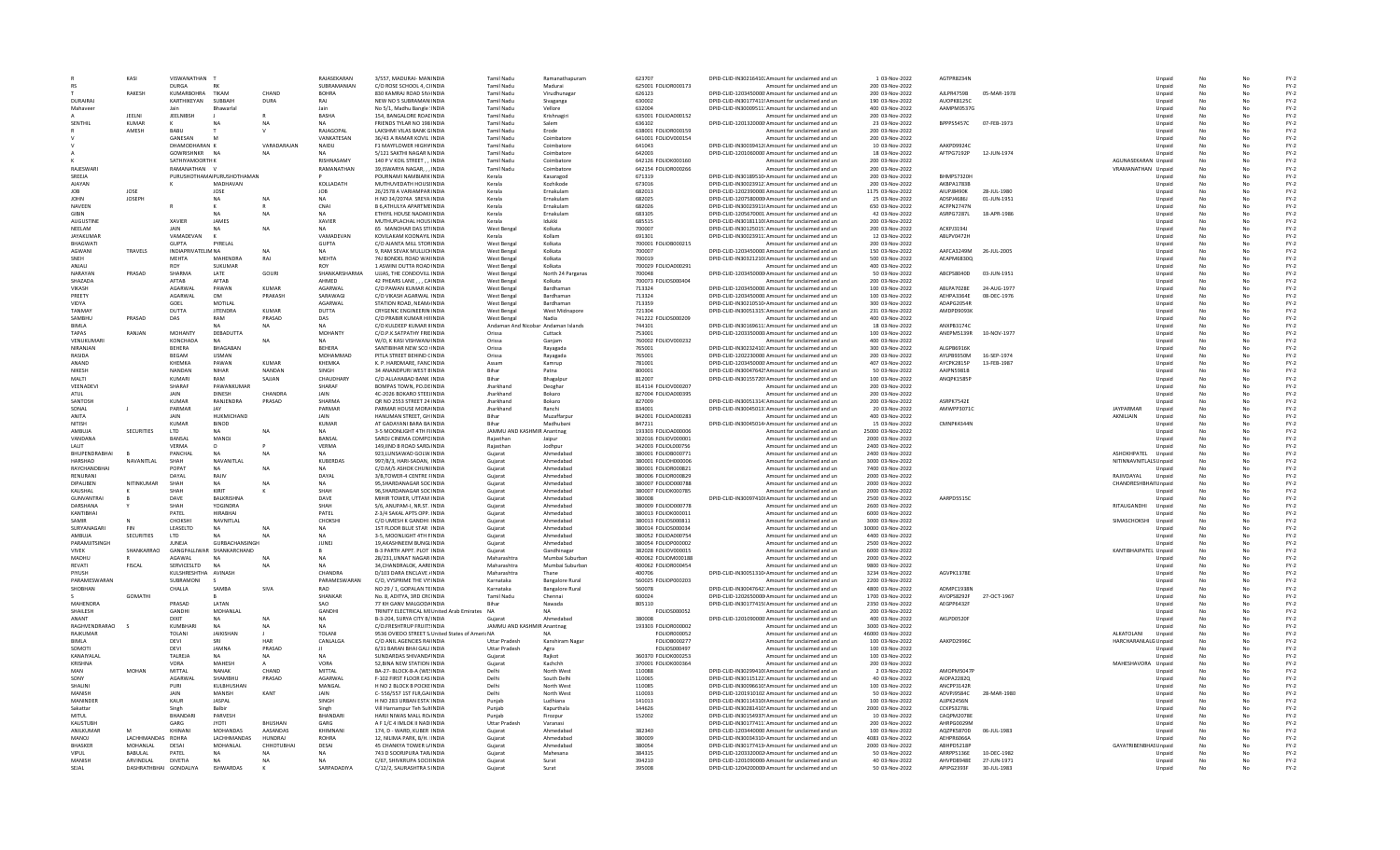|                              | KASI                                 | VISWANATHAN 1                             |                                        |                            | RAIASFKARAN                 | 3/557. MADURAI- MANINDIA                                 | Tamil Nadu                                    | Ramanathapuram                   | 623707                                     | DPID-CLID-IN30216410, Amount for unclaimed and un                                                      | 1 03-Nov-2022                        | AGTPR8234N                      |                             |                        | Unnaid           | No              |                      | $FY-2$           |
|------------------------------|--------------------------------------|-------------------------------------------|----------------------------------------|----------------------------|-----------------------------|----------------------------------------------------------|-----------------------------------------------|----------------------------------|--------------------------------------------|--------------------------------------------------------------------------------------------------------|--------------------------------------|---------------------------------|-----------------------------|------------------------|------------------|-----------------|----------------------|------------------|
|                              |                                      | <b>DURGA</b>                              | <b>RK</b>                              |                            | SUBRAMANIAN                 | C/O ROSE SCHOOL 4, CHNDIA                                | <b>Tamil Nadu</b>                             | Madurai                          | 625001 FOLIOR000173                        | Amount for unclaimed and un                                                                            | 200 03-Nov-2022                      |                                 |                             |                        | Unpaid           | No              |                      | $FY-2$           |
| DURAIRAL                     | RAKESH                               | KUMARBOHRA<br>KARTHIKEYAN                 | TIKAM<br>SUBBAIL                       | CHAND<br><b>DURA</b>       | <b>BOHRA</b><br>RAJ         | 830 KAMRAJ ROAD SIV/INDIA<br>NEW NO 5 SUBRAMAN INDIA     | <b>Tamil Nadu</b><br><b>Tamil Nadu</b>        | Virudhunaga                      | 626123<br>630002                           | DPID-CLID-1203450000. Amount for unclaimed and un                                                      | 200 03-Nov-2022                      | AJLPR4759B<br>AUOPK8125C        | 05-MAR-1978                 |                        | Unpaid           |                 |                      | $FY-2$           |
| Mahayeer                     |                                      | lain                                      | <b>Bhawarla</b>                        |                            | lain                        | No 5/1. Madhu Bangle : INDIA                             | Tamil Nadu                                    | Sivaganga<br>Vellore             | 632004                                     | DPID-CLID-IN30177411! Amount for unclaimed and un                                                      | 190 03-Nov-2022<br>400.03-Nov-2022   | AAMPM0537G                      |                             |                        | Unpaid<br>Unnaid | No<br>No        | No<br>N <sub>0</sub> | $FY-2$<br>$FY-2$ |
|                              | <b>IFFINI</b>                        | <b>JEELNIBSH</b>                          |                                        |                            | <b>RASHA</b>                | 154. BANGALORE ROAFINDIA                                 | Tamil Nadu                                    | Krishnagiri                      | 635001 FOLIOA000152                        | DPID-CLID-IN30009511: Amount for unclaimed and un<br>Amount for unclaimed and un                       | 200 03-Nov-2022                      |                                 |                             |                        | Unpaid           | No              | No                   | $FY-2$           |
| SENTHIL                      | KUMAR                                |                                           |                                        |                            |                             | FRIENDS TYLAR NO 198 INDIA                               | <b>Tamil Nadu</b>                             | Salem                            | 636102                                     | DPID-CLID-1201320000 Amount for unclaimed and un                                                       | 23 03-Nov-2022                       | BPPPS5457C                      | 07-FEB-1973                 |                        | Unpaid           | No              | No                   | $FY-2$           |
|                              | AMESH                                | BABU                                      |                                        |                            | RAJAGOPAI                   | <b>LAKSHMI VILAS BANK GINDIA</b>                         | <b>Tamil Nadu</b>                             | Erode                            | 638001 FOLIOR000159                        | Amount for unclaimed and un                                                                            | 200 03-Nov-2022                      |                                 |                             |                        | Unpaid           |                 |                      | $FY-2$           |
|                              |                                      | GANESAN                                   |                                        |                            | VANKATESAN                  | 36/43 A RAMAR KOVIL INDIA                                | <b>Tamil Nadu</b>                             | Coimbatore                       | 641001 FOLIOV000154                        | Amount for unclaimed and un                                                                            | 200 03-Nov-2022                      |                                 |                             |                        | Unpaid           | No              | No                   | $FY-2$           |
|                              |                                      | DHAMODHARAN K                             |                                        | VARADARAIAN                | NAIDU                       | <b>F1 MAYELOWER HIGHVINDIA</b>                           | Tamil Nadu                                    | Coimbatore                       | 641043                                     | DPID-CLID-IN30039412(Amount for unclaimed and un                                                       | 10.03-Nov-2022                       | AAKPD9924C                      |                             |                        | Unnaid           | No              | No                   | $FY-2$           |
|                              |                                      | GOWRISHNKR NA                             |                                        |                            | NΔ                          | 5/121 SAKTHI NAGAR NINDIA                                | <b>Tamil Nadu</b>                             | Coimbatore                       | 642003                                     | DPID-CLID-1201060000 Amount for unclaimed and un                                                       | 18 03-Nov-2022                       | AFTPG7192P                      | 12-JUN-1974                 |                        | Unpaid           | No              | No                   | $FY-2$           |
|                              |                                      | SATHIYAMOORTH K                           |                                        |                            | <b>RISHNASAMY</b>           | 140 P V KOIL STREET, , INDIA                             | <b>Tamil Nadu</b>                             | Coimbatore                       | 642126 FOLIOK000160                        | Amount for unclaimed and un                                                                            | 200 03-Nov-2022                      |                                 |                             | AGUNASEKARAN Unpaid    |                  |                 |                      | $FY-2$           |
| RAJESWARI                    |                                      | RAMANATHAN V                              |                                        |                            | RAMANATHAN                  | 39.ISWARYA NAGAR. INDIA<br>POURNAMI NAMBIARK INDIA       | <b>Tamil Nadu</b>                             | Coimbatore                       | 642154 FOLIOR000266                        | Amount for unclaimed and un                                                                            | 200 03-Nov-2022                      | BHMPS7320H                      |                             | VRAMANATHAN Unpaid     |                  |                 |                      | $FY-2$<br>$FY-2$ |
| SREEJA<br>AIAYAN             |                                      |                                           | PURUSHOTHAMA PURUSHOTHAMAN<br>MADHAVAN |                            | KOLLADATH                   | MUTHUVEDATH HOUSEINDIA                                   | Kerala<br>Kerala                              | Kasaragod<br>Kozhikode           | 671319<br>673016                           | DPID-CLID-IN30189510 Amount for unclaimed and un<br>DPID-CLID-IN30023912: Amount for unclaimed and un  | 200 03-Nov-2022<br>200 03-Nov-2022   | AKRPA1783B                      |                             |                        | Unpaid<br>Unpaid | No<br>No        | No<br>No             | FY-2             |
| JOB                          | <b>IOSE</b>                          |                                           | JOSE                                   |                            | <b>JOB</b>                  | 26/2578 A VARIAMPAR INDIA                                | Kerala                                        | Ernakulam                        | 682013                                     | DPID-CLID-1202390000. Amount for unclaimed and un                                                      | 1175 03-Nov-2022                     | <b>AIUPJ8490K</b>               | 28-JUL-1980                 |                        | Unpaid           | No              | No                   | $FY-2$           |
| <b>JOHN</b>                  | <b>JOSEPH</b>                        |                                           | NA.                                    |                            | <b>NA</b>                   | H NO 34/2074A SREYA INDIA                                | Kerala                                        | Ernakulan                        | 682025                                     | DPID-CLID-1207580000 Amount for unclaimed and un                                                       | 25 03-Nov-2022                       | ADSPJ4686J                      | 01-JUN-1951                 |                        | Unpaid           | No              |                      | $FY-2$           |
| <b>NAVEEN</b>                |                                      |                                           |                                        |                            | CNAI                        | B 6, ATHULYA APARTME INDIA                               | Kerala                                        | Ernakulam                        | 682026                                     | DPID-CLID-IN30023911I Amount for unclaimed and un                                                      | 650 03-Nov-2022                      | ACFPN2747N                      |                             |                        | Unpaid           |                 |                      | $FY-2$           |
| GIRIN                        |                                      |                                           | NA.                                    |                            | <b>NA</b>                   | ETHIYIL HOUSE NADAKHNDIA                                 | Kerala                                        | Ernakulam                        | 683105                                     | DPID-CLID-1205670001 Amount for unclaimed and un                                                       | 42 03-Nov-2022                       | ASRPG7287L                      | 18-APR-1986                 |                        | Unpaid           | No              | No                   | $FY-2$           |
| <b>AUGUSTINE</b>             |                                      | <b>XAVIER</b>                             | <b>JAMES</b>                           |                            | <b>XAVIER</b>               | MUTHUPLACHAL HOUSINDIA                                   | Kerala                                        | Idukki                           | 685515                                     | DPID-CLID-IN30181110I Amount for unclaimed and un                                                      | 200 03-Nov-2022                      |                                 |                             |                        | Unpaid           | No              | No                   | FY-2             |
| NEELAM                       |                                      | <b>JAIN</b>                               |                                        | <b>NA</b>                  | NΔ                          | 65 MANOHAR DAS STHNDIA                                   | West Benga                                    | Kolkata                          | 700007                                     | DPID-CLID-IN30125015: Amount for unclaimed and un                                                      | 200 03-Nov-2022                      | <b>ACKPJ3194J</b>               |                             |                        | Unpaid           | No              | No                   | $FY-2$           |
| JAYAKUMAI                    |                                      | VAMADEVAN                                 |                                        |                            | VAMADEVAN                   | KOVILAKAM KOONAYIL INDIA                                 | Kerala                                        | Kollam                           | 691301                                     | DPID-CLID-IN30023911 Amount for unclaimed and un                                                       | 12 03-Nov-2022                       | ABLPV0472H                      |                             |                        | Unpaid           | No              |                      | $FY-2$           |
| BHAGWATI<br>AGWANI           | TRAVELS                              | <b>GUPTA</b><br><b>INDIAPRIVATELIM NA</b> | PYRELAL                                |                            | GUPTA<br>NA                 | C/O AJANTA MILL STOR INDIA<br>9. RAM SEVAK MULLICHNDIA   | West Benga<br><b>West Bengal</b>              | Kolkata<br>Kolkata               | 700001 FOLIOB000215<br>700007              | Amount for unclaimed and un<br>DPID-CLID-1203450000. Amount for unclaimed and un                       | 200 03-Nov-2022<br>150 03-Nov-2022   | AAFCA3249M                      | 26-JUL-2005                 |                        | Unpaid<br>Unpaid | <b>No</b>       | No                   | $FY-2$<br>$FY-2$ |
| SNFH                         |                                      | <b>MFHTA</b>                              | MAHENDRA                               | RAJ                        | <b>MFHTA</b>                | 74J BONDEL ROAD WAI INDIA                                | <b>West Bengal</b>                            | Kolkata                          | 700019                                     | DPID-CLID-IN30321210I Amount for unclaimed and un                                                      | 500 03-Nov-2022                      | AEAPM6830Q                      |                             |                        | Unpaid           | No              | No                   | $FY-2$           |
| ANJALL                       |                                      | <b>ROY</b>                                | SUKUMAR                                |                            | ROV                         | 1 ASWINI DUTTA ROAD INDIA                                | <b>West Bengal</b>                            | Kolkata                          | 700029 FOLIOA00029                         | Amount for unclaimed and un                                                                            | 400 03-Nov-2022                      |                                 |                             |                        | Unpaid           | No              | No                   | $FY-2$           |
| NARAYAN                      | PRASAD                               | SHARMA                                    | LATE                                   | GOURI                      | SHANKARSHARMA               | UJJAS. THE CONDOVILL INDIA                               | West Benga                                    | North 24 Parganas                | 700048                                     | DPID-CLID-1203450000 Amount for unclaimed and un                                                       | 50 03-Nov-2022                       | ABCPS8040D                      | 03-JUN-1951                 |                        | Unpaid           | No              |                      | $FY-2$           |
| SHAZADA                      |                                      | AFTAB                                     | AFTAB                                  |                            | AHMED                       | 42 PHEARS LANE, , , CAINDIA                              | <b>West Bengal</b>                            | Kolkata                          | 700073 FOLIOS000404                        | Amount for unclaimed and un                                                                            | 200 03-Nov-2022                      |                                 |                             |                        | Unpaid           |                 | No                   | $FY-2$           |
| VIKASH                       |                                      | AGARWAL                                   | PAWAN                                  | KUMAR                      | AGARWAL                     | C/O PAWAN KUMAR ACINDIA                                  | <b>West Bengal</b>                            | Bardhaman                        | 713324                                     | DPID-CLID-1203450000 Amount for unclaimed and un                                                       | 100 03-Nov-2022                      | ABLPA7028E                      | 24-AUG-1977                 |                        | Unpaid           | <b>No</b>       | No                   | $FY-2$           |
| PREFTY                       |                                      | AGARWAL                                   | <b>OM</b>                              | PRAKASH                    | SARAWAGI                    | C/O VIKASH AGARWAL INDIA                                 | <b>West Bengal</b>                            | Bardhaman                        | 713324                                     | DPID-CLID-1203450000. Amount for unclaimed and un                                                      | 100 03-Nov-2022                      | AFHPA3364F                      | 08-DEC-1976                 |                        | Unpaid           | No              | No                   | $FY-2$           |
| <b>VIDYA</b>                 |                                      | GOEL                                      | MOTILAL                                |                            | AGARWAI                     | STATION ROAD, NEAM/INDIA                                 | <b>West Bengal</b>                            | Bardhaman                        | 713359                                     | DPID-CLID-IN30210510 Amount for unclaimed and un                                                       | 300 03-Nov-2022                      | ADAPG2054R                      |                             |                        | Unpaid           | No              |                      | $FY-2$           |
| TANMA'                       |                                      | DUTTA                                     | <b>JITENDRA</b>                        | KUMAR                      | <b>DUTTA</b>                | <b>CRYGENIC ENGINEERIN INDIA</b>                         | West Bengal                                   | West Midnapore                   | 721304                                     | DPID-CLID-IN30051315: Amount for unclaimed and un                                                      | 231 03-Nov-2022                      | AMDPD9093K                      |                             |                        | Unpaid           | No              | No                   | $FY-2$           |
| SAMBHU                       | PRASAD                               | DAS                                       | RAM                                    | PRASAD                     | DAS                         | C/O PRABIR KUMAR HIFINDIA                                | <b>West Bengal</b>                            | Nadia                            | 741222 FOLIOS000209                        | Amount for unclaimed and un                                                                            | 400 03-Nov-2022                      |                                 |                             |                        | Unpaid           | No              | No                   | $FY-2$           |
| <b>BIMLA</b><br><b>TAPAS</b> | RANJAN                               | <b>MOHANTY</b>                            | DEBADUTTA                              | <b>NA</b>                  | <b>NA</b><br><b>MOHANTY</b> | C/O KULDEEP KUMAR IIINDIA<br>C/O.P.K.SATPATHY FRIEINDIA  | Andaman And Nicobar Andaman Islands<br>Orissa | Cuttack                          | 744101<br>753001                           | DPID-CLID-IN30169611: Amount for unclaimed and un<br>DPID-CLID-1203350000 Amount for unclaimed and un  | 18 03-Nov-2022<br>100 03-Nov-2022    | ANXPB3174C<br>ANEPM5139R        | 10-NOV-1977                 |                        | Unpaid           | <b>No</b><br>No | No<br>No             | $FY-2$<br>$FY-2$ |
| VENUKUMARI                   |                                      | KONCHADA                                  | <b>NA</b>                              | <b>NA</b>                  | NΔ                          | W/O. K KASI VISHWAN/INDIA                                | Orissa                                        | Ganjam                           | 760002 FOLIOV00023                         | Amount for unclaimed and un                                                                            | 400 03-Nov-2022                      |                                 |                             |                        | Unpaid<br>Unpaid | No              |                      | $FY-2$           |
| NIRANJAN                     |                                      | <b>BEHERA</b>                             | BHAGABAN                               |                            | <b>BEHERA</b>               | SANTIBIHAR NEW SCO (INDIA                                | Orissa                                        | Rayagada                         | 765001                                     | DPID-CLID-IN30232410: Amount for unclaimed and un                                                      | 300 03-Nov-2022                      | ALGPB6916K                      |                             |                        | Unpaid           | No              | No                   | $FY-2$           |
| RASIDA                       |                                      | BEGAM                                     | <b>USMAN</b>                           |                            | MOHAMMAD                    | PITLA STREET BEHIND CINDIA                               | Orissa                                        | Ravagada                         | 765001                                     | DPID-CLID-1202230000 Amount for unclaimed and un                                                       | 200 03-Nov-2022                      | AYLPB9350M                      | 16-SEP-1974                 |                        | Unpaid           | No              | No                   | $FY-2$           |
| ANAND                        |                                      | KHEMKA                                    | PAWAN                                  | <b>KUMAR</b>               | <b>КНЕМКА</b>               | K. P. HARDMARE, FANCINDIA                                | Assam                                         | Kamrup                           | 781001                                     | DPID-CLID-1203450000 Amount for unclaimed and un                                                       | 407 03-Nov-2022                      | AYCPK2815P                      | 13-FEB-1987                 |                        | Unpaid           | <b>No</b>       | No                   | $FY-2$           |
| <b>NIKESH</b>                |                                      | NANDAN                                    | <b>NIHAR</b>                           | NANDAN                     | <b>SINGH</b>                | 34 ANANDPURI WEST BINDIA                                 | <b>Bihar</b>                                  | Patna                            | 800001                                     | DPID-CLID-IN30047642! Amount for unclaimed and un                                                      | 50 03-Nov-2022                       | AAIPN5981B                      |                             |                        | Unpaid           | No              | No                   | $FY-2$           |
| MALTI                        |                                      | <b>KUMARI</b>                             | RAM                                    | SAJJAN                     | CHAUDHARY                   | C/O ALLAHABAD BANK INDIA                                 | Bihar                                         | Bhagalpu                         | 812007                                     | DPID-CLID-IN30155720! Amount for unclaimed and un                                                      | 100 03-Nov-2022                      | ANQPK1585P                      |                             |                        | Unpaid           | No              |                      | $FY-2$           |
| VEENADEVI                    |                                      | SHARAF                                    | PAWANKUMAR                             |                            | SHARAF                      | BOMPAS TOWN, PO.DEINDIA                                  | Jharkhand                                     | Deoghar                          | 814114 FOLIOV000207                        | Amount for unclaimed and un                                                                            | 200 03-Nov-2022                      |                                 |                             |                        | Unpaid           | No              | No                   | $FY-2$           |
| ATUL                         |                                      | JAIN                                      | <b>DINESH</b>                          | CHANDRA                    | JAIN                        | 4C-2026 BOKARO STEELINDIA                                | Jharkhand                                     | Bokaro                           | 827004 FOLIOA000395                        | Amount for unclaimed and un                                                                            | 200 03-Nov-2022                      |                                 |                             |                        | Unpaid           | - No            | No                   | $FY-2$           |
| SANTOSH<br>SONAL             |                                      | <b>KUMAR</b><br>PARMAR                    | RANJENDRA<br><b>IAV</b>                | PRASAD                     | SHARMA<br>PARMAR            | OR NO 2553 STREET 24 INDIA<br>PARMAR HOUSE MORAINDIA     | Jharkhand<br>Jharkhand                        | Bokaro<br>Ranchi                 | 827009<br>834001                           | DPID-CLID-IN30051314: Amount for unclaimed and un<br>DPID-CLID-IN30045013: Amount for unclaimed and un | 200 03-Nov-2022<br>20 03-Nov-2022    | ASRPK7542E<br>AMWPP3071C        |                             | <b>IAVPARMAR</b>       | Unpaid<br>Unpaid | No<br>No        | No<br>No             | $FY-2$<br>$FY-2$ |
| ANITA                        |                                      | JAIN                                      | HUKMICHAND                             |                            | JAIN                        | HANUMAN STREET, GH INDIA                                 | Bihar                                         | Muzaffarpu                       | 842001 FOLIOA00028                         | Amount for unclaimed and un                                                                            | 400 03-Nov-2022                      |                                 |                             | AKNILJAIN              | Unpaid           |                 |                      | $FY-2$           |
| NITISH                       |                                      | <b>KUMAR</b>                              | <b>BINOD</b>                           |                            | <b>KUMAR</b>                | AT GADAYANI BARA BA INDIA                                | Rihar                                         | Madhubani                        | 847211                                     | DPID-CLID-IN30045014 Amount for unclaimed and un                                                       | 15 03-Nov-2022                       | CMNPK4344N                      |                             |                        | Unpaid           | No              | No                   | $FY-2$           |
| AMBUJA                       | SECURITIES                           | LTD                                       | <b>NA</b>                              |                            | NA                          | 3-5 MOONLIGHT 4TH FIINDIA                                | JAMMU AND KASHMIR Anantnag                    |                                  | 193303 FOLIOA000006                        | Amount for unclaimed and un                                                                            | 25000 03-Nov-2022                    |                                 |                             |                        | Unpaid           | No              | No                   | $FY-2$           |
| VANDANA                      |                                      | BANSAL                                    | <b>MANOJ</b>                           |                            | BANSAL                      | SAROJ CINEMA COMPOINDIA                                  | Raiasthan                                     | Jaipur                           | 302016 FOLIOV000001                        | Amount for unclaimed and un                                                                            | 2000 03-Nov-2022                     |                                 |                             |                        | Unpaid           | No              | No                   | $FY-2$           |
| <b>I ALIT</b>                |                                      | <b>VERMA</b>                              |                                        |                            | VERMA                       | 149, IIND B ROAD SARD, INDIA                             | Rajasthar                                     | Jodhour                          | 342003 FOLIOL000756                        | Amount for unclaimed and un                                                                            | 2400 03-Nov-2022                     |                                 |                             |                        | Unpaid           | No              |                      | $FY-2$           |
| <b>BHUPENDRABHA</b>          |                                      | PANCHAL                                   |                                        |                            |                             | 923,LUNSAWAD GOLW. INDIA                                 | Gujarat                                       | Ahmedabad                        | 380001 FOLIOB00077:                        | Amount for unclaimed and un                                                                            | 2400 03-Nov-2022                     |                                 |                             | ASHOKHPATEL            | Unpaid           |                 |                      | $FY-2$           |
| HARSHAD                      | NAVANITI AI                          | SHAH                                      | NAVANITLAL                             |                            | KUBERDAS                    | 997/8/3, HARI-SADAN, INDIA                               | Guiarat                                       | Ahmedabad                        | 380001 FOLIOH000006                        | Amount for unclaimed and un                                                                            | 3000 03-Nov-2022                     |                                 |                             | NITINNAVNITLALS Unpaid |                  | No              | N <sub>0</sub>       | $FY-2$           |
| RAYCHANDBHA                  |                                      | POPAT                                     | NA                                     |                            | NA                          | C/O.M/S ASHOK CHUNIINDIA                                 | Guiarat                                       | Ahmedabad                        | 380001 FOLIOR000821                        | Amount for unclaimed and un                                                                            | 7400 03-Nov-2022                     |                                 |                             |                        | Unpaid           |                 | No                   | $FY-2$           |
| RENURANI                     |                                      | DAYAL                                     | RAIIV                                  |                            | DAYAI                       | 3/B TOWER-4 CENTRE FINDIA                                | Guiarat                                       | Ahmedahad                        | 380006 EQUOR000829                         | Amount for unclaimed and un                                                                            | 2000 03-Nov-2022                     |                                 |                             | RAIIVDAYAI             | Unnaid           | No              | No                   | FY-2             |
| DIPALIBEN<br>KAUSHAL         | NITINKUMAR                           | SHAH                                      | <b>NA</b><br>KIRIT                     |                            | NA<br>SHAH                  | 95, SHARDANAGAR SOC INDIA<br>96, SHARDANAGAR SOC INDIA   | Gujarat<br>Gujara                             | Ahmedabad<br>Ahmedabad           | 380007 FOLIOD000788<br>380007 FOLIOK000785 | Amount for unclaimed and un<br>Amount for unclaimed and un                                             | 2000 03-Nov-2022<br>2000 03-Nov-2022 |                                 |                             | CHANDRESHBHAII Unpaid  | Unpaid           | No              |                      | $FY-2$<br>$FY-2$ |
| <b>GUNVANTRA</b>             |                                      | DAVE                                      | BALKRISHNA                             |                            | DAVE                        | MIHIR TOWER, UTTAM INDIA                                 | Guiarat                                       | Ahmedabad                        | 380008                                     | DPID-CLID-IN30097410 Amount for unclaimed and un                                                       | 2500 03-Nov-2022                     | AARPD5515C                      |                             |                        | Unpaid           | No              | No                   | $FY-2$           |
| DARSHANA                     |                                      | SHAH                                      | YOGINDRA                               |                            | SHAH                        | S/6, ANUPAM-I, NR.ST. INDIA                              | Guiarat                                       | Ahmedabad                        | 380009 FOLIOD000778                        | Amount for unclaimed and un                                                                            | 2600 03-Nov-2022                     |                                 |                             | RITAUGANDHI            | Unpaid           | No              | No                   | $FY-2$           |
| KANTIRHAI                    |                                      | PATFI                                     | <b>HIRARHAI</b>                        |                            | PATFI                       | 7-3/4 SAKAL APTS OPP. INDIA                              | Guiarat                                       | Ahmedahad                        | 380013 FOLIOK000011                        | Amount for unclaimed and un                                                                            | 6000 03-Nov-2022                     |                                 |                             |                        | Unnaid           | No              | No                   | FY-2             |
| SAMIR                        |                                      | CHOKSH                                    | NAVNITLAL                              |                            | CHOKSHI                     | C/O UMESH K GANDHI INDIA                                 | Gujarat                                       | Ahmedabad                        | 380013 FOLIOS000811                        | Amount for unclaimed and un                                                                            | 3000 03-Nov-2022                     |                                 |                             | SIMASCHOKSHI           | Unpaid           | No              |                      | $FY-2$           |
| SURYANAGAR                   |                                      | LEASELTD                                  |                                        |                            |                             | 1ST FLOOR BLUE STAR INDIA                                | Gujarat                                       | Ahmedabad                        | 380014 FOLIOS000034                        | Amount for unclaimed and un                                                                            | 30000 03-Nov-2022                    |                                 |                             |                        | Unpaid           |                 |                      | $FY-2$           |
| AMBUJA                       | SECURITIES                           | <b>LTD</b>                                |                                        |                            | <b>NA</b>                   | 3-5, MOONLIGHT 4TH FINDIA                                | Guiarat                                       | Ahmedabad                        | 380052 FOLIOA000754                        | Amount for unclaimed and un                                                                            | 4400 03-Nov-2022                     |                                 |                             |                        | Unpaid           | No              | No                   | $FY-2$           |
| PARAMJITSINGH                |                                      | <b>JUNEJA</b>                             | <b>GURBACHANSINGH</b>                  |                            | <b>JUNEJ</b>                | 19.AKASHNEEM BUNGLINDIA                                  | Guiarat                                       | Ahmedabad                        | 380054 FOLIOP000002                        | Amount for unclaimed and un                                                                            | 2500 03-Nov-2022                     |                                 |                             |                        | Unpaid           | No              | No                   | $FY-2$           |
| <b>VIVEK</b>                 | SHANKARRAO                           |                                           | GANGPALLIWAR SHANKARCHAND              |                            |                             | <b>B-3 PARTH APPT, PLOT INDIA</b>                        | Guiarat                                       | Gandhinagar                      | 382028 EQUOV000015<br>400062 FOLIOM000188  | Amount for unclaimed and un                                                                            | 6000 03-Nov-2022                     |                                 |                             | KANTIBHAIPATEL Unpaid  |                  | No              | No                   | FY-2             |
| MADHU<br>REVATI              | <b>FISCAL</b>                        | AGAWAL                                    |                                        |                            | NA                          | 28/231, UNNAT NAGAR INDI                                 | Maharashtra                                   | Mumbai Suburba                   |                                            |                                                                                                        |                                      |                                 |                             |                        | Unpaid           | No              |                      | $FY-2$<br>$FY-2$ |
| PIYUSH                       |                                      |                                           |                                        |                            |                             |                                                          |                                               |                                  |                                            | Amount for unclaimed and un                                                                            | 2000 03-Nov-2022                     |                                 |                             |                        |                  |                 | No                   | $FY-2$           |
| PARAMESWARAN                 |                                      | SERVICESLTD                               | <b>NA</b>                              |                            |                             | 34.CHANDRALOK, AAREINDIA                                 | Maharashtra                                   | Mumbai Suburbar                  | 400062 FOLIOR000454                        | Amount for unclaimed and un                                                                            | 9800 03-Nov-2022                     |                                 |                             |                        | Unpaid           |                 |                      |                  |
| SHORHAN                      |                                      | KULSHRESHTHA AVINASH<br>SUBRAMONI         |                                        |                            | CHANDRA<br>PARAMESWARAN     | D/103 DARA ENCLAVE / INDIA<br>C/O. VYSPRIME THE VY'INDIA | Maharashtra<br>Karnataka                      | Thane                            | 400706<br>560025 EQUOP000203               | DPID-CLID-IN30051310 Amount for unclaimed and un<br>Amount for unclaimed and un                        | 3234 03-Nov-2022<br>2200.03-Nov-2022 | AGVPK1378E                      |                             |                        | Unpaid<br>Unnaid | No<br>No        | N <sub>0</sub>       | $FY-2$           |
|                              |                                      | CHALLA                                    | SAMBA                                  | SIVA                       | <b>RAO</b>                  | NO 29 / 1, GOPALAN TEINDIA                               | Karnataka                                     | <b>Bangalore Rural</b>           | 560078                                     | DPID-CLID-IN30047642: Amount for unclaimed and un                                                      | 4800 03-Nov-2022                     | ADMPC1938N                      |                             |                        | Unpaid           | No              | No                   | FY-2             |
|                              | GOMATH                               |                                           |                                        |                            | SHANKAR                     | No. 8, ADITYA, 3RD CRCINDIA                              | <b>Tamil Nadu</b>                             | <b>Bangalore Rural</b><br>Chenna | 600024                                     | DPID-CLID-1202650000 Amount for unclaimed and un                                                       | 1700 03-Nov-2022                     | AVOPS8292F                      | 27-OCT-1967                 |                        | Unpaid           | No              |                      | $FY-2$           |
| <b>MAHENDRA</b>              |                                      | PRASAD                                    | LATAN                                  |                            | SAO                         | 77 KH GANV MALGODA INDIA                                 | Bihar                                         | Nawada                           | 805110                                     |                                                                                                        | 2350 03-Nov-2022                     | AEGPP6432F                      |                             |                        | Unpaid           |                 |                      | $FY-2$           |
| SHAILESH                     |                                      | GANDHI                                    | MOHANLAL                               |                            | GANDHI                      | TRINITY ELECTRICAL MEUnited Arab Emirates NA             |                                               | <b>NA</b>                        | FOLIOS000052                               | DPID-CLID-IN30177415(Amount for unclaimed and un<br>Amount for unclaimed and un                        | 200 03-Nov-2022                      |                                 |                             |                        | Unpaid           | No              | No                   | $FY-2$           |
| ANANT                        |                                      | DIXIT                                     | NΔ                                     |                            | <b>NA</b>                   | B-3-204, SURYA CITY B/INDIA                              | Guiarat                                       | Ahmedahad                        | 380008                                     | DPID-CLID-1201090000 Amount for unclaimed and un                                                       | 400.03-Nov-2022                      | AKI PD0520E                     |                             |                        | Unnaid           | No              | No                   | FY-2             |
| RAGHVENDRARAO                |                                      | KUMBHARI                                  | NA                                     | <b>NA</b>                  | NA                          | C/O ERESHTRUP ERUITSINDIA                                | JAMMU AND KASHMIR Anantnag                    |                                  | 193303 FOLIOR000002                        | Amount for unclaimed and un                                                                            | 3000 03-Nov-2022                     |                                 |                             |                        | Unpaid           | No              | No                   | $FY-2$           |
| RAJKUMAF                     |                                      | TOLANI                                    | <b>JAIKISHAN</b>                       |                            | TOLANI                      | 9536 OVIEDO STREET S. United States of Americ NA         |                                               |                                  | <b>FOLIOR000052</b>                        | Amount for unclaimed and un                                                                            | 46000 03-Nov-2022                    |                                 |                             | ALKATOLAN              | Unpaid           |                 |                      | $FY-2$           |
| <b>BIMLA</b>                 |                                      | DEVI                                      |                                        | HAR                        | CANLALGA                    | C/O ANIL AGENCIES RAIINDIA                               | <b>Uttar Pradesh</b>                          | Kanshiram Naga                   | FOLIOB000273                               | Amount for unclaimed and un                                                                            | 100 03-Nov-2022                      | AAKPD2996C                      |                             | HARCHARANLALG Unpaid   |                  |                 |                      | $FY-2$           |
| SOMOTI                       |                                      | DEVI                                      | <b>JAMNA</b><br>NΔ                     | PRASAD                     |                             | 6/31 BARAN BHAI GALI INDIA                               | <b>Uttar Pradesh</b>                          | Agra                             | FOLIOS000497                               | Amount for unclaimed and un                                                                            | 100 03-Nov-2022                      |                                 |                             |                        | Unpaid           | No              | No                   | $FY-2$           |
| <b>KANAIYAI A</b><br>KRISHNA |                                      | <b>TAIRFIA</b><br>VORA                    | <b>MAHFSH</b>                          | <b>NA</b>                  | NA<br>VORA                  | SUNDARDAS SHIVANDAINDIA<br>52.BINA NEW STATION INDIA     | Guiarat                                       | Raikot<br>Kachchh                | 360370 EOUOK000253<br>370001 FOLIOK000364  | Amount for unclaimed and un                                                                            | 100.03-Nov-2022                      |                                 |                             |                        | Unpaid           | No<br>No        | No<br>No             | FY-2<br>$FY-2$   |
| MAN                          | <b>MOHAN</b>                         | MITTAL                                    | <b>NANAK</b>                           | CHAND                      | MITTAL                      | BA-27- BLOCK-B-A (WE!INDIA                               | Gujarat<br>Delhi                              | North Wes                        | 110088                                     | Amount for unclaimed and un<br>DPID-CLID-IN30299410(Amount for unclaimed and un                        | 200 03-Nov-2022<br>2 03-Nov-2022     | AMOPM5047F                      |                             | MAHESHAVORA Unpaid     | Unpaid           |                 |                      | $FY-2$           |
| SONY                         |                                      | AGARWAL                                   | SHAMBHU                                | PRASAD                     | AGARWAL                     | F-102 FIRST FLOOR EAS INDIA                              | Delhi                                         | South Delhi                      | 110065                                     | DPID-CLID-IN30115122: Amount for unclaimed and un                                                      | 40 03-Nov-2022                       | AIOPA22820                      |                             |                        | Unpaid           |                 |                      | $FY-2$           |
| SHALINI                      |                                      | PURL                                      | <b>KULBHUSHAN</b>                      |                            | MANGAL                      | H NO 2 BLOCK B POCKE INDIA                               | Delhi                                         | North West                       | 110085                                     | DPID-CLID-IN30096610' Amount for unclaimed and un                                                      | 100.03-Nov-2022                      | ANCPP3142R                      |                             |                        | Unnaid           | No              | No                   | FY-2             |
| MANISH                       |                                      | <b>JAIN</b>                               | MANISH                                 | KANT                       | <b>JAIN</b>                 | C-556/557 1ST FLR.GALINDIA                               | Delhi                                         | North West                       | 110033                                     | DPID-CLID-1201910102 Amount for unclaimed and un                                                       | 50 03-Nov-2022                       | ADVPI9584C                      | 28-MAR-1980                 |                        | Unpaid           | No              | No                   | $FY-2$           |
| MANINDER                     |                                      | KAUR                                      | JASPAL                                 |                            | SINGH                       | H NO 283 URBAN ESTA INDIA                                | Punjab                                        | Ludhiana                         | 141013                                     | DPID-CLID-IN30114310I Amount for unclaimed and un                                                      | 100 03-Nov-2022                      | AJJPK2456N                      |                             |                        | Unpaid           | No              |                      | $FY-2$           |
| Sakattar                     |                                      | Singh                                     | Balbir                                 |                            | Singh                       | Vill Harnampur Teh SultINDIA                             | Puniab                                        | Kapurthala                       | 144626                                     | DPID-CLID-IN30281410! Amount for unclaimed and un                                                      | 2000 03-Nov-2022                     | CCKPS3278L                      |                             |                        | Unpaid           | No              |                      | $FY-2$           |
| MITUL                        |                                      | <b>BHANDAR</b>                            | PARVESH                                |                            | <b>BHANDARI</b>             | HARJI NIWAS MALL RO/INDIA                                | Punjab                                        | Firozpur                         | 152002                                     | DPID-CLID-IN30154937! Amount for unclaimed and un                                                      | 10 03-Nov-2022                       | CAQPM2078E                      |                             |                        | Unpaid           | No              | No                   | $FY-2$           |
| KAUSTURE                     |                                      | GARG                                      | <b>IYOTI</b>                           | <b>BHUSHAN</b>             | GARG                        | A F 1/C 4 IMI OK II NAD INDIA                            | <b>Uttar Pradesh</b>                          | Varanasi                         |                                            | DPID-CLID-IN30177411' Amount for unclaimed and un                                                      | 200.03-Nov-2022                      | AHRPG0029M                      |                             |                        | Unnaid           | No              | No                   | $FY-2$           |
| <b>ANII KUMAR</b><br>MANOL   | <b>I ACHHMANDAS</b>                  | KHINANI                                   | <b>MOHANDAS</b><br><b>I ACHHMANDAS</b> | AASANDAS<br><b>HUNDRAI</b> | KHIMNANI<br>ROHRA           | 174. D - WARD, KUBER INDIA                               | Gujarat                                       | Ahmedahad<br>Ahmedahad           | 382340<br>380009                           | DPID-CLID-1203440000 Amount for unclaimed and un                                                       | 100 03-Nov-2022                      | AQZPK5870D<br>AFHPR6066A        | 06-JUL-1983                 |                        | Unpaid           | No              | No                   | $FY-2$           |
| <b>BHASKER</b>               | MOHANLAL                             | ROHRA<br>DESAI                            | MOHANLAL                               | СННОТИВНА                  | DESAI                       | 12, NILIMA PARK, B/H. INDIA<br>45 CHANKYA TOWER L/ INDIA | Gujarat<br>Guiarat                            | Ahmedabad                        | 380054                                     | DPID-CLID-IN30034310 Amount for unclaimed and un<br>DPID-CLID-IN30177413/ Amount for unclaimed and un  | 4083 03-Nov-2022<br>2000 03-Nov-2022 | ABHPD5218P                      |                             |                        | Unpaid           |                 |                      | $FY-2$<br>$FY-2$ |
| <b>VIPUL</b>                 | BABULAL                              | PATEL                                     | NA.                                    |                            | NA                          | 743 D SOORJPURA TAR INDIA                                | Gujarat                                       | Mahesana                         | 384315                                     | DPID-CLID-1203320002 Amount for unclaimed and un                                                       | 50 03-Nov-2022                       | ARRPP5136E                      | 10-DEC-1982                 | GAYATRIBENBHAS Unpaid  | Unpaid           |                 | No                   | $FY-2$           |
| MANISH<br>SEJAL              | ARVINDI AI<br>DASHRATHBHAI GONDALIYA | DIVETIA                                   | <b>NA</b><br><b>ISHWARDAS</b>          | NΔ<br>$\mathbf{K}$         | NΔ<br>SARPADADIYA           | C/67, SHIVKRUPA SOCIHNDIA<br>C/12/2, SAURASHTRA SINDIA   | Guiarat<br>Gujarat                            | Surat<br>Surat                   | 394210<br>395008                           | DPID-CLID-1201090000 Amount for unclaimed and un<br>DPID-CLID-1204200000 Amount for unclaimed and un   | 40.03-Nov-2022<br>50 03-Nov-2022     | <b>AHVPDR948F</b><br>APIPG2393F | 27-ILIN-1971<br>30-JUL-1983 |                        | Unpaid<br>Unpaid | No              | No                   | FY-2<br>$FY-2$   |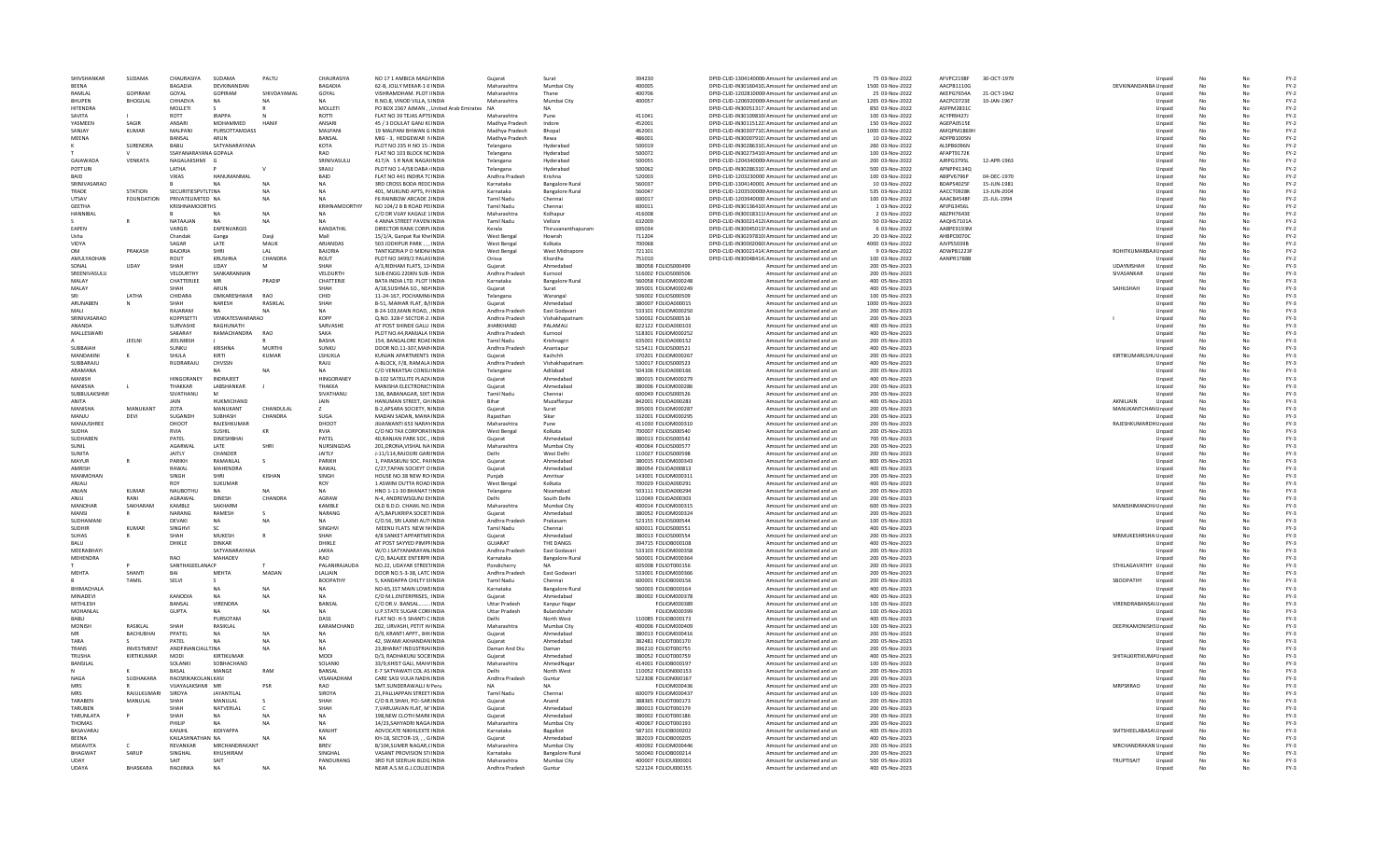| SHIVSHANKAR                  | SUDAMA            | CHAURASIYA             | SUDAMA                          | PALTU            | CHAURASIYA                 | NO 17 1 AMBICA MAG/INDIA                                  | Guiarat                             | Surat                         | 394230                                     | DPID-CLID-1304140006 Amount for unclaimed and un                                                       | 75 03-Nov-2022                     | AFVPC2198F               | 30-OCT-1979 |                        | Unnaid           | No       |          | $FY-2$           |
|------------------------------|-------------------|------------------------|---------------------------------|------------------|----------------------------|-----------------------------------------------------------|-------------------------------------|-------------------------------|--------------------------------------------|--------------------------------------------------------------------------------------------------------|------------------------------------|--------------------------|-------------|------------------------|------------------|----------|----------|------------------|
| <b>RFFNA</b>                 |                   | <b>BAGADIA</b>         | DEVKINANDAN                     |                  | <b>BAGADIA</b>             | 62-B. JOLLY MEKAR-1 6 INDIA                               | Maharashtra                         | Mumbai City                   | 400005                                     | DPID-CLID-IN30160410. Amount for unclaimed and un                                                      | 1500 03-Nov-2022                   | AACPB1110G               |             | DEVKINANDANBA Unpaid   |                  | No       | No       | $FY-2$           |
| RAMLAL                       | <b>GOPIRAM</b>    | GOYAL                  | <b>GOPIRAM</b>                  | SHIVDAYAMAI      | GOYAL                      | VISHRAMDHAM, PLOT IINDIA                                  | Maharashtra                         | Thane                         | 400706                                     | DPID-CLID-1202810000 Amount for unclaimed and un                                                       | 25 03-Nov-2022                     | AKEPG7654A               | 21-OCT-1942 |                        | Unpaid           |          |          | $FY-2$           |
| <b>BHUPEN</b>                | <b>BHOGILAL</b>   | <b>CHHADVA</b>         | <b>NA</b>                       |                  |                            | R.NO.8, VINOD VILLA, SINDIA                               | Maharashtra                         | Mumbai City                   | 400057                                     | DPID-CLID-1206920000 Amount for unclaimed and un                                                       | 1265 03-Nov-2022                   | AACPC0723E               | 10-JAN-1967 |                        | Unpaid           |          |          | $FY-2$           |
| HITENDRA                     |                   | MOLLETI                |                                 |                  | MOLLETI                    | PO BOX 2367 AJMAN, , United Arab Emirates NA              |                                     |                               |                                            | DPID-CLID-IN30051317: Amount for unclaimed and un                                                      | 850 03-Nov-2022                    | ASFPM2831C               |             |                        | Unpaid           | No       | No       | $FY-2$           |
| SAVITA                       |                   | ROTT                   | <b>IRAPPA</b>                   |                  | <b>ROTTI</b>               | FLAT NO 39 TEJAS APTS INDIA                               | Maharashtra                         | Pune                          | 411041                                     | DPID-CLID-IN30109810I Amount for unclaimed and un                                                      | 100 03-Nov-2022                    | ACYPR9427J               |             |                        | Unpaid           | No       | No       | $FY-2$           |
| YASMEEN                      | SAGIR             | ANSARI                 | MOHAMMED                        | HANIE            | <b>ANSARI</b>              | 45 / 3 DOULAT GANJ K(INDIA                                | Madhya Pradesh                      | Indore                        | 452001                                     | DPID-CLID-IN30115122: Amount for unclaimed and un                                                      | 150 03-Nov-2022                    | AGEPA0515E               |             |                        | Unpaid           | No       | No       | $FY-2$           |
| SANIAY                       | KUMAR             | MALPANI                | PURSOTTAMDASS                   |                  | MALPANI                    | 19 MALPANI BHWAN G INDIA                                  | Madhya Pradesh                      | Bhopal                        | 462001                                     | DPID-CLID-IN30307710. Amount for unclaimed and un                                                      | 1000 03-Nov-2022                   | AMOPM1869H               |             |                        | Unpaid           |          |          | $FY-2$           |
| MEENA                        |                   | BANSAL                 | ARUN                            |                  | BANSAL                     | MIG - 3, HEDGEWAR NINDIA                                  | Madhya Pradesh                      | Rewa                          | 486001                                     | DPID-CLID-IN30007910: Amount for unclaimed and un                                                      | 10 03-Nov-2022                     | ADFPB1005N               |             |                        | Unpaid           | No       |          | $FY-2$           |
|                              | <b>SURENDRA</b>   | BABU                   | SATYANARAYANA                   |                  | KOTA                       | PLOT NO 235 H NO 15-: INDIA                               | Telangana                           | Hyderabad                     | 500019                                     | DPID-CLID-IN30286310. Amount for unclaimed and un                                                      | 260 03-Nov-2022                    | ALSPB6096N               |             |                        | Unpaid           | No       | No       | $FY-2$           |
|                              |                   | SSAYANARAYANA GOPALA   |                                 |                  | <b>RAO</b>                 | FLAT NO 103 BLOCK NCINDIA                                 | Telangana                           | Hyderabad                     | 500072                                     | DPID-CLID-IN30273410 Amount for unclaimed and un                                                       | 100 03-Nov-2022                    | AFAPT9172K               |             |                        | Unpaid           | No       | No       | $FY-2$           |
| GAIAWADA                     | VENKATA           | NAGALAKSHMI G          |                                 |                  | SRINIVASULU                | 417/A S R NAIK NAGAHNDIA                                  | Telangana                           | Hyderabad                     | 500055                                     | DPID-CLID-1204340000 Amount for unclaimed and un                                                       | 200 03-Nov-2022                    | AIRPG3795L               | 12-APR-1963 |                        | Unpaid           | No       | No       | $FY-2$           |
| POTTURI                      |                   | LATHA                  |                                 |                  | SRAJU                      | PLOT NO 1-4/58 DABA (INDIA                                | Telangana                           | Hyderabad                     | 500062                                     | DPID-CLID-IN30286310: Amount for unclaimed and un                                                      | 500 03-Nov-2022                    | APNPP4134Q               |             |                        | Unpaid           |          |          | $FY-2$           |
| BAID                         |                   | VIKAS                  | HANUMANMAL                      |                  | BAID                       | FLAT NO 441 INDIRA TCINDIA                                | Andhra Pradesh                      | Krishna                       | 520003                                     | DPID-CLID-1203230000 Amount for unclaimed and un                                                       | 100 03-Nov-2022                    | ABIPV6796P               | 04-DEC-1970 |                        | Unpaid           | No       |          | $FY-2$           |
| SRINIVASARAO                 |                   |                        |                                 | NA               | <b>NA</b>                  | 3RD CROSS BODA REDEINDIA                                  | Karnataka                           | <b>Bangalore Rural</b>        | 560037                                     | DPID-CLID-1304140001 Amount for unclaimed and un                                                       | 10 03-Nov-2022                     | BDAPS4025F               | 15-JUN-1981 |                        | Unpaid           | No       | No       | $FY-2$           |
| TRADE<br><b>LITSAV</b>       | <b>STATION</b>    | SECURITIESPVTLTINA     |                                 | <b>NA</b>        | <b>NA</b>                  | 401. MUKUND APTS. P/INDIA                                 | Karnataka<br><b>Tamil Nadu</b>      | <b>Bangalore Rural</b>        | 560047<br>600017                           | DPID-CLID-1203500000 Amount for unclaimed and un                                                       | 535 03-Nov-2022                    | AACCT0928K<br>AAACR4548F | 13-JUN-2004 |                        | Unpaid           | No       | No       | $FY-2$           |
| <b>GFFTHA</b>                | <b>FOUNDATION</b> | PRIVATELIMITED NA      |                                 | <b>NA</b>        | NΔ<br>KRIHNAMOORTHY        | F6 RAINBOW ARCADE 2 INDIA                                 | <b>Tamil Nadu</b>                   | Chennai                       | 600011                                     | DPID-CLID-1203940000 Amount for unclaimed and un                                                       | 100 03-Nov-2022                    | APJPG3456L               | 21-JUL-1994 |                        | Unpaid           | No       | No       | $FY-2$           |
| HANNIBAI                     |                   | <b>KRISHNAMOORTHS</b>  |                                 | N <sub>A</sub>   | NA                         | NO 104/2 B B ROAD PEIINDIA<br>C/O DR VIJAY KAGALE 1 INDIA | Maharashtra                         | Chennai<br>Kolhapur           | 416008                                     | DPID-CLID-IN30136410I Amount for unclaimed and un<br>DPID-CLID-IN30018311! Amount for unclaimed and un | 1 03-Nov-2022<br>2 03-Nov-2022     | ABZPH7643E               |             |                        | Unpaid           | No       |          | $FY-2$<br>$FY-2$ |
|                              |                   | NATAAJAN               |                                 |                  | <b>NA</b>                  | 4 ANNA STREET PAVEN INDIA                                 | Tamil Nadu                          |                               | 632009                                     | DPID-CLID-IN30021412! Amount for unclaimed and un                                                      | 50 03-Nov-2022                     | AAQHS7101A               |             |                        | Unpaid           |          | No       | $FY-2$           |
| EAPEN                        |                   | VARGIS                 | <b>NA</b><br><b>EAPENVARGIS</b> | <b>NA</b>        | KANDATHIL                  | DIRECTOR RANK CORPLINDIA                                  | Kerala                              | Vellore<br>Thiruvananthapuram | 695034                                     | DPID-CLID-IN30045013! Amount for unclaimed and un                                                      | 6 03-Nov-2022                      | AABPE9193M               |             |                        | Unpaid<br>Unpaid | No<br>No | No       | $FY-2$           |
| Usha                         |                   | Chandak                | Ganga                           | Dasii            | Mall                       | 15/1/A. Ganpat Rai Khe INDIA                              | West Bengal                         | Howrah                        | 711204                                     | DPID-CLID-IN30297810I Amount for unclaimed and un                                                      | 20 03-Nov-2022                     | AHBPC0070C               |             |                        | Unpaid           | No       | No       | $FY-2$           |
| VIDYA                        |                   | SAGAR                  | LATE                            | MALIK            | ARJANDAS                   | 503 JODHPUR PARK,,,INDIA                                  | <b>West Bengal</b>                  | Kolkata                       | 700068                                     | DPID-CLID-IN30002060I Amount for unclaimed and un                                                      | 4000 03-Nov-2022                   | AJVPS5039B               |             |                        | Unpaid           |          |          | $FY-2$           |
| <b>OM</b>                    | PRAKASH           | <b>BAJORIA</b>         | SHRI                            | LAL              | <b>BAJORIA</b>             | TANTIGERIA P O MIDN/INDIA                                 | <b>West Bengal</b>                  | West Midnapore                | 721101                                     | DPID-CLID-IN30021414: Amount for unclaimed and un                                                      | 9 03-Nov-2022                      | ADWPB1223F               |             | ROHITKUMARBAJ/Unpaid   |                  | No       |          | $FY-2$           |
| AMULYADHAN                   |                   | ROUT                   | <b>KRUSHNA</b>                  | CHANDRA          | ROUT                       | PLOT NO 3499/2 PALASINDIA                                 | Orissa                              | Khordha                       | 751010                                     | DPID-CLID-IN30048414, Amount for unclaimed and un                                                      | 100 03-Nov-2022                    | AANPR1788B               |             |                        | Unpaid           | No       | No       | $FY-2$           |
| SONAL                        | <b>UDAY</b>       | SHAH                   | UDAY                            |                  | SHAH                       | A/3.RIDHAM FLATS, 12 INDIA                                | Guiarat                             | Ahmedabad                     | 380058 FOLIOS000499                        | Amount for unclaimed and un                                                                            | 200 05-Nov-2023                    |                          |             | <b>UDAYMSHAH</b>       | Unpaid           | No       | No       | $FY-3$           |
| SREENIVASULL                 |                   | VELDURTHY              | SANKARANNAN                     |                  | VELDURTH                   | SUB-ENGG 220KN SUB- INDIA                                 | Andhra Pradesh                      | Kurnool                       | 516002 FOLIOS000506                        | Amount for unclaimed and un                                                                            | 200 05-Nov-2023                    |                          |             | SIVASANKAR             | Unpaid           | No       | No       | $FY-3$           |
| MALAY                        |                   | CHATTERJEE             | MR                              | PRADIF           | CHATTERJE                  | BATA INDIA LTD. PLOT IINDIA                               | Karnataka                           | <b>Bangalore Rural</b>        | 560058 FOLIOM000248                        | Amount for unclaimed and un                                                                            | 400 05-Nov-2023                    |                          |             |                        | Unpaid           |          |          | $FY-3$           |
| MALAY                        |                   |                        | ARUN                            |                  | SHAH                       | A/18.SUSHMA SO., NEAINDIA                                 | Guiarat                             | Surat                         | 395001 FOLIOM000249                        | Amount for unclaimed and un                                                                            | 400 05-Nov-2023                    |                          |             | SAHILSHAH              | Unpaid           | No       |          | $FY-3$           |
|                              | LATHA             | CHIDARA                | OMKARESHWAR                     | <b>RAO</b>       | CHID                       | 11-24-167, POCHAMM/INDIA                                  | Telangana                           | Warangal                      | 506002 FOLIOS000509                        | Amount for unclaimed and un                                                                            | 100 05-Nov-2023                    |                          |             |                        | Unpaid           | No       | No       | $FY-3$           |
| ARUNAREN                     |                   | SHAH                   | <b>NARFSH</b>                   | <b>RASIKI AI</b> | SHAH                       | <b>B-51. MAIHAR FLAT. B/INDIA</b>                         | Guiarat                             | Ahmedahad                     | 380007 EOLIOA000015                        | Amount for unclaimed and un                                                                            | 1000 05-Nov-2023                   |                          |             |                        | Unnaid           | No       | No       | FY-3             |
| MALL                         |                   | RAJARAM                | NΔ                              |                  | <b>NA</b>                  | 8-24-103. MAIN ROAD, INDIA                                | Andhra Pradesh                      | East Godavar                  | 533101 FOLIOM000250                        | Amount for unclaimed and un                                                                            | 200 05-Nov-2023                    |                          |             |                        | Unpaid           | No       | No       | $FY-3$           |
| SRINIVASARAC                 |                   | KOPPISETTI             | VENKATESWARARAO                 |                  | <b>KOPP</b>                | Q.NO. 328-F SECTOR-2. INDIA                               | Andhra Pradesh                      | Vishakhapatnan                | 530032 FOLIOS000516                        | Amount for unclaimed and un                                                                            | 200 05-Nov-2023                    |                          |             |                        | Unpaid           |          |          | $FY-3$           |
| ANANDA                       |                   | SURVASHE               |                                 |                  | SARVASHE                   | AT POST SHINDE GALLI INDIA                                | <b>JHARKHAND</b>                    | PALAMAU                       | 822122 FOLIOA000103                        | Amount for unclaimed and un                                                                            | 400 05-Nov-2023                    |                          |             |                        | Unpaid           | No       |          | $FY-3$           |
| MALLESWAR                    |                   | SAKARAY                | RAMACHANDRA                     | <b>RAO</b>       | SAKA                       | PLOT NO.44.RAMJALA HNDIA                                  | Andhra Pradesh                      | Kurnool                       | 518301 FOLIOM000252                        | Amount for unclaimed and un                                                                            | 400 05-Nov-2023                    |                          |             |                        | Unpaid           | No       | No       | $FY-3$           |
|                              | <b>IFFINI</b>     | <b>IFFI NIRSH</b>      |                                 |                  | <b>RASHA</b>               | 154. BANGALORE ROAFINDIA                                  | Tamil Nadu                          | Krishnagiri                   | 635001 EQUO4000152                         | Amount for unclaimed and un                                                                            | 200 05-Nov-2023                    |                          |             |                        | Unnaid           | No       | No       | FY-3             |
| SURBAIAH                     |                   | SUNKU                  | <b>KRISHNA</b>                  | MURTHI           | SUNKU                      | DOOR NO.11-307, MAIN INDIA                                | Andhra Pradesh                      | Anantapu                      | 515411 FOLIOS000521                        | Amount for unclaimed and un                                                                            | 400 05-Nov-2023                    |                          |             |                        | Unpaid           | No       | No       | $FY-3$           |
| MANDAKINI                    |                   | SHULA                  | KIRTI                           | KUMAR            | LSHUKLA                    | KUNJAN APARTMENTS INDIA                                   | Gujarat                             | Kachchh                       | 370201 FOLIOM00026                         | Amount for unclaimed and un                                                                            | 200 05-Nov-2023                    |                          |             | KIRTIKUMARLSHU Unpaid  |                  |          |          | $FY-3$           |
| SUBBARAJU                    |                   | RUDRARAJU              | CHVSSN                          |                  | RAJU                       | A-BLOCK, F/8, RAMALA INDIA                                | Andhra Pradesh                      | Vishakhapatnam                | 530017 FOLIOS000523                        | Amount for unclaimed and un                                                                            | 400 05-Nov-2023                    |                          |             |                        | Unpaid           | No       |          | $FY-3$           |
| ARAMANA                      |                   |                        |                                 | <b>NA</b>        | <b>NA</b>                  | C/O VENKATSAI CONSUINDIA                                  | Telangana                           | Adilabad                      | 504106 FOLIOA000166                        | Amount for unclaimed and un                                                                            | 200 05-Nov-2023                    |                          |             |                        | Unpaid           | No       | No       | $FY-3$           |
| MANISH                       |                   | <b>HINGORANEY</b>      | <b>INDRAIFFT</b>                |                  | <b>HINGORANEY</b>          | <b>B-102 SATELLITE PLAZA INDIA</b>                        | Guiarat                             | Ahmedahad                     | 380015 FOLIOM000279                        | Amount for unclaimed and un                                                                            | 400 05-Nov-2023                    |                          |             |                        | Unnaid           | No       | No       | FY-3             |
| MANISHA                      |                   | THAKKAR                | LABSHANKAR                      |                  | THAKKA                     | MANISHA ELECTRONICS INDIA                                 | Gujarat                             | Ahmedabad                     | 380006 FOLIOM000286                        | Amount for unclaimed and un                                                                            | 200 05-Nov-2023                    |                          |             |                        | Unpaid           | No       | No       | $FY-3$           |
| SUBBULAKSHM                  |                   | SIVATHANU              |                                 |                  | SIVATHANU                  | 136, BABANAGAR, SIXT INDIA                                | <b>Tamil Nadu</b>                   | Chennai                       | 600049 FOLIOS000526                        | Amount for unclaimed and un                                                                            | 200 05-Nov-2023                    |                          |             |                        | Unpaid           |          |          | $FY-3$           |
| ANITA                        |                   |                        | HUKMICHAND                      |                  | <b>JAIN</b>                | HANUMAN STREET, GH INDIA                                  | Bihar                               | Muzaffarpur                   | 842001 FOLIOA000283                        | Amount for unclaimed and un                                                                            | 400 05-Nov-2023                    |                          |             | AKNILJAIN              | Unpaid           | No       |          | $FY-3$           |
| MANISHA                      | MANUKANT          | ZOTA                   | MANUKANT                        | CHANDULAL        | $\overline{z}$             | B-2, APSARA SOCIETY, NINDIA                               | Guiarat                             | Surat                         | 395003 FOLIOM000287                        | Amount for unclaimed and un                                                                            | 200 05-Nov-2023                    |                          |             | MANUKANTCHAN Unpaid    |                  | No       | No       | $FY-3$           |
| MANIU                        | DFVI              | SUGANDH                | SURHASH                         | CHANDRA          | <b>SUGA</b>                | MADAN SADAN, MAHA INDIA                                   | Raiasthan                           | Sikar                         | 332001 FOLIOM000295                        | Amount for unclaimed and un                                                                            | 200 05-Nov-2023                    |                          |             |                        | Unpaid           | No       | No       | FY-3             |
| MANJUSHREE                   |                   | DHOOT                  | RAJESHKUMAR                     |                  | DHOOT                      | JIIJAIWANTI 653 NARAYINDIA                                | Maharashtra                         | Pune                          | 411030 FOLIOM000310                        | Amount for unclaimed and un                                                                            | 200 05-Nov-2023                    |                          |             | RAJESHKUMARDHUnpaid    |                  |          | No       | $FY-3$           |
| <b>SUDHA</b>                 |                   | <b>RVIA</b>            | SUSHIL                          | KR               | RVIA                       | C/O NO TAX CORPORATINDIA                                  | <b>West Bengal</b>                  | Kolkata                       | 700007 FOLIOS000540                        | Amount for unclaimed and un                                                                            | 200 05-Nov-2023                    |                          |             |                        | Unpaid           |          |          | $FY-3$           |
| SUDHABEN                     |                   | PATEL                  | DINESHBHAI                      |                  | PATEL                      | 40.RANJAN PARK SOC., INDIA                                | Gujarat                             | Ahmedabac                     | 380013 FOLIOS000542                        | Amount for unclaimed and un                                                                            | 700 05-Nov-2023                    |                          |             |                        | Unpaid           | No       | No       | $FY-3$           |
|                              |                   |                        |                                 |                  |                            |                                                           |                                     |                               |                                            |                                                                                                        |                                    |                          |             |                        |                  |          |          |                  |
| SUNIL                        |                   | AGARWAL                | LATE                            | <b>SHRI</b>      | NURSINGDAS                 | 201.DRONA.VISHAL NA INDIA                                 | Maharashtra                         | Mumbai City                   | 400064 FOLIOS000577                        | Amount for unclaimed and un                                                                            | 200 05-Nov-2023                    |                          |             |                        | Unpaid           | No       | No       | $FY-3$           |
| SUNITA                       |                   | <b>JAITIY</b>          | CHANDER                         |                  | <b>JAITIY</b>              | I-11/114 RAIOURI GARIINDIA                                | Delhi                               | West Delhi                    | 110027 EQUOS000598                         | Amount for unclaimed and un                                                                            | 200.05-Nov-2023                    |                          |             |                        | Unpaid           | No       | No       | $FY-3$           |
| MAYUR                        |                   | PARIKH                 | RAMANLAL                        |                  | PARIKH                     | 1, PARASKUNJ SOC. PAHNDIA                                 | Gujarat                             | Ahmedabac                     | 380015 FOLIOM00034                         | Amount for unclaimed and un                                                                            | 800 05-Nov-2023                    |                          |             |                        | Unpaid           | No       | No       | $FY-3$           |
| AMRISH                       |                   | RAWAL                  | MAHENDRA                        |                  | RAWAL                      | C/27.TAPAN SOCIEYT O INDIA                                | Guiarat                             | Ahmedabac                     | 380054 FOLIOA000813                        | Amount for unclaimed and un                                                                            | 400 05-Nov-2023                    |                          |             |                        | Unpaid           |          |          | $FY-3$           |
| MANMOHAN                     |                   | SINGH                  | <b>SHRI</b>                     | KISHAN           | SINGH                      | HOUSE NO.38 NEW ROINDIA                                   | Punjab                              | Amritsar                      | 143001 FOLIOM000311                        | Amount for unclaimed and un                                                                            | 200 05-Nov-2023                    |                          |             |                        | Unpaid           | No       | No       | $FY-3$           |
| ANIALL                       |                   | <b>ROY</b>             | SUKUMAR                         |                  | <b>ROY</b>                 | 1 ASWINI DUTTA ROAD INDIA                                 | West Bengal                         | Kolkata                       | 700029 EOLIOA000291                        | Amount for unclaimed and un                                                                            | 400.05-Nov-2023                    |                          |             |                        | Unnaid           | No       | No       | FY-3             |
| ANIAN                        | KUMAR             | NAUROTHU               | NA                              | <b>NA</b>        | <b>NA</b>                  | HNO 1-11-30 BHANAT SINDIA                                 | Telangana                           | Nizamabad                     | 503111 FOLIOA000294                        | Amount for unclaimed and un                                                                            | 200 05-Nov-2023                    |                          |             |                        | Unpaid           | No       | No       | $FY-3$           |
| ANJU                         | RANI              | AGRAWAL                | DINESH                          | CHANDRA          | AGRAW                      | N-4, ANDREWSGUNJ EXINDIA                                  | Delhi                               | South Delh                    | 110049 FOLIOA000303                        | Amount for unclaimed and un                                                                            | 200 05-Nov-2023                    |                          |             |                        | Unpaid           |          |          | $FY-3$           |
| MANOHAR                      | SAKHARAM          | KAMBLE                 | SAKHARM                         |                  | KAMBLE                     | OLD B.D.D. CHAWL NO. INDIA                                | Maharashtra                         | Mumbai City                   | 400014 FOLIOM000319                        | Amount for unclaimed and un                                                                            | 600 05-Nov-2023                    |                          |             | MANISHIMANOH/Unpaid    |                  |          |          | $FY-3$           |
| MANSI                        | R                 | NARANG                 | RAMESH                          |                  | NARANG                     | A/5, BAPUKRIPA SOCIET INDIA                               | Gujarat                             | Ahmedabad                     | 380052 FOLIOM000324                        | Amount for unclaimed and un                                                                            | 200 05-Nov-2023                    |                          |             |                        | Unpaid           | No       | No       | $FY-3$           |
| SUDHAMAN                     |                   | DEVAKI                 | NA.                             | NA               | NA                         | C/O.56, SRI LAXMI AUTHNDIA                                | Andhra Pradesh                      | Prakasam                      | 523155 FOUOS000544                         | Amount for unclaimed and un                                                                            | 100.05-Nov-2023                    |                          |             |                        | Unpaid           | No       | No       | FY-3             |
| <b>SUDHIR</b>                | KUMAR             | SINGHVI                | -SC                             |                  | <b>SINGHVI</b>             | MEENU FLATS NEW NINDIA                                    | <b>Tamil Nadu</b>                   | Chennai                       | 600011 FOLIOS000551                        | Amount for unclaimed and un                                                                            | 400 05-Nov-2023                    |                          |             |                        | Unpaid           |          | No       | $FY-3$           |
| <b>SUHAS</b>                 |                   | SHAH                   | MUKESH                          |                  | SHAH                       | 4/8 SANKET APPARTMEINDIA                                  | Gujarat                             | Ahmedabac                     | 380013 FOLIOS000554                        | Amount for unclaimed and un                                                                            | 200 05-Nov-2023                    |                          |             | MRMUKESHRSHA Unpaid    |                  |          |          | $FY-3$           |
| <b>BALU</b>                  |                   | DHIKLE                 | <b>DINKAR</b>                   |                  | DHIKLE                     | AT POST SAYYED PIMPFINDIA                                 | GUJARAT                             | THE DANGS                     | 394715 FOLIOB000108                        | Amount for unclaimed and un                                                                            | 400 05-Nov-2023                    |                          |             |                        | Unpaid           |          |          | $FY-3$           |
| MEERABHAY<br><b>MFHFNDRA</b> |                   | RAO                    | SATYANARAYANA<br><b>MAHADEV</b> |                  | <b>JAKKA</b><br><b>RAO</b> | W/O J.SATYANARAYAN.INDIA<br>C/O. BALAJEE ENTERPR INDIA    | Andhra Pradesh<br>Karnataka         | East Godavar                  | 533103 FOLIOM000358<br>560001 EQUOM000364  | Amount for unclaimed and un                                                                            | 200 05-Nov-2023<br>200.05-Nov-2023 |                          |             |                        | Unpaid           | No<br>No | No<br>No | $FY-3$           |
|                              |                   | <b>SANTHASEELANA(P</b> |                                 |                  | PALANIRAJAUDA              | NO.22, UDAYAR STREETINDIA                                 |                                     | <b>Bangalore Rural</b><br>NA  | 605008 FOLIOT000156                        | Amount for unclaimed and un                                                                            | 200 05-Nov-2023                    |                          |             |                        | Unpaid           |          | No       | $FY-3$<br>$FY-3$ |
|                              |                   | <b>BAI</b>             |                                 |                  |                            |                                                           | Pondicherry                         |                               |                                            | Amount for unclaimed and un                                                                            |                                    |                          |             | STHILAGAVATHY Unpaid   |                  |          |          |                  |
| MEHTA                        | SHANTI<br>TAMIL   | SELVI                  | MEHT/                           | MADAN            | LALJAIN<br><b>BOOPATHY</b> | DOOR NO.5-3-38, LATC INDIA<br>5. KANDAPPA CHILTY SHNDIA   | Andhra Pradesh<br><b>Tamil Nadu</b> | East Godavar<br>Chennai       | 533001 FOLIOM000366<br>600001 FOLIOB000156 | Amount for unclaimed and un                                                                            | 200 05-Nov-2023<br>200 05-Nov-2023 |                          |             | SBOOPATHY              | Unpaid           |          |          | $FY-3$<br>$FY-3$ |
| BHIMACHALA                   |                   |                        | NA                              | <b>NA</b>        | <b>NA</b>                  | NO-65,1ST MAIN LOWEINDIA                                  | Karnataka                           | <b>Bangalore Rural</b>        | 560003 FOLIOB000164                        | Amount for unclaimed and un<br>Amount for unclaimed and un                                             | 400 05-Nov-2023                    |                          |             |                        | Unpaid<br>Unpaid | No       | No       |                  |
| MINADEVI                     |                   | KANODIA                | <b>NA</b>                       | <b>NA</b>        | <b>NA</b>                  | C/O M.L.ENTERPRISES, INDIA                                | Guiarat                             | Ahmedahad                     | 380002 FOLIOM000378                        | Amount for unclaimed and un                                                                            | 400 05-Nov-2023                    |                          |             |                        | Unpaid           | No       | No       | $FY-3$<br>$FY-3$ |
| MITHLESH                     |                   | <b>BANSAL</b>          | VIRENDRA                        |                  | BANSAL                     | C/O DR.V. BANSAL INDIA                                    | <b>Uttar Pradesh</b>                | Kanpur Naga                   | FOLIOM000389                               | Amount for unclaimed and un                                                                            | 100 05-Nov-2023                    |                          |             |                        |                  |          | No       | $FY-3$           |
| MOHANLAL                     |                   | <b>GUPTA</b>           |                                 |                  |                            | <b>U.P.STATE SUGAR CORFINDIA</b>                          | <b>Uttar Pradesh</b>                | Bulandshah                    | FOLIOM00039                                | Amount for unclaimed and un                                                                            | 100 05-Nov-2023                    |                          |             | VIRENDRABANSAI Unpaid  | Unpaid           |          |          | $FY-3$           |
| <b>BABL</b>                  |                   |                        | PURSOTAM                        |                  | DASS                       | FLAT NO: H-5 SHANTI C INDIA                               | Delhi                               | North West                    |                                            | Amount for unclaimed and un                                                                            | 400 05-Nov-2023                    |                          |             |                        | Unpaid           |          |          | $FY-3$           |
| MONISH                       | <b>RASIKI AI</b>  | SHAH                   | RASIKLAL                        |                  | KARAMCHAND                 | 202, URVASHI, PETIT H/INDIA                               | Maharashtra                         | Mumbai City                   | 110085 FOLIOB000173<br>400006 FOLIOM000409 | Amount for unclaimed and un                                                                            | 100 05-Nov-2023                    |                          |             | DEEPIKAMONISHS Unpaid  |                  | No       | No       | $FY-3$           |
| MR                           | BACHUBHAI         | PPATEL                 | <b>NA</b>                       | NA               | <b>NA</b>                  | D/9, KRANTI APPT., BHI INDIA                              | Guiarat                             | Ahmedahad                     | 380013 FOLIOM000416                        | Amount for unclaimed and un                                                                            | 200 05-Nov-2023                    |                          |             |                        | Unpaid           | No       | No       | $FY-3$           |
| TARA                         |                   | PATEL                  | <b>NA</b>                       | <b>NA</b>        | <b>NA</b>                  | 42. SWAMI AKHANDAN INDIA                                  | Gujarat                             | Ahmedabad                     | 382481 FOLIOT000170                        | Amount for unclaimed and un                                                                            | 200 05-Nov-2023                    |                          |             |                        | Unpaid           |          | No       | $FY-3$           |
| TRANS                        | INVESTMENT        | ANDFINANC              | LTINA                           | <b>NA</b>        |                            | 23.BHARAT INDUSTRIAIINDL                                  | Daman And Diu                       | Daman                         | 396210 FOLIOT000755                        | Amount for unclaimed and un                                                                            | 200 05-Nov-2023                    |                          |             |                        | Unpaid           |          |          | $FY-3$           |
| TRUSHA                       | KIRTIKUMAR        | MODI                   | KIRTIKUMAF                      |                  | MODI                       | D/3, RADHAKUNJ SOCIEINDIA                                 | Guiarat                             | Ahmedabad                     | 380052 FOLIOT000759                        | Amount for unclaimed and un                                                                            | 400 05-Nov-2023                    |                          |             | SHITALKIRTIKUMA Unpaid |                  |          |          | $FY-3$           |
| <b>BANSILAI</b>              |                   | SOLANKI                | SOBHACHAND                      |                  | SOLANKI                    | 33/9.KHIST GALI, MAH/INDIA                                | Maharashtra                         | AhmedNaga                     | 414001 FOLIOB000197                        | Amount for unclaimed and un                                                                            | 100 05-Nov-2023                    |                          |             |                        | Unpaid           | No       | No       | $FY-3$           |
|                              |                   | <b>RASAI</b>           | MANGE                           | RAM              | <b>BANSAL</b>              | E-7 SATYAWATI COL AS INDIA                                | Delhi                               | North West                    | 110052 FOLION000153                        | Amount for unclaimed and un                                                                            | 200 05-Nov-2023                    |                          |             |                        | Unpaid           | No       | No       | $FY-3$           |
| <b>NAGA</b>                  | SUDHAKARA         | RAOSRIKAKOLANLKASI     |                                 |                  | VISANADHAM                 | CARE SASI VIJUA NADH. INDIA                               | Andhra Pradesh                      | Guntur                        | 522308 FOLION000167                        | Amount for unclaimed and un                                                                            | 200 05-Nov-2023                    |                          |             |                        | Unpaid           | No       | No       | $FY-3$           |
| <b>MRS</b>                   |                   | VUAYALAKSHMI           |                                 |                  | <b>RAO</b>                 | SMT.SUNDERAWALLI N Peru                                   |                                     |                               | FOLIOM00043                                | Amount for unclaimed and un                                                                            | 200 05-Nov-2023                    |                          |             | <b>MRPSRRAO</b>        | Unpaid           | No       |          | $FY-3$           |
| <b>MRS</b>                   | RAJULKUMARI       | SIROYA                 | JAYANTILAL                      |                  | SIROYA                     | 21. PALLIAPPAN STREET INDIA                               | <b>Tamil Nadu</b>                   | Chennai                       | 600079 FOLIOM000437                        | Amount for unclaimed and un                                                                            | 100 05-Nov-2023                    |                          |             |                        | Unpaid           |          |          | $FY-3$           |
| TARABEN                      | MANULAL           | SHAH                   | MANULAI                         |                  | SHAH                       | C/O B.R.SHAH, PO:-SAR INDIA                               | Guiarat                             | Anand                         | 388365 FOLIOT000173                        | Amount for unclaimed and un                                                                            | 200 05-Nov-2023                    |                          |             |                        | Unpaid           | No       | No       | $FY-3$           |
| TARUREN                      |                   | SHAH                   | NATVERLAL                       | $\epsilon$       | SHAH                       | 7.VARUJAVAN FLAT, M'INDIA                                 | Guiarat                             | Ahmedahad                     | 380013 FOLIOT000179                        | Amount for unclaimed and un                                                                            | 200 05-Nov-2023                    |                          |             |                        | Unpaid           | No       | No       | $FY-3$           |
| <b>TARUNI ATA</b>            |                   | <b>SHAH</b>            | NA                              | NΔ               | <b>NA</b>                  | 198, NEW CLOTH MARK INDIA                                 | Gujarat                             | Ahmedahad                     | 380002 FOLIOT000186                        | Amount for unclaimed and un                                                                            | 200 05-Nov-2023                    |                          |             |                        | Unpaid           | No       | No       | $FY-3$           |
| THOMAS                       |                   | PHILIF                 | <b>NA</b>                       |                  | <b>NA</b>                  | 14/23.SAHYADRI NAGA INDIA                                 | Maharashtra                         | Mumbai City                   | 400067 FOLIOT000193                        | Amount for unclaimed and un                                                                            | 200 05-Nov-2023                    |                          |             |                        | Unpaid           |          |          | $FY-3$           |
| BASAVARAJ                    |                   | KANJHL                 | KIDIYAPPA                       |                  | KANJHT                     | ADVOCATE NIKHILEXTE INDIA                                 | Karnataka                           | Bagalkot                      | 587101 FOLIOB000202                        | Amount for unclaimed and un                                                                            | 400 05-Nov-2023                    |                          |             | SMTSHEELABASA\ Unpaid  |                  |          |          | $FY-3$           |
| <b>BEENA</b>                 |                   | KAILASHNATHAN NA       |                                 |                  | <b>NA</b>                  | KH-18, SECTOR-19, GINDIA                                  | Guiarat                             | Ahmedabad                     | 382019 FOLIOB000205                        | Amount for unclaimed and un                                                                            | 400 05-Nov-2023                    |                          |             |                        | Unpaid           | No       | No       | $FY-3$           |
| MSKAVITA                     |                   | RFVANKAR               | MRCHANDRAKANT                   |                  | <b>BRFV</b>                | B/104.SUMER NAGAR.CINDIA                                  | Maharashtra                         | Mumbai City                   | 400092 FOLIOM000446                        | Amount for unclaimed and un                                                                            | 200 05-Nov-2023                    |                          |             | MRCHANDRAKAN Unpaid    |                  | No       | No       | $FY-3$           |
| <b>BHAGWAT</b>               | SARUP             | SINGHAL                | KHUSHIRAM                       |                  | SINGHAI                    | <b>VASANT PROVISION STUNDIA</b>                           | Karnataka                           | <b>Bangalore Rural</b>        | 560040 FOLIOB000214                        | Amount for unclaimed and un                                                                            | 200 05-Nov-2023                    |                          |             |                        | Unpaid           |          |          | $FY-3$           |
| UDAY<br><b>UDAYA</b>         | BHASKARA          | RAOJINKA               | <b>NA</b>                       |                  | PANDURANG                  | 3RD FLR SEERUAI BLDG INDIA<br>NEAR A.S.M.G.J.COLLECINDIA  | Maharashtra<br>Andhra Pradesh       | Mumbai City<br>Guntur         | 400007 FOLIOU000001<br>522124 FOLIOU000155 | Amount for unclaimed and un<br>Amount for unclaimed and un                                             | 500 05-Nov-2023<br>400 05-Nov-2023 |                          |             | <b>TRUPTISAIT</b>      | Unpaid<br>Unpaid |          | No       | $FY-3$<br>$FY-3$ |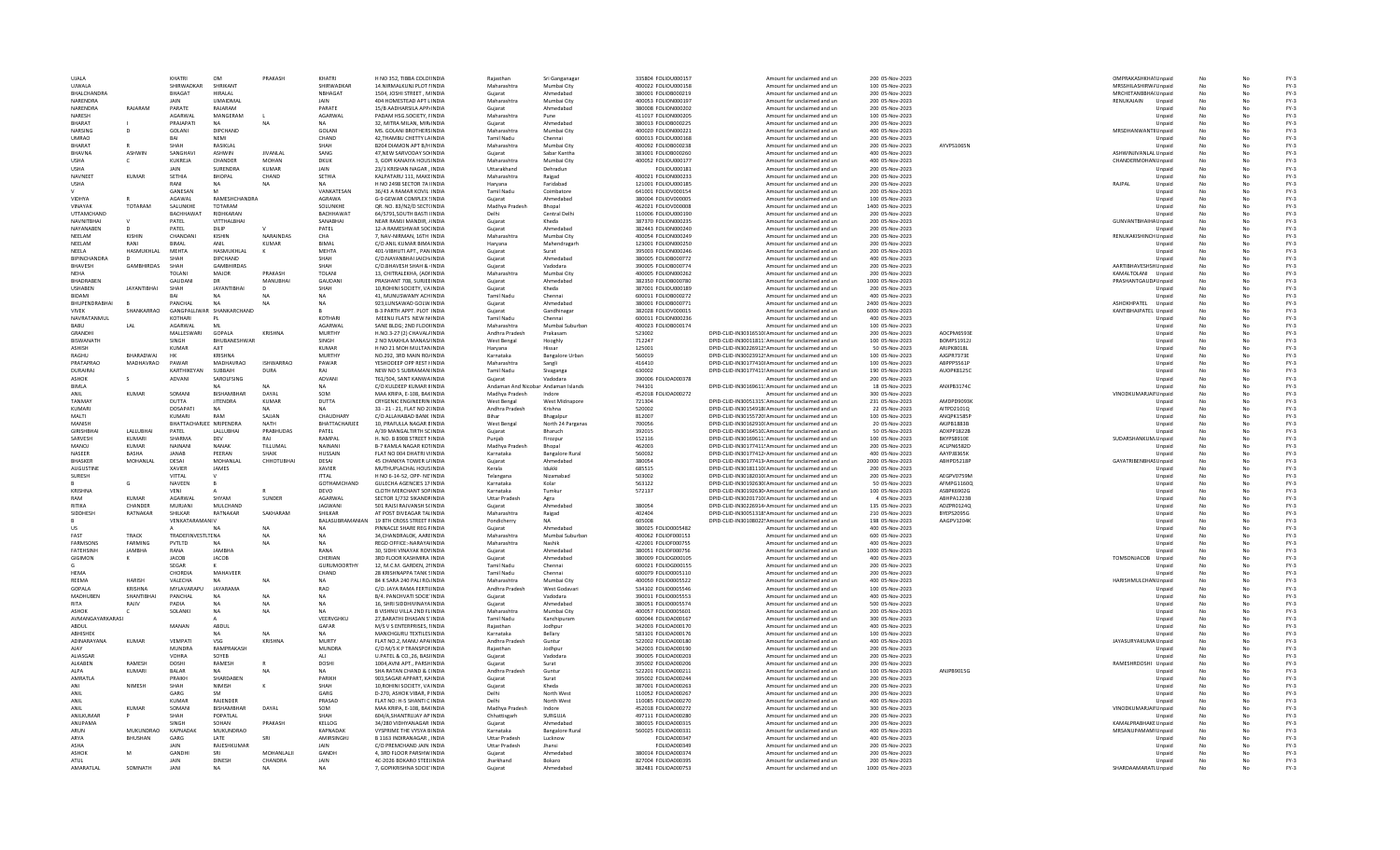| <b>UIALA</b> |                                   |                    | KHATRI                    | OM                 | PRAKASH          | KHATRI                 | H NO 352. TIRRA COLOUNDIA                               | Raiasthan                           | Sri Ganganaga          | 335804 EQUOU000157  | Amount for unclaimed and un                                                                          | 200 05-Nov-2023                    |                          | OMPRAKASHKHA Unpaid   |                  | No       |          | $FY-3$           |
|--------------|-----------------------------------|--------------------|---------------------------|--------------------|------------------|------------------------|---------------------------------------------------------|-------------------------------------|------------------------|---------------------|------------------------------------------------------------------------------------------------------|------------------------------------|--------------------------|-----------------------|------------------|----------|----------|------------------|
|              | UJWALA                            |                    | SHIRWADKAR                | SHRIKANT           |                  | SHIRWADKAP             | 14.NIRMALKUNJ PLOT I INDIA                              | Maharashtra                         | Mumbai City            | 400022 FOLIOU000158 | Amount for unclaimed and un                                                                          | 100 05-Nov-2023                    |                          | MRSSHILASHIRW/ Unpaid |                  |          |          | $FY-3$           |
|              | <b>BHALCHANDRA</b>                |                    | BHAGAT                    | HIRALAL            |                  | <b>NBHAGAT</b>         | 1504. JOSHI STREET, MINDIA                              | Guiarat                             | Ahmedabac              | 380001 FOLIOB000219 | Amount for unclaimed and un                                                                          | 200 05-Nov-2023                    |                          | MRCHETANBBHA(Unpaid   |                  |          |          | $FY-3$           |
|              | NARENDRA                          |                    |                           | <b>UMAIDMAL</b>    |                  | <b>JAIN</b>            | 404 HOMESTEAD APT L INDIA                               | Maharashtra                         | Mumbai City            | 400053 FOLION000197 | Amount for unclaimed and un                                                                          | 200 05-Nov-2023                    |                          | RENUKAJAIN            | Unpaid           | No       |          | $FY-3$           |
|              | NARENDRA                          | RAIARAM            | PARATE                    | RAIARAM            |                  | PARATE                 | 15/B AADHARSILA APP/INDIA                               | Guiarat                             | Ahmedahad              | 380008 EQUON000202  | Amount for unclaimed and un                                                                          | 200.05-Nov-2023                    |                          |                       | Unpaid           | No       | No       | FY-3             |
|              | NARFSH                            |                    | AGARWAI                   | MANGERAM           |                  | AGARWAI                | PADAM HSG.SOCIETY, FINDIA                               | Maharashtra                         | Pune                   | 411017 FOLION000205 | Amount for unclaimed and un                                                                          | 100 05-Nov-2023                    |                          |                       | Unpaid           |          | No       | $FY-3$           |
|              | BHARAT                            |                    | PRAJAPATI                 | <b>NA</b>          | <b>NA</b>        |                        | 32, MITRA MILAN, MIR/INDIA                              | Gujarat                             | Ahmedaba               | 380013 FOLIOB000225 | Amount for unclaimed and un                                                                          | 200 05-Nov-2023                    |                          |                       | Unpaid           |          |          | $FY-3$           |
|              | NARSING                           | D                  | <b>GOLANI</b>             | <b>DIPCHAND</b>    |                  | <b>GOLANI</b>          | MS. GOLANI BROTHERS INDIA                               | Maharashtra                         | Mumbai City            | 400020 FOLION000221 | Amount for unclaimed and un                                                                          | 400 05-Nov-2023                    |                          | MRSDHANWANTII Unpaid  |                  |          |          | $FY-3$           |
|              | <b>UMRAO</b>                      |                    |                           | <b>NEM</b>         |                  | CHAND                  | 42, THAMBU CHETTY LAINDIA                               | <b>Tamil Nadu</b>                   | Chennai                | 600013 FOLIOU000168 | Amount for unclaimed and un                                                                          | 200 05-Nov-2023                    |                          |                       | Unpaid           | No       |          | $FY-3$           |
|              | <b>BHARAT</b>                     | R                  | SHAH                      | <b>RASIKI AI</b>   |                  | SHAH                   | <b>B204 DIAMON APT B/H INDIA</b>                        | Maharashtra                         | Mumhai City            | 400092 EOUOB000238  | Amount for unclaimed and un                                                                          | 200 05-Nov-2023                    | AYVPS1065N               |                       | Unnaid           | No       |          | FY-3             |
|              | RHAVNA                            | <b>ASHWIN</b>      | SANGHAVI                  | <b>ASHWIN</b>      | <b>IIVANI AI</b> | SANG                   | 47.NEW SARVODAY SOUNDIA                                 | Guiarat                             | Sabar Kantha           | 383001 EQUOB000260  | Amount for unclaimed and un                                                                          | 400 05-Nov-2023                    |                          | ASHWINJIVANLAL Unpaid |                  | No       |          | $FY-3$           |
| <b>USHA</b>  |                                   | c                  | KUKREJA                   | CHANDER            | <b>MOHAN</b>     | <b>DKUK</b>            | 3, GOPI KANAIYA HOUS INDIA                              | Maharashtra                         | Mumbai City            | 400052 FOLIOU000177 | Amount for unclaimed and un                                                                          | 400 05-Nov-2023                    |                          | CHANDERMOHAN Unpaid   |                  |          |          | $FY-3$           |
| <b>USHA</b>  |                                   |                    | JAIN                      | SURENDRA           | <b>KUMAR</b>     | <b>JAIN</b>            | 23/1 KRISHAN NAGAR, INDIA                               | Uttarakhand                         | Dehradun               | FOLIOU000181        | Amount for unclaimed and un                                                                          | 200 05-Nov-2023                    |                          |                       | Unpaid           |          |          | $FY-3$           |
|              | NAVNEET                           | KUMAR              | SETHIA                    | <b>BHOPAL</b>      | CHAND            | SETHIA                 | KALPATARU 111, MAKE INDIA                               | Maharashtra                         | Raigad                 | 400021 FOLION000233 | Amount for unclaimed and un                                                                          | 200 05-Nov-2023                    |                          |                       | Unpaid           | No       |          | $FY-3$           |
| <b>USHA</b>  |                                   |                    | RANI                      | <b>NA</b>          | <b>NA</b>        | NA                     | H NO 2498 SECTOR 7A IINDIA                              | Harvana                             | Faridahad              | 121001 EQUOU000185  | Amount for unclaimed and un                                                                          | 200 05-Nov-2023                    |                          | RAIPAI                | Unpaid           | No       |          | FY-3             |
|              |                                   |                    | GANESAN                   | M                  |                  | VANKATESAN             | 36/43 A RAMAR KOVIL: INDIA                              | <b>Tamil Nadu</b>                   | Coimbatore             | 641001 FOLIOV000154 | Amount for unclaimed and un                                                                          | 200 05-Nov-2023                    |                          |                       | Unpaid           | No       |          | $FY-3$           |
|              | VIDHYA                            |                    | AGAWAL                    | RAMESHCHANDRA      |                  | <b>AGRAWA</b>          | <b>G-9 GEWAR COMPLEX SINDIA</b>                         | Guiarat                             | Ahmedabac              | 380004 FOLIOV000005 | Amount for unclaimed and un                                                                          | 100 05-Nov-2023                    |                          |                       | Unpaid           |          |          | $FY-3$           |
|              | VINAYAK                           | TOTARAM            | SALUNKHE                  | TOTARAM            |                  | SOLUNKHE               | QR. NO. 83/N2/D SECT(INDIA                              | Madhya Pradesh                      | Bhopal                 | 462021 FOLIOV000008 | Amount for unclaimed and un                                                                          | 1400 05-Nov-2023                   |                          |                       | Unpaid           |          |          | $FY-3$           |
|              | UTTAMCHAND                        |                    | <b>BACHHAWAT</b>          | RIDHKARAN          |                  | <b>BACHHAWAT</b>       | 64/5791, SOUTH BASTI IINDIA                             | Delhi                               | Central Delhi          | 110006 FOLIOU000190 | Amount for unclaimed and un                                                                          | 200 05-Nov-2023                    |                          |                       | Unpaid           | No       | No       | $FY-3$           |
|              | <b>NAVNITRHAI</b>                 |                    | PATEL                     | VITTHALBHAI        |                  | SANARHAI               | NEAR RAMJI MANDIR, /INDIA                               | Guiarat                             | Kheda                  | 387370 EQUON000235  | Amount for unclaimed and un                                                                          | 200 05-Nov-2023                    |                          | GUNVANTBHAIHA Unpaid  |                  |          |          | $FY-3$           |
|              | NAVANAREN                         |                    | PATEL                     | DILIP              |                  | PATEL                  | 12-A RAMESHWAR SOCINDIA                                 | Gujarat                             | Ahmedabad              | 382443 FOLION000240 | Amount for unclaimed and un                                                                          | 200 05-Nov-2023                    |                          |                       | Unpaid           |          |          | $FY-3$           |
|              | NEELAM                            | <b>KISHIN</b>      | CHANDAN                   | <b>KISHIN</b>      | NARAINDAS        | CHA                    | 7. NAV-NIRMAN, 16TH INDIA                               | Maharashtra                         | Mumbai City            | 400054 FOLION000249 | Amount for unclaimed and un                                                                          | 200 05-Nov-2023                    |                          | RENUKAKISHINCH Unpaid |                  |          |          | $FY-3$           |
|              | NEELAM                            | RANI               | BIMAL                     | ANIL               | <b>KUMAR</b>     | <b>BIMAL</b>           | C/O ANIL KUMAR BIMA INDIA                               | Haryana                             | Mahendragarh           | 123001 FOLION000250 | Amount for unclaimed and un                                                                          | 200 05-Nov-2023                    |                          |                       | Unpaid           |          |          | $FY-3$           |
| <b>NFFIA</b> |                                   | HASMUKHLAL         | MEHTA                     | HASMUKHLAL         |                  | MEHTA                  | 401-VIBHUTI APT., PAN INDIA                             | Guiarat                             | Surat                  | 395003 FOLION000246 | Amount for unclaimed and un                                                                          | 200 05-Nov-2023                    |                          |                       | Unpaid           | No       | No       | $FY-3$           |
|              | <b>RIPINCHANDRA</b>               | n                  | SHAH                      | DIPCHAND           |                  | SHAH                   | C/O.NAYANBHAI JAICH/INDIA                               | Guiarat                             | Ahmedahad              | 380005 FOLIOB000772 | Amount for unclaimed and un                                                                          | 400 05-Nov-2023                    |                          |                       | Unpaid           |          |          | $FY-3$           |
|              | <b>BHAVESH</b>                    | GAMBHIRDAS         | SHAH                      | <b>GAMBHIRDAS</b>  |                  | <b>SHAH</b>            | C/O.BHAVESH SHAH & INDIA                                | Gujarat                             | Vadodara               | 390005 FOLIOB000774 | Amount for unclaimed and un                                                                          | 200 05-Nov-2023                    |                          | AARTIBHAVESHSHUnpaid  |                  |          |          | $FY-3$           |
|              |                                   |                    | TOLANI                    | MAJOR              | PRAKASH          | TOLANI                 | 13. CHITRALEKHA, (AOFINDIA                              | Maharashtra                         | Mumbai City            | 400005 FOLION000262 | Amount for unclaimed and un                                                                          | 200 05-Nov-2023                    |                          | KAMALTOLANI Unpaid    |                  |          |          | $FY-3$           |
|              | BHADRABEN                         |                    | <b>GAUDAN</b>             | <b>DR</b>          | MANUBHAI         | GAUDANI                | PRASHANT 708, SURJEE INDIA                              | Gujarat                             | Ahmedabad              | 382350 FOLIOB000780 | Amount for unclaimed and un                                                                          | 1000 05-Nov-2023                   |                          | PRASHANTGAUD/ Unpaid  |                  |          |          | $FY-3$           |
|              | <b>USHABEN</b>                    | <b>JAYANTIBHAI</b> | SHAH                      | <b>JAYANTIBHAI</b> |                  | SHAH                   | 10. ROHINI SOCIETY, VA INDIA                            | Guiarat                             | Kheda                  | 387001 FOLIOU000189 | Amount for unclaimed and un                                                                          | 200 05-Nov-2023                    |                          |                       | Unpaid           | No       | No       | $FY-3$           |
|              | <b>BIDAMI</b>                     |                    | RAI                       | <b>NA</b>          |                  | <b>NA</b>              | 41. MUNUSWAMY ACHINDIA                                  | <b>Tamil Nadu</b>                   | Chennai                | 600011 FOLIOB000272 | Amount for unclaimed and un                                                                          | 400 05-Nov-2023                    |                          |                       | Unpaid           |          |          | $FY-3$           |
|              | <b>BHUPENDRABHAI</b>              |                    | PANCHAL                   | NΔ                 |                  | N <sub>A</sub>         | 923, LUNSAWAD GOLW. INDIA                               | Gujarat                             | Ahmedabad              | 380001 FOLIOB000771 | Amount for unclaimed and un                                                                          | 2400 05-Nov-2023                   |                          | ASHOKHPATEL           | Unpaid           |          |          | $FY-3$           |
| <b>VIVEK</b> |                                   | SHANKARRAO         | GANGPALLIWAR SHANKARCHAND |                    |                  |                        | <b>B-3 PARTH APPT, PLOT INDIA</b>                       | Guiarat                             | Gandhinagar            | 382028 FOLIOV000015 | Amount for unclaimed and un                                                                          | 6000 05-Nov-2023                   |                          | KANTIBHAIPATEL Unpaid |                  | No       | No       | $FY-3$           |
|              | NAVRATANMUL                       |                    | KOTHARI                   |                    |                  | KOTHARI                | MEENU FLATS NEW NINDIA                                  | <b>Tamil Nadu</b>                   | Chennai                | 600011 FOLION000236 | Amount for unclaimed and un                                                                          | 400 05-Nov-2023                    |                          |                       | Unpaid           |          |          | $FY-3$           |
| BABU         |                                   | LAL                | AGARWAL                   | MI                 |                  | AGARWAL                | SANE BLDG: 2ND FLOOHNDIA                                | Maharashtra                         | Mumbai Suburbar        | 400023 FOLIOB000174 | Amount for unclaimed and un                                                                          | 100 05-Nov-2023                    |                          |                       | Unpaid           | No       |          | $FY-3$           |
|              | GRANDHI                           |                    | MALLESWARI                | GOPALA             | <b>KRISHNA</b>   | MURTHY                 | H.NO.3-27 (2) CHAVAL/ INDIA                             | Andhra Pradesh                      | Prakasam               | 523002              | DPID-CLID-IN30316510I Amount for unclaimed and un                                                    | 200 05-Nov-2023                    | AOCPM6593E               |                       | Unpaid           | No       |          | $FY-3$           |
|              | <b>BISWANATH</b>                  |                    | SINGH                     | BHUBANESHWAR       |                  | SINGH                  | 2 NO MAKHLA MANAS/INDIA                                 | <b>West Bengal</b>                  | Hooghly                | 712247              | DPID-CLID-IN30011811: Amount for unclaimed and un                                                    | 100 05-Nov-2023                    | <b>BOMPS1912J</b>        |                       | Unpaid           |          |          | $FY-3$           |
|              | <b>ASHISH</b>                     |                    | <b>KUMAR</b>              | AJIT               |                  | <b>KUMAR</b>           | H NO 21 MOH MULTANINDIA                                 | Haryana                             | Hissar                 | 125001              | DPID-CLID-IN30226912! Amount for unclaimed and un                                                    | 50 05-Nov-2023                     | ARJPK8018L               |                       | Unpaid           | No       | No       | $FY-3$           |
|              | RAGHU                             | <b>RHARADWAI</b>   | нк                        | <b>KRISHNA</b>     |                  | MURTHY                 | NO.292, 3RD MAIN RO/INDIA                               | Karnataka                           | <b>Bangalore Urbar</b> | 560019              | DPID-CLID-IN30023912! Amount for unclaimed and un                                                    | 100 05-Nov-2023                    | AJGPR73738               |                       | Unpaid           | No       |          | $FY-3$           |
|              | PRATAPRAO                         | <b>MADHAVRAO</b>   | PAWAR                     | MADHAVRAO          | <b>ISHWARRAO</b> | PAWAR                  | YESHODEEP OPP REST HNDIA                                | Maharashtra                         | Sangli                 | 416410              | DPID-CLID-IN30177410! Amount for unclaimed and un                                                    | 100 05-Nov-2023                    | ABPPP5561F               |                       | Unpaid           | No       |          | $FY-3$           |
|              | DURAIRAL                          |                    | KARTHIKFYAM               | SUBBAIH            | <b>DURA</b>      | <b>RAI</b>             | NEW NO 5 SUBRAMAN INDIA                                 | <b>Tamil Nadu</b>                   | Sivaganga              | 630002              | DPID-CLID-IN30177411! Amount for unclaimed and un                                                    | 190 05-Nov-2023                    | AUOPK8125C               |                       | Unpaid           | No       |          | $FY-3$           |
|              | <b>ASHOK</b>                      |                    | ADVANI                    | SAROLFSING         |                  | ADVANI                 | T61/504, SANT KANWA INDIA                               | Gujarat                             | Vadodara               | 390006 FOLIOA000378 | Amount for unclaimed and un                                                                          | 200 05-Nov-2023                    |                          |                       | Unpaid           |          |          | $FY-3$           |
| <b>BIMLA</b> |                                   |                    |                           |                    |                  | <b>NA</b>              | C/O KULDEEP KUMAR IIINDIA                               | Andaman And Nicobar Andaman Islands |                        | 744101              | DPID-CLID-IN30169611: Amount for unclaimed and un                                                    | 18 05-Nov-2023                     | ANXPB3174C               |                       | Unpaid           | No       | No       | $FY-3$           |
| ANIL         |                                   | <b>KUMAR</b>       | SOMANI                    | <b>BISHAMBHAR</b>  | DAYAL            | SOM                    | MAA KRIPA, E-108, BAKINDIA                              | Madhya Pradesh                      | Indore                 | 452018 FOLIOA000272 | Amount for unclaimed and un                                                                          | 300 05-Nov-2023                    |                          | VINODKUMARJAII Unpaid |                  | No       |          | $FY-3$           |
|              | TANMAY                            |                    | <b>DUTTA</b>              | <b>JITENDRA</b>    | <b>KUMAR</b>     | <b>DUTTA</b>           | <b>CRYGENIC ENGINEERIN INDIA</b>                        | West Bengal                         | West Midnapore         | 721304              | DPID-CLID-IN30051315. Amount for unclaimed and un                                                    | 231 05-Nov-2023                    | AMDPD9093K               |                       | Unpaid           | No       | No       | $FY-3$           |
|              | KUMARI                            |                    | <b>DOSAPATI</b>           | NΔ                 | NΔ               | NΔ                     | 33 - 21 - 21, FLAT NO 2(INDIA                           | Andhra Pradesh                      | Krishna                | 520002              | DPID-CLID-IN30154918(Amount for unclaimed and un                                                     | 22 05-Nov-2023                     | AITPD2101Q               |                       | Unpaid           |          |          | $FY-3$           |
| MALTI        |                                   |                    | KUMARI                    | RAM                | SAJJAN           | CHAUDHARY              | C/O ALLAHABAD BANK INDIA                                |                                     | Bhagalpu               | 812007              | DPID-CLID-IN30155720! Amount for unclaimed and un                                                    | 100 05-Nov-2023                    | ANQPK1585P               |                       | Unpaid           |          |          | $FY-3$           |
|              | MANISH                            |                    | <b>BHATTACHA</b>          | FF NRIPENDRA       | NATH             | BHATTACHARJEE          | 10, PRAFULLA NAGAR EINDIA                               | <b>West Bengal</b>                  | North 24 Parganas      | 700056              | DPID-CLID-IN30162910I Amount for unclaimed and un                                                    | 20 05-Nov-2023                     | AKJPB1883B               |                       |                  | No       | No       | $FY-3$           |
|              | <b>GIRISHBHA</b>                  | LALLUBHAI          | PATEL                     | LALLUBHAI          | PRABHUDAS        | PATEL                  | A/39 MANGALTIRTH SCINDIA                                | Guiarat                             | Bharuch                | 392015              | DPID-CLID-IN30164510, Amount for unclaimed and un                                                    | 50 05-Nov-2023                     | ADXPP1822B               |                       | Unpaid<br>Unpaid | No       | No       | $FY-3$           |
|              | SARVESH                           | KUMARI             | SHARMA                    | DEV                | RAJ              | RAMPAL                 | H. NO. B 8908 STREET NINDIA                             | Puniab                              | Firozour               | 152116              | DPID-CLID-IN30169611: Amount for unclaimed and un                                                    | 100 05-Nov-2023                    | BKYPS8910E               | SUDARSHANKUM Unpaid   |                  | No       | No       | $FY-3$           |
|              | MANOL                             | <b>KUMAR</b>       | NAINANI                   | NANAK              |                  | NAINANI                | <b>B-7 KAMLA NAGAR KOTINDIA</b>                         |                                     | Bhopal                 | 462003              |                                                                                                      | 200 05-Nov-2023                    | ACLPN6582D               |                       |                  |          |          |                  |
|              |                                   |                    |                           |                    | TILLUMAL         |                        |                                                         | Madhya Pradesi                      |                        |                     | DPID-CLID-IN30177411! Amount for unclaimed and un                                                    |                                    |                          |                       | Unpaid           |          |          | $FY-3$           |
|              | NASEER                            | <b>BASHA</b>       | <b>JANAB</b>              | PEERAN             | SHAIK            | HUSSAIN                | FLAT NO 004 DHATRI VIINDIA                              | Karnataka                           | <b>Bangalore Rural</b> | 560032<br>380054    | DPID-CLID-IN30177412. Amount for unclaimed and un                                                    | 400 05-Nov-2023                    | AAYPJ8365K               |                       | Unpaid           |          |          | $FY-3$           |
|              | <b>BHASKER</b>                    | MOHANLAL           | DESAI                     | MOHANLAL           | СННОТИВНА        | DESAI                  | 45 CHANKYA TOWER L/ INDIA                               | Guiarat                             | Ahmedabad              |                     | DPID-CLID-IN30177413/ Amount for unclaimed and un                                                    | 2000 05-Nov-2023                   | ABHPD5218P               | GAYATRIBENBHAS Unpaid |                  | No       | No       | $FY-3$<br>$FY-3$ |
|              | <b>AUGUSTINE</b><br><b>SURFSH</b> |                    | <b>XAVIER</b><br>VITTAI   | JAMES              |                  | XAVIER<br><b>ITTAI</b> | MUTHUPLACHAL HOUS INDIA<br>H NO 6-14-52. OPP- NF INDIA  | Kerala                              | Idukki<br>Nizamahad    | 685515<br>503002    | DPID-CLID-IN30181110 Amount for unclaimed and un<br>DPID-CLID-IN30182010(Amount for unclaimed and un | 200 05-Nov-2023<br>200.05-Nov-2023 | AFGPV0759M               |                       | Unpaid           | No<br>No | No<br>No | FY-3             |
|              |                                   |                    |                           |                    |                  |                        |                                                         | Telangana                           |                        |                     |                                                                                                      |                                    |                          |                       | Unpaid           |          |          |                  |
|              |                                   | G                  | NAVEEN                    | B                  |                  | GOTHAMCHAND            | <b>GULECHA AGENCIES 17 INDIA</b>                        | Karnataka                           | Kolar                  | 563122              | DPID-CLID-IN30192630I Amount for unclaimed and un                                                    | 50 05-Nov-2023                     | AFMPG1160C               |                       | Unpaid           |          |          | $FY-3$           |
| RAM          | KRISHNA                           | <b>KUMAR</b>       | VENI                      | SHYAM              | <b>SUNDER</b>    | DEVO<br>AGARWAL        | CLOTH MERCHANT SOP INDIA                                | Karnataka                           | Tumkur                 | 572137              | DPID-CLID-IN30192630 Amount for unclaimed and un<br>DPID-CLID-IN30201710(Amount for unclaimed and un | 100 05-Nov-2023                    | ASBPK6902G               |                       | Unpaid           | No       |          | $FY-3$<br>$FY-3$ |
| RITIKA       |                                   | CHANDER            | AGARWAL<br>MURJANI        | MULCHAND           |                  | <b>JAGWANI</b>         | SECTOR 1/732 SIKANDFINDIA<br>501 RAJSI RAJVANSH SCINDIA | <b>Uttar Pradesh</b><br>Guiarat     | Agra<br>Ahmedabad      | 380054              | DPID-CLID-IN30226914 Amount for unclaimed and un                                                     | 4 05-Nov-2023<br>135 05-Nov-2023   | ABHPA1223B<br>ADZPR0124Q |                       | Unpaid<br>Unpaid |          | No<br>No | $FY-3$           |
|              | <b>SIDDHESE</b>                   | RATNAKAR           | <b>SHILKAR</b>            | RATNAKAR           | SAKHARAM         | <b>SHILKAR</b>         | AT POST DIVEAGAR TALINDIA                               | Maharashtra                         | Raigad                 | 402404              | DPID-CLID-IN30051318! Amount for unclaimed and un                                                    | 210 05-Nov-2023                    | RYFPS2095G               |                       | Unpaid           | No<br>No |          | $FY-3$           |
|              |                                   |                    | VENKATARAMANIV            |                    |                  | BALASUBRAMANIAN        | 19 8TH CROSS STREET FINDIA                              | Pondicherry                         | NΔ                     | 605008              | DPID-CLID-IN30108022! Amount for unclaimed and un                                                    | 198 05-Nov-2023                    | AAGPV1204K               |                       | Unpaid           | No       |          | $FY-3$           |
|              |                                   |                    |                           |                    | N/               |                        | PINNACLE SHARE REG FINDIA                               |                                     | Ahmedabad              | 380025 FOLIO0005482 | Amount for unclaimed and un                                                                          | 400 05-Nov-2023                    |                          |                       |                  |          |          | $FY-3$           |
| US<br>FAST   |                                   | TRACK              | <b>TRADEFINVESTLTENA</b>  |                    | <b>NA</b>        | <b>NA</b>              | 34.CHANDRALOK, AAREINDIA                                | Gujarat<br>Maharashtra              | Mumbai Suburbar        | 400062 FOLIOF000153 | Amount for unclaimed and un                                                                          | 600 05-Nov-2023                    |                          |                       | Unpaid<br>Unpaid | No       | No       | $FY-3$           |
|              | FARMSONS                          | FARMING            | PVTLTD                    | NA                 | <b>NA</b>        | NΔ                     | <b>REGD OFFICE:-NARAYAIINDIA</b>                        | Maharashtra                         | Nashik                 | 422001 FOLIOF000755 | Amount for unclaimed and un                                                                          | 400 05-Nov-2023                    |                          |                       | Unpaid           |          |          | $FY-3$           |
|              | <b>FATFHSINH</b>                  | <b>IAMRHA</b>      | RANA                      | <b>IAMRHA</b>      |                  | RANA                   | <b>30. SIDHI VINAYAK ROVINDIA</b>                       | Guiarat                             | Ahmedahad              | 380051 EQUOE000756  | Amount for unclaimed and un                                                                          | 1000 05-Nov-2023                   |                          |                       | Unpaid           |          |          | $FY-3$           |
|              | GIGIMON                           | к                  | JACOB                     | <b>JACOB</b>       |                  | CHERIAN                | 3RD FLOOR KASHMIRA INDIA                                | Gujarat                             | Ahmedabad              | 380009 FOLIOG000105 | Amount for unclaimed and un                                                                          | 400 05-Nov-2023                    |                          | TOMSONJACOB           | Unpaid           |          |          | $FY-3$           |
|              |                                   |                    | SEGAR                     |                    |                  | <b>GURUMOORTHY</b>     | 12. M.C.M. GARDEN, 2NNDIA                               | <b>Tamil Nadu</b>                   | Chennai                | 600021 FOLIOG000155 | Amount for unclaimed and un                                                                          | 200 05-Nov-2023                    |                          |                       | Unpaid           |          |          | $FY-3$           |
| HEMA         |                                   |                    | CHORDIA                   | MAHAVEER           |                  | CHAND                  | 28 KRISHNAPPA TANK SINDIA                               | <b>Tamil Nadu</b>                   | Chennai                | 600079 FOLIO0005110 | Amount for unclaimed and un                                                                          | 200 05-Nov-2023                    |                          |                       | Unpaid           | No       | No       | $FY-3$           |
| RFFMA        |                                   | <b>HARISH</b>      | <b>VALECHA</b>            | NΔ                 |                  | NA                     | 84 K SARA 240 PALLRO INDIA                              | Maharashtra                         | Mumhai City            | 400050 EQUO0005522  | Amount for unclaimed and un                                                                          | 400 05-Nov-2023                    |                          | HARISHMULCHAN Unpaid  |                  | No       | No       | FY-3             |
|              | <b>GOPALA</b>                     | KRISHNA            | MYI AVARAPLI              | <b>IAYARAMA</b>    |                  | <b>RAO</b>             | C/O. JAYA RAMA FERTILINDIA                              | Andhra Pradesh                      | West Godavar           | 534102 FOLIO0005546 | Amount for unclaimed and un                                                                          | 100 05-Nov-2023                    |                          |                       | Unpaid           | No       |          | $FY-3$           |
|              | MADHUBEN                          | SHANTIBHA          | PANCHAL                   | <b>NA</b>          | <b>NA</b>        | NA                     | B/4. PANCHVATI SOCIE INDIA                              | Gujarat                             | Vadodara               | 390011 FOLIO0005553 | Amount for unclaimed and un                                                                          | 400 05-Nov-2023                    |                          |                       | Unpaid           |          |          | $FY-3$           |
| <b>RITA</b>  |                                   | RAJIV              | PADIA                     |                    |                  |                        | 16. SHRI SIDDHIVINAYA INDIA                             | Guiarat                             | Ahmedabac              | 380051 FOLIO0005574 | Amount for unclaimed and un                                                                          | 500 05-Nov-2023                    |                          |                       | Unpaid           |          |          | $FY-3$           |
| <b>ASHOK</b> |                                   |                    | SOLANKI                   | <b>NA</b>          | <b>NA</b>        | <b>NA</b>              | <b>B VISHNU VILLA 2ND FLINDIA</b>                       | Maharashtra                         | Mumbai City            | 400057 FOLIO0005601 | Amount for unclaimed and un                                                                          | 200 05-Nov-2023                    |                          |                       | Unpaid           | No       | No       | $FY-3$           |
|              | AVMANGAYARKARASI                  |                    |                           |                    |                  | VEERVGHKU              | 27 BARATHI DHASAN S'INDIA                               | Tamil Nadu                          | Kanchipuram            | 600044 FOLIOA000167 | Amount for unclaimed and un                                                                          | 300.05-Nov-2023                    |                          |                       | Unpaid           | No       | No       | FY-3             |
| ABDUL        |                                   |                    | MANAN                     | ABDUL              |                  | GAFAR                  | M/S V S ENTERPRISES, I INDIA                            | Raiasthan                           | Jodhpur                | 342003 FOLIOA000170 | Amount for unclaimed and un                                                                          | 400 05-Nov-2023                    |                          |                       | Unpaid           | No       |          | $FY-3$           |
|              | ABHISHEK                          |                    |                           |                    | <b>NA</b>        | <b>NA</b>              | MANCHGURU TEXTILES INDIA                                | Karnataka                           | Bellary                | 583101 FOLIOA000176 | Amount for unclaimed and un                                                                          | 100 05-Nov-2023                    |                          |                       | Unpaid           |          |          | $FY-3$           |
|              | ADINARAYANA                       | <b>KUMAR</b>       | VEMPATI                   | VSG                | <b>KRISHNA</b>   | MURTY                  | FLAT NO.2, MANU APAIINDIA                               | Andhra Pradesh                      | Guntur                 | 522002 FOLIOA000180 | Amount for unclaimed and un                                                                          | 400 05-Nov-2023                    |                          | JAYASURYAKUMA Unpaid  |                  |          |          | $FY-3$           |
| AJAY         |                                   |                    | <b>MUNDRA</b>             | RAMPRAKASH         |                  | <b>MUNDRA</b>          | C/O M/S K P TRANSPOFINDIA                               | Raiasthan                           | Jodhpur                | 342003 FOLIOA000190 | Amount for unclaimed and un                                                                          | 200 05-Nov-2023                    |                          |                       | Unpaid           | No       | No       | $FY-3$           |
|              | <b>ALIASGAR</b>                   |                    | <b>VOHRA</b>              | SOYER              |                  | ALL                    | <b>U.PATEL &amp; CO. 26, BASHNDIA</b>                   | Guiarat                             | Vadodara               | 390005 EQUO4000203  | Amount for unclaimed and un                                                                          | 200.05-Nov-2023                    |                          |                       | Unpaid           | No       | No       | FY-3             |
|              | <b>AI KARFN</b>                   | <b>RAMESH</b>      | <b>DOSHI</b>              | <b>RAMESH</b>      |                  | DOSHI                  | 1004, AVNI APT., PARSHINDIA                             | Guiarat                             | Surat                  | 395002 FOLIOA000206 | Amount for unclaimed and un                                                                          | 200 05-Nov-2023                    |                          | RAMESHRDOSHI Unpaid   |                  | No       |          | $FY-3$           |
| ALPA         |                                   | KUMARI             | <b>BALAR</b>              | <b>NA</b>          | <b>NA</b>        |                        | SHA RATAN CHAND & CINDIA                                | Andhra Pradesh                      | Guntu                  | 522201 FOLIOA000211 | Amount for unclaimed and un                                                                          | 100 05-Nov-2023                    | ANJPB9015G               |                       | Unpaid           |          |          | $FY-3$           |
|              | AMRATLA                           |                    | PRAIKH                    | SHARDABEN          |                  | PARIKH                 | 903.SAGAR APPART, KAINDIA                               | Gujarat                             | Surat                  | 395002 FOLIOA000244 | Amount for unclaimed and un                                                                          | 200 05-Nov-2023                    |                          |                       | Unpaid           |          |          | $FY-3$           |
| ANI          |                                   | <b>NIMESH</b>      | SHAH                      | <b>NIMISH</b>      | к                | SHAH                   | 10 ROHINI SOCIETY, VA INDIA                             | Guiarat                             | Kheda                  | 387001 EQUO4000263  | Amount for unclaimed and un                                                                          | 200.05-Nov-2023                    |                          |                       | Unnaid           | No       | No       | FY-3             |
| ANII         |                                   |                    | GARG                      | <b>SM</b>          |                  | GARG                   | D-270, ASHOK VIBAR, P INDIA                             | Delhi                               | North West             | 110052 FOLIOA000267 | Amount for unclaimed and un                                                                          | 200.05-Nov-2023                    |                          |                       | Unpaid           | No       | No       | FY-3             |
| ANIL         |                                   |                    | <b>KUMAR</b>              | <b>RAIFNDER</b>    |                  | PRASAD                 | FLAT NO: H-5 SHANTI C INDIA                             | Delhi                               | North West             | 110085 FOLIOA000270 | Amount for unclaimed and un                                                                          | 400 05-Nov-2023                    |                          |                       | Unpaid           |          |          | $FY-3$           |
| ANI          |                                   | <b>KUMAR</b>       | SOMANI                    | <b>BISHAMBHAR</b>  | DAYAL            | SOM                    | MAA KRIPA, E-108, BAKINDIA                              | Madhya Pradesh                      | Indore                 | 452018 FOLIOA000272 | Amount for unclaimed and un                                                                          | 300 05-Nov-2023                    |                          | VINODKUMARJAII Unpaid |                  |          |          | $FY-3$           |
|              | ANILKUMAR                         |                    | SHAH                      | POPATLAL           |                  | SHAH                   | 604/A.SHANTRUJAY AP INDIA                               | Chhattisgarh                        | SURGUJA                | 497111 FOLIOA000280 | Amount for unclaimed and un                                                                          | 200 05-Nov-2023                    |                          |                       | Unpaid           |          |          | $FY-3$           |
|              | ANUPAMA                           |                    | SINGE                     | SOHAN              | PRAKASH          | KELLOG                 | 34/280 VIDHYANAGAR INDIA                                | Guiarat                             | Ahmedahad              | 380015 EQUO4000315  | Amount for unclaimed and un                                                                          | 200 05-Nov-2023                    |                          | KAMALPRABHAKE Unpaid  |                  | No       | No       | $FY-3$           |
| ARUN         |                                   | MUKUNDRAO          | KAPNADAK                  | MUKUNDRAO          |                  | KAPNADAK               | <b>VYSPRIME THE VYSYA BINDIA</b>                        | Karnataka                           | <b>Bangalore Rural</b> | 560025 FOLIOA000331 | Amount for unclaimed and un                                                                          | 400 05-Nov-2023                    |                          | MRSANUPAMAMI Unpaid   |                  |          |          | $FY-3$           |
| ARYA         |                                   | BHUSHAN            | GARG                      | <b>IATF</b>        | SRI              | AMIRSINGHJ             | B 1163 INDIRANAGAR, INDIA                               | <b>Uttar Pradesh</b>                | Lucknow                | FOLIOA000347        | Amount for unclaimed and un                                                                          | 400 05-Nov-2023                    |                          |                       | Unpaid           |          |          | $FY-3$           |
| <b>ASHA</b>  |                                   |                    | JAIN                      | RAJESHKUMAR        |                  | JAIN                   | C/O PREMCHAND JAIN INDIA                                | <b>Uttar Pradesh</b>                | Jhansi                 | FOLIOA000349        | Amount for unclaimed and un                                                                          | 200 05-Nov-2023                    |                          |                       | Unpaid           |          |          | $FY-3$           |
| ASHOK        |                                   | M                  | GANDHI                    | SRI                | MOHANLALI        | GANDH                  | 4, 3RD FLOOR PARSHW INDIA                               | Gujarat                             | Ahmedabad              | 380014 FOLIOA000374 | Amount for unclaimed and un                                                                          | 200 05-Nov-2023                    |                          |                       | Unpaid           |          |          | $FY-3$           |
| ATUL         |                                   |                    | <b>JAIN</b>               | DINESH             | CHANDRA          | <b>JAIN</b>            | 4C-2026 BOKARO STEELINDIA                               | Iharkhand                           | Bokaro                 | 827004 FOUQA000395  | Amount for unclaimed and un                                                                          | 200 05-Nov-2023                    |                          |                       | Unpaid           | No       |          | $FY-3$           |
|              | AMARATI AI                        | SOMNATH            | <b>JANI</b>               | <b>NA</b>          | <b>NA</b>        | <b>NA</b>              | 7, GOPIKRISHNA SOCIE INDIA                              | Guiarat                             | Ahmedabad              | 382481 FOLIOA000753 | Amount for unclaimed and un                                                                          | 1000 05-Nov-2023                   |                          | SHARDAAMARATI Unpaid  |                  |          |          | $FY-3$           |
|              |                                   |                    |                           |                    |                  |                        |                                                         |                                     |                        |                     |                                                                                                      |                                    |                          |                       |                  |          |          |                  |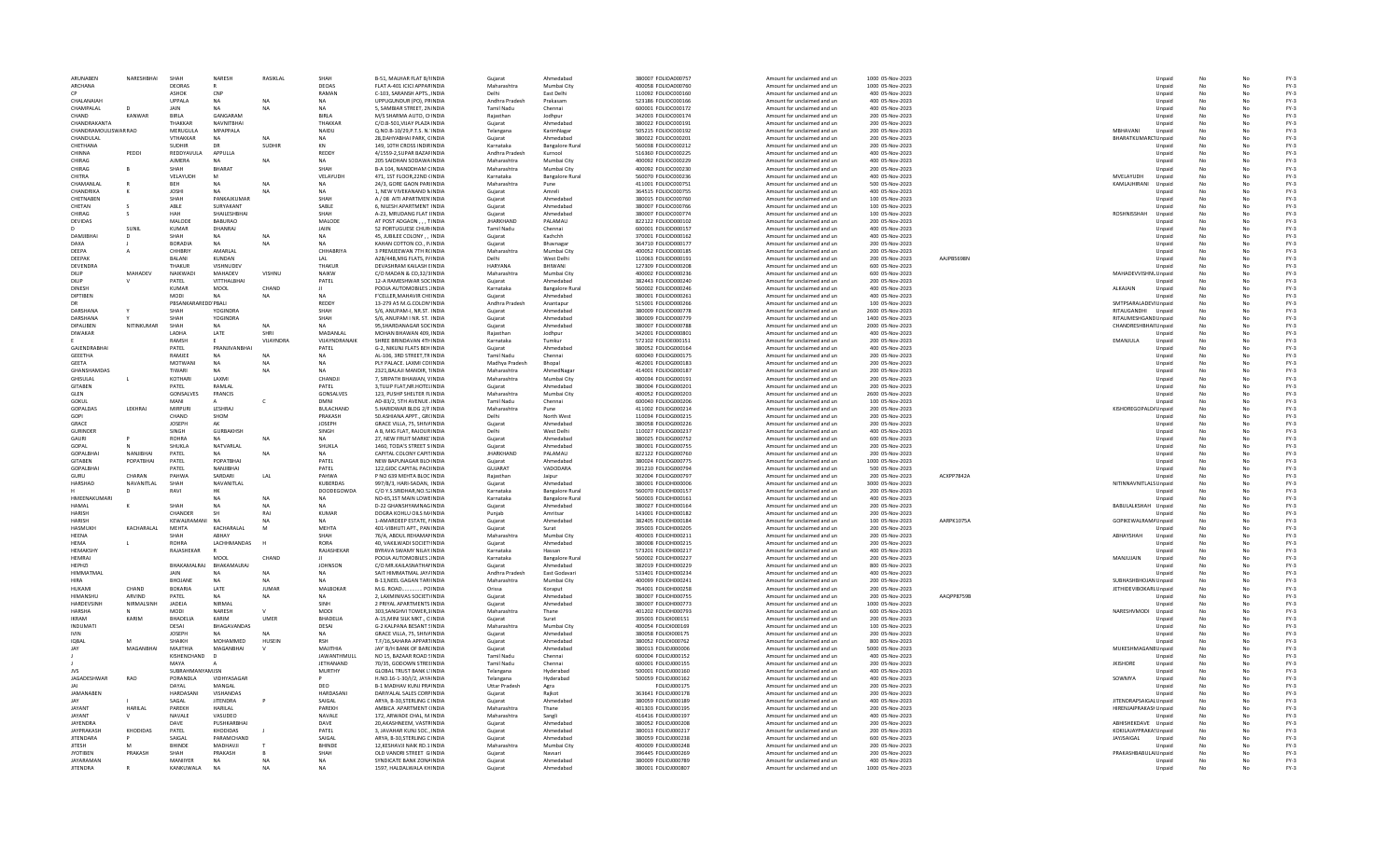| ARUNABEN                            | NARESHBHAI      | SHAH                         | NARESH                 | RASIKLAL        | SHAH                                   | B-51, MALHAR FLAT B/HNDIA                                       | Gujarat              | Ahmedabad              | 380007 FOLIOA000757                        | Amount for unclaimed and un                                | 1000 05-Nov-2023                    |            |                               | Unpaid           |    |    | $FY-3$           |
|-------------------------------------|-----------------|------------------------------|------------------------|-----------------|----------------------------------------|-----------------------------------------------------------------|----------------------|------------------------|--------------------------------------------|------------------------------------------------------------|-------------------------------------|------------|-------------------------------|------------------|----|----|------------------|
| ARCHANA                             |                 | DEORAS                       |                        |                 | DEOAS                                  | FLAT A-401 ICICI APPARINDIA                                     | Maharashtra          | Mumbai City            | 400058 EQUO4000760                         | Amount for unclaimed and un                                | 1000 05-Nov-2023                    |            |                               | Unpaid           | No | No | FY-3             |
| <b>CP</b>                           |                 | ASHOK                        | CNP                    |                 | RAMAN                                  | C-103, SARANSH APTS., INDIA                                     | Delhi                | East Delhi             | 110092 FOLIOC000160                        | Amount for unclaimed and un                                | 400 05-Nov-2023                     |            |                               | Unpaid           | No | Nr | $FY-3$           |
| CHAI ANAIAH                         |                 | UPPALA                       | <b>NA</b>              | NΔ              | <b>NA</b>                              | UPPUGUNDUR (PO), PRINDIA                                        | Andhra Pradesh       | Prakasam               | 523186 FOLIOC000166                        | Amount for unclaimed and un                                | 400 05-Nov-2023                     |            |                               | Unpaid           |    |    | $FY-3$           |
| CHAMPALAL                           |                 | <b>JAIN</b>                  |                        |                 |                                        | 5, SAMBIAR STREET, 2NINDIA                                      | <b>Tamil Nadu</b>    | Chennai                | 600001 FOLIOC000172                        | Amount for unclaimed and un                                | 400 05-Nov-2023                     |            |                               | Unpaid           |    |    | $FY-3$           |
| CHAND                               | KANWAR          | <b>BIRLA</b>                 | GANGARAM               |                 | BIRLA                                  | M/S SHARMA AUTO, CHNDIA                                         | Rajasthan            | Jodhpur                | 342003 FOLIOC000174                        | Amount for unclaimed and un                                | 200 05-Nov-2023                     |            |                               | Unpaid           |    |    | $FY-3$           |
| <b>CHANDRAKANTA</b>                 |                 | THAKKAR                      | <b>NAVNITRHAI</b>      |                 | THAKKAR                                | C/O.B-501.VIJAY PLAZA INDIA                                     | Guiarat              | Ahmedahad              | 380022 EQUOC000191                         | Amount for unclaimed and un                                | 200 05-Nov-2023                     |            |                               | Unnaid           | No | No | FY-3             |
| CHANDRAMOULISWAR RAO                |                 | MERUGULA                     | MPAPPALA               |                 | NAIDU                                  | Q.NO.B-10/29, P.T.S. N. INDIA                                   | Telangana            | KarimNagar             | 505215 FOLIOC000192                        | Amount for unclaimed and un                                | 200 05-Nov-2023                     |            | MRHAVANI                      | Unpaid           |    |    | $FY-3$           |
| CHANDULAL                           |                 | <b>VTHAKKAR</b>              | NΔ                     |                 | <b>NA</b>                              | 28, DAHYABHAI PARK, GINDIA                                      | Gujarat              | Ahmedabad              | 380022 FOLIOC000201                        | Amount for unclaimed and un                                | 200 05-Nov-2023                     |            | BHARATKUMARC1Unpaid           |                  |    |    | $FY-3$           |
| CHETHANA                            |                 | <b>SUDHIR</b>                |                        | <b>SUDHIR</b>   | KN                                     | 149. 10TH CROSS INDIRINDIA                                      | Karnataka            | <b>Bangalore Rural</b> | 560038 FOLIOC000212                        | Amount for unclaimed and un                                | 200 05-Nov-2023                     |            |                               | Unpaid           |    |    | $FY-3$           |
| CHINNA                              | PEDDI           | REDDYAVULA                   | APPULLA                |                 | REDDY                                  | 4/1559-2, SUPAR BAZAFINDIA                                      | Andhra Pradesh       | Kurnool                | 516360 FOLIOC000225                        | Amount for unclaimed and un                                | 400 05-Nov-2023                     |            |                               | Unpaid           |    |    | $FY-3$           |
| CHIRAG                              |                 | AIMFRA                       | NΔ                     | NA              | <b>NA</b>                              | 205 SAIDHAN SODAWAINDIA                                         | Maharashtra          | Mumbai City            | 400092 EQUOC000229                         | Amount for unclaimed and un                                | 400 05-Nov-2023                     |            |                               | Unnaid           | No | No | $FY-3$           |
| CHIRAG                              |                 | SHAH                         | <b>RHARAT</b>          |                 | SHAH                                   | B-A 104, NANDDHAM CINDIA                                        | Maharashtra          | Mumbai City            | 400092 FOLIOC000230                        | Amount for unclaimed and un                                | 200 05-Nov-2023                     |            |                               | Unpaid           |    |    | $FY-3$           |
| CHITRA                              |                 | VELAYUDH                     | M                      |                 | VELAYUDH                               | 471, 1ST FLOOR, 22ND (INDIA                                     | Karnataka            | <b>Bangalore Rura</b>  | 560070 FOLIOC000236                        | Amount for unclaimed and un                                | 400 05-Nov-2023                     |            | <b>MVELAYUDH</b>              | Unpaid           |    |    | $FY-3$           |
| CHAMANLA                            |                 | BEH                          |                        | <b>NA</b>       | <b>NA</b>                              | 24/3, GORE GAON PARIINDIA                                       | Maharashtra          | Pune                   | 411001 FOLIOC000751                        | Amount for unclaimed and un                                | 500 05-Nov-2023                     |            | KAMLAJHIRANI                  | Unpaid           |    |    | $FY-3$           |
| CHANDRIKA                           |                 | <b>JOSHI</b>                 | <b>NA</b>              |                 |                                        | 1, NEW VIVEKANAND N INDIA                                       | Gujarat              | Amreli                 | 364515 FOLIOC000755                        | Amount for unclaimed and un                                | 400 05-Nov-2023                     |            |                               | Unpaid           |    |    | $FY-3$           |
| CHETNAREN                           |                 | SHAH                         | PANKAIKUMAR            |                 | SHAH                                   | A / 08 AITI APARTMEN INDIA                                      | Guiarat              | Ahmedahad              | 380015 EQUOC000760                         | Amount for unclaimed and un                                | 100.05-Nov-2023                     |            |                               | Unnaid           | No | No | $FY-3$           |
| CHETAN                              |                 | ABLE                         | SURYAKANT              |                 | SABLE                                  | 6. NILESH APARTMENT INDIA                                       |                      | Ahmedahad              |                                            |                                                            | 100 05-Nov-2023                     |            |                               |                  |    |    | $FY-3$           |
| CHIRAG                              |                 | HAH                          | SHAILESHBHAI           |                 | SHAH                                   | A-23, MRUDANG FLAT I INDIA                                      | Gujarat              | Ahmedahad              | 380007 FOLIOC000766                        | Amount for unclaimed and un                                | 100 05-Nov-2023                     |            | <b>ROSHNISSHAH</b>            | Unpaid           |    |    | $FY-3$           |
|                                     |                 |                              |                        |                 |                                        |                                                                 | Gujarat              |                        | 380007 FOLIOC000774                        | Amount for unclaimed and un                                |                                     |            |                               | Unpaid           |    |    |                  |
| DEVIDAS                             |                 | MALODE                       | <b>BABURAO</b>         |                 | MALODE                                 | AT POST ADGAON, , , TINDIA                                      | <b>JHARKHAND</b>     | PALAMAU                | 822122 FOLIOD000102                        | Amount for unclaimed and un                                | 200 05-Nov-2023                     |            |                               | Unpaid           |    |    | $FY-3$           |
|                                     | SUNIL           | <b>KUMAR</b>                 | DHANRAJ                |                 | JAIIN                                  | 52 PORTUGUESE CHUR INDIA                                        | Tamil Nadu           | Chennai                | 600001 FOLIOD000157                        | Amount for unclaimed and un                                | 400 05-Nov-2023                     |            |                               | Unpaid           |    |    | $FY-3$           |
| DAMIIRHAI                           | $\overline{D}$  | SHAH                         | <b>NA</b>              | <b>NA</b>       | <b>NA</b>                              | 45. IURILEE COLONY  INDIA                                       | Guiarat              | Kachchh                | 370001 EQUOD000162                         | Amount for unclaimed and un                                | 400 05-Nov-2023                     |            |                               | Unnaid           | No | No | $FY-3$           |
| DAXA                                |                 | <b>BORADIA</b>               | <b>NA</b>              | <b>NA</b>       | <b>NA</b>                              | KAHAN COTTON CO., P. INDIA                                      | Guiarat              | Bhavnagar              | 364710 FOLIOD000177                        | Amount for unclaimed and un                                | 200 05-Nov-2023                     |            |                               | Unpaid           | No |    | $FY-3$           |
| DEEPA                               |                 | <b>CHHRRIY</b>               | AMARI AI               |                 | CHHARRIYA                              | 3 PREMJEEWAN 7TH RCINDIA                                        | Maharashtra          | Mumbai City            | 400052 FOLIOD000185                        | Amount for unclaimed and un                                | 200 05-Nov-2023                     |            |                               | Unpaid           |    |    | $FY-3$           |
| DEEPAI                              |                 | <b>BALANI</b>                | <b>KUNDAN</b>          |                 | LAL                                    | A2B/44B, MIG FLATS, P/INDIA                                     | Delh                 | West Delhi             | 110063 FOLIOD000191                        | Amount for unclaimed and un                                | 200 05-Nov-2023                     | AAJPB5698N |                               | Unpaid           |    |    | $FY-3$           |
| <b>DEVENDRA</b>                     |                 | THAKUR                       | VISHNUDEV              |                 | THAKUR                                 | DEVASHRAM KAILASH EINDIA                                        | HARYANA              | BHIWANI                | 127309 FOLIOD000208                        | Amount for unclaimed and un                                | 600 05-Nov-2023                     |            |                               | Unpaid           |    |    | $FY-3$           |
| <b>DILIP</b>                        | <b>MAHADE\</b>  | NAIKWADI                     | MAHADEV                | VISHNU          | <b>NAIKW</b>                           | C/O MADAN & CO 32/3 INDIA                                       | Maharashtra          | Mumhai City            | 400002 EQUOD000236                         | Amount for unclaimed and un                                | 600 05-Nov-2023                     |            | MAHADEVVISHNL Unpaid          |                  | No | No | $FY-3$           |
| <b>DILIP</b>                        |                 | PATEL                        | VITTHALBHAI            |                 | PATEL                                  | 12-A RAMESHWAR SOCINDIA                                         | Gujarat              | Ahmedahad              | 382443 FOLIOD000240                        | Amount for unclaimed and un                                | 200 05-Nov-2023                     |            |                               | Unpaid           |    |    | $FY-3$           |
| DINESH                              |                 | KUMAR                        | MOOL                   | CHAND           |                                        | POOJA AUTOMOBILES : INDIA                                       | Karnataka            | <b>Bangalore Rural</b> | 560002 FOLIOD000246                        | Amount for unclaimed and un                                | 400 05-Nov-2023                     |            | ALKAJAIN                      | Unpaid           |    |    | $FY-3$           |
| DIPTIBEN                            |                 | MODI                         |                        | <b>NA</b>       | <b>NA</b>                              | <b>F'CELLER.MAHAVIR CHEINDIA</b>                                | Guiarat              | Ahmedabad              | 380001 FOLIOD000261                        | Amount for unclaimed and un                                | 400 05-Nov-2023                     |            |                               | Unpaid           |    |    | $FY-3$           |
| <b>DR</b>                           |                 | PBSANKAR                     | EDD PBALI              |                 | REDDY                                  | 13-279 A5 M.G.COLON'INDIA                                       | Andhra Pradesh       | Anantapur              | 515001 FOLIOD000266                        | Amount for unclaimed and un                                | 100 05-Nov-2023                     |            | SMTPSARALADEVI Unpaid         |                  |    |    | $FY-3$           |
| DARSHANA                            |                 | SHAH                         | YOGINDRA               |                 | SHAH                                   | S/6. ANUPAM-L NR.ST. INDIA                                      | Guiarat              | Ahmedahad              | 380009 EQUOD000778                         | Amount for unclaimed and un                                | 2600.05-Nov-2023                    |            | RITAUGANDHI Unnaid            |                  |    | No | $FY-3$           |
| DARSHANA                            |                 | SHAH                         | YOGINDRA               |                 | SHAH                                   | S/6, ANUPAM I NR. ST. INDIA                                     | Gujarat              | Ahmedahad              | 380009 FOLIOD000779                        | Amount for unclaimed and un                                | 1400 05-Nov-2023                    |            | RITAUMESHGAND Unpaid          |                  |    |    | $FY-3$           |
| DIPALIBEN                           | NITINKUMAR      | SHAH                         | NΔ                     | NΔ              | NΔ                                     | 95.SHARDANAGAR SOCINDIA                                         | Gujarat              | Ahmedabad              | 380007 FOLIOD000788                        | Amount for unclaimed and un                                | 2000 05-Nov-2023                    |            | <b>CHANDRESHBHAII Unpaid</b>  |                  |    |    | $FY-3$           |
| DIWAKAR                             |                 | LADHA                        | LATE                   | SHRI            | MADANLAL                               | MOHAN BHAWAN 409, INDIA                                         | Raiasthan            | Jodhpur                | 342001 FOLIOD000801                        | Amount for unclaimed and un                                | 400 05-Nov-2023                     |            |                               | Unpaid           |    |    | $FY-3$           |
|                                     |                 | RAMSH                        |                        | VUAYNDRA        | VIJAYNDRANAIK                          | SHREE BRINDAVAN 4TH INDIA                                       | Karnataka            | Tumkur                 | 572102 FOLIOE000151                        | Amount for unclaimed and un                                | 200 05-Nov-2023                     |            | EMANJULA                      | Unpaid           |    |    | $FY-3$           |
| <b>GAIFNDRABHAI</b>                 |                 | PATFI                        | PRANIIVANRHA           |                 | PATEL                                  | G-2, NIKUNJ FLATS BEH INDIA                                     | Guiarat              | Ahmedahad              | 380052 EQUOG000164                         | Amount for unclaimed and un                                | 400 05-Nov-2023                     |            |                               | Unnaid           | No | Nr | $FY-3$           |
| <b>GEEETHA</b>                      |                 | RAMJEE                       | <b>NA</b>              | NA              | <b>NA</b>                              | AL-106, 3RD STREET, TR INDIA                                    | <b>Tamil Nadu</b>    | Chennai                | 600040 FOLIOG000175                        | Amount for unclaimed and un                                | 200 05-Nov-2023                     |            |                               | Unpaid           | No |    | $FY-3$           |
| <b>GFFTA</b>                        |                 | <b>MOTWANI</b>               | <b>NA</b>              | N <sub>A</sub>  | NA                                     | PLY PALACE. LAXMI COI INDIA                                     | Madhya Pradesh       | Bhopal                 | 462001 FOLIOG000183                        | Amount for unclaimed and un                                | 200 05-Nov-2023                     |            |                               | Unpaid           |    |    | $FY-3$           |
| GHANSHAMDAS                         |                 | TIWARI                       |                        | <b>NA</b>       |                                        | 2321, BALAJI MANDIR, TINDIA                                     | Maharashtra          | AhmedNagar             | 414001 FOLIOG000187                        | Amount for unclaimed and un                                | 200 05-Nov-2023                     |            |                               | Unpaid           | No |    | $FY-3$           |
| GHISULAL                            |                 | KOTHARI                      | LAXMI                  |                 | CHANDJI                                | 7, SRIPATH BHAWAN, VINDIA                                       | Maharashtra          | Mumbai City            | 400034 FOLIOG000191                        | Amount for unclaimed and un                                | 200 05-Nov-2023                     |            |                               | Unpaid           |    |    | $FY-3$           |
| <b>GITAREN</b>                      |                 | PATFI                        | RAMI AI                |                 | PATFI                                  | 3. TULIP FLAT NR HOTFLINDIA                                     | Guiarat              | Ahmedahad              | 380004 EQUOG000201                         | Amount for unclaimed and un                                | 200 05-Nov-2023                     |            |                               | Unpaid           | No | Nr | $FY-3$           |
| GLEN                                |                 | <b>GONSALVES</b>             | FRANCIS                |                 | GONSALVES                              | 123, PUSHP SHELTER FLINDIA                                      | Maharashtra          | Mumbai City            | 400052 FOLIOG000203                        | Amount for unclaimed and un                                | 2600 05-Nov-2023                    |            |                               | Unpaid           |    |    | $FY-3$           |
| GOKUL                               |                 | MANI                         |                        | c               | <b>DMNI</b>                            | AD-83/2, 5TH AVENUE . INDIA                                     | <b>Tamil Nadu</b>    | Chennai                | 600040 FOLIOG000206                        | Amount for unclaimed and un                                | 100 05-Nov-2023                     |            |                               | Unpaid           |    |    | $FY-3$           |
| GOPALDAS                            | LEKHRAJ         | <b>MIRPURI</b>               | LESHRAJ                |                 | <b>BULACHAND</b>                       | 5.HARIDWAR BLDG 2/F INDIA                                       | Maharashtra          | Pune                   | 411002 FOLIOG000214                        | Amount for unclaimed and un                                | 200 05-Nov-2023                     |            | KISHOREGOPALD/Unpaid          |                  |    |    | $FY-3$           |
| GOPI                                |                 | CHAND                        | SHOM                   |                 | PRAKASH                                | 50.ASHIANA APPT., GR(INDIA                                      | Delhi                | North West             | 110034 FOLIOG000215                        | Amount for unclaimed and un                                | 200 05-Nov-2023                     |            |                               | Unpaid           |    |    | $FY-3$           |
| GRACE                               |                 | <b>IOSEPH</b>                | AK                     |                 | <b>IOSEPH</b>                          | <b>GRACE VILLA, 75, SHIVAINDIA</b>                              | Guiarat              | Ahmedahad              | 380058 EQUOG000226                         | Amount for unclaimed and un                                | 200 05-Nov-2023                     |            |                               | Unpaid           | No | Nr | $FY-3$           |
| <b>GURINDER</b>                     |                 | SINGH                        | <b>GURBAKHSH</b>       |                 |                                        |                                                                 |                      | West Delhi             |                                            |                                                            |                                     |            |                               |                  |    |    |                  |
| GAURI                               |                 | <b>ROHRA</b>                 | NΔ                     | <b>NA</b>       | SINGH<br>NA                            | A B, MIG FLAT, RAJOUR INDIA                                     | Delhi                |                        | 110027 FOLIOG000237                        | Amount for unclaimed and un                                | 400 05-Nov-2023                     |            |                               | Unpaid           | No |    | $FY-3$           |
|                                     |                 |                              |                        |                 |                                        | 27, NEW FRUIT MARKE INDIA                                       | Gujarat              | Ahmedabad              | 380025 FOLIOG000752                        | Amount for unclaimed and un                                | 600 05-Nov-2023                     |            |                               | Unpaid           |    |    | $FY-3$           |
| GOPAL                               |                 | SHUKLA                       | NATVARLAL              |                 | SHUKLA                                 | 1460, TODA'S STREET S INDIA                                     | Guiarat              | Ahmedabad              | 380001 FOLIOG000755                        | Amount for unclaimed and un                                | 200 05-Nov-2023                     |            |                               | Unpaid           | No |    | $FY-3$           |
|                                     |                 |                              |                        |                 |                                        |                                                                 |                      |                        |                                            |                                                            |                                     |            |                               |                  |    |    |                  |
| GOPALBHA                            | NANJIBHA        | PATEL                        | NA.                    | <b>NA</b>       |                                        | CAPITAL COLONY CAPITINDIA                                       | <b>JHARKHAND</b>     | PALAMAU                | 822122 FOLIOG000760                        | Amount for unclaimed and un                                | 200 05-Nov-2023                     |            |                               | Unpaid           |    |    | $FY-3$           |
| <b>GITAREN</b>                      | POPATRHAI       | PATFI                        | POPATRHAI              |                 | PATFI                                  | NEW BAPUNAGAR BLOUNDIA                                          | Guiarat              | Ahmedahad              | 380024 EQUOG000775                         | Amount for unclaimed and un                                | 1000 05-Nov-2023                    |            |                               | Unpaid           | No | No | $FY-3$           |
| <b>GOPALBHAI</b>                    |                 | PATEL                        | NANIIRHAI              |                 | PATEL                                  | 122, GIDC CAPITAL PACHNDIA                                      | <b>GUJARAT</b>       | VADODARA               | 391210 FOLIOG000794                        | Amount for unclaimed and un                                | 500 05-Nov-2023                     |            |                               | Unpaid           |    |    | $FY-3$           |
| GURU                                | CHARAN          | PAHWA                        | SARDARI                | LAL             | PAHWA                                  | P NO 639 MEHTA BLOC INDIA                                       | Rajasthan            | Jaipur                 | 302004 FOLIOG000797                        | Amount for unclaimed and un                                | 200 05-Nov-2023                     | ACXPP7842A |                               | Unpaid           |    |    | $FY-3$           |
| HARSHAD                             | NAVANITLAL      | SHAH                         | NAVANITLAL             |                 | KUBERDAS                               | 997/8/3, HARI-SADAN, INDIA                                      | Guiarat              | Ahmedabad              | 380001 FOLIOH000006                        | Amount for unclaimed and un                                | 3000 05-Nov-2023                    |            | NITINNAVNITLALS Unpaid        |                  |    |    | $FY-3$           |
|                                     |                 | RAVI                         | нк                     |                 | <b>DOODEGOWDA</b>                      | C/O Y.S.SRIDHAR, NO.52 INDIA                                    | Karnataka            | <b>Bangalore Rural</b> | 560070 FOLIOH000157                        | Amount for unclaimed and un                                | 200 05-Nov-2023                     |            |                               | Unpaid           |    |    | $FY-3$           |
| HMFFNAKUMARI                        |                 |                              | NΔ                     | <b>NA</b>       | <b>NA</b>                              | NO-65 1ST MAIN LOWEINDIA                                        | Karnataka            | Bangalore Rural        | 560003 EOUOH000161                         | Amount for unclaimed and un                                | 400 05-Nov-2023                     |            |                               | Unnaid           |    | No | $FY-3$           |
| HAMAI                               |                 | SHAH                         | <b>NA</b>              | <b>NA</b>       | <b>NA</b>                              | <b>D-22 GHANSHYAMNAG INDIA</b>                                  | Gujarat              | Ahmedabad              | 380027 FOLIOH000164                        | Amount for unclaimed and un                                | 200 05-Nov-2023                     |            | BABULALKSHAH Unpaid           |                  |    |    | $FY-3$           |
| HARISH                              |                 | CHANDER                      | <b>SF</b>              | RAI             | <b>KUMAR</b>                           | DOGRA KOHLU OILS M/ INDIA                                       | Punjab               | Amritsar               | 143001 FOLIOH000182                        | Amount for unclaimed and un                                | 200 05-Nov-2023                     |            |                               | Unpaid           |    |    | $FY-3$           |
| <b>HARISH</b>                       |                 | <b>KEWALRAM/</b>             |                        |                 |                                        | 1-AMARDEEP ESTATE, NNDIA                                        | Guiarat              | Ahmedabad              | 382405 FOLIOH000184                        | Amount for unclaimed and un                                | 100 05-Nov-2023                     | AARPK1075A | GOPIKEWALRAM/ Unpaid          |                  |    |    | $FY-3$           |
| HASMUKH                             | KACHARALAL      | MEHTA                        | KACHARALAL             |                 | MEHTA                                  | 401-VIBHUTI APT., PAN INDIA                                     | Gujarat              | Surat                  | 395003 FOLIOH000205                        | Amount for unclaimed and un                                | 200 05-Nov-2023                     |            |                               | Unpaid           |    |    | $FY-3$           |
| <b>HFFNA</b>                        |                 | SHAH                         | ARHAY                  |                 | SHAH                                   | 76/A ARDUI REHAMANNDIA                                          | Maharashtra          | Mumhai City            | 400003 EOUOH000211                         | Amount for unclaimed and un                                | 200 05-Nov-2023                     |            | ARHAYSHAH                     | Unnaid           | No | No | $FY-3$           |
| <b>HFMA</b>                         |                 | <b>ROHRA</b>                 | LACHHMANDAS            | $\overline{H}$  | RORA                                   | 40, VAKILWADI SOCIETYINDIA                                      | Gujarat              | Ahmedabad              | 380008 FOLIOH000215                        | Amount for unclaimed and un                                | 200 05-Nov-2023                     |            |                               | Unpaid           |    |    | $FY-3$           |
| <b>HFMAKSHY</b>                     |                 | RAJASHEKAR                   |                        |                 | RAJASHEKAR                             | BYRAVA SWAMY NILAY INDIA                                        | Karnataka            | Hassan                 | 573201 FOLIOH000217                        | Amount for unclaimed and un                                | 400 05-Nov-2023                     |            |                               | Unpaid           |    |    | $FY-3$           |
| <b>HEMRAJ</b>                       |                 |                              | MOOL                   | CHAND           |                                        | POOJA AUTOMOBILES : INDIA                                       | Karnataka            | <b>Bangalore Rural</b> | 560002 FOLIOH000227                        | Amount for unclaimed and un                                | 200 05-Nov-2023                     |            | MANJUJAIN                     | Unpaid           |    |    | $FY-3$           |
| HEPHZI                              |                 | BHAKAMALRAJ                  | BHAKAMALRAJ            |                 | <b>JOHNSON</b>                         | C/O MR.KAILASNATHAI INDIA                                       | Gujarat              | Ahmedabad              | 382019 FOLIOH000229                        | Amount for unclaimed and un                                | 800 05-Nov-2023                     |            |                               | Unpaid           |    |    | $FY-3$           |
| <b>HIMMATMAI</b>                    |                 | <b>JAIN</b>                  | NΔ                     | NA              | <b>NA</b>                              | SAIT HIMMATMAL JAYAINDIA                                        | Andhra Pradesh       | <b>Fast Godavari</b>   | 533401 FOLIOH000234                        | Amount for unclaimed and un                                | 400 05-Nov-2023                     |            |                               | Unnaid           |    | No | $FY-3$           |
| <b>HIRA</b>                         |                 | <b>BHOIANE</b>               | <b>NA</b>              | <b>NA</b>       | <b>NA</b>                              | <b>B-13, NEEL GAGAN TARLINDIA</b>                               | Maharashtra          | Mumbai City            | 400099 FOLIOH000241                        | Amount for unclaimed and un                                | 200 05-Nov-2023                     |            | SUBHASHBHOJAN Unpaid          |                  |    |    | $FY-3$           |
| HUKAMI                              | CHAND           | <b>BOKARIA</b>               | LATE                   | <b>JUMAR</b>    | MALBOKAR                               | M.G. ROAD POINDIA                                               | Orissa               | Koraput                | 764001 FOLIOH000258                        | Amount for unclaimed and un                                | 200 05-Nov-2023                     |            | JETHIDEVIBOKARI. Unpaid       |                  |    |    | $FY-3$           |
| HIMANSHL                            | ARVIND          | PATEL                        |                        | <b>NA</b>       |                                        | 2, LAXMINIVAS SOCIETYINDIA                                      | Gujarat              | Ahmedabad              | 380007 FOLIOH000755                        | Amount for unclaimed and un                                | 200 05-Nov-2023                     | AAQPP8759B |                               | Unpaid           |    |    | $FY-3$           |
| HARDEVSINH                          | NIRMALSINH      | JADEJA                       | NIRMAL                 |                 | SINH                                   | 2 PRIYAL APARTMENTS INDIA                                       | Gujarat              | Ahmedabad              | 380007 FOLIOH000773                        | Amount for unclaimed and un                                | 1000 05-Nov-2023                    |            |                               | Unpaid           |    |    | $FY-3$           |
| <b>HARSHA</b>                       |                 | MODI                         | NARFSH                 |                 | MODI                                   | 303 SANGHVI TOWER 3 INDIA                                       | Maharashtra          | Thane                  | 401202 EOUOH000793                         | Amount for unclaimed and un                                | 600.05-Nov-2023                     |            | NARESHVMODI Unpaid            |                  | No | No | $FY-3$           |
| <b>IKRAM</b>                        | KARIM           | <b>BHADELIA</b>              | KARIM                  | UMER            | BHADELIA                               | A-15, MINI SILK MKT., C INDIA                                   | Guiarat              | Surat                  | 395003 FOLIOI000151                        | Amount for unclaimed and un                                | 200 05-Nov-2023                     |            |                               | Unpaid           |    |    | $FY-3$           |
| INDUMATI                            |                 | DESAI                        | <b>BHAGAVANDAS</b>     |                 | DESAI                                  |                                                                 | Maharashtra          | Mumbai City            |                                            |                                                            |                                     |            |                               |                  |    |    | $FY-3$           |
| <b>IVIN</b>                         |                 | <b>JOSEPH</b>                |                        |                 | <b>NA</b>                              | G-2 KALPANA BESANT SINDIA                                       |                      | Ahmedabad              | 400054 FOLIO1000169                        | Amount for unclaimed and un                                | 100 05-Nov-2023                     |            |                               | Unpaid<br>Unpaid |    |    | $FY-3$           |
| IQBAI                               | M               | SHAIKH                       |                        | HUSEIN          | <b>RSH</b>                             | GRACE VILLA, 75, SHIVAINDIA                                     | Gujarat<br>Gujarat   | Ahmedabad              | 380058 FOLIO1000175<br>380052 FOLIOI000762 | Amount for unclaimed and un<br>Amount for unclaimed and un | 200 05-Nov-2023<br>800 05-Nov-2023  |            |                               | Unpaid           |    |    | $FY-3$           |
| <b>JAY</b>                          | MAGANRHAI       | MAIITHIA                     | MOHAMMED<br>MAGANRHAI  |                 | MAIITHIA                               | T.F/16, SAHARA APPARTINDIA<br><b>JAY' B/H BANK OF BARCINDIA</b> | Guiarat              | Ahmedahad              | 380013 EQUOJ000006                         |                                                            | 5000 05-Nov-2023                    |            |                               |                  | No | No | $FY-3$           |
|                                     |                 |                              | D                      |                 |                                        |                                                                 | <b>Tamil Nadu</b>    |                        |                                            | Amount for unclaimed and un                                |                                     |            | MUKESHMAGANE Unpaid           |                  |    |    |                  |
|                                     |                 | KISHENCHAND<br>MAYA          |                        |                 | <b>JAWANTHMULL</b><br><b>IFTHANAND</b> | NO 15, BAZAAR ROAD SINDIA                                       |                      | Chennai                | 600004 FOLIOJ000152                        | Amount for unclaimed and un                                | 400 05-Nov-2023                     |            |                               | Unpaid           |    |    | $FY-3$           |
|                                     |                 |                              |                        |                 |                                        | 70/35, GODOWN STREEINDIA                                        | <b>Tamil Nadu</b>    | Chennai                | 600001 FOLIOJ000155                        | Amount for unclaimed and un                                | 200 05-Nov-2023                     |            | <b>JKISHORE</b>               | Unpaid           |    |    | $FY-3$           |
| <b>JVS</b>                          |                 | SUBRAHMA                     | YAMJSN                 |                 | <b>MURTHY</b>                          | <b>GLOBAL TRUST BANK L'INDIA</b>                                | Telangana            | Hyderabad              | 500001 FOLIOJ000160                        | Amount for unclaimed and un                                | 400 05-Nov-2023                     |            |                               | Unpaid           |    |    | $FY-3$           |
| JAGADESHWAR                         | RAO             | PORANDLA                     | VIDHYASAGAI            |                 |                                        | H.NO.16-1-30/I/2, JAYAINDIA                                     | Telangana            | Hyderabad              | 500059 FOLIOJ000162                        | Amount for unclaimed and un                                | 400 05-Nov-2023                     |            | SOWMYA                        | Unpaid           |    |    | $FY-3$           |
|                                     |                 | DAYAL                        | MANGAL                 |                 | DEO.                                   | <b>B-1 MADHAV KUNI PRAINDIA</b>                                 | <b>Uttar Pradesh</b> | Agra                   | <b>EQUO I000175</b>                        | Amount for unclaimed and un                                | 200 05-Nov-2023                     |            |                               | Unpaid           |    | Nr | $FY-3$           |
| JAMANABEN                           |                 | HARDASAN                     | VISHANDAS              |                 | HARDASANI                              | DARIYALAL SALES CORPINDIA                                       | Gujarat              | Raikot                 | 363641 FOLIOJ000178                        | Amount for unclaimed and un                                | 200 05-Nov-2023                     |            |                               | Unpaid           |    |    | $FY-3$           |
| <b>IAV</b>                          |                 | SAGAL                        | <b>JITENDRA</b>        |                 | SAIGAL                                 | ARYA, B-30, STERLING C INDIA                                    | Gujarat              | Ahmedabad              | 380059 FOLIOJ000189                        | Amount for unclaimed and un                                | 400 05-Nov-2023                     |            | JITENDRAPSAIGAL Unpaid        |                  |    |    | $FY-3$           |
| <b>JAYANT</b>                       | HARILAL         | PAREKH                       | HARILAL                |                 | PAREKH                                 | AMBICA APARTMENT (INDIA                                         | Maharashtra          | Thane                  | 401303 FOLIOJ000195                        | Amount for unclaimed and un                                | 200 05-Nov-2023                     |            | <b>HIRENJAIPRAKASI Unpaid</b> |                  |    |    | $FY-3$           |
| <b>JAYANT</b>                       |                 | NAVALE                       | VASUDEO                |                 | NAVALE                                 | 172, ARWADE CHAL, M.INDIA                                       | Maharashtra          | Sangli                 | 416416 FOLIOJ000197                        | Amount for unclaimed and un                                | 400 05-Nov-2023                     |            |                               | Unpaid           |    |    | $FY-3$           |
| <b>IAYENDRA</b>                     |                 | DAVE                         | PUSHKARRHAI            |                 | DAVE                                   | 20.AKASHNEEM, VASTRINDIA                                        | Guiarat              | Ahmedahad              | 380052 EQUO1000208                         | Amount for unclaimed and un                                | 200 05-Nov-2023                     |            | ABHISHEKDAVE Unpaid           |                  |    | Nr | FY-3             |
| <b>IAYPRAKASH</b>                   | <b>KHODIDAS</b> | PATEL                        | <b>KHODIDAS</b>        |                 | PATEL                                  | 3, JAVAHAR KUNJ SOC., INDIA                                     | Gujarat              | Ahmedahad              | 380013 FOLIOJ000217                        | Amount for unclaimed and ur                                | 200 05-Nov-2023                     |            | KOKILAJAYPRAKA! Unpaid        |                  |    |    | $FY-3$           |
| <b>JITENDARA</b>                    |                 | SAIGAL                       | PARAMCHAND             |                 | SAIGAL                                 | ARYA, B-30, STERLING C INDIA                                    | Gujarat              | Ahmedabad              | 380059 FOLIOJ000238                        | Amount for unclaimed and un                                | 600 05-Nov-2023                     |            | JAYJSAIGAL                    | Unpaid           |    |    | $FY-3$           |
| <b>JITESH</b>                       |                 | BHINDE                       | MADHAVJI               |                 | <b>BHINDE</b>                          | 12.KESHAVJI NAIK RD.1 INDIA                                     | Maharashtra          | Mumbai City            | 400009 FOLIOJ000248                        | Amount for unclaimed and un                                | 200 05-Nov-2023                     |            |                               | Unpaid           |    |    | $FY-3$           |
| <b>JYOTIBEN</b>                     | PRAKASH         | SHAH                         | PRAKASH                |                 | SHAH                                   | OLD VANDRI STREET G INDIA                                       | Gujarat              | Navsari                | 396445 FOLIOJ000269                        | Amount for unclaimed and un                                | 200 05-Nov-2023                     |            | PRAKASHBABULAI Unpaid         |                  |    |    | $FY-3$           |
| <b>IAYARAMAN</b><br><b>JITENDRA</b> | $\mathbb{R}$    | <b>MANIIYER</b><br>KANKUWALA | <b>NA</b><br><b>NA</b> | <b>NA</b><br>NΔ | <b>NA</b><br><b>NA</b>                 | SYNDICATE BANK ZONAINDIA<br>1597, HALDALWALA KHINDIA            | Guiarat<br>Guiarat   | Ahmedahad<br>Ahmedabad | 380009 EQUO IO00789<br>380001 FOLIOJ000807 | Amount for unclaimed and un<br>Amount for unclaimed and un | 400 05-Nov-2023<br>1000 05-Nov-2023 |            |                               | Unnaid<br>Unpaid |    |    | $FY-3$<br>$FY-3$ |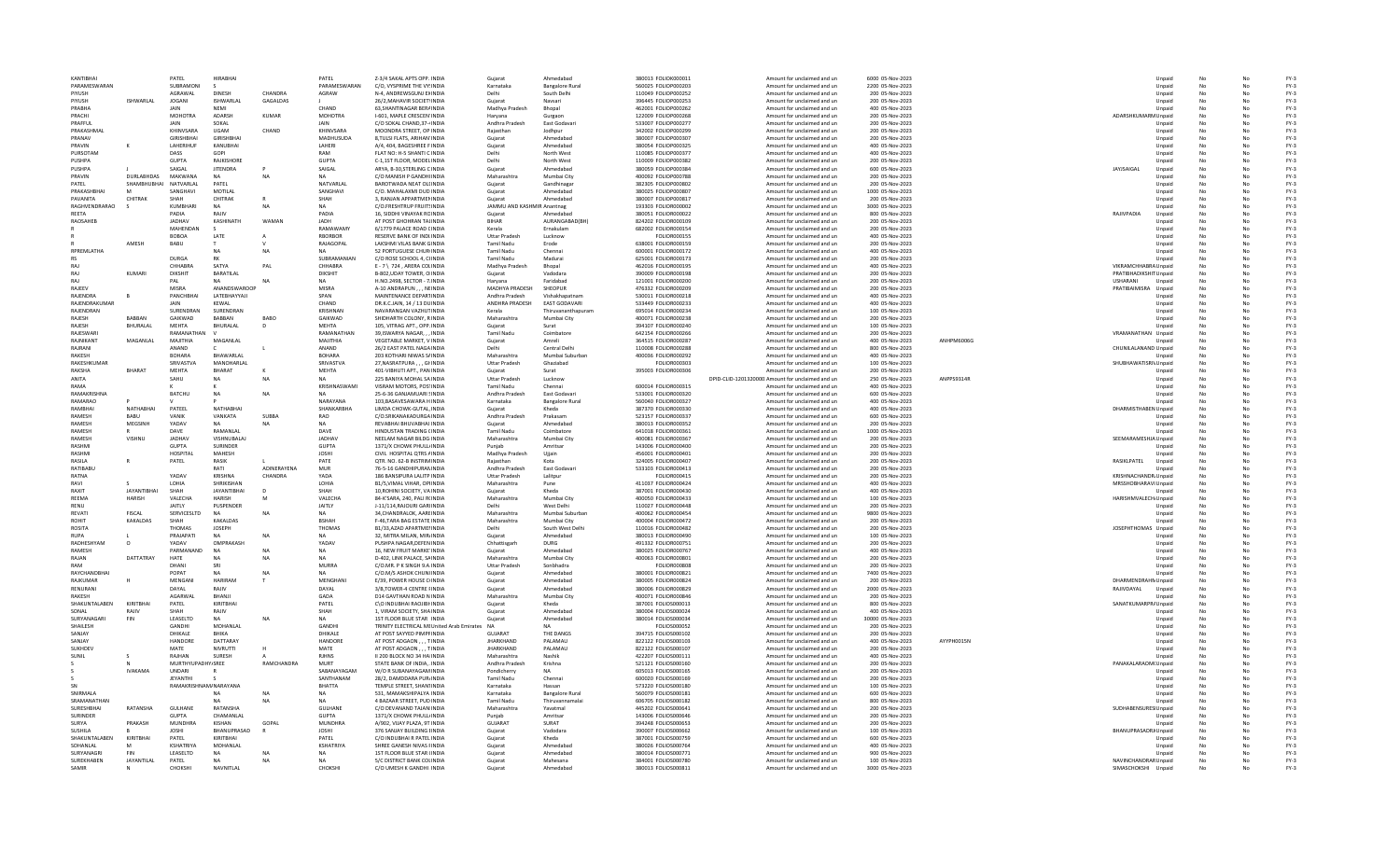| KANTIBHAI              |                           | PATEL                              | <b>HIRABHA</b>             |                | PATEL                      | Z-3/4 SAKAL APTS OPP. INDIA                                | Gujarat                    | Ahmedabac                      | 380013 FOLIOK000011                        | Amount for unclaimed and un                                | 6000 05-Nov-2023                    |                   |                                             | Unpaid           |    |    | $FY-3$           |
|------------------------|---------------------------|------------------------------------|----------------------------|----------------|----------------------------|------------------------------------------------------------|----------------------------|--------------------------------|--------------------------------------------|------------------------------------------------------------|-------------------------------------|-------------------|---------------------------------------------|------------------|----|----|------------------|
| PARAMESWARAN           |                           | SUBRAMONI                          |                            |                | PARAMESWARAN               | C/O. VYSPRIME THE VY'INDIA                                 | Karnataka                  | <b>Bangalore Rural</b>         | 560025 EQUOP000203                         | Amount for unclaimed and un                                | 2200.05-Nov-2023                    |                   |                                             | Unpaid           | No | No | FY-3             |
| PIYUSH                 |                           | AGRAWAL                            | <b>DINESH</b>              | CHANDRA        | AGRAW                      | N-4, ANDREWSGUNJ EXINDIA                                   | Delhi                      | South Delhi                    | 110049 FOLIOP000252                        | Amount for unclaimed and un                                | 200 05-Nov-2023                     |                   |                                             | Unpaid           | No | No | $FY-3$           |
| PIYUSH                 | <b>ISHWARLAL</b>          | <b>JOGANI</b>                      | <b>ISHWARLAL</b>           | GAGALDAS       |                            | 26/2. MAHAVIR SOCIET INDIA                                 | Gujarat                    | Navsari                        | 396445 FOLIOP000253                        | Amount for unclaimed and un                                | 200 05-Nov-2023                     |                   |                                             | Unpaid           |    |    | $FY-3$           |
| PRABHA                 |                           |                                    |                            |                | CHAND                      | 63.SHANTINAGAR BERAINDIA                                   | Madhya Pradesh             | Bhopal                         | 462001 FOLIOP000262                        | Amount for unclaimed and un                                | 400 05-Nov-2023                     |                   |                                             | Unpaid           |    |    | $FY-3$           |
| PRACHI                 |                           | <b>MOHOTRA</b>                     | ADARSH                     | KUMAR          | MOHOTRA                    | I-601, MAPLE CRESCEN INDIA                                 | Haryana                    | Gurgaon                        | 122009 FOLIOP000268                        | Amount for unclaimed and un                                | 200 05-Nov-2023                     |                   | ADARSHKUMARM Unpaid                         |                  |    |    | $FY-3$           |
| PRAFFUL                |                           | <b>JAIN</b>                        | SOKAL                      |                | <b>JAIN</b>                | C/O SOKAL CHAND 37-(INDIA                                  | Andhra Pradesh             | <b>Fast Godavar</b>            | 533007 EQUOP000277                         | Amount for unclaimed and un                                | 200.05-Nov-2023                     |                   |                                             | Unnaid           | No | No | $FY-3$           |
| PRAKASHMAI             |                           | KHINVSARA                          | UGAM                       | CHAND          | KHINVSARA                  | MOONDRA STREET, OP INDIA                                   | Rajasthar                  | Jodhpur                        | 342002 FOLIOP000299                        | Amount for unclaimed and un                                | 200 05-Nov-2023                     |                   |                                             | Unpaid           | No |    | $FY-3$           |
| PRANAV                 |                           | GIRISHBHAI                         | <b>GIRISHRHAI</b>          |                | <b>MADHUSUDA</b>           | 8, TULSI FLATS, ARIHAN' INDIA                              | Gujarat                    | Ahmedabad                      | 380007 FOLIOP000307                        | Amount for unclaimed and un                                | 200 05-Nov-2023                     |                   |                                             | Unpaid           |    |    | $FY-3$           |
| PRAVIN                 |                           | LAHERIHUF                          | KANUBHAI                   |                | LAHERI                     | A/4, 404, BAGESHREE F INDIA                                | Gujarat                    | Ahmedabac                      | 380054 FOLIOP000325                        | Amount for unclaimed and un                                | 400 05-Nov-2023                     |                   |                                             | Unpaid           | No |    | $FY-3$           |
| PURSOTAM               |                           | DASS                               | GOPI                       |                | RAM                        | FLAT NO: H-5 SHANTI C INDIA                                | Delhi                      | North West                     | 110085 FOLIOP000377                        | Amount for unclaimed and un                                | 400 05-Nov-2023                     |                   |                                             | Unpaid           |    |    | $FY-3$           |
| PUSHPA                 |                           | <b>GUPTA</b>                       | <b>RAIKISHORE</b>          |                | GUPTA                      | C-1.1ST FLOOR. MODEL INDIA                                 | Delhi                      | North West                     | 110009 EQUOP000382                         | Amount for unclaimed and un                                | 200.05-Nov-2023                     |                   |                                             | Unnaid           | No | No | $FY-3$           |
| PUSHPA                 |                           | SAIGAL                             | <b>JITENDRA</b>            |                | SAIGAL                     | ARYA, B-30, STERLING CINDIA                                | Guiarat                    | Ahmedahad                      | 380059 FOLIOP000384                        | Amount for unclaimed and un                                | 600 05-Nov-2023                     |                   | JAYJSAIGAL                                  | Unpaid           | No |    | $FY-3$           |
| PRAVIN                 | DURLABHDAS                | MAKWANA                            | NA                         | <b>NA</b>      | <b>NA</b>                  | C/O MANISH P GANDHI INDIA                                  | Maharashtra                | Mumbai City                    | 400092 FOLIOP000788                        | Amount for unclaimed and un                                | 200 05-Nov-2023                     |                   |                                             | Unpaid           | No |    | $FY-3$           |
| PATEL                  | SHAMBHUBHAI               | NATVARLAL                          | PATEL                      |                | NATVARLAL                  | BAROTWADA NEAT OLI INDIA                                   | Gujarat                    | Gandhinaga                     | 382305 FOLIOP000802                        | Amount for unclaimed and un                                | 200 05-Nov-2023                     |                   |                                             | Unpaid           | No |    | $FY-3$           |
| PRAKASHBHAI            |                           | SANGHAVI                           | MOTILAL                    |                | SANGHAVI                   | C/O. MAHALAXMI DUD INDIA                                   | Gujarat                    | Ahmedabad                      | 380025 FOLIOP000807                        | Amount for unclaimed and un                                | 1000 05-Nov-2023                    |                   |                                             | Unpaid           |    |    | $FY-3$           |
| PAVANITA               | CHITRAK                   | SHAH                               | CHITRAK                    |                | SHAH                       | 3. RANIAN APPARTMENINDIA                                   | Guiarat                    | Ahmedahad                      | 380007 EOLIOP000817                        | Amount for unclaimed and un                                | 200.05-Nov-2023                     |                   |                                             | Unnaic           | No | No | $FY-3$           |
| RAGHVENDRARAO          |                           | KUMBHARI                           | <b>NA</b>                  | <b>NA</b>      | <b>NA</b>                  | C/O.FRESHTRUP FRUITSINDIA                                  | JAMMU AND KASHMIR Anantnag |                                | 193303 FOLIOR000002                        | Amount for unclaimed and un                                | 3000 05-Nov-2023                    |                   |                                             | Unpaid           | No |    | $FY-3$           |
| REETA                  |                           | PADIA                              | RAIIV                      |                | PADIA                      | 16, SIDDHI VINAYAK RCINDIA                                 | Gujarat                    | Ahmedahad                      | 380051 FOLIOR000022                        | Amount for unclaimed and un                                | 800 05-Nov-2023                     |                   | RAJIVPADIA                                  | Unpaid           |    |    | $FY-3$           |
| RAOSAHEB               |                           | <b>JADHAV</b>                      | KASHINATI                  | WAMAN          | <b>JADH</b>                | AT POST GHOHRAN TALINDIA                                   | <b>BIHAR</b>               | AURANGABAD(BH)                 | 824202 FOLIOR000109                        | Amount for unclaimed and un                                | 200 05-Nov-2023                     |                   |                                             | Unpaid           | No |    | $FY-3$           |
|                        |                           | MAHENDAN                           |                            |                | RAMAWAMY                   | 6/1779 PALACE ROAD CINDIA                                  | Kerala                     | Ernakulam                      | 682002 FOLIOR000154                        | Amount for unclaimed and un                                | 200 05-Nov-2023                     |                   |                                             | Unpaid           |    |    | $FY-3$           |
|                        |                           | <b>BOBOA</b>                       | <b>I ATF</b>               |                | <b>RRORBOR</b>             | <b>RESERVE BANK OF INDUNDIA</b>                            | <b>Uttar Pradesh</b>       | Lucknow                        | <b>EQUOR000155</b>                         | Amount for unclaimed and un                                | 400.05-Nov-2023                     |                   |                                             | Unpaid           | No | Nr | $FY-3$           |
|                        | AMESH                     | BABU                               |                            |                | RAJAGOPAL                  | LAKSHMI VILAS BANK GINDIA                                  | <b>Tamil Nadu</b>          | Erode                          | 638001 FOLIOR000159                        | Amount for unclaimed and un                                | 200 05-Nov-2023                     |                   |                                             | Unpaid           | No |    | $FY-3$           |
| <b>RPREMI ATHA</b>     |                           |                                    | NΔ                         | NA             | <b>NA</b>                  | 52 PORTUGUESE CHUR INDIA                                   | <b>Tamil Nadu</b>          | Chennai                        | 600001 FOLIOR000172                        | Amount for unclaimed and un                                | 400 05-Nov-2023                     |                   |                                             | Unpaid           |    |    | $FY-3$           |
| <b>RS</b>              |                           | <b>DURGA</b>                       |                            |                | SUBRAMANIAN                | C/O ROSE SCHOOL 4. CHNDIA                                  | <b>Tamil Nadu</b>          | Madurai                        | 625001 FOLIOR000173                        | Amount for unclaimed and un                                | 200 05-Nov-2023                     |                   |                                             | Unpaid           |    |    | $FY-3$           |
| RAJ                    |                           | CHHABRA                            | SATYA                      | PAL            | CHHABRA                    | E - 7 \ 724, ARERA COLINDIA                                | Madhya Pradesh             | Bhopal                         | 462016 FOLIOR000195                        | Amount for unclaimed and un                                | 400 05-Nov-2023                     |                   | VIKRAMCHHABRA Unpaid                        |                  |    |    | $FY-3$           |
| RAI                    | KUMARI                    | DIKSHIT                            | BARATILAL                  |                | DIKSHIT                    | B-802.UDAY TOWER, O INDIA                                  | Guiarat                    | Vadodara                       | 390009 EQUOR000198                         | Amount for unclaimed and un                                | 200.05-Nov-2023                     |                   | PRATIBHADIKSHIT Unpaid                      |                  | No | Nr | $FY-3$           |
| RAI                    |                           | PAI                                | NΔ                         |                | <b>NA</b>                  | H.NO.2498, SECTOR - 7.INDIA                                | Haryana                    | Faridabad                      | 121001 FOLIOR000200                        | Amount for unclaimed and un                                | 200 05-Nov-2023                     |                   | <b>USHARANI</b>                             | Unpaid           |    |    | $FY-3$           |
| RAIFFV                 |                           | <b>MISRA</b>                       | ANANDSWAROOP               |                | MISRA                      | A-10 ANDRAPUN, , , NEINDIA                                 | MADHYA PRADESH             | SHEOPUR                        | 476332 FOLIOR000209                        | Amount for unclaimed and un                                | 200 05-Nov-2023                     |                   | PRATIBAIMISRA Unpaid                        |                  |    |    | $FY-3$           |
| RAJENDRA               |                           | PANCHBHAI                          | LATEBHAYYAJI               |                | SPAN                       | MAINTENANCE DEPARTINDIA                                    | Andhra Pradesh             | Vishakhapatnan                 | 530011 FOLIOR000218                        | Amount for unclaimed and un                                | 400 05-Nov-2023                     |                   |                                             | Unpaid           |    |    | $FY-3$           |
| RAJENDRAKUMAF          |                           | JAIN                               | KEWAL                      |                | CHAND                      | DR.K.C.JAIN, 14 / 13 DUINDIA                               | ANDHRA PRADESH             | <b>EAST GODAVARI</b>           | 533449 FOLIOR000233                        | Amount for unclaimed and un                                | 400 05-Nov-2023                     |                   |                                             | Unpaid           |    |    | $FY-3$           |
| RAIFNDRAN              |                           | SURENDRAN                          | SURENDRAN                  |                | KRISHNAN                   | NAVARANGAN VAZHUTINDIA                                     | Kerala                     | Thiruvananthanuran             | 695014 FOUOR000234                         | Amount for unclaimed and un                                | 100.05-Nov-2023                     |                   |                                             | Unnaid           | No | Nr | $FY-3$           |
| RAJESH                 | RARRAN                    | GAIKWAD                            | <b>BARRAN</b>              | <b>BABO</b>    | GAIKWAD                    | SHIDHARTH COLONY, R INDIA                                  | Maharashtra                | Mumbai City                    | 400071 FOLIOR000238                        | Amount for unclaimed and un                                | 200 05-Nov-2023                     |                   |                                             | Unpaid           |    |    | $FY-3$           |
| RAJESH                 | BHURALAL                  | MFHTA                              | BHURALAL                   | D              | MFHTA                      | 105, VITRAG APT., OPP. INDIA                               | Gujarat                    | Surat                          | 394107 FOLIOR000240                        | Amount for unclaimed and un                                | 100 05-Nov-2023                     |                   |                                             | Unpaid           |    |    | $FY-3$           |
| RAJESWAR               |                           | RAMANATHAM                         |                            |                | RAMANATHAN                 | 39.ISWARYA NAGAR INDIA                                     | <b>Tamil Nadu</b>          | Coimbatore                     | 642154 FOLIOR000266                        | Amount for unclaimed and un                                | 200 05-Nov-2023                     |                   | VRAMANATHAN Unpaid                          |                  |    |    | $FY-3$           |
| RAJNIKANT              | MAGANLAL                  | MAJITHIA                           | MAGANLAL                   |                | MAJITHIA                   | VEGETABLE MARKET, V INDIA                                  | Gujarat                    | Amreli                         | 364515 FOLIOR000287                        | Amount for unclaimed and un                                | 400 05-Nov-2023                     | <b>ANHPM6006G</b> |                                             | Unpaid           |    |    | $FY-3$           |
| RAIRANI                |                           | ANAND                              |                            |                | ANAND                      | 26/2 FAST PATFL NAGAINDIA                                  | Delhi                      | Central Delhi                  | 110008 EQUOR000288                         | Amount for unclaimed and un                                | 800.05-Nov-2023                     |                   | CHUNILALANAND Unpaid                        |                  | No | No | $FY-3$           |
| <b>RAKESH</b>          |                           | <b>BOHARA</b>                      | <b>BHAWARI AI</b>          |                | <b>BOHARA</b>              | 203 KOTHARI NIWAS S/ INDIA                                 | Maharashtra                | Mumbai Suburbar                | 400036 FOLIOR000292                        | Amount for unclaimed and un                                | 400 05-Nov-2023                     |                   |                                             | Unpaid           |    |    | $FY-3$           |
| RAKESHKUMAR            |                           | SRIVASTVA                          | <b>MANOHARIAI</b>          |                | SRIVASTVA                  | 27, NASRATPURA, , , GHNDIA                                 | <b>Uttar Pradesh</b>       | Ghaziabad                      | FOLIOR000303                               | Amount for unclaimed and un                                | 100 05-Nov-2023                     |                   | SHUBHAWATISRI\Unpaid                        |                  |    |    | $FY-3$           |
| RAKSHA                 | <b>BHARAT</b>             | <b>MEHTA</b>                       | <b>BHARAT</b>              |                | <b>MEHTA</b>               | 401-VIBHUTI APT., PAN INDIA                                | Guiarat                    | Surat                          | 395003 FOLIOR000306                        | Amount for unclaimed and un                                | 200 05-Nov-2023                     |                   |                                             | Unpaid           |    |    | $FY-3$           |
| ANITA                  |                           | SAHU                               | NA                         |                |                            | 225 BANIYA MOHAL SA INDIA                                  | <b>Uttar Pradesh</b>       | Lucknow                        |                                            | DPID-CLID-1201320000. Amount for unclaimed and un          | 250 05-Nov-2023                     | ANPPS9314R        |                                             | Unpaid           |    |    | $FY-3$           |
| RAMA                   |                           |                                    |                            |                | KRISHNASWAMI               | VISRAM MOTORS, POSTINDIA                                   | Tamil Nadu                 | Chennai                        | 600014 FOLIOR000315                        | Amount for unclaimed and un                                | 400.05-Nov-2023                     |                   |                                             | Unnaid           | No | No | $FY-3$           |
| RAMAKRISHNA            |                           | BATCHU                             | <b>NA</b>                  |                |                            | 25-6-36 GANJAMUARI SINDIA                                  | Andhra Pradesh             | East Godavar                   | 533001 FOLIOR000320                        | Amount for unclaimed and un                                | 600 05-Nov-2023                     |                   |                                             | Unpaid           | No |    | $FY-3$           |
| RAMARAO                |                           |                                    |                            |                | NARAYANA                   | 103.BASAVESAWARA HINDIA                                    | Karnataka                  | <b>Bangalore Rural</b>         | 560040 FOLIOR000327                        | Amount for unclaimed and un                                | 400 05-Nov-2023                     |                   |                                             | Unpaid           |    |    | $FY-3$           |
| RAMBHA                 | NATHABHA                  | PATEEL                             | NATHABHAI                  |                | <b>SHANKARBHA</b>          | LIMDA CHOWK-GUTAL, INDIA                                   | Guiarat                    | Kheda                          | 387370 FOLIOR000330                        | Amount for unclaimed and un                                | 400 05-Nov-2023                     |                   | DHARMISTHABEN Unpaid                        |                  | No |    | $FY-3$           |
| RAMESH                 | <b>BABU</b>               | VANIK                              | VANKATA                    | SUBBA          | RAO                        | C/O.SRIKANAKADURGA INDIA                                   | Andhra Pradesh             | Prakasam                       | 523157 FOLIOR000337                        | Amount for unclaimed and un                                | 600 05-Nov-2023                     |                   |                                             | Unpaid           |    |    |                  |
|                        |                           |                                    |                            |                |                            |                                                            |                            |                                |                                            |                                                            |                                     |                   |                                             |                  |    |    |                  |
|                        |                           |                                    |                            |                |                            |                                                            |                            |                                |                                            |                                                            |                                     |                   |                                             |                  |    |    | $FY-3$           |
| RAMESH                 | MEGSINE                   | YADAV                              | NΔ                         | NΔ             | <b>NA</b>                  | REVARHAI RHUVARHAI INDIA                                   | Guiarat                    | Ahmedahad                      | 380013 EOLIOR000352                        | Amount for unclaimed and un                                | 200.05-Nov-2023                     |                   |                                             | Unnaid           | No | No | $FY-3$           |
| <b>RAMESH</b>          | R                         | DAVE                               | RAMANI AI                  |                | DAVE                       | HINDUSTAN TRADING CINDIA                                   | <b>Tamil Nadu</b>          | Coimbatore                     | 641018 FOLIOR000361                        | Amount for unclaimed and un                                | 1000 05-Nov-2023                    |                   |                                             | Unpaid           | No | Nr | $FY-3$           |
| <b>RAMESH</b>          | VISHNU                    | <b>JADHAV</b>                      | VISHNUBALAJ                |                | <b>JADHAV</b>              | NEELAM NAGAR BILDG INDIA                                   | Maharashtra                | Mumbai City                    | 400081 FOLIOR000367                        | Amount for unclaimed and un                                | 200 05-Nov-2023                     |                   | SEEMARAMESHJA Unpaid                        |                  |    |    | $FY-3$           |
| <b>RASHM</b>           |                           | <b>GUPTA</b>                       | SURINDER                   |                | <b>GUPTA</b>               | 1371/X CHOWK PHULL/INDIA                                   | Puniab                     | Amritsar                       | 143006 FOLIOR000400                        | Amount for unclaimed and un                                | 200 05-Nov-2023                     |                   |                                             | Unpaid           |    |    | $FY-3$           |
| RASHMI                 |                           | HOSPITAL                           | MAHESH                     |                | <b>JOSHI</b>               | CIVIL HOSPITAL QTRS AINDIA                                 | Madhya Pradesh             | Ujjain                         | 456001 FOLIOR000401                        | Amount for unclaimed and un                                | 200 05-Nov-2023                     |                   |                                             | Unpaid           |    |    | $FY-3$           |
| <b>RASILA</b>          |                           | PATEL                              | RASIK                      |                | PATF                       | OTR. NO. 62-B INSTRIMINDIA                                 | Rajasthan                  | Kota                           | 324005 EQUOR000407                         | Amount for unclaimed and un                                | 200.05-Nov-2023                     |                   | RASIKLPATEL                                 | Unpaid           | No | No | $FY-3$           |
| <b>RATIBARL</b>        |                           |                                    | RATI                       | ADINFRAYENA    | <b>MUR</b>                 | 76-5-16 GANDHIPURAN INDIA                                  | Andhra Pradesh             | East Godavar                   | 533103 FOLIOR000413                        | Amount for unclaimed and un                                | 200 05-Nov-2023                     |                   |                                             | Unpaid           |    |    | $FY-3$           |
| RATNA                  |                           | YADAV                              | KRISHNA                    | CHANDRA        | YADA                       | 186 BANSIPURA LALITP INDIA                                 | <b>Uttar Pradesh</b>       | Lalitpur                       | FOLIOR000415                               | Amount for unclaimed and un                                | 200 05-Nov-2023                     |                   | KRISHNACHANDR. Unpaid                       |                  |    |    | $FY-3$           |
| RAVI                   |                           | LOHIA                              | SHRIKISHAN                 |                | LOHIA                      | B1/5, VIMAL VIHAR, OPIINDIA                                | Maharashtra                | Pune                           | 411037 FOLIOR000424                        | Amount for unclaimed and un                                | 400 05-Nov-2023                     |                   | MRSSHOBHARAVI Unpaid                        |                  |    |    | $FY-3$           |
| RAXIT                  | <b>JAYANTIBHA</b>         | SHAH                               | <b>JAYANTIBHAI</b>         |                | SHAH                       | 10, ROHINI SOCIETY, VA INDIA                               | Gujarat                    | Kheda                          | 387001 FOLIOR000430                        | Amount for unclaimed and un                                | 400 05-Nov-2023                     |                   |                                             | Unpaid           |    |    | $FY-3$           |
| <b>RFFMA</b>           | <b>HARISH</b>             | VALECHA                            | <b>HARISH</b>              |                | VALECHA                    | 84-K'SARA, 240, PALI R(INDIA                               | Maharashtra                | Mumbai City                    | 400050 EQUOR000433                         | Amount for unclaimed and un                                | 100.05-Nov-2023                     |                   | HARISHMVALECH/Unpaid                        |                  | No | Nr | $FY-3$           |
| RENU<br>RFVATI         |                           | <b>JAITIY</b>                      | PUSPENDER<br>N             | N <sub>A</sub> | JAITLY<br><b>NA</b>        | J-11/114, RAJOURI GARI INDIA                               | Delhi                      | West Delhi                     | 110027 FOLIOR000448                        | Amount for unclaimed and un                                | 200 05-Nov-2023                     |                   |                                             | Unpaid           |    |    | $FY-3$           |
| ROHIT                  | <b>FISCAL</b><br>KAKALDAS | SERVICESLTD<br>SHAH                | <b>KAKALDAS</b>            |                | <b>BSHAH</b>               | 34, CHANDRALOK, AAREINDIA<br>F-46.TARA BAG ESTATE INDIA    | Maharashtra<br>Maharashtra | Mumbai Suburbar<br>Mumbai City | 400062 FOLIOR000454<br>400004 FOLIOR000472 | Amount for unclaimed and un                                | 9800 05-Nov-2023<br>200 05-Nov-2023 |                   |                                             | Unpaid<br>Unpaid |    |    | $FY-3$<br>$FY-3$ |
|                        |                           |                                    |                            |                |                            |                                                            |                            |                                |                                            | Amount for unclaimed and un                                |                                     |                   |                                             |                  |    |    |                  |
| ROSITA<br>RUPA         |                           | THOMAS<br>PRAIAPATI                | <b>JOSEPH</b><br><b>NA</b> | NA             | <b>THOMAS</b><br><b>NA</b> | B1/33,AZAD APARTMENNDIA<br>32. MITRA MILAN, MIRJINDIA      | Delhi<br>Guiarat           | South West Delh<br>Ahmedahad   | 110016 FOLIOR000482<br>380013 EOLIOR000490 | Amount for unclaimed and un<br>Amount for unclaimed and un | 200 05-Nov-2023<br>100.05-Nov-2023  |                   | JOSEPHTHOMAS Unpaid                         | Unpaid           | No | Nr | $FY-3$<br>$FY-3$ |
| RADHESHYAM             |                           | <b>YADAV</b>                       | OMPRAKASH                  |                | YADAV                      |                                                            |                            | <b>DURG</b>                    |                                            |                                                            |                                     |                   |                                             |                  | No |    |                  |
| <b>RAMESH</b>          | $\circ$                   | PARMANAND                          | N/                         |                | <b>NA</b>                  | PUSHPA NAGAR, DEFEN INDIA                                  | Chhattisgarh               | Ahmedabac                      | 491332 FOLIOR000751                        | Amount for unclaimed and un                                | 200 05-Nov-2023                     |                   |                                             | Unpaid           |    |    | $FY-3$           |
| RAJAN                  | DATTATRAY                 | HATE                               |                            | NA             | <b>NA</b>                  | 16, NEW FRUIT MARKE INDIA                                  | Gujarat<br>Maharashtra     | Mumbai City                    | 380025 FOLIOR000767                        | Amount for unclaimed and un<br>Amount for unclaimed and un | 400 05-Nov-2023<br>200 05-Nov-2023  |                   |                                             | Unpaid<br>Unpaid |    |    | $FY-3$<br>$FY-3$ |
| RAM                    |                           | DHANI                              |                            |                |                            | D-402, LINK PALACE, SAINDIA<br>C/O.MR. P K SINGH 9.A INDIA | <b>Uttar Pradesh</b>       | Sonbhadra                      | 400063 FOLIOR000801<br><b>FOLIOR000808</b> | Amount for unclaimed and un                                | 200 05-Nov-2023                     |                   |                                             | Unpaid           |    |    | $FY-3$           |
| RAYCHANDRHAI           |                           | POPAT                              |                            | N <sub>A</sub> | MURRA<br>NΔ                | C/O M/S ASHOK CHUNUNDIA                                    | Guiarat                    | Ahmedahad                      | 380001 EOLIOR000821                        | Amount for unclaimed and un                                | 7400 05-Nov-2023                    |                   |                                             | Unnaid           | No | No | $FY-3$           |
| RAJKUMAR               |                           | MENGANI                            | HARIRAM                    |                | MENGHAN                    | E/39, POWER HOUSE CHNDIA                                   | Gujarat                    | Ahmedahad                      | 380005 FOLIOR000824                        |                                                            | 200 05-Nov-2023                     |                   |                                             |                  |    |    | $FY-3$           |
| RENURANI               |                           | DAYAL                              | RAJIV                      |                | DAYAL                      | 3/B.TOWER-4 CENTRE FINDIA                                  |                            | Ahmedabad                      | 380006 FOLIOR000829                        | Amount for unclaimed and un                                |                                     |                   | DHARMENDRAHN Unpaid                         |                  |    |    |                  |
| RAKESH                 |                           | AGARWAI                            | BHANJI                     |                | GADA                       | <b>D14 GAVTHAN ROAD N INDIA</b>                            | Gujarat<br>Maharashtra     |                                | 400071 FOLIOR000846                        | Amount for unclaimed and un<br>Amount for unclaimed and un | 2000 05-Nov-2023<br>200 05-Nov-2023 |                   | RAJIVDAYAL                                  | Unpaid<br>Unpaid |    |    | $FY-3$<br>$FY-3$ |
|                        | KIRITBHAI                 |                                    |                            |                |                            |                                                            |                            | Mumbai City<br>Kheda           |                                            |                                                            |                                     |                   |                                             |                  |    |    |                  |
| SHAKUNTALABEN<br>SONAL | RAIIV                     | PATEL<br>SHAH                      | KIRITBHAI<br>RAIIV         |                | PATEL<br>SHAH              | C\O INDUBHAI RAOJIBI INDIA<br>1. VIRAM SOCIETY, SHAINDIA   | Gujarat<br>Guiarat         | Ahmedahad                      | 387001 FOLIOS000013<br>380004 EQUOS000024  | Amount for unclaimed and un<br>Amount for unclaimed and un | 800 05-Nov-2023<br>400.05-Nov-2023  |                   | SANATKUMARPR/ Unpaid                        | Unnaid           | No | No | $FY-3$<br>$FY-3$ |
| SURYANAGAR             | FIN                       | LEASELTD                           | <b>NA</b>                  | N <sub>A</sub> | <b>NA</b>                  | 1ST FLOOR BLUE STAR INDIA                                  | Guiarat                    | Ahmedabad                      | 380014 FOLIOS000034                        | Amount for unclaimed and un                                | 30000 05-Nov-2023                   |                   |                                             | Unpaid           | No | Nr | $FY-3$           |
| <b>SHAILESH</b>        |                           | GANDHI                             | MOHANI AI                  |                | <b>GANDHI</b>              |                                                            |                            | NΔ                             | FOLIOS000052                               |                                                            | 200 05-Nov-2023                     |                   |                                             |                  |    |    | $FY-3$           |
| SANJAY                 |                           | DHIKALE                            | <b>BHIKA</b>               |                | DHIKALE                    | TRINITY ELECTRICAL MEUnited Arab Emirates NA               | <b>GUJARAT</b>             | THE DANGS                      |                                            | Amount for unclaimed and un<br>Amount for unclaimed and un |                                     |                   |                                             | Unpaid<br>Unpaid | No |    | $FY-3$           |
| SANJAY                 |                           | HANDORE                            | DATTARAY                   |                | HANDORE                    | AT POST SAYYED PIMPFINDIA<br>AT POST ADGAON, , , TINDIA    | <b>JHARKHAND</b>           | PALAMAU                        | 394715 FOLIOS000102<br>822122 FOLIOS000103 | Amount for unclaimed and un                                | 200 05-Nov-2023<br>400 05-Nov-2023  | AYYPH0015N        |                                             | Unpaid           |    |    | $FY-3$           |
| <b>SUKHDEV</b>         |                           | MATE                               | NIVRUTTI                   |                | MATE                       | AT POST ADGAON TINDIA                                      | <b>IHARKHAND</b>           | PALAMAU                        | 822122 EQUOS000107                         | Amount for unclaimed and un                                | 200.05-Nov-2023                     |                   |                                             | Unnaic           | No | No | $FY-3$           |
| SUNIL                  |                           | RAIHAN                             | SURESH                     |                | <b>RJHNS</b>               | II 200 BLOCK NO 34 HAIINDIA                                | Maharashtra                | Nashik                         | 422207 FOLIOS000111                        | Amount for unclaimed and un                                | 400 05-Nov-2023                     |                   |                                             | Unpaid           | No | Nr | $FY-3$           |
|                        |                           |                                    |                            | RAMCHANDRA     | MURT                       | STATE BANK OF INDIA. INDIA                                 | Andhra Pradesh             | Krishna                        |                                            | Amount for unclaimed and un                                |                                     |                   |                                             |                  |    |    | $FY-3$           |
|                        | <b>IVAKAMA</b>            | MURTHYUPADHY/SREE<br><b>UNDARI</b> |                            |                | SABANAYAGAM                | W/O R SUBANAYAGAM INDIA                                    | Pondicherry                |                                | 521121 FOLIOS000160<br>605013 FOLIOS000165 | Amount for unclaimed and un                                | 200 05-Nov-2023<br>200 05-Nov-2023  |                   | PANAKALARAOM(Unpaid                         | Unpaid           |    |    | $FY-3$           |
|                        |                           | JEYANTHI                           |                            |                | SANTHANAM                  | 28/2, DAMDDARA PUR/INDIA                                   | <b>Tamil Nadu</b>          | Chennai                        | 600020 FOLIOS000169                        | Amount for unclaimed and un                                | 200 05-Nov-2023                     |                   |                                             | Unpaid           |    |    | $FY-3$           |
|                        |                           | <b>RAMAKRISHNAM/NARAYANA</b>       |                            |                | <b>RHATTA</b>              | TEMPLE STREET, SHANTINDIA                                  | Karnataka                  | Hassan                         | 573220 EQUOS000180                         | Amount for unclaimed and un                                | 100.05-Nov-2023                     |                   |                                             | Unnaid           | No | No | $FY-3$           |
| SNIRMALA               |                           |                                    | <b>NA</b>                  |                | <b>NA</b>                  | 531. MAMAKSHIPALYA INDIA                                   | Karnataka                  | <b>Bangalore Rural</b>         | 560079 FOLIOS000181                        | Amount for unclaimed and un                                | 600 05-Nov-2023                     |                   |                                             | Unpaid           | No |    | $FY-3$           |
| SRAMANATHAN            |                           |                                    |                            | <b>NA</b>      | NΔ                         |                                                            | <b>Tamil Nadu</b>          | Thiruvannamalai                |                                            | Amount for unclaimed and un                                |                                     |                   |                                             | Unpaid           |    |    | $FY-3$           |
| SURESHBHA              | RATANSHA                  | <b>GULHANE</b>                     | RATANSHA                   |                | <b>GULHANE</b>             | 4 BAZAAR STREET, PUD INDIA<br>C/O DEVANAND TAJAN INDIA     | Maharashtra                | Yavatmal                       | 606705 FOLIOS000182<br>445202 FOLIOS000641 | Amount for unclaimed and un                                | 800 05-Nov-2023<br>200 05-Nov-2023  |                   |                                             |                  |    |    | $FY-3$           |
| <b>SURINDER</b>        |                           | <b>GUPTA</b>                       | CHAMANLAL                  |                | <b>GUPTA</b>               | 1371/X CHOWK PHULL/INDIA                                   | Punjab                     | Amritsar                       | 143006 FOLIOS000646                        | Amount for unclaimed and un                                | 200 05-Nov-2023                     |                   | SUDHABENSURES Unpaid                        | Unpaid           |    |    | $FY-3$           |
| SURYA                  | PRAKASH                   | MUNDHRA                            | KISHAN                     | GOPAL          | MUNDHRA                    | A/902, VIJAY PLAZA, 9T INDIA                               | <b>GUIARAT</b>             | SURAT                          | 394248 EQUOS000653                         | Amount for unclaimed and un                                | 200.05-Nov-2023                     |                   |                                             | Unnaid           |    | Nr | $FY-3$           |
| <b>SUSHILA</b>         |                           | <b>IOSHI</b>                       | BHANUPRASAD                |                | <b>JOSHI</b>               | 376 SANJAY BUILDING HNDIA                                  | Gujarat                    | Vadodara                       | 390007 FOLIOS000662                        |                                                            | 100 05-Nov-2023                     |                   |                                             |                  |    |    | $FY-3$           |
| SHAKUNTALAREN          | KIRITBHAI                 | PATEL                              | KIRITRHAI                  |                | PATEL                      | C/O INDUBHAI R PATEL INDIA                                 | Gujarat                    | Kheda                          | 387001 FOLIOS000759                        | Amount for unclaimed and un<br>Amount for unclaimed and un | 600 05-Nov-2023                     |                   | BHANUPRASADRJ Unpaid                        | Unpaid           |    |    |                  |
| SOHANLAL               |                           | <b>KSHATRIYA</b>                   | MOHANLAL                   |                | KSHATRIYA                  | SHREE GANESH NIVAS FINDIA                                  | Guiarat                    | Ahmedabac                      | 880026 FOLIOS000764                        | Amount for unclaimed and un                                | 400 05-Nov-2023                     |                   |                                             | Unpaid           |    |    | $FY-3$<br>$FY-3$ |
| SURYANAGRI             | FIN                       | LEASELTD                           | <b>NA</b>                  |                | <b>NA</b>                  | 1ST FLOOR BLUE STAR (INDIA                                 | Gujarat                    | Ahmedabad                      | 380014 FOLIOS000771                        | Amount for unclaimed and un                                | 900 05-Nov-2023                     |                   |                                             | Unpaid           |    |    | $FY-3$           |
| SURFKHARFN<br>SAMIR    | <b>JAYANTILAI</b>         | PATFI<br>CHOKSHI                   | NΔ<br>NAVNITI AI           | N <sub>A</sub> | <b>NA</b><br>CHOKSH        | 5/C DISTRICT BANK COLINDIA<br>C/O UMESH K GANDHI INDIA     | Guiarat                    | Mahesana<br>Ahmedabad          | 384001 EOLIOS000780<br>380013 FOLIOS000811 | Amount for unclaimed and un                                | 100.05-Nov-2023<br>3000 05-Nov-2023 |                   | NAVINCHANDRAR Unpaid<br>SIMASCHOKSHI Unpaid |                  |    |    | FY-3<br>$FY-3$   |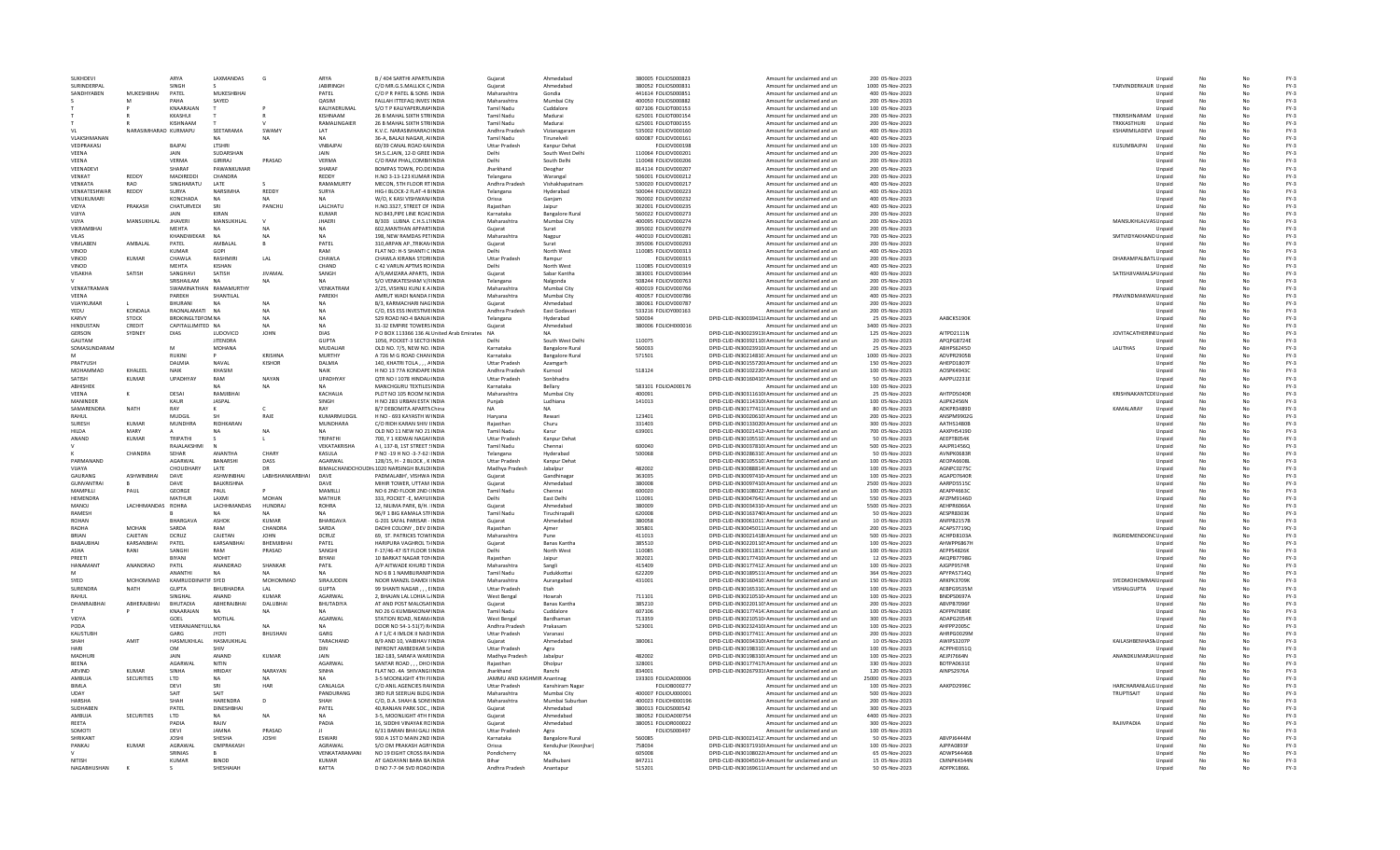| <b>SUKHDEV</b>         |                   |                          | ARYA                     | LAXMANDAS                    | G                           | ARYA                        | B / 404 SARTHI APARTNINDIA                                     | Gujarat                                     | Ahmedahad              | 380005 FOLIOS000823                        | Amount for unclaimed and un                                                                            | 200 05-Nov-2023                      |                          |                             | Unpaid           |           |          | $FY-3$           |
|------------------------|-------------------|--------------------------|--------------------------|------------------------------|-----------------------------|-----------------------------|----------------------------------------------------------------|---------------------------------------------|------------------------|--------------------------------------------|--------------------------------------------------------------------------------------------------------|--------------------------------------|--------------------------|-----------------------------|------------------|-----------|----------|------------------|
|                        | SURINDERPA        |                          | SINGH                    |                              |                             | <b>JABIRINGH</b>            | C/O MR.G.S.MALLICK C INDIA                                     | Guiarat                                     | Ahmedabad              | 380052 FOLIOS00083:                        | Amount for unclaimed and un                                                                            | 1000 05-Nov-2023                     |                          | TARVINDERKAUR Unpaid        |                  |           |          | $FY-3$           |
|                        | SANDHYABEN        | MUKESHRHAI               | PATEL                    | MUKESHBHA                    |                             | PATFI                       | C/O P R PATEL & SONS INDIA                                     | Maharashtra                                 | Gondia                 | 441614 FOLIOS000851                        | Amount for unclaimed and un                                                                            | 400 05-Nov-2023                      |                          |                             | Unpaid           |           |          | FY-3             |
|                        |                   |                          | PAHA                     | SAYED                        |                             | OASIM                       | FALLAH ITTEFAQ INVES INDIA                                     | Maharashtra                                 | Mumbai City            | 400050 FOLIOS000882                        | Amount for unclaimed and un                                                                            | 200 05-Nov-2023                      |                          |                             | Unpaid           |           | No       | $FY-3$           |
|                        |                   |                          | KNAARAJAN                |                              |                             | KALIYAERUMAL                | S/O T P KALIYAPERUMA INDIA                                     | <b>Tamil Nadu</b>                           | Cuddalore              | 607106 FOLIOT000153                        | Amount for unclaimed and un                                                                            | 100 05-Nov-2023                      |                          |                             | Unpaid           |           | No       | $FY-3$           |
|                        |                   |                          | KKASHUI                  |                              |                             | KISHNAAM                    | 26 B MAHAL SIXTH STRIINDIA                                     | <b>Tamil Nadu</b>                           | Madurai                | 625001 FOLIOT000154                        | Amount for unclaimed and ur                                                                            | 200 05-Nov-2023                      |                          | TRKRISHNARAM Unpaid         |                  |           |          | $FY-3$           |
|                        |                   |                          | KISHNAAM                 |                              |                             | RAMALINGAIER                | 26 B MAHAL SIXTH STRIINDIA                                     | <b>Tamil Nadu</b>                           | Madurai                | 625001 FOLIOT000155                        | Amount for unclaimed and un                                                                            | 200 05-Nov-2023                      |                          | TRKKASTHURI                 | Unpaid           |           | No       | $FY-3$           |
| - VI                   |                   | NARASIMHARAO KURMAPU     |                          | SEETARAMA                    | <b>SWAMY</b>                | <b>IAT</b>                  | K.V.C. NARASIMHARAO INDIA                                      | Andhra Pradesh                              | Vizianagaram           | 535002 FOLIOV000160                        | Amount for unclaimed and un                                                                            | 400 05-Nov-2023                      |                          | KSHARMILADEVI Unpaid        |                  |           | N٥       | $FY-3$           |
|                        | VLAKSHMANAN       |                          |                          | NA.                          | <b>NA</b>                   | <b>NA</b>                   | 36-A. BALAJI NAGAR, AIINDIA                                    | Tamil Nadu                                  | Tirunelveli            | 600087 FOLIOV000161                        | Amount for unclaimed and un                                                                            | 400 05-Nov-2023                      |                          |                             | Unpaid           |           | No       | $FY-3$           |
|                        | VEDPRAKASJ        |                          | <b>BAJPA</b>             | LTSHRI                       |                             | <b>VNBAJPAI</b>             | 60/39 CANAL ROAD KAINDIA                                       | <b>Uttar Pradesh</b>                        | Kanpur Dehat           | FOLIOV000198                               | Amount for unclaimed and un                                                                            | 100 05-Nov-2023                      |                          | KUSUMBAJPAI                 | Unpaid           |           | No       | $FY-3$           |
| VEENA                  |                   |                          |                          | SUDARSHAN                    |                             | <b>JAIN</b>                 | SH.S.C.JAIN, 12-D GREE INDIA                                   |                                             | South West Delhi       | 110064 FOLIOV000201                        | Amount for unclaimed and un                                                                            | 200 05-Nov-2023                      |                          |                             | Unpaid           |           |          | $FY-3$           |
| VEENA                  |                   |                          | VERMA                    | GIRIRAJ                      | PRASAD                      | VERMA                       | C/O RAM PHAL.COMBINNDIA                                        | Delhi                                       | South Delhi            | 110048 FOLIOV000206                        | Amount for unclaimed and un                                                                            | 200 05-Nov-2023                      |                          |                             | Unpaid           |           | No       | $FY-3$           |
| VEENADEVI              |                   |                          | SHARAF                   | PAWANKUMAF                   |                             | SHARAF                      | BOMPAS TOWN, PO.DEINDIA                                        | Jharkhand                                   | Deoghar                | 814114 FOLIOV000207                        | Amount for unclaimed and un                                                                            | 200 05-Nov-2023                      |                          |                             | Unpaid           |           | No       | $FY-3$           |
| VENKAT                 |                   | REDDY                    | MADIREDDI                | CHANDRA                      |                             | REDDY                       | H.NO 3-13-123 KUMAR INDIA                                      | Telangana                                   | Warangal               | 506001 FOLIOV000212                        | Amount for unclaimed and un                                                                            | 200 05-Nov-2023                      |                          |                             | Unpaid           | No        | No       | $FY-3$           |
| VENKATA                |                   | <b>RAO</b>               | SINGHARATU               | <b>LATE</b>                  |                             | RAMAMURTY                   | MECON, 5TH FLOOR RT INDIA                                      | Andhra Pradesh                              | Vishakhapatnan         | 530020 FOLIOV000217                        | Amount for unclaimed and un                                                                            | 400 05-Nov-2023                      |                          |                             | Unpaid           |           | No       | $FY-3$           |
|                        | VENKATESHWAF      | REDDY                    | SURYA                    | NARSIMHA                     | REDDY                       | SURYA                       | HIG-I BLOCK-2 FLAT-4 BINDIA                                    | Telangana                                   | Hyderabad              | 500044 FOLIOV000223                        | Amount for unclaimed and un                                                                            | 400 05-Nov-2023                      |                          |                             | Unpaid           |           |          | $FY-3$           |
|                        | <b>VENUKUMAR</b>  |                          | KONCHADA                 |                              |                             |                             | W/O. K KASI VISHWAN/INDIA                                      | Orissa                                      | Ganjam                 | 760002 FOLIOV000232                        | Amount for unclaimed and un                                                                            | 400 05-Nov-2023                      |                          |                             | Unpaid           |           | No       | $FY-3$           |
| VIDYA                  |                   | PRAKASH                  | CHATURVEDI               | SRI                          | PANCHU                      | LALCHATU                    | H.NO.3327, STREET OF INDIA                                     | Raiasthan                                   | Jaipur                 | 302001 FOLIOV000235                        | Amount for unclaimed and un                                                                            | 400 05-Nov-2023                      |                          |                             | Unpaid           |           | No       | $FY-3$           |
| VIJIYA                 |                   |                          | <b>JAIN</b>              | <b>KIRAN</b>                 |                             | <b>KUMAR</b>                | NO 843, PIPE LINE ROAL INDIA                                   | Karnataka                                   | <b>Bangalore Rural</b> | 560022 FOLIOV000273                        | Amount for unclaimed and un                                                                            | 200 05-Nov-2023                      |                          |                             | Unpaid           | No        | No       | $FY-3$           |
| VIIYA                  |                   | MANSUKHLAL               | <b>JHAVERI</b>           | MANSUKHLAL                   |                             | <b>JHAERI</b>               | B/303 LUBNA C.H.S.L1INDIA                                      | Maharashtra                                 | Mumbai City            | 400095 FOLIOV000274                        | Amount for unclaimed and un                                                                            | 200 05-Nov-2023                      |                          | MANSUKHLALVAS Unpaid        |                  |           | No       | $FY-3$           |
|                        | VIKRAMBHAI        |                          | <b>MEHTA</b>             |                              |                             | <b>NA</b>                   | 602, MANTHAN APPARTINDIA                                       | Gujarat                                     | Surat                  | 395002 FOLIOV000279                        | Amount for unclaimed and un                                                                            | 200 05-Nov-2023                      |                          |                             | Unpaid           |           |          | $FY-3$           |
| VILAS                  |                   |                          | KHANDWEKAR               |                              | <b>NA</b>                   | <b>NA</b>                   | 198. NEW RAMDAS PETINDIA                                       | Maharashtra                                 | Nagpur                 | 440010 FOLIOV00028:                        | Amount for unclaimed and un                                                                            | 700 05-Nov-2023                      |                          | SMTVIDYAKHAND Unpaid        |                  |           | No       | $FY-3$           |
| VIMLABEN               |                   | AMBALAI                  | PATEL                    | AMBALAL                      |                             | PATEL                       | 310.ARPAN AP., TRIKAN INDIA                                    | Guiarat                                     | Surat                  | 395006 FOLIOV000293                        | Amount for unclaimed and un                                                                            | 200 05-Nov-2023                      |                          |                             | Unpaid           |           | No       | $FY-3$           |
| VINOD                  |                   |                          | <b>KUMAR</b>             | GOPI                         |                             | RAM                         | FLAT NO: H-5 SHANTI C INDIA                                    | <b>Delhi</b>                                | North West             | 110085 FOLIOV000313                        | Amount for unclaimed and un                                                                            | 400 05-Nov-2023                      |                          |                             | Unpaid           |           | No       | $FY-3$           |
| VINOD                  |                   | <b>KUMAR</b>             | CHAWLA                   | <b>RASHMIR</b>               | $\ensuremath{\mathsf{LAL}}$ | CHAWLA                      | CHAWLA KIRANA STOR INDIA                                       | <b>Uttar Pradesh</b>                        | Rampur                 | FOLIOV000315                               | Amount for unclaimed and un                                                                            | 200 05-Nov-2023                      |                          | DHARAMPALBATL Unpaid        |                  |           | No       | $FY-3$           |
| VINOD                  |                   |                          | MEHTA                    | KISHAN                       |                             | CHAND                       | C 42 VARUN APTMS ROINDIA                                       |                                             | North West             | 110085 FOLIOV000319                        | Amount for unclaimed and un                                                                            | 400 05-Nov-2023                      |                          |                             | Unpaid           |           |          | $FY-3$           |
| VISAKHA                |                   | SATISH                   | SANGHAVI                 | SATISH                       | <b>IIVAMAI</b>              | SANGH                       | A/9 AMIZARA APARTS. INDIA                                      | Gujarat                                     | Sabar Kantha           | 383001 FOLIOV000344                        | Amount for unclaimed and un                                                                            | 400 05-Nov-2023                      |                          | SATISHJIVAMALSA Unpaid      |                  |           | No       | $FY-3$           |
|                        |                   |                          | SRISHAILAM               | <b>NA</b>                    |                             | <b>NA</b>                   | S/O VENKATESHAM V/FINDIA                                       | Telangana                                   | Nalgonda               | 508244 FOLIOV000763                        | Amount for unclaimed and un                                                                            | 200 05-Nov-2023                      |                          |                             | Unpaid           |           | No       | $FY-3$           |
|                        | VENKATRAMAN       |                          | SWAMINATHAN RAMAMURTHY   |                              |                             | VENKATRAM                   | 2/25. VISHNU KUNJ K A INDIA                                    | Maharashtra                                 | Mumbai City            | 400019 FOLIOV000766                        | Amount for unclaimed and un                                                                            | 200 05-Nov-2023                      |                          |                             | Unpaid           |           | No       | $FY-3$           |
| VFFNA                  |                   |                          | PAREKH                   | SHANTILAL                    |                             | PAREKH                      | AMRUT WADI NANDA FINDIA                                        | Maharashtra                                 | Mumbai City            | 400057 FOLIOV000786                        | Amount for unclaimed and ur                                                                            | 400 05-Nov-2023                      |                          | PRAVINDMAKWAI Unpaid        |                  |           | No       | $FY-3$           |
|                        | VIJAYKUMAR        |                          | <b>BHURANI</b>           |                              |                             | <b>NA</b>                   | B/3, KARMACHARI NAGINDI/                                       | Gujarat                                     | Ahmedabad              | 380061 FOLIOV000787                        | Amount for unclaimed and un                                                                            | 200 05-Nov-2023                      |                          |                             | Unpaid           |           |          | $FY-3$           |
| YEDU                   |                   | KONDALA                  | RAONALAMATI NA           |                              |                             | <b>NA</b>                   | C/O. ESS ESS INVESTME INDIA                                    | Andhra Pradesh                              | East Godavar           | 533216 FOLIOY000163                        | Amount for unclaimed and un                                                                            | 200 05-Nov-2023                      |                          |                             | Unpaid           |           | No       | $FY-3$           |
| KARVY                  |                   | <b>STOCK</b>             | <b>BROKINGLTDFOM NA</b>  |                              | <b>NA</b>                   | <b>NA</b>                   | 529 ROAD NO-4 BANJA INDIA                                      | Telangana                                   | Hyderabad              | 500034                                     | DPID-CLID-IN30039411! Amount for unclaimed and un                                                      | 25 05-Nov-2023                       | AABCK5190K               |                             | Unpaid           |           | No       | $FY-3$           |
|                        | HINDUSTAN         | CREDIT                   | CAPITALLIMITED NA        |                              | <b>NA</b>                   | <b>NA</b>                   | 31-32 EMPIRE TOWERS INDIA                                      | Guiarat                                     | Ahmedahad              | 380006 EQUOH000016                         | Amount for unclaimed and un                                                                            | 3400 05-Nov-2023                     |                          |                             | Unpaid           | No        | No       | FY-3             |
| <b>GERSON</b>          |                   | SYDNEY                   | DIAS                     | LUDOVICO                     | <b>JOHN</b>                 | <b>DIAS</b>                 | P O BOX 113366 136 AL United Arab Emirates                     | <b>NA</b>                                   |                        |                                            | DPID-CLID-IN30023913I Amount for unclaimed and un                                                      | 125 05-Nov-2023                      | AITPD2111N               | JOVITACATHERINI Unpaid      |                  |           | No       | $FY-3$           |
| GAUTAM                 |                   |                          |                          | <b>JITENDRA</b>              |                             | <b>GUPTA</b>                | 1056, POCKET-3 SECTO INDIA                                     | Delh                                        | South West Delh        | 110075                                     | DPID-CLID-IN30392110I Amount for unclaimed and un                                                      | 20 05-Nov-2023                       | APQPG8724E               |                             | Unpaid           |           |          | $FY-3$           |
|                        | SOMASUNDARAM      |                          |                          | <b>MOHANA</b>                |                             | MUDALIAR                    | OLD NO. 7/5, NEW NO. INDIA                                     | Karnataka                                   | <b>Bangalore Rural</b> | 560033                                     | DPID-CLID-IN30023910! Amount for unclaimed and un                                                      | 25 05-Nov-2023                       | ABHPS6245D               | LALITHAS                    | Unpaid           |           | No       | $FY-3$           |
|                        |                   |                          | <b>RUKINI</b>            |                              | <b>KRISHNA</b>              | MURTHY                      | A 726 M G ROAD CHAN INDIA                                      | Karnataka                                   | <b>Bangalore Rural</b> | 571501                                     | DPID-CLID-IN30214810: Amount for unclaimed and un                                                      | 1000 05-Nov-2023                     | ADVPR2905B               |                             | Unpaid           | No        | No       | $FY-3$           |
| PRATYUSH               |                   |                          | <b>DAI MIA</b>           | <b>NAVAI</b>                 | KISHOR                      | DAI MIA                     | 140. KHATRI TOLA  AINDIA                                       | Uttar Pradesh                               | Azamgarh               |                                            | DPID-CLID-IN30155720! Amount for unclaimed and un                                                      | 150.05-Nov-2023                      | AHFPD1807F               |                             | Unpaid           | No        | No       | $FY-3$           |
|                        | MOHAMMAD          | KHALEEL                  | NAIK                     | KHASIM                       |                             | <b>NAIK</b>                 | H NO 13 77A KONDAPE INDIA                                      | Andhra Pradesh                              | Kurnool                | 518124                                     | DPID-CLID-IN30102220 Amount for unclaimed and ur                                                       | 100 05-Nov-2023                      | AOSPK4943C               |                             | Unpaid           |           | No       | $FY-3$           |
| SATISH                 |                   | KUMAR                    | <b>UPADHYAY</b>          | RAM                          | NAYAM                       | <b>UPADHYAY</b>             | QTR NO I 1078 HINDALINDIA                                      | <b>Uttar Pradesh</b>                        | Sonbhadra              |                                            | DPID-CLID-IN30160410! Amount for unclaimed and un                                                      | 50 05-Nov-2023                       | AAPPU2231E               |                             | Unpaid           |           |          | $FY-3$           |
| ABHISHEK               |                   |                          |                          |                              | NA                          | <b>NA</b>                   | MANCHGURU TEXTILES INDIA                                       | Karnataka                                   | Bellary                | 583101 FOLIOA000176                        | Amount for unclaimed and un                                                                            | 100 05-Nov-2023                      |                          |                             | Unpaid           |           | No       | $FY-3$           |
| <b>VEENA</b>           |                   | к                        | DESAI                    | RAMJIBHAI                    |                             | KACHALIA                    | PLOT NO 105 ROOM N(INDIA                                       | Maharashtra                                 | Mumbai City            | 400091                                     | DPID-CLID-IN30311610 Amount for unclaimed and un                                                       | 25 05-Nov-2023                       | AHTPD5040F               | KRISHNAKANTCDI Unpaid       |                  |           | No       | $FY-3$           |
| <b>MANINDER</b>        |                   |                          | KAUR                     | <b>IASPAI</b>                |                             | SINGH                       | H NO 283 URBAN ESTA INDIA                                      | Puniah                                      | Ludhiana               | 141013                                     | DPID-CLID-IN30114310 Amount for unclaimed and un                                                       | 100.05-Nov-2023                      | AIIPK2456N               |                             | Unpaid           |           | No       | $FY-3$           |
|                        | <b>SAMARENDRA</b> | NATH                     | RAY                      |                              |                             | RAY                         | 8/7 DEBOMITA APARTN China                                      | <b>NA</b>                                   | <b>NA</b>              |                                            | DPID-CLID-IN30177411( Amount for unclaimed and ur                                                      | 80 05-Nov-2023                       | ADKPR3489D               | KAMALARAY                   | Unpaid           |           | No       | $FY-3$           |
| RAHUI                  |                   |                          | MUDGIL                   |                              | RAJE                        | KUMARMUDGII                 | H NO - 693 KAYASTH W INDIA                                     | Haryana                                     | Rewar                  | 123401                                     | DPID-CLID-IN30020610! Amount for unclaimed and un                                                      | 200 05-Nov-2023                      | ANSPM9902G               |                             | Unpaid           |           |          | $FY-3$           |
| SURESH                 |                   | <b>KUMAR</b>             | <b>MUNDHRA</b>           | RIDHKARAN                    |                             | MUNDHARA                    | C/O RIDH KARAN SHIV IINDIA                                     | Raiasthan                                   | Churu                  | 331403                                     | DPID-CLID-IN30133020I Amount for unclaimed and un                                                      | 300 05-Nov-2023                      | AATHS1480B               |                             | Unpaid           | No        | No       | $FY-3$           |
| HILDA                  |                   | MARY                     |                          |                              | NΔ                          | NΔ                          | OLD NO 11 NEW NO 21 INDIA                                      | <b>Tamil Nadu</b>                           | Karur                  | 639001                                     | DPID-CLID-IN30021412 Amount for unclaimed and un                                                       | 700 05-Nov-2023                      | AAXPH5419D               |                             | Unpaid           | No        | No       | $FY-3$           |
| ANAND                  |                   | KUMAR                    | TRIPATHI                 |                              |                             | TRIPATHI                    | 700. Y 1 KIDWAI NAGAHNDIA                                      | Uttar Pradesh                               | Kanpur Dehat           |                                            | DPID-CLID-IN30105510: Amount for unclaimed and un                                                      | 50.05-Nov-2023                       | AFFPT8054K               |                             | Unpaid           | No        | No       | $FY-3$           |
|                        |                   |                          | RAJALAKSHM               |                              |                             | VEKATAKRISHA                | A I, 137-B, 1ST STREET (INDIA                                  | <b>Tamil Nadu</b>                           | Chennai                | 600040                                     | DPID-CLID-IN30037810I Amount for unclaimed and ur                                                      | 500 05-Nov-2023                      | AAJPR1456Q               |                             | Unpaid           |           | No       | $FY-3$           |
|                        |                   | CHANDRA                  | SEHAR                    | ANANTHA                      | CHARY                       | KASULA                      | P NO -19 H NO -3-7-62 INDIA                                    | Telangana                                   | Hyderabad              | 500068                                     | DPID-CLID-IN30286310: Amount for unclaimed and un                                                      | 50 05-Nov-2023                       | AVNPK0683F               |                             | Unpaid           |           |          | $FY-3$           |
|                        | PARMANAND         |                          | AGARWAL                  | BANARSHI                     | DASS                        | AGARWAL                     | 128/15, H - 2 BLOCK, KINDIA                                    | <b>Uttar Pradesh</b>                        | Kanpur Dehat           |                                            | DPID-CLID-IN30105510: Amount for unclaimed and un                                                      | 100 05-Nov-2023                      | AEOPA6608L               |                             | Unpaid           | No        | No       | $FY-3$           |
| VIIAYA                 |                   |                          | CHOUDHARY                | <b>I ATF</b>                 | D <sub>R</sub>              |                             | <b>BIMALCHANDCHOUDH, 1020 NARSINGH BUILDUNDIA</b>              | Madhya Pradesh                              | labalnur               | 482002                                     | DPID-CLID-IN300888145 Amount for unclaimed and un                                                      | 100.05-Nov-2023                      | AGNPC02750               |                             | Unpaid           | No        | No       | FY-3             |
| GAURANG                |                   | <b>ASHWINRHAI</b>        | DAVE                     | <b>ASHWINRHAI</b>            | <b>I ARHSHANKARRHAI</b>     | DAVE                        | PADMALARH', VISHWA INDIA                                       | Guiarat                                     | Gandhinaga             | 363035                                     | DPID-CLID-IN30097410 Amount for unclaimed and un                                                       | 100.05-Nov-2023                      | AGAPD7640R               |                             | Unpaid           | No        | No       | $FY-3$           |
| MAMPILLI               | GUNVANTRAI        | PAUL                     | DAVE<br>GEORGE           | BALKRISHNA                   |                             | DAVE<br>MAMILL              | MIHIR TOWER, UTTAM INDIA<br>NO 6 2ND FLOOR 2ND (INDIA          | Gujarat<br><b>Tamil Nadu</b>                | Ahmedabad              | 380008<br>600020                           | DPID-CLID-IN30097410I Amount for unclaimed and ur<br>DPID-CLID-IN30108022: Amount for unclaimed and un | 2500 05-Nov-2023<br>100 05-Nov-2023  | AARPD5515C<br>AEAPP4663C |                             | Unpaid           |           | No       | $FY-3$<br>$FY-3$ |
|                        |                   |                          |                          | PAUL                         |                             |                             |                                                                |                                             | Chennai                |                                            |                                                                                                        |                                      |                          |                             | Unpaid           |           |          | $FY-3$           |
| HEMENDRA               |                   |                          | MATHUR                   | LAXMI<br><b>I ACHHMANDAS</b> | <b>MOHAN</b>                | MATHUR                      | 333, POCKET - E. MAYUHNDIA                                     | Delhi<br>Guiarat                            | East Delhi             | 110091<br>380009                           | DPID-CLID-IN30047641! Amount for unclaimed and un                                                      | 550 05-Nov-2023                      | AFZPM9146D               |                             | Unpaid           | No        | No       |                  |
| MANOL<br><b>RAMESH</b> |                   | <b>IACHHMANDAS ROHRA</b> |                          |                              |                             |                             |                                                                |                                             | Ahmedahad              |                                            |                                                                                                        |                                      |                          |                             | Unpaid           | No        | No<br>No | FY-3<br>$FY-3$   |
|                        |                   |                          |                          |                              | HUNDRAI                     | ROHRA                       | 12. NILIMA PARK, B/H. INDIA                                    |                                             |                        |                                            | DPID-CLID-IN30034310 Amount for unclaimed and un                                                       | 5500.05-Nov-2023                     | AFHPR6066A               |                             |                  |           | No       | $FY-3$           |
| <b>ROHAN</b><br>RADHA  |                   |                          |                          |                              |                             | <b>NA</b>                   | 96/F 1 BIG KAMALA STFINDIA                                     | <b>Tamil Nadu</b>                           | Tiruchirapall          | 620008                                     | DPID-CLID-IN30163740I Amount for unclaimed and un                                                      | 50 05-Nov-2023                       | <b>AFSPR8303K</b>        |                             | Unpaid           |           |          |                  |
| <b>BRIAN</b>           |                   |                          | <b>BHARGAV</b>           | ASHOK                        | KUMAR                       | BHARGAVA                    | G-201 SAFAL PARISAR - INDIA                                    | Gujarat                                     | Ahmedabad              | 380058                                     | DPID-CLID-IN30061011: Amount for unclaimed and ur                                                      | 10 05-Nov-2023                       | ANFPB2157B               |                             | Unpaid           |           |          |                  |
|                        |                   | <b>MOHAN</b>             | SARDA                    | RAM                          | CHANDRA                     | SARDA                       | DADHI COLONY . DEV DINDIA                                      | Raiasthan                                   | Ajmer                  | 305801                                     | DPID-CLID-IN30045011! Amount for unclaimed and un                                                      | 200 05-Nov-2023                      | ACAPS7719Q               |                             | Unpaid           |           |          | $FY-3$           |
|                        |                   | CAJETAN                  | DCRUZ                    | CAJETAN                      | <b>IOHN</b>                 | DCRUZ                       | 69. ST. PATRICKS TOWHNDIA                                      | Maharashtra                                 | Pune                   | 411013                                     | DPID-CLID-IN30021418(Amount for unclaimed and un                                                       | 500 05-Nov-2023                      | ACHPD8103A               | INGRIDMENDONC Unpaid        |                  | No        | No       | $FY-3$           |
|                        | <b>BABAURHA</b>   | KARSANRHAI               | PATFI                    | KARSANRHAI                   | <b>RHFMIIRHAI</b>           | PATFI                       | HARIPURA VAGHROL T/INDIA                                       | Guiarat                                     | <b>Banas Kantha</b>    | 385510                                     | DPID-CLID-IN30220110! Amount for unclaimed and un                                                      | 100.05-Nov-2023                      | AHWPP6867H               |                             | Unpaid           |           | N٥       | $FY-3$           |
| ASHA                   |                   | RANI                     | SANGHI                   | RAM                          | PRASAD                      | SANGHI                      | F-17/46-47 IST FLOOR SINDIA                                    | Delhi                                       | North West             | 110085                                     | DPID-CLID-IN30011811: Amount for unclaimed and un                                                      | 100 05-Nov-2023                      | AEPPS4826K               |                             | Unpaid           |           |          | $FY-3$           |
| PREETI                 |                   |                          | BIYANI                   | MOHIT                        |                             | BIYANI                      | 10 BARKAT NAGAR TONINDIA                                       | Rajasthar                                   | Jaipur                 | 302021                                     | DPID-CLID-IN30177410I Amount for unclaimed and ur                                                      | 12 05-Nov-2023                       | AKQPB77980               |                             | Unpaid           |           |          | $FY-3$           |
| <b>HANAMAN</b>         |                   | ANANDRAO                 | PATIL                    | ANANDRAO                     | SHANKAR                     | PATIL                       | A/P AITWADE KHURD TINDIA                                       | Maharashtra                                 | Sangli                 | 415409                                     | DPID-CLID-IN30177412: Amount for unclaimed and un                                                      | 100 05-Nov-2023                      | AJGPP9574R               |                             | Unpaid           |           |          | $FY-3$           |
|                        |                   |                          | ANANTHI                  | <b>NA</b>                    |                             | <b>NA</b>                   | NO 6 B 1 NAMBURANIP INDIA                                      | <b>Tamil Nadu</b>                           | Pudukkottai            | 622209                                     | DPID-CLID-IN30189511(Amount for unclaimed and un                                                       | 364 05-Nov-2023                      | APYPA5714Q               |                             | Unpaid           |           | No       | $FY-3$           |
| <b>SYED</b>            |                   | <b>MOHOMMAD</b>          | KAMRUDDINATIF SYED       |                              | MOHOMMAD                    | SIRAILIDDIN                 | NOOR MANZIL DAMDLIINDIA                                        | Maharashtra                                 | Aurangabad             | 431001                                     | DPID-CLID-IN30160410: Amount for unclaimed and un                                                      | 150.05-Nov-2023                      | ARKPK3709K               | SYEDMOHOMMAI Unpaid         |                  |           | No       | $FY-3$           |
| SURFNDRA               |                   | <b>NATH</b>              | GUPTA                    | <b>BHUBHADRA</b>             | I AI                        | GUPTA                       | 99 SHANTI NAGAR, , , EINDIA                                    | <b>Uttar Pradesh</b>                        | Etah                   |                                            | DPID-CLID-IN30165310. Amount for unclaimed and un                                                      | 100 05-Nov-2023                      | AFRPG9535M               | VISHALGUPTA                 | Unpaid           |           |          | $FY-3$           |
|                        |                   |                          | SINGHAI                  | ANAND                        | KUMAR                       | AGARWAI                     | 2, BHAJAN LAL LOHIA LINDIA                                     | <b>West Bengal</b>                          | Howrah                 | 711101                                     | DPID-CLID-IN30210510 Amount for unclaimed and un                                                       | 100 05-Nov-2023                      | <b>BNDPS0697A</b>        |                             | Unpaid           |           |          | $FY-3$           |
|                        | DHANRAJBHA        | ABHERAJBHAI              | <b>BHUTADIA</b>          | ABHERAJBHAI                  | DALUBHA                     | BHUTADIYA                   | AT AND POST MALOSAHNDIA                                        | Gujarat                                     | Banas Kantha           | 385210                                     | DPID-CLID-IN30220110! Amount for unclaimed and un                                                      | 200 05-Nov-2023                      | ABVPB7096F               |                             | Unpaid           |           |          | $FY-3$           |
|                        |                   |                          | KNAARAJAN                | NΔ                           | <b>NA</b>                   | NΔ                          | NO 26 G KUMBAKONANINDIA                                        | <b>Tamil Nadu</b>                           | Cuddalore              | 607106                                     | DPID-CLID-IN30177414. Amount for unclaimed and un                                                      | 100 05-Nov-2023                      | ADFPN7689E               |                             | Unpaid           | <b>No</b> | No       | $FY-3$           |
| VIDYA<br>PODA          |                   |                          | GOEL                     | MOTILAL                      | <b>MA</b>                   | <b>AGARWAI</b><br><b>NA</b> | STATION ROAD, NEAM/INDIA                                       | <b>West Bengal</b>                          | <b>Bardhaman</b>       | 713359                                     | DPID-CLID-IN30210510 Amount for unclaimed and un                                                       | 300.05-Nov-2023                      | ADAPG2054R               |                             | Unpaid           |           | No       | $FY-3$           |
|                        |                   |                          | VEERANJANEYULLNA         |                              |                             |                             | DOOR NO 54-1-51(7) R/INDIA                                     | Andhra Pradesh                              | Prakasam               | 523001                                     | DPID-CLID-IN30232410! Amount for unclaimed and un                                                      | 100 05-Nov-2023                      | AHFPP2005C               |                             | Unpaid           |           |          | $FY-3$           |
| <b>KAUSTUB</b>         |                   |                          | GARO                     | <b>JYOTI</b>                 | <b>BHUSHAN</b>              | GARG                        | A F 1/C 4 IMLOK II NAD INDIA                                   | <b>Uttar Pradesh</b>                        | Varanasi               |                                            | DPID-CLID-IN30177411: Amount for unclaimed and un                                                      | 200 05-Nov-2023                      | AHRPG0029M               |                             | Unpaid           |           |          | $FY-3$           |
| SHAH                   |                   | AMIT                     | HASMUKHLAL               | HASMUKHLAL                   |                             | TARACHAND                   | B/9 AND 10, VAIBHAV FINDIA                                     | Gujarat                                     | Ahmedabad              | 380061                                     | DPID-CLID-IN30034310I Amount for unclaimed and un                                                      | 10 05-Nov-2023                       | AWIPS3207P               | KAILASHBENHASN Unpaid       |                  |           |          | $FY-3$           |
| HAR<br>MADHURI         |                   |                          | <b>OM</b><br><b>JAIN</b> | SHIV<br>ANAND                | KUMAR                       | <b>DIN</b><br><b>JAIN</b>   | INFRONT AMREDKAR SIINDIA<br>182-183, SARAFA WARLINDIA          | <b>Uttar Pradesh</b>                        | Agra                   | 482002                                     | DPID-CLID-IN30198310: Amount for unclaimed and un                                                      | 100.05-Nov-2023<br>100.05-Nov-2023   | ACPPH0351O<br>AF1P17664N |                             | Unnaid           |           | No<br>No | $FY-3$<br>$FY-3$ |
| REENA                  |                   |                          | <b>AGARWAI</b>           | NITIN                        |                             | <b>AGARWAI</b>              |                                                                | Madhya Pradesh                              | Jabalpur               |                                            | DPID-CLID-IN30198310(Amount for unclaimed and un                                                       |                                      |                          | ANANDKUMARJAI Unpaid        |                  |           |          |                  |
|                        |                   |                          |                          |                              |                             |                             | SANTAR ROAD, , , DHO INDIA                                     | Raiasthan                                   | Dholpur                | 328001                                     | DPID-CLID-IN30177417I Amount for unclaimed and un                                                      | 330 05-Nov-2023                      | BDTPA0631E               |                             | Unpaid           |           |          | $FY-3$           |
| ARVIND                 |                   | <b>KUMAR</b>             | SINHA                    | <b>HRIDAY</b>                | NARAYAN                     | SINHA                       | FLAT NO. 4A SHIVANGI INDIA                                     | Jharkhand                                   | Ranchi                 | 834001                                     | DPID-CLID-IN30267931(Amount for unclaimed and un                                                       | 120 05-Nov-2023                      | AINPS2976A               |                             | Unpaid           |           |          | $FY-3$           |
| AMBUJA<br><b>RIMIA</b> |                   | <b>SECURITIES</b>        | <b>LTD</b><br>DFVI       | NA<br>SRI                    | HAR                         | CANLALGA                    | 3-5 MOONLIGHT 4TH FIINDIA<br>C/O ANII AGENCIES RAIINDIA        | JAMMU AND KASHMIR Anantnag<br>Uttar Pradesh | Kanshiram Nagar        | 193303 FOLIOA000006<br><b>FOLIOB000277</b> | Amount for unclaimed and un<br>Amount for unclaimed and un                                             | 25000 05-Nov-2023<br>100.05-Nov-2023 | AAKPD29960               |                             | Unpaid           |           | No<br>No | $FY-3$<br>$FY-3$ |
| LIDAY                  |                   |                          | SAIT                     | SAIT                         |                             | PANDURANG                   |                                                                | Maharashtra                                 | Mumhai City            |                                            |                                                                                                        |                                      |                          | <b>HARCHARANLALG Unpaid</b> |                  |           | No       | $FY-3$           |
| HARSHA                 |                   |                          | SHAH                     | HARENDRA                     |                             | <b>SHAH</b>                 | 3RD FLR SEERUAI BLDG INDIA                                     |                                             | Mumbai Suburban        | 400007 FOLIOU000001                        | Amount for unclaimed and un                                                                            | 500 05-Nov-2023                      |                          | TRUPTISAIT                  | Unpaid           |           |          | $FY-3$           |
|                        |                   |                          |                          |                              |                             |                             | C/O, D.A. SHAH & SONSINDIA                                     | Maharashtra                                 |                        | 400023 FOLIOH000196                        | Amount for unclaimed and un                                                                            | 200 05-Nov-2023                      |                          |                             | Unpaid           |           |          |                  |
| SUDHABEN               |                   |                          | PATEL                    | <b>DINESHBHAI</b>            |                             | PATEL                       | 40.RANJAN PARK SOC., INDIA                                     | Guiarat                                     | Ahmedabao              | 380013 FOLIOS000542                        | Amount for unclaimed and un                                                                            | 300 05-Nov-2023                      |                          |                             | Unpaid           |           |          | $FY-3$           |
| AMBUJA<br>RFFTA        |                   | <b>SECURITIES</b>        | <b>LTD</b><br>PADIA      | RAIIV                        |                             | <b>NA</b><br>PADIA          | 3-5, MOONLIGHT 4TH FINDIA<br><b>16. SIDDHI VINAYAK RCINDIA</b> | Gujarat<br>Guiarat                          | Ahmedabad<br>Ahmedahad | 380052 FOLIOA000754<br>380051 EQUOR000022  | Amount for unclaimed and un<br>Amount for unclaimed and un                                             | 4400 05-Nov-2023<br>300.05-Nov-2023  |                          | RAIIVPADIA                  | Unpaid           | No        | No<br>No | $FY-3$<br>FY-3   |
| SOMOTI                 |                   |                          | DFVI                     | <b>IAMNA</b>                 | PRASAD                      |                             |                                                                | <b>Uttar Pradesh</b>                        |                        |                                            |                                                                                                        |                                      |                          |                             | Unpaid           |           | No       |                  |
| SHRIKANT               |                   |                          | <b>JOSH</b>              | SHESHA                       | <b>JOSHI</b>                | <b>FSWARI</b>               | 6/31 BARAN BHAI GALI INDIA<br>930 A 1ST D MAIN 2ND INDIA       | Karnataka                                   |                        | FOLIOS000497<br>560085                     | Amount for unclaimed and un                                                                            | 100 05-Nov-2023<br>50 05-Nov-2023    | <b>ARVPISAAAN</b>        |                             | Unpaid           |           |          | $FY-3$<br>$FY-3$ |
|                        |                   |                          |                          |                              |                             |                             |                                                                |                                             | <b>Bangalore Rural</b> |                                            | DPID-CLID-IN30021412: Amount for unclaimed and un                                                      |                                      |                          |                             | Unpaid           |           |          |                  |
| PANKAJ                 |                   | KUMAR                    | AGRAWA<br>SRINIAS        | OMPRAKASH                    |                             | AGRAWAL<br>VENKATARAMAN     | S/O OM PRAKASH AGR\INDIA<br>NO 19 EIGHT CROSS RAINDIA          | Orissa<br>Pondicherry                       | Kendujhar (Keonjhar)   | 758034<br>605008                           | DPID-CLID-IN30371910I Amount for unclaimed and un<br>DPID-CLID-IN30108022I Amount for unclaimed and un | 100 05-Nov-2023<br>65 05-Nov-2023    | AJPPA0893F<br>ADWPS4446B |                             | Unpaid<br>Unpaid | No        |          | $FY-3$<br>$FY-3$ |
| NITISH                 |                   |                          | KUMAR                    | <b>BINOD</b>                 |                             | KUMAR                       | AT GADAYANI BARA BA INDIA                                      | Rihar                                       | Madhubani              | 847211                                     | DPID-CLID-IN30045014 Amount for unclaimed and un                                                       | 15.05-Nov-2023                       | CMNPK4344N               |                             | Unpaid           |           | No       | $FY-3$           |
|                        | NAGABHUSHAN       | $\mathbf{K}$             |                          | SHESHAIAH                    |                             | KATTA                       | D NO 7-7-94 SVD ROAD INDIA                                     | Andhra Pradesh                              | Anantapu               | 515201                                     | DPID-CLID-IN30169611! Amount for unclaimed and un                                                      | 50 05-Nov-2023                       | ADFPK1866L               |                             | Unpaid           |           |          | $FY-3$           |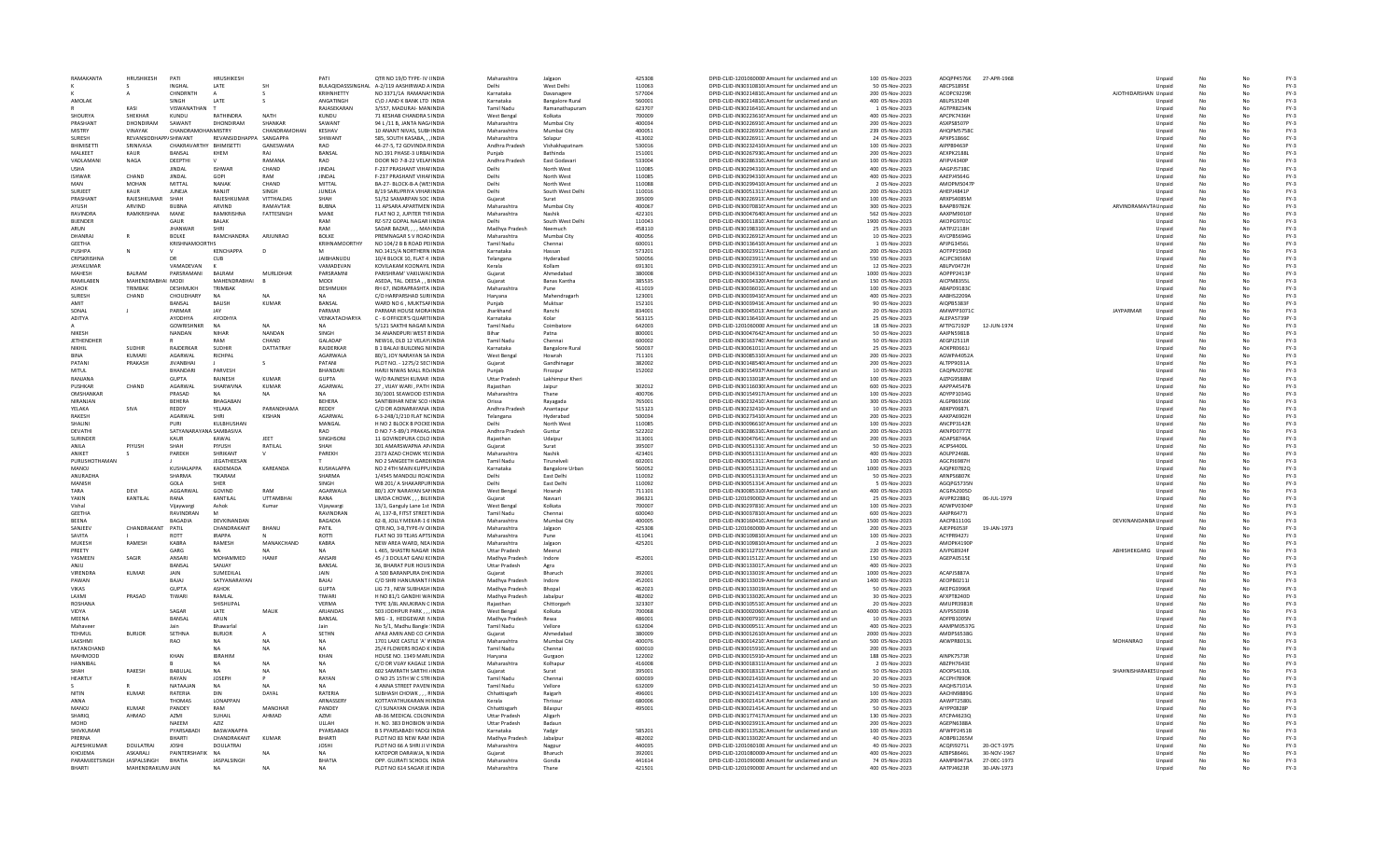| RAMAKANTA                          | HRUSHIKESH          | PATI                    | HRUSHIKESH           |                  | PATI                    | OTR NO 19/D TYPE- IV (INDIA                                   | Maharashtra                      | Jalgaon                          | 425308           | DPID-CLID-1201060000 Amount for unclaimed and un                                                       | 100 05-Nov-2023                    | ADOPP4576K               | 27-APR-1968 |                       | Unpaid           | No       |    | $FY-3$           |
|------------------------------------|---------------------|-------------------------|----------------------|------------------|-------------------------|---------------------------------------------------------------|----------------------------------|----------------------------------|------------------|--------------------------------------------------------------------------------------------------------|------------------------------------|--------------------------|-------------|-----------------------|------------------|----------|----|------------------|
|                                    |                     | <b>INGHAI</b>           | <b>IATF</b>          |                  |                         | BULAQIDASSSINGHAL A-2/119 AASHIRWAD A INDIA                   | Delhi                            | West Delhi                       | 110063           | DPID-CLID-IN30310810I Amount for unclaimed and un                                                      | 50 05-Nov-2023                     | ABCPS1895E               |             |                       | Unpaid           |          |    | $FY-3$           |
|                                    |                     | CHNDRNTH                |                      |                  | KRIHNHETTY              | NO 3371/1A RAMANASINDIA                                       | Karnataka                        | Davanager                        | 577004           | DPID-CLID-IN30214810. Amount for unclaimed and un                                                      | 200 05-Nov-2023                    | ACOPC9229F               |             | AJOTHIDARSHAN Unpaid  |                  |          |    | $FY-3$           |
| AMOLAK                             |                     | <b>SINGH</b>            | LATE                 |                  | ANGATINGH               | C\O J AND K BANK LTD INDIA                                    | Karnataka                        | <b>Bangalore Rural</b>           | 560001           | DPID-CLID-IN30214810. Amount for unclaimed and un                                                      | 400 05-Nov-2023                    | ABLPS3524R               |             |                       | Unpaid           |          |    | $FY-3$           |
|                                    | KASI                | VISWANATHAN             |                      |                  | RAJASEKARAN             | 3/557, MADURAI- MANINDIA                                      | <b>Tamil Nadu</b>                | Ramanathapuram                   | 623707           | DPID-CLID-IN30216410. Amount for unclaimed and un                                                      | 1 05-Nov-2023                      | AGTPR8234N               |             |                       | Unpaid           | No       |    | $FY-3$           |
| SHOURYA                            | <b>SHEKHAR</b>      | KUNDU                   | RATHINDRA            | <b>NATH</b>      | KUNDU                   | 71 KESHAB CHANDRA SINDIA                                      | West Bengal                      | Kolkata                          | 700009           | DPID-CLID-IN30223610! Amount for unclaimed and un                                                      | 400 05-Nov-2023                    | APCPK7436H               |             |                       | Unpaid           | No       | No | $FY-3$           |
| PRASHANT                           | <b>DHONDIRAM</b>    | SAWANT                  | DHONDIRAM            | SHANKAR          | SAWANT                  | 94 L /11 B, JANTA NAG/INDIA                                   | Maharashtra                      | Mumbai City                      | 400034           | DPID-CLID-IN30226910. Amount for unclaimed and un                                                      | 200 05-Nov-2023                    | ASXPS8507P               |             |                       | Unpaid           | No       | No | $FY-3$           |
| MISTRY                             | <b>VINAYAK</b>      | CHANDRAMOHAN MISTRY     |                      | CHANDRAMOHAN     | KESHAV                  | 10 ANANT NIVAS, SUBHINDIA                                     | Maharashtra                      | Mumbai City                      | 400051           | DPID-CLID-IN30226910. Amount for unclaimed and un                                                      | 239 05-Nov-2023                    | AHQPM5758C               |             |                       | Unpaid           |          |    | $FY-3$           |
| SURESH                             | REVANSIDDH          | V SHIWANT               | REVANSIDDHAP         | <b>SANGAPPA</b>  | SHIWANT                 | 585, SOUTH KASABA, , , INDL                                   | Maharashtra                      | Solapur                          | 413002           | DPID-CLID-IN30226911: Amount for unclaimed and un                                                      | 24 05-Nov-2023                     | APXPS1866C               |             |                       | Unpaid           | No       |    | $FY-3$           |
| <b>BHIMISETT</b>                   | SRINIVASA           | CHAKRAVARTHY BHIMISETTI |                      | GANESWARA        | <b>RAO</b>              | 44-27-5, T2 GOVINDA RINDIA                                    | Andhra Pradesh                   | Vishakhapatnam                   | 530016           | DPID-CLID-IN30232410I Amount for unclaimed and un                                                      | 100 05-Nov-2023                    | AIPPB9463P               |             |                       | Unpaid           | No       |    | $FY-3$           |
| MALKEET<br>VADLAMAN                | <b>KAUR</b>         | BANSAL                  | KHEM                 | RAI<br>RAMANA    | BANSAL<br><b>RAO</b>    | NO.191 PHASE-3 URBAIINDIA<br>DOOR NO 7-8-22 VELANINDIA        | Puniab                           | Bathinda                         | 151001<br>533004 | DPID-CLID-IN30267930, Amount for unclaimed and un<br>DPID-CLID-IN30286310, Amount for unclaimed and un | 200 05-Nov-2023<br>100 05-Nov-2023 | AEXPK2188L<br>AFIPV4340P |             |                       | Unpaid           | No       | No | $FY-3$<br>$FY-3$ |
| <b>USHA</b>                        | <b>NAGA</b>         | DEEPTHI<br>JINDAL       | <b>ISHWAR</b>        | CHAND            | <b>JINDAL</b>           | F-237 PRASHANT VIHAFINDIA                                     | Andhra Pradesh                   | East Godavari<br>North West      | 110085           | DPID-CLID-IN30294310I Amount for unclaimed and un                                                      | 400 05-Nov-2023                    | AAGPJ5738C               |             |                       | Unpaid<br>Unpaid | No       |    | $FY-3$           |
| <b>ISHWAR</b>                      | CHAND               | <b>JINDAL</b>           | GOPI                 | RAM              | <b>JINDAL</b>           | F-237 PRASHANT VIHAFINDL                                      | Delhi                            | North West                       | 110085           | DPID-CLID-IN30294310( Amount for unclaimed and un                                                      | 400 05-Nov-2023                    | AAEPJ4564G               |             |                       | Unpaid           | No       |    | $FY-3$           |
| MAN                                | <b>MOHAN</b>        | <b>MITTAL</b>           | NANAK                | CHAND            | MITTAL                  | BA-27- BLOCK-B-A (WE!INDIA                                    | Delhi                            | North West                       | 110088           | DPID-CLID-IN30299410(Amount for unclaimed and un                                                       | 2 05-Nov-2023                      | AMOPM5047P               |             |                       | Unpaid           | No       |    | $FY-3$           |
| SURIEET                            | KAUR                | <b>IUNEIA</b>           | RANIIT               | <b>SINGH</b>     | <b>IUNEIA</b>           | 8/19 SARUPRIYA VIHAR INDIA                                    | Delhi                            | South West Delh                  | 110016           | DPID-CLID-IN30051311 <sup>4</sup> Amount for unclaimed and un                                          | 200 05-Nov-2023                    | AHFPI4841P               |             |                       | Unnaid           | No       | No | $FY-3$           |
| PRASHANT                           | RAJESHKUMAR         | SHAH                    | RAJESHKUMAR          | VITTHALDAS       | SHAH                    | 51/52 SAMARPAN SOC INDIA                                      | Guiarat                          | Surat                            | 395009           | DPID-CLID-IN30226913' Amount for unclaimed and un                                                      | 100 05-Nov-2023                    | ARXPS4085M               |             |                       | Unpaid           | No       |    | $FY-3$           |
| AYUSH                              | ARVIND              | <b>BUBNA</b>            | ARVIND               | RAMAVTAR         | <b>BUBNA</b>            | 11 APSARA APARTMEN INDI                                       | Maharashtra                      | Mumbai City                      | 400067           | DPID-CLID-IN30070810! Amount for unclaimed and un                                                      | 300 05-Nov-2023                    | BAAPB9782K               |             | ARVINDRAMAVTA Unpaid  |                  |          |    | $FY-3$           |
| <b>RAVINDRA</b>                    | RAMKRISHNA          | MANE                    | RAMKRISHNA           | FATTESINGH       | MANE                    | FLAT NO 2. JUPITER TYFINDIA                                   | Maharashtra                      | Nashik                           | 422101           | DPID-CLID-IN30047640(Amount for unclaimed and un                                                       | 562 05-Nov-2023                    | AAXPM9010F               |             |                       | Unpaid           | No       |    | $FY-3$           |
| <b>BUENDER</b>                     |                     | GAUR                    | <b>BALAK</b>         |                  | RAM                     | RZ-572 GOPAL NAGAR IINDIA                                     | Delhi                            | South West Delh                  | 110043           | DPID-CLID-IN30011810: Amount for unclaimed and un                                                      | 1900 05-Nov-2023                   | AKOPG9701C               |             |                       | Unpaid           | No       |    | $FY-3$           |
| ARUN                               |                     | <b>IHANWAR</b>          | <b>SHRI</b>          |                  | RAM                     | SADAR BAZAR. MANINDIA                                         | Madhya Pradesh                   | Neemuch                          | 458110           | DPID-CLID-IN30198310I Amount for unclaimed and un                                                      | 25.05-Nov-2023                     | <b>AATPI2118H</b>        |             |                       | Unpaid           | No       | No | $FY-3$           |
| DHANRAJ                            |                     | <b>BOLKE</b>            | RAMCHANDRA           | ARJUNRAO         | <b>BOLKE</b>            | PREMNAGAR S V ROAD INDIA                                      | Maharashtra                      | Mumbai City                      | 400056           | DPID-CLID-IN30226912! Amount for unclaimed and un                                                      | 10 05-Nov-2023                     | AVCPB5694G               |             |                       | Unpaid           | No       |    | $FY-3$           |
| <b>GEETHA</b>                      |                     | <b>KRISHNAMOORTHS</b>   |                      |                  | KRIHNAMOORTHY           | NO 104/2 B B ROAD PEIINDI                                     | Tamil Nadu                       | Chennai                          | 600011           | DPID-CLID-IN30136410I Amount for unclaimed and un                                                      | 1 05-Nov-2023                      | APJPG3456L               |             |                       | Unpaid           |          |    | $FY-3$           |
| <b>PUSHPA</b>                      |                     |                         | <b>KENCHAPPA</b>     |                  |                         | NO.1415/A NORTHERN INDIA                                      | Karnataka                        | Hassan                           | 573201           | DPID-CLID-IN30023911: Amount for unclaimed and un                                                      | 200 05-Nov-2023                    | AOTPP1596D               |             |                       | Unpaid           | No       |    | $FY-3$           |
| <b>CRPSKRISHNA</b>                 |                     | DR                      | <b>CUB</b>           |                  | <b>JAIBHANUDU</b>       | 10/4 BLOCK 10, FLAT 4 INDIA                                   | Telangana                        | Hyderabad                        | 500056           | DPID-CLID-IN30023911! Amount for unclaimed and un                                                      | 550 05-Nov-2023                    | ACJPC3656M               |             |                       | Unpaid           | No       |    | $FY-3$           |
| <b>JAYAKUMAR</b>                   |                     | VAMADEVAN               |                      |                  | VAMADEVAN               | KOVILAKAM KOONAYII INDIA                                      | Kerala                           | Kollam                           | 691301           | DPID-CLID-IN30023911. Amount for unclaimed and un                                                      | 12 05-Nov-2023                     | ARI PV0472H              |             |                       | Unpaid           | No       | No | $FY-3$           |
| MAHESH                             | <b>BAIRAM</b>       | PARSRAMANI              | <b>BALRAM</b>        | MURLIDHAR        | PARSRAMNI               | PARISHRAM' VAKILWAI INDIA                                     | Gujarat                          | Ahmedaba                         | 380008           | DPID-CLID-IN30034310! Amount for unclaimed and un                                                      | 1000 05-Nov-2023                   | AOPPP2413F               |             |                       | Unpaid           | No       |    | $FY-3$           |
| RAMILABEN                          | MAHENDRABHAI MODI   |                         | MAHENDRABHAI         |                  | MODI                    | ASEDA, TAL, DEESA BINDIA                                      | Guiarat                          | <b>Banas Kantha</b>              | 385535           | DPID-CLID-IN30034320(Amount for unclaimed and un                                                       | 150 05-Nov-2023                    | AICPM8355L               |             |                       | Unpaid           |          |    | $FY-3$           |
| <b>ASHOK</b>                       | TRIMBAK             | DESHMUKH                | <b>TRIMBAK</b>       |                  | DESHMUKH                | RH 67, INDRAPRASHTA INDIA                                     | Maharashtra                      | Pune                             | 411019           | DPID-CLID-IN30036010. Amount for unclaimed and un                                                      | 100 05-Nov-2023                    | ABAPD9183C               |             |                       | Unpaid           | No       |    | $FY-3$           |
| SURFSH                             | CHAND               | CHOUDHARY               | NΔ                   |                  | NA                      | C/O HARPARSHAD SURIINDIA                                      | Harvana                          | Mahendragarh                     | 123001           | DPID-CLID-IN30039410! Amount for unclaimed and un                                                      | 400.05-Nov-2023                    | AARHS2209A               |             |                       | Unpaid           | No       |    | $FY-3$           |
| AMIT                               |                     | <b>BANSAL</b>           | <b>BALISH</b>        | KUMAR            | <b>BANSAL</b>           | WARD NO 6 . MUKTSAFINDIA                                      | Puniab                           | Muktsar                          | 152101           | DPID-CLID-IN30039416: Amount for unclaimed and un                                                      | 90 05-Nov-2023                     | AIOPB5383F               |             |                       | Unpaid           |          |    | $FY-3$           |
| SONAL                              |                     | PARMAR                  |                      |                  | PARMAR                  | PARMAR HOUSE MORAINDL                                         | Jharkhand                        | Ranchi                           | 834001           | DPID-CLID-IN30045013: Amount for unclaimed and un                                                      | 20 05-Nov-2023                     | AMWPP30710               |             | <b>JAYPARMAR</b>      | Unpaid           | No       |    | $FY-3$           |
| <b>ADITYA</b>                      |                     | AYODHYA                 | <b>AYODHYA</b>       |                  | VENKATACHARYA           | C - 6 OFFICER'S QUARTI INDIA                                  | Karnataka                        | Kolar                            | 563115           | DPID-CLID-IN30136410I Amount for unclaimed and un                                                      | 25 05-Nov-2023                     | ALEPA5739P               |             |                       | Unpaid           |          |    | $FY-3$           |
|                                    |                     | <b>GOWRISHNKR</b>       |                      |                  | <b>NA</b>               | 5/121 SAKTHI NAGAR NINDIA                                     | <b>Tamil Nadu</b>                | Coimbatore                       | 642003           | DPID-CLID-1201060000 Amount for unclaimed and un                                                       | 18 05-Nov-2023                     | AFTPG7192P               | 12-JUN-1974 |                       | Unpaid           | No       |    | $FY-3$           |
| <b>NIKESH</b><br><b>JETHENDHER</b> |                     | NANDAN                  | <b>NIHAR</b><br>RAM  | NANDAN<br>CHAND  | SINGH<br>GALADAP        | <b>34 ANANDPURI WEST BINDIA</b><br>NEW16, OLD 12 VELAYUNDIA   | Rihar<br><b>Tamil Nadu</b>       | Patna                            | 800001<br>600002 | DPID-CLID-IN30047642! Amount for unclaimed and un                                                      | 50.05-Nov-2023<br>50 05-Nov-2023   | AAIPN5981B<br>AEGPJ2511R |             |                       | Unpaid           | No       |    | $FY-3$           |
| <b>NIKHI</b>                       | <b>SUDHIR</b>       | RAJDERKAR               | SUDHIP               | DATTATRAY        | RAJDERKAR               | <b>B 1 BALAJI BUILDING NIINDI</b>                             | Karnataka                        | Chennai                          | 560037           | DPID-CLID-IN30163740: Amount for unclaimed and un<br>DPID-CLID-IN30061011(Amount for unclaimed and un  | 25 05-Nov-2023                     | AOKPR0661                |             |                       | Unpaid<br>Unpaid | No<br>No |    | $FY-3$<br>$FY-3$ |
| <b>BINA</b>                        | KUMARI              | AGARWAL                 | RICHPAL              |                  | AGARWALA                | 80/1. JOY NARAYAN SA INDIA                                    | <b>West Bengal</b>               | <b>Bangalore Rural</b><br>Howrah | 711101           | DPID-CLID-IN30085310I Amount for unclaimed and un                                                      | 200 05-Nov-2023                    | AGWPA4052A               |             |                       | Unpaid           |          |    | $FY-3$           |
| PATANI                             | PRAKASH             | <b>JIVANBHA</b>         |                      | s.               | PATANI                  | PLOT NO. - 1275/2 SECTINDIA                                   | Guiarat                          | Gandhinagar                      | 382002           | DPID-CLID-IN30148540(Amount for unclaimed and un                                                       | 200 05-Nov-2023                    | ALTPP9031A               |             |                       | Unpaid           | No       |    | $FY-3$           |
| MITUL                              |                     | <b>BHANDARI</b>         | PARVESH              |                  | <b>RHANDARI</b>         | HARII NIWAS MALL ROJINDIA                                     | Puniah                           | Firozour                         | 152002           | DPID-CLID-IN30154937! Amount for unclaimed and un                                                      | 10.05-Nov-2023                     | CAOPM2078F               |             |                       | Unpaid           | No       |    | $FY-3$           |
| RANIANA                            |                     | GUPTA                   | <b>RAINESH</b>       | KUMAR            | GUPTA                   | W/O RAINESH KUMAR INDIA                                       | <b>Uttar Pradesh</b>             | Lakhimpur Kheri                  |                  | DPID-CLID-IN30133018! Amount for unclaimed and un                                                      | 100 05-Nov-2023                    | AIZPG9588M               |             |                       | Unpaid           | No       |    | $FY-3$           |
| <b>PUSHKAR</b>                     | CHAND               | AGARWAI                 | SHARWVNA             | <b>KUMAR</b>     | AGARWAL                 | 27. VIJAY WARI . PATH INDI                                    | Raiasthan                        | Jaipur                           | 302012           | DPID-CLID-IN30116030( Amount for unclaimed and un                                                      | 600 05-Nov-2023                    | AAPPA4547B               |             |                       | Unpaid           | No       |    | $FY-3$           |
| OMSHANKAF                          |                     | PRASAD                  |                      | <b>NA</b>        |                         | 30/1001 SEAWOOD ES1INDIA                                      | Maharashtra                      | Thane                            | 400706           | DPID-CLID-IN30154917! Amount for unclaimed and un                                                      | 100 05-Nov-2023                    | ADYPP1034G               |             |                       | Unpaid           | No       |    | $FY-3$           |
| NIRANJAN                           |                     | <b>BEHERA</b>           | BHAGABAN             |                  | <b>BEHERA</b>           | SANTIBIHAR NEW SCO (INDIA                                     | Orissa                           | Ravagada                         | 765001           | DPID-CLID-IN30232410: Amount for unclaimed and un                                                      | 300 05-Nov-2023                    | ALGPB6916K               |             |                       | Unpaid           | No       | No | $FY-3$           |
| <b>YFI AKA</b>                     | SIVA                | REDDY                   | YELAKA               | PARANDHAMA       | REDDY                   | C/O DR ADINARAYANA INDIA                                      | Andhra Pradesh                   | Anantapur                        | 515123           | DPID-CLID-IN30232410 Amount for unclaimed and un                                                       | 10 05-Nov-2023                     | ABKPY0687L               |             |                       | Unpaid           | No       |    | $FY-3$           |
| <b>RAKESH</b>                      |                     | AGARWAL                 | SHRI                 | <b>KISHAN</b>    | <b>AGARWAI</b>          | 6-3-248/1/210 FLAT NC INDIA                                   | Telangana                        | Hyderabad                        | 500034           | DPID-CLID-IN30273410I Amount for unclaimed and un                                                      | 200 05-Nov-2023                    | AAKPA6902H               |             |                       | Unpaid           |          |    | $FY-3$           |
| <b>SHALIN</b>                      |                     | PURI                    | KULBHUSHAN           |                  | MANGAL                  | H NO 2 BLOCK B POCKE INDIA                                    |                                  | North West                       | 110085           | DPID-CLID-IN30096610! Amount for unclaimed and un                                                      | 100 05-Nov-2023                    | ANCPP3142R               |             |                       | Unpaid           | No       |    | $FY-3$           |
| DEVATHI                            |                     | SATYANARAYANA SAMBASIVA |                      |                  | RAO                     | D NO 7-5-89/1 PRAKAS INDIA                                    | Andhra Pradesh                   | Guntur                           | 522202           | DPID-CLID-IN30286310. Amount for unclaimed and un                                                      | 200 05-Nov-2023                    | AKNPD0777E               |             |                       | Unpaid           | No       |    | $FY-3$           |
| <b>SURINDER</b>                    |                     | KAUR                    | KAWAL                | <b>IFFT</b>      | SINGHSONI               | 11 GOVINDPURA COLO INDIA                                      | Raiasthan                        | Udaipur                          | 313001           | DPID-CLID-IN30047641: Amount for unclaimed and un                                                      | 200 05-Nov-2023                    | ADAPS8746A               |             |                       | Unpaid           | No       | No | $FY-3$           |
| ANII A                             | PIYUSH              | <b>SHAH</b>             | PIYUSH               | RATILAL          | <b>SHAH</b>             | 301 AMARSWAPNA AP/INDIA                                       | Guiarat                          | Surat                            | 395007           | DPID-CLID-IN30051310: Amount for unclaimed and un                                                      | 50 05-Nov-2023                     | ACIPS4400L               |             |                       | Unpaid           | No       |    | $FY-3$           |
| ANIKET                             |                     | PAREKH                  | SHRIKANT             |                  | PAREKH                  | 2373 AZAD CHOWK YE( INDIA                                     | Maharashtra                      | Nashik                           | 423401           | DPID-CLID-IN30051311I Amount for unclaimed and un                                                      | 400 05-Nov-2023                    | AOLPP2468L               |             |                       | Unpaid           |          |    | $FY-3$           |
| PURUSHOTHAMA                       |                     |                         | <b>JEGATHEESAN</b>   |                  |                         | NO 2 SANGEETH GARDHNDIA                                       | <b>Tamil Nadu</b>                | Tirunelvel                       | 602001           | DPID-CLID-IN30051311 Amount for unclaimed and un                                                       | 100 05-Nov-2023                    | AGCPJ6987H               |             |                       | Unpaid           | No       |    | $FY-3$           |
| <b>MANOJ</b>                       |                     | KUSHALAPPA              | KADEMADA             | KAREANDA         | KUSHALAPPA              | NO 2 4TH MAIN KUPPU INDIA                                     | Karnataka                        | Bangalore Urban                  | 560052           | DPID-CLID-IN30051312(Amount for unclaimed and un                                                       | 1000 05-Nov-2023                   | AJOPK07820               |             |                       | Unpaid           | No       |    | $FY-3$           |
| ANURADHA                           |                     | SHARMA                  | TIKARAM              |                  | SHARMA                  | 1/4545 MANDOLI ROAI INDIA                                     | Delhi                            | East Delhi                       | 110032           | DPID-CLID-IN30051313(Amount for unclaimed and un                                                       | 50 05-Nov-2023                     | ARNPS6807K               |             |                       | Unpaid           | No       | No | $FY-3$           |
| MANISH                             |                     | GOLA                    | <b>SHER</b>          |                  | SINGH                   | WB 201/ A SHAKARPURINDIA                                      | Delhi                            | East Delhi                       | 110092           | DPID-CLID-IN30051314: Amount for unclaimed and ur                                                      | 5 05-Nov-2023                      | AGQPG5735N               |             |                       | Unpaid           | No       |    | $FY-3$           |
| TARA                               | DEVI                | AGGARWAL                | GOVIND               | RAM              | AGARWALA                | 80/1 JOY NARAYAN SAMNDIA                                      | West Bengal                      | Howrah                           | 711101           | DPID-CLID-IN30085310I Amount for unclaimed and un                                                      | 400 05-Nov-2023                    | ACGPA2005D               |             |                       | Unpaid           |          |    | $FY-3$           |
| YAKIN                              | KANTILAL            | RANA                    | KANTILAL             | <b>UTTAMBHAI</b> | RANA                    | LIMDA CHOWK, , , BILIIINDIA                                   | Gujarat                          | Navsari                          | 396321           | DPID-CLID-1201090002 Amount for unclaimed and un                                                       | 25 05-Nov-2023                     | AIVPR2288Q               | 06-JUL-1979 |                       | Unpaid           | No       | No | $FY-3$           |
| Vishal<br>GEETHA                   |                     | Vijavwargi<br>RAVINDRAN | Ashok                | Kumar            | Vijavwargi<br>RAVINDRAN | 13/1. Ganguly Lane 1st INDIA<br>AI. 137-B. FITST STREET INDIA | <b>West Bengal</b><br>Tamil Nadu | Kolkata<br>Chennai               | 700007<br>600040 | DPID-CLID-IN30297810: Amount for unclaimed and un<br>DPID-CLID-IN30037810(Amount for unclaimed and un  | 100 05-Nov-2023<br>600 05-Nov-2023 | ADWPV0304P<br>AAIPR6477J |             |                       | Unpaid           | No<br>No | No | $FY-3$<br>$FY-3$ |
| <b>RFFNA</b>                       |                     | <b>BAGADIA</b>          | DEVKINANDAN          |                  |                         | 62-B, JOLLY MEKAR-1 6 INDIA                                   | Maharashtra                      | Mumbai City                      | 400005           | DPID-CLID-IN30160410. Amount for unclaimed and un                                                      | 1500 05-Nov-2023                   |                          |             | DEVKINANDANBA Unpaid  | Unpaid           | No       |    |                  |
| SANJEEV                            | CHANDRAKANT         | PATIL                   | CHANDRAKANT          | <b>BHANU</b>     | BAGADIA<br>PATIL        | QTR.NO, 3-B, TYPE-IV OHNDIA                                   | Maharashtra                      | Jalgaor                          | 425308           | DPID-CLID-1201060000 Amount for unclaimed and un                                                       | 200 05-Nov-2023                    | AACPB1110G<br>AJEPP6053F | 19-JAN-1973 |                       | Unpaid           |          |    | $FY-3$<br>$FY-3$ |
| SAVITA                             |                     | ROTT                    | <b>IRAPPA</b>        |                  | <b>ROTTI</b>            | FLAT NO 39 TEJAS APTS INDIA                                   | Maharashtra                      | Pune                             | 411041           | DPID-CLID-IN30109810I Amount for unclaimed and un                                                      | 100 05-Nov-2023                    | ACYPR9427J               |             |                       | Unpaid           | No       | No | $FY-3$           |
| MUKESH                             | RAMESH              | KABRA                   | RAMESH               | MANAKCHAND       | KABRA                   | NEW AREA WARD, NEA INDIA                                      | Maharashtra                      | Jalgaon                          | 425201           | DPID-CLID-IN30109810I Amount for unclaimed and un                                                      | 2 05-Nov-2023                      | AMOPK4190P               |             |                       | Unpaid           | No       |    | $FY-3$           |
| PRFFTY                             |                     | GARG                    | NΔ                   | NΔ               | <b>NA</b>               | <b>L465, SHASTRI NAGAR INDIA</b>                              | <b>Uttar Pradesh</b>             | Meerut                           |                  | DPID-CLID-IN30112715' Amount for unclaimed and un                                                      | 220 05-Nov-2023                    | AIVPG8924F               |             | ABHISHEKGARG Unpaid   |                  | No       | No | $FY-3$           |
| YASMEEN                            | SAGIR               | ANSARI                  | MOHAMMED             | HANIE            | ANSARI                  | 45 / 3 DOULAT GANJ K(INDIA                                    | Madhya Pradesh                   | Indore                           | 452001           | DPID-CLID-IN30115122: Amount for unclaimed and ur                                                      | 150 05-Nov-2023                    | AGEPA0515E               |             |                       | Unpaid           | No       |    | $FY-3$           |
|                                    |                     | BANSAL                  | SANJAY               |                  | BANSAL                  | 36, BHARAT PUR HOUS INDI                                      | <b>Uttar Pradesh</b>             | Agra                             |                  | DPID-CLID-IN30133017. Amount for unclaimed and un                                                      | 400 05-Nov-2023                    |                          |             |                       | Unpaid           |          |    | $FY-3$           |
| <b>VIRENDRA</b>                    | <b>KUMAR</b>        | <b>JAIN</b>             | SUMEDILAL            |                  | <b>JAIN</b>             | A 500 BARANPURA DH(INDIA                                      | Guiarat                          | Bharuch                          | 392001           | DPID-CLID-IN30133019: Amount for unclaimed and un                                                      | 1000 05-Nov-2023                   | ACAPJ5887A               |             |                       | Unpaid           | No       | No | $FY-3$           |
| PAWAN                              |                     | BAJAJ                   | SATYANARAYAN         |                  | BAJAJ                   | C/O SHRI HANUMANT FINDIA                                      | Madhya Pradesh                   | Indore                           | 452001           | DPID-CLID-IN30133019 Amount for unclaimed and un                                                       | 1400 05-Nov-2023                   | AEOPB0211J               |             |                       | Unpaid           | No       |    | $FY-3$           |
| <b>VIKAS</b>                       |                     | GUPTA                   | ASHOK                |                  | GUPTA                   | LIG 73 NEW SUBHASH INDIA                                      | Madhya Pradesh                   | <b>Bhonal</b>                    | 462023           | DPID-CLID-IN30133019/ Amount for unclaimed and un                                                      | 50.05-Nov-2023                     | <b>AKFPG3996R</b>        |             |                       | Unpaid           | No       | No | FY-3             |
| LAXMI                              | PRASAD              | TIWARI                  | RAMLAL               |                  | TIWARI                  | H NO 81/1 GANDHI WAINDIA                                      | Madhya Pradesh                   | Jabalpu                          | 482002           | DPID-CLID-IN30133020. Amount for unclaimed and un                                                      | 30 05-Nov-2023                     | AFXPT8240D               |             |                       | Unpaid           | No       |    | $FY-3$           |
| <b>ROSHANA</b>                     |                     |                         | SHISHUPAI            |                  | <b>VERMA</b>            | TYPE 3/8L ANUKIRAN C INDIA                                    | Raiasthan                        | Chittorgarh                      | 323307           | DPID-CLID-IN30105510. Amount for unclaimed and un                                                      | 20 05-Nov-2023                     | AMUPR3981R               |             |                       | Unpaid           |          |    | $FY-3$           |
| VIDYA                              |                     | SAGAR                   | LATE                 | MALIK            | ARJANDAS                | 503 JODHPUR PARK INDIA                                        | <b>West Bengal</b>               | Kolkata                          | 700068           | DPID-CLID-IN30002060(Amount for unclaimed and un                                                       | 4000 05-Nov-2023                   | AJVPS5039B               |             |                       | Unpaid           | No       | No | $FY-3$           |
| MEENA                              |                     | BANSAL                  | ARUN                 |                  | BANSAL                  | MIG - 3. HEDGEWAR NINDIA                                      | Madhya Pradesh                   | Rewa                             | 486001           | DPID-CLID-IN30007910: Amount for unclaimed and un                                                      | 10 05-Nov-2023                     | ADFPB1005N               |             |                       | Unpaid           | No       |    | $FY-3$           |
| Mahayee                            |                     | lain                    | <b>Bhawarlal</b>     |                  | lain                    | No 5/1. Madhu Bangle : INDIA                                  | Tamil Nadu                       | Vellore                          | 632004           | DPID-CLID-IN30009511: Amount for unclaimed and un                                                      | 400.05-Nov-2023                    | AAMPM0537G               |             |                       | Unpaid           | No       | No | $FY-3$           |
| TEHMUL                             | <b>BURJOR</b>       | SETHNA                  | <b>BURJOR</b>        |                  | SETHN                   | APAJI AMIN AND CO CAINDIA                                     | Gujara                           | Ahmedaba                         | 380009           | DPID-CLID-IN30012610I Amount for unclaimed and un                                                      | 2000 05-Nov-2023                   | AMDPS6538G               |             |                       | Unpaid           | No       |    | $FY-3$           |
| LAKSHMI                            |                     | RAO                     |                      |                  |                         | 1701 LAKE CASTLE 'A' VINDIA                                   | Maharashtra                      | Mumbai City                      | 400076           | DPID-CLID-IN30014210: Amount for unclaimed and un                                                      | 500 05-Nov-2023                    | AKWPR8013L               |             | <b>MOHANRAO</b>       | Unpaid           |          |    | $FY-3$<br>$FY-3$ |
| RATANCHAND<br>MAHMOOD              |                     | KHAN                    | NA<br><b>IRRAHIM</b> | <b>NA</b>        | <b>NA</b><br>KHAN       | 25/4 FLOWERS ROAD K INDIA<br>HOUSE NO. 1349 MARLINDIA         | <b>Tamil Nadu</b>                | Chennai                          | 600010<br>122002 | DPID-CLID-IN30015910, Amount for unclaimed and un                                                      | 200 05-Nov-2023<br>188 05-Nov-2023 | AINPK7573R               |             |                       | Unpaid           | No       | No | FY-3             |
| <b>HANNIRAI</b>                    |                     |                         | NΔ                   | <b>NA</b>        | <b>NA</b>               | C/O DR VIJAY KAGALE 1 INDIA                                   | Harvana<br>Maharashtra           | Gurgaon<br>Kolhapur              | 416008           | DPID-CLID-IN30015910 Amount for unclaimed and un<br>DPID-CLID-IN30018311! Amount for unclaimed and un  | 2 05-Nov-2023                      | AR7PH7643F               |             |                       | Unpaid<br>Unpaid | No       |    | $FY-3$           |
| SHAH                               | RAKESH              | <b>BABULAL</b>          | <b>NA</b>            | N <sub>A</sub>   | <b>NA</b>               | 602 SAMRATH SARTHI / INDIA                                    | Gujarat                          | Surat                            | 395001           | DPID-CLID-IN30018313: Amount for unclaimed and un                                                      | 50 05-Nov-2023                     | ADOPS4130L               |             | SHAHNISHARAKES Unpaid |                  | No       |    | $FY-3$           |
| HEARTLY                            |                     | RAYAN                   | <b>JOSEPH</b>        |                  | RAYAN                   | O NO 25 15TH W C STR INDIA                                    | <b>Tamil Nadu</b>                | Chennai                          | 600039           | DPID-CLID-IN30021410! Amount for unclaimed and un                                                      | 20 05-Nov-2023                     | ACCPH7890R               |             |                       | Unpaid           | No       |    | $FY-3$           |
|                                    |                     | NATAAJAN                | NA                   | NΔ               |                         | 4 ANNA STREET PAVEN INDIA                                     | <b>Tamil Nadu</b>                | Vellore                          | 632009           | DPID-CLID-IN30021412! Amount for unclaimed and un                                                      | 50 05-Nov-2023                     | AAOHS7101A               |             |                       | Unpaid           | No       | No | $FY-3$           |
| NITIN                              | KUMAR               | RATERIA                 | DIN                  | DAYAL            | RATERIA                 | SURHASH CHOWK  RINDIA                                         | Chhattisgarh                     | Raigarh                          | 496001           | DPID-CLID-IN30021413! Amount for unclaimed and un                                                      | 100 05-Nov-2023                    | <b>AACHN9889G</b>        |             |                       | Unpaid           | No       |    | $FY-3$           |
| ANNA                               |                     | <b>THOMAS</b>           | <b>I ONAPPAN</b>     |                  | ARNASSERY               | KOTTAYATHUKARAN H(INDIA                                       | Kerala                           | Thrissur                         | 680006           | DPID-CLID-IN30021414: Amount for unclaimed and un                                                      | 200 05-Nov-2023                    | AAWPT2580L               |             |                       | Unpaid           | No       |    | $FY-3$           |
| MANO.                              | <b>KUMAR</b>        | PANDEY                  | RAM                  | MANOHAE          | PANDEY                  | C/I SUNAYAN CHASMA INDI                                       | Chhattisgarh                     | Bilaspur                         | 495001           | DPID-CLID-IN30021414. Amount for unclaimed and un                                                      | 50 05-Nov-2023                     | AIYPP0828P               |             |                       | Unpaid           | No       |    | $FY-3$           |
| SHARIO                             | AHMAD               | AZMI                    | SUHAIL               | AHMAD            | AZMI                    | AB-36 MEDICAL COLONINDIA                                      | <b>Uttar Pradesh</b>             | Aligarh                          |                  | DPID-CLID-IN30177417! Amount for unclaimed and un                                                      | 130 05-Nov-2023                    | ATCPA4623Q               |             |                       | Unpaid           | No       |    | $FY-3$           |
| <b>MOHD</b>                        |                     | NAFFM                   | <b>A717</b>          |                  | UILAH                   | H. NO. 383 DHOBION WINDIA                                     | <b>Uttar Pradesh</b>             | <b>Badaun</b>                    |                  | DPID-CLID-IN30023913, Amount for unclaimed and un                                                      | 200 05-Nov-2023                    | AGFPN6388A               |             |                       | Unpaid           | No       | No | $FY-3$           |
| SHIVKUMAR                          |                     | PYARSARADI              | <b>BASWANAPPA</b>    |                  | PYARSABADI              | B S PYARSABADI YADGI INDIA                                    | Karnataka                        | Yadgir                           | 585201           | DPID-CLID-IN30113526. Amount for unclaimed and ur                                                      | 100 05-Nov-2023                    | AFWPP2451B               |             |                       | Unpaid           | No       |    | $FY-3$           |
| PRERNA                             |                     | RHARTI                  | CHANDRAKANT          | KIIMAR           | <b>BHARTI</b>           | PLOT NO 83 NEW RAM INDIA                                      | Madhya Pradesh                   | Jabalpur                         | 482002           | DPID-CLID-IN30133020! Amount for unclaimed and un                                                      | 40 05-Nov-2023                     | AOBPB1265M               |             |                       | Unpaid           |          |    | $FY-3$           |
| ALPESHKUMAR                        | <b>DOULATRAI</b>    | <b>JOSHI</b>            | <b>DOULATRAI</b>     |                  | <b>JOSHI</b>            | PLOT NO 66 A SHRI JI VIINDI                                   | Maharashtra                      | Nagpu                            | 440035           | DPID-CLID-1201060100 Amount for unclaimed and un                                                       | 40 05-Nov-2023                     | ACOPJ9271L               | 20-OCT-1975 |                       | Unpaid           | No       |    | $FY-3$           |
| KHOJEMA                            | ASKARALI            | PAINTERSHAFIK NA        |                      |                  | <b>NA</b>               | KATOPOR DARAWJA, N INDIA                                      | Gujarat                          | Bharuch                          | 392001           | DPID-CLID-1201080000 Amount for unclaimed and un                                                       | 400 05-Nov-2023                    | AZBPS8646L               | 30-NOV-1967 |                       | Unpaid           | No       |    | $FY-3$           |
| PARAMIFFTSINGH                     | <b>IASPAI SINGH</b> | RHATIA                  | <b>IASPAI SINGH</b>  |                  | <b>RHATIA</b>           | OPP. GUIRATI SCHOOL INDIA                                     | Maharashtra                      | Gondia                           | 441614           | DPID-CLID-1201090000 Amount for unclaimed and un                                                       | 74 05-Nov-2023                     | AAMPR9473A               | 27-DFC-1973 |                       | Unpaid           | No       |    | FY-3             |
| <b>RHARTI</b>                      | MAHENDRAKUM/ JAIN   |                         | <b>NA</b>            |                  | <b>NA</b>               | PLOT NO 614 SAGAR JE INDIA                                    | Maharashtra                      | Thane                            | 421501           | DPID-CLID-1201090000 Amount for unclaimed and un                                                       | 400 05-Nov-2023                    | AATPJ4623R               | 30-JAN-1973 |                       | Unpaid           |          |    | $FY-3$           |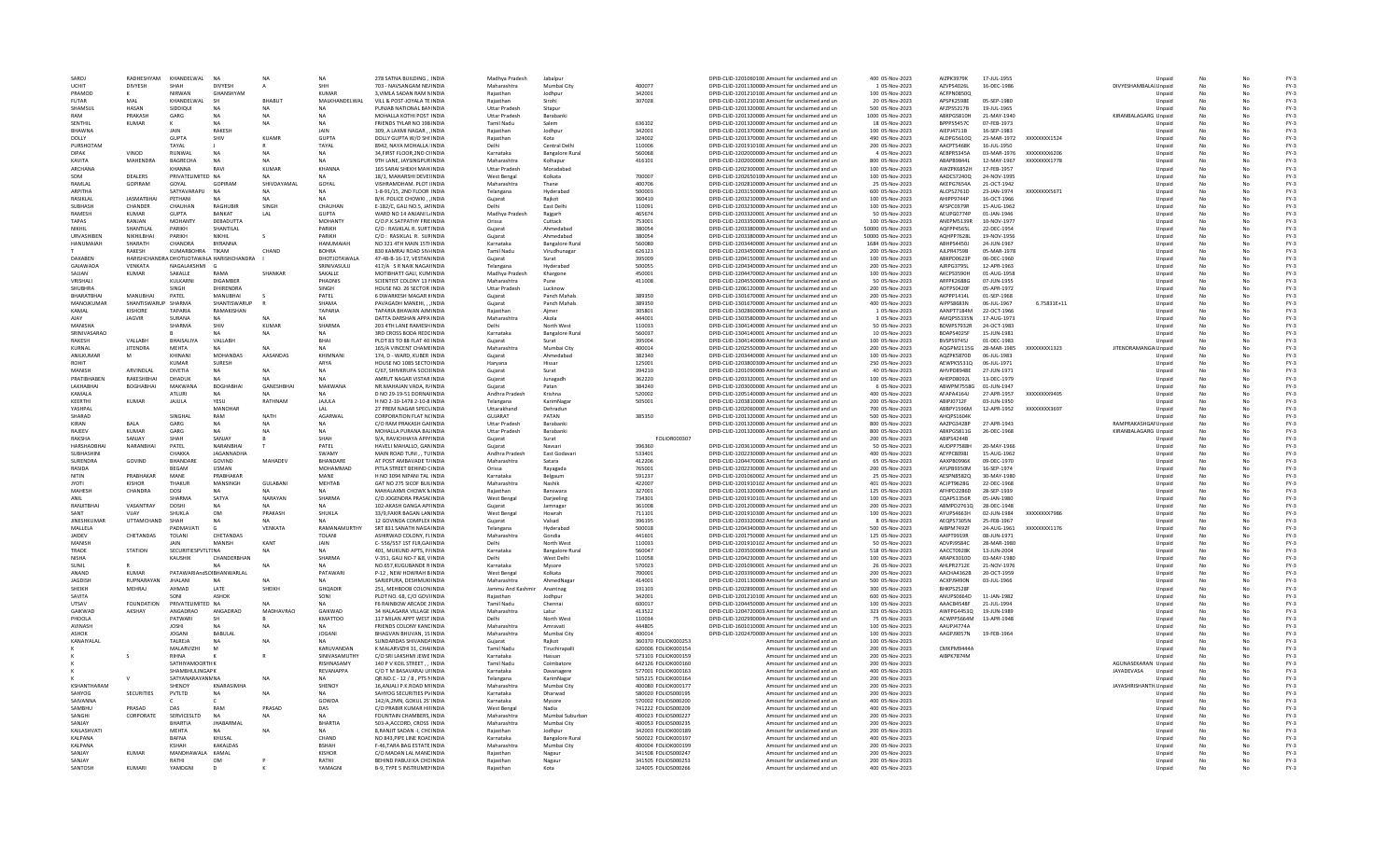|                    | RADHESHYAM          | KHANDELWAL               | NA                                        | <b>NA</b>      | <b>NA</b>           | 278 SATNA BUILDING . INDIA                                           | Madhya Pradesh           | Jabalpu                   |                                           | DPID-CLID-1201060100 Amount for unclaimed and un           | 400 05-Nov-2023                    | AIZPK3979K        | 17-JUL-1955  |              | Unnaid                                      |           |    | $FY-3$           |
|--------------------|---------------------|--------------------------|-------------------------------------------|----------------|---------------------|----------------------------------------------------------------------|--------------------------|---------------------------|-------------------------------------------|------------------------------------------------------------|------------------------------------|-------------------|--------------|--------------|---------------------------------------------|-----------|----|------------------|
| LICHIT             | <b>DIVYESH</b>      | SHAH                     | <b>DIVYESH</b>                            |                | <b>SHH</b>          | 703 - NAVSANGAM NE/INDIA                                             | Maharashtra              | Mumbai City               | 400077                                    | DPID-CLID-1201130000 Amount for unclaimed and un           | 1 05-Nov-2023                      | AZVPS4026L        | 16-DEC-1986  |              | DIVYESHAMBALAI Unpaid                       | No        |    | $FY-3$           |
| PRAMOD             |                     | NIRWAN                   | GHANSHYAM                                 |                | KUMAR               | 3. VIMLA SADAN RAM NINDIA                                            | Rajasthan                | Jodhpur                   | 342001                                    | DPID-CLID-1201210100. Amount for unclaimed and un          | 100 05-Nov-2023                    | ACFPN0850Q        |              |              | Unpaid                                      | No        |    | $FY-3$           |
| <b>FUTAR</b>       | MAL                 | KHANDELWAL               |                                           | <b>BHABU</b>   | MALKHANDELWAL       | VILL & POST-JOYALA TE INDIA                                          | Rajasthar                | Sirohi                    | 307028                                    | DPID-CLID-1201210100 Amount for unclaimed and un           | 20 05-Nov-2023                     | APSPK2598E        | 05-SEP-1980  |              | Unpaid                                      | No        |    | $FY-3$           |
| SHAMSUI            | <b>HASAN</b>        | SIDDIQUI                 | N A                                       |                | NA                  | PUNJAB NATIONAL BANINDIA                                             | <b>Uttar Pradesh</b>     | Sitapur                   |                                           | DPID-CLID-1201320000 Amount for unclaimed and un           | 500 05-Nov-2023                    | AFZPS5217B        | 19-JUL-1965  |              | Unpaid                                      | No        |    | $FY-3$           |
| RAM                | PRAKASH             | GARG                     | <b>NA</b>                                 | <b>NA</b>      | <b>NA</b>           | MOHALLA KOTHI POST INDIA                                             | <b>Uttar Pradesh</b>     | Barabanki                 |                                           | DPID-CLID-1201320000 Amount for unclaimed and un           | 1000 05-Nov-2023                   | ABKPG5810H        | 21-MAY-1940  |              | KIRANBALAGARG Unpaid                        | No        | No | $FY-3$           |
| SENTHIL            | KUMAR               |                          | NΔ                                        | <b>NA</b>      | <b>NA</b>           | FRIENDS TYLAR NO 198 INDIA                                           | <b>Tamil Nadu</b>        | Salem                     | 636102                                    | DPID-CLID-1201320000 Amount for unclaimed and un           | 18 05-Nov-2023                     | RPPPS5457C        | 07-FFB-1973  |              | Unpaid                                      | No        | No | $FY-3$           |
| <b>RHAWNA</b>      |                     | JAIN                     | <b>RAKESH</b>                             |                | JAIN                | 309, A LAXMI NAGAR, INDI                                             | Rajasthan                | Jodhpur                   | 342001                                    | DPID-CLID-1201370000 Amount for unclaimed and un           | 100 05-Nov-2023                    | AIEPJ4711B        | 16-SEP-1983  |              | Unpaid                                      | No        |    | $FY-3$           |
| DOLLY              |                     | GUPTA                    | SHIV                                      | <b>KUAMF</b>   | <b>GUPTA</b>        | DOLLY GUPTA W/O SHI INDIA                                            | Rajasthan                | Kota                      | 324002                                    | DPID-CLID-1201370000 Amount for unclaimed and un           | 490 05-Nov-2023                    | ALDPG5610Q        | 23-MAR-1972  | XXXXXXX1524  | Unpaid                                      | No        |    | $FY-3$           |
| PURSHOTAN          |                     | TAYAL                    |                                           |                | TAYAL               | 8942, NAYA MOHALLA INDIA                                             | Delhi                    | Central Delhi             | 110006                                    | DPID-CLID-1201910100 Amount for unclaimed and un           | 200 05-Nov-2023                    | AACPT5468K        | 16-JUL-1950  |              | Unpaid                                      | No        |    | $FY-3$           |
| <b>DIPAK</b>       | VINOD               | RUNWAL                   | <b>NA</b>                                 | <b>NA</b>      | <b>NA</b>           | 34.FIRST FLOOR.2ND CHNDIA                                            | Karnataka                | <b>Bangalore Rural</b>    | 560068                                    | DPID-CLID-1202000000 Amount for unclaimed and un           | 4 05-Nov-2023                      | AEBPR5345A        | 03-MAR-1976  | XXXXXXXX6206 | Unpaid                                      | No        | No | $FY-3$           |
| KAVITA             | MAHENDRA            | BAGRECHA                 | NΔ                                        | NΔ             | <b>NA</b>           | 9TH LANE, JAYSINGPUR INDIA                                           | Maharashtra              | Kolhanur                  | 416101                                    | DPID-CLID-1202000000 Amount for unclaimed and un           | 800 05-Nov-2023                    | ARAPR98441        | 12-MAY-1967  | XXXXXXXX1778 | Unpaid                                      | No        | No | $FY-3$           |
| <b>ARCHANA</b>     |                     | <b>KHANNA</b>            | RAVI                                      | <b>KUMAR</b>   | KHANNA              | 165 SARAI SHEKH MAH INDIJ                                            | <b>Uttar Pradesh</b>     | Moradabad                 |                                           | DPID-CLID-1202300000. Amount for unclaimed and un          | 100 05-Nov-2023                    | AWZPK6852H        | 17-FEB-1957  |              | Unpaid                                      | No        |    | $FY-3$           |
| SOM                | DEALERS             | PRIVATELIMITED NA        |                                           |                | <b>NA</b>           | 18/1. MAHARSHI DEVELINDIA                                            | West Bengal              | Kolkata                   | 700007                                    | DPID-CLID-1202650100 Amount for unclaimed and un           | 100 05-Nov-2023                    | AADCS7240Q        | 24-NOV-1995  |              | Unpaid                                      | <b>No</b> |    | $FY-3$           |
| RAMLAL             | GOPIRAM             | GOYAL                    | GOPIRAM                                   | SHIVDAYAMAL    | GOYAL               | VISHRAMDHAM, PLOT IINDIA                                             | Maharashtra              | Thane                     | 400706                                    | DPID-CLID-1202810000 Amount for unclaimed and un           | 25 05-Nov-2023                     | AKEPG7654A        | 21-OCT-1942  |              | Unpaid                                      | No        | No | $FY-3$           |
| ARPITHA            |                     | SATYAVARAPLI             | <b>NA</b>                                 | NΔ             | NA                  | 1-8-91/15, 2ND FLOOR INDIA                                           | Telangana                | Hyderabad                 | 500003                                    | DPID-CLID-1203150000 Amount for unclaimed and un           | 600 05-Nov-2023                    | ALCP52761D        | 23-IAN-1974  | XXXXXXXX5671 | Unpaid                                      | No        | No | $FY-3$           |
| RASIKLAL           | <b>IASMATRHA</b>    | PETHANI                  | NΔ                                        | NΔ             | <b>NA</b>           | B/H. POLICE CHOWKI, , INDIA                                          | Gujarat                  | Raikot                    | 360410                                    | DPID-CLID-1203210000 Amount for unclaimed and un           | 100 05-Nov-2023                    | AHIPP9744P        | 16-OCT-1966  |              | Unpaid                                      | No        | No | $FY-3$           |
| SUBHASH            | CHANDER             | CHAUHAN                  | <b>RAGHUBIR</b>                           | SINGH          | CHAUHAN             | E-182/C, GALI NO.5, JAHNDI/                                          |                          | East Delhi                | 110091                                    | DPID-CLID-1203230000 Amount for unclaimed and un           | 100 05-Nov-2023                    | AFSPC0379R        | 15-AUG-1962  |              | Unpaid                                      |           |    | $FY-3$           |
| RAMESH             | <b>KUMAR</b>        | <b>GUPTA</b>             | BANKAT                                    | LAL            | <b>GUPTA</b>        | WARD NO 14 ANJANI LINDIA                                             | Madhya Pradesh           | Raigarh                   | 465674                                    | DPID-CLID-1203320001 Amount for unclaimed and un           | 50 05-Nov-2023                     | AEUPG0774R        | 01-JAN-1946  |              | Unpaid                                      | <b>No</b> | No | $FY-3$           |
| TAPAS              | RANJAN              | <b>MOHANTY</b>           | DEBADUTTA                                 |                | MOHANTY             | C/O.P.K.SATPATHY FRIEINDIA                                           | Orissa                   | Cuttack                   | 753001                                    | DPID-CLID-1203350000 Amount for unclaimed and un           | 100 05-Nov-2023                    | ANEPM5139R        | 10-NOV-1977  |              | Unpaid                                      | No        | No | $FY-3$           |
| NIKHII             | SHANTILAI           | PARIKH                   | SHANTILAL                                 |                | PARIKH              | C/O : RASIKLAL R. SURT INDIA                                         | Guiarat                  | Ahmedabad                 | 380054                                    | DPID-CLID-1203380000 Amount for unclaimed and un           | 50000 05-Nov-2023                  | AOFPP4565L        | 22-DFC-1954  |              | Unpaid                                      | No        | No | $FY-3$           |
| <b>URVASHIBEN</b>  | NIKHILBHA           | PARIKH                   | NIKHII                                    |                | PARIKH              | C/O : RASIKLAL R. SUFINDIA                                           | Gujarat                  | Ahmedabad                 | 380054                                    | DPID-CLID-1203380000 Amount for unclaimed and un           | 50000 05-Nov-2023                  | AOHPP7628L        | 19-NOV-1956  |              | Unpaid                                      | No        | No | $FY-3$           |
| HANUMAIAH          | SHARATH             | CHANDRA                  | <b>BYRANNA</b>                            |                | HANUMAIAH           | NO 321 4TH MAIN 15THNDIA                                             | Karnataka                | <b>Bangalore Rura</b>     | 560080                                    | DPID-CLID-1203440000 Amount for unclaimed and un           | 1684 05-Nov-2023                   | <b>ABHPS4450J</b> | 24-JUN-1967  |              | Unpaid                                      | No        |    | $FY-3$           |
|                    | <b>RAKESH</b>       | KUMARBOHRA               | TIKAM                                     | CHAND          | <b>BOHRA</b>        | 830 KAMRAJ ROAD SIV/INDIA                                            | <b>Tamil Nadu</b>        | Virudhunagar              | 626123                                    | DPID-CLID-1203450000 Amount for unclaimed and un           | 200 05-Nov-2023                    | AJLPR4759E        | 05-MAR-1978  |              | Unpaid                                      | <b>No</b> | No | $FY-3$           |
| DAXABEN            |                     |                          | HARISHCHANDRA DHOTIJOTAWALA HARISHCHANDRA |                | DHOTJOTAWALA        | 47-48-B-16-17, VESTAN INDIA                                          | Guiarat                  | Surat                     | 395009                                    | DPID-CLID-1204150000 Amount for unclaimed and un           | 100 05-Nov-2023                    | ABKPD0623P        | 06-DEC-1960  |              | Unpaid                                      | No        | No | $FY-3$           |
| <b>GAIAWADA</b>    | VENKATA             | NAGALAKSHMI G            |                                           |                | SRINIVASULU         | 417/A S R NAIK NAGAHNDIA                                             | Telangana                | Hyderabad                 | 500055                                    | DPID-CLID-1204340000 Amount for unclaimed and un           | 200 05-Nov-2023                    | AIRPG3795L        | 12-APR-1963  |              | Unpaid                                      | No        | No | $FY-3$           |
| SAJJAN             | <b>KUMAR</b>        | SAKALLE                  | RAMA                                      | SHANKAF        | SAKALLE             | MOTIBHATT GALI, KUMINDI/                                             | Madhya Pradesh           | Khargone                  | 450001                                    | DPID-CLID-1204470002 Amount for unclaimed and un           | 100 05-Nov-2023                    | AKCPS3590H        | 01-AUG-1958  |              | Unpaid                                      | No        | No | $FY-3$           |
| VRISHALI           |                     | KULKARNI                 | DIGAMBER                                  |                | PHADNIS             | <b>SCIENTIST COLONY 13 NINDIA</b>                                    | Maharashtra              | Pune                      | 411008                                    | DPID-CLID-1204550000 Amount for unclaimed and un           | 50 05-Nov-2023                     | ARFPK2688G        | 07-JUN-1955  |              | Unpaid                                      | No        |    | $FY-3$           |
| <b>SHUBHRA</b>     |                     | SINGH                    | <b>DHIRENDRA</b>                          |                | SINGH               | HOUSE NO. 26 SECTOR INDIA                                            | <b>Uttar Pradesh</b>     | Lucknow                   |                                           | DPID-CLID-1206120000 Amount for unclaimed and un           | 200 05-Nov-2023                    | AOTPS0420         | 05-APR-1972  |              | Unpaid                                      | No        | No | $FY-3$           |
| RHARATRHAI         | MANURHA             | PATFI                    | MANURHAL                                  |                | PATFI               | 6 DWARKESH MAGAR KINDIA                                              | Gujarat                  | Panch Mahals              | 389350                                    | DPID-CLID-1301670000 Amount for unclaimed and un           | 200.05-Nov-2023                    | AKPPP1414I        | 01-SEP-1968  |              | Unpaid                                      | No        | No | $FY-3$           |
| MANOIKUMAR         | SHANTISWARUP SHARMA |                          | SHANTISWARUP                              |                | SHAMA               | PAVAGADH MANEHIINDIA                                                 | Gujarat                  | Panch Mahals              | 389350                                    | DPID-CLID-1301670000 Amount for unclaimed and un           | 400 05-Nov-2023                    | <b>AIPPS8683N</b> | 06-JUL-1967  | 6.75831E+11  | Unpaid                                      | No        | No | $FY-3$           |
| KAMAI              | KISHORE             | TAPARIA                  | RAMAKISHAN                                |                | TAPARIA             | TAPARIA BHAWAN AJMINDIA                                              | Rajasthar                | Ajmer                     | 305801                                    | DPID-CLID-1302860000 Amount for unclaimed and un           | 1 05-Nov-2023                      | AANPT7184N        | 22-OCT-1966  |              | Unpaid                                      | No        |    | $FY-3$           |
| AJAY               | <b>JAGVIR</b>       | SURANA                   |                                           |                |                     | DATTA DARSHAN APPA INDIA                                             | Maharashtra              | Akola                     | 444001                                    | DPID-CLID-1303580000 Amount for unclaimed and un           | 3 05-Nov-2023                      | AMOPS5335N        | 17-AUG-1973  |              | Unpaid                                      | No        |    | $FY-3$           |
| MANISHA            |                     | SHARMA                   | SHIV                                      | KUMAR          | SHARMA              | 203 4TH LANE RAMESHINDIA                                             | Delhi                    | North West                | 110033                                    | DPID-CLID-1304140000 Amount for unclaimed and un           | 50 05-Nov-2023                     | BDWPS7932R        | 24-OCT-1983  |              | Unpaid                                      | No        | No | $FY-3$           |
| SRINIVASARAO       |                     |                          |                                           | <b>NA</b>      | <b>NA</b>           | 3RD CROSS BODA REDEINDIA                                             | Karnataka                | <b>Bangalore Rural</b>    | 560037                                    | DPID-CLID-1304140001 Amount for unclaimed and un           | 10.05-Nov-2023                     | BDAPS4025F        | 15-IUN-1981  |              | Unpaid                                      | No        | No | FY-3             |
| <b>RAKESH</b>      | VALLARH             | BHAISALIYA               | VALLABH                                   |                | <b>RHAI</b>         | PLOT 83 TO 88 FLAT 40 INDIA                                          | Gujarat                  | Surat                     | 395004                                    | DPID-CLID-1304140006 Amount for unclaimed and un           | 100 05-Nov-2023                    | RVSPS97451        | 01-DEC-1983  |              | Unpaid                                      | No        | No | $FY-3$           |
| KURNAI             | <b>JITENDRA</b>     | MEHTA                    |                                           |                | <b>NA</b>           | 165/A VINCENT CHAMEINDIA                                             | Maharashtra              | Mumbai City               | 400014                                    | DPID-CLID-1202550000 Amount for unclaimed and un           | 200 05-Nov-2023                    | AQGPM2115G        | 28-MAR-1985  | XXXXXXX1323  | JITENDRAMANGA Unpaid                        | No        |    | $FY-3$           |
| ANILKUMAR          | M                   | KHINANI                  | <b>MOHANDAS</b>                           | AASANDAS       | KHIMNAN             | 174. D - WARD, KUBER INDIA                                           | Gujarat                  | Ahmedabad                 | 382340                                    | DPID-CLID-1203440000 Amount for unclaimed and un           | 100 05-Nov-2023                    | AQZPK5870D        | 06-JUL-1983  |              |                                             | No        |    | $FY-3$           |
| <b>ROHIT</b>       |                     | KUMAR                    | SURESH                                    |                | ARYA                | HOUSE NO 1085 SECTO INDIA                                            | Harvana                  | Hissar                    | 125001                                    | DPID-CLID-1203800300 Amount for unclaimed and un           | 250 05-Nov-2023                    | AEWPK5531Q        | 06-JUL-1971  |              | Unpaid<br>Unpaid                            | No        | No | $FY-3$           |
| MANISH             | <b>ARVINDI AI</b>   | DIVETIA                  | <b>NA</b>                                 | <b>NA</b>      | <b>NA</b>           | C/67. SHIVKRUPA SOCIEINDIA                                           |                          | Surat                     | 394210                                    | DPID-CLID-1201090000 Amount for unclaimed and un           | 40.05-Nov-2023                     | <b>AHVPD8948F</b> | 27-ILIN-1971 |              |                                             | No        | No | FY-3             |
| PRATIBHAREN        | RAKESHRHAI          | DHADUK                   | N <sub>4</sub>                            | NΔ             | NΔ                  | AMRUT NAGAR VISTAR INDIA                                             | Gujarat                  |                           | 362220                                    |                                                            |                                    | AHFPD8092L        |              |              | Unpaid                                      |           | No | $FY-3$           |
|                    |                     |                          |                                           |                |                     |                                                                      | Gujarat                  | Junagadh                  |                                           | DPID-CLID-1203320001 Amount for unclaimed and un           | 100 05-Nov-2023                    |                   | 13-DEC-1979  |              | Unpaid                                      | No        |    |                  |
| LAKHABHA           | <b>BOGHABHAI</b>    | <b>MAKWANA</b>           | <b>BOGHABI</b>                            | GANESHBHA      | MAKWANA             | NR.MAHAJAN VADA, R/INDI/                                             | Guiarat                  | Patan                     | 384240                                    | DPID-CLID-1203000000 Amount for unclaimed and un           | 6 05-Nov-2023                      | <b>ABWPM7558G</b> | 01-JUN-1947  |              | Unpaid                                      | No        |    | $FY-3$           |
| KAMALA             |                     | ATLURI                   |                                           |                |                     | D NO 29-19-51 DORNAIINDIA                                            | Andhra Pradesh           | Krishna                   | 520002                                    | DPID-CLID-1205140000 Amount for unclaimed and un           | 400 05-Nov-2023                    | AFAPA4164J        | 27-APR-1957  | XXXXXXXX9405 | Unpaid                                      | No        |    | $FY-3$           |
| KEERTHI            | <b>KUMAR</b>        | <b>JAJULA</b>            | YESU                                      | RATHNAM        | <b>JAJULA</b>       | H NO 2-10-1478 2-10-8 INDIA                                          | Telangana                | KarimNagar                | 505001                                    | DPID-CLID-1203810000 Amount for unclaimed and un           | 200 05-Nov-2023                    | ABIPJ0712F        | 03-JUN-1950  |              | Unpaid                                      | No        | No | $FY-3$           |
| YASHPAI            |                     |                          | MANOHAR                                   |                | IAI                 | 27 PREM NAGAR SPECI INDIA                                            | Uttarakhand              | Dehradun                  |                                           | DPID-CLID-1202060000 Amount for unclaimed and un           | 700 05-Nov-2023                    | ARRPY1596M        | 12-APR-1952  | XXXXXXXX3697 | Unpaid                                      | No        | No | $FY-3$           |
| SHARAD             |                     | <b>SINGHAI</b>           | RAM                                       | <b>NATH</b>    | AGARWAL             | <b>CORPORATION FLAT NCINDIA</b>                                      | GUJARAT                  | PATAN                     | 385350                                    | DPID-CLID-1201320000 Amount for unclaimed and un           | 500 05-Nov-2023                    | AHOPS1604K        |              |              | Unpaid                                      | No        |    | $FY-3$           |
| <b>KIRAN</b>       | <b>BALA</b>         | GARG                     | NA.                                       | NA             | <b>NA</b>           | C/O RAM PRAKASH GAHNDIA                                              | <b>Uttar Pradesh</b>     | Barabank                  |                                           | DPID-CLID-1201320000 Amount for unclaimed and un           | 800 05-Nov-2023                    | AAZPG3428F        | 27-APR-1943  |              | RAMPRAKASHGAI Unpaid                        | No        | No | $FY-3$           |
| RAJEEV             | KUMAR               | GARG                     |                                           |                |                     | MOHALLA PURANA BAZINDIA                                              | <b>Uttar Pradesh</b>     | Barabanki                 |                                           | DPID-CLID-1201320000 Amount for unclaimed and un           | 800 05-Nov-2023                    | ABKPG5811G        | 26-DEC-1968  |              | KIRANBALAGARG Unpaid                        | No        |    | $FY-3$           |
| RAKSHA             | SANIAY              | SHAH                     | SANJAY                                    |                | SHAH                | 9/A. RAVICHHAYA APP/INDIA                                            | Guiarat                  | Surat                     | FOLIOR000307                              | Amount for unclaimed and un                                | 200 05-Nov-2023                    | ABIPS4244B        |              |              | Unpaid                                      | No        | No | $FY-3$           |
| HARSHADRHA         | NARANBHAI           | PATEL                    | NARANRHAI                                 |                | PATEL               | HAVELI MAHALLO, GAN INDIA                                            | Gujarat                  | Navçari                   | 396360                                    | DPID-CLID-1203610000 Amount for unclaimed and un           | 50 05-Nov-2023                     | AUDPP7588H        | 20-MAN-1966  |              | Unpaid                                      | No        | No | $FY-3$           |
| SURHASHINI         |                     | CHAKKA                   | <b>IAGANNADHA</b>                         |                | SWAMY               | MAIN ROAD TUNI, , TUINDIA                                            | Andhra Pradesh           | East Godavari             | 533401                                    | DPID-CLID-1202230000 Amount for unclaimed and un           | 400 05-Nov-2023                    | AEYPC8098J        | 15-AUG-1962  |              | Unpaid                                      | No        |    | $FY-3$           |
| SURENDRA           | GOVIND              | <b>BHANDARE</b>          | GOVIND                                    | MAHADEV        | <b>BHANDARE</b>     | AT POST AMBAVADE T/INDI/                                             | Maharashtra              | Satara                    | 412206                                    | DPID-CLID-1204470006 Amount for unclaimed and un           | 65 05-Nov-2023                     | AAXPB0996K        | 09-DEC-1970  |              | Unpaid                                      | No        | No | $FY-3$           |
| RASIDA             |                     | BEGAM                    | USMAN                                     |                | MOHAMMAD            | PITLA STREET BEHIND CINDIA                                           | Orissa                   | Ravagada                  | 765001                                    | DPID-CLID-1202230000 Amount for unclaimed and un           | 200 05-Nov-2023                    | AYLPB9350M        | 16-SEP-1974  |              | Unpaid                                      | No        |    | $FY-3$           |
|                    |                     | MANE                     | PRABHAKAR                                 |                | MANE                | H NO 3094 NIPANI TAL INDIA                                           | Karnataka                | Belgaum                   | 591237                                    | DPID-CLID-1201060002 Amount for unclaimed and un           | 25 05-Nov-2023                     |                   | 30-MAY-1980  |              |                                             | No        | No | $FY-3$           |
| NITIN              | PRABHAKAR           |                          |                                           |                |                     |                                                                      |                          |                           |                                           |                                                            |                                    | AESPN8582Q        |              |              | Unpaid                                      |           | No | $FY-3$           |
| <b>IVOTI</b>       | KISHOR              | THAKUR                   | MANSINGH                                  | GULABANI       |                     | GAT NO 275 SICOF BUILINDIA                                           | Maharashtra              | Nashik                    | 422007                                    | DPID-CLID-1201910102 Amount for unclaimed and un           | 401 05-Nov-2023                    | ACIPT9628G        | 22-DEC-1968  |              | Unpaid                                      | No        |    |                  |
| MAHESH             | CHANDRA             | DOSI                     |                                           |                | MEHTAB<br><b>NA</b> | MAHALAXMI CHOWK NINDIA                                               | Rajasthan                | Banswara                  | 327001                                    | DPID-CLID-1201320000 Amount for unclaimed and un           | 125 05-Nov-2023                    | AFHPD2286D        | 28-SEP-1939  |              | Unpaid                                      | No        |    | $FY-3$           |
| ANIL               |                     | SHARMA                   | SATYA                                     | NARAYAN        | SHARMA              | C/O JOGENDRA PRASALINDIA                                             | <b>West Bengal</b>       | Darjeeling                | 734301                                    | DPID-CLID-1201910101: Amount for unclaimed and un          | 100 05-Nov-2023                    | CQAPS1356R        | 05-JAN-1980  |              | Unpaid                                      | No        | No | $FY-3$           |
| RANJITBHAI         | VASANTRAY           | <b>DOSHI</b>             | NA.                                       |                | NA                  | 102-AKASH GANGA APHNDIA                                              | Guiarat                  | Jamnagar                  | 361008                                    | DPID-CLID-1201200000 Amount for unclaimed and un           | 200 05-Nov-2023                    | ABMPD2761Q        | 28-DEC-1948  |              | Unpaid                                      | No        |    | $FY-3$           |
| SANT               | VIIAV               | SHUKLA                   | OM                                        | PRAKASH        | SHUKLA              | 33/9.FAKIR BAGAN LANINDIA                                            | <b>West Bengal</b>       | Howrah                    | 711101                                    | DPID-CLID-1201910300 Amount for unclaimed and un           | 100 05-Nov-2023                    | AYUPS4663H        | 02-JUN-1984  | XXXXXXXX7986 | Unpaid                                      | No        | No | $FY-3$           |
| <b>JINESHKUMAR</b> | UTTAMCHAND          | SHAH                     |                                           | N <sub>A</sub> | NΔ                  | 12 GOVINDA COMPLEX INDIA                                             | Guiarat                  | Valsad                    | 396195                                    | DPID-CLID-1203320002 Amount for unclaimed and un           | 8 05-Nov-2023                      | AEOPS7305N        | 25-FEB-1967  |              | Unpaid                                      | No        | No | $FY-3$           |
| MALLELA            |                     | PADMAVATI                |                                           | VENKATA        | RAMANAMURTHY        | SRT 831 SANATH NAGA INDIA                                            | Telangana                | Hyderabad                 | 500018                                    | DPID-CLID-1204340000 Amount for unclaimed and un           | 500 05-Nov-2023                    | AIBPM7492F        | 24-AUG-1961  | XXXXXXX1176  | Unpaid                                      | No        |    | $FY-3$           |
| <b>IAIDEV</b>      | CHETANDAS           | <b>TOLANI</b>            | CHETANDAS                                 |                | TOLANI              | ASHIRWAD COLONY, FLINDIA                                             | Maharashtra              | Gondia                    | 441601                                    | DPID-CLID-1201750000 Amount for unclaimed and un           | 125 05-Nov-2023                    | AAIPT9919F        | 08-JUN-1971  |              | Unpaid                                      | No        | No | $FY-3$           |
| MANISH             |                     | JAIN                     | MANISH                                    | KANT           | JAIN                | C-556/557 1ST FLR.GAUNDIA                                            | Delhi                    | North West                | 110033                                    | DPID-CLID-1201910102 Amount for unclaimed and un           | 50 05-Nov-2023                     | ADVPJ9584C        | 28-MAR-1980  |              | Unpaid                                      | No        | No | $FY-3$           |
| TRADE              | <b>STATION</b>      | SECURITIESPVTLTINA       |                                           | NA             | NΔ                  | 401. MUKUND APTS. P/INDIA                                            | Karnataka                | <b>Bangalore Bural</b>    | 560047                                    | DPID-CLID-1203500000 Amount for unclaimed and un           | 518 05-Nov-2023                    | AACCT0928K        | 13-IUN-2004  |              | Unpaid                                      | No        | No | $FY-3$           |
| <b>NISHA</b>       |                     | KAUSHIK                  | CHANDERBHAN                               |                | SHARMA              | V-351, GALI NO-7 &8, VINDIA                                          |                          | West Delhi                | 110058                                    | DPID-CLID-1204230000 Amount for unclaimed and un           | 100 05-Nov-2023                    | ARAPK3010D        | 03-MAY-1980  |              | Unpaid                                      | No        | No | $FY-3$           |
| SUNIL              |                     |                          |                                           | N <sub>A</sub> |                     | NO.657,KUGUBANDE R INDIA                                             | Karnataka                | Mysore                    | 570023                                    | DPID-CLID-1201090001 Amount for unclaimed and un           | 26 05-Nov-2023                     | AHLPR2712E        | 21-NOV-1976  |              | Unpaid                                      | No        |    | $FY-3$           |
| ANAND              | KUMAR               | PATAWARIAndSOIBHANWARLAL |                                           |                | PATAWARI            | P-12 . NEW HOWRAH BINDIA                                             | West Bengal              | Kolkata                   | 700001                                    | DPID-CLID-1203390000 Amount for unclaimed and un           | 200 05-Nov-2023                    | AACHA4362E        | 20-OCT-1959  |              | Unpaid                                      | No        | No | $FY-3$           |
| <b>JAGDISH</b>     | RUPNARAYAN          | <b>JHALANI</b>           | <b>NA</b>                                 |                | <b>NA</b>           | SARJEPURA, DESHMUK INDIA                                             | Maharashtra              | AhmedNagar                | 414001                                    | DPID-CLID-1201130000 Amount for unclaimed and un           | 500 05-Nov-2023                    | ACXPJ9490N        | 03-JUL-1966  |              | Unpaid                                      | No        | No | $FY-3$           |
| SHEIKH             | MEHRAI              | AHMAD                    | <b>LATE</b>                               | SHFIKH         | <b>GHOADIR</b>      | 251. MEHBOOR COLONINDIA                                              | Jammu And Kashmir        | Anantnag                  | 191103                                    | DPID-CLID-1202890000 Amount for unclaimed and un           | 300.05-Nov-2023                    | <b>BHKPS2528F</b> |              |              | Unpaid                                      | No        | No | $FY-3$           |
| SAVITA             |                     | SONI                     | ASHOK                                     |                | SONI                | PLOT NO. 68, C/O GOVI INDIA                                          | Rajasthar                | Jodhpur                   | 342001                                    | DPID-CLID-1201210100 Amount for unclaimed and un           | 600 05-Nov-2023                    | ANUPS0664D        | 11-JAN-1982  |              | Unpaid                                      | No        |    | $FY-3$           |
| UTSAV              | <b>FOUNDATION</b>   | PRIVATELIMITED NA        |                                           | N <sub>A</sub> |                     | F6 RAINBOW ARCADE 2 INDIA                                            | <b>Tamil Nadu</b>        | Chennai                   | 600017                                    | DPID-CLID-1204450000 Amount for unclaimed and un           | 100 05-Nov-2023                    | AAACB4548F        | 21-JUL-1994  |              |                                             | No        |    | $FY-3$           |
| GAIKWAD            | AKSHAY              | ANGADRAO                 | ANGADRAO                                  | MADHAVRAO      | GAIKWAD             | 34 HALAGARA VILLAGE INDIA                                            | Maharashtra              | Latur                     | 413522                                    | DPID-CLID-1204720003 Amount for unclaimed and un           | 323 05-Nov-2023                    | AWFPG4453Q        | 19-JUN-1989  |              | Unpaid<br>Unpaid                            | No        | No | $FY-3$           |
| PHOOLA             |                     | PATWARI                  | sн                                        |                | KMATTOO             | 117 MILAN APPT WEST INDIA                                            | Delhi                    | North West                | 110034                                    | DPID-CLID-1202990004 Amount for unclaimed and un           | 75 05-Nov-2023                     | ACWPP5664M        | 13-APR-1948  |              | Unpaid                                      | No        | No | $FY-3$           |
| AVINASH            |                     | <b>IOSHI</b>             | N <sub>4</sub>                            | <b>NA</b>      | <b>NA</b>           | <b>ERIENDS COLONY KANEINDIA</b>                                      | Maharashtra              | Amravati                  | 444805                                    | DPID-CLID-1601010000 Amount for unclaimed and un           | 100 05-Nov-2023                    | <b>AAUP14774A</b> |              |              | Unpaid                                      | No        | No | $FY-3$           |
| ASHOK              |                     | <b>JOGANI</b>            | BABULAL                                   |                | <b>JOGANI</b>       | BHAGVAN BHUVAN, 1S INDIA                                             | Maharashtra              | Mumbai City               | 400014                                    | DPID-CLID-1202470000 Amount for unclaimed and un           | 100 05-Nov-2023                    | AAGPJ9057N        | 19-FEB-1964  |              | Unpaid                                      | No        |    |                  |
| KANAIYALAL         |                     | TALREJA                  |                                           | N/             |                     | SUNDARDAS SHIVANDA INDIA                                             | Guiarat                  | Raikot                    | 360370 FOLIOK000253                       | Amount for unclaimed and un                                | 100 05-Nov-2023                    |                   |              |              | Unpaid                                      | No        |    | $FY-3$<br>$FY-3$ |
|                    |                     | MALARVIZHI               | M                                         |                | KARUVANDAN          | K MALARVIZHI 31, CHAIINDIA                                           | <b>Tamil Nadu</b>        | Tiruchirapalli            | 620006 FOLIOK000154                       | Amount for unclaimed and un                                | 200 05-Nov-2023                    | CMKPM9444A        |              |              | Unpaid                                      | No        | No | $FY-3$           |
|                    |                     | RIHNA                    |                                           |                | SINIVASAMUTHY       | C/O SRI LAKSHMI JEWE INDIA                                           | Karnataka                | Hassan                    | 573103 EOLIOK000159                       | Amount for unclaimed and un                                | 200.05-Nov-2023                    | AIRPK7874M        |              |              | Unnaid                                      | No        | No | FY-3             |
|                    |                     | <b>SATHIYAMOORTHK</b>    |                                           |                | RISHNASAMY          | 140 P V KOIL STREET, , INDIA                                         | <b>Tamil Nadu</b>        | Coimbatore                | 642126 FOLIOK000160                       | Amount for unclaimed and un                                | 200 05-Nov-2023                    |                   |              |              |                                             | No        |    | $FY-3$           |
|                    |                     | <b>SHAMBHULINGAPK</b>    |                                           |                | REVANAPPA           | C/O T M BASAVARAJ UFINDIA                                            | Karnataka                | Davanagere                | 577001 FOLIOK000163                       | Amount for unclaimed and un                                | 400 05-Nov-2023                    |                   |              |              | AGUNASEKARAN Unpaid<br>JAYADEVASA<br>Unpaid | No        |    | $FY-3$           |
|                    |                     | SATYANARAYANN NA         |                                           |                |                     | OR.NO.C - 12 / 8 . PTS NINDIA                                        |                          |                           | 505215 FOLIOK000164                       |                                                            | 200 05-Nov-2023                    |                   |              |              |                                             | No        |    | $FY-3$           |
| KSHANTHARAM        |                     | SHENOY                   | <b>KNARASIMHA</b>                         |                | SHENOY              | 16.ANJALI P.K.ROAD MIINDIA                                           | Telangana<br>Maharashtra | KarimNagar<br>Mumbai City | 400080 FOLIOK000177                       | Amount for unclaimed and un<br>Amount for unclaimed and un | 200 05-Nov-2023                    |                   |              |              | Unpaid                                      | No        | No | $FY-3$           |
| SAHYOG             | <b>SECURITIES</b>   | PVTLTD                   | NΔ                                        | <b>NA</b>      | NΔ                  | SAHYOG SECURITIES PVINDIA                                            | Karnataka                | Dharwad                   | 580020 EQUOS000195                        | Amount for unclaimed and un                                | 200.05-Nov-2023                    |                   |              |              | JAYASHRISHANTH Unpaid<br>Unpaid             | No        | No | FY-3             |
| SAIVANNA           |                     |                          |                                           |                |                     |                                                                      |                          |                           |                                           |                                                            |                                    |                   |              |              |                                             |           |    |                  |
|                    |                     |                          |                                           |                | GOWDA               | 142/A,2MN, GOKUL 2S'INDIA                                            | Karnataka                | Mysore                    | 570002 FOLIOS000200                       | Amount for unclaimed and un                                | 400 05-Nov-2023                    |                   |              |              | Unpaid                                      | No        |    | $FY-3$           |
| SAMBHU             | PRASAD              | DAS                      |                                           | PRASAD         | DAS                 | C/O PRABIR KUMAR HIFINDIA                                            | West Bengal              | Nadia                     | 741222 FOLIOS000209                       | Amount for unclaimed and un                                | 400 05-Nov-2023                    |                   |              |              | Unpaid                                      | No        |    | $FY-3$           |
| SANGHI             | CORPORATE           | SERVICESLTD              | <b>NA</b>                                 |                | <b>NA</b>           | FOUNTAIN CHAMBERS, INDIA                                             | Maharashtra              | Mumbai Suburban           | 400023 FOLIOS000227                       | Amount for unclaimed and un                                | 200 05-Nov-2023                    |                   |              |              | Unpaid                                      | No        |    | $FY-3$           |
| SANIAY             |                     | RHARTIA                  | <b>IHARARMAL</b><br>NΔ                    |                | RHARTIA             | 503-A ACCORD, CROSS INDIA                                            | Maharashtra              | Mumhai City               | 400053 EQUOS000235                        | Amount for unclaimed and un                                | 200 05-Nov-2023                    |                   |              |              | Unpaid                                      | No        | No | $FY-3$           |
| <b>KAILASHVATI</b> |                     | MFHTA                    |                                           |                | <b>NA</b>           | 8.RANJIT SADAN - I. CHCINDIA                                         | Raiasthan                | Jodhpur                   | 342003 FOLIOK000189                       | Amount for unclaimed and un                                | 200 05-Nov-2023                    |                   |              |              | Unpaid                                      | No        |    | $FY-3$           |
| <b>KAI PANA</b>    |                     | <b>BAFNA</b>             | KHUSAL                                    |                | CHAND               | NO 843, PIPE LINE ROAL INDIA                                         | Karnataka                | <b>Bangalore Rural</b>    | 560022 FOLIOK000197                       | Amount for unclaimed and un                                | 400 05-Nov-2023                    |                   |              |              | Unpaid                                      | No        |    | $FY-3$           |
| KALPANA            |                     | <b>KSHAF</b>             | KAKALDAS                                  |                | <b>BSHAH</b>        | F-46.TARA BAG ESTATE INDIA                                           | Maharashtra              | Mumbai City               | 100004 FOLIOK000199                       | Amount for unclaimed and un                                | 200 05-Nov-2023                    |                   |              |              | Unpaid                                      | No        |    | $FY-3$           |
| SANJAY             | <b>KUMAR</b>        | MANDHAWALA KAMAL         |                                           |                | KISHOR              | C/O MADAN LAL MANE INDIA                                             | Rajasthan                | Nagaur                    | 341508 FOLIOS000247                       | Amount for unclaimed and un                                | 200 05-Nov-2023                    |                   |              |              | Unpaid                                      | No        |    | $FY-3$           |
| SANIAY<br>SANTOSH  | KUMARI              | RATHI<br>YAMDGNI         | <b>OM</b><br>D                            |                | RATHI<br>YAMAGNI    | <b>BEHIND PARUILKA CHOINDIA</b><br><b>B-9, TYPE 5 INSTRUMENINDIA</b> | Raiasthan<br>Raiasthan   | Nagaur<br>Kota            | 341505 EQUOS000253<br>324005 FOLIOS000266 | Amount for unclaimed and un<br>Amount for unclaimed and un | 200.05-Nov-2023<br>400 05-Nov-2023 |                   |              |              | Unpaid<br>Unpaid                            | No<br>No  | No | FY-3<br>$FY-3$   |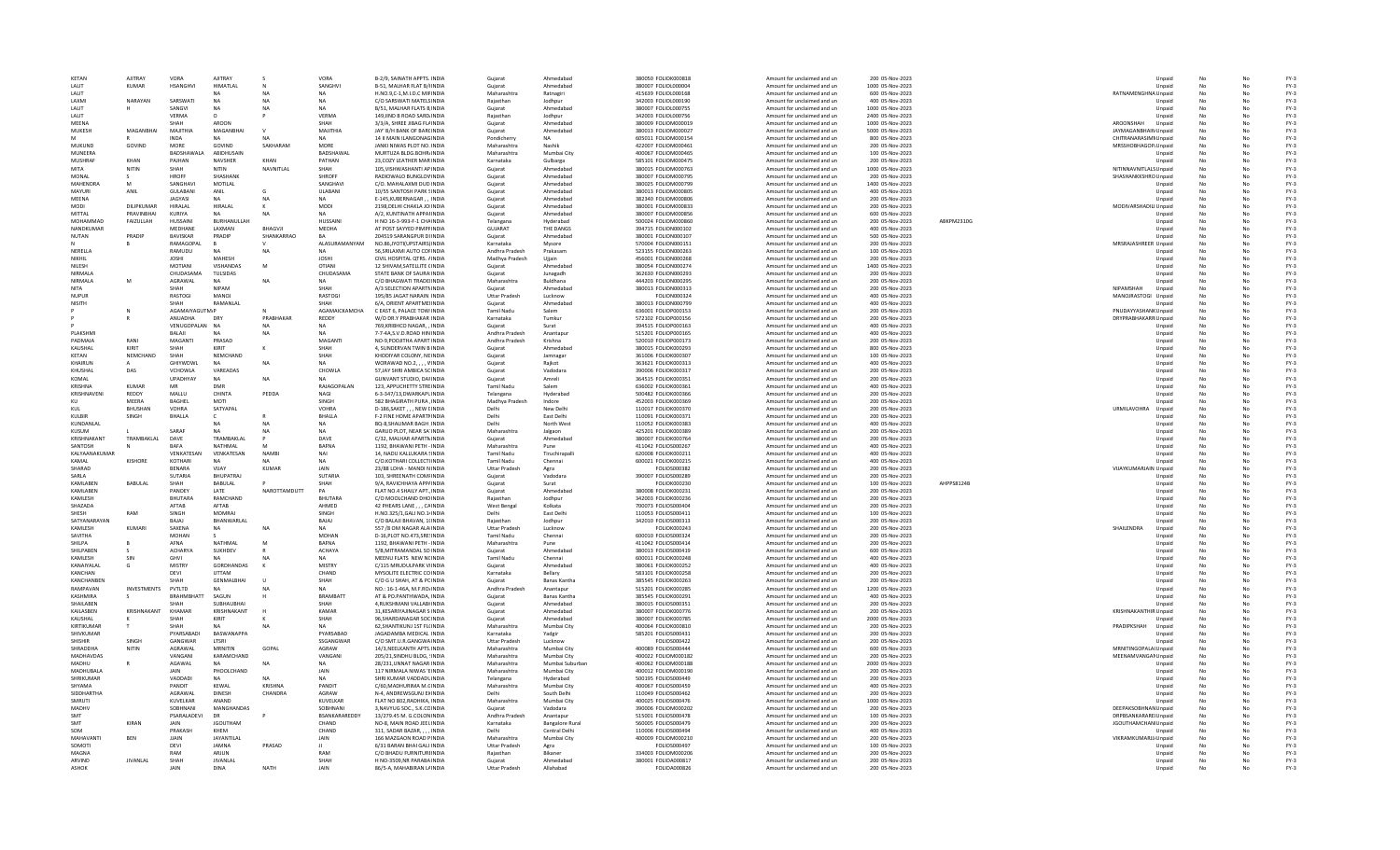| KETAN            | AJITRAY            | VORA                  | AJITRAY           |                | VORA               | B-2/9, SAINATH APPTS. INDIA       | Gujarat              | Ahmedabad              | 380050 FOLIOK000818 | Amount for unclaimed and un | 200 05-Nov-2023  |            |                              | Unpaid | No |    | $FY-3$ |
|------------------|--------------------|-----------------------|-------------------|----------------|--------------------|-----------------------------------|----------------------|------------------------|---------------------|-----------------------------|------------------|------------|------------------------------|--------|----|----|--------|
|                  |                    |                       |                   |                |                    |                                   |                      |                        |                     |                             |                  |            |                              |        |    |    |        |
| <b>I ALIT</b>    | KUMAR              | <b>HSANGHVI</b>       | HIMATI AI         | N              | SANGHVI            | <b>B-51. MAI HAR FLAT B/HNDIA</b> | Guiarat              | Ahmedahad              | 380007 EQUOL000004  | Amount for unclaimed and un | 1000 05-Nov-2023 |            |                              | Unpaid | No |    | $FY-3$ |
| <b>I ALIT</b>    |                    |                       |                   | <b>NA</b>      | <b>NA</b>          | H.NO.9,C-1,M.I.D.C MIFINDIA       | Maharashtra          | Ratnagiri              | 415639 FOLIOL000168 | Amount for unclaimed and un | 600 05-Nov-2023  |            | RATNAMENGHNA Unpaid          |        | No | No | $FY-3$ |
| LAXMI            | NARAYAN            | SARSWATI              | <b>NA</b>         | <b>NA</b>      | NΔ                 | C/O SARSWATI MATELS INDIA         | Raiasthan            | Jodhpur                | 342003 FOLIOL000190 | Amount for unclaimed and un | 400 05-Nov-2023  |            |                              | Unpaid |    |    | $FY-3$ |
| LALIT            |                    | SANGVI                |                   | <b>NA</b>      |                    | B/51, MALHAR FLATS B INDIA        | Guiarat              | Ahmedabad              | 380007 FOLIOL000755 | Amount for unclaimed and un | 1000 05-Nov-2023 |            |                              | Unpaid |    |    | $FY-3$ |
| LALIT            |                    | VERMA                 | $\circ$           |                | VERMA              | 149, IIND B ROAD SARD INDIA       | Rajasthan            | Jodhpur                | 342003 FOLIOL000756 | Amount for unclaimed and un | 2400 05-Nov-2023 |            |                              | Unpaid |    |    | $FY-3$ |
| MFFNA            |                    | SHAH                  | AROON             |                | SHAH               | 3/3/A. SHREE JIBAG FLAINDIA       | Guiarat              | Ahmedahad              | 380009 EQUOM000019  |                             | 1000 05-Nov-2023 |            | AROONSHAH                    |        |    |    | $FY-3$ |
|                  |                    |                       |                   |                |                    |                                   |                      |                        |                     | Amount for unclaimed and un |                  |            |                              | Unpaid |    | No |        |
| MUKESH           | MAGANRHAI          | MAJITHIA              | MAGANRHA          |                | MAJITHIA           | JAY' B/H BANK OF BARCINDIA        | Guiarat              | Ahmedabad              | 380013 FOLIOM000027 | Amount for unclaimed and un | 5000 05-Nov-2023 |            | JAYMAGANBHAIN Unpaid         |        |    |    | $FY-3$ |
| M                |                    | <b>INDA</b>           |                   |                | NA                 | 14 II MAIN ILANGONAGINDIA         | Pondicherry          | NΔ                     | 605011 FOLIOM000154 | Amount for unclaimed and un | 800 05-Nov-2023  |            | CHITRANARASIMM Unpaid        |        |    |    | $FY-3$ |
| MUKUND           | GOVIND             | <b>MORE</b>           | GOVIND            | SAKHARAM       | MORE               | JANKI NIWAS PLOT NO. INDIA        | Maharashtra          | Nashik                 | 422007 FOLIOM000461 | Amount for unclaimed and un | 200 05-Nov-2023  |            | MRSSHOBHAGOP. Unpaid         |        |    |    | $FY-3$ |
| MUNEERA          |                    | <b>BADSHAWALA</b>     | ABIDHUSAIN        |                | BADSHAWAL          | MURTUZA BLDG.BOHR/INDIA           | Maharashtra          | Mumbai City            | 400067 FOLIOM000465 | Amount for unclaimed and un | 100 05-Nov-2023  |            |                              | Unpaid |    |    | $FY-3$ |
| MUSHRAF          | KHAN               | PAIHAN                | <b>NAVSHER</b>    | KHAN           | PATHAN             | 23 COZY LEATHER MAR INDIA         | Karnataka            |                        | 585101 FOLIOM000475 |                             | 200.05-Nov-2023  |            |                              |        |    |    | $FY-3$ |
|                  |                    |                       |                   |                |                    |                                   |                      | Gulbarga               |                     | Amount for unclaimed and un |                  |            |                              | Unpaid | No | No |        |
| MITA             | NITIN              | SHAH                  | <b>NITIN</b>      | NAVNITLAL      | SHAH               | 105.VISHWASHANTI AP INDIA         | Gujarat              | Ahmedahad              | 380015 FOLIOM000763 | Amount for unclaimed and un | 1000 05-Nov-2023 |            | NITINNAVNITLALS Unpaid       |        |    | No | $FY-3$ |
| MONAL            |                    | HROFF                 | SHASHANK          |                | SHROFF             | RADIOWALO BUNGLOV INDIA           | Gujarat              | Ahmedahad              | 380007 FOLIOM000795 | Amount for unclaimed and un | 200 05-Nov-2023  |            | SHASHANKKSHRO Unpaid         |        |    |    | $FY-3$ |
| MAHENDRA         | M                  | SANGHAVI              | MOTILAL           |                | SANGHAVI           | C/O. MAHALAXMI DUD INDIA          | Gujarat              | Ahmedabad              | 380025 FOLIOM000799 | Amount for unclaimed and un | 1400 05-Nov-2023 |            |                              | Unpaid |    |    | $FY-3$ |
| MAYURI           | ANIL               | <b>GULABANI</b>       | ANIL              | G              | ULABANI            | 10/55 SANTOSH PARK SINDIA         | Gujarat              | Ahmedabad              | 380013 FOLIOM000805 | Amount for unclaimed and un | 400 05-Nov-2023  |            |                              | Unpaid |    |    | $FY-3$ |
| <b>MFFNA</b>     |                    | <b>JAGYASI</b>        |                   |                | <b>NA</b>          | F-145 KURFRNAGAR  INDIA           | Guiarat              | Ahmedahad              | 382340 EQUOM000806  |                             | 200 05-Nov-2023  |            |                              |        |    |    | $FY-3$ |
|                  |                    |                       |                   | <b>NA</b>      |                    |                                   |                      |                        |                     | Amount for unclaimed and un |                  |            |                              | Unpaid | No | No |        |
| MODI             | DILIPKUMAR         | <b>HIRALAL</b>        | HIRALAL           |                | MODI               | 2198, DELHI CHAKLA JOI INDIA      | Guiarat              | Ahmedahad              | 380001 FOLIOM000833 | Amount for unclaimed and un | 200 05-Nov-2023  |            | MODIVARSHADILI Unpaid        |        |    |    | $FY-3$ |
| MITTAI           | PRAVINRHAL         | KURIYA                | NΔ                | <b>NA</b>      | NA                 | A/2, KUNTINATH APPAHNDIA          | Gujarat              | Ahmedabad              | 380007 FOLIOM000856 | Amount for unclaimed and un | 600 05-Nov-2023  |            |                              | Unpaid |    |    | $FY-3$ |
| MOHAMMAD         | FAIZULLAH          | HUSSAINI              | BURHANULLAH       |                | <b>HUSSAIN</b>     | H NO 16-3-993-F-1 CHAINDIA        | Telangana            | Hyderabad              | 500024 FOLIOM000860 | Amount for unclaimed and un | 200 05-Nov-2023  | ABKPM2310G |                              | Unpaid | No |    | $FY-3$ |
| NANDKUMAR        |                    | MEDHANE               | LAXMAN            | <b>BHAGVJI</b> | MEDHA              | AT POST SAYYED PIMPFINDIA         | GUJARAT              | THE DANGS              | 394715 FOLION000102 | Amount for unclaimed and un | 400 05-Nov-2023  |            |                              | Unpaid |    |    | $FY-3$ |
| NUTAN            | PRADIP             | <b>BAVISKAR</b>       | PRADIP            | SHANKARRAO     | RA                 | 204519 SARANGPUR DUNDIA           |                      | Ahmedahad              | 380001 EQUON000107  | Amount for unclaimed and un | 500.05-Nov-2023  |            |                              |        | No |    | $FY-3$ |
|                  |                    |                       |                   |                |                    |                                   | Gujarat              |                        |                     |                             |                  |            |                              | Unpaid |    |    |        |
|                  |                    | RAMAGOPAI             |                   |                | ALASURAMANYAM      | NO.86,JYOTI(UPSTAIRS) INDIA       | Karnataka            | Mysore                 | 570004 FOLION00015: | Amount for unclaimed and un | 200 05-Nov-2023  |            | MRSRAJASHREER Unpaid         |        |    |    | $FY-3$ |
| NERELLA          |                    | RAMUDU                | N <sub>4</sub>    | <b>NA</b>      | NA                 | 56, SRILAXMI AUTO COFINDIA        | Andhra Pradesh       | Prakasam               | 523155 FOLION000263 | Amount for unclaimed and un | 100 05-Nov-2023  |            |                              | Unpaid |    |    | $FY-3$ |
| NIKHIL           |                    | <b>JOSHI</b>          | MAHESH            |                | <b>JOSHI</b>       | CIVIL HOSPITAL OTRS, AINDIA       | Madhya Pradesh       | Uijain                 | 456001 FOLION000268 | Amount for unclaimed and un | 200 05-Nov-2023  |            |                              | Unpaid |    |    | $FY-3$ |
| NILESH           |                    | MOTIANI               | VISHANDAS         | M              | OTIANI             | 12 SHIVAM, SATELLITE CINDIA       | Gujarat              | Ahmedabad              | 380054 FOLION000274 | Amount for unclaimed and un | 1400 05-Nov-2023 |            |                              | Unpaid | No |    | $FY-3$ |
| NIRMAI A         |                    | CHUDASAMA             | <b>TULSIDAS</b>   |                | CHUDASAMA          | STATE BANK OF SAURA INDIA         | Guiarat              | Junagadh               | 362630 EQUON000293  | Amount for unclaimed and un | 200.05-Nov-2023  |            |                              | Unpaid | No |    | $FY-3$ |
|                  |                    |                       |                   |                |                    |                                   |                      |                        |                     |                             |                  |            |                              |        |    |    |        |
| NIRMALA          | M                  | AGRAWAL               | <b>NA</b>         | <b>NA</b>      | <b>NA</b>          | C/O BHAGWATI TRADEI INDIA         | Maharashtra          | Buldhana               | 444203 FOLION00029! | Amount for unclaimed and un | 200 05-Nov-2023  |            |                              | Unpaid |    |    | $FY-3$ |
| <b>NITA</b>      |                    | SHAH                  | <b>NIPAM</b>      |                | SHAH               | A/3 SELECTION APARTMINDIA         | Gujarat              | Ahmedabad              | 380013 FOLION000313 | Amount for unclaimed and un | 200 05-Nov-2023  |            | NIPAMSHAH                    | Unpaid |    |    | $FY-3$ |
| <b>NUPUR</b>     |                    | RASTOGI               | <b>MANOJ</b>      |                | <b>RASTOGI</b>     | 195/85 JAGAT NARAIN INDIA         | <b>Uttar Pradesh</b> | Lucknow                | FOLION000324        | Amount for unclaimed and un | 400 05-Nov-2023  |            | MANOJRASTOGI Unpaid          |        |    |    | $FY-3$ |
| NISITH           |                    | SHAH                  | RAMANLAL          |                | SHAH               | 6/A, ORIENT APARTMEIINDIA         | Gujarat              | Ahmedabad              | 380013 FOLION000799 | Amount for unclaimed and un | 400 05-Nov-2023  |            |                              | Unpaid |    |    | $FY-3$ |
|                  | N                  | <b>AGAMAIYAGUTM/P</b> |                   |                | AGAMAICKAMCHA      | C EAST 6, PALACE TOW INDIA        | Tamil Nadu           | Salem                  | 636001 EQUOP000153  | Amount for unclaimed and un | 200 05-Nov-2023  |            | PNUDAYYASHANK Unpaid         |        | No | No | $FY-3$ |
|                  |                    |                       |                   |                |                    |                                   |                      |                        |                     |                             |                  |            |                              |        |    |    |        |
|                  |                    | ANUADHA               | DRY               | PRABHAKAR      | REDDY              | W/O DR.Y PRABHAKAR INDIA          | Karnataka            | Tumkur                 | 572102 FOLIOP000156 | Amount for unclaimed and un | 200 05-Nov-2023  |            | DRYPRABHAKARR Unpaid         |        |    |    | $FY-3$ |
|                  |                    | VENUGOPALAN           | <b>NA</b>         | NΔ             | NA                 | 769.KRIBHCO NAGAR. . INDIA        | Gujarat              | Surat                  | 394515 FOLIOP000163 | Amount for unclaimed and un | 400 05-Nov-2023  |            |                              | Unpaid |    |    | $FY-3$ |
| <b>PLAKSHMI</b>  |                    | BALAJI                |                   | <b>NA</b>      | <b>NA</b>          | 7-7-4A.S.V.D.ROAD HIN INDIA       | Andhra Pradesh       | Anantapur              | 515201 FOLIOP000165 | Amount for unclaimed and un | 400 05-Nov-2023  |            |                              | Unpaid | No |    | $FY-3$ |
| PADMAJA          | RANI               | MAGANTI               | PRASAD            |                | MAGANTI            | NO-9, POOJITHA APART INDIA        | Andhra Pradesh       | Krishna                | 520010 FOLIOP000173 | Amount for unclaimed and un | 200 05-Nov-2023  |            |                              | Unpaid | No |    | $FY-3$ |
| KAUSHAL          | KIRIT              | SHAH                  | KIRIT             |                | SHAH               | 4. SUNDERVAN TWIN B INDIA         | Guiarat              | Ahmedahad              | 380015 EQUOK000293  | Amount for unclaimed and un | 800 05-Nov-2023  |            |                              | Unpaid | No | No | $FY-3$ |
| KETAN            | NEMCHAND           | SHAH                  | NEMCHAND          |                | SHAH               |                                   |                      |                        |                     |                             |                  |            |                              |        | No |    | $FY-3$ |
|                  |                    |                       |                   |                |                    | KHODIYAR COLONY, NEINDIA          | Gujarat              | Jamnagar               | 361006 FOLIOK000307 | Amount for unclaimed and un | 100 05-Nov-2023  |            |                              | Unpaid |    |    |        |
| KHAIRUN          |                    | <b>GHIYWDWL</b>       | NΔ                | <b>NA</b>      | NΔ                 | WORAWAD NO.2, , , , VINDIA        | Gujarat              | Raikot                 | 363621 FOLIOK000313 | Amount for unclaimed and un | 400 05-Nov-2023  |            |                              | Unpaid |    |    | $FY-3$ |
| KHUSHA           | DAS                | VCHOWLA               | VAREADAS          |                | CHOWLA             | 57 JAY SHRI AMBICA SCINDIA        | Guiarat              | Vadodara               | 390006 FOLIOK000317 | Amount for unclaimed and un | 200 05-Nov-2023  |            |                              | Unpaid | No |    | $FY-3$ |
| KOMAL            |                    | <b>UPADHYAY</b>       | NA                | <b>NA</b>      |                    | GUNVANT STUDIO, DAHNDIA           | Gujarat              | Amreli                 | 364515 FOLIOK000351 | Amount for unclaimed and un | 200 05-Nov-2023  |            |                              | Unpaid | No |    | $FY-3$ |
| KRISHNA          | KUMAR              | MR                    | DMR               |                | <b>RAIAGOPALAN</b> | 123. APPLICHETTY STREINDIA        | Tamil Nadu           | Salem                  | 636002 EOLIOK000361 | Amount for unclaimed and un | 400 05-Nov-2023  |            |                              | Unpaid | No | No | $FY-3$ |
| KRISHNAVENI      | REDDY              | MALLU                 | CHINTA            | PEDDA          | <b>NAGL</b>        | 6-3-347/13, DWARKAPL INDIA        | Telangana            | Hyderabad              | 500482 FOLIOK000366 | Amount for unclaimed and un | 200 05-Nov-2023  |            |                              |        |    | No | $FY-3$ |
|                  | MFFRA              |                       |                   |                | <b>SINGH</b>       |                                   |                      |                        |                     |                             |                  |            |                              | Unpaid |    |    |        |
| KU               |                    | <b>BAGHEL</b>         | MOTI              |                |                    | 582 BHAGIRATH PURA .INDIA         | Madhya Pradesh       | Indore                 | 452003 FOLIOK000369 | Amount for unclaimed and un | 200 05-Nov-2023  |            |                              | Unpaid |    |    | $FY-3$ |
| KUL              | BHUSHAN            | <b>VOHRA</b>          | SATYAPAL          |                | <b>VOHRA</b>       | D-186, SAKET, , , NEW LINDIA      | Delh                 | New Delhi              | 110017 FOLIOK000370 | Amount for unclaimed and un | 200 05-Nov-2023  |            | <b>URMILAVOHRA</b>           | Unpaid | No |    | $FY-3$ |
| KULBIR           | SINGH              | <b>BHALLA</b>         |                   |                | BHALLA             | F-2 FINE HOME APARTMINDIA         | Delhi                | East Delhi             | 110091 FOLIOK000371 | Amount for unclaimed and un | 200 05-Nov-2023  |            |                              | Unpaid | No |    | $FY-3$ |
| KUNDANI AI       |                    |                       | NΔ                | <b>NA</b>      | <b>NA</b>          | <b>BO-8 SHALIMAR BAGH INDIA</b>   | Delhi                | North West             | 110052 EQUOK000383  | Amount for unclaimed and un | 400 05-Nov-2023  |            |                              | Unpaid | No | No |        |
|                  |                    |                       |                   |                |                    |                                   |                      |                        |                     |                             |                  |            |                              |        |    |    |        |
|                  |                    |                       |                   |                |                    |                                   |                      |                        |                     |                             |                  |            |                              |        |    |    | $FY-3$ |
| KUSUM            |                    | SARAF                 | <b>NA</b>         | <b>NA</b>      | NA                 | GARUD PLOT, NEAR SA' INDIA        | Maharashtra          | Jalgaon                | 425201 FOLIOK000389 | Amount for unclaimed and un | 200 05-Nov-2023  |            |                              | Unpaid | No | No | $FY-3$ |
| KRISHNAKANT      | TRAMBAKLAL         | DAVE                  | TRAMBAKI AI       |                | DAVE               | C/32, MALHAR APARTMINDIA          | Gujarat              | Ahmedabad              | 380007 FOLIOK000764 | Amount for unclaimed and un | 200 05-Nov-2023  |            |                              | Unpaid |    |    | $FY-3$ |
| SANTOSH          |                    | BAFA                  | NATHMAL           |                | <b>BAFNA</b>       | 1192. BHAWANI PETH - INDIA        | Maharashtra          | Pune                   | 411042 FOLIOS000267 | Amount for unclaimed and un | 400 05-Nov-2023  |            |                              | Unpaid | No |    |        |
|                  |                    |                       |                   |                |                    |                                   |                      |                        |                     |                             |                  |            |                              |        |    |    | $FY-3$ |
| KALYAANAKUMAR    |                    | VENKATESAN            | VENKATESAN        | <b>NAMB</b>    | <b>NAI</b>         | 14, NADU KALLUKARA SINDIA         | Tamil Nadu           | Tiruchirapalli         | 620008 FOLIOK000211 | Amount for unclaimed and un | 400 05-Nov-2023  |            |                              | Unpaid | No |    | $FY-3$ |
| KAMAI            | KISHORE            | KOTHARI               | NΔ                |                | <b>NA</b>          | C/O KOTHARLCOLLECTUNDIA           | Tamil Nadu           | Chennai                | 600021 FOLIOK000215 | Amount for unclaimed and un | 400 05-Nov-2023  |            |                              | Unpaid | No | No | FY-3   |
| SHARAD           |                    | <b>RENARA</b>         | VIIAY             | <b>KUMAR</b>   | <b>JAIN</b>        | 23/88 LOHA - MANDI N INDIA        | <b>Uttar Pradesh</b> | Agra                   | FOLIOS000382        | Amount for unclaimed and un | 200 05-Nov-2023  |            | VIJAYKUMARJAIN Unpaid        |        |    |    | $FY-3$ |
| SARIA            |                    | <b>SUTARIA</b>        | <b>BHUPATRAJ</b>  |                | SUTARIA            | 103, SHREENATH COMFINDIA          | Gujarat              | Vadodara               | 390007 FOLIOS000289 | Amount for unclaimed and un | 200 05-Nov-2023  |            |                              | Unpaid |    |    | $FY-3$ |
| KAMLABEN         | BABULAL            | SHAH                  |                   |                | SHAH               | 9/A, RAVICHHAYA APP/INDIA         | Guiarat              | Surat                  | <b>FOLIOK000230</b> | Amount for unclaimed and un | 100 05-Nov-2023  | AHPPS8124B |                              | Unpaid | No |    |        |
|                  |                    |                       | BABULAL           |                |                    |                                   |                      |                        |                     |                             |                  |            |                              |        |    |    | $FY-3$ |
| KAMLABEN         |                    | PANDEY                | LATE              | NAROTTAMDUTT   | PA                 | FLAT NO.4 SHAILY APT., INDIA      | Gujarat              | Ahmedabad              | 380008 FOLIOK000231 | Amount for unclaimed and un | 200 05-Nov-2023  |            |                              | Unpaid | No |    | $FY-3$ |
| <b>KAMIFSH</b>   |                    | RHUTARA               | RAMCHAND          |                | <b>RHUTARA</b>     | C/O MOOLCHAND DHO INDIA           | Rajasthan            | Jodhour                | 342003 EQUOK000236  | Amount for unclaimed and un | 200.05-Nov-2023  |            |                              | Unpaid | No | No | $FY-3$ |
| SHAZADA          |                    | AFTAR                 | AFTAR             |                | AHMED              | 42 PHEARS LANE, , , CAINDIA       | West Bengal          | Kolkata                | 700073 FOLIOS000404 | Amount for unclaimed and un | 200 05-Nov-2023  |            |                              | Unpaid |    |    | $FY-3$ |
| SHESH            | RAM                | SINGH                 | <b>MOMRAL</b>     |                | SINGH              | H.NO.325/1,GALI NO.1/INDIA        | Delhi                | East Delhi             | 110053 FOLIOS000411 | Amount for unclaimed and un | 100 05-Nov-2023  |            |                              | Unpaid |    |    | $FY-3$ |
| SATYANARAYAN     |                    | BAJAJ                 | BHANWARLAL        |                | BAJAJ              | C/O BALAJI BHAVAN, 1(INDIA        | Raiasthan            | Jodhpur                | 342010 FOLIOS000313 | Amount for unclaimed and un | 200 05-Nov-2023  |            |                              | Unpaid | No |    | $FY-3$ |
| KAMLESH          | KUMARI             | SAXENA                | NA                | <b>NA</b>      |                    | 557 /8 OM NAGAR ALA INDIA         | <b>Uttar Pradesh</b> | Lucknow                | FOLIOK000243        | Amount for unclaimed and un | 200 05-Nov-2023  |            | SHAILENDRA                   | Unpaid | No |    | $FY-3$ |
| SAVITHA          |                    | <b>MOHAN</b>          |                   |                | MOHAN              |                                   | Tamil Nadu           | Chennai                |                     |                             | 200 05-Nov-2023  |            |                              |        | No |    |        |
|                  |                    |                       |                   |                |                    | D-16.PLOT NO.473.SRE.INDIA        |                      |                        | 600010 FOLIOS000324 | Amount for unclaimed and un |                  |            |                              | Unpaid |    |    | $FY-3$ |
| SHII PA          |                    | AFNA                  | NATHMAI           | M              | <b>BAFNA</b>       | 1192, BHAWANI PETH - INDIA        | Maharashtra          | Pune                   | 411042 FOLIOS000414 | Amount for unclaimed and un | 200 05-Nov-2023  |            |                              | Unpaid |    |    | $FY-3$ |
| <b>SHILPAREN</b> |                    | <b>ACHARYA</b>        | SUKHDEV           |                | <b>ACHAYA</b>      | 5/B.MITRAMANDAL SO INDIA          | Gujarat              | Ahmedabad              | 380013 FOLIOS000419 | Amount for unclaimed and un | 600 05-Nov-2023  |            |                              | Unpaid |    |    | $FY-3$ |
| KAMLESH          | SIN                | <b>GHVI</b>           |                   |                |                    | MEENU FLATS NEW NCINDIA           | <b>Tamil Nadu</b>    | Chennai                | 600011 FOLIOK000248 | Amount for unclaimed and un | 400 05-Nov-2023  |            |                              | Unpaid | No |    | $FY-3$ |
| KANAIYALAL       | G                  | MISTRY                | GORDHANDAS        |                | MISTRY             | C/115 MRUDULPARK VIINDIA          | Gujarat              | Ahmedabad              | 380061 FOLIOK000252 | Amount for unclaimed and un | 400 05-Nov-2023  |            |                              | Unpaid | No |    | $FY-3$ |
| KANCHAN          |                    | DFVI                  | <b>UTTAM</b>      |                | CHAND              | MYSOLITE ELECTRIC CO INDIA        | Karnataka            | <b>Bellary</b>         | 583101 FOLIOK000258 | Amount for unclaimed and un | 200.05-Nov-2023  |            |                              | Unpaid | No | No | $FY-3$ |
| KANCHANREN       |                    | SHAH                  | <b>GENMALBHAI</b> | $\mathbf{u}$   | SHAH               | C/O G U SHAH, AT & PCINDIA        | Guiarat              | <b>Banas Kantha</b>    | 385545 FOLIOK000263 |                             | 200 05-Nov-2023  |            |                              |        | No |    | $FY-3$ |
|                  | <b>INVESTMENTS</b> |                       |                   | N              | NΔ                 |                                   |                      |                        |                     | Amount for unclaimed and un |                  |            |                              | Unpaid |    |    |        |
| RAMPAVAN         |                    | PVTLTD                |                   |                |                    | NO.: 16-1-46A, M.F.RO/INDIA       | Andhra Pradesh       | Anantapur              | 515201 FOLIOK000285 | Amount for unclaimed and un | 1200 05-Nov-2023 |            |                              | Unpaid |    |    | $FY-3$ |
| KASHMIRA         | -S                 | <b>BRAHMBHATT</b>     | SAGUN             |                | <b>BRAMBATT</b>    | AT & PO.PANTHWADA, INDIA          | Gujarat              | <b>Banas Kantha</b>    | 385545 FOLIOK000291 | Amount for unclaimed and un | 400 05-Nov-2023  |            |                              | Unpaid |    |    | $FY-3$ |
| SHAILABEN        |                    | SHAH                  | SUBHAUBHA         |                | SHAH               | 4, RUKSHMANI VALLABI INDIA        | Gujarat              | Ahmedabad              | 380015 FOLIOS000351 | Amount for unclaimed and un | 200 05-Nov-2023  |            |                              | Unpaid |    |    | $FY-3$ |
| <b>KAILASREN</b> | KRISHNAKANT        | KHAMAR                | KRISHNAKANT       |                | KAMAR              | <b>31 KESARIYAJINAGAR S INDIA</b> | Guiarat              | Ahmedahad              | 380007 EOLIOK000776 | Amount for unclaimed and un | 200.05-Nov-2023  |            | <b>KRISHNAKANTHIR Unpaid</b> |        | No | No | $FY-3$ |
| KAUSHAL          |                    | SHAH                  | KIRIT             |                | SHAH               | 96.SHARDANAGAR SOCINDIA           | Guiarat              | Ahmedahad              |                     |                             | 2000 05-Nov-2023 |            |                              |        |    |    | $FY-3$ |
|                  |                    |                       |                   |                |                    |                                   |                      |                        | 380007 FOLIOK000785 | Amount for unclaimed and un |                  |            |                              | Unpaid |    |    |        |
| KIRTIKUMAF       |                    | SHAH                  |                   |                | NΔ                 | 62.SHANTIKUNJ 1ST FL(INDIA        | Maharashtra          | Mumbai City            | 400064 FOLIOK000810 | Amount for unclaimed and un | 200 05-Nov-2023  |            | PRADIPKSHAH                  | Unpaid |    |    | $FY-3$ |
| SHIVKUMAR        |                    | PYARSABADI            | BASWANAPPA        |                | PYARSABAD          | JAGADAMBA MEDICAL INDIA           | Karnataka            | Yadgir                 | 585201 FOLIOS000431 | Amount for unclaimed and un | 200 05-Nov-2023  |            |                              | Unpaid |    |    | $FY-3$ |
| SHISHIR          | SINGH              | GANGWAR               | LTSRI             |                | SSGANGWAR          | C/O SMT.U.R.GANGWA INDIA          | <b>Uttar Pradesh</b> | Lucknow                | FOLIOS000422        | Amount for unclaimed and un | 200 05-Nov-2023  |            |                              | Unpaid |    |    | $FY-3$ |
| SHRADDHA         | NITIN              | AGRAWAI               | MRNITIN           | GOPAL          | AGRAW              | 14/3 NEELKANTH APTS INDIA         | Maharashtra          | Mumhai City            | 400089 FOLIOS000444 | Amount for unclaimed and un | 600.05-Nov-2023  |            | MRNITINGOPALA(Unpaid         |        | No | No | $FY-3$ |
| <b>MADHAVDAS</b> |                    | VANGANI               | KARAMCHAND        |                | VANGANI            |                                   | Maharashtra          | Mumbai City            | 400022 FOLIOM000182 |                             | 200 05-Nov-2023  |            |                              |        |    | No | $FY-3$ |
|                  |                    |                       |                   |                |                    | 205/21, SINDHU BLDG, 'INDIA       |                      |                        |                     | Amount for unclaimed and un |                  |            | MEENAMVANGAMUnpaid           |        |    |    |        |
| MADHU            |                    | AGAWAL                | <b>NA</b>         | NΔ             | NA                 | 28/231, UNNAT NAGAR INDIA         | Maharashtra          | Mumbai Suburbar        | 400062 FOLIOM000188 | Amount for unclaimed and un | 2000 05-Nov-2023 |            |                              | Unpaid |    |    | $FY-3$ |
| MADHUBALA        |                    | JAIN                  | PHOOLCHAND        |                | JAIN               | 117 NIRMALA NIWAS 'EINDIA         | Maharashtra          | Mumbai City            | 400012 FOLIOM000190 | Amount for unclaimed and un | 200 05-Nov-2023  |            |                              | Unpaid | No |    | $FY-3$ |
| SHRIKUMAR        |                    | VADDADI               | - NA              | <b>NA</b>      |                    | SHRI KUMAR VADDADLINDIA           | Telangana            | Hyderabad              | 500195 FOLIOS000449 | Amount for unclaimed and un | 200 05-Nov-2023  |            |                              | Unpaid | No |    | $FY-3$ |
| SHYAMA           |                    | PANDIT                | KFWAI             | KRISHNA        | PANDIT             | C/60 MADHURIMA M.CINDIA           | Maharashtra          | Mumhai City            | 400067 EQUOS000459  | Amount for unclaimed and un | 400 05-Nov-2023  |            |                              | Unpaid | No | No | $FY-3$ |
|                  |                    |                       |                   |                |                    |                                   |                      |                        |                     |                             |                  |            |                              |        |    |    |        |
| SIDDHARTHA       |                    | AGRAWAI               | <b>DINESH</b>     | CHANDRA        | AGRAW              | N-4, ANDREWSGUNJ EXINDIA          | Delhi                | South Delhi            | 110049 FOLIOS000462 | Amount for unclaimed and un | 200 05-Nov-2023  |            |                              | Unpaid |    |    | $FY-3$ |
| SMRUTI           |                    | KUVELKAR              | ANAND             |                | KUVELKAR           | FLAT NO 802, RADHIKA, INDIA       | Maharashtra          | Mumbai City            | 400025 FOLIOS000476 | Amount for unclaimed and un | 1000 05-Nov-2023 |            |                              | Unpaid |    |    | $FY-3$ |
| MADHV            |                    | SOBHNANI              | MANGHANDAS        |                | SOBHNAN            | 3.NAVYUG SOC., S.K.CCINDIA        | Guiarat              | Vadodara               | 390006 FOLIOM000202 | Amount for unclaimed and un | 200 05-Nov-2023  |            | DEEPAKSOBHNAN Unpaid         |        |    |    | $FY-3$ |
| SMT              |                    | PSARALADEVI           | DR                |                | BSANKARAREDDY      | 13/279.45 M. G.COLONINDIA         | Andhra Pradesh       | Anantapur              | 515001 FOLIOS000478 | Amount for unclaimed and un | 100 05-Nov-2023  |            | DRPBSANKARARE Unpaid         |        |    |    | $FY-3$ |
| SMT              | KIRAN              | <b>IAIN</b>           | <b>IGOUTHAM</b>   |                | CHAND              | NO-8. MAIN ROAD IFFL INDIA        | Karnataka            | <b>Bangalore Rural</b> | 560005 EQUOS000479  | Amount for unclaimed and un | 200 05-Nov-2023  |            |                              |        | No |    | $FY-3$ |
| SOM              |                    |                       | KHFM              |                |                    |                                   | Delhi                |                        |                     |                             |                  |            | JGOUTHAMCHAN Unpaid          |        |    |    |        |
|                  |                    | PRAKASH               |                   |                | CHAND              | 311, SADAR BAZAR, , , , INDIA     |                      | Central Delhi          | 110006 FOLIOS000494 | Amount for unclaimed and un | 400 05-Nov-2023  |            |                              | Unpaid |    |    | $FY-3$ |
| MAHAVANT         | <b>BEN</b>         | <b>IIAIN</b>          | JAYANTILAL        |                | JAIN               | 166 MAZGAON ROAD PINDIA           | Maharashtra          | Mumbai City            | 400009 FOLIOM000210 | Amount for unclaimed and un | 200 05-Nov-2023  |            | VIKRAMKUMARJJ, Unpaid        |        |    |    | $FY-3$ |
| SOMOTI           |                    | DEVI                  | JAMNA             | PRASAD         |                    | 6/31 BARAN BHAI GALI INDIA        | <b>Uttar Pradesh</b> | Agra                   | FOLIOS000497        | Amount for unclaimed and un | 100 05-Nov-2023  |            |                              | Unpaid |    |    | $FY-3$ |
| MAGNA            |                    | RAM                   | ARJUN             |                | RAM                | C/O BHADU FURNITURI INDIA         | Rajasthan            | Bikaner                | 334003 FOLIOM000206 | Amount for unclaimed and un | 200 05-Nov-2023  |            |                              | Unpaid | No |    | $FY-3$ |
| ARVIND           | <b>IIVANI AI</b>   | SHAH                  | <b>IIVANI AI</b>  |                | SHAH               | H NO-3509 NR PARABA INDIA         | Guiarat              | Ahmedahad              | 380001 FOLIOA000817 | Amount for unclaimed and un | 200 05-Nov-2023  |            |                              | Unpaid | No |    | $FY-3$ |
| ASHOK            |                    | <b>JAIN</b>           | DINA              | NATH           | <b>JAIN</b>        | 86/5-A, MAHABIRAN L/ INDIA        | <b>Uttar Pradesh</b> | Allahabad              | FOLIOA000826        | Amount for unclaimed and un | 200 05-Nov-2023  |            |                              | Unpaid |    |    | $FY-3$ |